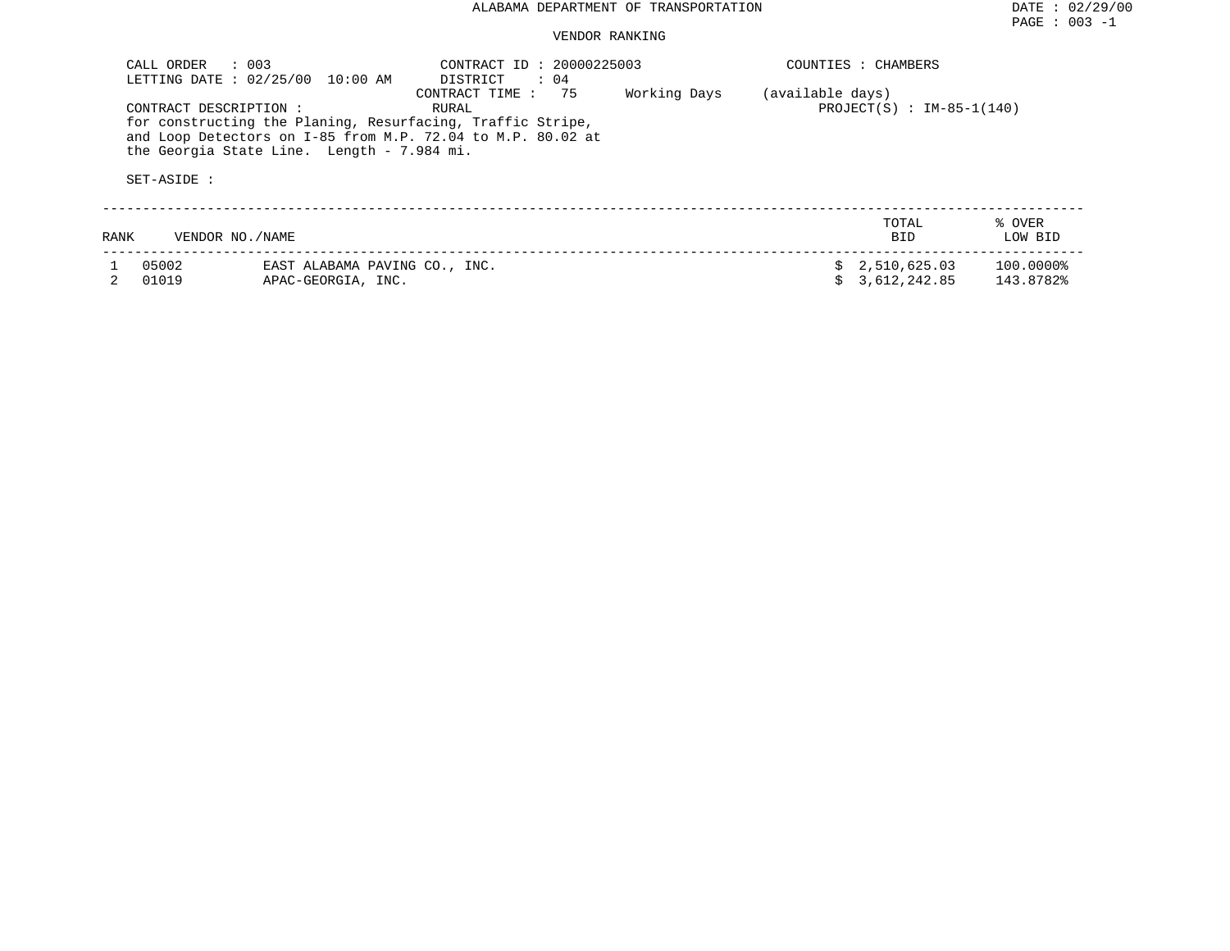| CALL ORDER     | $\therefore$ 003<br>LETTING DATE: 02/25/00<br>10:00 AM                                                                                                                                           | CONTRACT ID: 20000225003<br>DISTRICT<br>$\therefore$ 04 |              |                  | COUNTIES : CHAMBERS          |                        |
|----------------|--------------------------------------------------------------------------------------------------------------------------------------------------------------------------------------------------|---------------------------------------------------------|--------------|------------------|------------------------------|------------------------|
|                | CONTRACT DESCRIPTION:<br>for constructing the Planing, Resurfacing, Traffic Stripe,<br>and Loop Detectors on I-85 from M.P. 72.04 to M.P. 80.02 at<br>the Georgia State Line. Length - 7.984 mi. | CONTRACT TIME : 75<br>RURAL                             | Working Days | (available days) | PROJECT(S) : $IM-85-1(140)$  |                        |
| SET-ASIDE :    |                                                                                                                                                                                                  |                                                         |              |                  |                              |                        |
| RANK           | VENDOR NO./NAME                                                                                                                                                                                  |                                                         |              |                  | TOTAL<br><b>BID</b>          | % OVER<br>LOW BID      |
| 05002<br>01019 | EAST ALABAMA PAVING CO., INC.<br>APAC-GEORGIA, INC.                                                                                                                                              |                                                         |              |                  | 2,510,625.03<br>3,612,242.85 | 100.0000%<br>143.8782% |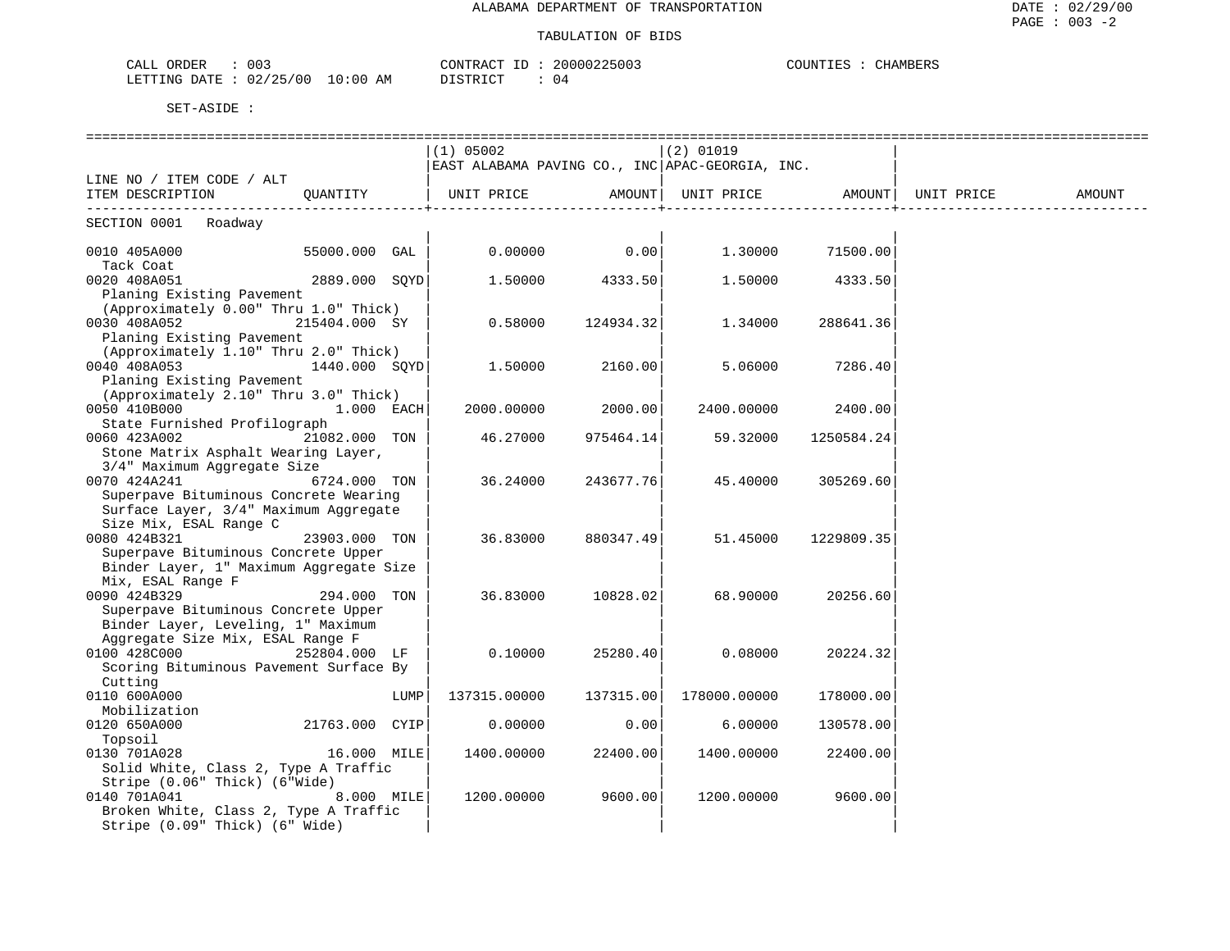| 003<br>CALL<br>ORDER     |             | . חד<br>CONTRACT | 20000225003 | COUNTIES<br>CHAMBERS |
|--------------------------|-------------|------------------|-------------|----------------------|
| 02/25/00<br>LETTING DATE | 10:00<br>AΜ | <b>DICTPIOT</b>  | 14          |                      |

|                                         |                |      | $(1)$ 05002                                     |                | $(2)$ 01019                                        |                    |        |
|-----------------------------------------|----------------|------|-------------------------------------------------|----------------|----------------------------------------------------|--------------------|--------|
|                                         |                |      | EAST ALABAMA PAVING CO., INC APAC-GEORGIA, INC. |                |                                                    |                    |        |
| LINE NO / ITEM CODE / ALT               |                |      |                                                 |                |                                                    |                    |        |
| ITEM DESCRIPTION                        | OUANTITY       |      | --------------------------                      |                | UNIT PRICE AMOUNT   UNIT PRICE AMOUNT   UNIT PRICE |                    | AMOUNT |
| SECTION 0001 Roadway                    |                |      |                                                 |                |                                                    |                    |        |
| 0010 405A000 55000.000 GAL              |                |      |                                                 | $0.00000$ 0.00 |                                                    | 1.30000 71500.00   |        |
| Tack Coat                               |                |      |                                                 |                |                                                    |                    |        |
| 0020 408A051                            | 2889.000 SQYD  |      | 1.50000                                         | 4333.50        | 1.50000                                            | 4333.50            |        |
| Planing Existing Pavement               |                |      |                                                 |                |                                                    |                    |        |
| (Approximately 0.00" Thru 1.0" Thick)   |                |      |                                                 |                |                                                    |                    |        |
| 0030 408A052                            | 215404.000 SY  |      | 0.58000                                         | 124934.32      | 1,34000                                            | 288641.36          |        |
| Planing Existing Pavement               |                |      |                                                 |                |                                                    |                    |        |
| (Approximately 1.10" Thru 2.0" Thick)   |                |      |                                                 |                |                                                    |                    |        |
| 0040 408A053                            | 1440.000 SOYD  |      | 1.50000                                         | 2160.00        | 5.06000                                            | 7286.40            |        |
| Planing Existing Pavement               |                |      |                                                 |                |                                                    |                    |        |
| (Approximately 2.10" Thru 3.0" Thick)   |                |      |                                                 |                |                                                    |                    |        |
| 0050 410B000                            | $1.000$ EACH   |      | 2000.00000                                      | 2000.00        |                                                    | 2400.00000 2400.00 |        |
| State Furnished Profilograph            |                |      |                                                 |                |                                                    |                    |        |
| 0060 423A002                            | 21082.000 TON  |      | 46.27000                                        | 975464.14      | 59.32000                                           | 1250584.24         |        |
| Stone Matrix Asphalt Wearing Layer,     |                |      |                                                 |                |                                                    |                    |        |
| 3/4" Maximum Aggregate Size             |                |      |                                                 |                |                                                    |                    |        |
| 0070 424A241                            | 6724.000 TON   |      | 36.24000                                        | 243677.76      | 45.40000                                           | 305269.60          |        |
| Superpave Bituminous Concrete Wearing   |                |      |                                                 |                |                                                    |                    |        |
| Surface Layer, 3/4" Maximum Aggregate   |                |      |                                                 |                |                                                    |                    |        |
| Size Mix, ESAL Range C                  |                |      |                                                 |                |                                                    |                    |        |
| 0080 424B321                            | 23903.000 TON  |      | 36.83000                                        | 880347.49      | 51.45000                                           | 1229809.35         |        |
| Superpave Bituminous Concrete Upper     |                |      |                                                 |                |                                                    |                    |        |
| Binder Layer, 1" Maximum Aggregate Size |                |      |                                                 |                |                                                    |                    |        |
| Mix, ESAL Range F                       |                |      |                                                 |                |                                                    |                    |        |
| 0090 424B329                            | 294.000 TON    |      | 36.83000                                        | 10828.02       | 68.90000                                           | 20256.60           |        |
| Superpave Bituminous Concrete Upper     |                |      |                                                 |                |                                                    |                    |        |
| Binder Layer, Leveling, 1" Maximum      |                |      |                                                 |                |                                                    |                    |        |
| Aggregate Size Mix, ESAL Range F        |                |      |                                                 |                |                                                    |                    |        |
| 0100 428C000                            | 252804.000 LF  |      | 0.10000                                         | 25280.40       | 0.08000                                            | 20224.32           |        |
| Scoring Bituminous Pavement Surface By  |                |      |                                                 |                |                                                    |                    |        |
| Cutting                                 |                |      |                                                 |                |                                                    |                    |        |
| 0110 600A000                            |                | LUMP | 137315.00000                                    | 137315.00      | 178000.00000                                       | 178000.00          |        |
| Mobilization                            |                |      |                                                 |                |                                                    |                    |        |
| 0120 650A000                            | 21763.000 CYIP |      | 0.00000                                         | 0.00           | 6.00000                                            | 130578.00          |        |
| Topsoil                                 |                |      |                                                 |                |                                                    |                    |        |
| 0130 701A028                            | 16.000 MILE    |      | 1400.00000                                      | 22400.00       | 1400.00000                                         | 22400.00           |        |
| Solid White, Class 2, Type A Traffic    |                |      |                                                 |                |                                                    |                    |        |
| Stripe (0.06" Thick) (6"Wide)           |                |      |                                                 |                |                                                    |                    |        |
| 0140 701A041                            | 8.000 MILE     |      | 1200.00000                                      | 9600.00        | 1200.00000                                         | 9600.00            |        |
| Broken White, Class 2, Type A Traffic   |                |      |                                                 |                |                                                    |                    |        |
| Stripe (0.09" Thick) (6" Wide)          |                |      |                                                 |                |                                                    |                    |        |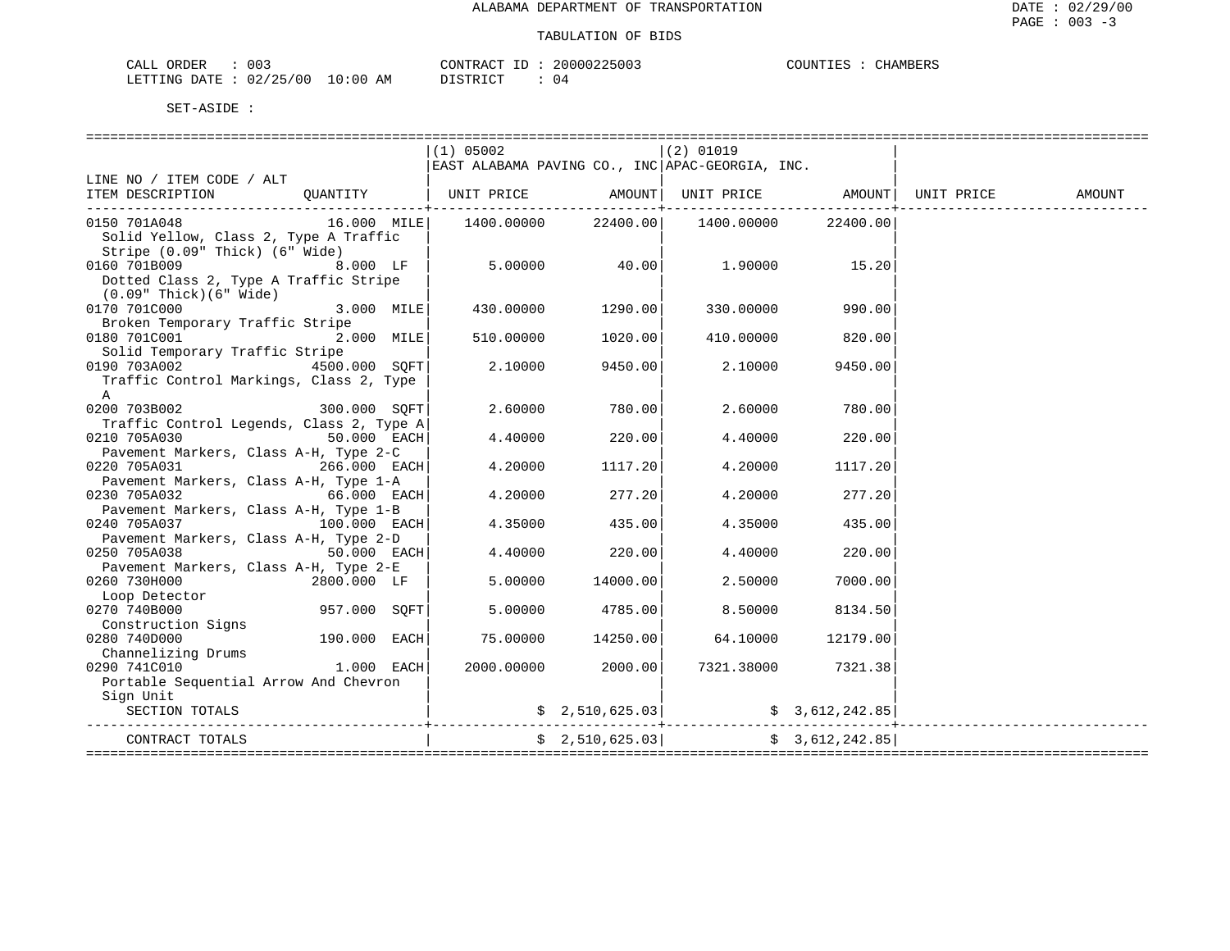| CALL ORDER                      | 003 | CONTRACT ID: 2 |  | 20000225003 | COUNTIES : | CHAMBERS |
|---------------------------------|-----|----------------|--|-------------|------------|----------|
| LETTING DATE: 02/25/00 10:00 AM |     | DISTRICT       |  | 04          |            |          |

|                                                     |               | $(1)$ 05002     |                     | (2) 01019                                                                                        |          |            |        |
|-----------------------------------------------------|---------------|-----------------|---------------------|--------------------------------------------------------------------------------------------------|----------|------------|--------|
|                                                     |               |                 |                     | EAST ALABAMA PAVING CO., INC APAC-GEORGIA, INC.                                                  |          |            |        |
| LINE NO / ITEM CODE / ALT                           |               |                 |                     |                                                                                                  |          |            |        |
| ITEM DESCRIPTION                                    |               |                 | -----------------+- | QUANTITY   UNIT PRICE AMOUNT   UNIT PRICE                                                        | AMOUNT   | UNIT PRICE | AMOUNT |
| 0150 701A048                                        |               |                 | 22400.00            | 1400.00000                                                                                       | 22400.00 |            |        |
| Solid Yellow, Class 2, Type A Traffic               |               |                 |                     |                                                                                                  |          |            |        |
| Stripe (0.09" Thick) (6" Wide)                      |               |                 |                     |                                                                                                  |          |            |        |
| 0160 701B009                                        | $8.000$ LF    | $5.00000$ 40.00 |                     | 1.90000                                                                                          | 15.20    |            |        |
| Dotted Class 2, Type A Traffic Stripe               |               |                 |                     |                                                                                                  |          |            |        |
| $(0.09"$ Thick $)(6"$ Wide $)$                      |               |                 |                     |                                                                                                  |          |            |        |
| 0170 701C000                                        | $3.000$ MILE  |                 | 430.00000 1290.00   | 330.00000                                                                                        | 990.00   |            |        |
| Broken Temporary Traffic Stripe                     |               |                 |                     |                                                                                                  |          |            |        |
| 0180 701C001                                        | 2.000 MILE    | 510.00000       | 1020.00             | 410.00000                                                                                        | 820.00   |            |        |
| Solid Temporary Traffic Stripe                      |               |                 |                     |                                                                                                  |          |            |        |
| 0190 703A002<br>4500.000 SOFT                       |               | 2.10000         | 9450.00             | 2.10000                                                                                          | 9450.00  |            |        |
| Traffic Control Markings, Class 2, Type             |               |                 |                     |                                                                                                  |          |            |        |
| A<br>300.000 SQFT<br>0200 703B002                   |               | 2.60000         | 780.00              | 2.60000                                                                                          | 780.00   |            |        |
| Traffic Control Legends, Class 2, Type A            |               |                 |                     |                                                                                                  |          |            |        |
| 0210 705A030<br>$50.000$ EACH                       |               | 4.40000         | 220.00              | 4.40000                                                                                          | 220.00   |            |        |
| Pavement Markers, Class A-H, Type 2-C               |               |                 |                     |                                                                                                  |          |            |        |
| $266.000$ EACH<br>0220 705A031                      |               | 4.20000         | 1117.20             | 4.20000                                                                                          | 1117.20  |            |        |
| Pavement Markers, Class A-H, Type 1-A               |               |                 |                     |                                                                                                  |          |            |        |
| 0230 705A032<br>$66.000$ EACH                       |               | 4.20000         | 277.20              | 4.20000                                                                                          | 277.20   |            |        |
| Pavement Markers, Class A-H, Type 1-B               |               |                 |                     |                                                                                                  |          |            |        |
| 0240 705A037<br>$100.000$ EACH                      |               | 4.35000         | 435.00              | 4.35000                                                                                          | 435.00   |            |        |
| Pavement Markers, Class A-H, Type 2-D               |               |                 |                     |                                                                                                  |          |            |        |
| 0250 705A038                                        | $50.000$ EACH | 4.40000         | 220.00              | 4.40000                                                                                          | 220.00   |            |        |
| Pavement Markers, Class A-H, Type 2-E               |               |                 |                     |                                                                                                  |          |            |        |
| 0260 730H000<br>2800.000 LF                         |               | 5.00000         | 14000.00            | 2.50000                                                                                          | 7000.00  |            |        |
| Loop Detector                                       |               |                 |                     |                                                                                                  |          |            |        |
| 957.000 SQFT <br>0270 740B000<br>Construction Signs |               | 5.00000         | 4785.00             | 8.50000                                                                                          | 8134.50  |            |        |
| 0280 740D000<br>190.000 EACH                        |               | 75.00000        | 14250.00            | 64.10000                                                                                         | 12179.00 |            |        |
| Channelizing Drums                                  |               |                 |                     |                                                                                                  |          |            |        |
| $1.000$ EACH<br>0290 741C010                        |               | 2000.00000      | 2000.00             | 7321.38000                                                                                       | 7321.38  |            |        |
| Portable Sequential Arrow And Chevron               |               |                 |                     |                                                                                                  |          |            |        |
| Sign Unit                                           |               |                 |                     |                                                                                                  |          |            |        |
| SECTION TOTALS                                      |               |                 |                     | $\frac{1}{2}$ , 510,625.03 $\frac{1}{2}$ $\frac{1}{2}$ $\frac{1}{2}$ $\frac{1}{2}$ $\frac{1}{2}$ |          |            |        |
|                                                     |               |                 |                     | . _ _ _ _ _ _ _ _ _ _ _                                                                          |          |            |        |
| CONTRACT TOTALS                                     |               |                 |                     | $\frac{1}{2}$ , 510, 625.03 $\frac{1}{2}$ $\frac{1}{2}$ , 612, 242.85                            |          |            |        |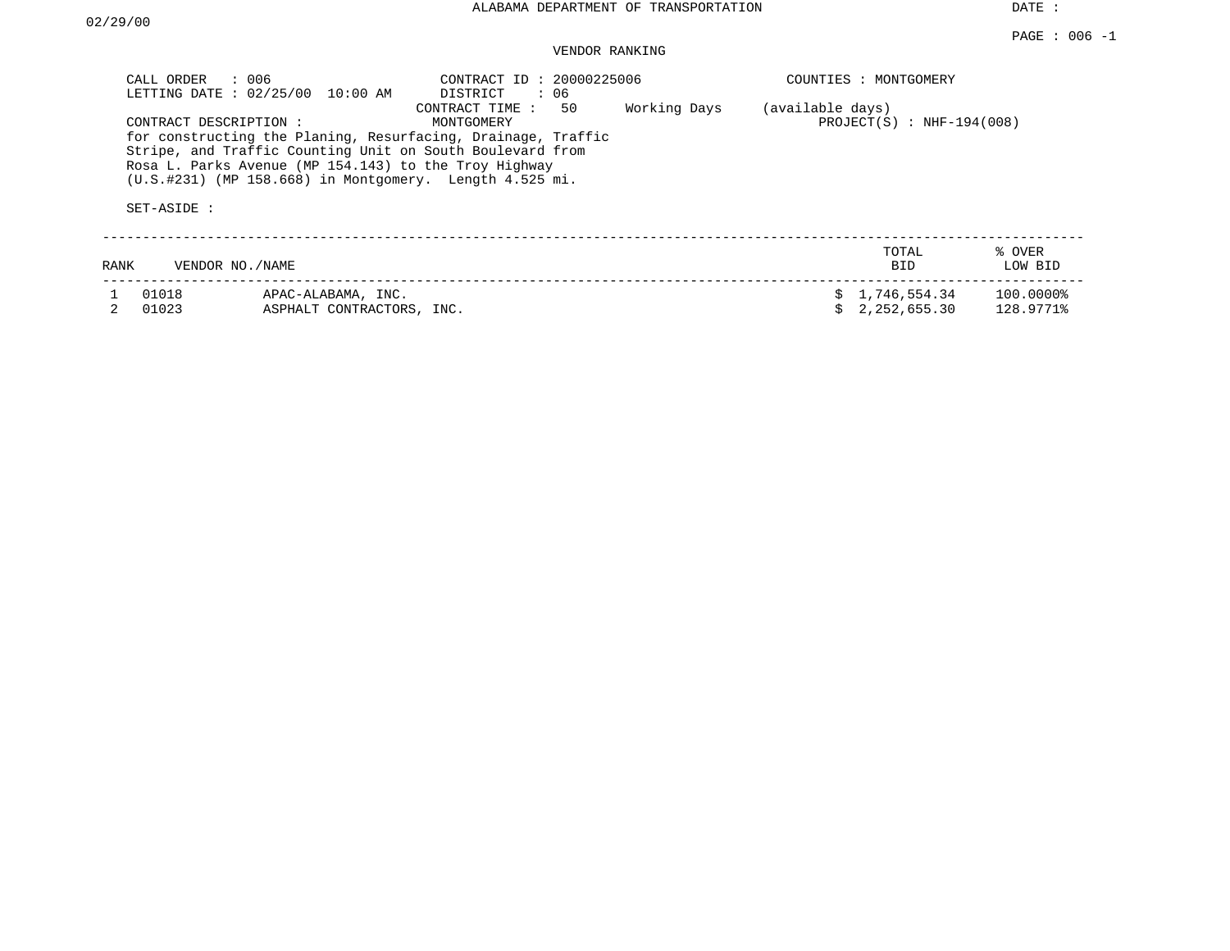DATE :

## VENDOR RANKING

|      | : 006<br>CALL ORDER<br>LETTING DATE: 02/25/00<br>CONTRACT DESCRIPTION :<br>SET-ASIDE : | 10:00 AM                                        | CONTRACT ID: 20000225006<br>DISTRICT<br>: 06<br>50<br>CONTRACT TIME:<br>MONTGOMERY<br>for constructing the Planing, Resurfacing, Drainage, Traffic<br>Stripe, and Traffic Counting Unit on South Boulevard from<br>Rosa L. Parks Avenue (MP 154.143) to the Troy Highway<br>$(U.S. #231)$ (MP 158.668) in Montgomery. Length 4.525 mi. | Working Days | (available days) | COUNTIES : MONTGOMERY<br>PROJECT $(S)$ : NHF-194(008) |                        |
|------|----------------------------------------------------------------------------------------|-------------------------------------------------|----------------------------------------------------------------------------------------------------------------------------------------------------------------------------------------------------------------------------------------------------------------------------------------------------------------------------------------|--------------|------------------|-------------------------------------------------------|------------------------|
| RANK | VENDOR NO. / NAME                                                                      |                                                 |                                                                                                                                                                                                                                                                                                                                        |              |                  | TOTAL<br><b>BID</b>                                   | % OVER<br>LOW BID      |
|      | 01018<br>01023                                                                         | APAC-ALABAMA, INC.<br>ASPHALT CONTRACTORS, INC. |                                                                                                                                                                                                                                                                                                                                        |              |                  | \$1,746,554.34<br>2, 252, 655, 30                     | 100.00008<br>128.9771% |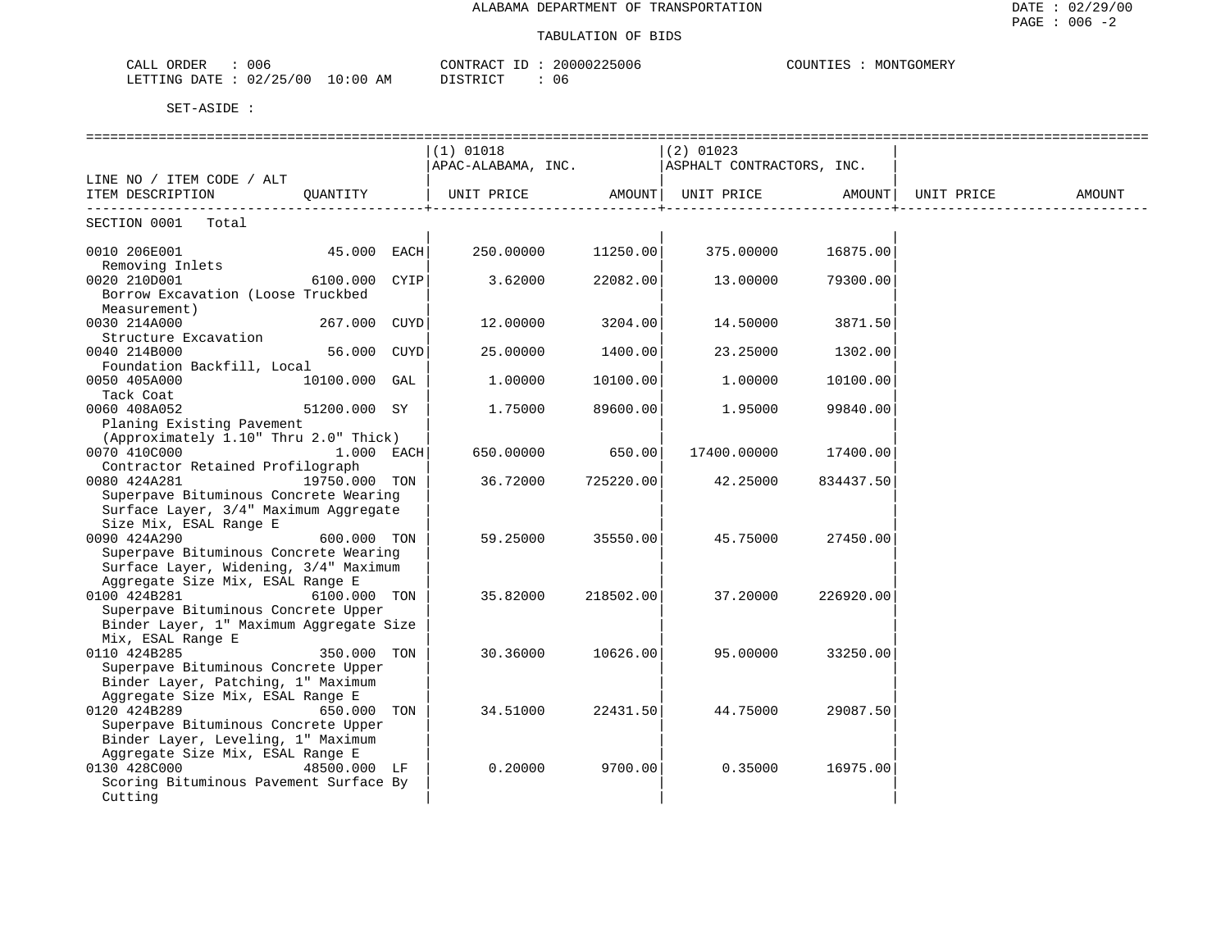| 006<br>ORDER<br>ىلىلەت   |             | CONTRACT                         |       | 20000225006 | COUNTIES | "GOMER"<br>MONTGC |
|--------------------------|-------------|----------------------------------|-------|-------------|----------|-------------------|
| 02/25/00<br>LETTING DATE | 10:00<br>AM | חים קידים דרו<br><u>DIOINICI</u> | - 0.6 |             |          |                   |

|                                         |               |      | $(1)$ 01018                                  |           | $(2)$ 01023       |           |            |        |
|-----------------------------------------|---------------|------|----------------------------------------------|-----------|-------------------|-----------|------------|--------|
|                                         |               |      | APAC-ALABAMA, INC. ASPHALT CONTRACTORS, INC. |           |                   |           |            |        |
| LINE NO / ITEM CODE / ALT               |               |      |                                              |           |                   |           |            |        |
| ITEM DESCRIPTION                        | OUANTITY      |      | UNIT PRICE AMOUNT                            |           | UNIT PRICE AMOUNT |           | UNIT PRICE | AMOUNT |
| SECTION 0001 Total                      |               |      |                                              |           |                   |           |            |        |
| 0010 206E001                            | 45.000 EACH   |      | 250.00000                                    | 11250.00  | 375.00000         | 16875.00  |            |        |
| Removing Inlets                         |               |      |                                              |           |                   |           |            |        |
| 0020 210D001                            | 6100.000      | CYIP | 3.62000                                      | 22082.00  | 13.00000          | 79300.00  |            |        |
| Borrow Excavation (Loose Truckbed       |               |      |                                              |           |                   |           |            |        |
| Measurement)                            |               |      |                                              |           |                   |           |            |        |
| 0030 214A000                            | 267.000 CUYD  |      | 12.00000                                     | 3204.00   | 14.50000          | 3871.50   |            |        |
| Structure Excavation                    |               |      |                                              |           |                   |           |            |        |
| 0040 214B000                            | 56.000 CUYD   |      | 25.00000                                     | 1400.00   | 23.25000          | 1302.00   |            |        |
| Foundation Backfill, Local              |               |      |                                              |           |                   |           |            |        |
| 0050 405A000                            | 10100.000 GAL |      | 1,00000                                      | 10100.00  | 1.00000           | 10100.00  |            |        |
| Tack Coat                               |               |      |                                              |           |                   |           |            |        |
| 0060 408A052                            | 51200.000 SY  |      | 1.75000                                      | 89600.00  | 1.95000           | 99840.00  |            |        |
| Planing Existing Pavement               |               |      |                                              |           |                   |           |            |        |
| (Approximately 1.10" Thru 2.0" Thick)   |               |      |                                              |           |                   |           |            |        |
| 0070 410C000                            | $1.000$ EACH  |      | 650.00000                                    | 650.00    | 17400.00000       | 17400.00  |            |        |
| Contractor Retained Profilograph        |               |      |                                              |           |                   |           |            |        |
| 0080 424A281                            | 19750.000 TON |      | 36.72000                                     | 725220.00 | 42.25000          | 834437.50 |            |        |
| Superpave Bituminous Concrete Wearing   |               |      |                                              |           |                   |           |            |        |
| Surface Layer, 3/4" Maximum Aggregate   |               |      |                                              |           |                   |           |            |        |
| Size Mix, ESAL Range E                  |               |      |                                              |           |                   |           |            |        |
| 0090 424A290                            | 600.000 TON   |      | 59.25000                                     | 35550.00  | 45.75000          | 27450.00  |            |        |
| Superpave Bituminous Concrete Wearing   |               |      |                                              |           |                   |           |            |        |
| Surface Layer, Widening, 3/4" Maximum   |               |      |                                              |           |                   |           |            |        |
| Aggregate Size Mix, ESAL Range E        |               |      |                                              |           |                   |           |            |        |
| 0100 424B281                            | 6100.000 TON  |      | 35.82000                                     | 218502.00 | 37.20000          | 226920.00 |            |        |
| Superpave Bituminous Concrete Upper     |               |      |                                              |           |                   |           |            |        |
| Binder Layer, 1" Maximum Aggregate Size |               |      |                                              |           |                   |           |            |        |
| Mix, ESAL Range E                       |               |      |                                              |           |                   |           |            |        |
| 0110 424B285                            | 350.000 TON   |      | 30.36000                                     | 10626.00  | 95.00000          | 33250.00  |            |        |
| Superpave Bituminous Concrete Upper     |               |      |                                              |           |                   |           |            |        |
| Binder Layer, Patching, 1" Maximum      |               |      |                                              |           |                   |           |            |        |
| Aggregate Size Mix, ESAL Range E        |               |      |                                              |           |                   |           |            |        |
| 0120 424B289                            | 650.000 TON   |      | 34.51000                                     | 22431.50  | 44.75000          | 29087.50  |            |        |
| Superpave Bituminous Concrete Upper     |               |      |                                              |           |                   |           |            |        |
| Binder Layer, Leveling, 1" Maximum      |               |      |                                              |           |                   |           |            |        |
| Aggregate Size Mix, ESAL Range E        |               |      |                                              |           |                   |           |            |        |
| 0130 428C000                            | 48500.000 LF  |      | 0.20000                                      | 9700.00   | 0.35000           | 16975.00  |            |        |
| Scoring Bituminous Pavement Surface By  |               |      |                                              |           |                   |           |            |        |
| Cutting                                 |               |      |                                              |           |                   |           |            |        |
|                                         |               |      |                                              |           |                   |           |            |        |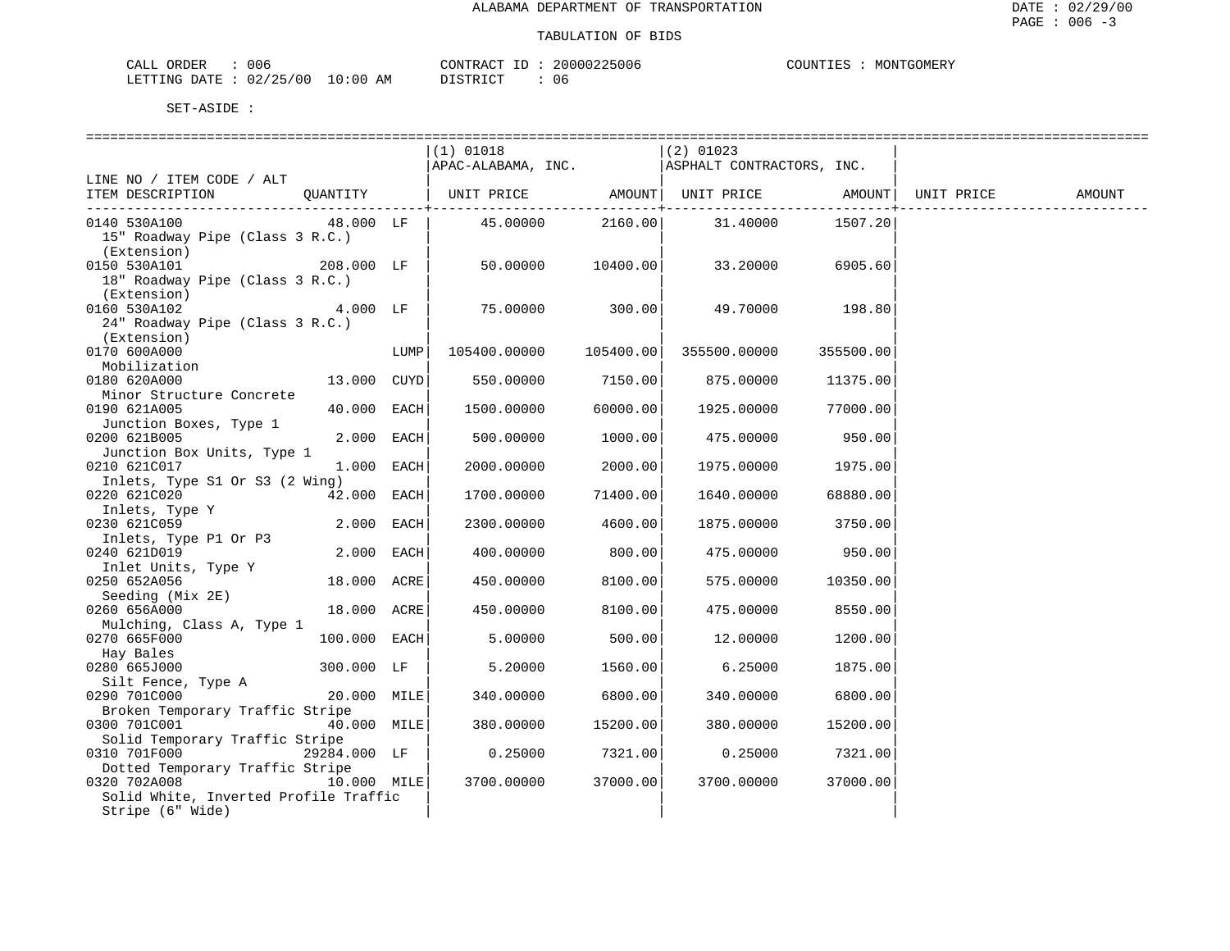| ORDER<br>CALL                    | 006 | CONTRACT ID           | 20000225006 | COUNTIES | MONTGOMERY |
|----------------------------------|-----|-----------------------|-------------|----------|------------|
| LETTING DATE : 02/25/00 10:00 AM |     | ידי איד פידי פור<br>. | 06          |          |            |

|                                       |                 |      | $(1)$ 01018                                      |                      | $(2)$ 01023               |                 |            |        |
|---------------------------------------|-----------------|------|--------------------------------------------------|----------------------|---------------------------|-----------------|------------|--------|
|                                       |                 |      | APAC-ALABAMA, INC.                               |                      | ASPHALT CONTRACTORS, INC. |                 |            |        |
| LINE NO / ITEM CODE / ALT             |                 |      |                                                  |                      |                           |                 |            |        |
| ITEM DESCRIPTION                      |                 |      | QUANTITY   UNIT PRICE AMOUNT   UNIT PRICE AMOUNT |                      |                           |                 | UNIT PRICE | AMOUNT |
|                                       |                 |      |                                                  | ------------+------- |                           |                 |            |        |
| 0140 530A100                          | 48.000 LF       |      | 45.00000                                         |                      | 2160.00 31.40000 1507.20  |                 |            |        |
| 15" Roadway Pipe (Class 3 R.C.)       |                 |      |                                                  |                      |                           |                 |            |        |
| (Extension)                           |                 |      |                                                  |                      |                           |                 |            |        |
| 0150 530A101                          | 208.000 LF      |      | 50.00000 10400.00                                |                      | 33.20000                  | 6905.60         |            |        |
| 18" Roadway Pipe (Class 3 R.C.)       |                 |      |                                                  |                      |                           |                 |            |        |
| (Extension)                           |                 |      |                                                  |                      |                           |                 |            |        |
| 0160 530A102                          | $4.000$ LF      |      | 75.00000                                         | 300.00               |                           | 49.70000 198.80 |            |        |
| 24" Roadway Pipe (Class 3 R.C.)       |                 |      |                                                  |                      |                           |                 |            |        |
| (Extension)                           |                 |      |                                                  |                      |                           |                 |            |        |
| 0170 600A000                          |                 | LUMP | 105400.00000                                     | 105400.00            | 355500.00000              | 355500.00       |            |        |
| Mobilization                          |                 |      |                                                  |                      |                           |                 |            |        |
| 0180 620A000                          | $13.000$ $CUYD$ |      | 550.00000                                        | 7150.00              | 875.00000                 | 11375.00        |            |        |
| Minor Structure Concrete              |                 |      |                                                  |                      |                           |                 |            |        |
| 0190 621A005                          | 40.000 EACH     |      | 1500.00000                                       | 60000.00             | 1925.00000                | 77000.00        |            |        |
| Junction Boxes, Type 1                |                 |      |                                                  |                      |                           |                 |            |        |
| 0200 621B005                          | $2.000$ EACH    |      | 500.00000                                        | 1000.00              | 475.00000                 | 950.00          |            |        |
| Junction Box Units, Type 1            |                 |      |                                                  |                      |                           |                 |            |        |
| 0210 621C017                          | $1.000$ EACH    |      | 2000.00000                                       | 2000.00              | 1975.00000                | 1975.00         |            |        |
| Inlets, Type S1 Or S3 (2 Wing)        |                 |      |                                                  |                      |                           |                 |            |        |
| 0220 621C020                          | $42.000$ EACH   |      | 1700.00000                                       | 71400.00             | 1640.00000                | 68880.00        |            |        |
| JZZU DZILODIO<br>Inlets, Type Y       |                 |      |                                                  |                      |                           |                 |            |        |
| 0230 621C059                          | $2.000$ EACH    |      | 2300.00000                                       | 4600.00              | 1875.00000                | 3750.00         |            |        |
| Inlets, Type P1 Or P3                 |                 |      |                                                  |                      |                           |                 |            |        |
| 0240 621D019                          | $2.000$ EACH    |      | 400.00000                                        | 800.00               | 475.00000                 | 950.00          |            |        |
| Inlet Units, Type Y                   |                 |      |                                                  |                      |                           |                 |            |        |
| 0250 652A056                          | 18.000 ACRE     |      | 450.00000                                        | 8100.00              | 575.00000                 | 10350.00        |            |        |
| Seeding (Mix 2E)                      |                 |      |                                                  |                      |                           |                 |            |        |
| 0260 656A000                          | 18.000 ACRE     |      | 450.00000                                        | 8100.00              | 475.00000                 | 8550.00         |            |        |
| Mulching, Class A, Type 1             |                 |      |                                                  |                      |                           |                 |            |        |
| 0270 665F000                          | $100.000$ EACH  |      | 5.00000                                          | 500.00               | 12.00000                  | 1200.00         |            |        |
| Hay Bales                             |                 |      |                                                  |                      |                           |                 |            |        |
| 0280 665J000                          | 300.000 LF      |      | 5.20000                                          | 1560.00              | 6.25000                   | 1875.00         |            |        |
| Silt Fence, Type A                    |                 |      |                                                  |                      |                           |                 |            |        |
| 0290 701C000                          | $20.000$ MILE   |      | 340.00000                                        | 6800.00              | 340.00000                 | 6800.00         |            |        |
| Broken Temporary Traffic Stripe       |                 |      |                                                  |                      |                           |                 |            |        |
| 0300 701C001                          | 40.000 MILE     |      | 380.00000                                        | 15200.00             | 380.00000                 | 15200.00        |            |        |
| Solid Temporary Traffic Stripe        |                 |      |                                                  |                      |                           |                 |            |        |
| 0310 701F000                          | 29284.000 LF    |      | 0.25000                                          | 7321.00              | 0.25000                   | 7321.00         |            |        |
| Dotted Temporary Traffic Stripe       |                 |      |                                                  |                      |                           |                 |            |        |
| 0320 702A008                          | $10.000$ MILE   |      | 3700.00000                                       | 37000.00             | 3700.00000                | 37000.00        |            |        |
| Solid White, Inverted Profile Traffic |                 |      |                                                  |                      |                           |                 |            |        |
| Stripe (6" Wide)                      |                 |      |                                                  |                      |                           |                 |            |        |
|                                       |                 |      |                                                  |                      |                           |                 |            |        |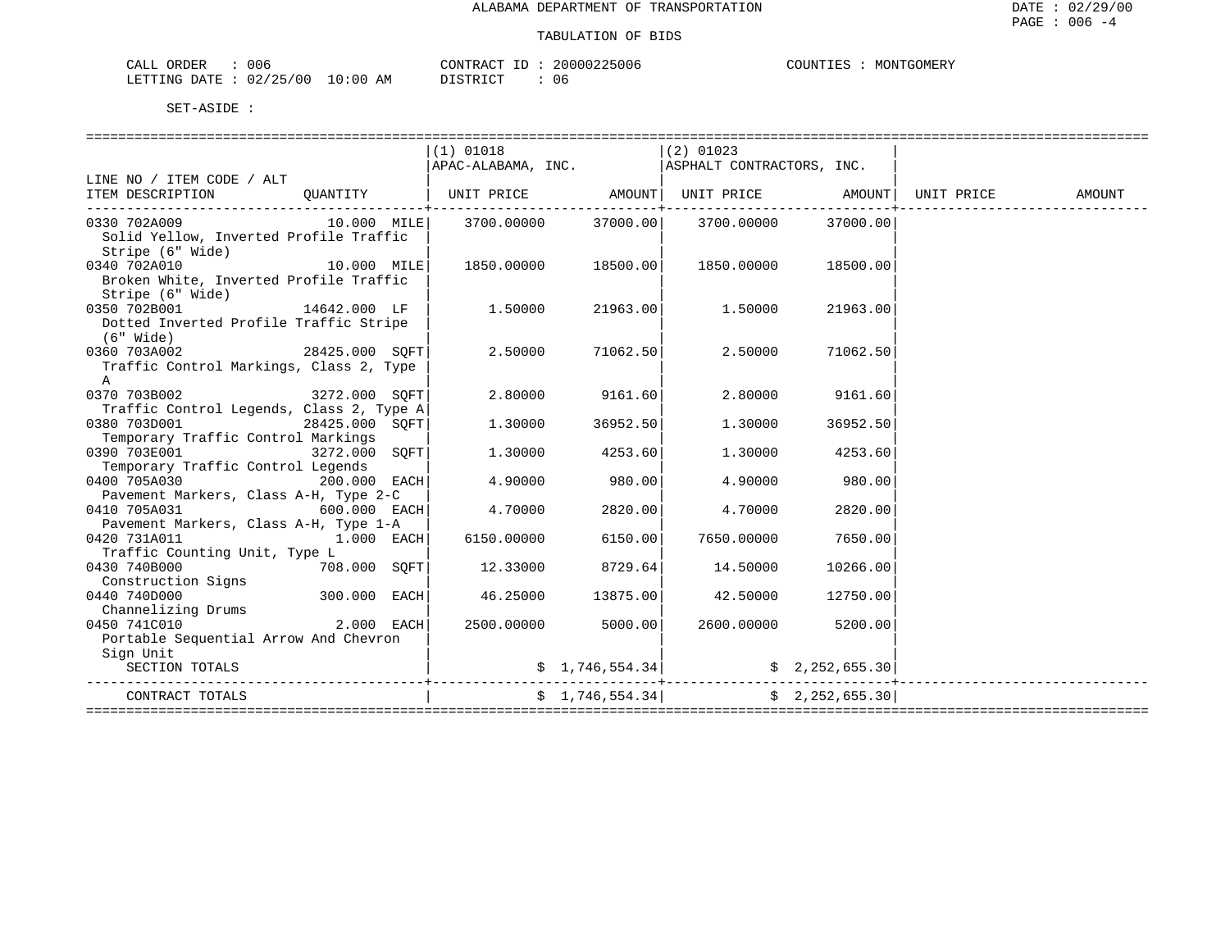| CALL ORDER             | 006 |          | CONTRACT<br>ID | 20000225006 | COUNTIES | MONTGOMERY |
|------------------------|-----|----------|----------------|-------------|----------|------------|
| LETTING DATE: 02/25/00 |     | 10:00 AM | DISTRICT       | 06          |          |            |

|                                                                                                                      | $(1)$ 01018           | APAC-ALABAMA, INC. ASPHALT CONTRACTORS, INC.                          | $(2)$ 01023 |                    |        |
|----------------------------------------------------------------------------------------------------------------------|-----------------------|-----------------------------------------------------------------------|-------------|--------------------|--------|
| LINE NO / ITEM CODE / ALT<br>ITEM DESCRIPTION QUANTITY                                                               |                       | UNIT PRICE   AMOUNT  UNIT PRICE   AMOUNT  UNIT PRICE                  |             |                    | AMOUNT |
| 0330 702A009 10.000 MILE 3700.00000 37000.00 3700.0000<br>Solid Yellow, Inverted Profile Traffic<br>Stripe (6" Wide) |                       |                                                                       |             | 37000.00           |        |
| 0340 702A010<br>$10.000$ MILE $ $ 1850.00000 18500.00<br>Broken White, Inverted Profile Traffic<br>Stripe (6" Wide)  |                       |                                                                       | 1850.00000  | 18500.00           |        |
| 0350 702B001<br>14642.000 LF<br>Dotted Inverted Profile Traffic Stripe<br>(6" Wide)                                  | 1.50000               | 21963.00                                                              | 1.50000     | 21963.00           |        |
| 28425.000 SQFT<br>0360 703A002<br>Traffic Control Markings, Class 2, Type<br>A                                       | 2.50000               | 71062.50                                                              | 2.50000     | 71062.50           |        |
| 0370 703B002 3272.000 SOFT                                                                                           |                       | 2.80000 9161.60                                                       | 2.80000     | 9161.60            |        |
| Traffic Control Legends, Class 2, Type A<br>0380 703D001<br>28425.000 SOFT<br>Temporary Traffic Control Markings     | 1.30000               | 36952.50                                                              | 1.30000     | 36952.50           |        |
| 0390 703E001<br>Temporary Traffic Control Legends                                                                    | 3272.000 SOFT 1.30000 | 4253.60                                                               |             | 1.30000 4253.60    |        |
| $200.000$ $EACH$ 4.90000<br>0400 705A030                                                                             |                       | 980.00                                                                | 4.90000     | 980.00             |        |
| Pavement Markers, Class A-H, Type 2-C<br>$600.000$ EACH<br>0410 705A031                                              | 4.70000               | 2820.00                                                               | 4.70000     | 2820.00            |        |
| Pavement Markers, Class A-H, Type 1-A<br>$1.000$ EACH<br>0420 731A011                                                |                       | 6150.00000 6150.00                                                    | 7650.00000  | 7650.00            |        |
| Traffic Counting Unit, Type L<br>0430 740B000 708.000 SQFT                                                           |                       | 12.33000 8729.64                                                      | 14.50000    | 10266.00           |        |
| Construction Signs<br>300.000 EACH<br>0440 740D000<br>Channelizing Drums                                             |                       | 46.25000 13875.00                                                     | 42.50000    | 12750.00           |        |
| 2.000 EACH<br>0450 741C010<br>Portable Sequential Arrow And Chevron                                                  |                       | 2500.00000 5000.00                                                    |             | 2600.00000 5200.00 |        |
| Sign Unit<br>SECTION TOTALS                                                                                          |                       | $\frac{1}{2}$ , 746, 554.34 $\frac{1}{2}$ $\frac{1}{2}$ , 252, 655.30 |             |                    |        |
| ----------------------+-------------<br>CONTRACT TOTALS                                                              |                       | \$1,746,554.34]                                                       |             | \$2,252,655.30     |        |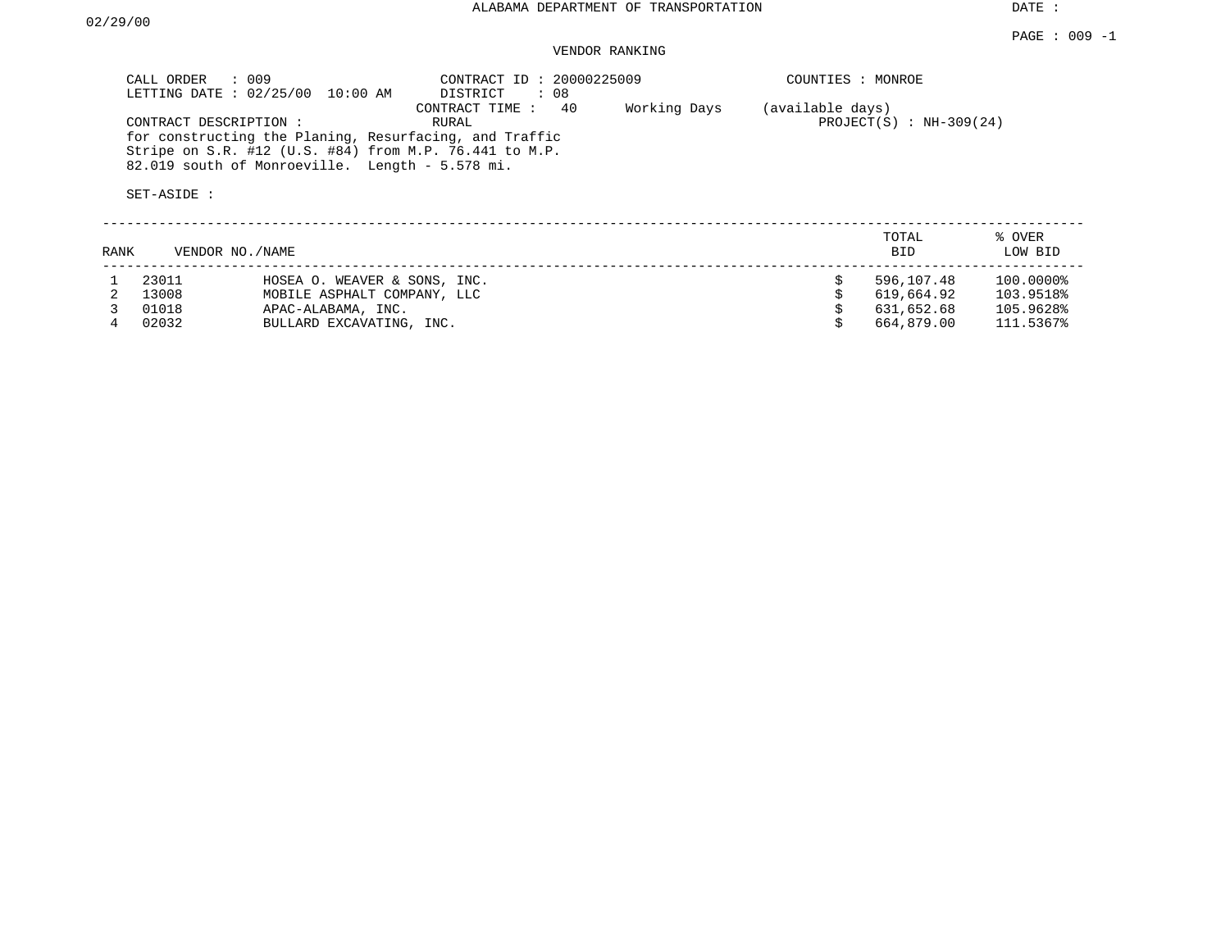DATE :

## VENDOR RANKING

| CALL ORDER : 009<br>LETTING DATE: 02/25/00<br>10:00 AM                                                                                                                                                      | CONTRACT ID: 20000225009<br>: 08<br>DISTRICT | COUNTIES : MONROE                                 |                   |
|-------------------------------------------------------------------------------------------------------------------------------------------------------------------------------------------------------------|----------------------------------------------|---------------------------------------------------|-------------------|
| CONTRACT DESCRIPTION:<br>for constructing the Planing, Resurfacing, and Traffic<br>Stripe on S.R. #12 (U.S. #84) from M.P. 76.441 to M.P.<br>82.019 south of Monroeville. Length - 5.578 mi.<br>SET-ASIDE : | CONTRACT TIME : 40<br>Working Days<br>RURAL  | (available days)<br>PROJECT $(S)$ : NH-309 $(24)$ |                   |
| RANK<br>VENDOR NO. / NAME                                                                                                                                                                                   |                                              | TOTAL<br>BID.                                     | % OVER<br>LOW BID |

| LAINIV | VENDOR NO. / NAME | . u                          | UUW DID    |           |  |
|--------|-------------------|------------------------------|------------|-----------|--|
|        | 23011             | HOSEA O. WEAVER & SONS, INC. | 596,107.48 | 100.0000% |  |
|        | 13008             | MOBILE ASPHALT COMPANY, LLC  | 619,664.92 | 103.9518% |  |
|        | 01018             | APAC-ALABAMA, INC.           | 631,652.68 | 105.9628% |  |
|        | 02032             | BULLARD EXCAVATING, INC.     | 664,879.00 | 111.5367% |  |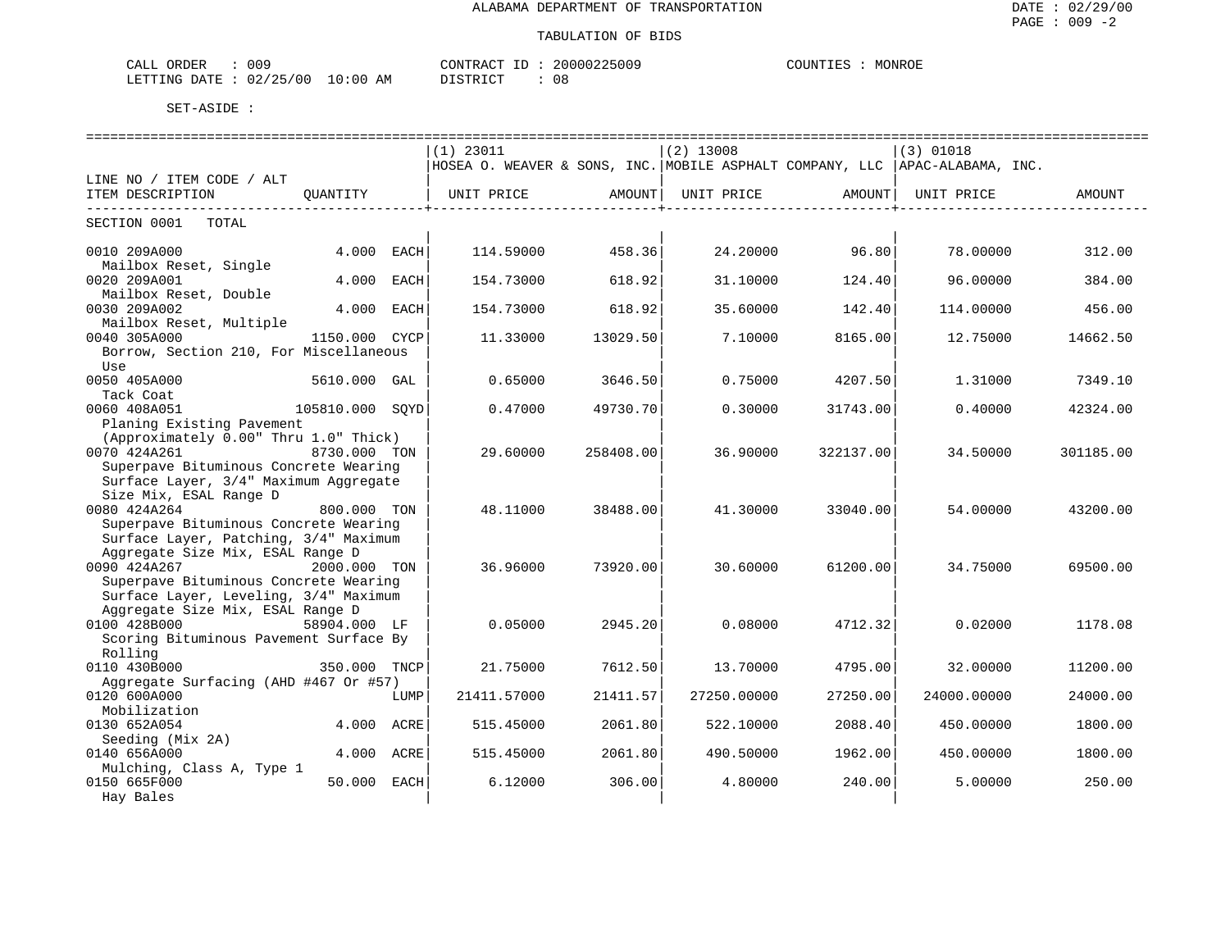#### TABULATION OF BIDS

| ORDER<br>CALL ( | 009        |             | CONTRACT<br>ID                             | 20000225009 | COUNTIES | MONROE |
|-----------------|------------|-------------|--------------------------------------------|-------------|----------|--------|
| LETTING DATE    | : 02/25/00 | 10:00<br>ΑM | $\gamma$ ד פידי ד $\gamma$<br><i>┙</i> ∸┘∸ | 08          |          |        |

|                                                                                |                 |             | =========================                                                     |           | ========================= |           |             | ================================ |
|--------------------------------------------------------------------------------|-----------------|-------------|-------------------------------------------------------------------------------|-----------|---------------------------|-----------|-------------|----------------------------------|
|                                                                                |                 |             | $(1)$ 23011                                                                   |           | $(2)$ 13008               |           | $(3)$ 01018 |                                  |
|                                                                                |                 |             | HOSEA O. WEAVER & SONS, INC. MOBILE ASPHALT COMPANY, LLC   APAC-ALABAMA, INC. |           |                           |           |             |                                  |
| LINE NO / ITEM CODE / ALT                                                      |                 |             |                                                                               |           |                           |           |             |                                  |
| ITEM DESCRIPTION                                                               | OUANTITY        |             | UNIT PRICE                                                                    | AMOUNT    | UNIT PRICE                | AMOUNT    | UNIT PRICE  | AMOUNT                           |
|                                                                                |                 |             |                                                                               |           |                           |           |             |                                  |
| SECTION 0001<br>TOTAL                                                          |                 |             |                                                                               |           |                           |           |             |                                  |
|                                                                                |                 |             |                                                                               |           |                           |           |             |                                  |
| 0010 209A000                                                                   | 4.000           | EACH        | 114.59000                                                                     | 458.36    | 24.20000                  | 96.80     | 78.00000    | 312.00                           |
| Mailbox Reset, Single                                                          |                 |             |                                                                               |           |                           |           |             |                                  |
| 0020 209A001                                                                   | 4.000           | <b>EACH</b> | 154.73000                                                                     | 618.92    | 31.10000                  | 124.40    | 96.00000    | 384.00                           |
| Mailbox Reset, Double                                                          |                 |             |                                                                               |           |                           |           |             |                                  |
| 0030 209A002                                                                   | 4.000           | EACH        | 154.73000                                                                     | 618.92    | 35.60000                  | 142.40    | 114,00000   | 456.00                           |
| Mailbox Reset, Multiple                                                        |                 |             |                                                                               |           |                           |           |             |                                  |
| 0040 305A000                                                                   | 1150.000 CYCP   |             | 11.33000                                                                      | 13029.50  | 7.10000                   | 8165.00   | 12.75000    | 14662.50                         |
| Borrow, Section 210, For Miscellaneous                                         |                 |             |                                                                               |           |                           |           |             |                                  |
| Use                                                                            |                 |             |                                                                               |           |                           |           |             |                                  |
| 0050 405A000                                                                   | 5610.000 GAL    |             | 0.65000                                                                       | 3646.50   | 0.75000                   | 4207.50   | 1.31000     | 7349.10                          |
| Tack Coat                                                                      |                 |             |                                                                               |           |                           |           |             |                                  |
| 0060 408A051                                                                   | 105810.000 SOYD |             | 0.47000                                                                       | 49730.70  | 0.30000                   | 31743.00  | 0.40000     | 42324.00                         |
| Planing Existing Pavement                                                      |                 |             |                                                                               |           |                           |           |             |                                  |
| (Approximately 0.00" Thru 1.0" Thick)                                          |                 |             |                                                                               |           |                           |           |             |                                  |
| 0070 424A261                                                                   | 8730.000 TON    |             | 29.60000                                                                      | 258408.00 | 36.90000                  | 322137.00 | 34.50000    | 301185.00                        |
| Superpave Bituminous Concrete Wearing                                          |                 |             |                                                                               |           |                           |           |             |                                  |
| Surface Layer, 3/4" Maximum Aggregate                                          |                 |             |                                                                               |           |                           |           |             |                                  |
| Size Mix, ESAL Range D                                                         |                 |             |                                                                               |           |                           |           |             |                                  |
| 0080 424A264                                                                   | 800.000 TON     |             | 48.11000                                                                      | 38488.00  | 41.30000                  | 33040.00  | 54.00000    | 43200.00                         |
| Superpave Bituminous Concrete Wearing                                          |                 |             |                                                                               |           |                           |           |             |                                  |
| Surface Layer, Patching, 3/4" Maximum                                          |                 |             |                                                                               |           |                           |           |             |                                  |
| Aggregate Size Mix, ESAL Range D<br>0090 424A267                               |                 |             |                                                                               |           |                           |           |             |                                  |
|                                                                                | 2000.000 TON    |             | 36.96000                                                                      | 73920.00  | 30.60000                  | 61200.00  | 34.75000    | 69500.00                         |
| Superpave Bituminous Concrete Wearing<br>Surface Layer, Leveling, 3/4" Maximum |                 |             |                                                                               |           |                           |           |             |                                  |
| Aggregate Size Mix, ESAL Range D                                               |                 |             |                                                                               |           |                           |           |             |                                  |
| 0100 428B000                                                                   | 58904.000 LF    |             | 0.05000                                                                       | 2945.20   | 0.08000                   | 4712.32   | 0.02000     | 1178.08                          |
| Scoring Bituminous Pavement Surface By                                         |                 |             |                                                                               |           |                           |           |             |                                  |
| Rolling                                                                        |                 |             |                                                                               |           |                           |           |             |                                  |
| 0110 430B000                                                                   | 350.000 TNCP    |             | 21.75000                                                                      | 7612.50   | 13.70000                  | 4795.00   | 32.00000    | 11200.00                         |
| Aggregate Surfacing (AHD #467 Or #57)                                          |                 |             |                                                                               |           |                           |           |             |                                  |
| 0120 600A000                                                                   |                 | LUMP        | 21411.57000                                                                   | 21411.57  | 27250.00000               | 27250.00  | 24000.00000 | 24000.00                         |
| Mobilization                                                                   |                 |             |                                                                               |           |                           |           |             |                                  |
| 0130 652A054                                                                   | 4.000 ACRE      |             | 515.45000                                                                     | 2061.80   | 522.10000                 | 2088.40   | 450.00000   | 1800.00                          |
| Seeding (Mix 2A)                                                               |                 |             |                                                                               |           |                           |           |             |                                  |
| 0140 656A000                                                                   | 4.000 ACRE      |             | 515.45000                                                                     | 2061.80   | 490.50000                 | 1962.00   | 450.00000   | 1800.00                          |
| Mulching, Class A, Type 1                                                      |                 |             |                                                                               |           |                           |           |             |                                  |
| 0150 665F000                                                                   | 50.000          | EACH        | 6.12000                                                                       | 306.00    | 4.80000                   | 240.00    | 5.00000     | 250.00                           |
| Hay Bales                                                                      |                 |             |                                                                               |           |                           |           |             |                                  |
|                                                                                |                 |             |                                                                               |           |                           |           |             |                                  |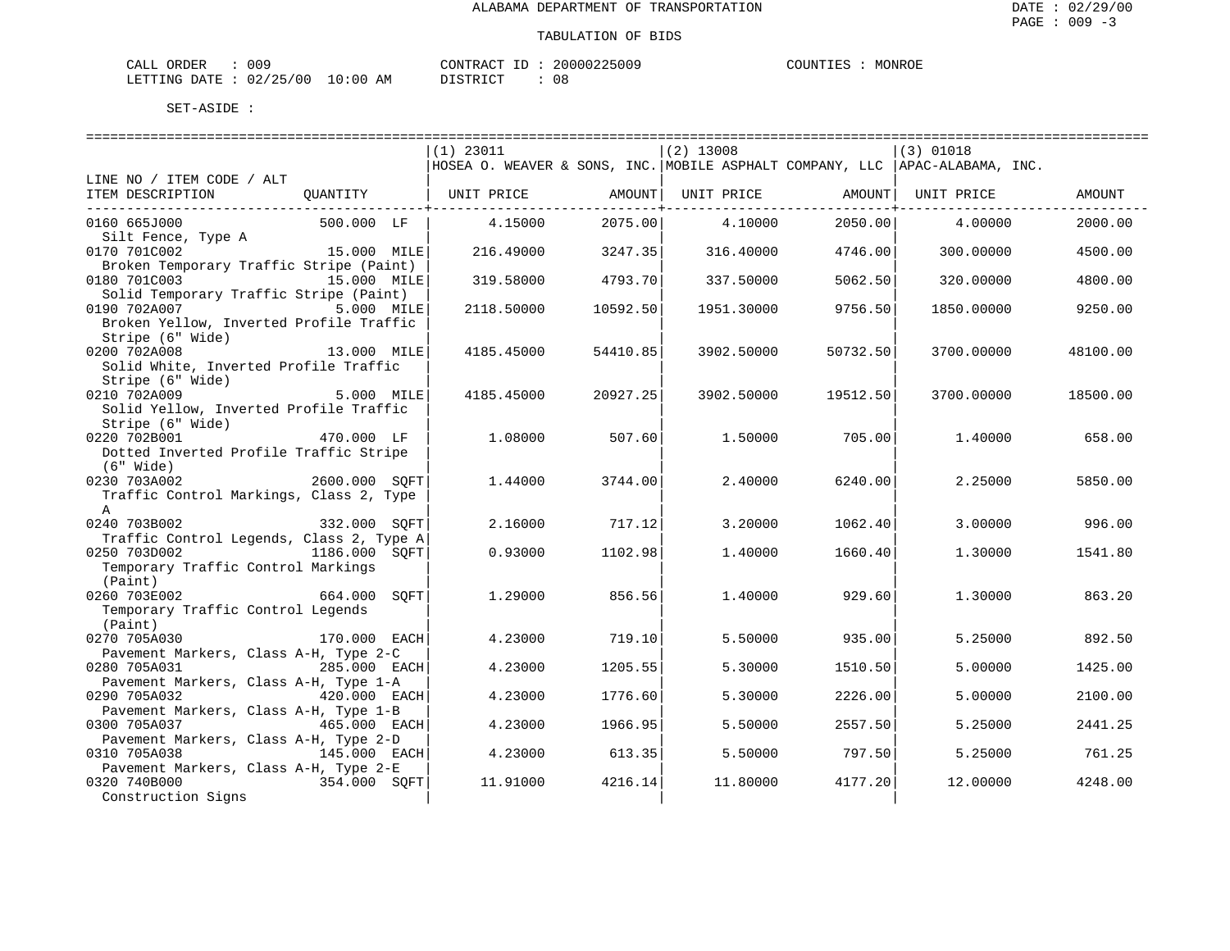| <b>ORDER</b><br>N I A | 009      |                                                                                                                                | TD.<br>CONTRACT | 20000225009 | $T$ $T$ $T$ $T$ $T$ $T$<br>MONROE<br>TES. |
|-----------------------|----------|--------------------------------------------------------------------------------------------------------------------------------|-----------------|-------------|-------------------------------------------|
| LETTING DATE          | 02/25/00 | 10:00<br>AΜ<br>the contract of the contract of the contract of the contract of the contract of the contract of the contract of |                 | U C         |                                           |

|                                                                       | $(1)$ 23011                                                                  |          | $(2)$ 13008 |          | $(3)$ 01018 |          |
|-----------------------------------------------------------------------|------------------------------------------------------------------------------|----------|-------------|----------|-------------|----------|
|                                                                       | HOSEA O. WEAVER & SONS, INC. MOBILE ASPHALT COMPANY, LLC  APAC-ALABAMA, INC. |          |             |          |             |          |
| LINE NO / ITEM CODE / ALT                                             |                                                                              |          |             |          |             |          |
| ITEM DESCRIPTION<br>OUANTITY                                          | UNIT PRICE                                                                   | AMOUNT   | UNIT PRICE  | AMOUNT   | UNIT PRICE  | AMOUNT   |
| 0160 665J000<br>500.000 LF                                            | 4.15000                                                                      | 2075.00  | 4.10000     | 2050.00  | 4.00000     | 2000.00  |
| Silt Fence, Type A                                                    |                                                                              |          |             |          |             |          |
| 0170 701C002<br>15.000 MILE                                           | 216.49000                                                                    | 3247.35  | 316.40000   | 4746.00  | 300,00000   | 4500.00  |
| Broken Temporary Traffic Stripe (Paint)                               |                                                                              |          |             |          |             |          |
| 0180 701C003<br>15.000 MILE<br>Solid Temporary Traffic Stripe (Paint) | 319.58000                                                                    | 4793.70  | 337.50000   | 5062.50  | 320.00000   | 4800.00  |
| 0190 702A007 5.000 MILE                                               | 2118.50000                                                                   | 10592.50 | 1951.30000  | 9756.50  | 1850.00000  | 9250.00  |
| Broken Yellow, Inverted Profile Traffic                               |                                                                              |          |             |          |             |          |
| Stripe (6" Wide)<br>-,<br>13.000 MILE<br>0200 702A008                 | 4185.45000                                                                   | 54410.85 | 3902.50000  | 50732.50 | 3700.00000  | 48100.00 |
| Solid White, Inverted Profile Traffic                                 |                                                                              |          |             |          |             |          |
| Stripe (6" Wide)                                                      |                                                                              |          |             |          |             |          |
| 0210 702A009<br>5.000 MILE                                            | 4185.45000                                                                   | 20927.25 | 3902.50000  | 19512.50 | 3700.00000  | 18500.00 |
| Solid Yellow, Inverted Profile Traffic                                |                                                                              |          |             |          |             |          |
| Stripe (6" Wide)                                                      |                                                                              |          |             |          |             |          |
| 0220 702B001<br>470.000 LF<br>Dotted Inverted Profile Traffic Stripe  | 1,08000                                                                      | 507.60   | 1,50000     | 705.00   | 1,40000     | 658.00   |
| $(6"$ Wide)                                                           |                                                                              |          |             |          |             |          |
| 2600.000 SOFT<br>0230 703A002                                         | 1.44000                                                                      | 3744.00  | 2.40000     | 6240.001 | 2.25000     | 5850.00  |
| Traffic Control Markings, Class 2, Type                               |                                                                              |          |             |          |             |          |
| $\mathbb{A}$                                                          |                                                                              |          |             |          |             |          |
| 0240 703B002<br>332.000 SOFT                                          | 2.16000                                                                      | 717.12   | 3.20000     | 1062.40  | 3.00000     | 996.00   |
| Traffic Control Legends, Class 2, Type A                              |                                                                              |          |             |          |             |          |
| 0250 703D002<br>1186.000 SOFT                                         | 0.93000                                                                      | 1102.98  | 1,40000     | 1660.40  | 1.30000     | 1541.80  |
| Temporary Traffic Control Markings                                    |                                                                              |          |             |          |             |          |
| (Paint)<br>0260 703E002<br>664.000 SOFT                               | 1,29000                                                                      | 856.56   | 1,40000     | 929.60   | 1,30000     | 863.20   |
| Temporary Traffic Control Legends                                     |                                                                              |          |             |          |             |          |
| (Paint)                                                               |                                                                              |          |             |          |             |          |
| 0270 705A030<br>170.000 EACH                                          | 4.23000                                                                      | 719.10   | 5.50000     | 935.00   | 5.25000     | 892.50   |
| Pavement Markers, Class A-H, Type 2-C                                 |                                                                              |          |             |          |             |          |
| 285.000 EACH<br>0280 705A031                                          | 4.23000                                                                      | 1205.55  | 5.30000     | 1510.50  | 5.00000     | 1425.00  |
| Pavement Markers, Class A-H, Type 1-A                                 |                                                                              |          |             |          |             |          |
| 0290 705A032<br>420.000 EACH<br>Pavement Markers, Class A-H, Type 1-B | 4.23000                                                                      | 1776.60  | 5.30000     | 2226.00  | 5.00000     | 2100.00  |
| 0300 705A037<br>$465.000$ EACH                                        | 4.23000                                                                      | 1966.95  | 5.50000     | 2557.50  | 5.25000     | 2441.25  |
| Pavement Markers, Class A-H, Type 2-D                                 |                                                                              |          |             |          |             |          |
| 0310 705A038<br>145.000 EACH                                          | 4.23000                                                                      | 613.35   | 5.50000     | 797.50   | 5.25000     | 761.25   |
| Pavement Markers, Class A-H, Type 2-E                                 |                                                                              |          |             |          |             |          |
| 354.000 SQFT<br>0320 740B000                                          | 11,91000                                                                     | 4216.14  | 11,80000    | 4177.201 | 12.00000    | 4248.00  |
| Construction Signs                                                    |                                                                              |          |             |          |             |          |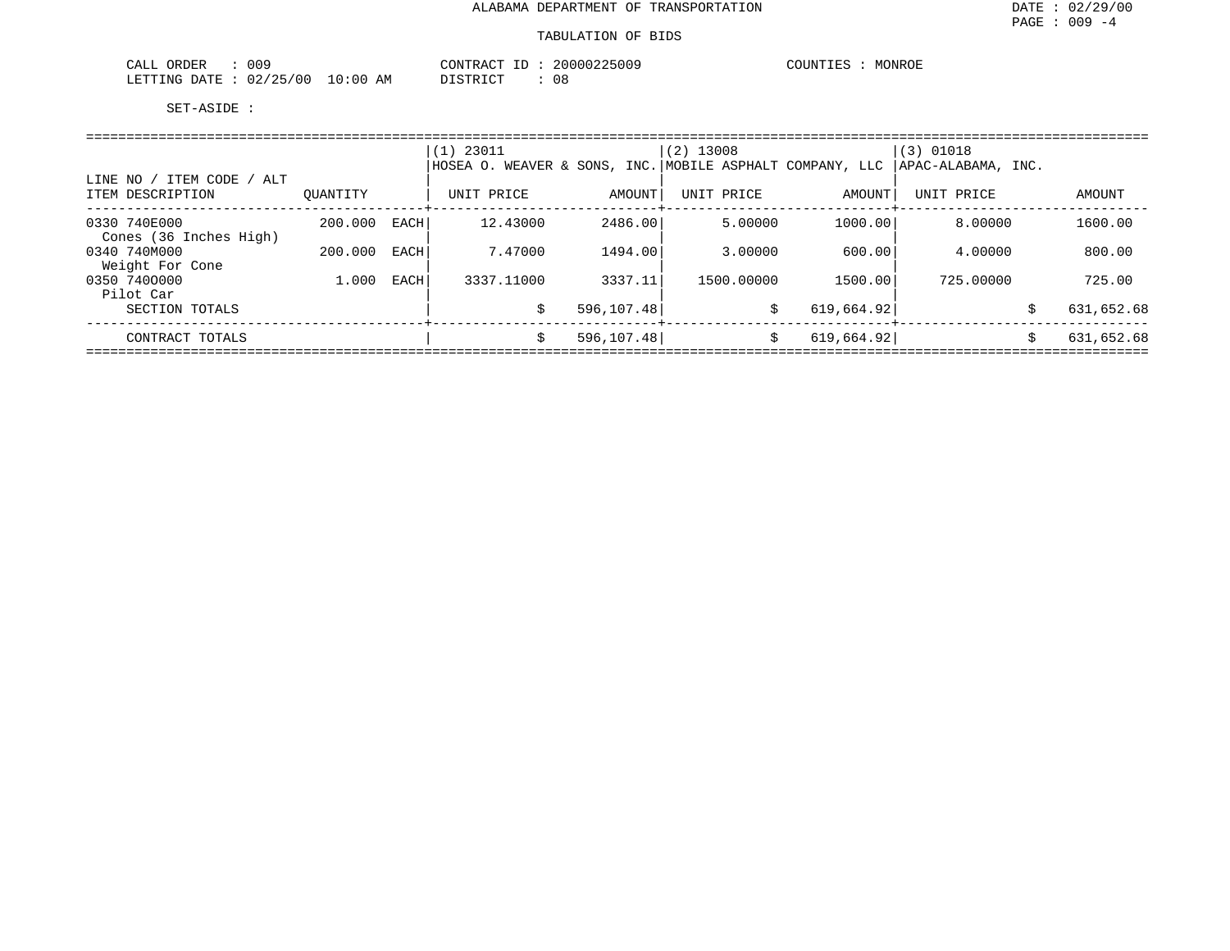| 009<br>ORDER<br>CALL        |             | CONTRACT<br>⊥ப       | 20000225009 | MONROE<br>COUNTIES |
|-----------------------------|-------------|----------------------|-------------|--------------------|
| 02/25/00<br>LETTING<br>DATE | 10:00<br>ΑM | <b>PLATRICT</b><br>. | 08          |                    |

|                                               |          |      | $(1)$ 23011<br> HOSEA O. WEAVER & SONS, INC. MOBILE ASPHALT COMPANY, LLC  APAC-ALABAMA, INC. |             | $(2)$ 13008                    |            | $(3)$ 01018 |    |            |  |  |  |
|-----------------------------------------------|----------|------|----------------------------------------------------------------------------------------------|-------------|--------------------------------|------------|-------------|----|------------|--|--|--|
| LINE NO / ITEM CODE / ALT<br>ITEM DESCRIPTION | OUANTITY |      | UNIT PRICE                                                                                   | AMOUNT      | UNIT PRICE<br>-------+-------- | AMOUNT     | UNIT PRICE  |    | AMOUNT     |  |  |  |
| 0330 740E000<br>Cones (36 Inches High)        | 200.000  | EACH | 12.43000                                                                                     | 2486.00     | 5.00000                        | 1000.00    | 8.00000     |    | 1600.00    |  |  |  |
| 0340 740M000<br>Weight For Cone               | 200.000  | EACH | 7.47000                                                                                      | 1494.00     | 3.00000                        | 600.00     | 4.00000     |    | 800.00     |  |  |  |
| 0350 7400000<br>Pilot Car                     | 1.000    | EACH | 3337.11000                                                                                   | 3337.11     | 1500.00000                     | 1500.00    | 725.00000   |    | 725.00     |  |  |  |
| SECTION TOTALS                                |          |      | \$                                                                                           | 596, 107.48 | \$                             | 619,664.92 |             | \$ | 631,652.68 |  |  |  |
| CONTRACT TOTALS                               |          |      | Ŝ.                                                                                           | 596, 107.48 | Ŝ.                             | 619,664.92 |             | Ŝ. | 631,652.68 |  |  |  |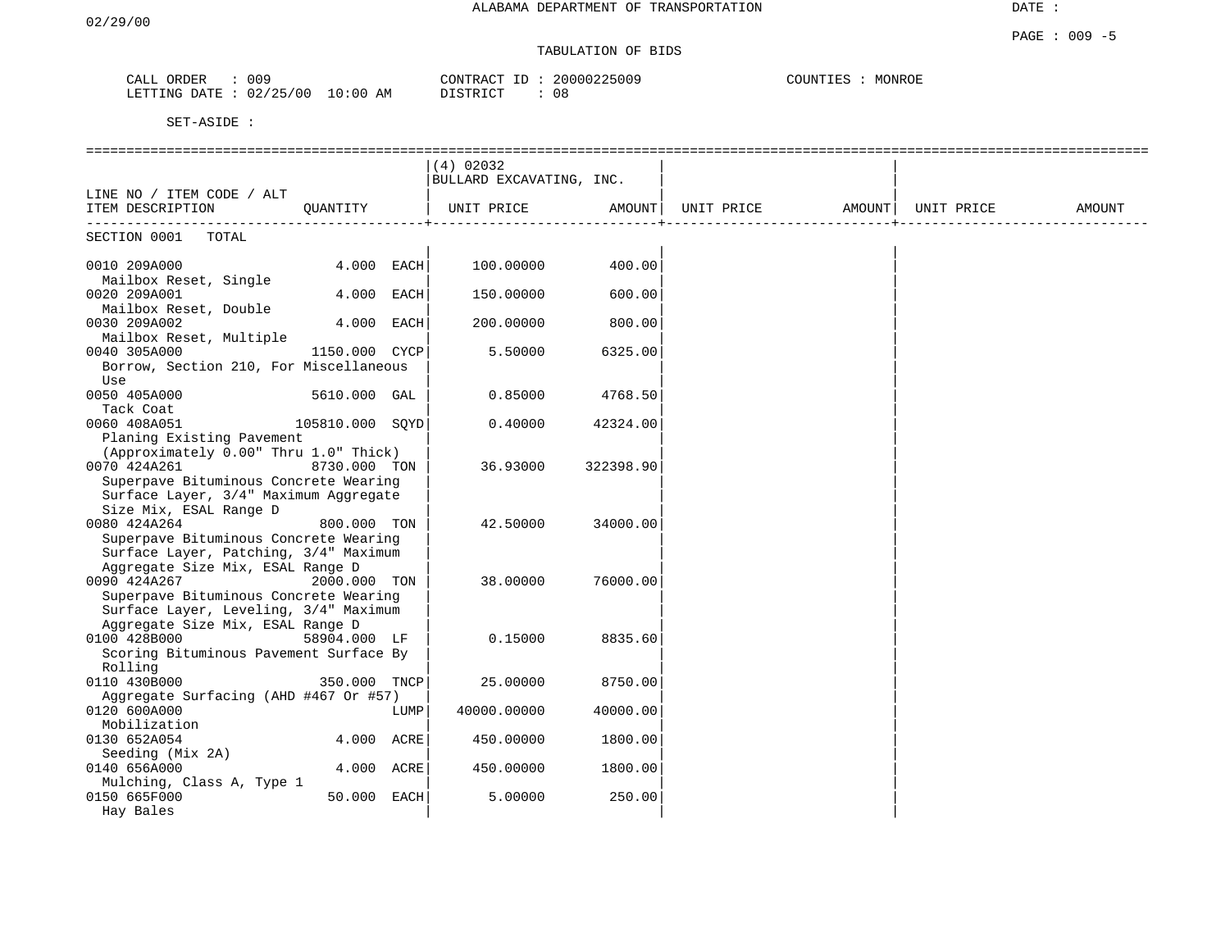DATE :

# TABULATION OF BIDS

| ORDER<br>CALL | 009      |             | CONTRACT | 20000225009 | COUNTIES | MONROE |
|---------------|----------|-------------|----------|-------------|----------|--------|
| LETTING DATE  | 02/25/00 | 10:00<br>AΜ | DISTRICT | n o<br>U O  |          |        |

|                                                   |                 |      | (4) 02032                |           |                                           |  |        |
|---------------------------------------------------|-----------------|------|--------------------------|-----------|-------------------------------------------|--|--------|
|                                                   |                 |      | BULLARD EXCAVATING, INC. |           |                                           |  |        |
| LINE NO / ITEM CODE / ALT                         |                 |      |                          |           |                                           |  |        |
| ITEM DESCRIPTION                                  | QUANTITY        |      | UNIT PRICE               |           | AMOUNT   UNIT PRICE   AMOUNT   UNIT PRICE |  | AMOUNT |
|                                                   |                 |      |                          |           |                                           |  |        |
| SECTION 0001<br>TOTAL                             |                 |      |                          |           |                                           |  |        |
|                                                   |                 |      |                          |           |                                           |  |        |
| 0010 209A000                                      | 4.000 EACH      |      | 100.00000                | 400.00    |                                           |  |        |
| Mailbox Reset, Single                             |                 |      |                          |           |                                           |  |        |
| 0020 209A001                                      | 4.000 EACH      |      | 150.00000                | 600.00    |                                           |  |        |
| Mailbox Reset, Double                             |                 |      |                          |           |                                           |  |        |
| 0030 209A002                                      | 4.000 EACH      |      | 200.00000                | 800.00    |                                           |  |        |
| Mailbox Reset, Multiple                           |                 |      |                          |           |                                           |  |        |
| 0040 305A000                                      | 1150.000 CYCP   |      | 5.50000                  | 6325.00   |                                           |  |        |
| Borrow, Section 210, For Miscellaneous            |                 |      |                          |           |                                           |  |        |
| Use                                               |                 |      |                          |           |                                           |  |        |
| 0050 405A000                                      | 5610.000 GAL    |      | 0.85000                  | 4768.50   |                                           |  |        |
| Tack Coat                                         |                 |      |                          |           |                                           |  |        |
| 0060 408A051                                      | 105810.000 SQYD |      | 0.40000                  | 42324.00  |                                           |  |        |
| Planing Existing Pavement                         |                 |      |                          |           |                                           |  |        |
| (Approximately 0.00" Thru 1.0" Thick)             |                 |      |                          |           |                                           |  |        |
| 0070 424A261                                      | 8730.000 TON    |      | 36.93000                 | 322398.90 |                                           |  |        |
| Superpave Bituminous Concrete Wearing             |                 |      |                          |           |                                           |  |        |
| Surface Layer, 3/4" Maximum Aggregate             |                 |      |                          |           |                                           |  |        |
| Size Mix, ESAL Range D                            |                 |      |                          |           |                                           |  |        |
| 0080 424A264                                      | 800.000 TON     |      | 42.50000                 | 34000.00  |                                           |  |        |
| Superpave Bituminous Concrete Wearing             |                 |      |                          |           |                                           |  |        |
| Surface Layer, Patching, 3/4" Maximum             |                 |      |                          |           |                                           |  |        |
| Aggregate Size Mix, ESAL Range D                  |                 |      |                          |           |                                           |  |        |
| 0090 424A267                                      | 2000.000 TON    |      | 38.00000                 | 76000.00  |                                           |  |        |
| Superpave Bituminous Concrete Wearing             |                 |      |                          |           |                                           |  |        |
| Surface Layer, Leveling, 3/4" Maximum             |                 |      |                          |           |                                           |  |        |
| Aggregate Size Mix, ESAL Range D<br>0100 428B000  | 58904.000 LF    |      | 0.15000                  | 8835.60   |                                           |  |        |
|                                                   |                 |      |                          |           |                                           |  |        |
| Scoring Bituminous Pavement Surface By<br>Rolling |                 |      |                          |           |                                           |  |        |
| 0110 430B000                                      | 350.000 TNCP    |      | 25,00000                 | 8750.00   |                                           |  |        |
| Aggregate Surfacing (AHD #467 Or #57)             |                 |      |                          |           |                                           |  |        |
| 0120 600A000                                      |                 | LUMP | 40000.00000              | 40000.00  |                                           |  |        |
| Mobilization                                      |                 |      |                          |           |                                           |  |        |
| 0130 652A054                                      | 4.000 ACRE      |      | 450.00000                | 1800.00   |                                           |  |        |
| Seeding (Mix 2A)                                  |                 |      |                          |           |                                           |  |        |
| 0140 656A000                                      | 4.000 ACRE      |      | 450.00000                | 1800.00   |                                           |  |        |
| Mulching, Class A, Type 1                         |                 |      |                          |           |                                           |  |        |
| 0150 665F000                                      | 50.000 EACH     |      | 5.00000                  | 250.00    |                                           |  |        |
| Hay Bales                                         |                 |      |                          |           |                                           |  |        |
|                                                   |                 |      |                          |           |                                           |  |        |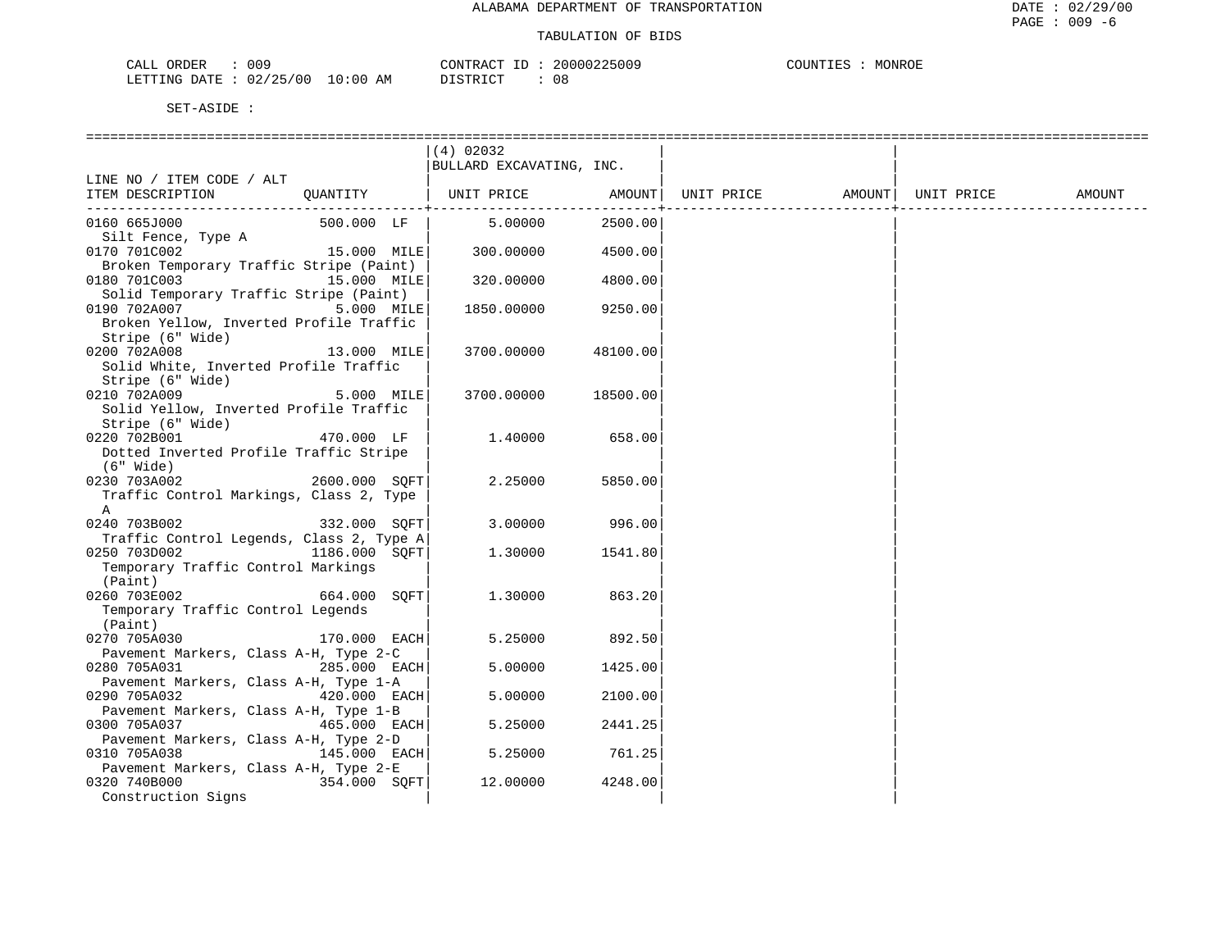| $\sqrt{2}$<br>∩R⊺<br>JER<br>لىطات<br>UU- |                                         | $\neg$ NTR $\sim$<br>$\sim$ $\sim$ $\sim$<br>$\Lambda$ | 5005       | "ONROE<br>$.$ ITNTT $\overline{ }$<br>M() |
|------------------------------------------|-----------------------------------------|--------------------------------------------------------|------------|-------------------------------------------|
| TTNG<br><b>DURING</b><br>۱Δ<br>υz<br>__  | AM<br>ЛU<br>$^{\prime}$<br>้ U เ.<br>-- | $ \sim$ $\sim$<br>' GITT                               | n c<br>U C |                                           |

|                                          |                | (4) 02032                |          |            |        |            |        |
|------------------------------------------|----------------|--------------------------|----------|------------|--------|------------|--------|
|                                          |                | BULLARD EXCAVATING, INC. |          |            |        |            |        |
| LINE NO / ITEM CODE / ALT                |                |                          |          |            |        |            |        |
| ITEM DESCRIPTION                         | OUANTITY       | UNIT PRICE               | AMOUNT   | UNIT PRICE | AMOUNT | UNIT PRICE | AMOUNT |
| ______________________________________   |                |                          | -------- |            |        |            |        |
| 0160 665J000                             | 500.000 LF     | 5.00000                  | 2500.00  |            |        |            |        |
| Silt Fence, Type A                       |                |                          |          |            |        |            |        |
| 0170 701C002                             | 15.000 MILE    | 300.00000                | 4500.00  |            |        |            |        |
| Broken Temporary Traffic Stripe (Paint)  |                |                          |          |            |        |            |        |
| 0180 701C003<br>15.000 MILE              |                | 320.00000                | 4800.00  |            |        |            |        |
| Solid Temporary Traffic Stripe (Paint)   |                |                          |          |            |        |            |        |
| 0190 702A007                             | 5.000 MILE     | 1850.00000               | 9250.00  |            |        |            |        |
| Broken Yellow, Inverted Profile Traffic  |                |                          |          |            |        |            |        |
| Stripe (6" Wide)                         |                |                          |          |            |        |            |        |
| 0200 702A008                             | 13.000 MILE    | 3700.00000               | 48100.00 |            |        |            |        |
| Solid White, Inverted Profile Traffic    |                |                          |          |            |        |            |        |
| Stripe (6" Wide)                         |                |                          |          |            |        |            |        |
| 0210 702A009                             | 5.000 MILE     | 3700.00000               | 18500.00 |            |        |            |        |
| Solid Yellow, Inverted Profile Traffic   |                |                          |          |            |        |            |        |
| Stripe (6" Wide)                         |                |                          |          |            |        |            |        |
| 0220 702B001                             | 470.000 LF     | 1,40000                  | 658.00   |            |        |            |        |
| Dotted Inverted Profile Traffic Stripe   |                |                          |          |            |        |            |        |
| (6" Wide)                                |                |                          |          |            |        |            |        |
| 2600.000 SQFT<br>0230 703A002            |                | 2.25000                  | 5850.00  |            |        |            |        |
| Traffic Control Markings, Class 2, Type  |                |                          |          |            |        |            |        |
| A                                        |                |                          |          |            |        |            |        |
| 0240 703B002                             | 332.000 SOFT   | 3.00000                  | 996.00   |            |        |            |        |
| Traffic Control Legends, Class 2, Type A |                |                          |          |            |        |            |        |
| 0250 703D002                             | 1186.000 SOFT  | 1,30000                  | 1541.80  |            |        |            |        |
| Temporary Traffic Control Markings       |                |                          |          |            |        |            |        |
| (Paint)                                  |                |                          |          |            |        |            |        |
| 0260 703E002                             | 664.000 SOFT   | 1,30000                  | 863.20   |            |        |            |        |
| Temporary Traffic Control Legends        |                |                          |          |            |        |            |        |
| (Paint)                                  |                |                          |          |            |        |            |        |
| 0270 705A030                             | $170.000$ EACH | 5.25000                  | 892.50   |            |        |            |        |
| Pavement Markers, Class A-H, Type 2-C    |                |                          |          |            |        |            |        |
| 0280 705A031                             | 285.000 EACH   | 5.00000                  | 1425.00  |            |        |            |        |
| Pavement Markers, Class A-H, Type 1-A    |                |                          |          |            |        |            |        |
| 0290 705A032                             | 420.000 EACH   | 5.00000                  | 2100.00  |            |        |            |        |
| Pavement Markers, Class A-H, Type 1-B    |                |                          |          |            |        |            |        |
| 0300 705A037                             | 465.000 EACH   | 5.25000                  | 2441.25  |            |        |            |        |
| Pavement Markers, Class A-H, Type 2-D    |                |                          |          |            |        |            |        |
| 0310 705A038                             | 145.000 EACH   | 5.25000                  | 761.25   |            |        |            |        |
| Pavement Markers, Class A-H, Type 2-E    |                |                          |          |            |        |            |        |
| 0320 740B000                             | 354.000 SOFT   | 12.00000                 | 4248.00  |            |        |            |        |
| Construction Signs                       |                |                          |          |            |        |            |        |
|                                          |                |                          |          |            |        |            |        |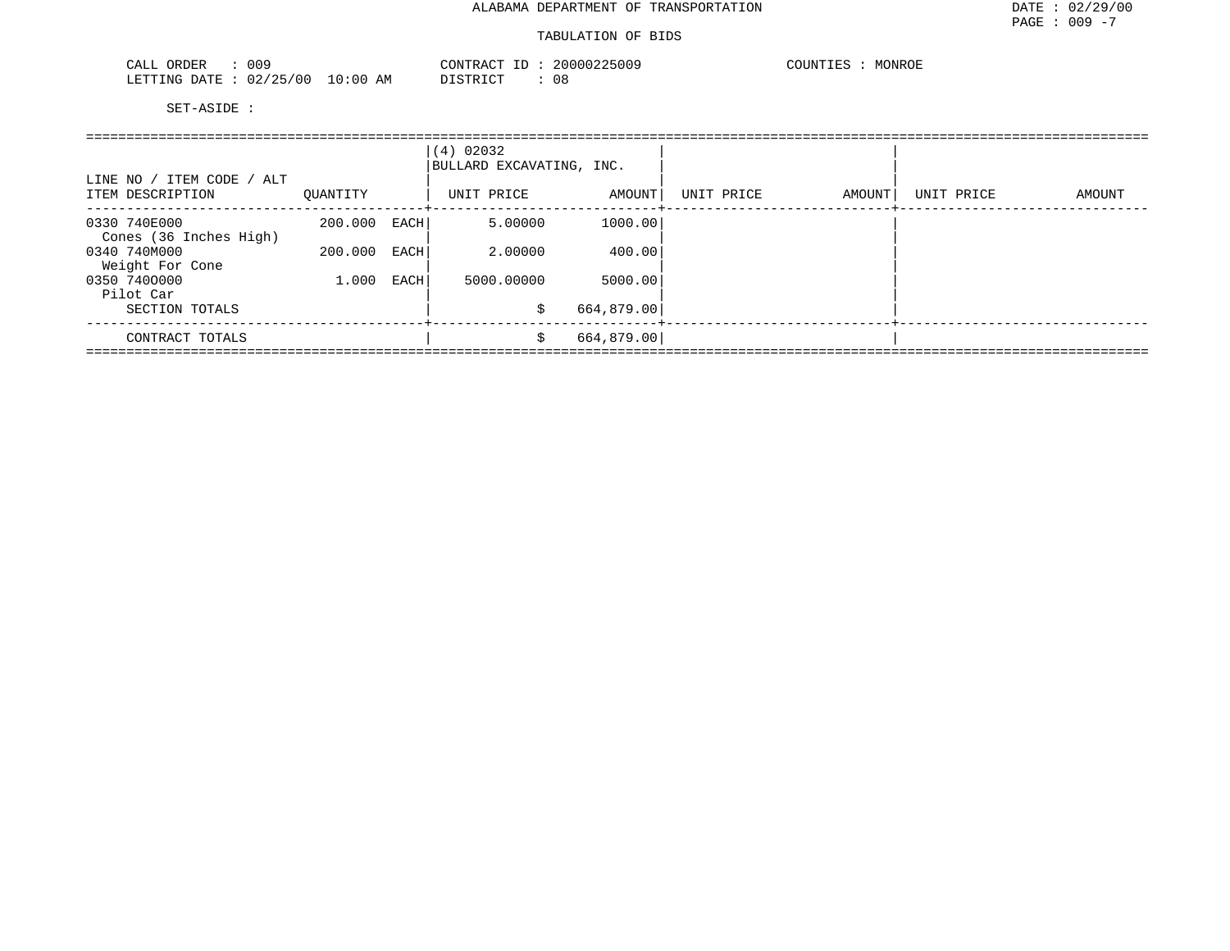| 009<br>ORDER<br>C <sub>AT.T</sub><br>۰ لىلەر   |            | CONTRACT<br>TD.<br>-- | 25009<br>200002 | MONROE<br><b>COUNTIL</b> RS<br><b>IVI</b><br>⊂∪ບມ⊥⊥≞ພ |
|------------------------------------------------|------------|-----------------------|-----------------|-------------------------------------------------------|
| 125.<br>00 /<br>LETTING<br>R מים ח<br>ک ک<br>. | 0:00<br>ΆM | <b>DIAMBIAM</b>       | 08              |                                                       |

| LINE NO / ITEM CODE / ALT<br>ITEM DESCRIPTION | OUANTITY |      | (4) 02032<br>BULLARD EXCAVATING, INC.<br>UNIT PRICE | AMOUNT     | UNIT PRICE | AMOUNT | UNIT PRICE | AMOUNT |
|-----------------------------------------------|----------|------|-----------------------------------------------------|------------|------------|--------|------------|--------|
| 0330 740E000<br>Cones (36 Inches High)        | 200.000  | EACH | 5.00000                                             | 1000.00    |            |        |            |        |
| 0340 740M000<br>Weight For Cone               | 200.000  | EACH | 2.00000                                             | 400.00     |            |        |            |        |
| 0350 7400000<br>Pilot Car                     | 1,000    | EACH | 5000.00000                                          | 5000.00    |            |        |            |        |
| SECTION TOTALS                                |          |      | S                                                   | 664,879.00 |            |        |            |        |
| CONTRACT TOTALS                               |          |      | \$                                                  | 664,879.00 |            |        |            |        |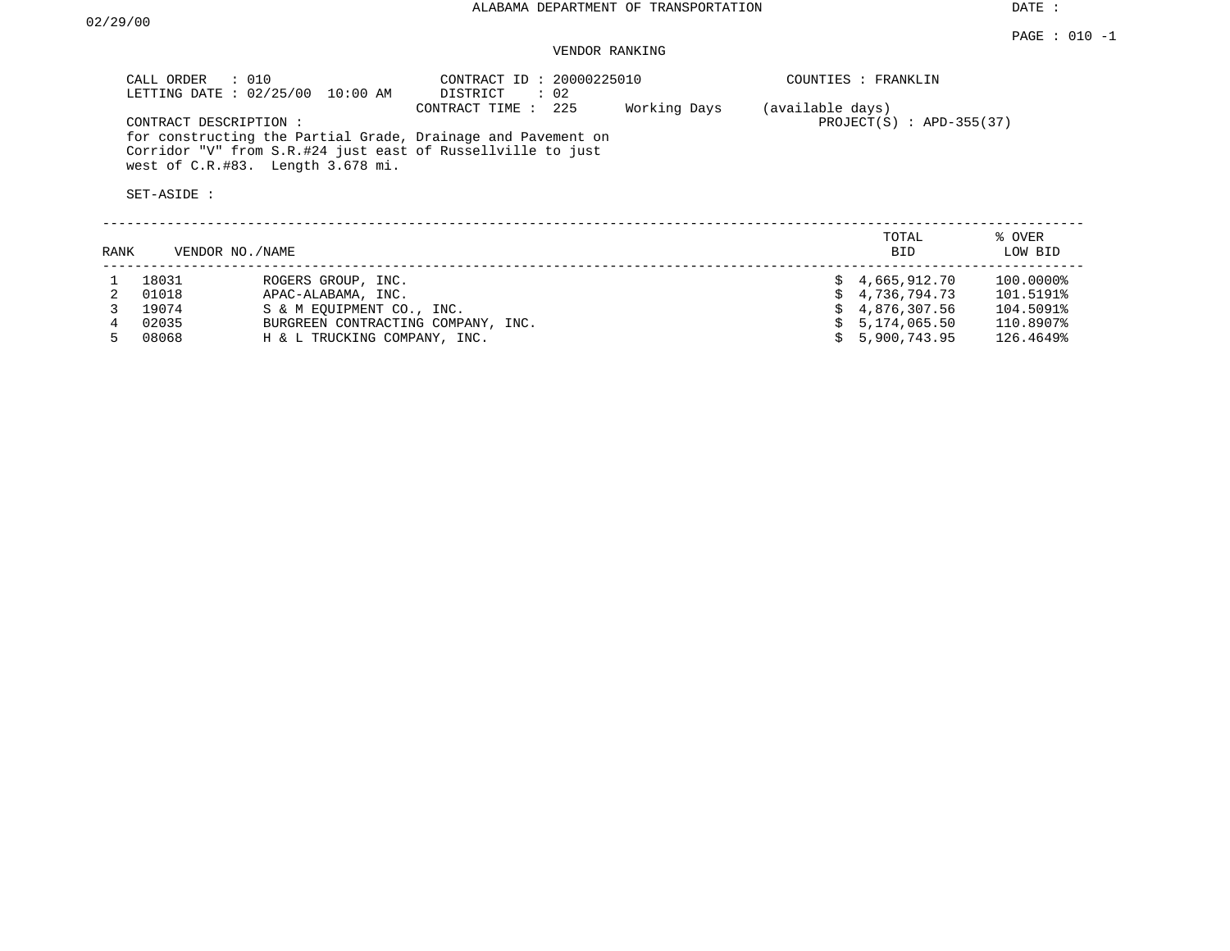DATE :

### VENDOR RANKING

|      | CALL ORDER<br>$\therefore$ 010<br>LETTING DATE: 02/25/00 | 10:00 AM                                                        | CONTRACT ID: 20000225010<br>: 02<br>DISTRICT                                                                                                         |              |                  | COUNTIES : FRANKLIN          |                        |
|------|----------------------------------------------------------|-----------------------------------------------------------------|------------------------------------------------------------------------------------------------------------------------------------------------------|--------------|------------------|------------------------------|------------------------|
|      | CONTRACT DESCRIPTION :<br>SET-ASIDE :                    | west of C.R.#83. Length 3.678 mi.                               | 225<br>CONTRACT TIME:<br>for constructing the Partial Grade, Drainage and Pavement on<br>Corridor "V" from S.R.#24 just east of Russellville to just | Working Days | (available days) | $PROJECT(S)$ : APD-355(37)   |                        |
| RANK | VENDOR NO./NAME                                          |                                                                 |                                                                                                                                                      |              |                  | TOTAL<br><b>BID</b>          | % OVER<br>LOW BID      |
|      | 18031<br>01018                                           | ROGERS GROUP, INC.<br>APAC-ALABAMA, INC.                        |                                                                                                                                                      |              |                  | 4,665,912.70<br>4,736,794.73 | 100.0000%<br>101.5191% |
|      | 19074<br>02035                                           | S & M EOUIPMENT CO., INC.<br>BURGREEN CONTRACTING COMPANY, INC. |                                                                                                                                                      |              |                  | 4,876,307.56<br>5,174,065.50 | 104.5091%<br>110.8907% |

5 08068 H & L TRUCKING COMPANY, INC. \$ 5,900,743.95 126.4649%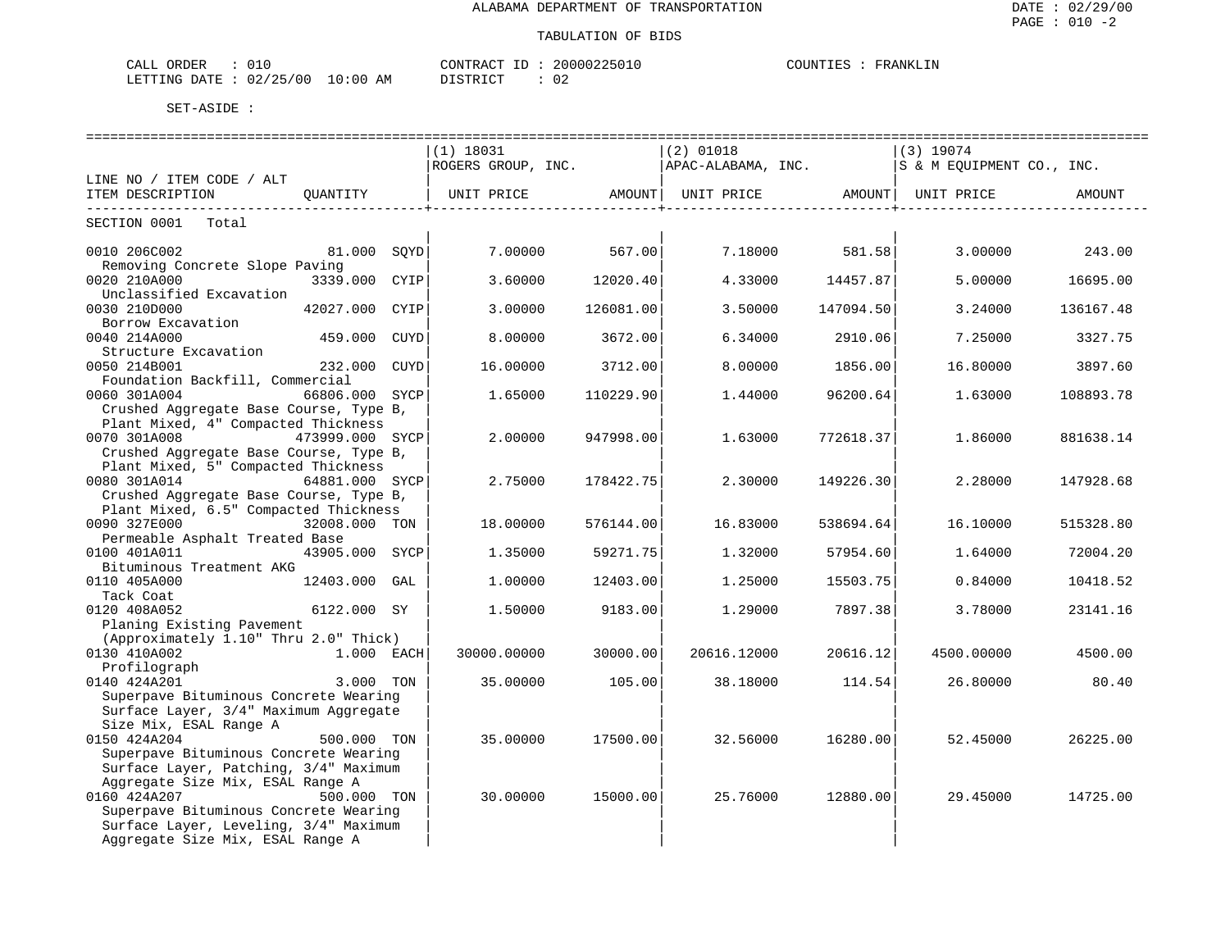| CALL ORDER                      |  | CONTRACT ID: | 20000225010 | COUNTIES | FRANKLIN |
|---------------------------------|--|--------------|-------------|----------|----------|
| LETTING DATE: 02/25/00 10:00 AM |  | DISTRICT     | 02          |          |          |

|                                                                               |                |      |                                                    |           | -------------------- |                                                                |                           |           |
|-------------------------------------------------------------------------------|----------------|------|----------------------------------------------------|-----------|----------------------|----------------------------------------------------------------|---------------------------|-----------|
|                                                                               |                |      | $(1)$ 18031                                        |           | $(2)$ 01018          |                                                                | $(3)$ 19074               |           |
|                                                                               |                |      | ROGERS GROUP, INC.                                 |           | APAC-ALABAMA, INC.   |                                                                | S & M EOUIPMENT CO., INC. |           |
| LINE NO / ITEM CODE / ALT                                                     |                |      |                                                    |           |                      |                                                                |                           |           |
| ITEM DESCRIPTION                                                              | OUANTITY       |      | UNIT PRICE AMOUNT<br>----------------------------+ |           |                      | UNIT PRICE AMOUNT   UNIT PRICE<br>--------------------------+- |                           | AMOUNT    |
| SECTION 0001 Total                                                            |                |      |                                                    |           |                      |                                                                |                           |           |
| 0010 206C002                                                                  | 81.000 SQYD    |      | 7.00000                                            | 567.00    | 7.18000              | 581.58                                                         | 3.00000                   | 243.00    |
| Removing Concrete Slope Paving<br>0020 210A000                                | 3339.000 CYIP  |      | 3.60000                                            | 12020.40  | 4.33000              | 14457.87                                                       | 5.00000                   | 16695.00  |
| Unclassified Excavation<br>0030 210D000                                       | 42027.000 CYIP |      | 3.00000                                            | 126081.00 | 3.50000              | 147094.50                                                      | 3.24000                   | 136167.48 |
| Borrow Excavation                                                             |                |      |                                                    |           |                      |                                                                |                           |           |
| 0040 214A000<br>Structure Excavation                                          | 459.000 CUYD   |      | 8,00000                                            | 3672.00   | 6.34000              | 2910.06                                                        | 7.25000                   | 3327.75   |
| 0050 214B001<br>Foundation Backfill, Commercial                               | 232.000        | CUYD | 16.00000                                           | 3712.00   | 8.00000              | 1856.00                                                        | 16.80000                  | 3897.60   |
| 0060 301A004                                                                  | 66806.000 SYCP |      | 1.65000                                            | 110229.90 | 1.44000              | 96200.64                                                       | 1.63000                   | 108893.78 |
| Crushed Aggregate Base Course, Type B,<br>Plant Mixed, 4" Compacted Thickness |                |      |                                                    |           |                      |                                                                |                           |           |
| 0070 301A008<br>473999.000 SYCP<br>Crushed Aggregate Base Course, Type B,     |                |      | 2.00000                                            | 947998.00 | 1.63000              | 772618.37                                                      | 1.86000                   | 881638.14 |
| Plant Mixed, 5" Compacted Thickness                                           |                |      |                                                    |           |                      |                                                                |                           |           |
| 0080 301A014                                                                  | 64881.000 SYCP |      | 2.75000                                            | 178422.75 | 2.30000              | 149226.30                                                      | 2.28000                   | 147928.68 |
| Crushed Aggregate Base Course, Type B,                                        |                |      |                                                    |           |                      |                                                                |                           |           |
| Plant Mixed, 6.5" Compacted Thickness                                         |                |      |                                                    |           |                      |                                                                |                           |           |
| 0090 327E000                                                                  | 32008.000 TON  |      | 18.00000                                           | 576144.00 | 16.83000             | 538694.64                                                      | 16.10000                  | 515328.80 |
| Permeable Asphalt Treated Base                                                |                |      |                                                    |           |                      |                                                                |                           |           |
| 0100 401A011                                                                  | 43905.000 SYCP |      | 1.35000                                            | 59271.75  | 1.32000              | 57954.60                                                       | 1,64000                   | 72004.20  |
| Bituminous Treatment AKG                                                      |                |      |                                                    |           |                      |                                                                |                           |           |
| 0110 405A000<br>Tack Coat                                                     | 12403.000 GAL  |      | 1.00000                                            | 12403.00  | 1.25000              | 15503.75                                                       | 0.84000                   | 10418.52  |
| 0120 408A052                                                                  | 6122.000 SY    |      | 1.50000                                            | 9183.00   | 1.29000              | 7897.38                                                        | 3.78000                   | 23141.16  |
| Planing Existing Pavement                                                     |                |      |                                                    |           |                      |                                                                |                           |           |
| (Approximately 1.10" Thru 2.0" Thick)                                         |                |      |                                                    |           |                      |                                                                |                           |           |
| 0130 410A002                                                                  | 1.000 EACH     |      | 30000.00000                                        | 30000.00  | 20616.12000          | 20616.12                                                       | 4500.00000                | 4500.00   |
| Profilograph                                                                  |                |      |                                                    |           |                      |                                                                |                           |           |
| 0140 424A201                                                                  | 3.000 TON      |      | 35.00000                                           | 105.00    | 38.18000             | 114.54                                                         | 26.80000                  | 80.40     |
| Superpave Bituminous Concrete Wearing                                         |                |      |                                                    |           |                      |                                                                |                           |           |
| Surface Layer, 3/4" Maximum Aggregate                                         |                |      |                                                    |           |                      |                                                                |                           |           |
| Size Mix, ESAL Range A                                                        |                |      |                                                    |           |                      |                                                                |                           |           |
| 0150 424A204                                                                  | 500.000 TON    |      | 35.00000                                           | 17500.00  | 32.56000             | 16280.00                                                       | 52.45000                  | 26225.00  |
| Superpave Bituminous Concrete Wearing                                         |                |      |                                                    |           |                      |                                                                |                           |           |
| Surface Layer, Patching, 3/4" Maximum                                         |                |      |                                                    |           |                      |                                                                |                           |           |
| Aggregate Size Mix, ESAL Range A                                              |                |      |                                                    |           |                      |                                                                |                           |           |
| 0160 424A207                                                                  | 500.000 TON    |      | 30.00000                                           | 15000.00  | 25.76000             | 12880.00                                                       | 29.45000                  | 14725.00  |
| Superpave Bituminous Concrete Wearing                                         |                |      |                                                    |           |                      |                                                                |                           |           |
| Surface Layer, Leveling, 3/4" Maximum                                         |                |      |                                                    |           |                      |                                                                |                           |           |
| Aggregate Size Mix, ESAL Range A                                              |                |      |                                                    |           |                      |                                                                |                           |           |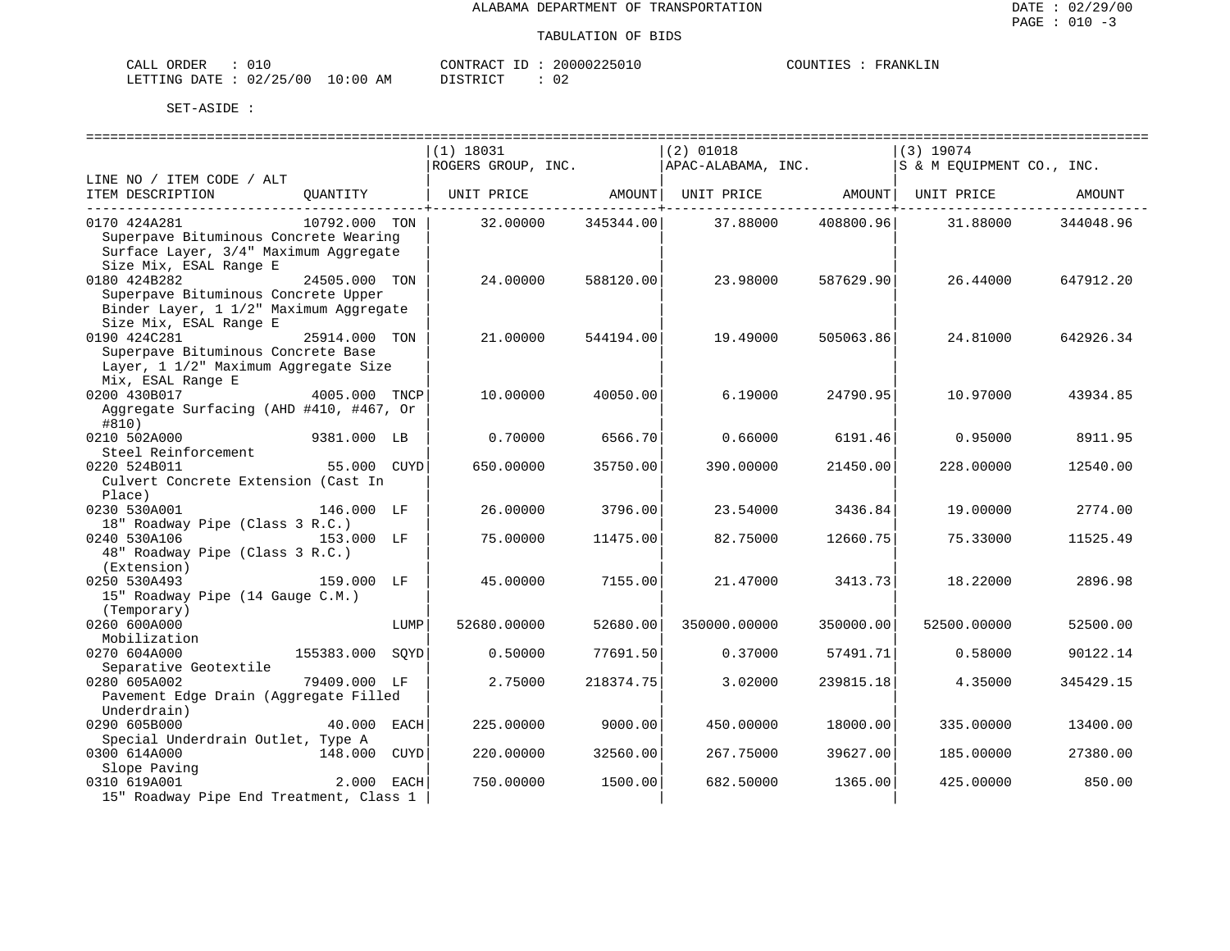| . ORDER<br>CALL        |  |          | CONTRACT ID | 20000225010 | COUNTIES | FRANKLIN |
|------------------------|--|----------|-------------|-------------|----------|----------|
| LETTING DATE: 02/25/00 |  | 10:00 AM | DISTRICT    | 02          |          |          |

|                                                                                                                          |               |      | (1) 18031          |           | $(2)$ 01018        |           | $(3)$ 19074               |           |
|--------------------------------------------------------------------------------------------------------------------------|---------------|------|--------------------|-----------|--------------------|-----------|---------------------------|-----------|
|                                                                                                                          |               |      | ROGERS GROUP, INC. |           | APAC-ALABAMA, INC. |           | S & M EQUIPMENT CO., INC. |           |
| LINE NO / ITEM CODE / ALT<br>ITEM DESCRIPTION                                                                            | OUANTITY      |      | UNIT PRICE         | AMOUNT    | UNIT PRICE         | AMOUNT    | UNIT PRICE                | AMOUNT    |
| 0170 424A281<br>Superpave Bituminous Concrete Wearing<br>Surface Layer, 3/4" Maximum Aggregate<br>Size Mix, ESAL Range E | 10792.000 TON |      | 32.00000           | 345344.00 | 37.88000           | 408800.96 | 31.88000                  | 344048.96 |
| 0180 424B282<br>Superpave Bituminous Concrete Upper<br>Binder Layer, 1 1/2" Maximum Aggregate<br>Size Mix, ESAL Range E  | 24505.000 TON |      | 24.00000           | 588120.00 | 23.98000           | 587629.90 | 26.44000                  | 647912.20 |
| 0190 424C281<br>Superpave Bituminous Concrete Base<br>Layer, 1 1/2" Maximum Aggregate Size                               | 25914.000 TON |      | 21,00000           | 544194.00 | 19.49000           | 505063.86 | 24.81000                  | 642926.34 |
| Mix, ESAL Range E<br>0200 430B017<br>Aggregate Surfacing (AHD #410, #467, Or<br>#810)                                    | 4005.000 TNCP |      | 10.00000           | 40050.00  | 6.19000            | 24790.95  | 10.97000                  | 43934.85  |
| 0210 502A000<br>Steel Reinforcement                                                                                      | 9381.000 LB   |      | 0.70000            | 6566.70   | 0.66000            | 6191.46   | 0.95000                   | 8911.95   |
| 0220 524B011<br>Culvert Concrete Extension (Cast In<br>Place)                                                            | 55.000 CUYD   |      | 650.00000          | 35750.00  | 390.00000          | 21450.00  | 228.00000                 | 12540.00  |
| 0230 530A001<br>18" Roadway Pipe (Class 3 R.C.)                                                                          | 146.000 LF    |      | 26.00000           | 3796.00   | 23.54000           | 3436.84   | 19.00000                  | 2774.00   |
| 0240 530A106<br>48" Roadway Pipe (Class 3 R.C.)<br>(Extension)                                                           | 153.000 LF    |      | 75.00000           | 11475.00  | 82.75000           | 12660.75  | 75.33000                  | 11525.49  |
| 0250 530A493<br>15" Roadway Pipe (14 Gauge C.M.)<br>(Temporary)                                                          | 159.000 LF    |      | 45.00000           | 7155.00   | 21.47000           | 3413.73   | 18.22000                  | 2896.98   |
| 0260 600A000<br>Mobilization                                                                                             |               | LUMP | 52680.00000        | 52680.00  | 350000.00000       | 350000.00 | 52500.00000               | 52500.00  |
| 0270 604A000<br>Separative Geotextile                                                                                    | 155383.000    | SOYD | 0.50000            | 77691.50  | 0.37000            | 57491.71  | 0.58000                   | 90122.14  |
| 0280 605A002<br>Pavement Edge Drain (Aggregate Filled<br>Underdrain)                                                     | 79409.000 LF  |      | 2.75000            | 218374.75 | 3.02000            | 239815.18 | 4.35000                   | 345429.15 |
| 0290 605B000<br>Special Underdrain Outlet, Type A                                                                        | 40.000 EACH   |      | 225,00000          | 9000.00   | 450.00000          | 18000.00  | 335.00000                 | 13400.00  |
| 0300 614A000<br>Slope Paving                                                                                             | 148.000 CUYD  |      | 220.00000          | 32560.00  | 267.75000          | 39627.00  | 185.00000                 | 27380.00  |
| 0310 619A001<br>15" Roadway Pipe End Treatment, Class 1                                                                  | 2.000 EACH    |      | 750.00000          | 1500.00   | 682.50000          | 1365.00   | 425.00000                 | 850.00    |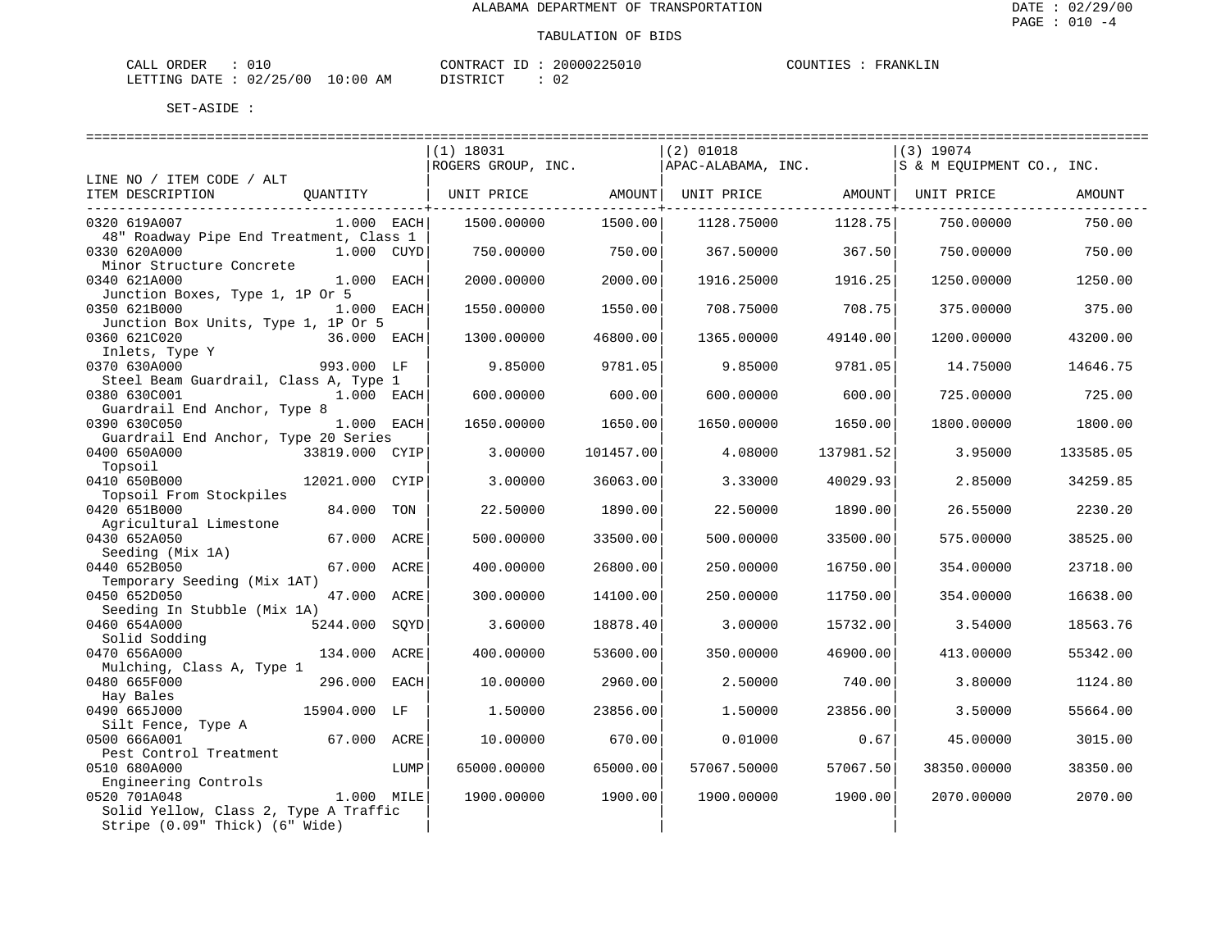| , ORDER<br>CALL                 | 010 | CONTRACT ID | 20000225010 | COUNTIES | FRANKLIN |
|---------------------------------|-----|-------------|-------------|----------|----------|
| LETTING DATE: 02/25/00 10:00 AM |     | DISTRICT    | 02          |          |          |

|                                                         |                |      | $(1)$ 18031<br>ROGERS GROUP, INC. |           | $(2)$ 01018<br>APAC-ALABAMA, INC. | --------------------------     | (3) 19074<br>S & M EOUIPMENT CO., INC. |           |
|---------------------------------------------------------|----------------|------|-----------------------------------|-----------|-----------------------------------|--------------------------------|----------------------------------------|-----------|
| LINE NO / ITEM CODE / ALT                               |                |      |                                   |           |                                   |                                |                                        |           |
| ITEM DESCRIPTION                                        | OUANTITY       |      | UNIT PRICE                        | AMOUNT    |                                   | UNIT PRICE AMOUNT   UNIT PRICE |                                        | AMOUNT    |
| 0320 619A007<br>48" Roadway Pipe End Treatment, Class 1 | 1.000 EACH     |      | 1500.00000                        | 1500.00   | 1128.75000                        | 1128.75                        | 750.00000                              | 750.00    |
| 0330 620A000<br>Minor Structure Concrete                | 1.000 CUYD     |      | 750.00000                         | 750.00    | 367.50000                         | 367.50                         | 750.00000                              | 750.00    |
| 0340 621A000<br>Junction Boxes, Type 1, 1P Or 5         | 1.000 EACH     |      | 2000.00000                        | 2000.00   | 1916.25000                        | 1916.25                        | 1250.00000                             | 1250.00   |
| 0350 621B000<br>Junction Box Units, Type 1, 1P Or 5     | 1.000 EACH     |      | 1550.00000                        | 1550.00   | 708.75000                         | 708.75                         | 375.00000                              | 375.00    |
| 0360 621C020<br>Inlets, Type Y                          | 36.000 EACH    |      | 1300.00000                        | 46800.00  | 1365.00000                        | 49140.00                       | 1200.00000                             | 43200.00  |
| 0370 630A000<br>Steel Beam Guardrail, Class A, Type 1   | 993.000 LF     |      | 9.85000                           | 9781.05   | 9.85000                           | 9781.05                        | 14.75000                               | 14646.75  |
| 0380 630C001<br>Guardrail End Anchor, Type 8            | 1.000 EACH     |      | 600.00000                         | 600.00    | 600.00000                         | 600.00                         | 725.00000                              | 725.00    |
| 0390 630C050<br>Guardrail End Anchor, Type 20 Series    | 1.000 EACH     |      | 1650.00000                        | 1650.00   | 1650.00000                        | 1650.00                        | 1800.00000                             | 1800.00   |
| 0400 650A000<br>Topsoil                                 | 33819.000 CYIP |      | 3.00000                           | 101457.00 | 4.08000                           | 137981.52                      | 3.95000                                | 133585.05 |
| 0410 650B000<br>Topsoil From Stockpiles                 | 12021.000 CYIP |      | 3.00000                           | 36063.00  | 3.33000                           | 40029.93                       | 2.85000                                | 34259.85  |
| 0420 651B000<br>Agricultural Limestone                  | 84.000         | TON  | 22.50000                          | 1890.00   | 22.50000                          | 1890.00                        | 26.55000                               | 2230.20   |
| 0430 652A050<br>Seeding (Mix 1A)                        | 67.000 ACRE    |      | 500.00000                         | 33500.00  | 500.00000                         | 33500.00                       | 575.00000                              | 38525.00  |
| 0440 652B050<br>Temporary Seeding (Mix 1AT)             | 67.000 ACRE    |      | 400.00000                         | 26800.00  | 250.00000                         | 16750.00                       | 354.00000                              | 23718.00  |
| 0450 652D050<br>Seeding In Stubble (Mix 1A)             | 47.000 ACRE    |      | 300.00000                         | 14100.00  | 250.00000                         | 11750.00                       | 354.00000                              | 16638.00  |
| 0460 654A000<br>Solid Sodding                           | 5244.000       | SQYD | 3.60000                           | 18878.40  | 3.00000                           | 15732.00                       | 3.54000                                | 18563.76  |
| 0470 656A000<br>Mulching, Class A, Type 1               | 134.000 ACRE   |      | 400.00000                         | 53600.00  | 350.00000                         | 46900.00                       | 413.00000                              | 55342.00  |
| 0480 665F000<br>Hay Bales                               | 296.000 EACH   |      | 10.00000                          | 2960.00   | 2.50000                           | 740.00                         | 3.80000                                | 1124.80   |
| 0490 665J000<br>Silt Fence, Type A                      | 15904.000 LF   |      | 1.50000                           | 23856.00  | 1.50000                           | 23856.00                       | 3.50000                                | 55664.00  |
| 0500 666A001<br>Pest Control Treatment                  | 67.000 ACRE    |      | 10.00000                          | 670.00    | 0.01000                           | 0.67                           | 45.00000                               | 3015.00   |
| 0510 680A000<br>Engineering Controls                    |                | LUMP | 65000.00000                       | 65000.00  | 57067.50000                       | 57067.50                       | 38350.00000                            | 38350.00  |
| 0520 701A048<br>Solid Yellow, Class 2, Type A Traffic   | 1.000 MILE     |      | 1900.00000                        | 1900.00   | 1900.00000                        | 1900.00                        | 2070.00000                             | 2070.00   |
| Stripe (0.09" Thick) (6" Wide)                          |                |      |                                   |           |                                   |                                |                                        |           |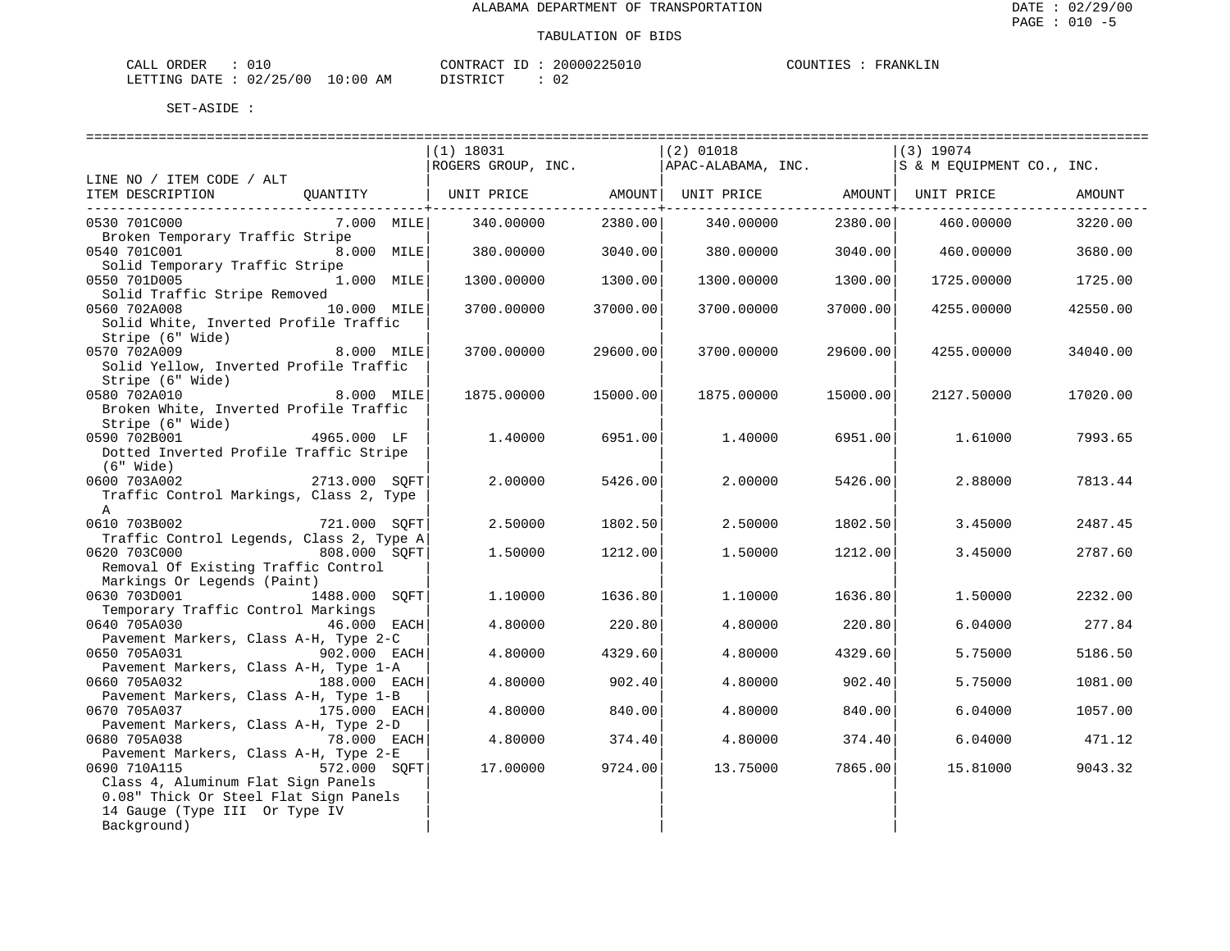| ∟ ORDER<br>CALL                 |  |  | CONTRACT ID |  | 20000225010 | COUNTIES | FRANKLIN |
|---------------------------------|--|--|-------------|--|-------------|----------|----------|
| LETTING DATE: 02/25/00 10:00 AM |  |  | DISTRICT    |  | 02          |          |          |

| $(2)$ 01018<br>$(1)$ 18031<br> (3) 19074<br>ROGERS GROUP, INC. APAC-ALABAMA, INC.<br>S & M EQUIPMENT CO., INC.<br>LINE NO / ITEM CODE / ALT<br>QUANTITY   UNIT PRICE         AMOUNT  UNIT PRICE         AMOUNT  UNIT PRICE<br>ITEM DESCRIPTION<br>AMOUNT<br>----------+--<br>-------------+--<br>0530 701C000<br>$7.000$ MILE<br>340.00000<br>2380.00<br>340.00000<br>2380.00<br>460.00000<br>3220.00<br>Broken Temporary Traffic Stripe<br>0540 701C001<br>8.000 MILE<br>380.00000<br>3040.00<br>380.00000<br>3040.00<br>460.00000<br>3680.00<br>Solid Temporary Traffic Stripe<br>0550 701D005<br>1.000 MILE<br>1300.00<br>1300.00000<br>1300.00000<br>1300.00<br>1725.00000<br>1725.00<br>Solid Traffic Stripe Removed<br>10.000 MILE<br>0560 702A008<br>3700.00000<br>37000.00<br>3700.00000<br>37000.00<br>4255.00000<br>42550.00<br>Solid White, Inverted Profile Traffic<br>Stripe (6" Wide)<br>8.000 MILE<br>0570 702A009<br>3700.00000<br>29600.00<br>3700.00000<br>29600.00<br>4255.00000<br>34040.00<br>Solid Yellow, Inverted Profile Traffic<br>Stripe (6" Wide)<br>8.000 MILE<br>0580 702A010<br>1875.00000<br>15000.00<br>1875.00000<br>15000.00<br>2127.50000<br>17020.00<br>Broken White, Inverted Profile Traffic<br>Stripe (6" Wide)<br>4965.000 LF<br>0590 702B001<br>6951.00<br>1,40000<br>7993.65<br>1,40000<br>6951.00<br>1,61000<br>Dotted Inverted Profile Traffic Stripe<br>$(6"$ Wide)<br>0600 703A002<br>2713.000 SOFT<br>2.00000<br>5426.00<br>2,00000<br>5426.00<br>2.88000<br>7813.44<br>Traffic Control Markings, Class 2, Type<br>$\mathsf{A}$<br>0610 703B002<br>721.000 SOFT<br>2.50000<br>1802.50<br>2487.45<br>2.50000<br>1802.50<br>3.45000<br>Traffic Control Legends, Class 2, Type A<br>808.000 SQFT<br>0620 703C000<br>1.50000<br>1212.00<br>1.50000<br>1212.00<br>3.45000<br>2787.60<br>Removal Of Existing Traffic Control<br>Markings Or Legends (Paint)<br>0630 703D001 1488.000 SOFT<br>1.10000<br>1636.80<br>1,10000<br>1636.80<br>1.50000<br>2232.00<br>Temporary Traffic Control Markings<br>0640 705A030<br>46.000 EACH<br>220.80<br>277.84<br>4.80000<br>4.80000<br>220.80<br>6.04000<br>Pavement Markers, Class A-H, Type 2-C<br>$902.000$ EACH<br>0650 705A031<br>4.80000<br>4329.60<br>4.80000<br>4329.60<br>5.75000<br>5186.50<br>Pavement Markers, Class A-H, Type 1-A<br>0660 705A032<br>188.000 EACH<br>4.80000<br>902.40<br>902.40<br>5.75000<br>4.80000<br>1081.00<br>Pavement Markers, Class A-H, Type 1-B<br>0670 705A037 175.000 EACH<br>4.80000<br>840.00<br>4.80000<br>840.00<br>6.04000<br>1057.00<br>Pavement Markers, Class A-H, Type 2-D<br>78.000 EACH<br>0680 705A038<br>4.80000<br>374.40<br>6.04000<br>4.80000<br>374.40<br>471.12<br>Pavement Markers, Class A-H, Type 2-E<br>572.000 SQFT<br>0690 710A115<br>9043.32<br>17.00000<br>9724.00<br>13.75000<br>7865.00<br>15.81000<br>Class 4, Aluminum Flat Sign Panels |  |  |  |  |  |
|--------------------------------------------------------------------------------------------------------------------------------------------------------------------------------------------------------------------------------------------------------------------------------------------------------------------------------------------------------------------------------------------------------------------------------------------------------------------------------------------------------------------------------------------------------------------------------------------------------------------------------------------------------------------------------------------------------------------------------------------------------------------------------------------------------------------------------------------------------------------------------------------------------------------------------------------------------------------------------------------------------------------------------------------------------------------------------------------------------------------------------------------------------------------------------------------------------------------------------------------------------------------------------------------------------------------------------------------------------------------------------------------------------------------------------------------------------------------------------------------------------------------------------------------------------------------------------------------------------------------------------------------------------------------------------------------------------------------------------------------------------------------------------------------------------------------------------------------------------------------------------------------------------------------------------------------------------------------------------------------------------------------------------------------------------------------------------------------------------------------------------------------------------------------------------------------------------------------------------------------------------------------------------------------------------------------------------------------------------------------------------------------------------------------------------------------------------------------------------------------------------------------------------------------------------------------------------------------------------------------------------------------------------------------------------------------------------------------------------------------------------------------------------------------------------------------------------------------------------------------------------------------------|--|--|--|--|--|
|                                                                                                                                                                                                                                                                                                                                                                                                                                                                                                                                                                                                                                                                                                                                                                                                                                                                                                                                                                                                                                                                                                                                                                                                                                                                                                                                                                                                                                                                                                                                                                                                                                                                                                                                                                                                                                                                                                                                                                                                                                                                                                                                                                                                                                                                                                                                                                                                                                                                                                                                                                                                                                                                                                                                                                                                                                                                                                  |  |  |  |  |  |
|                                                                                                                                                                                                                                                                                                                                                                                                                                                                                                                                                                                                                                                                                                                                                                                                                                                                                                                                                                                                                                                                                                                                                                                                                                                                                                                                                                                                                                                                                                                                                                                                                                                                                                                                                                                                                                                                                                                                                                                                                                                                                                                                                                                                                                                                                                                                                                                                                                                                                                                                                                                                                                                                                                                                                                                                                                                                                                  |  |  |  |  |  |
|                                                                                                                                                                                                                                                                                                                                                                                                                                                                                                                                                                                                                                                                                                                                                                                                                                                                                                                                                                                                                                                                                                                                                                                                                                                                                                                                                                                                                                                                                                                                                                                                                                                                                                                                                                                                                                                                                                                                                                                                                                                                                                                                                                                                                                                                                                                                                                                                                                                                                                                                                                                                                                                                                                                                                                                                                                                                                                  |  |  |  |  |  |
|                                                                                                                                                                                                                                                                                                                                                                                                                                                                                                                                                                                                                                                                                                                                                                                                                                                                                                                                                                                                                                                                                                                                                                                                                                                                                                                                                                                                                                                                                                                                                                                                                                                                                                                                                                                                                                                                                                                                                                                                                                                                                                                                                                                                                                                                                                                                                                                                                                                                                                                                                                                                                                                                                                                                                                                                                                                                                                  |  |  |  |  |  |
|                                                                                                                                                                                                                                                                                                                                                                                                                                                                                                                                                                                                                                                                                                                                                                                                                                                                                                                                                                                                                                                                                                                                                                                                                                                                                                                                                                                                                                                                                                                                                                                                                                                                                                                                                                                                                                                                                                                                                                                                                                                                                                                                                                                                                                                                                                                                                                                                                                                                                                                                                                                                                                                                                                                                                                                                                                                                                                  |  |  |  |  |  |
|                                                                                                                                                                                                                                                                                                                                                                                                                                                                                                                                                                                                                                                                                                                                                                                                                                                                                                                                                                                                                                                                                                                                                                                                                                                                                                                                                                                                                                                                                                                                                                                                                                                                                                                                                                                                                                                                                                                                                                                                                                                                                                                                                                                                                                                                                                                                                                                                                                                                                                                                                                                                                                                                                                                                                                                                                                                                                                  |  |  |  |  |  |
|                                                                                                                                                                                                                                                                                                                                                                                                                                                                                                                                                                                                                                                                                                                                                                                                                                                                                                                                                                                                                                                                                                                                                                                                                                                                                                                                                                                                                                                                                                                                                                                                                                                                                                                                                                                                                                                                                                                                                                                                                                                                                                                                                                                                                                                                                                                                                                                                                                                                                                                                                                                                                                                                                                                                                                                                                                                                                                  |  |  |  |  |  |
|                                                                                                                                                                                                                                                                                                                                                                                                                                                                                                                                                                                                                                                                                                                                                                                                                                                                                                                                                                                                                                                                                                                                                                                                                                                                                                                                                                                                                                                                                                                                                                                                                                                                                                                                                                                                                                                                                                                                                                                                                                                                                                                                                                                                                                                                                                                                                                                                                                                                                                                                                                                                                                                                                                                                                                                                                                                                                                  |  |  |  |  |  |
|                                                                                                                                                                                                                                                                                                                                                                                                                                                                                                                                                                                                                                                                                                                                                                                                                                                                                                                                                                                                                                                                                                                                                                                                                                                                                                                                                                                                                                                                                                                                                                                                                                                                                                                                                                                                                                                                                                                                                                                                                                                                                                                                                                                                                                                                                                                                                                                                                                                                                                                                                                                                                                                                                                                                                                                                                                                                                                  |  |  |  |  |  |
|                                                                                                                                                                                                                                                                                                                                                                                                                                                                                                                                                                                                                                                                                                                                                                                                                                                                                                                                                                                                                                                                                                                                                                                                                                                                                                                                                                                                                                                                                                                                                                                                                                                                                                                                                                                                                                                                                                                                                                                                                                                                                                                                                                                                                                                                                                                                                                                                                                                                                                                                                                                                                                                                                                                                                                                                                                                                                                  |  |  |  |  |  |
|                                                                                                                                                                                                                                                                                                                                                                                                                                                                                                                                                                                                                                                                                                                                                                                                                                                                                                                                                                                                                                                                                                                                                                                                                                                                                                                                                                                                                                                                                                                                                                                                                                                                                                                                                                                                                                                                                                                                                                                                                                                                                                                                                                                                                                                                                                                                                                                                                                                                                                                                                                                                                                                                                                                                                                                                                                                                                                  |  |  |  |  |  |
|                                                                                                                                                                                                                                                                                                                                                                                                                                                                                                                                                                                                                                                                                                                                                                                                                                                                                                                                                                                                                                                                                                                                                                                                                                                                                                                                                                                                                                                                                                                                                                                                                                                                                                                                                                                                                                                                                                                                                                                                                                                                                                                                                                                                                                                                                                                                                                                                                                                                                                                                                                                                                                                                                                                                                                                                                                                                                                  |  |  |  |  |  |
|                                                                                                                                                                                                                                                                                                                                                                                                                                                                                                                                                                                                                                                                                                                                                                                                                                                                                                                                                                                                                                                                                                                                                                                                                                                                                                                                                                                                                                                                                                                                                                                                                                                                                                                                                                                                                                                                                                                                                                                                                                                                                                                                                                                                                                                                                                                                                                                                                                                                                                                                                                                                                                                                                                                                                                                                                                                                                                  |  |  |  |  |  |
|                                                                                                                                                                                                                                                                                                                                                                                                                                                                                                                                                                                                                                                                                                                                                                                                                                                                                                                                                                                                                                                                                                                                                                                                                                                                                                                                                                                                                                                                                                                                                                                                                                                                                                                                                                                                                                                                                                                                                                                                                                                                                                                                                                                                                                                                                                                                                                                                                                                                                                                                                                                                                                                                                                                                                                                                                                                                                                  |  |  |  |  |  |
|                                                                                                                                                                                                                                                                                                                                                                                                                                                                                                                                                                                                                                                                                                                                                                                                                                                                                                                                                                                                                                                                                                                                                                                                                                                                                                                                                                                                                                                                                                                                                                                                                                                                                                                                                                                                                                                                                                                                                                                                                                                                                                                                                                                                                                                                                                                                                                                                                                                                                                                                                                                                                                                                                                                                                                                                                                                                                                  |  |  |  |  |  |
|                                                                                                                                                                                                                                                                                                                                                                                                                                                                                                                                                                                                                                                                                                                                                                                                                                                                                                                                                                                                                                                                                                                                                                                                                                                                                                                                                                                                                                                                                                                                                                                                                                                                                                                                                                                                                                                                                                                                                                                                                                                                                                                                                                                                                                                                                                                                                                                                                                                                                                                                                                                                                                                                                                                                                                                                                                                                                                  |  |  |  |  |  |
|                                                                                                                                                                                                                                                                                                                                                                                                                                                                                                                                                                                                                                                                                                                                                                                                                                                                                                                                                                                                                                                                                                                                                                                                                                                                                                                                                                                                                                                                                                                                                                                                                                                                                                                                                                                                                                                                                                                                                                                                                                                                                                                                                                                                                                                                                                                                                                                                                                                                                                                                                                                                                                                                                                                                                                                                                                                                                                  |  |  |  |  |  |
|                                                                                                                                                                                                                                                                                                                                                                                                                                                                                                                                                                                                                                                                                                                                                                                                                                                                                                                                                                                                                                                                                                                                                                                                                                                                                                                                                                                                                                                                                                                                                                                                                                                                                                                                                                                                                                                                                                                                                                                                                                                                                                                                                                                                                                                                                                                                                                                                                                                                                                                                                                                                                                                                                                                                                                                                                                                                                                  |  |  |  |  |  |
|                                                                                                                                                                                                                                                                                                                                                                                                                                                                                                                                                                                                                                                                                                                                                                                                                                                                                                                                                                                                                                                                                                                                                                                                                                                                                                                                                                                                                                                                                                                                                                                                                                                                                                                                                                                                                                                                                                                                                                                                                                                                                                                                                                                                                                                                                                                                                                                                                                                                                                                                                                                                                                                                                                                                                                                                                                                                                                  |  |  |  |  |  |
|                                                                                                                                                                                                                                                                                                                                                                                                                                                                                                                                                                                                                                                                                                                                                                                                                                                                                                                                                                                                                                                                                                                                                                                                                                                                                                                                                                                                                                                                                                                                                                                                                                                                                                                                                                                                                                                                                                                                                                                                                                                                                                                                                                                                                                                                                                                                                                                                                                                                                                                                                                                                                                                                                                                                                                                                                                                                                                  |  |  |  |  |  |
|                                                                                                                                                                                                                                                                                                                                                                                                                                                                                                                                                                                                                                                                                                                                                                                                                                                                                                                                                                                                                                                                                                                                                                                                                                                                                                                                                                                                                                                                                                                                                                                                                                                                                                                                                                                                                                                                                                                                                                                                                                                                                                                                                                                                                                                                                                                                                                                                                                                                                                                                                                                                                                                                                                                                                                                                                                                                                                  |  |  |  |  |  |
|                                                                                                                                                                                                                                                                                                                                                                                                                                                                                                                                                                                                                                                                                                                                                                                                                                                                                                                                                                                                                                                                                                                                                                                                                                                                                                                                                                                                                                                                                                                                                                                                                                                                                                                                                                                                                                                                                                                                                                                                                                                                                                                                                                                                                                                                                                                                                                                                                                                                                                                                                                                                                                                                                                                                                                                                                                                                                                  |  |  |  |  |  |
|                                                                                                                                                                                                                                                                                                                                                                                                                                                                                                                                                                                                                                                                                                                                                                                                                                                                                                                                                                                                                                                                                                                                                                                                                                                                                                                                                                                                                                                                                                                                                                                                                                                                                                                                                                                                                                                                                                                                                                                                                                                                                                                                                                                                                                                                                                                                                                                                                                                                                                                                                                                                                                                                                                                                                                                                                                                                                                  |  |  |  |  |  |
|                                                                                                                                                                                                                                                                                                                                                                                                                                                                                                                                                                                                                                                                                                                                                                                                                                                                                                                                                                                                                                                                                                                                                                                                                                                                                                                                                                                                                                                                                                                                                                                                                                                                                                                                                                                                                                                                                                                                                                                                                                                                                                                                                                                                                                                                                                                                                                                                                                                                                                                                                                                                                                                                                                                                                                                                                                                                                                  |  |  |  |  |  |
|                                                                                                                                                                                                                                                                                                                                                                                                                                                                                                                                                                                                                                                                                                                                                                                                                                                                                                                                                                                                                                                                                                                                                                                                                                                                                                                                                                                                                                                                                                                                                                                                                                                                                                                                                                                                                                                                                                                                                                                                                                                                                                                                                                                                                                                                                                                                                                                                                                                                                                                                                                                                                                                                                                                                                                                                                                                                                                  |  |  |  |  |  |
|                                                                                                                                                                                                                                                                                                                                                                                                                                                                                                                                                                                                                                                                                                                                                                                                                                                                                                                                                                                                                                                                                                                                                                                                                                                                                                                                                                                                                                                                                                                                                                                                                                                                                                                                                                                                                                                                                                                                                                                                                                                                                                                                                                                                                                                                                                                                                                                                                                                                                                                                                                                                                                                                                                                                                                                                                                                                                                  |  |  |  |  |  |
|                                                                                                                                                                                                                                                                                                                                                                                                                                                                                                                                                                                                                                                                                                                                                                                                                                                                                                                                                                                                                                                                                                                                                                                                                                                                                                                                                                                                                                                                                                                                                                                                                                                                                                                                                                                                                                                                                                                                                                                                                                                                                                                                                                                                                                                                                                                                                                                                                                                                                                                                                                                                                                                                                                                                                                                                                                                                                                  |  |  |  |  |  |
|                                                                                                                                                                                                                                                                                                                                                                                                                                                                                                                                                                                                                                                                                                                                                                                                                                                                                                                                                                                                                                                                                                                                                                                                                                                                                                                                                                                                                                                                                                                                                                                                                                                                                                                                                                                                                                                                                                                                                                                                                                                                                                                                                                                                                                                                                                                                                                                                                                                                                                                                                                                                                                                                                                                                                                                                                                                                                                  |  |  |  |  |  |
|                                                                                                                                                                                                                                                                                                                                                                                                                                                                                                                                                                                                                                                                                                                                                                                                                                                                                                                                                                                                                                                                                                                                                                                                                                                                                                                                                                                                                                                                                                                                                                                                                                                                                                                                                                                                                                                                                                                                                                                                                                                                                                                                                                                                                                                                                                                                                                                                                                                                                                                                                                                                                                                                                                                                                                                                                                                                                                  |  |  |  |  |  |
|                                                                                                                                                                                                                                                                                                                                                                                                                                                                                                                                                                                                                                                                                                                                                                                                                                                                                                                                                                                                                                                                                                                                                                                                                                                                                                                                                                                                                                                                                                                                                                                                                                                                                                                                                                                                                                                                                                                                                                                                                                                                                                                                                                                                                                                                                                                                                                                                                                                                                                                                                                                                                                                                                                                                                                                                                                                                                                  |  |  |  |  |  |
|                                                                                                                                                                                                                                                                                                                                                                                                                                                                                                                                                                                                                                                                                                                                                                                                                                                                                                                                                                                                                                                                                                                                                                                                                                                                                                                                                                                                                                                                                                                                                                                                                                                                                                                                                                                                                                                                                                                                                                                                                                                                                                                                                                                                                                                                                                                                                                                                                                                                                                                                                                                                                                                                                                                                                                                                                                                                                                  |  |  |  |  |  |
|                                                                                                                                                                                                                                                                                                                                                                                                                                                                                                                                                                                                                                                                                                                                                                                                                                                                                                                                                                                                                                                                                                                                                                                                                                                                                                                                                                                                                                                                                                                                                                                                                                                                                                                                                                                                                                                                                                                                                                                                                                                                                                                                                                                                                                                                                                                                                                                                                                                                                                                                                                                                                                                                                                                                                                                                                                                                                                  |  |  |  |  |  |
|                                                                                                                                                                                                                                                                                                                                                                                                                                                                                                                                                                                                                                                                                                                                                                                                                                                                                                                                                                                                                                                                                                                                                                                                                                                                                                                                                                                                                                                                                                                                                                                                                                                                                                                                                                                                                                                                                                                                                                                                                                                                                                                                                                                                                                                                                                                                                                                                                                                                                                                                                                                                                                                                                                                                                                                                                                                                                                  |  |  |  |  |  |
|                                                                                                                                                                                                                                                                                                                                                                                                                                                                                                                                                                                                                                                                                                                                                                                                                                                                                                                                                                                                                                                                                                                                                                                                                                                                                                                                                                                                                                                                                                                                                                                                                                                                                                                                                                                                                                                                                                                                                                                                                                                                                                                                                                                                                                                                                                                                                                                                                                                                                                                                                                                                                                                                                                                                                                                                                                                                                                  |  |  |  |  |  |
|                                                                                                                                                                                                                                                                                                                                                                                                                                                                                                                                                                                                                                                                                                                                                                                                                                                                                                                                                                                                                                                                                                                                                                                                                                                                                                                                                                                                                                                                                                                                                                                                                                                                                                                                                                                                                                                                                                                                                                                                                                                                                                                                                                                                                                                                                                                                                                                                                                                                                                                                                                                                                                                                                                                                                                                                                                                                                                  |  |  |  |  |  |
|                                                                                                                                                                                                                                                                                                                                                                                                                                                                                                                                                                                                                                                                                                                                                                                                                                                                                                                                                                                                                                                                                                                                                                                                                                                                                                                                                                                                                                                                                                                                                                                                                                                                                                                                                                                                                                                                                                                                                                                                                                                                                                                                                                                                                                                                                                                                                                                                                                                                                                                                                                                                                                                                                                                                                                                                                                                                                                  |  |  |  |  |  |
|                                                                                                                                                                                                                                                                                                                                                                                                                                                                                                                                                                                                                                                                                                                                                                                                                                                                                                                                                                                                                                                                                                                                                                                                                                                                                                                                                                                                                                                                                                                                                                                                                                                                                                                                                                                                                                                                                                                                                                                                                                                                                                                                                                                                                                                                                                                                                                                                                                                                                                                                                                                                                                                                                                                                                                                                                                                                                                  |  |  |  |  |  |
|                                                                                                                                                                                                                                                                                                                                                                                                                                                                                                                                                                                                                                                                                                                                                                                                                                                                                                                                                                                                                                                                                                                                                                                                                                                                                                                                                                                                                                                                                                                                                                                                                                                                                                                                                                                                                                                                                                                                                                                                                                                                                                                                                                                                                                                                                                                                                                                                                                                                                                                                                                                                                                                                                                                                                                                                                                                                                                  |  |  |  |  |  |
|                                                                                                                                                                                                                                                                                                                                                                                                                                                                                                                                                                                                                                                                                                                                                                                                                                                                                                                                                                                                                                                                                                                                                                                                                                                                                                                                                                                                                                                                                                                                                                                                                                                                                                                                                                                                                                                                                                                                                                                                                                                                                                                                                                                                                                                                                                                                                                                                                                                                                                                                                                                                                                                                                                                                                                                                                                                                                                  |  |  |  |  |  |
|                                                                                                                                                                                                                                                                                                                                                                                                                                                                                                                                                                                                                                                                                                                                                                                                                                                                                                                                                                                                                                                                                                                                                                                                                                                                                                                                                                                                                                                                                                                                                                                                                                                                                                                                                                                                                                                                                                                                                                                                                                                                                                                                                                                                                                                                                                                                                                                                                                                                                                                                                                                                                                                                                                                                                                                                                                                                                                  |  |  |  |  |  |
|                                                                                                                                                                                                                                                                                                                                                                                                                                                                                                                                                                                                                                                                                                                                                                                                                                                                                                                                                                                                                                                                                                                                                                                                                                                                                                                                                                                                                                                                                                                                                                                                                                                                                                                                                                                                                                                                                                                                                                                                                                                                                                                                                                                                                                                                                                                                                                                                                                                                                                                                                                                                                                                                                                                                                                                                                                                                                                  |  |  |  |  |  |
|                                                                                                                                                                                                                                                                                                                                                                                                                                                                                                                                                                                                                                                                                                                                                                                                                                                                                                                                                                                                                                                                                                                                                                                                                                                                                                                                                                                                                                                                                                                                                                                                                                                                                                                                                                                                                                                                                                                                                                                                                                                                                                                                                                                                                                                                                                                                                                                                                                                                                                                                                                                                                                                                                                                                                                                                                                                                                                  |  |  |  |  |  |
| 0.08" Thick Or Steel Flat Sign Panels                                                                                                                                                                                                                                                                                                                                                                                                                                                                                                                                                                                                                                                                                                                                                                                                                                                                                                                                                                                                                                                                                                                                                                                                                                                                                                                                                                                                                                                                                                                                                                                                                                                                                                                                                                                                                                                                                                                                                                                                                                                                                                                                                                                                                                                                                                                                                                                                                                                                                                                                                                                                                                                                                                                                                                                                                                                            |  |  |  |  |  |
| 14 Gauge (Type III Or Type IV                                                                                                                                                                                                                                                                                                                                                                                                                                                                                                                                                                                                                                                                                                                                                                                                                                                                                                                                                                                                                                                                                                                                                                                                                                                                                                                                                                                                                                                                                                                                                                                                                                                                                                                                                                                                                                                                                                                                                                                                                                                                                                                                                                                                                                                                                                                                                                                                                                                                                                                                                                                                                                                                                                                                                                                                                                                                    |  |  |  |  |  |
| Background)                                                                                                                                                                                                                                                                                                                                                                                                                                                                                                                                                                                                                                                                                                                                                                                                                                                                                                                                                                                                                                                                                                                                                                                                                                                                                                                                                                                                                                                                                                                                                                                                                                                                                                                                                                                                                                                                                                                                                                                                                                                                                                                                                                                                                                                                                                                                                                                                                                                                                                                                                                                                                                                                                                                                                                                                                                                                                      |  |  |  |  |  |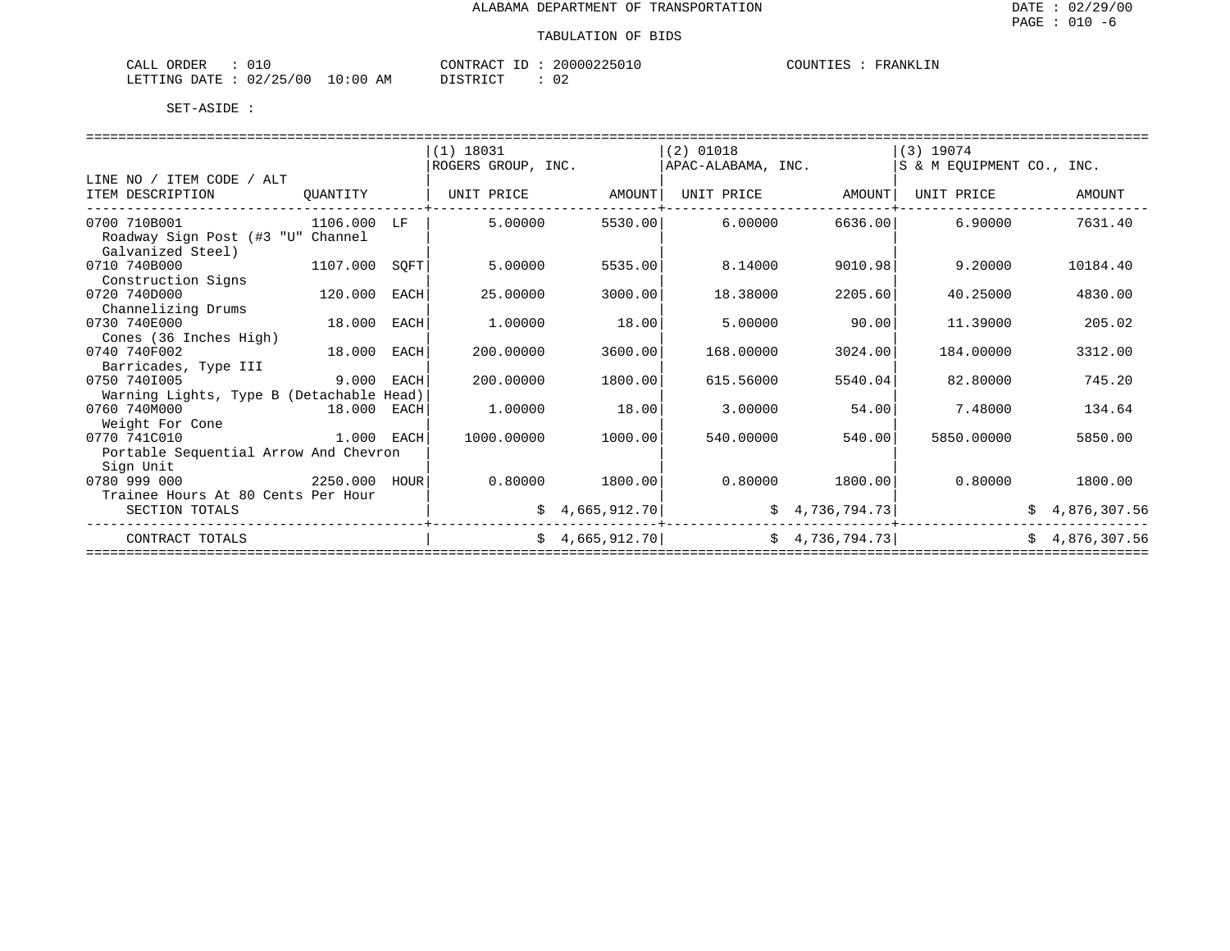| ORDER<br>$\neg$ $\neg$ $\neg$<br>$\sim$<br>المسلمي<br>◡⊥◡ |                       | C <sub>OM</sub><br>$. \triangleright \lambda \wedge T$ | 1 N N 2 2 5 | COUNTIES<br><b>RANKIT</b> |
|-----------------------------------------------------------|-----------------------|--------------------------------------------------------|-------------|---------------------------|
| ノつに<br>02.<br><b>RTTING</b><br>$/ \cap C$<br>R∆⊤ד ב       | AΜ<br>:00<br>$\cap$ : | חדר דו (                                               | n,<br>◡∠    |                           |

|          |                                                                                     | $(1)$ 18031                                                                                                                                 |         | $(2)$ 01018                   |                                               | $(3)$ 19074        |                                                                                                                      |
|----------|-------------------------------------------------------------------------------------|---------------------------------------------------------------------------------------------------------------------------------------------|---------|-------------------------------|-----------------------------------------------|--------------------|----------------------------------------------------------------------------------------------------------------------|
|          |                                                                                     |                                                                                                                                             |         |                               |                                               |                    |                                                                                                                      |
|          |                                                                                     |                                                                                                                                             |         |                               |                                               |                    |                                                                                                                      |
|          |                                                                                     | UNIT PRICE                                                                                                                                  | AMOUNT  | UNIT PRICE                    | AMOUNT                                        | UNIT PRICE         | AMOUNT                                                                                                               |
|          |                                                                                     |                                                                                                                                             |         |                               |                                               |                    | 7631.40                                                                                                              |
|          |                                                                                     |                                                                                                                                             |         |                               |                                               |                    |                                                                                                                      |
|          |                                                                                     |                                                                                                                                             |         |                               |                                               |                    |                                                                                                                      |
| 1107.000 | SQFT                                                                                | 5.00000                                                                                                                                     | 5535.00 | 8.14000                       |                                               | 9.20000            | 10184.40                                                                                                             |
|          |                                                                                     |                                                                                                                                             |         |                               |                                               |                    |                                                                                                                      |
| 120.000  | EACH                                                                                | 25.00000                                                                                                                                    | 3000.00 | 18.38000                      | 2205.60                                       | 40.25000           | 4830.00                                                                                                              |
|          |                                                                                     |                                                                                                                                             |         |                               |                                               |                    |                                                                                                                      |
| 18.000   | EACH                                                                                | 1,00000                                                                                                                                     | 18.00   | 5.00000                       | 90.00                                         | 11.39000           | 205.02                                                                                                               |
|          |                                                                                     |                                                                                                                                             |         |                               |                                               |                    |                                                                                                                      |
| 18.000   | EACH                                                                                | 200.00000                                                                                                                                   | 3600.00 | 168.00000                     | 3024.00                                       | 184.00000          | 3312.00                                                                                                              |
|          |                                                                                     |                                                                                                                                             |         |                               |                                               |                    |                                                                                                                      |
|          | EACH                                                                                | 200.00000                                                                                                                                   | 1800.00 | 615.56000                     | 5540.04                                       | 82.80000           | 745.20                                                                                                               |
|          |                                                                                     |                                                                                                                                             |         |                               |                                               |                    |                                                                                                                      |
|          |                                                                                     | 1,00000                                                                                                                                     | 18.00   | 3.00000                       | 54.00                                         | 7.48000            | 134.64                                                                                                               |
|          |                                                                                     |                                                                                                                                             |         |                               |                                               |                    |                                                                                                                      |
|          |                                                                                     | 1000.00000                                                                                                                                  | 1000.00 | 540.00000                     |                                               | 5850.00000         | 5850.00                                                                                                              |
|          |                                                                                     |                                                                                                                                             |         |                               |                                               |                    |                                                                                                                      |
|          |                                                                                     |                                                                                                                                             |         |                               |                                               |                    |                                                                                                                      |
| 2250.000 | HOUR                                                                                | 0.80000                                                                                                                                     | 1800.00 | 0.80000                       |                                               | 0.80000            | 1800.00                                                                                                              |
|          |                                                                                     |                                                                                                                                             |         |                               |                                               |                    |                                                                                                                      |
|          |                                                                                     |                                                                                                                                             |         |                               |                                               |                    | \$4,876,307.56                                                                                                       |
|          |                                                                                     |                                                                                                                                             |         |                               |                                               |                    | \$4,876,307.56                                                                                                       |
|          | OUANTITY<br>Roadway Sign Post (#3 "U" Channel<br>Trainee Hours At 80 Cents Per Hour | 1106.000<br>LF<br>9.000<br>Warning Lights, Type B (Detachable Head)<br>18.000 EACH<br>$1.000$ EACH<br>Portable Sequential Arrow And Chevron | 5.00000 | ROGERS GROUP, INC.<br>5530.00 | 6.00000<br>\$4,665,912.70]<br>\$4,665,912.70] | APAC-ALABAMA, INC. | S & M EOUIPMENT CO., INC.<br>6636.00<br>6.90000<br>9010.98<br>540.00<br>1800.00<br>\$4,736,794.73<br>\$4,736,794.73] |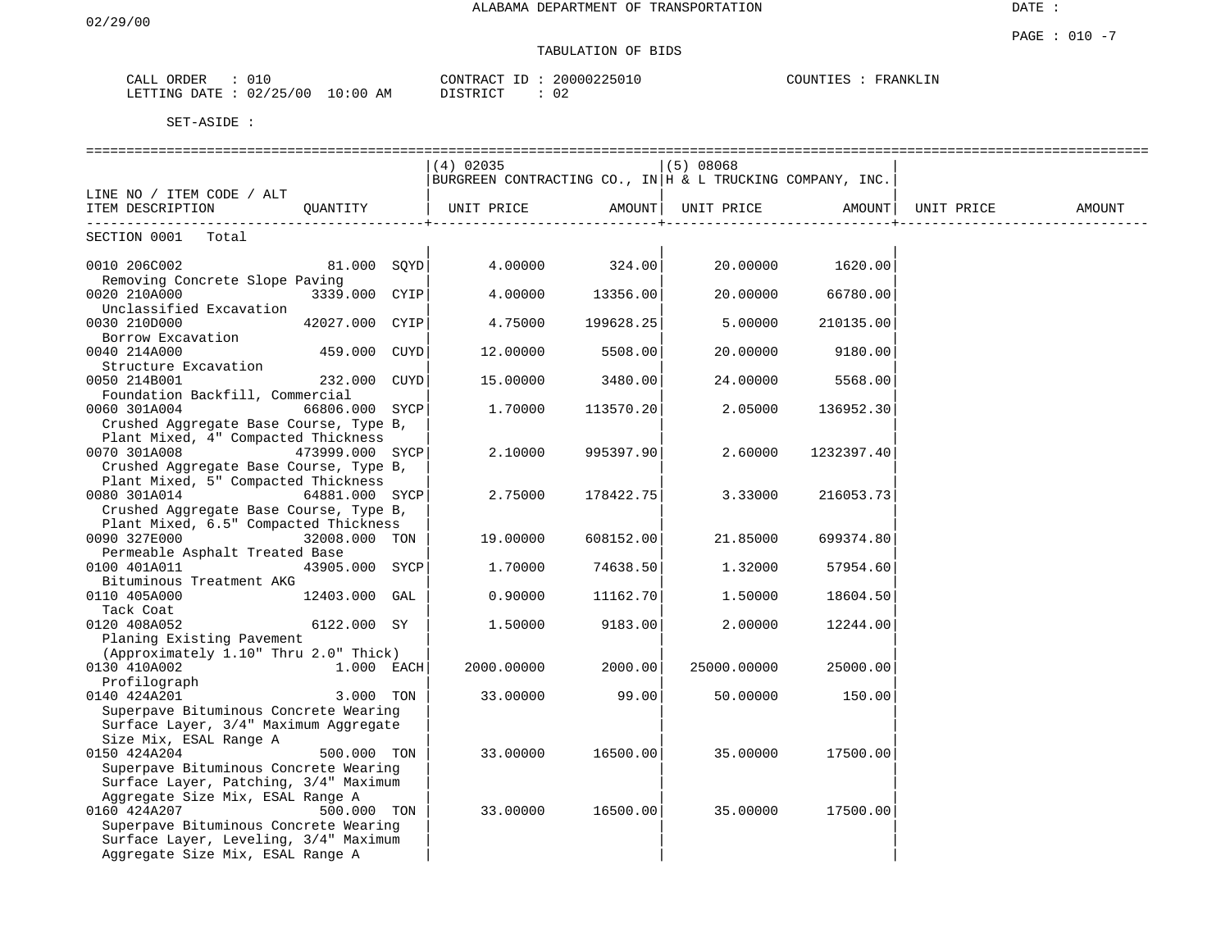# TABULATION OF BIDS

| ORDER<br>$\sim$ $ -$<br>CALL | <u>UI.</u>                                                                                |           | סידיזו∩י<br>$\cdots$ R $\Delta$ $\cap$ $\blacksquare$ | 20000225010<br>$U + U$ | INL' | RANKLIN<br>7D. |
|------------------------------|-------------------------------------------------------------------------------------------|-----------|-------------------------------------------------------|------------------------|------|----------------|
| ነ∆ ጥF<br>ETTING<br>∼±ل       | $\sqrt{2}$<br>' ೧ (<br>$\overline{\phantom{a}}$<br>$\overline{\phantom{a}}$<br>$\sqrt{2}$ | ΑM<br>:00 | DIOMOTOM.<br>. ⊌ I                                    | ັັ                     |      |                |

|                                        |                 | $(4)$ 02035                                                      |           | $(5)$ 08068 |            |            |        |
|----------------------------------------|-----------------|------------------------------------------------------------------|-----------|-------------|------------|------------|--------|
|                                        |                 | $ BURGREEN$ CONTRACTING CO., IN $ H \& L$ TRUCKING COMPANY, INC. |           |             |            |            |        |
| LINE NO / ITEM CODE / ALT              |                 |                                                                  |           |             |            |            |        |
| ITEM DESCRIPTION                       | OUANTITY        | UNIT PRICE                                                       | AMOUNT    | UNIT PRICE  | AMOUNT     | UNIT PRICE | AMOUNT |
|                                        |                 |                                                                  |           |             |            |            |        |
| SECTION 0001 Total                     |                 |                                                                  |           |             |            |            |        |
| 0010 206C002                           | 81.000 SOYD     | 4.00000                                                          | 324.00    | 20.00000    | 1620.00    |            |        |
| Removing Concrete Slope Paving         |                 |                                                                  |           |             |            |            |        |
| 0020 210A000                           | 3339.000 CYIP   | 4.00000                                                          | 13356.00  | 20.00000    | 66780.00   |            |        |
| Unclassified Excavation                |                 |                                                                  |           |             |            |            |        |
| 0030 210D000                           | 42027.000 CYIP  | 4.75000                                                          | 199628.25 | 5.00000     | 210135.00  |            |        |
| Borrow Excavation                      |                 |                                                                  |           |             |            |            |        |
| 0040 214A000                           | 459.000 CUYD    | 12.00000                                                         | 5508.00   | 20.00000    | 9180.00    |            |        |
| Structure Excavation                   |                 |                                                                  |           |             |            |            |        |
| 0050 214B001                           | 232.000 CUYD    | 15.00000                                                         | 3480.00   | 24.00000    | 5568.00    |            |        |
| Foundation Backfill, Commercial        |                 |                                                                  |           |             |            |            |        |
| 0060 301A004                           | 66806.000 SYCP  | 1.70000                                                          | 113570.20 | 2.05000     | 136952.30  |            |        |
| Crushed Aggregate Base Course, Type B, |                 |                                                                  |           |             |            |            |        |
| Plant Mixed, 4" Compacted Thickness    |                 |                                                                  |           |             |            |            |        |
| 0070 301A008                           | 473999.000 SYCP | 2,10000                                                          | 995397.90 | 2.60000     | 1232397.40 |            |        |
| Crushed Aggregate Base Course, Type B, |                 |                                                                  |           |             |            |            |        |
| Plant Mixed, 5" Compacted Thickness    |                 |                                                                  |           |             |            |            |        |
| 0080 301A014                           | 64881.000 SYCP  | 2.75000                                                          | 178422.75 | 3.33000     | 216053.73  |            |        |
| Crushed Aggregate Base Course, Type B, |                 |                                                                  |           |             |            |            |        |
| Plant Mixed, 6.5" Compacted Thickness  |                 |                                                                  |           |             |            |            |        |
| 0090 327E000                           | 32008.000 TON   | 19.00000                                                         | 608152.00 | 21.85000    | 699374.80  |            |        |
| Permeable Asphalt Treated Base         |                 |                                                                  |           |             |            |            |        |
| 0100 401A011                           | 43905.000 SYCP  | 1,70000                                                          | 74638.50  | 1,32000     | 57954.60   |            |        |
| Bituminous Treatment AKG               |                 |                                                                  |           |             |            |            |        |
| 0110 405A000                           | 12403.000 GAL   | 0.90000                                                          | 11162.70  | 1.50000     | 18604.50   |            |        |
| Tack Coat                              |                 |                                                                  |           |             |            |            |        |
| 0120 408A052                           | 6122.000 SY     | 1.50000                                                          | 9183.00   | 2.00000     | 12244.00   |            |        |
| Planing Existing Pavement              |                 |                                                                  |           |             |            |            |        |
| (Approximately 1.10" Thru 2.0" Thick)  |                 |                                                                  |           |             |            |            |        |
| 0130 410A002                           | $1.000$ EACH    | 2000.00000                                                       | 2000.00   | 25000.00000 | 25000.00   |            |        |
| Profilograph                           |                 |                                                                  |           |             |            |            |        |
| 0140 424A201                           | 3.000 TON       | 33.00000                                                         | 99.00     | 50.00000    | 150.00     |            |        |
| Superpave Bituminous Concrete Wearing  |                 |                                                                  |           |             |            |            |        |
| Surface Layer, 3/4" Maximum Aggregate  |                 |                                                                  |           |             |            |            |        |
| Size Mix, ESAL Range A                 |                 |                                                                  |           |             |            |            |        |
| 0150 424A204                           | 500.000 TON     | 33.00000                                                         | 16500.00  | 35.00000    | 17500.00   |            |        |
| Superpave Bituminous Concrete Wearing  |                 |                                                                  |           |             |            |            |        |
| Surface Layer, Patching, 3/4" Maximum  |                 |                                                                  |           |             |            |            |        |
| Aggregate Size Mix, ESAL Range A       |                 |                                                                  |           |             |            |            |        |
| 0160 424A207                           | 500.000 TON     | 33.00000                                                         | 16500.00  | 35.00000    | 17500.00   |            |        |
| Superpave Bituminous Concrete Wearing  |                 |                                                                  |           |             |            |            |        |
| Surface Layer, Leveling, 3/4" Maximum  |                 |                                                                  |           |             |            |            |        |
| Aggregate Size Mix, ESAL Range A       |                 |                                                                  |           |             |            |            |        |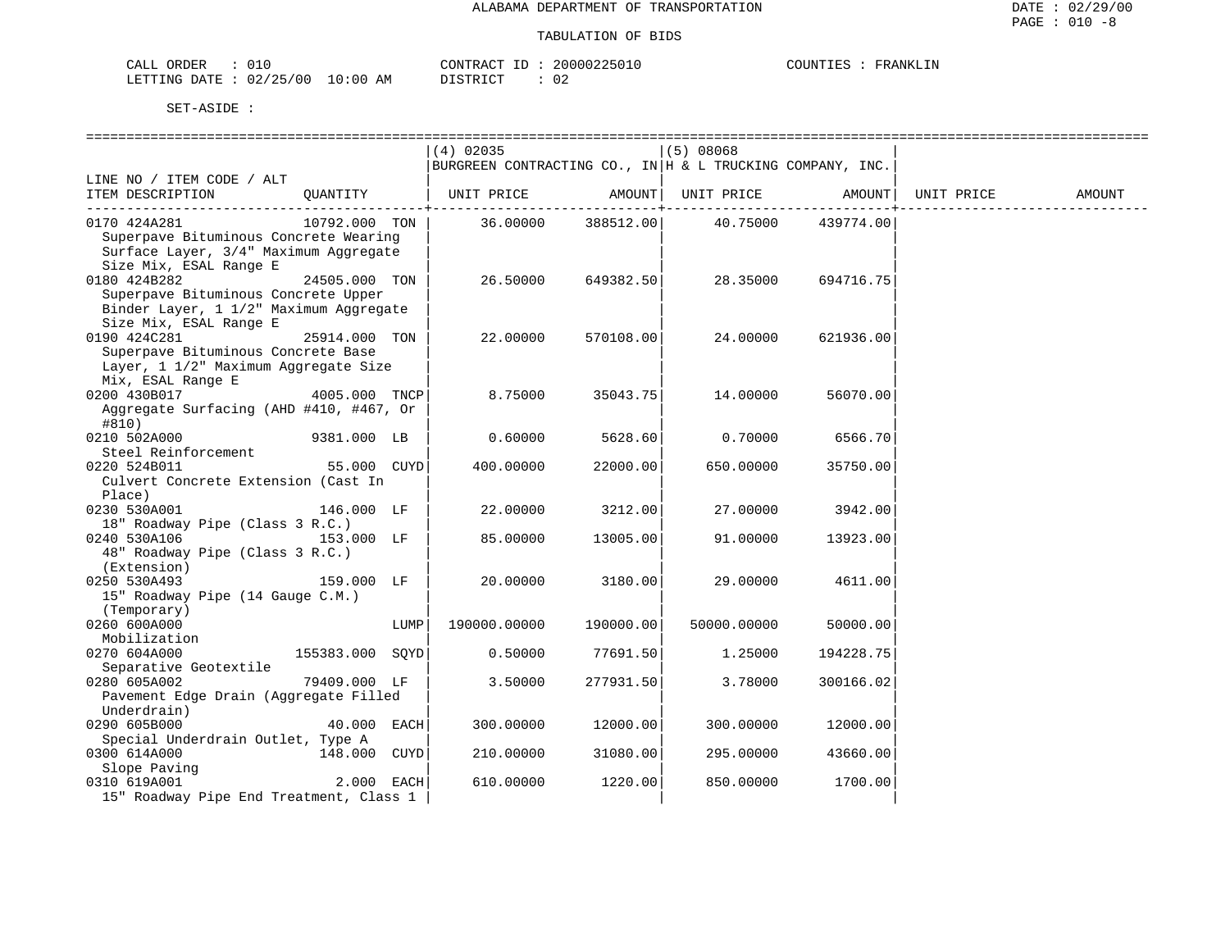| CALL ORDER                       |          | CONTRACT ID: 20000225010 | COUNTIES :<br>FRANKLIN |
|----------------------------------|----------|--------------------------|------------------------|
| LETTING DATE : 02/25/00 10:00 AM | DISTRICT |                          |                        |

|                                                   |                 |      | $(4)$ 02035                                                |            | $(5)$ 08068                 |                   |            |        |
|---------------------------------------------------|-----------------|------|------------------------------------------------------------|------------|-----------------------------|-------------------|------------|--------|
|                                                   |                 |      | BURGREEN CONTRACTING CO., IN  H & L TRUCKING COMPANY, INC. |            |                             |                   |            |        |
| LINE NO / ITEM CODE / ALT                         |                 |      |                                                            |            |                             |                   |            |        |
| ITEM DESCRIPTION                                  | OUANTITY        |      | UNIT PRICE AMOUNT  UNIT PRICE AMOUNT                       |            |                             | $- - - - - - - +$ | UNIT PRICE | AMOUNT |
| 0170 424A281                                      | 10792.000 TON   |      |                                                            |            | 36.00000 388512.00 40.75000 | 439774.00         |            |        |
| Superpave Bituminous Concrete Wearing             |                 |      |                                                            |            |                             |                   |            |        |
| Surface Layer, 3/4" Maximum Aggregate             |                 |      |                                                            |            |                             |                   |            |        |
| Size Mix, ESAL Range E                            |                 |      |                                                            |            |                             |                   |            |        |
| 0180 424B282                                      | 24505.000 TON   |      | 26.50000                                                   | 649382.50  | 28.35000                    | 694716.75         |            |        |
| Superpave Bituminous Concrete Upper               |                 |      |                                                            |            |                             |                   |            |        |
| Binder Layer, 1 1/2" Maximum Aggregate            |                 |      |                                                            |            |                             |                   |            |        |
| Size Mix, ESAL Range E                            |                 |      |                                                            |            |                             |                   |            |        |
| 0190 424C281                                      | 25914.000 TON   |      | 22.00000                                                   | 570108.00  | 24.00000                    | 621936.00         |            |        |
| Superpave Bituminous Concrete Base                |                 |      |                                                            |            |                             |                   |            |        |
| Layer, 1 1/2" Maximum Aggregate Size              |                 |      |                                                            |            |                             |                   |            |        |
| Mix, ESAL Range E                                 |                 |      |                                                            |            |                             |                   |            |        |
| 0200 430B017                                      | 4005.000 TNCP   |      | 8.75000                                                    | 35043.75   | 14.00000                    | 56070.00          |            |        |
| Aggregate Surfacing (AHD #410, #467, Or           |                 |      |                                                            |            |                             |                   |            |        |
| #810)                                             |                 |      |                                                            |            |                             |                   |            |        |
| 0210 502A000                                      | 9381.000 LB     |      | 0.60000                                                    | 5628.60    | 0.70000                     | 6566.70           |            |        |
| Steel Reinforcement<br>0220 524B011               | 55.000 CUYD     |      |                                                            | 22000.00   |                             |                   |            |        |
| Culvert Concrete Extension (Cast In               |                 |      | 400.00000                                                  |            | 650.00000                   | 35750.00          |            |        |
| Place)                                            |                 |      |                                                            |            |                             |                   |            |        |
| 0230 530A001                                      | 146.000 LF      |      | 22.00000                                                   | 3212.00    | 27.00000                    | 3942.00           |            |        |
| 18" Roadway Pipe (Class 3 R.C.)                   |                 |      |                                                            |            |                             |                   |            |        |
| 0240 530A106                                      | 153.000 LF      |      | 85.00000                                                   | 13005.00   | 91.00000                    | 13923.00          |            |        |
| 48" Roadway Pipe (Class 3 R.C.)                   |                 |      |                                                            |            |                             |                   |            |        |
| (Extension)                                       |                 |      |                                                            |            |                             |                   |            |        |
| 0250 530A493                                      | 159.000 LF      |      | 20.00000                                                   | 3180.00    | 29.00000                    | 4611.00           |            |        |
| 15" Roadway Pipe (14 Gauge C.M.)                  |                 |      |                                                            |            |                             |                   |            |        |
| (Temporary)                                       |                 |      |                                                            |            |                             |                   |            |        |
| 0260 600A000                                      |                 | LUMP | 190000.00000                                               | 190000.00  | 50000.00000                 | 50000.00          |            |        |
| Mobilization                                      |                 |      |                                                            |            |                             |                   |            |        |
| 0270 604A000                                      | 155383.000 SOYD |      | 0.50000                                                    | 77691.50   | 1.25000                     | 194228.75         |            |        |
| Separative Geotextile                             |                 |      |                                                            |            |                             |                   |            |        |
| 0280 605A002                                      | 79409.000 LF    |      | 3.50000                                                    | 277931.501 | 3.78000                     | 300166.02         |            |        |
| Pavement Edge Drain (Aggregate Filled             |                 |      |                                                            |            |                             |                   |            |        |
| Underdrain)                                       |                 |      |                                                            |            |                             |                   |            |        |
| 0290 605B000<br>Special Underdrain Outlet, Type A | 40.000 EACH     |      | 300.00000                                                  | 12000.00   | 300.00000                   | 12000.00          |            |        |
| 0300 614A000                                      | 148.000 CUYD    |      | 210.00000                                                  | 31080.00   | 295.00000                   | 43660.00          |            |        |
| Slope Paving                                      |                 |      |                                                            |            |                             |                   |            |        |
| 0310 619A001 2000                                 | 2.000 EACH      |      | 610.00000                                                  | 1220.00    | 850.00000                   | 1700.00           |            |        |
| 15" Roadway Pipe End Treatment, Class 1           |                 |      |                                                            |            |                             |                   |            |        |
|                                                   |                 |      |                                                            |            |                             |                   |            |        |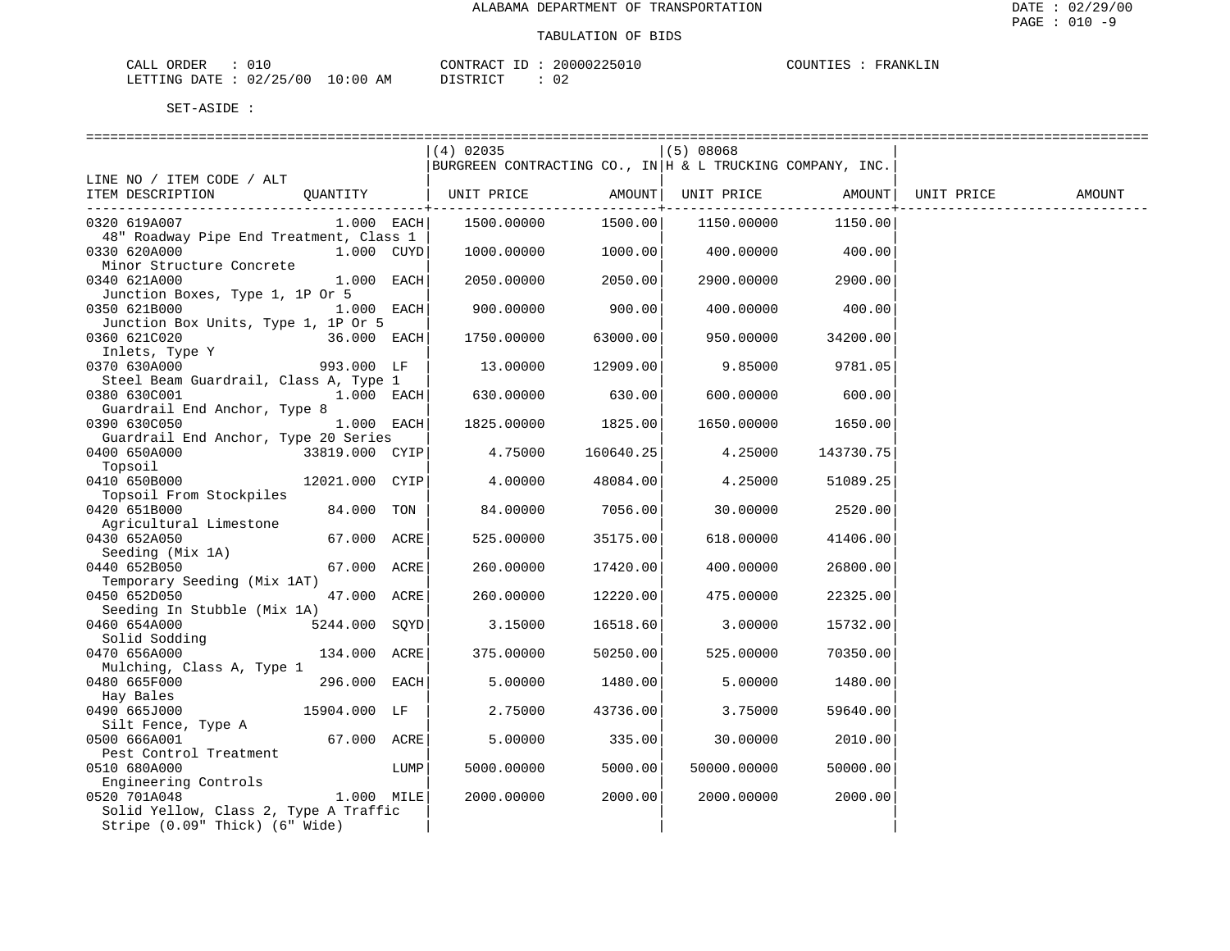| CALL<br>ORDER |          |             | CONTRACT<br>$-1$ | 20000225010 | <b>DINTIFS</b><br>, UIN 1 1 1 1 1 1 | FRANKLIN |
|---------------|----------|-------------|------------------|-------------|-------------------------------------|----------|
| LETTING DATE  | 02/25/00 | 10:00<br>AΜ | סידי את<br>.     | ◡∠          |                                     |          |

|                                                       |                |      | $(4)$ 02035<br>BURGREEN CONTRACTING CO., IN $ $ H & L TRUCKING COMPANY, INC. |           | $(5)$ 08068 |           |            |               |
|-------------------------------------------------------|----------------|------|------------------------------------------------------------------------------|-----------|-------------|-----------|------------|---------------|
| LINE NO / ITEM CODE / ALT                             |                |      |                                                                              |           |             |           |            |               |
| ITEM DESCRIPTION                                      | QUANTITY       |      | UNIT PRICE                                                                   | AMOUNT    | UNIT PRICE  | AMOUNT    | UNIT PRICE | <b>AMOUNT</b> |
| 0320 619A007                                          | 1.000 EACH     |      | 1500.00000                                                                   | 1500.00   | 1150.00000  | 1150.00   |            |               |
| 48" Roadway Pipe End Treatment, Class 1               |                |      |                                                                              |           |             |           |            |               |
| 0330 620A000                                          | 1.000 CUYD     |      | 1000.00000                                                                   | 1000.00   | 400.00000   | 400.00    |            |               |
| Minor Structure Concrete<br>0340 621A000              | 1.000 EACH     |      | 2050.00000                                                                   | 2050.00   | 2900.00000  | 2900.00   |            |               |
| Junction Boxes, Type 1, 1P Or 5                       |                |      |                                                                              |           |             |           |            |               |
| 0350 621B000                                          | 1.000 EACH     |      | 900.00000                                                                    | 900.00    | 400.00000   | 400.00    |            |               |
| Junction Box Units, Type 1, 1P Or 5                   |                |      |                                                                              |           |             |           |            |               |
| 0360 621C020                                          | 36.000 EACH    |      | 1750.00000                                                                   | 63000.00  | 950.00000   | 34200.00  |            |               |
| Inlets, Type Y                                        |                |      |                                                                              |           |             |           |            |               |
| 0370 630A000<br>Steel Beam Guardrail, Class A, Type 1 | 993.000 LF     |      | 13.00000                                                                     | 12909.00  | 9.85000     | 9781.05   |            |               |
| 0380 630C001                                          | 1.000 EACH     |      | 630.00000                                                                    | 630.00    | 600.00000   | 600.00    |            |               |
| Guardrail End Anchor, Type 8                          |                |      |                                                                              |           |             |           |            |               |
| 0390 630C050                                          | 1.000 EACH     |      | 1825.00000                                                                   | 1825.00   | 1650.00000  | 1650.00   |            |               |
| Guardrail End Anchor, Type 20 Series                  |                |      |                                                                              |           |             |           |            |               |
| 0400 650A000                                          | 33819.000 CYIP |      | 4.75000                                                                      | 160640.25 | 4.25000     | 143730.75 |            |               |
| Topsoil                                               |                |      |                                                                              |           |             |           |            |               |
| 0410 650B000                                          | 12021.000 CYIP |      | 4.00000                                                                      | 48084.00  | 4.25000     | 51089.25  |            |               |
| Topsoil From Stockpiles<br>0420 651B000               | 84.000         | TON  | 84.00000                                                                     | 7056.00   | 30.00000    | 2520.00   |            |               |
| Agricultural Limestone                                |                |      |                                                                              |           |             |           |            |               |
| 0430 652A050                                          | 67.000 ACRE    |      | 525.00000                                                                    | 35175.00  | 618.00000   | 41406.00  |            |               |
| Seeding (Mix 1A)                                      |                |      |                                                                              |           |             |           |            |               |
| 0440 652B050                                          | 67.000 ACRE    |      | 260.00000                                                                    | 17420.00  | 400.00000   | 26800.00  |            |               |
| Temporary Seeding (Mix 1AT)                           |                |      |                                                                              |           |             |           |            |               |
| 0450 652D050                                          | 47.000 ACRE    |      | 260.00000                                                                    | 12220.00  | 475.00000   | 22325.00  |            |               |
| Seeding In Stubble (Mix 1A)                           |                |      |                                                                              |           |             |           |            |               |
| 0460 654A000<br>Solid Sodding                         | 5244.000 SQYD  |      | 3.15000                                                                      | 16518.60  | 3.00000     | 15732.00  |            |               |
| 0470 656A000                                          | 134.000 ACRE   |      | 375.00000                                                                    | 50250.00  | 525.00000   | 70350.00  |            |               |
| Mulching, Class A, Type 1                             |                |      |                                                                              |           |             |           |            |               |
| 0480 665F000                                          | 296.000 EACH   |      | 5.00000                                                                      | 1480.00   | 5.00000     | 1480.00   |            |               |
| Hay Bales                                             |                |      |                                                                              |           |             |           |            |               |
| 0490 665J000                                          | 15904.000 LF   |      | 2.75000                                                                      | 43736.00  | 3.75000     | 59640.00  |            |               |
| Silt Fence, Type A                                    |                |      |                                                                              |           |             |           |            |               |
| 0500 666A001                                          | 67.000 ACRE    |      | 5.00000                                                                      | 335.00    | 30.00000    | 2010.00   |            |               |
| Pest Control Treatment                                |                |      |                                                                              |           |             |           |            |               |
| 0510 680A000                                          |                | LUMP | 5000.00000                                                                   | 5000.00   | 50000.00000 | 50000.00  |            |               |
| Engineering Controls                                  |                |      |                                                                              |           |             |           |            |               |
| 0520 701A048                                          | 1.000 MILE     |      | 2000.00000                                                                   | 2000.00   | 2000.00000  | 2000.00   |            |               |
| Solid Yellow, Class 2, Type A Traffic                 |                |      |                                                                              |           |             |           |            |               |
| Stripe (0.09" Thick) (6" Wide)                        |                |      |                                                                              |           |             |           |            |               |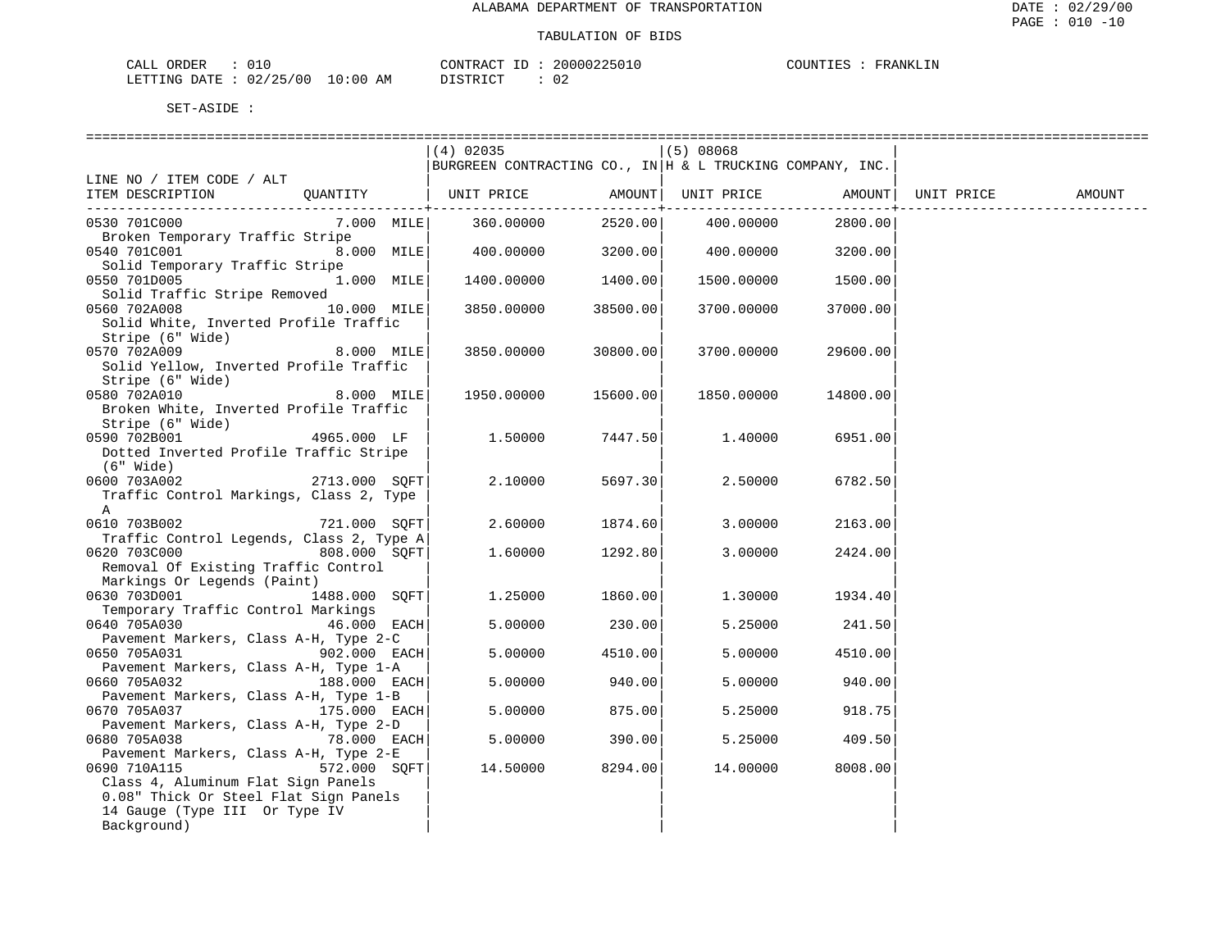| ORDER<br>CALL |            |             | CONTRACT<br>$-1$        | 20000225010 | COUNTIES | FRANKI.TN |
|---------------|------------|-------------|-------------------------|-------------|----------|-----------|
| LETTING DATE  | : 02/25/00 | 10:00<br>ΑM | T OT<br><b>DISTRICT</b> | ∪∠          |          |           |

|                                                          |               | $(4)$ 02035<br>BURGREEN CONTRACTING CO., IN $H$ & L TRUCKING COMPANY, INC. |                         | (5) 08068  |          |            |        |
|----------------------------------------------------------|---------------|----------------------------------------------------------------------------|-------------------------|------------|----------|------------|--------|
| LINE NO / ITEM CODE / ALT                                |               |                                                                            |                         |            |          |            |        |
| ITEM DESCRIPTION                                         | OUANTITY      | UNIT PRICE                                                                 | AMOUNT  <br>----------+ | UNIT PRICE | AMOUNT   | UNIT PRICE | AMOUNT |
| 0530 701C000                                             | 7.000 MILE    | 360.00000                                                                  | 2520.00                 | 400.00000  | 2800.00  |            |        |
| Broken Temporary Traffic Stripe                          |               |                                                                            |                         |            |          |            |        |
| 0540 701C001                                             | 8.000 MILE    | 400.00000                                                                  | 3200.00                 | 400.00000  | 3200.00  |            |        |
| Solid Temporary Traffic Stripe                           |               |                                                                            |                         |            |          |            |        |
| 0550 701D005                                             | 1.000 MILE    | 1400.00000                                                                 | 1400.00                 | 1500.00000 | 1500.00  |            |        |
| Solid Traffic Stripe Removed                             |               |                                                                            |                         |            |          |            |        |
| 0560 702A008<br>Solid White, Inverted Profile Traffic    | 10.000 MILE   | 3850.00000                                                                 | 38500.00                | 3700.00000 | 37000.00 |            |        |
| Stripe (6" Wide)                                         |               |                                                                            |                         |            |          |            |        |
| 0570 702A009                                             | 8.000 MILE    | 3850.00000                                                                 | 30800.00                | 3700.00000 | 29600.00 |            |        |
| Solid Yellow, Inverted Profile Traffic                   |               |                                                                            |                         |            |          |            |        |
| Stripe (6" Wide)                                         |               |                                                                            |                         |            |          |            |        |
| 0580 702A010                                             | 8.000 MILE    | 1950.00000                                                                 | 15600.00                | 1850.00000 | 14800.00 |            |        |
| Broken White, Inverted Profile Traffic                   |               |                                                                            |                         |            |          |            |        |
| Stripe (6" Wide)                                         |               |                                                                            |                         |            |          |            |        |
| 0590 702B001                                             | 4965.000 LF   | 1,50000                                                                    | 7447.50                 | 1.40000    | 6951.00  |            |        |
| Dotted Inverted Profile Traffic Stripe                   |               |                                                                            |                         |            |          |            |        |
| $(6"$ Wide)                                              |               |                                                                            |                         |            |          |            |        |
| 0600 703A002                                             | 2713.000 SOFT | 2.10000                                                                    | 5697.30                 | 2.50000    | 6782.50  |            |        |
| Traffic Control Markings, Class 2, Type                  |               |                                                                            |                         |            |          |            |        |
| $\mathbb A$                                              |               |                                                                            |                         |            |          |            |        |
| 0610 703B002                                             | 721.000 SOFT  | 2.60000                                                                    | 1874.60                 | 3.00000    | 2163.00  |            |        |
| Traffic Control Legends, Class 2, Type A<br>0620 703C000 | 808.000 SOFT  |                                                                            | 1292.80                 |            |          |            |        |
| Removal Of Existing Traffic Control                      |               | 1.60000                                                                    |                         | 3.00000    | 2424.00  |            |        |
| Markings Or Legends (Paint)                              |               |                                                                            |                         |            |          |            |        |
| 0630 703D001                                             | 1488.000 SOFT | 1.25000                                                                    | 1860.00                 | 1.30000    | 1934.40  |            |        |
| Temporary Traffic Control Markings                       |               |                                                                            |                         |            |          |            |        |
| 0640 705A030                                             | 46.000 EACH   | 5.00000                                                                    | 230.00                  | 5.25000    | 241.50   |            |        |
| Pavement Markers, Class A-H, Type 2-C                    |               |                                                                            |                         |            |          |            |        |
| 0650 705A031                                             | 902.000 EACH  | 5.00000                                                                    | 4510.00                 | 5.00000    | 4510.00  |            |        |
| Pavement Markers, Class A-H, Type 1-A                    |               |                                                                            |                         |            |          |            |        |
| 0660 705A032                                             | 188.000 EACH  | 5.00000                                                                    | 940.00                  | 5.00000    | 940.00   |            |        |
| Pavement Markers, Class A-H, Type 1-B                    |               |                                                                            |                         |            |          |            |        |
| 0670 705A037                                             | 175.000 EACH  | 5.00000                                                                    | 875.00                  | 5.25000    | 918.75   |            |        |
| Pavement Markers, Class A-H, Type 2-D                    |               |                                                                            |                         |            |          |            |        |
| 0680 705A038<br>Pavement Markers, Class A-H, Type 2-E    | 78.000 EACH   | 5.00000                                                                    | 390.00                  | 5.25000    | 409.50   |            |        |
| 0690 710A115                                             | 572.000 SOFT  | 14.50000                                                                   | 8294.00                 | 14.00000   | 8008.00  |            |        |
| Class 4, Aluminum Flat Sign Panels                       |               |                                                                            |                         |            |          |            |        |
| 0.08" Thick Or Steel Flat Sign Panels                    |               |                                                                            |                         |            |          |            |        |
| 14 Gauge (Type III Or Type IV                            |               |                                                                            |                         |            |          |            |        |
| Background)                                              |               |                                                                            |                         |            |          |            |        |
|                                                          |               |                                                                            |                         |            |          |            |        |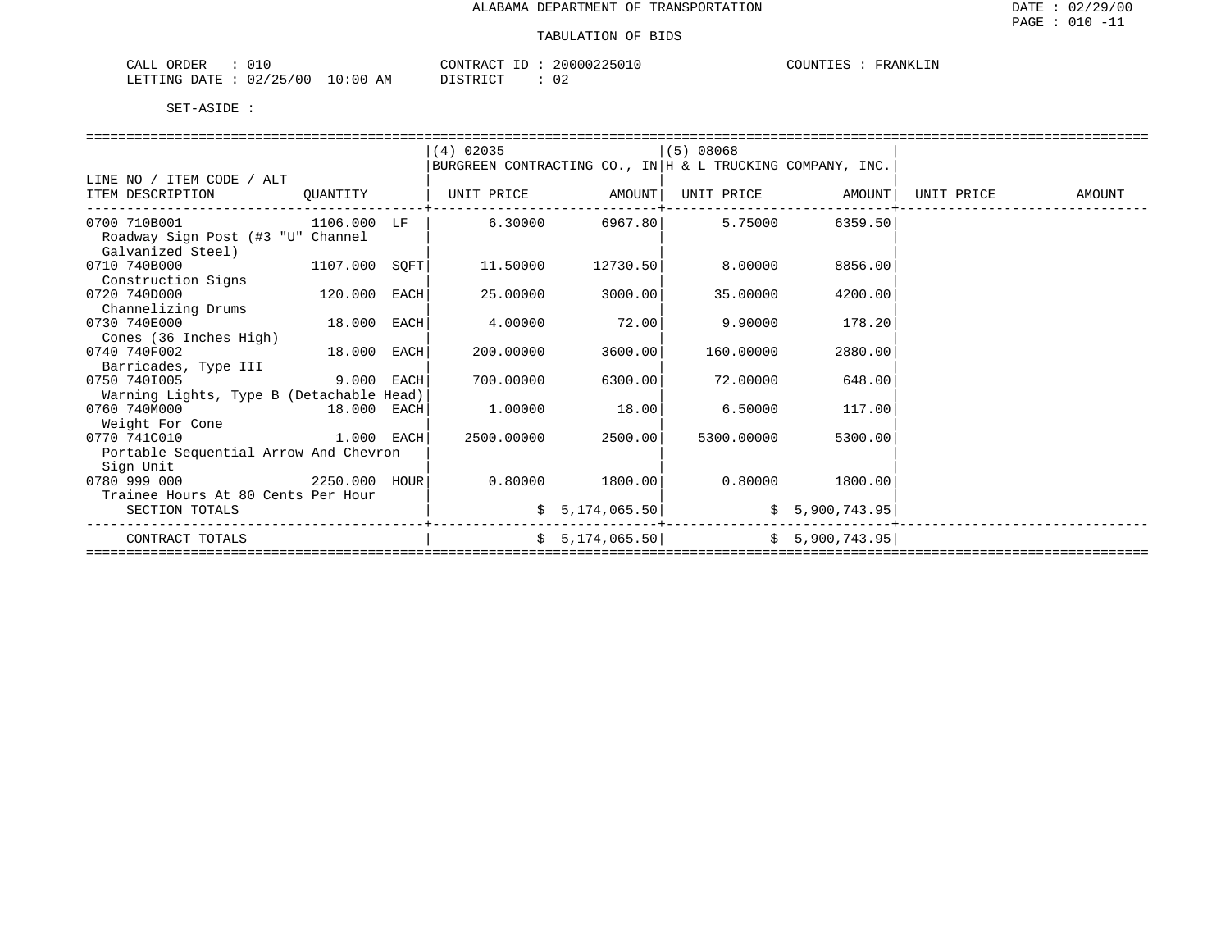|                                                         | 20000225010    |          |
|---------------------------------------------------------|----------------|----------|
| ORDER                                                   | CONTRACT       | COUNTIES |
| CALL                                                    | $- -$          | FRANKLIN |
| 02/25/00<br>10:00<br>LETTING<br>DATE.<br><i>  ⊥⊥</i> ⊥⊥ | DISTRICT<br>AM |          |

|                                          |              | $(4)$ 02035                                               |                   | $(5)$ 08068                     |                   |                            |  |
|------------------------------------------|--------------|-----------------------------------------------------------|-------------------|---------------------------------|-------------------|----------------------------|--|
|                                          |              | BURGREEN CONTRACTING CO., IN H & L TRUCKING COMPANY, INC. |                   |                                 |                   |                            |  |
| LINE NO / ITEM CODE / ALT                |              |                                                           |                   |                                 |                   |                            |  |
| ITEM DESCRIPTION                         | OUANTITY     | UNIT PRICE AMOUNT  UNIT PRICE AMOUNT                      |                   |                                 |                   | UNIT PRICE AMOUNT          |  |
|                                          |              |                                                           |                   |                                 |                   |                            |  |
| 0700 710B001                             | 1106.000 LF  |                                                           | $6.30000$ 6967.80 | 5.75000                         | 6359.50           |                            |  |
| Roadway Sign Post (#3 "U" Channel        |              |                                                           |                   |                                 |                   |                            |  |
| Galvanized Steel)                        |              |                                                           |                   |                                 |                   |                            |  |
| $1107.000$ SQFT<br>0710 740B000          |              | 11.50000                                                  | 12730.50          | 8.00000                         | 8856.00           |                            |  |
| Construction Signs                       |              |                                                           |                   |                                 |                   |                            |  |
| 0720 740D000                             | 120.000 EACH | 25.00000                                                  | 3000.00           | 35.00000                        | 4200.00           |                            |  |
| Channelizing Drums                       |              |                                                           |                   |                                 |                   |                            |  |
| 0730 740E000                             | 18.000 EACH  | 4.00000                                                   | 72.00             | 9.90000                         | 178.20            |                            |  |
| Cones (36 Inches High)                   |              |                                                           |                   |                                 |                   |                            |  |
| 0740 740F002                             | 18.000 EACH  | 200.00000                                                 | 3600.00           | 160.00000                       | 2880.00           |                            |  |
| Barricades, Type III                     |              |                                                           |                   |                                 |                   |                            |  |
| 9.000 EACH<br>0750 7401005               |              | 700.00000                                                 | 6300.00           | 72.00000                        | 648.00            |                            |  |
| Warning Lights, Type B (Detachable Head) |              |                                                           |                   |                                 |                   |                            |  |
| 0760 740M000<br>18.000 EACH              |              | 1.00000                                                   | 18.00             | 6.50000                         | 117.00            |                            |  |
| Weight For Cone                          |              |                                                           |                   |                                 |                   |                            |  |
| 1.000 EACH<br>0770 741C010               |              | 2500.00000                                                | 2500.00           | 5300.00000                      | 5300.00           |                            |  |
| Portable Sequential Arrow And Chevron    |              |                                                           |                   |                                 |                   |                            |  |
| Sign Unit                                |              |                                                           |                   |                                 |                   |                            |  |
| 2250.000 HOUR<br>0780 999 000            |              |                                                           | 0.80000 1800.00   |                                 | $0.80000$ 1800.00 |                            |  |
| Trainee Hours At 80 Cents Per Hour       |              |                                                           |                   |                                 |                   |                            |  |
| SECTION TOTALS                           |              |                                                           |                   | $\frac{1}{5}$ 5, 174, 065.50    |                   |                            |  |
| CONTRACT TOTALS                          |              |                                                           |                   | $$5,174,065.50$ $$5,900,743.95$ |                   |                            |  |
|                                          |              |                                                           |                   |                                 |                   | ========================== |  |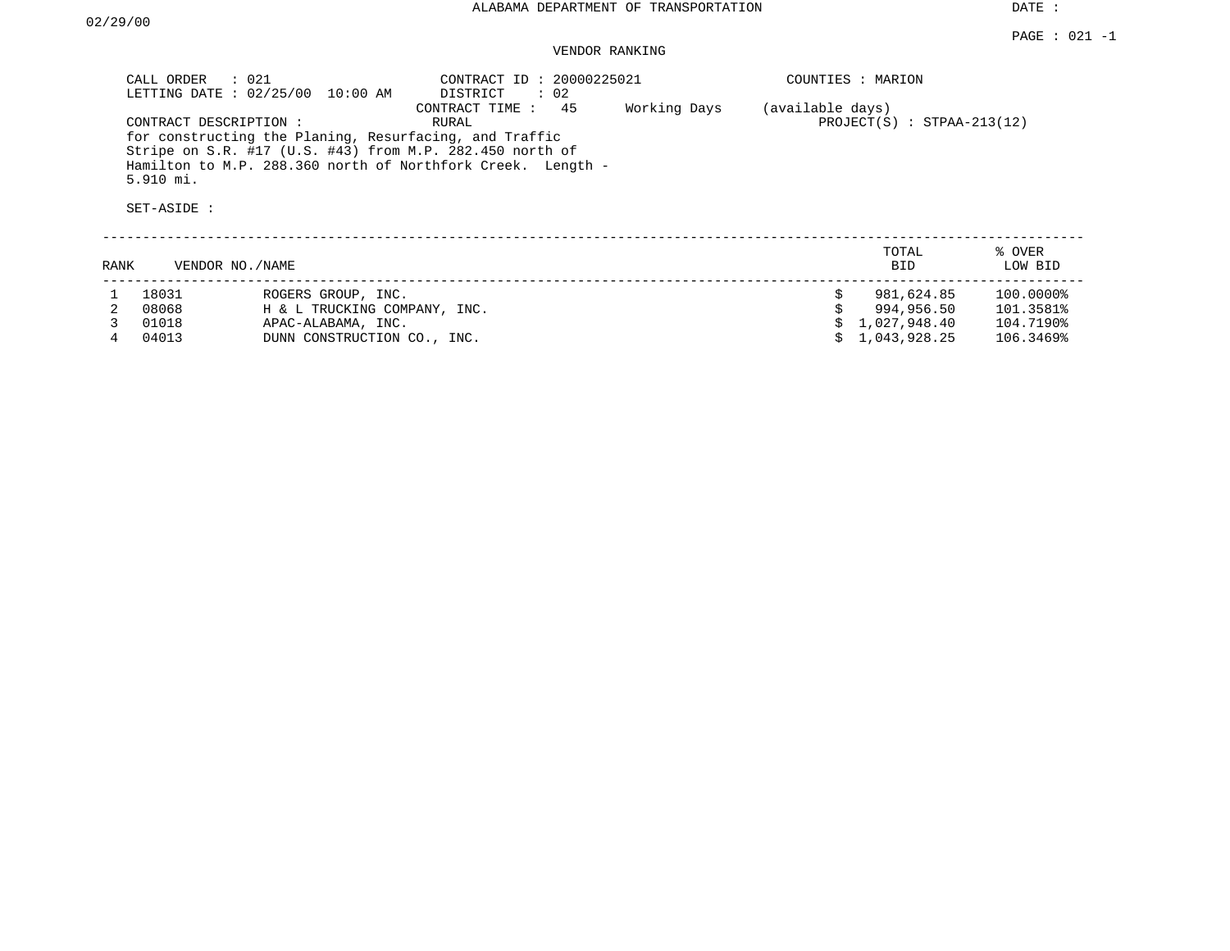DATE :

## VENDOR RANKING

|                                                                                                                                                                                                                                                                                                                | CALL ORDER : 021<br>LETTING DATE : 02/25/00 10:00 AM | CONTRACT ID: 20000225021<br>$\therefore$ 02<br>DISTRICT | COUNTIES : MARION            |
|----------------------------------------------------------------------------------------------------------------------------------------------------------------------------------------------------------------------------------------------------------------------------------------------------------------|------------------------------------------------------|---------------------------------------------------------|------------------------------|
| 45<br>Working Days<br>CONTRACT TIME :<br>(available days)<br>CONTRACT DESCRIPTION:<br>RURAL<br>for constructing the Planing, Resurfacing, and Traffic<br>Stripe on S.R. #17 (U.S. #43) from M.P. 282.450 north of<br>Hamilton to M.P. 288.360 north of Northfork Creek. Length -<br>$5.910$ mi.<br>SET-ASIDE : |                                                      |                                                         | $PROJECT(S) : STPAA-213(12)$ |

|      |                 |                              | TOTAL          | % OVER    |
|------|-----------------|------------------------------|----------------|-----------|
| RANK | VENDOR NO./NAME |                              | <b>BID</b>     | LOW BID   |
|      | 18031           | ROGERS GROUP, INC.           | 981,624.85     | 100.0000% |
|      | 08068           | H & L TRUCKING COMPANY, INC. | 994,956.50     | 101.3581% |
|      | 01018           | APAC-ALABAMA, INC.           | \$1,027,948.40 | 104.7190% |
|      | 04013           | DUNN CONSTRUCTION CO., INC.  | \$1,043,928.25 | 106.3469% |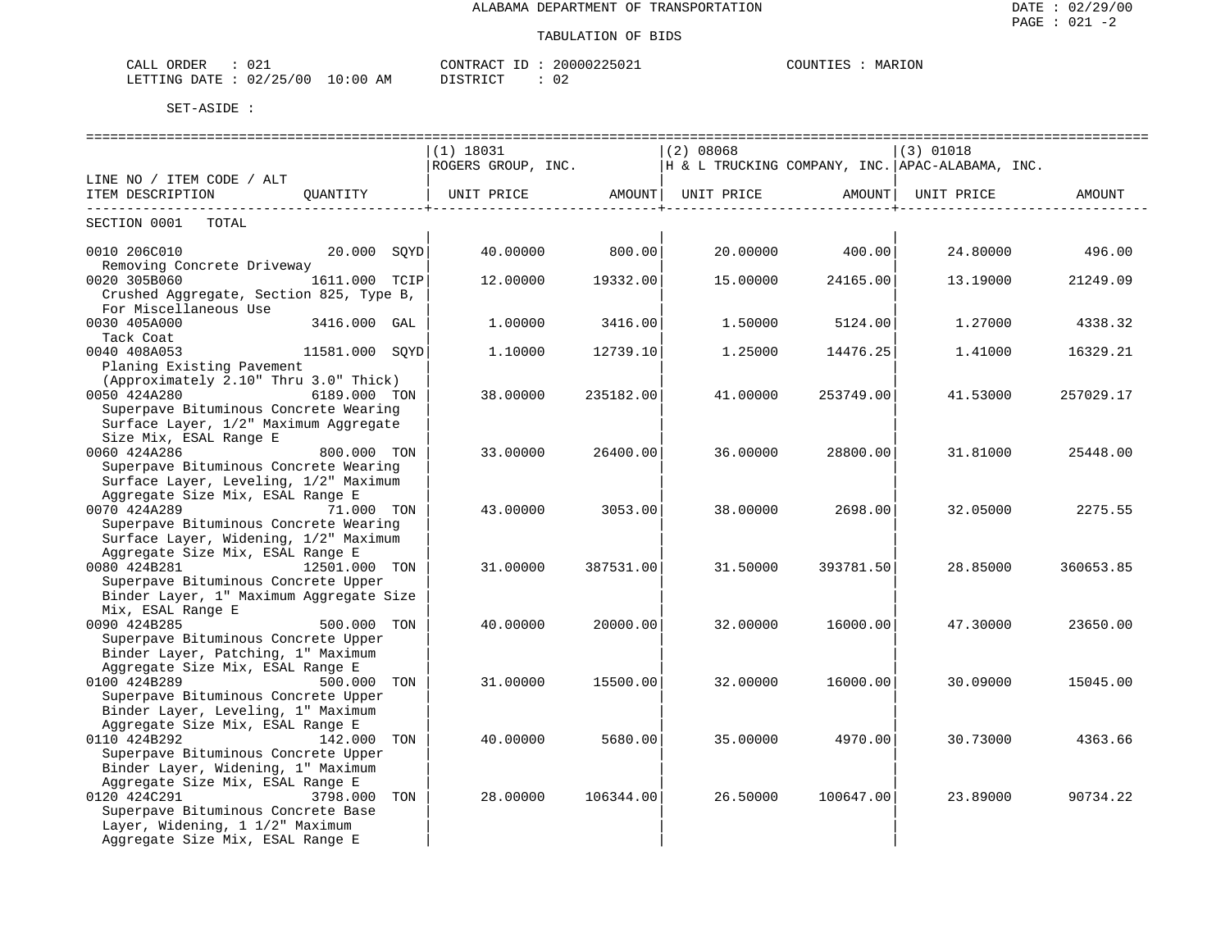| CALL ORDER                       | 021 |          | CONTRACT ID: 20000225021 | COUNTIES | MARION |
|----------------------------------|-----|----------|--------------------------|----------|--------|
| LETTING DATE : 02/25/00 10:00 AM |     | DISTRICT | -02                      |          |        |

|                                                                                                                    |               |     | $(1)$ 18031        |           | (2) 08068                                       |                               | $(3)$ 01018 |           |
|--------------------------------------------------------------------------------------------------------------------|---------------|-----|--------------------|-----------|-------------------------------------------------|-------------------------------|-------------|-----------|
|                                                                                                                    |               |     | ROGERS GROUP, INC. |           | H & L TRUCKING COMPANY, INC. APAC-ALABAMA, INC. |                               |             |           |
| LINE NO / ITEM CODE / ALT<br>ITEM DESCRIPTION                                                                      | OUANTITY      |     | UNIT PRICE         | AMOUNT    | UNIT PRICE                                      | AMOUNT<br>___________________ | UNIT PRICE  | AMOUNT    |
| SECTION 0001 TOTAL                                                                                                 |               |     |                    |           |                                                 |                               |             |           |
| 0010 206C010<br>Removing Concrete Driveway                                                                         | 20.000 SOYD   |     | 40.00000           | 800.00    | 20.00000                                        | 400.00                        | 24.80000    | 496.00    |
| 0020 305B060<br>Crushed Aggregate, Section 825, Type B,                                                            | 1611.000 TCIP |     | 12,00000           | 19332.00  | 15,00000                                        | 24165.00                      | 13.19000    | 21249.09  |
| For Miscellaneous Use<br>0030 405A000<br>Tack Coat                                                                 | 3416.000 GAL  |     | 1,00000            | 3416.00   | 1,50000                                         | 5124.00                       | 1,27000     | 4338.32   |
| 0040 408A053<br>11581.000 SQYD<br>Planing Existing Pavement                                                        |               |     | 1.10000            | 12739.10  | 1,25000                                         | 14476.25                      | 1,41000     | 16329.21  |
| (Approximately 2.10" Thru 3.0" Thick)<br>0050 424A280<br>Superpave Bituminous Concrete Wearing                     | 6189.000 TON  |     | 38.00000           | 235182.00 | 41.00000                                        | 253749.00                     | 41.53000    | 257029.17 |
| Surface Layer, 1/2" Maximum Aggregate<br>Size Mix, ESAL Range E<br>0060 424A286                                    | 800.000 TON   |     | 33.00000           | 26400.00  | 36.00000                                        | 28800.00                      | 31.81000    | 25448.00  |
| Superpave Bituminous Concrete Wearing<br>Surface Layer, Leveling, 1/2" Maximum<br>Aggregate Size Mix, ESAL Range E |               |     |                    |           |                                                 |                               |             |           |
| 0070 424A289<br>Superpave Bituminous Concrete Wearing                                                              | 71.000 TON    |     | 43.00000           | 3053.00   | 38.00000                                        | 2698.00                       | 32.05000    | 2275.55   |
| Surface Layer, Widening, 1/2" Maximum<br>Aggregate Size Mix, ESAL Range E<br>0080 424B281                          | 12501.000 TON |     | 31,00000           | 387531.00 | 31.50000                                        | 393781.50                     | 28.85000    | 360653.85 |
| Superpave Bituminous Concrete Upper<br>Binder Layer, 1" Maximum Aggregate Size                                     |               |     |                    |           |                                                 |                               |             |           |
| Mix, ESAL Range E<br>0090 424B285<br>Superpave Bituminous Concrete Upper                                           | 500.000 TON   |     | 40.00000           | 20000.00  | 32.00000                                        | 16000.00                      | 47.30000    | 23650.00  |
| Binder Layer, Patching, 1" Maximum<br>Aggregate Size Mix, ESAL Range E<br>0100 424B289                             | 500.000 TON   |     | 31,00000           | 15500.00  | 32.00000                                        | 16000.00                      | 30.09000    | 15045.00  |
| Superpave Bituminous Concrete Upper<br>Binder Layer, Leveling, 1" Maximum<br>Aggregate Size Mix, ESAL Range E      |               |     |                    |           |                                                 |                               |             |           |
| 0110 424B292<br>Superpave Bituminous Concrete Upper<br>Binder Layer, Widening, 1" Maximum                          | 142.000 TON   |     | 40.00000           | 5680.00   | 35.00000                                        | 4970.00                       | 30.73000    | 4363.66   |
| Aggregate Size Mix, ESAL Range E<br>0120 424C291<br>Superpave Bituminous Concrete Base                             | 3798.000      | TON | 28,00000           | 106344.00 | 26.50000                                        | 100647.00                     | 23.89000    | 90734.22  |
| Layer, Widening, 1 1/2" Maximum<br>Aggregate Size Mix, ESAL Range E                                                |               |     |                    |           |                                                 |                               |             |           |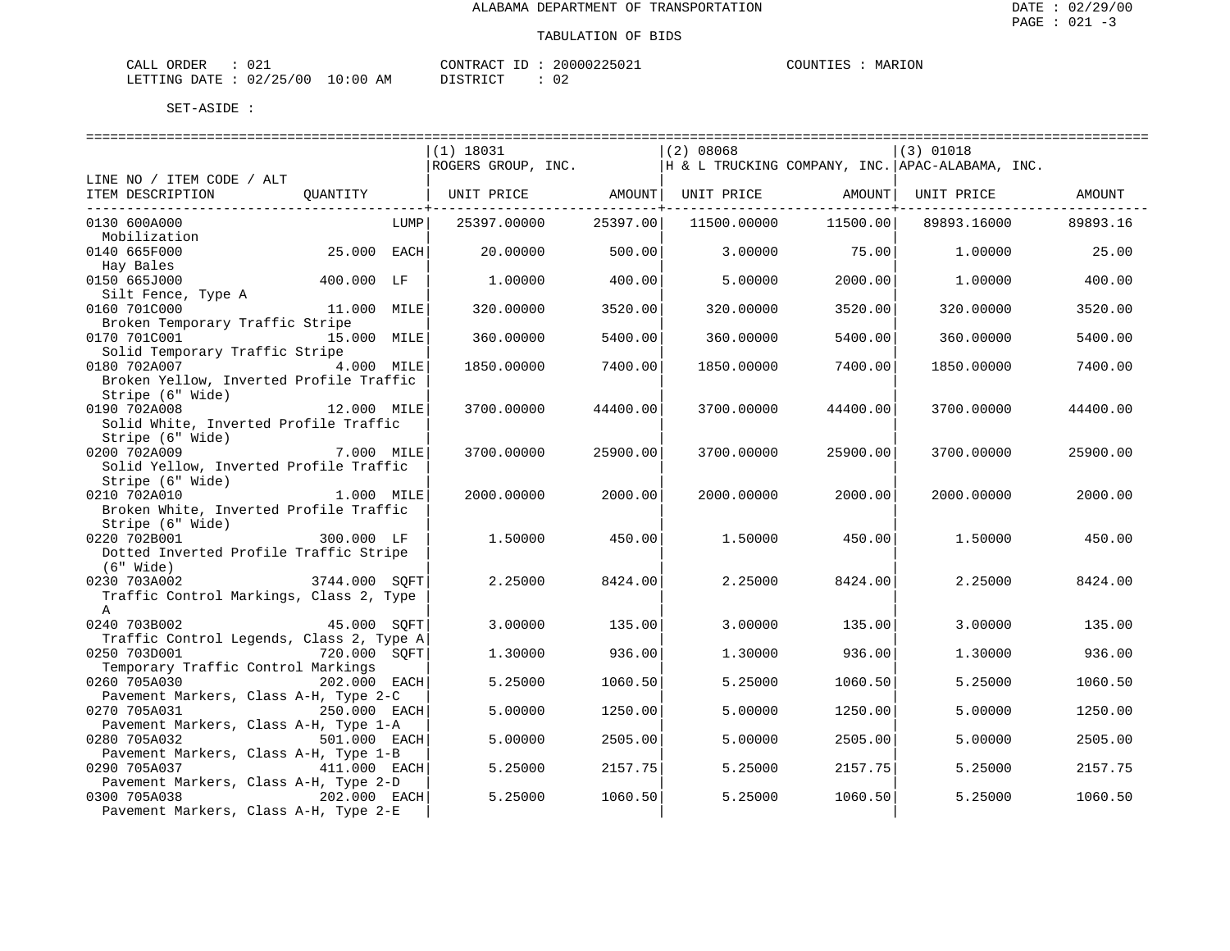| ORDER<br>CALL (        | ּ ה ה<br>∪∠⊥ |             | CONTRACT ID         | 20000225021 | COUNTIES | MARION |
|------------------------|--------------|-------------|---------------------|-------------|----------|--------|
| LETTING DATE: 02/25/00 |              | 10:00<br>AΜ | ידי איד פידי פ<br>. | 02<br>__    |          |        |

|                                          |               |      | $(1)$ 18031                                                                |          | $(2)$ 08068 |                                     | (3) 01018   |          |
|------------------------------------------|---------------|------|----------------------------------------------------------------------------|----------|-------------|-------------------------------------|-------------|----------|
|                                          |               |      | ROGERS GROUP, INC. $\vert$ H & L TRUCKING COMPANY, INC. APAC-ALABAMA, INC. |          |             |                                     |             |          |
| LINE NO / ITEM CODE / ALT                |               |      |                                                                            |          |             |                                     |             |          |
| ITEM DESCRIPTION                         | QUANTITY      |      | UNIT PRICE AMOUNT UNIT PRICE AMOUNT                                        |          |             |                                     | UNIT PRICE  | AMOUNT   |
|                                          |               |      |                                                                            |          |             | . _ _ _ _ _ _ _ _ _ _ _ _ _ _ _ _ + |             |          |
| 0130 600A000                             |               | LUMP | 25397.00000                                                                | 25397.00 | 11500.00000 | 11500.00                            | 89893.16000 | 89893.16 |
| Mobilization                             |               |      |                                                                            |          |             |                                     |             |          |
| 0140 665F000                             | 25.000 EACH   |      | 20.00000                                                                   | 500.00   | 3.00000     | 75.00                               | 1,00000     | 25.00    |
| Hay Bales                                |               |      |                                                                            |          |             |                                     |             |          |
| 400.000 LF<br>0150 665J000               |               |      | 1,00000                                                                    | 400.00   | 5,00000     | 2000.00                             | 1.00000     | 400.00   |
| Silt Fence, Type A                       |               |      |                                                                            |          |             |                                     |             |          |
| 0160 701C000                             | 11.000 MILE   |      | 320.00000                                                                  | 3520.00  | 320,00000   | 3520.00                             | 320.00000   | 3520.00  |
| Broken Temporary Traffic Stripe          |               |      |                                                                            |          |             |                                     |             |          |
| 0170 701C001                             | 15.000 MILE   |      | 360.00000                                                                  | 5400.00  | 360,00000   | 5400.00                             | 360,00000   | 5400.00  |
| Solid Temporary Traffic Stripe           |               |      |                                                                            |          |             |                                     |             |          |
| 0180 702A007 4.000 MILE                  |               |      | 1850.00000                                                                 | 7400.00  | 1850.00000  | 7400.00                             | 1850.00000  | 7400.00  |
| Broken Yellow, Inverted Profile Traffic  |               |      |                                                                            |          |             |                                     |             |          |
| Stripe (6" Wide)                         |               |      |                                                                            |          |             |                                     |             |          |
| 0190 702A008                             | 12.000 MILE   |      | 3700.00000                                                                 | 44400.00 | 3700.00000  | 44400.00                            | 3700.00000  | 44400.00 |
| Solid White, Inverted Profile Traffic    |               |      |                                                                            |          |             |                                     |             |          |
| Stripe (6" Wide)                         |               |      |                                                                            |          |             |                                     |             |          |
| 0200 702A009                             | 7.000 MILE    |      | 3700.00000                                                                 | 25900.00 | 3700.00000  | 25900.00                            | 3700.00000  | 25900.00 |
| Solid Yellow, Inverted Profile Traffic   |               |      |                                                                            |          |             |                                     |             |          |
| Stripe (6" Wide)                         |               |      |                                                                            |          |             |                                     |             |          |
| 0210 702A010                             | 1.000 MILE    |      | 2000.00000                                                                 | 2000.00  | 2000.00000  | 2000.00                             | 2000.00000  | 2000.00  |
| Broken White, Inverted Profile Traffic   |               |      |                                                                            |          |             |                                     |             |          |
| Stripe (6" Wide)                         |               |      |                                                                            |          |             |                                     |             |          |
| 0220 702B001                             | 300.000 LF    |      | 1,50000                                                                    | 450.00   | 1,50000     | 450.00                              | 1,50000     | 450.00   |
| Dotted Inverted Profile Traffic Stripe   |               |      |                                                                            |          |             |                                     |             |          |
| (6" Wide)                                |               |      |                                                                            |          |             |                                     |             |          |
| 0230 703A002                             | 3744.000 SOFT |      | 2.25000                                                                    | 8424.00  | 2.25000     | 8424.00                             | 2.25000     | 8424.00  |
| Traffic Control Markings, Class 2, Type  |               |      |                                                                            |          |             |                                     |             |          |
| $\mathbb{A}$                             |               |      |                                                                            |          |             |                                     |             |          |
| 0240 703B002                             | 45.000 SQFT   |      | 3.00000                                                                    | 135.00   | 3.00000     | 135.00                              | 3.00000     | 135.00   |
| Traffic Control Legends, Class 2, Type A |               |      |                                                                            |          |             |                                     |             |          |
| 0250 703D001                             | 720.000 SOFT  |      | 1.30000                                                                    | 936.00   | 1.30000     | 936.00                              | 1.30000     | 936.00   |
| Temporary Traffic Control Markings       |               |      |                                                                            |          |             |                                     |             |          |
| 0260 705A030                             | 202.000 EACH  |      | 5.25000                                                                    | 1060.50  | 5.25000     | 1060.50                             | 5.25000     | 1060.50  |
| Pavement Markers, Class A-H, Type 2-C    |               |      |                                                                            |          |             |                                     |             |          |
| 0270 705A031                             | 250.000 EACH  |      | 5.00000                                                                    | 1250.00  | 5.00000     | 1250.00                             | 5.00000     | 1250.00  |
| Pavement Markers, Class A-H, Type 1-A    |               |      |                                                                            |          |             |                                     |             |          |
| 501.000 EACH<br>0280 705A032             |               |      | 5.00000                                                                    | 2505.00  | 5.00000     | 2505.00                             | 5.00000     | 2505.00  |
| Pavement Markers, Class A-H, Type 1-B    |               |      |                                                                            |          |             |                                     |             |          |
| 0290 705A037                             | 411.000 EACH  |      | 5.25000                                                                    | 2157.75  | 5.25000     | 2157.75                             | 5.25000     | 2157.75  |
| Pavement Markers, Class A-H, Type 2-D    |               |      |                                                                            |          |             |                                     |             |          |
| 0300 705A038                             | 202.000 EACH  |      | 5.25000                                                                    | 1060.50  | 5.25000     | 1060.50                             | 5.25000     | 1060.50  |
| Pavement Markers, Class A-H, Type 2-E    |               |      |                                                                            |          |             |                                     |             |          |
|                                          |               |      |                                                                            |          |             |                                     |             |          |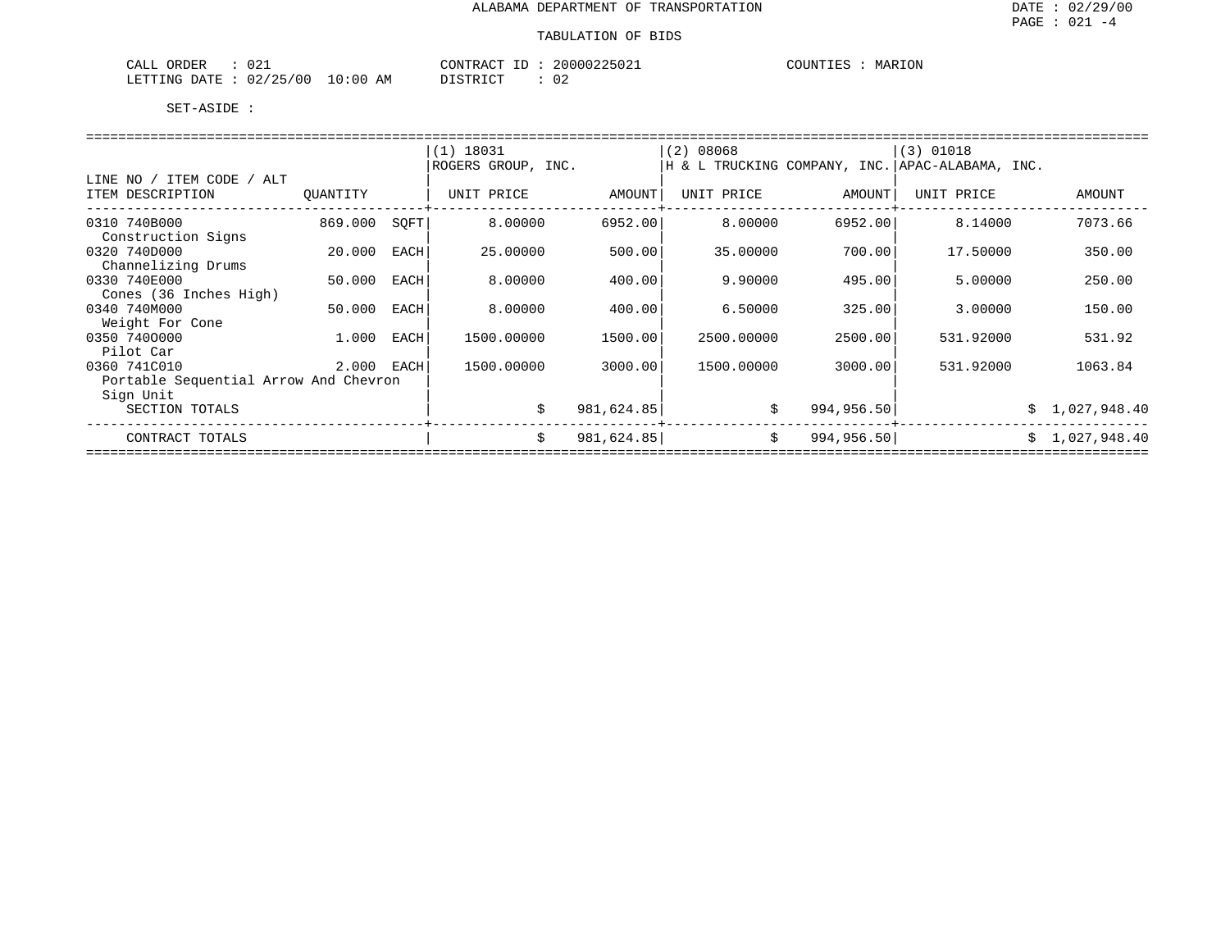### TABULATION OF BIDS

| 021<br>CALL<br>ORDER     | CONTRACT                | 20000225021<br>ΠD | COUNTIES<br>MARION |
|--------------------------|-------------------------|-------------------|--------------------|
| 02/25/00<br>LETTING DATE | 10:00<br>DISTRICT<br>AΜ | n,<br>◡▵          |                    |

|                                       |          |      | $(1)$ 18031        |            | (2) 08068  |             | $(3)$ 01018                                       |                |
|---------------------------------------|----------|------|--------------------|------------|------------|-------------|---------------------------------------------------|----------------|
|                                       |          |      | ROGERS GROUP, INC. |            |            |             | H & L TRUCKING COMPANY, INC.   APAC-ALABAMA, INC. |                |
| ITEM CODE / ALT<br>LINE NO            |          |      |                    |            |            |             |                                                   |                |
| ITEM DESCRIPTION                      | OUANTITY |      | UNIT PRICE         | AMOUNT     | UNIT PRICE | AMOUNT      | UNIT PRICE                                        | AMOUNT         |
| 0310 740B000                          | 869.000  | SOFT | 8,00000            | 6952.00    | 8,00000    | 6952.00     | 8.14000                                           | 7073.66        |
| Construction Signs                    |          |      |                    |            |            |             |                                                   |                |
| 0320 740D000                          | 20.000   | EACH | 25.00000           | 500.00     | 35.00000   | 700.00      | 17.50000                                          | 350.00         |
| Channelizing Drums                    |          |      |                    |            |            |             |                                                   |                |
| 0330 740E000                          | 50.000   | EACH | 8,00000            | 400.00     | 9.90000    | 495.00      | 5.00000                                           | 250.00         |
| Cones (36 Inches High)                |          |      |                    |            |            |             |                                                   |                |
| 0340 740M000                          | 50.000   | EACH | 8.00000            | 400.00     | 6.50000    | 325.00      | 3.00000                                           | 150.00         |
| Weight For Cone                       |          |      |                    |            |            |             |                                                   |                |
| 0350 7400000                          | 1.000    | EACH | 1500.00000         | 1500.00    | 2500.00000 | 2500.00     | 531.92000                                         | 531.92         |
| Pilot Car                             |          |      |                    |            |            |             |                                                   |                |
| 0360 741C010                          | 2.000    | EACH | 1500.00000         | 3000.00    | 1500.00000 | 3000.00     | 531.92000                                         | 1063.84        |
| Portable Sequential Arrow And Chevron |          |      |                    |            |            |             |                                                   |                |
| Sign Unit                             |          |      |                    |            |            |             |                                                   |                |
| SECTION TOTALS                        |          |      | Ŝ.                 | 981,624.85 | \$         | 994, 956.50 |                                                   | \$1,027,948.40 |
| CONTRACT TOTALS                       |          |      | \$                 | 981,624.85 | \$         | 994, 956.50 |                                                   | \$1,027,948.40 |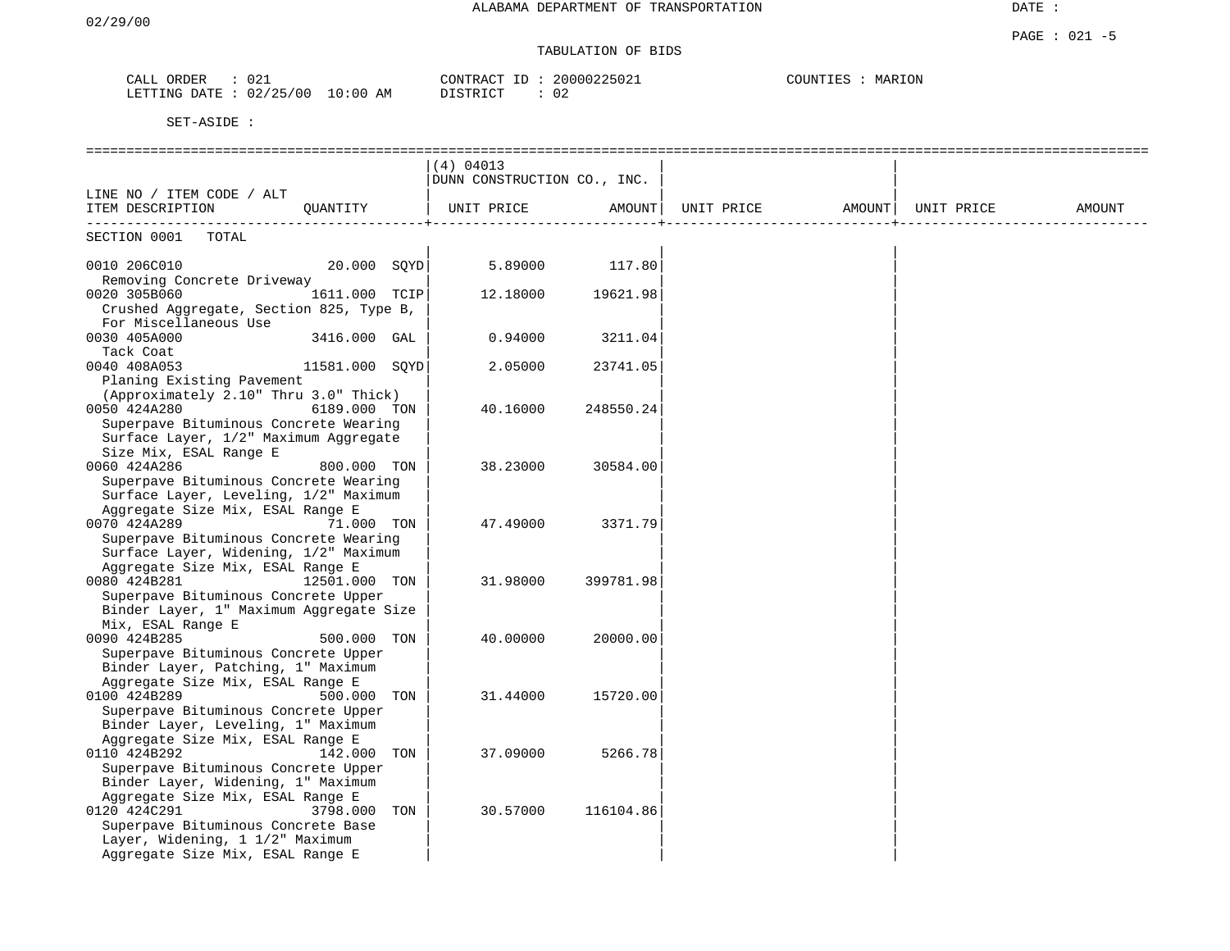# TABULATION OF BIDS

| ORDER<br>CALL          | $\cap$ $\cap$ $\cdot$<br>U 4 - | 20000225021<br>CONTRACT ID: | COUNTIES<br>MARION |
|------------------------|--------------------------------|-----------------------------|--------------------|
| LETTING DATE: 02/25/00 | $10:00$ AM                     | $\sim$<br>DISTRICT<br>∪∠    |                    |

|                                                  |                |     | (4) 04013                   |           |            |        |            |        |
|--------------------------------------------------|----------------|-----|-----------------------------|-----------|------------|--------|------------|--------|
|                                                  |                |     | DUNN CONSTRUCTION CO., INC. |           |            |        |            |        |
| LINE NO / ITEM CODE / ALT                        |                |     |                             |           |            |        |            |        |
| ITEM DESCRIPTION                                 | OUANTITY       |     | UNIT PRICE                  | AMOUNT    | UNIT PRICE | AMOUNT | UNIT PRICE | AMOUNT |
| SECTION 0001 TOTAL                               |                |     |                             |           |            |        |            |        |
|                                                  |                |     |                             |           |            |        |            |        |
| 0010 206C010<br>20.000 SOYD                      |                |     | 5.89000                     | 117.80    |            |        |            |        |
| Removing Concrete Driveway                       |                |     |                             |           |            |        |            |        |
| 0020 305B060                                     | 1611.000 TCIP  |     | 12.18000                    | 19621.98  |            |        |            |        |
| Crushed Aggregate, Section 825, Type B,          |                |     |                             |           |            |        |            |        |
| For Miscellaneous Use                            |                |     |                             |           |            |        |            |        |
| 0030 405A000                                     | 3416.000 GAL   |     | 0.94000                     | 3211.04   |            |        |            |        |
| Tack Coat                                        |                |     |                             |           |            |        |            |        |
| 0040 408A053                                     | 11581.000 SQYD |     | 2.05000                     | 23741.05  |            |        |            |        |
| Planing Existing Pavement                        |                |     |                             |           |            |        |            |        |
| (Approximately 2.10" Thru 3.0" Thick)            |                |     |                             |           |            |        |            |        |
| 0050 424A280                                     | 6189.000 TON   |     | 40.16000                    | 248550.24 |            |        |            |        |
| Superpave Bituminous Concrete Wearing            |                |     |                             |           |            |        |            |        |
| Surface Layer, 1/2" Maximum Aggregate            |                |     |                             |           |            |        |            |        |
| Size Mix, ESAL Range E                           |                |     |                             |           |            |        |            |        |
| 0060 424A286                                     | 800.000 TON    |     | 38.23000                    | 30584.00  |            |        |            |        |
| Superpave Bituminous Concrete Wearing            |                |     |                             |           |            |        |            |        |
| Surface Layer, Leveling, 1/2" Maximum            |                |     |                             |           |            |        |            |        |
| Aggregate Size Mix, ESAL Range E                 |                |     |                             |           |            |        |            |        |
| 0070 424A289                                     | 71.000 TON     |     | 47.49000                    | 3371.79   |            |        |            |        |
| Superpave Bituminous Concrete Wearing            |                |     |                             |           |            |        |            |        |
| Surface Layer, Widening, 1/2" Maximum            |                |     |                             |           |            |        |            |        |
| Aggregate Size Mix, ESAL Range E                 |                |     |                             |           |            |        |            |        |
| 0080 424B281                                     | 12501.000 TON  |     | 31.98000                    | 399781.98 |            |        |            |        |
| Superpave Bituminous Concrete Upper              |                |     |                             |           |            |        |            |        |
| Binder Layer, 1" Maximum Aggregate Size          |                |     |                             |           |            |        |            |        |
| Mix, ESAL Range E                                |                |     |                             |           |            |        |            |        |
| 0090 424B285                                     | 500.000 TON    |     | 40.00000                    | 20000.00  |            |        |            |        |
| Superpave Bituminous Concrete Upper              |                |     |                             |           |            |        |            |        |
| Binder Layer, Patching, 1" Maximum               |                |     |                             |           |            |        |            |        |
| Aggregate Size Mix, ESAL Range E                 |                |     |                             |           |            |        |            |        |
| 0100 424B289                                     | 500.000 TON    |     | 31.44000                    | 15720.00  |            |        |            |        |
| Superpave Bituminous Concrete Upper              |                |     |                             |           |            |        |            |        |
| Binder Layer, Leveling, 1" Maximum               |                |     |                             |           |            |        |            |        |
| Aggregate Size Mix, ESAL Range E                 |                |     |                             |           |            |        |            |        |
| 0110 424B292                                     | 142.000 TON    |     | 37.09000                    | 5266.78   |            |        |            |        |
| Superpave Bituminous Concrete Upper              |                |     |                             |           |            |        |            |        |
| Binder Layer, Widening, 1" Maximum               |                |     |                             |           |            |        |            |        |
| Aggregate Size Mix, ESAL Range E<br>0120 424C291 | 3798.000       | TON | 30.57000                    | 116104.86 |            |        |            |        |
| Superpave Bituminous Concrete Base               |                |     |                             |           |            |        |            |        |
| Layer, Widening, 1 1/2" Maximum                  |                |     |                             |           |            |        |            |        |
| Aggregate Size Mix, ESAL Range E                 |                |     |                             |           |            |        |            |        |
|                                                  |                |     |                             |           |            |        |            |        |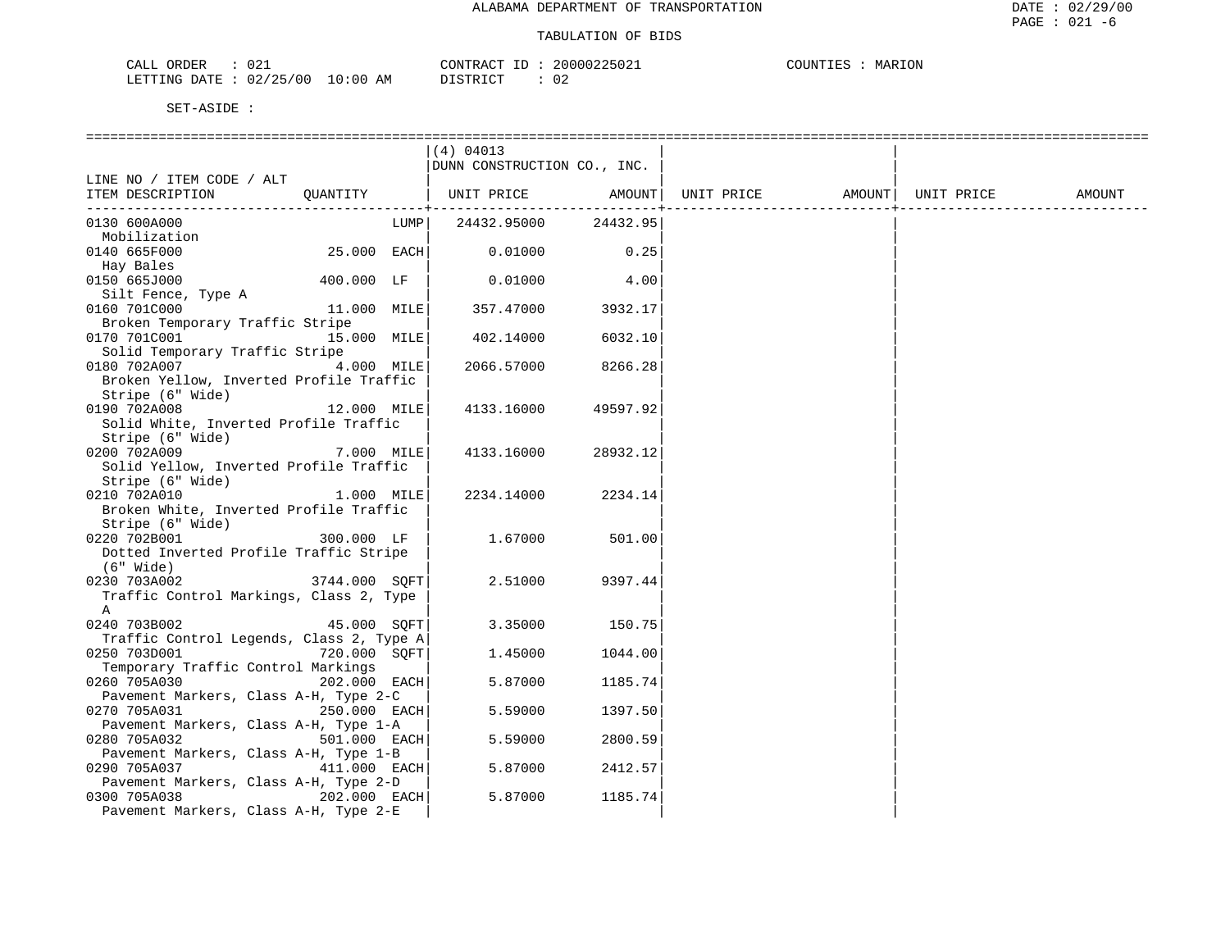| $\sim$<br>CALL<br>ORDER<br>- U 4 + |          | CONTRACT ID | 20000225021  | COUNTIES<br>MARION |
|------------------------------------|----------|-------------|--------------|--------------------|
| 02/25/00<br>LETTING DATE           | 10:00 AM | DISTRICT    | $\cap$<br>∪∠ |                    |

|                                                          |              |      | (4) 04013                   |          |            |                    |        |
|----------------------------------------------------------|--------------|------|-----------------------------|----------|------------|--------------------|--------|
|                                                          |              |      | DUNN CONSTRUCTION CO., INC. |          |            |                    |        |
| LINE NO / ITEM CODE / ALT<br>ITEM DESCRIPTION            | OUANTITY     |      | UNIT PRICE AMOUNT           |          | UNIT PRICE | AMOUNT  UNIT PRICE | AMOUNT |
|                                                          |              |      |                             |          |            |                    |        |
| 0130 600A000                                             |              | LUMP | 24432.95000                 | 24432.95 |            |                    |        |
| Mobilization                                             |              |      |                             |          |            |                    |        |
| 0140 665F000                                             | 25.000 EACH  |      | 0.01000                     | 0.25     |            |                    |        |
| Hay Bales                                                |              |      |                             |          |            |                    |        |
| 0150 665J000                                             | 400.000 LF   |      | 0.01000                     | 4.00     |            |                    |        |
| Silt Fence, Type A                                       |              |      |                             |          |            |                    |        |
| 0160 701C000                                             | 11.000 MILE  |      | 357.47000                   | 3932.17  |            |                    |        |
| Broken Temporary Traffic Stripe<br>0170 701C001          | 15.000 MILE  |      | 402.14000                   | 6032.10  |            |                    |        |
| Solid Temporary Traffic Stripe                           |              |      |                             |          |            |                    |        |
| 0180 702A007                                             | 4.000 MILE   |      | 2066.57000                  | 8266.28  |            |                    |        |
| Broken Yellow, Inverted Profile Traffic                  |              |      |                             |          |            |                    |        |
| Stripe (6" Wide)                                         |              |      |                             |          |            |                    |        |
| 0190 702A008                                             | 12.000 MILE  |      | 4133.16000                  | 49597.92 |            |                    |        |
| Solid White, Inverted Profile Traffic                    |              |      |                             |          |            |                    |        |
| Stripe (6" Wide)                                         |              |      |                             |          |            |                    |        |
| 0200 702A009                                             | 7.000 MILE   |      | 4133.16000                  | 28932.12 |            |                    |        |
| Solid Yellow, Inverted Profile Traffic                   |              |      |                             |          |            |                    |        |
| Stripe (6" Wide)<br>0210 702A010                         | 1.000 MILE   |      | 2234.14000                  | 2234.14  |            |                    |        |
| Broken White, Inverted Profile Traffic                   |              |      |                             |          |            |                    |        |
| Stripe (6" Wide)                                         |              |      |                             |          |            |                    |        |
| 0220 702B001                                             | 300.000 LF   |      | 1.67000                     | 501.00   |            |                    |        |
| Dotted Inverted Profile Traffic Stripe                   |              |      |                             |          |            |                    |        |
| $(6"$ Wide)                                              |              |      |                             |          |            |                    |        |
| 3744.000 SQFT<br>0230 703A002                            |              |      | 2.51000                     | 9397.44  |            |                    |        |
| Traffic Control Markings, Class 2, Type                  |              |      |                             |          |            |                    |        |
| A                                                        |              |      |                             |          |            |                    |        |
| 0240 703B002                                             | 45.000 SOFT  |      | 3.35000                     | 150.75   |            |                    |        |
| Traffic Control Legends, Class 2, Type A<br>0250 703D001 | 720.000 SOFT |      | 1.45000                     | 1044.00  |            |                    |        |
| Temporary Traffic Control Markings                       |              |      |                             |          |            |                    |        |
| 0260 705A030                                             | 202.000 EACH |      | 5.87000                     | 1185.74  |            |                    |        |
| Pavement Markers, Class A-H, Type 2-C                    |              |      |                             |          |            |                    |        |
| 0270 705A031<br>250.000 EACH                             |              |      | 5.59000                     | 1397.50  |            |                    |        |
| Pavement Markers, Class A-H, Type 1-A                    |              |      |                             |          |            |                    |        |
| 0280 705A032                                             | 501.000 EACH |      | 5.59000                     | 2800.59  |            |                    |        |
| Pavement Markers, Class A-H, Type 1-B                    |              |      |                             |          |            |                    |        |
| 0290 705A037                                             | 411.000 EACH |      | 5.87000                     | 2412.57  |            |                    |        |
| Pavement Markers, Class A-H, Type 2-D                    |              |      |                             |          |            |                    |        |
| 0300 705A038                                             | 202.000 EACH |      | 5.87000                     | 1185.74  |            |                    |        |
| Pavement Markers, Class A-H, Type 2-E                    |              |      |                             |          |            |                    |        |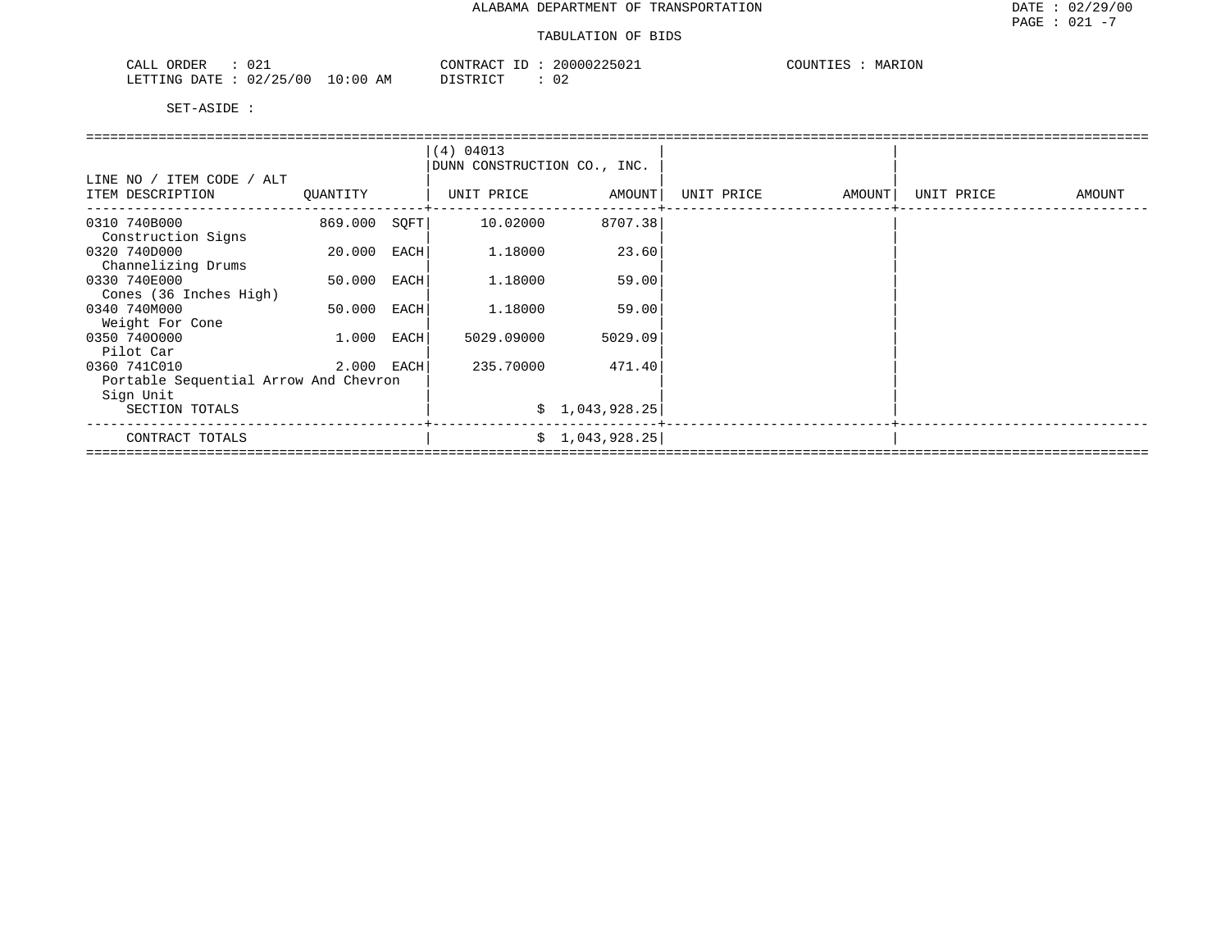| $n \cdot$<br>)RDER<br>۰Δ.<br>りムエ<br>للسمات                                       | 20000225021<br>ONTRAL.<br>___ | COUNTIT<br>MARION |
|----------------------------------------------------------------------------------|-------------------------------|-------------------|
| /25/00<br>0:00<br>$mm+17$<br>DATE.<br>TE.L.L.TM<br>$\sim 1516 -$<br>U 41<br>ر ہے | ገ ደጥ በጣ<br>AΜ<br>◡▵           |                   |

|                                              |             |      | (4) 04013<br>DUNN CONSTRUCTION CO., INC. |                |            |        |            |        |  |  |  |  |
|----------------------------------------------|-------------|------|------------------------------------------|----------------|------------|--------|------------|--------|--|--|--|--|
| LINE NO / ITEM CODE / ALT                    |             |      |                                          |                |            |        |            |        |  |  |  |  |
| ITEM DESCRIPTION                             | QUANTITY    |      | UNIT PRICE                               | AMOUNT         | UNIT PRICE | AMOUNT | UNIT PRICE | AMOUNT |  |  |  |  |
| 0310 740B000<br>Construction Signs           | 869.000     | SQFT | 10.02000                                 | 8707.38        |            |        |            |        |  |  |  |  |
| 0320 740D000<br>Channelizing Drums           | 20.000      | EACH | 1.18000                                  | 23.60          |            |        |            |        |  |  |  |  |
| 0330 740E000<br>Cones (36 Inches High)       | 50.000      | EACH | 1.18000                                  | 59.00          |            |        |            |        |  |  |  |  |
| 0340 740M000                                 | 50.000 EACH |      | 1.18000                                  | 59.00          |            |        |            |        |  |  |  |  |
| Weight For Cone<br>0350 7400000<br>Pilot Car | 1.000       | EACH | 5029.09000                               | 5029.09        |            |        |            |        |  |  |  |  |
| 0360 741C010                                 | 2.000 EACH  |      | 235.70000                                | 471.40         |            |        |            |        |  |  |  |  |
| Portable Sequential Arrow And Chevron        |             |      |                                          |                |            |        |            |        |  |  |  |  |
| Sign Unit                                    |             |      |                                          |                |            |        |            |        |  |  |  |  |
| SECTION TOTALS                               |             |      |                                          | \$1,043,928.25 |            |        |            |        |  |  |  |  |
| CONTRACT TOTALS                              |             |      |                                          | \$1,043,928.25 |            |        |            |        |  |  |  |  |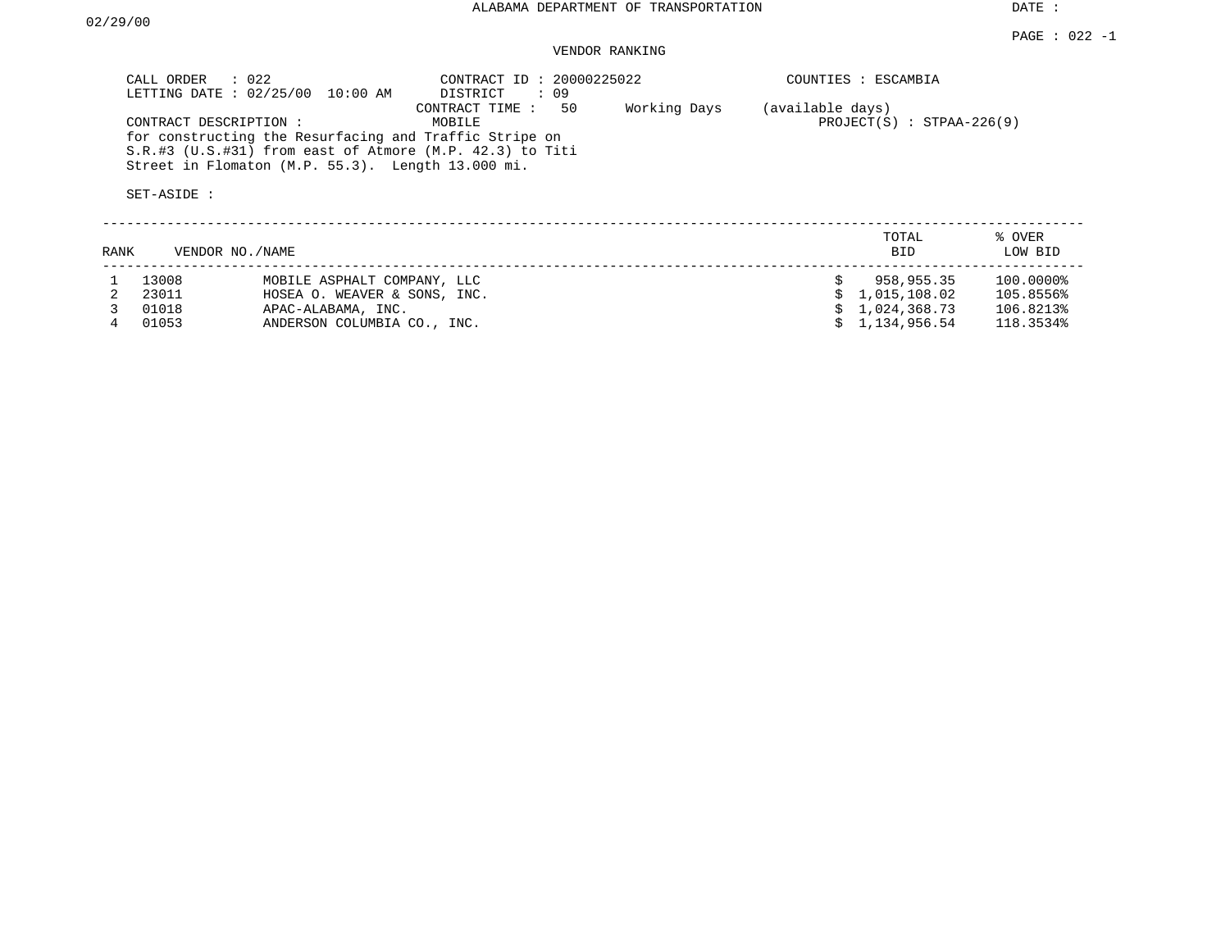## VENDOR RANKING

|      | CALL ORDER<br>$\therefore$ 022<br>LETTING DATE : 02/25/00 | 10:00 AM                                                                                                    | CONTRACT ID: 20000225022<br>DISTRICT<br>: 09                                                  |              |                  | COUNTIES : ESCAMBIA         |                   |
|------|-----------------------------------------------------------|-------------------------------------------------------------------------------------------------------------|-----------------------------------------------------------------------------------------------|--------------|------------------|-----------------------------|-------------------|
|      | CONTRACT DESCRIPTION :<br>SET-ASIDE :                     | for constructing the Resurfacing and Traffic Stripe on<br>Street in Flomaton (M.P. 55.3). Length 13.000 mi. | 50<br>CONTRACT TIME:<br>MOBILE<br>$S.R.$ #3 (U.S.#31) from east of Atmore (M.P. 42.3) to Titi | Working Days | (available days) | $PROJECT(S) : STPAA-226(9)$ |                   |
| RANK | VENDOR NO./NAME                                           |                                                                                                             |                                                                                               |              |                  | TOTAL<br><b>BID</b>         | % OVER<br>LOW BID |
|      | 13008                                                     | MOBILE ASPHALT COMPANY, LLC                                                                                 |                                                                                               |              |                  | 958,955.35                  | 100.0000%         |
|      | 23011                                                     | HOSEA O. WEAVER & SONS, INC.                                                                                |                                                                                               |              |                  | 1,015,108.02                | 105.8556%         |
|      | 01018                                                     | APAC-ALABAMA, INC.                                                                                          |                                                                                               |              |                  | 1,024,368.73                | 106.8213%         |
|      | 01053                                                     | ANDERSON COLUMBIA CO., INC.                                                                                 |                                                                                               |              |                  | 1,134,956.54                | 118.3534%         |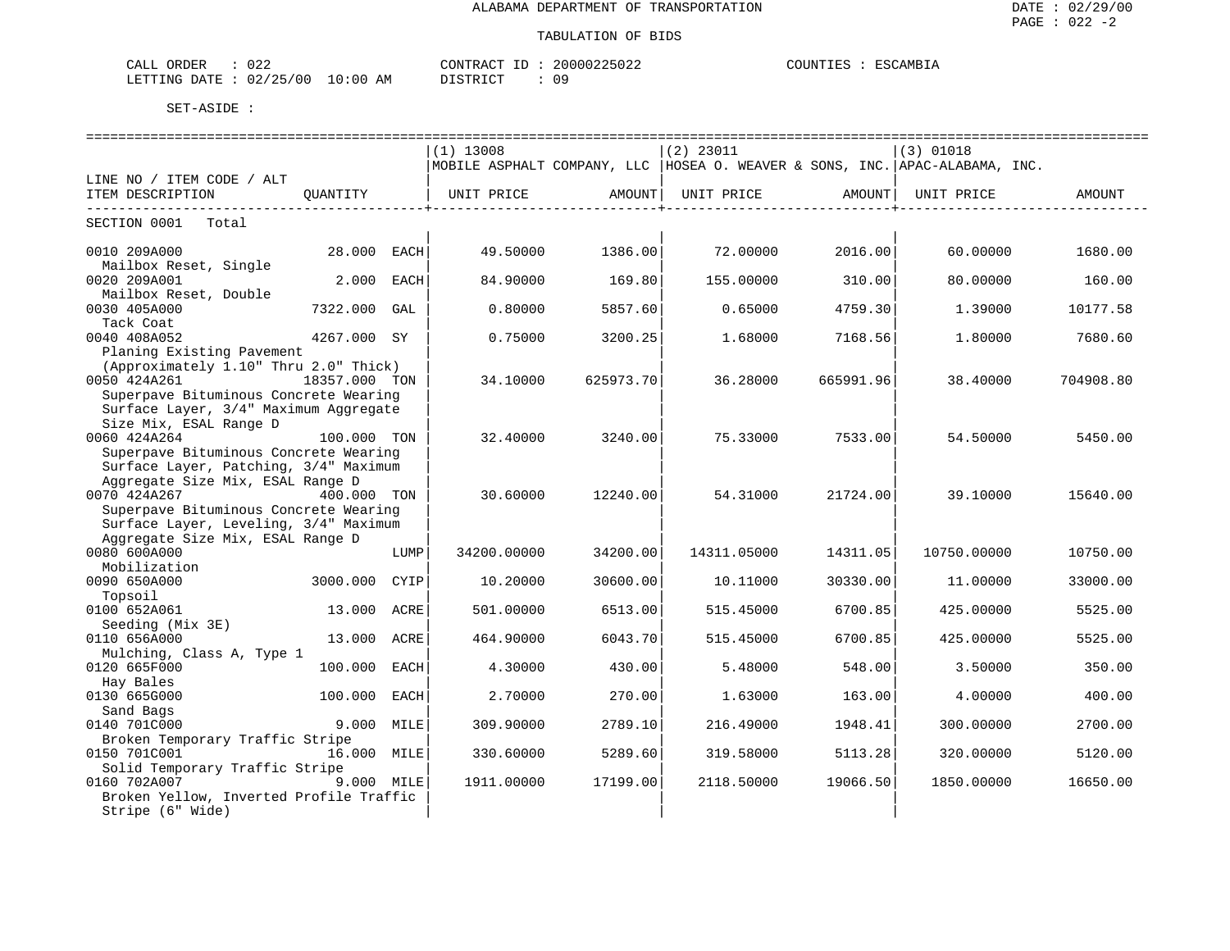#### TABULATION OF BIDS

| $\sim$ $ -$<br>ORDER<br>- ابلا <i>ك</i> | $\sim$ $\sim$ $\sim$<br>- 022 |                  | CONTRACT<br>$-1$ | 00225<br>200<br>$\cup$ $\sim$ | .)UN''<br>工馬ご | ESC<br>$\sim$ AMB <sub>1</sub> . |
|-----------------------------------------|-------------------------------|------------------|------------------|-------------------------------|---------------|----------------------------------|
| LETTING<br><b>DATE</b>                  | $\sqrt{2}$<br>'つに<br>02<br>UU | AΜ<br>:0∟<br>— ∪ | TAT<br>חידים דרו | ΟS                            |               |                                  |

|                                         |               |      | ===============================                                               |           | ============================== |           |             | ================================== |
|-----------------------------------------|---------------|------|-------------------------------------------------------------------------------|-----------|--------------------------------|-----------|-------------|------------------------------------|
|                                         |               |      | $(1)$ 13008                                                                   |           | $(2)$ 23011                    |           | (3) 01018   |                                    |
|                                         |               |      | MOBILE ASPHALT COMPANY, LLC  HOSEA O. WEAVER & SONS, INC.  APAC-ALABAMA, INC. |           |                                |           |             |                                    |
| LINE NO / ITEM CODE / ALT               |               |      |                                                                               |           |                                |           |             |                                    |
| ITEM DESCRIPTION                        | OUANTITY      |      | UNIT PRICE                                                                    | AMOUNT    | UNIT PRICE                     | AMOUNT    | UNIT PRICE  | AMOUNT                             |
| -------------------------               |               |      |                                                                               |           |                                |           |             |                                    |
| SECTION 0001 Total                      |               |      |                                                                               |           |                                |           |             |                                    |
|                                         |               |      |                                                                               |           |                                |           |             |                                    |
| 0010 209A000                            | 28.000 EACH   |      | 49.50000                                                                      | 1386.00   | 72.00000                       | 2016.00   | 60.00000    | 1680.00                            |
| Mailbox Reset, Single                   |               |      |                                                                               |           |                                |           |             |                                    |
| 0020 209A001                            | 2.000 EACH    |      | 84.90000                                                                      | 169.80    | 155.00000                      | 310.00    | 80.00000    | 160.00                             |
| Mailbox Reset, Double                   |               |      |                                                                               |           |                                |           |             |                                    |
| 0030 405A000                            | 7322.000 GAL  |      | 0.80000                                                                       | 5857.60   | 0.65000                        | 4759.30   | 1,39000     | 10177.58                           |
| Tack Coat                               |               |      |                                                                               |           |                                |           |             |                                    |
| 0040 408A052                            | 4267.000 SY   |      | 0.75000                                                                       | 3200.25   | 1.68000                        | 7168.56   | 1,80000     | 7680.60                            |
| Planing Existing Pavement               |               |      |                                                                               |           |                                |           |             |                                    |
| (Approximately 1.10" Thru 2.0" Thick)   |               |      |                                                                               |           |                                |           |             |                                    |
| 0050 424A261                            | 18357.000 TON |      | 34.10000                                                                      | 625973.70 | 36.28000                       | 665991.96 | 38.40000    | 704908.80                          |
| Superpave Bituminous Concrete Wearing   |               |      |                                                                               |           |                                |           |             |                                    |
| Surface Layer, 3/4" Maximum Aggregate   |               |      |                                                                               |           |                                |           |             |                                    |
| Size Mix, ESAL Range D                  |               |      |                                                                               |           |                                |           |             |                                    |
| 0060 424A264                            | 100.000 TON   |      | 32.40000                                                                      | 3240.00   | 75.33000                       | 7533.00   | 54.50000    | 5450.00                            |
| Superpave Bituminous Concrete Wearing   |               |      |                                                                               |           |                                |           |             |                                    |
| Surface Layer, Patching, 3/4" Maximum   |               |      |                                                                               |           |                                |           |             |                                    |
| Aggregate Size Mix, ESAL Range D        |               |      |                                                                               |           |                                |           |             |                                    |
| 0070 424A267                            | 400.000 TON   |      | 30.60000                                                                      | 12240.00  | 54.31000                       | 21724.00  | 39.10000    | 15640.00                           |
| Superpave Bituminous Concrete Wearing   |               |      |                                                                               |           |                                |           |             |                                    |
| Surface Layer, Leveling, 3/4" Maximum   |               |      |                                                                               |           |                                |           |             |                                    |
| Aggregate Size Mix, ESAL Range D        |               |      |                                                                               |           |                                |           |             |                                    |
| 0080 600A000                            |               | LUMP | 34200.00000                                                                   | 34200.00  | 14311.05000                    | 14311.05  | 10750.00000 | 10750.00                           |
| Mobilization                            |               |      |                                                                               |           |                                |           |             |                                    |
| 0090 650A000                            | 3000.000      | CYIP | 10.20000                                                                      | 30600.00  | 10.11000                       | 30330.00  | 11.00000    | 33000.00                           |
| Topsoil                                 |               |      |                                                                               |           |                                |           |             |                                    |
| 0100 652A061                            | 13.000        | ACRE | 501,00000                                                                     | 6513.00   | 515.45000                      | 6700.85   | 425.00000   | 5525.00                            |
| Seeding (Mix 3E)                        |               |      |                                                                               |           |                                |           |             |                                    |
| 0110 656A000                            | 13.000 ACRE   |      | 464.90000                                                                     | 6043.70   | 515.45000                      | 6700.85   | 425.00000   | 5525.00                            |
| Mulching, Class A, Type 1               |               |      |                                                                               |           |                                |           |             |                                    |
| 0120 665F000                            | 100.000 EACH  |      | 4.30000                                                                       | 430.00    | 5.48000                        | 548.00    | 3.50000     | 350.00                             |
| Hay Bales                               |               |      |                                                                               |           |                                |           |             |                                    |
| 0130 665G000                            | 100.000 EACH  |      | 2.70000                                                                       | 270.00    | 1.63000                        | 163.00    | 4.00000     | 400.00                             |
| Sand Bags                               |               |      |                                                                               |           |                                |           |             |                                    |
| 0140 701C000                            | 9.000 MILE    |      | 309.90000                                                                     | 2789.10   | 216.49000                      | 1948.41   | 300.00000   | 2700.00                            |
| Broken Temporary Traffic Stripe         |               |      |                                                                               |           |                                |           |             |                                    |
| 0150 701C001                            | 16.000 MILE   |      | 330.60000                                                                     | 5289.60   | 319.58000                      | 5113.28   | 320.00000   | 5120.00                            |
| Solid Temporary Traffic Stripe          |               |      |                                                                               |           |                                |           |             |                                    |
| 0160 702A007                            | 9.000 MILE    |      | 1911.00000                                                                    | 17199.00  | 2118.50000                     | 19066.50  | 1850.00000  | 16650.00                           |
| Broken Yellow, Inverted Profile Traffic |               |      |                                                                               |           |                                |           |             |                                    |
| Stripe (6" Wide)                        |               |      |                                                                               |           |                                |           |             |                                    |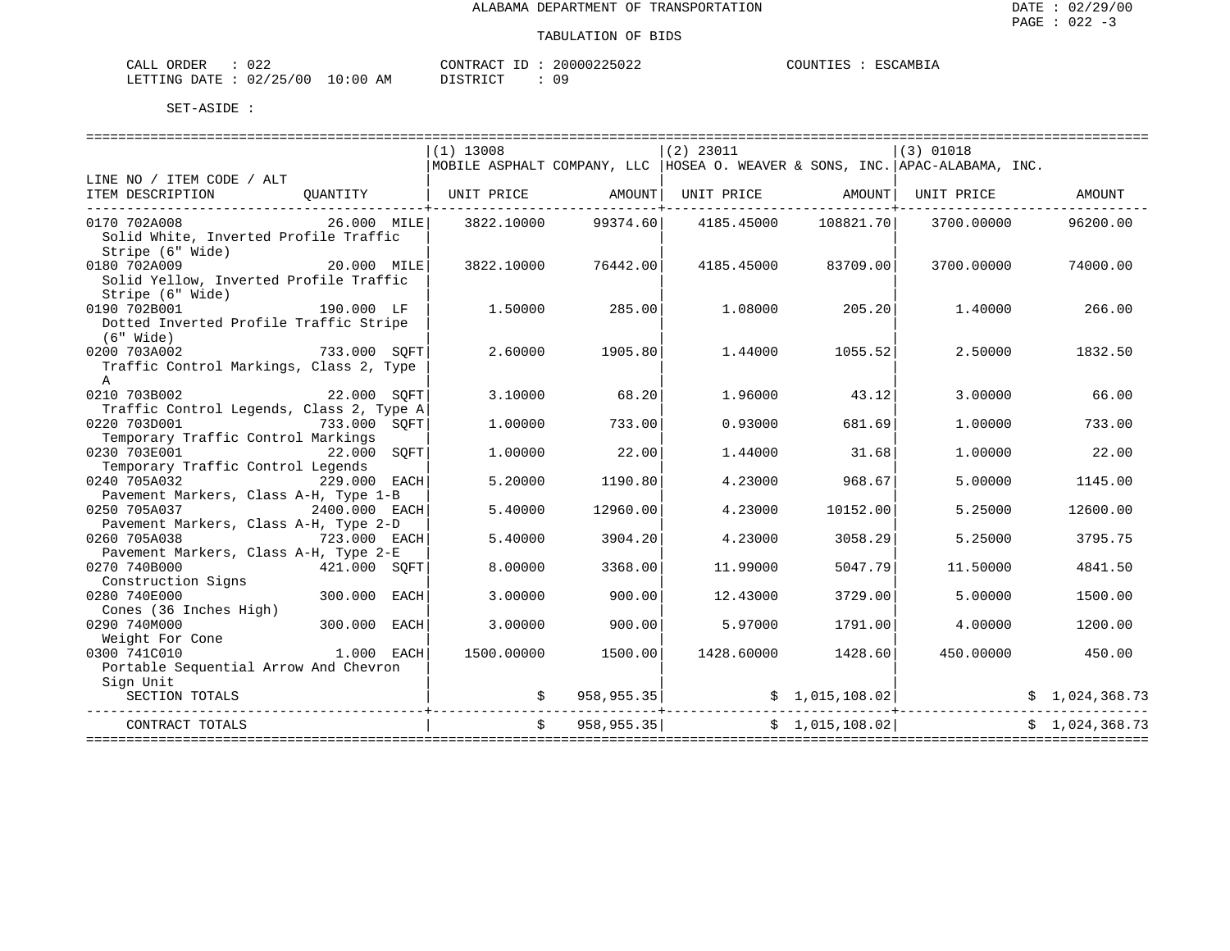| CALL ORDER                      | 022 |          |  | CONTRACT ID: 20000225022 | COUNTIES : ESCAMBIA |  |
|---------------------------------|-----|----------|--|--------------------------|---------------------|--|
| LETTING DATE: 02/25/00 10:00 AM |     | DISTRICT |  | 09                       |                     |  |

|                                                                                             |              | $(1)$ 13008 |              | $(2)$ 23011                                                                   |                    | $(3)$ 01018 |                |
|---------------------------------------------------------------------------------------------|--------------|-------------|--------------|-------------------------------------------------------------------------------|--------------------|-------------|----------------|
|                                                                                             |              |             |              | MOBILE ASPHALT COMPANY, LLC  HOSEA O. WEAVER & SONS, INC.  APAC-ALABAMA, INC. |                    |             |                |
| LINE NO / ITEM CODE / ALT                                                                   |              |             |              |                                                                               |                    |             |                |
| ITEM DESCRIPTION                                                                            |              |             |              | QUANTITY   UNIT PRICE     AMOUNT  UNIT PRICE     AMOUNT  UNIT PRICE           |                    |             | AMOUNT         |
| 0170 702A008<br>Solid White, Inverted Profile Traffic                                       | 26.000 MILE  | 3822.10000  |              | 99374.60 4185.45000 108821.70                                                 |                    | 3700.00000  | 96200.00       |
| Stripe (6" Wide)                                                                            |              |             |              |                                                                               |                    |             |                |
| $20.000$ MILE<br>0180 702A009<br>Solid Yellow, Inverted Profile Traffic<br>Stripe (6" Wide) |              | 3822.10000  | 76442.00     | 4185.45000                                                                    | 83709.00           | 3700.00000  | 74000.00       |
| 0190 702B001                                                                                | 190.000 LF   | 1.50000     | 285.00       | 1.08000                                                                       | 205.20             | 1.40000     | 266.00         |
| Dotted Inverted Profile Traffic Stripe<br>$(6"$ Wide)                                       |              |             |              |                                                                               |                    |             |                |
| 0200 703A002<br>733.000 SOFT                                                                |              | 2.60000     | 1905.80      | 1.44000                                                                       | 1055.52            | 2.50000     | 1832.50        |
| Traffic Control Markings, Class 2, Type<br>$\mathbb{A}$                                     |              |             |              |                                                                               |                    |             |                |
| 0210 703B002<br>22.000 SOFT                                                                 |              | 3.10000     | 68.20        | 1,96000                                                                       | 43.12              | 3.00000     | 66.00          |
| Traffic Control Legends, Class 2, Type A                                                    |              |             |              |                                                                               |                    |             |                |
| 0220 703D001                                                                                | 733.000 SOFT | 1,00000     | 733.00       | 0.93000                                                                       | 681.69             | 1,00000     | 733.00         |
| Temporary Traffic Control Markings<br>0230 703E001                                          |              |             | 22.00        |                                                                               |                    |             | 22.00          |
| Temporary Traffic Control Legends                                                           | 22.000 SOFT  | 1,00000     |              | 1.44000                                                                       | 31.68              | 1.00000     |                |
| 229.000 EACH<br>0240 705A032                                                                |              | 5.20000     | 1190.80      | 4.23000                                                                       | 968.67             | 5,00000     | 1145.00        |
| Pavement Markers, Class A-H, Type 1-B                                                       |              |             |              |                                                                               |                    |             |                |
| 0250 705A037<br>2400.000 EACH                                                               |              | 5.40000     | 12960.00     | 4.23000                                                                       | 10152.00           | 5.25000     | 12600.00       |
| Pavement Markers, Class A-H, Type 2-D                                                       |              |             |              |                                                                               |                    |             |                |
| 0260 705A038<br>723.000 EACH                                                                |              | 5.40000     | 3904.20      | 4.23000                                                                       | 3058.29            | 5.25000     | 3795.75        |
| Pavement Markers, Class A-H, Type 2-E                                                       |              |             |              |                                                                               |                    |             |                |
| 0270 740B000                                                                                | 421.000 SOFT | 8,00000     | 3368.00      | 11,99000                                                                      | 5047.79            | 11,50000    | 4841.50        |
| Construction Signs                                                                          |              |             |              |                                                                               |                    |             |                |
| 0280 740E000                                                                                | 300.000 EACH | 3.00000     | 900.00       | 12.43000                                                                      | 3729.00            | 5.00000     | 1500.00        |
| Cones (36 Inches High)                                                                      |              |             |              |                                                                               |                    |             |                |
| 300.000 EACH<br>0290 740M000                                                                |              | 3.00000     | 900.001      | 5.97000                                                                       | 1791.00            | 4.00000     | 1200.00        |
| Weight For Cone                                                                             |              |             |              |                                                                               |                    |             |                |
| 0300 741C010<br>Portable Sequential Arrow And Chevron                                       | $1.000$ EACH | 1500.00000  | 1500.00      |                                                                               | 1428.60000 1428.60 | 450.00000   | 450.00         |
| Sign Unit                                                                                   |              |             |              |                                                                               |                    |             |                |
| SECTION TOTALS                                                                              |              |             |              |                                                                               |                    |             |                |
|                                                                                             |              |             |              |                                                                               |                    |             |                |
| CONTRACT TOTALS                                                                             |              |             | \$958,955.35 |                                                                               | \$1,015,108.02]    |             | \$1.024.368.73 |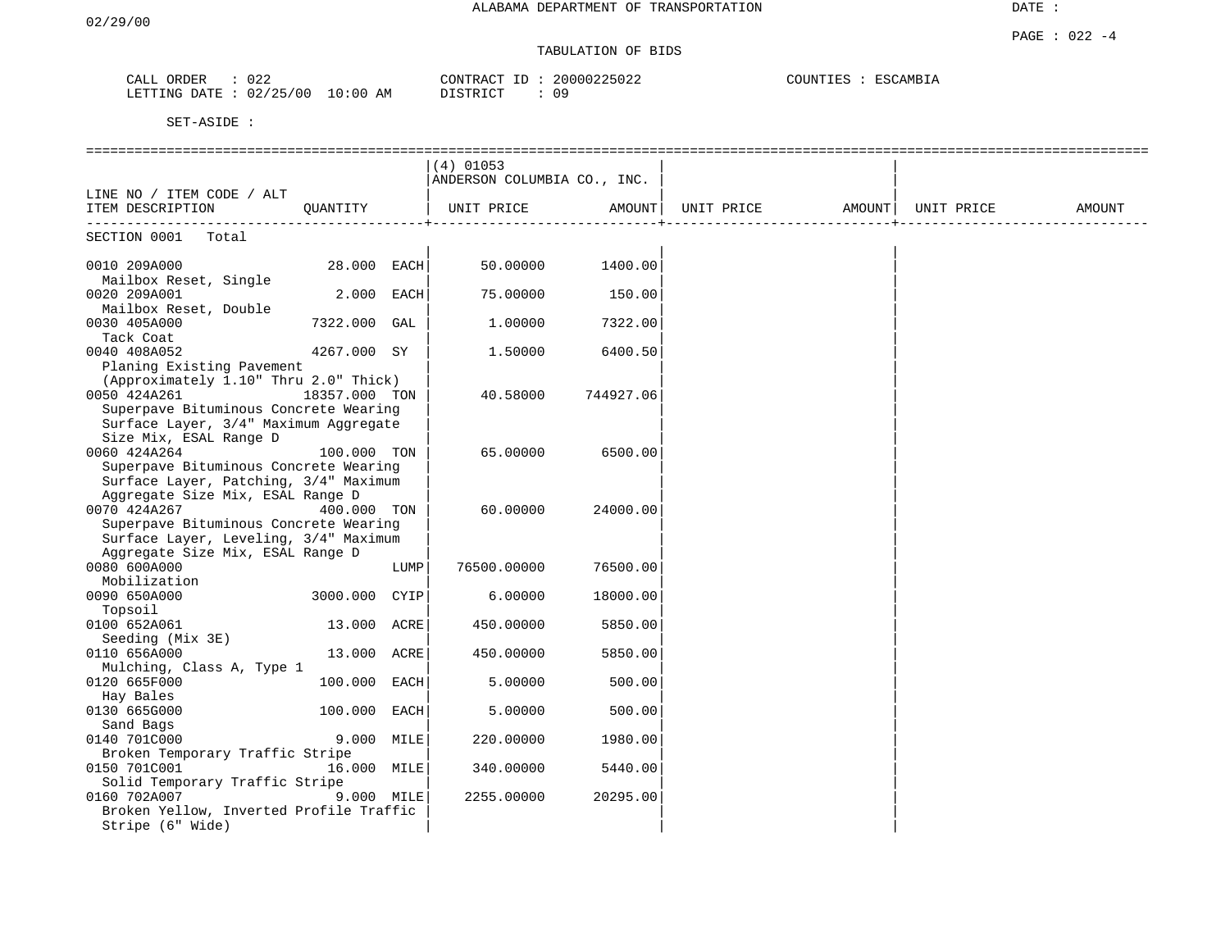DATE :

# TABULATION OF BIDS

| ORDER<br>CALL | $\cap$ $\cap$<br>U 44 |          | $  -$<br>CONTRACT | 20000225022 | COUNTIES | ESCAMBIA |
|---------------|-----------------------|----------|-------------------|-------------|----------|----------|
| LETTING DATE  | 02/25/00              | 10:00 AM | DISTRICT          | -09         |          |          |

|                                                                                                                                         |                |      | $(4)$ 01053<br>ANDERSON COLUMBIA CO., INC. |                    |                                                      |                      |        |
|-----------------------------------------------------------------------------------------------------------------------------------------|----------------|------|--------------------------------------------|--------------------|------------------------------------------------------|----------------------|--------|
| LINE NO / ITEM CODE / ALT                                                                                                               |                |      |                                            |                    |                                                      |                      |        |
| ITEM DESCRIPTION QUANTITY                                                                                                               |                |      |                                            |                    | UNIT PRICE   AMOUNT  UNIT PRICE   AMOUNT  UNIT PRICE | ____________________ | AMOUNT |
| SECTION 0001 Total                                                                                                                      |                |      |                                            |                    |                                                      |                      |        |
| 0010 209A000<br>Mailbox Reset, Single                                                                                                   | 28.000 EACH    |      |                                            | 50.00000 1400.00   |                                                      |                      |        |
| 0020 209A001<br>Mailbox Reset, Double                                                                                                   | 2.000 EACH     |      | 75.00000                                   | 150.00             |                                                      |                      |        |
| 0030 405A000<br>Tack Coat                                                                                                               | 7322.000 GAL   |      | 1,00000                                    | 7322.00            |                                                      |                      |        |
| 0040 408A052<br>Planing Existing Pavement                                                                                               | 4267.000 SY    |      | 1.50000                                    | 6400.50            |                                                      |                      |        |
| (Approximately 1.10" Thru 2.0" Thick)<br>0050 424A261<br>Superpave Bituminous Concrete Wearing<br>Surface Layer, 3/4" Maximum Aggregate | 18357.000 TON  |      |                                            | 40.58000 744927.06 |                                                      |                      |        |
| Size Mix, ESAL Range D<br>0060 424A264<br>Superpave Bituminous Concrete Wearing<br>Surface Layer, Patching, 3/4" Maximum                | 100.000 TON    |      | 65.00000                                   | 6500.00            |                                                      |                      |        |
| Aggregate Size Mix, ESAL Range D<br>0070 424A267<br>Superpave Bituminous Concrete Wearing<br>Surface Layer, Leveling, 3/4" Maximum      | 400.000 TON    |      | 60.00000                                   | 24000.00           |                                                      |                      |        |
| Aggregate Size Mix, ESAL Range D<br>0080 600A000                                                                                        |                | LUMP | 76500.00000                                | 76500.00           |                                                      |                      |        |
| Mobilization<br>0090 650A000                                                                                                            | 3000.000 CYIP  |      | 6.00000                                    | 18000.00           |                                                      |                      |        |
| Topsoil<br>0100 652A061<br>Seeding (Mix 3E)                                                                                             | 13.000 ACRE    |      | 450.00000                                  | 5850.00            |                                                      |                      |        |
| 0110 656A000<br>Mulching, Class A, Type 1                                                                                               | 13.000 ACRE    |      | 450.00000                                  | 5850.00            |                                                      |                      |        |
| 0120 665F000<br>Hay Bales                                                                                                               | 100.000 EACH   |      | 5.00000                                    | 500.00             |                                                      |                      |        |
| 0130 665G000<br>Sand Bags                                                                                                               | $100.000$ EACH |      | 5.00000                                    | 500.00             |                                                      |                      |        |
| 0140 701C000<br>Broken Temporary Traffic Stripe                                                                                         | 9.000 MILE     |      | 220.00000                                  | 1980.00            |                                                      |                      |        |
| 0150 701C001<br>Solid Temporary Traffic Stripe                                                                                          | 16.000 MILE    |      | 340.00000                                  | 5440.00            |                                                      |                      |        |
| 0160 702A007<br>Broken Yellow, Inverted Profile Traffic<br>Stripe (6" Wide)                                                             | 9.000 MILE     |      | 2255.00000                                 | 20295.00           |                                                      |                      |        |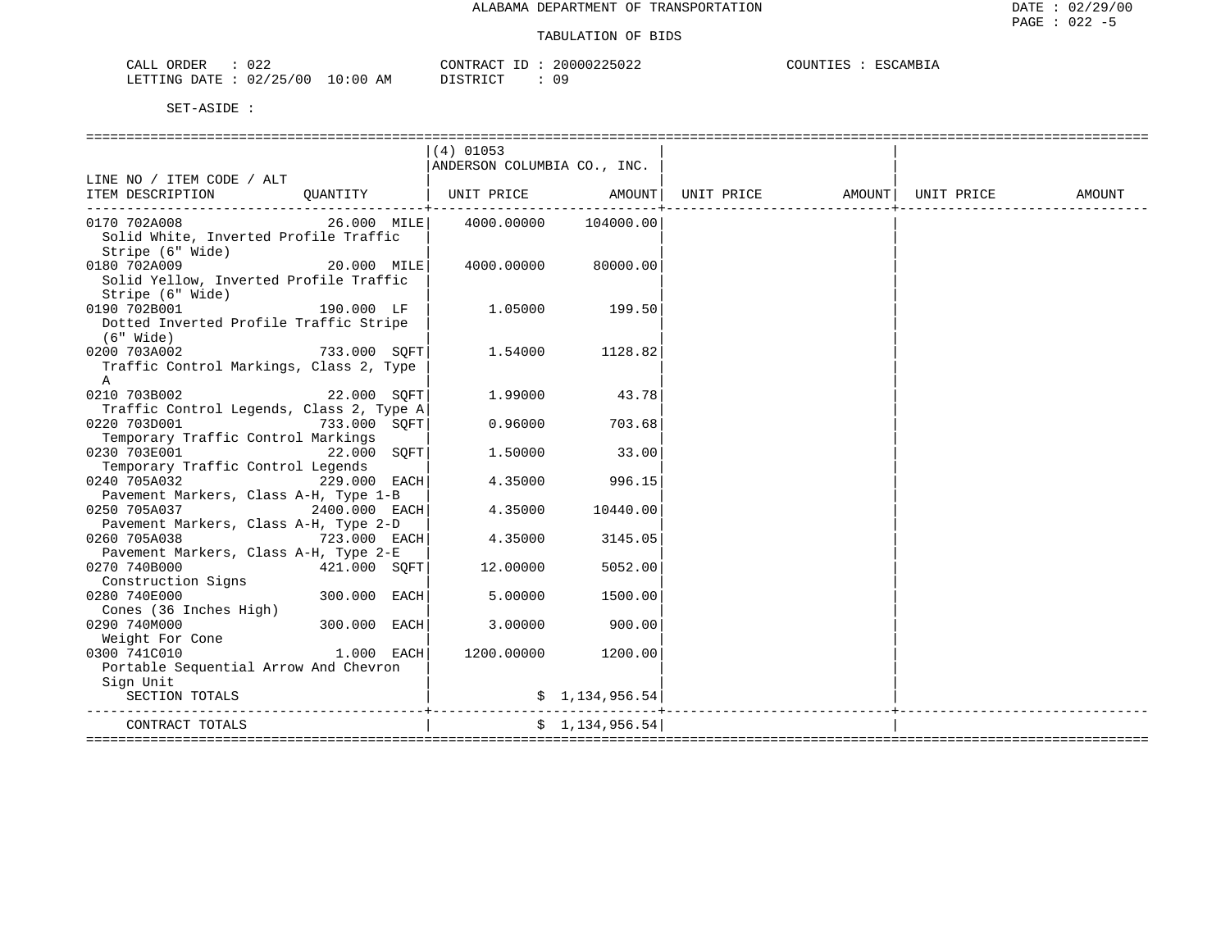| 022<br>ORDER<br>CALL             | CONTRACT ID : | 20000225022 | COUNTIES<br>ESCAMBIA |
|----------------------------------|---------------|-------------|----------------------|
| LETTING DATE : 02/25/00 10:00 AM | DISTRICT      | 09          |                      |

|                                                                                           |              | $(4)$ 01053<br>ANDERSON COLUMBIA CO., INC. |                     |  |        |
|-------------------------------------------------------------------------------------------|--------------|--------------------------------------------|---------------------|--|--------|
| LINE NO / ITEM CODE / ALT                                                                 |              |                                            |                     |  |        |
| ITEM DESCRIPTION OUANTITY   UNIT PRICE AMOUNT UNIT PRICE AMOUNT UNIT PRICE                |              |                                            |                     |  | AMOUNT |
| --------------------------------                                                          |              |                                            |                     |  |        |
| 0170 702A008<br>Solid White, Inverted Profile Traffic<br>Stripe (6" Wide)                 |              | 26.000 MILE 4000.00000 104000.00           |                     |  |        |
| 20.000 MILE<br>0180 702A009<br>Solid Yellow, Inverted Profile Traffic<br>Stripe (6" Wide) |              |                                            | 4000.00000 80000.00 |  |        |
| 0190 702B001<br>190.000 LF<br>Dotted Inverted Profile Traffic Stripe                      |              |                                            | $1.05000$ 199.50    |  |        |
| $(6"$ Wide)<br>733.000 SOFT<br>0200 703A002<br>Traffic Control Markings, Class 2, Type    |              |                                            | 1.54000 1128.82     |  |        |
| A<br>0210 703B002<br>22.000 SQFT                                                          |              | 1.99000                                    | 43.78               |  |        |
| Traffic Control Legends, Class 2, Type A                                                  |              |                                            |                     |  |        |
| 0220 703D001<br>733.000 SQFT<br>Temporary Traffic Control Markings                        |              | 0.96000                                    | 703.68              |  |        |
| 0230 703E001                                                                              | 22.000 SOFT  | 1.50000                                    | 33.00               |  |        |
| Temporary Traffic Control Legends<br>229.000 EACH<br>0240 705A032                         |              | 4.35000                                    | 996.15              |  |        |
| Pavement Markers, Class A-H, Type 1-B<br>$2400.000$ EACH<br>0250 705A037                  |              | 4.35000                                    | 10440.00            |  |        |
| Pavement Markers, Class A-H, Type 2-D                                                     |              |                                            |                     |  |        |
| $723.000$ EACH<br>0260 705A038                                                            |              | 4.35000                                    | 3145.05             |  |        |
| Pavement Markers, Class A-H, Type 2-E<br>0270 740B000                                     | 421.000 SOFT | 12.00000                                   | 5052.00             |  |        |
| Construction Signs                                                                        |              |                                            |                     |  |        |
| 0280 740E000<br>Cones (36 Inches High)                                                    | 300.000 EACH | 5.00000                                    | 1500.001            |  |        |
| 0290 740M000                                                                              | 300.000 EACH | 3.00000                                    | 900.00              |  |        |
| Weight For Cone<br>$1.000$ EACH<br>0300 741C010                                           |              |                                            | 1200.00000 1200.00  |  |        |
| Portable Sequential Arrow And Chevron                                                     |              |                                            |                     |  |        |
| Sign Unit                                                                                 |              |                                            |                     |  |        |
| SECTION TOTALS                                                                            |              |                                            |                     |  |        |
| CONTRACT TOTALS<br>=================                                                      |              |                                            | \$1,134,956.54      |  |        |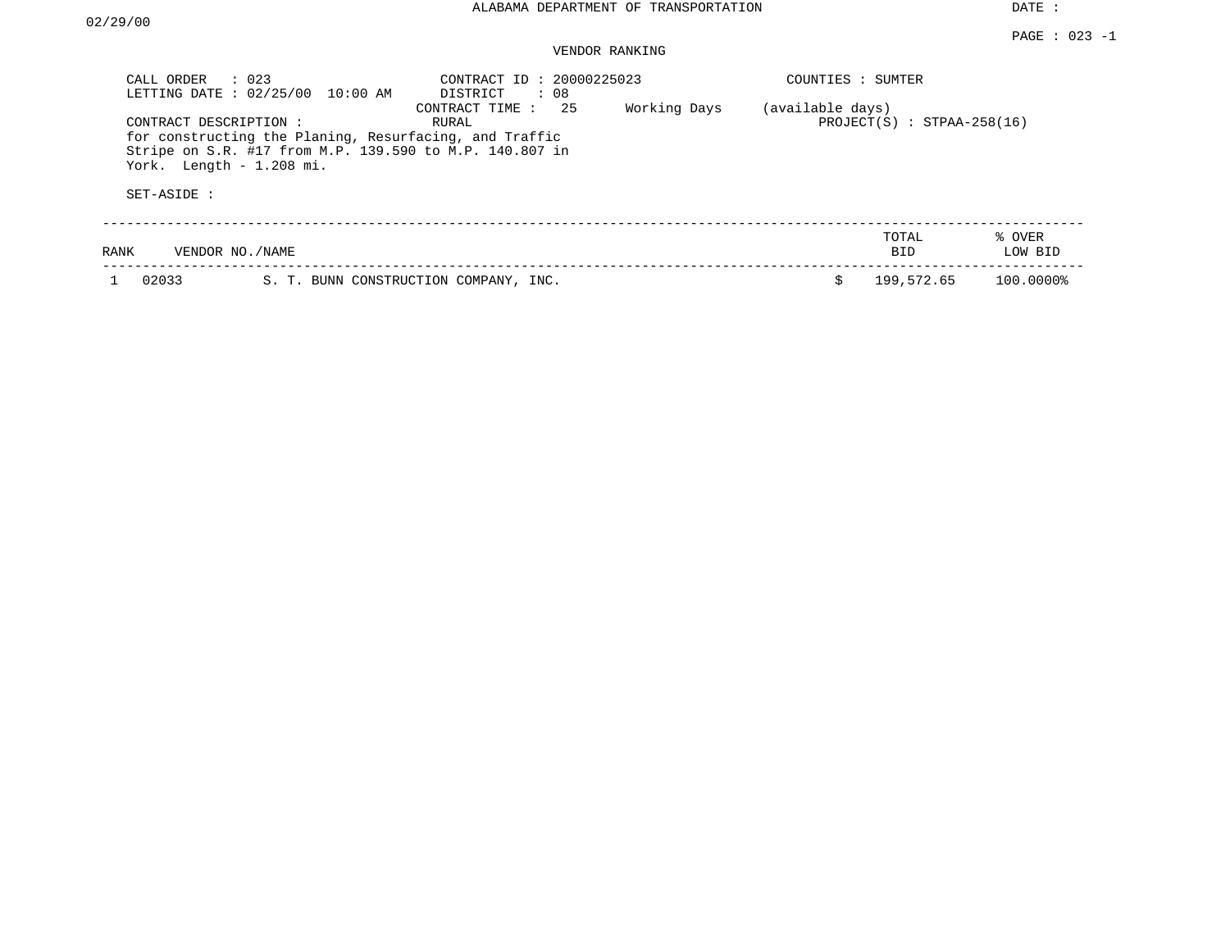## VENDOR RANKING

| CALL ORDER                                        | $\therefore$ 023<br>LETTING DATE : 02/25/00 10:00 AM                                                              | CONTRACT ID: 20000225023<br>DISTRICT<br>: 08 |              | COUNTIES : SUMTER |                                |                   |
|---------------------------------------------------|-------------------------------------------------------------------------------------------------------------------|----------------------------------------------|--------------|-------------------|--------------------------------|-------------------|
| CONTRACT DESCRIPTION:<br>York. Length - 1.208 mi. | for constructing the Planing, Resurfacing, and Traffic<br>Stripe on S.R. #17 from M.P. 139.590 to M.P. 140.807 in | CONTRACT TIME : 25<br>RURAL                  | Working Days | (available days)  | $PROJECT(S)$ : $STPAA-258(16)$ |                   |
| SET-ASIDE :                                       |                                                                                                                   |                                              |              |                   |                                |                   |
| RANK                                              | VENDOR NO./NAME                                                                                                   |                                              |              |                   | TOTAL<br><b>BID</b>            | % OVER<br>LOW BID |
| 02033                                             |                                                                                                                   | S. T. BUNN CONSTRUCTION COMPANY, INC.        |              | Ŝ                 | 199,572.65                     | 100.0000%         |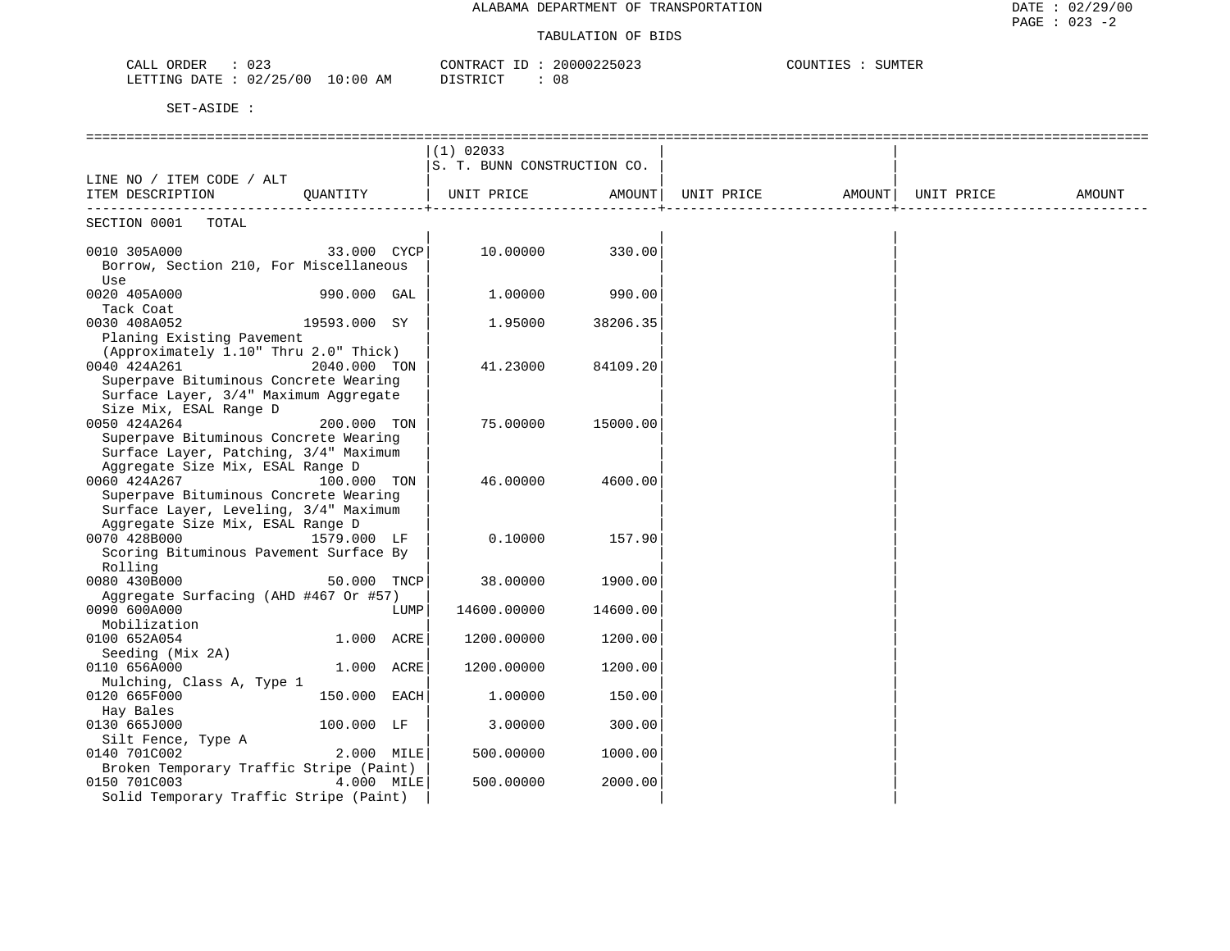#### TABULATION OF BIDS

| 02<br>ORDER<br>CALL                    | 20000225023<br>CONTRACT ID     | COUNTIES<br>SUMTER |
|----------------------------------------|--------------------------------|--------------------|
| 02/25/00<br>$10:00$ AM<br>LETTING DATE | DI STR TOT<br>08<br>ັນ⊥ພ⊥⊥\⊥ພັ |                    |

|                                                                                |              |            | $(1)$ 02033                 |                 |                   |            |        |
|--------------------------------------------------------------------------------|--------------|------------|-----------------------------|-----------------|-------------------|------------|--------|
|                                                                                |              |            | S. T. BUNN CONSTRUCTION CO. |                 |                   |            |        |
| LINE NO / ITEM CODE / ALT                                                      |              |            |                             |                 |                   |            |        |
| ITEM DESCRIPTION QUANTITY   UNIT PRICE AMOUNT                                  |              |            |                             |                 | UNIT PRICE AMOUNT | UNIT PRICE | AMOUNT |
| SECTION 0001 TOTAL                                                             |              |            |                             |                 |                   |            |        |
| 0010 305A000                                                                   | 33.000 CYCP  |            |                             | 10.00000 330.00 |                   |            |        |
| Borrow, Section 210, For Miscellaneous<br>Use                                  |              |            |                             |                 |                   |            |        |
| 0020 405A000                                                                   | 990.000 GAL  |            | 1.00000                     | 990.00          |                   |            |        |
| Tack Coat                                                                      |              |            |                             |                 |                   |            |        |
| 0030 408A052                                                                   | 19593.000 SY |            | 1.95000                     | 38206.35        |                   |            |        |
| Planing Existing Pavement                                                      |              |            |                             |                 |                   |            |        |
| (Approximately 1.10" Thru 2.0" Thick)<br>0040 424A261                          | 2040.000 TON |            |                             | 84109.20        |                   |            |        |
| Superpave Bituminous Concrete Wearing                                          |              |            | 41.23000                    |                 |                   |            |        |
| Surface Layer, 3/4" Maximum Aggregate                                          |              |            |                             |                 |                   |            |        |
| Size Mix, ESAL Range D                                                         |              |            |                             |                 |                   |            |        |
| 0050 424A264                                                                   | 200.000 TON  |            | 75.00000                    | 15000.00        |                   |            |        |
| Superpave Bituminous Concrete Wearing                                          |              |            |                             |                 |                   |            |        |
| Surface Layer, Patching, 3/4" Maximum                                          |              |            |                             |                 |                   |            |        |
| Aggregate Size Mix, ESAL Range D                                               |              |            |                             |                 |                   |            |        |
| 0060 424A267                                                                   | 100.000 TON  |            | 46.00000                    | 4600.00         |                   |            |        |
| Superpave Bituminous Concrete Wearing<br>Surface Layer, Leveling, 3/4" Maximum |              |            |                             |                 |                   |            |        |
| Aggregate Size Mix, ESAL Range D                                               |              |            |                             |                 |                   |            |        |
| 0070 428B000                                                                   | 1579.000 LF  |            | 0.10000                     | 157.90          |                   |            |        |
| Scoring Bituminous Pavement Surface By                                         |              |            |                             |                 |                   |            |        |
| Rolling                                                                        |              |            |                             |                 |                   |            |        |
| 0080 430B000                                                                   | 50.000 TNCP  |            | 38.00000                    | 1900.00         |                   |            |        |
| Aggregate Surfacing (AHD #467 Or #57)                                          |              |            |                             |                 |                   |            |        |
| 0090 600A000                                                                   |              | LUMP       | 14600.00000                 | 14600.00        |                   |            |        |
| Mobilization                                                                   |              |            |                             |                 |                   |            |        |
| 0100 652A054<br>Seeding (Mix 2A)                                               | 1.000 ACRE   |            | 1200.00000                  | 1200.00         |                   |            |        |
| 0110 656A000                                                                   | 1.000 ACRE   |            | 1200.00000                  | 1200.00         |                   |            |        |
| Mulching, Class A, Type 1                                                      |              |            |                             |                 |                   |            |        |
| 0120 665F000                                                                   | 150.000 EACH |            | 1,00000                     | 150.00          |                   |            |        |
| Hay Bales                                                                      |              |            |                             |                 |                   |            |        |
| 0130 665J000                                                                   | $100.000$ LF |            | 3.00000                     | 300.00          |                   |            |        |
| Silt Fence, Type A                                                             |              |            |                             |                 |                   |            |        |
| 0140 701C002                                                                   |              | 2.000 MILE | 500.00000                   | 1000.00         |                   |            |        |
| Broken Temporary Traffic Stripe (Paint)                                        |              |            |                             |                 |                   |            |        |
| 0150 701C003                                                                   | 4.000 MILE   |            | 500.00000                   | 2000.00         |                   |            |        |
| Solid Temporary Traffic Stripe (Paint)                                         |              |            |                             |                 |                   |            |        |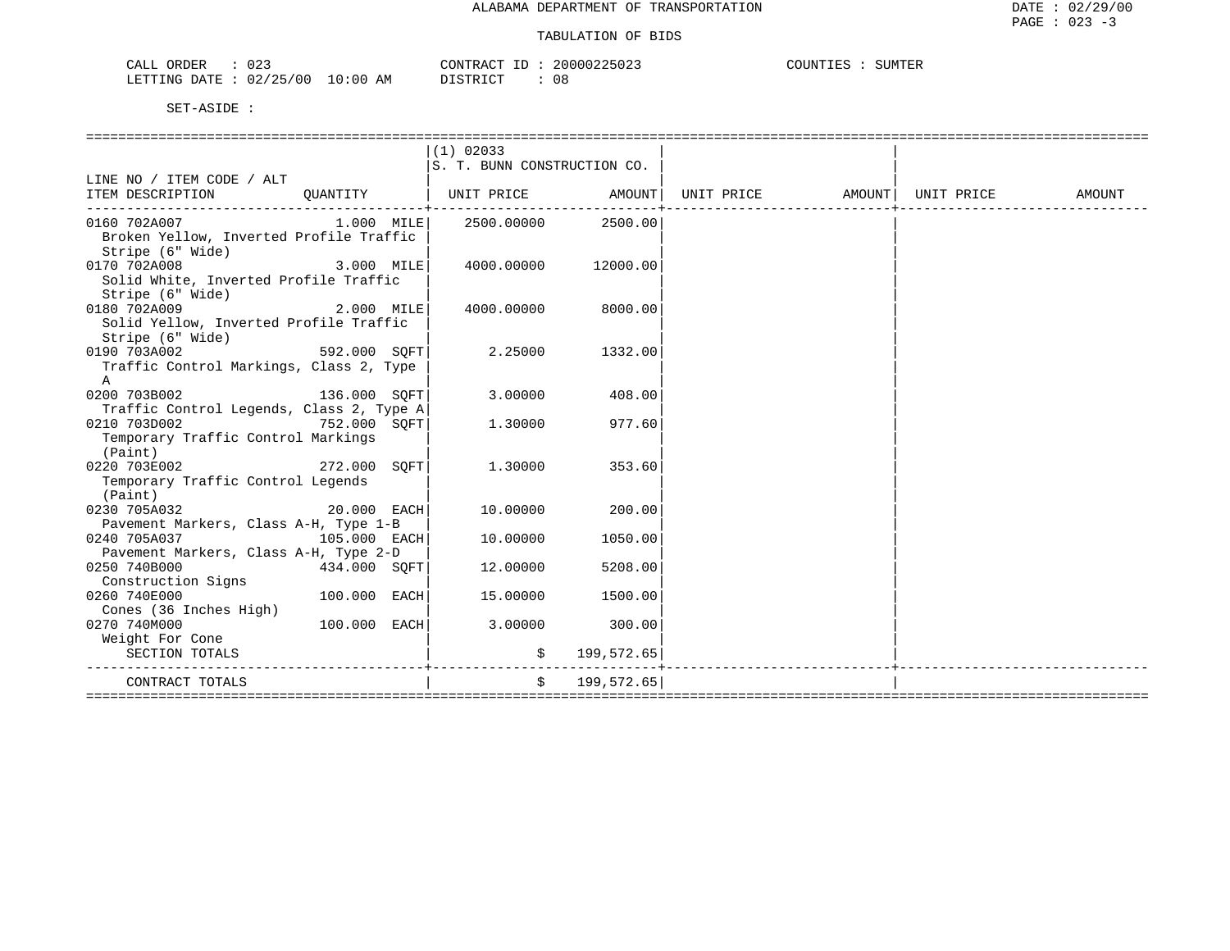| 023<br>CALL ORDER               | CONTRACT ID: 20000225023 | COUNTIES :<br>SUMTER |
|---------------------------------|--------------------------|----------------------|
| LETTING DATE: 02/25/00 10:00 AM | 08<br>DISTRICT           |                      |

|                                                                               |                | $(1)$ 02033<br>S. T. BUNN CONSTRUCTION CO. |                               |            |                     |        |
|-------------------------------------------------------------------------------|----------------|--------------------------------------------|-------------------------------|------------|---------------------|--------|
| LINE NO / ITEM CODE / ALT                                                     |                |                                            |                               |            |                     |        |
| ITEM DESCRIPTION<br>QUANTITY                                                  |                | UNIT PRICE AMOUNT                          |                               | UNIT PRICE | AMOUNT   UNIT PRICE | AMOUNT |
| 0160 702A007<br>Broken Yellow, Inverted Profile Traffic<br>Stripe (6" Wide)   |                | $1.000$ MILE 2500.00000 2500.00            |                               |            |                     |        |
| 0170 702A008<br>Solid White, Inverted Profile Traffic<br>Stripe (6" Wide)     | $3.000$ MILE   | 4000.00000 12000.00                        |                               |            |                     |        |
| 0180 702A009<br>Solid Yellow, Inverted Profile Traffic<br>Stripe (6" Wide)    | $2.000$ MILE   | 4000.00000                                 | 8000.00                       |            |                     |        |
| 0190 703A002<br>Traffic Control Markings, Class 2, Type<br>$\mathbf{A}$       | 592.000 SOFT   | 2.25000                                    | 1332.00                       |            |                     |        |
| $136.000$ SQFT<br>0200 703B002<br>Traffic Control Legends, Class 2, Type A    |                | 3.00000                                    | 408.00                        |            |                     |        |
| 0210 703D002<br>752.000 SOFT<br>Temporary Traffic Control Markings<br>(Paint) |                | 1.30000                                    | 977.60                        |            |                     |        |
| 272.000 SOFT<br>0220 703E002<br>Temporary Traffic Control Legends<br>(Paint)  |                | 1.30000                                    | 353.60                        |            |                     |        |
| $20.000$ EACH<br>0230 705A032<br>Pavement Markers, Class A-H, Type 1-B        |                | 10.00000                                   | 200.00                        |            |                     |        |
| 0240 705A037 105.000 EACH<br>Pavement Markers, Class A-H, Type 2-D            |                | 10.00000                                   | 1050.00                       |            |                     |        |
| 0250 740B000<br>434.000 SOFT<br>Construction Signs                            |                | 12.00000                                   | 5208.00                       |            |                     |        |
| 0260 740E000<br>Cones (36 Inches High)                                        | $100.000$ EACH | 15.00000                                   | 1500.00                       |            |                     |        |
| 0270 740M000                                                                  | 100.000 EACH   | 3.00000                                    | 300.00                        |            |                     |        |
| Weight For Cone<br>SECTION TOTALS                                             |                |                                            | \$199,572.65]                 |            |                     |        |
| CONTRACT TOTALS                                                               |                |                                            | . <u>.</u> .<br>\$199,572.65] |            |                     |        |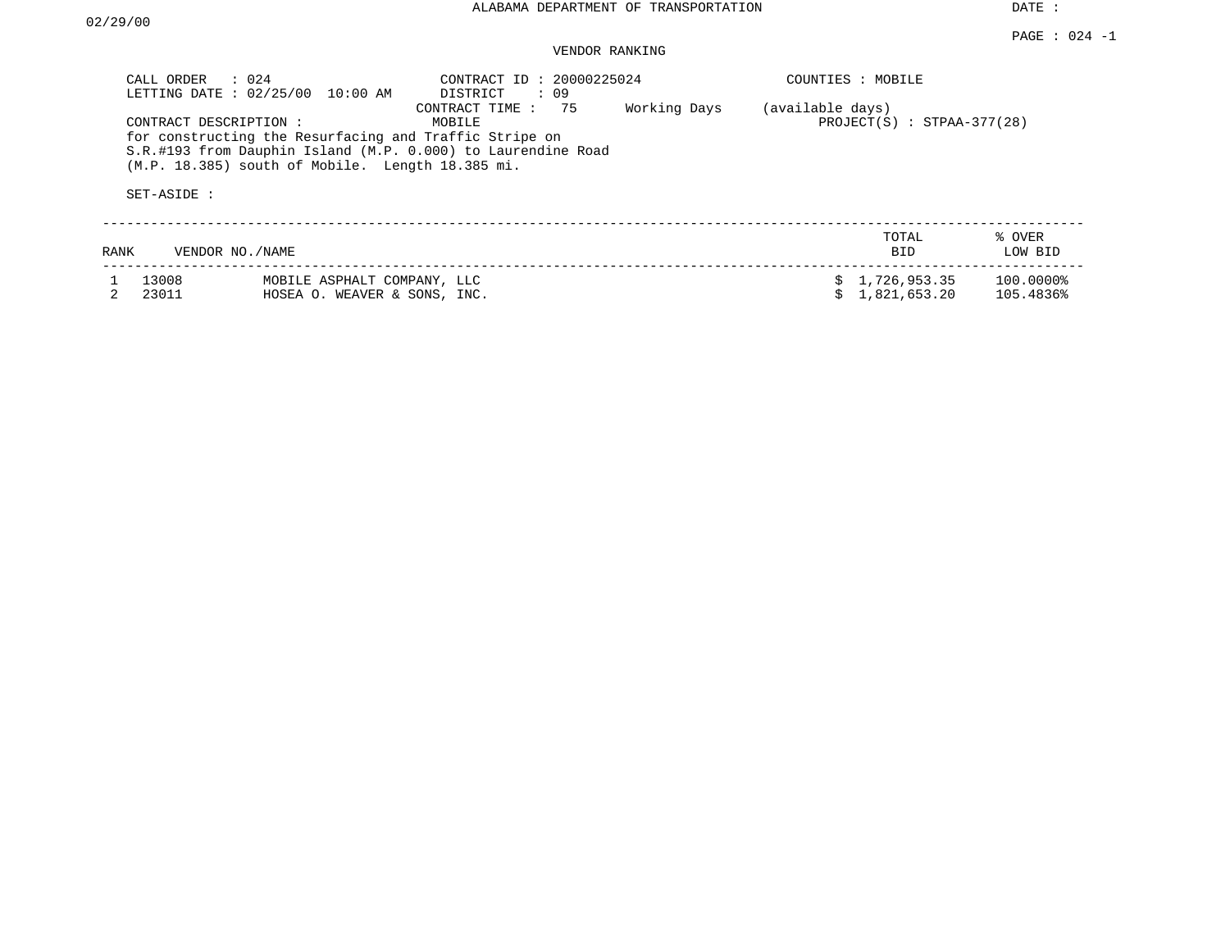## VENDOR RANKING

| CALL ORDER     | $\therefore$ 024<br>LETTING DATE: 02/25/00<br>10:00 AM                                                                                                                                                | CONTRACT ID: 20000225024<br>DISTRICT<br>: 09 |                                  | COUNTIES : MOBILE              |                        |
|----------------|-------------------------------------------------------------------------------------------------------------------------------------------------------------------------------------------------------|----------------------------------------------|----------------------------------|--------------------------------|------------------------|
| SET-ASIDE :    | CONTRACT DESCRIPTION:<br>for constructing the Resurfacing and Traffic Stripe on<br>S.R.#193 from Dauphin Island (M.P. 0.000) to Laurendine Road<br>$(M.P. 18.385)$ south of Mobile. Length 18.385 mi. | 75<br>CONTRACT TIME:<br>MOBILE               | Working Days<br>(available days) | $PROJECT(S)$ : STPAA-377(28)   |                        |
| RANK           | VENDOR NO./NAME                                                                                                                                                                                       |                                              |                                  | TOTAL<br><b>BID</b>            | % OVER<br>LOW BID      |
| 13008<br>23011 | MOBILE ASPHALT COMPANY, LLC<br>HOSEA O. WEAVER & SONS, INC.                                                                                                                                           |                                              |                                  | \$1,726,953.35<br>1,821,653.20 | 100.0000%<br>105.4836% |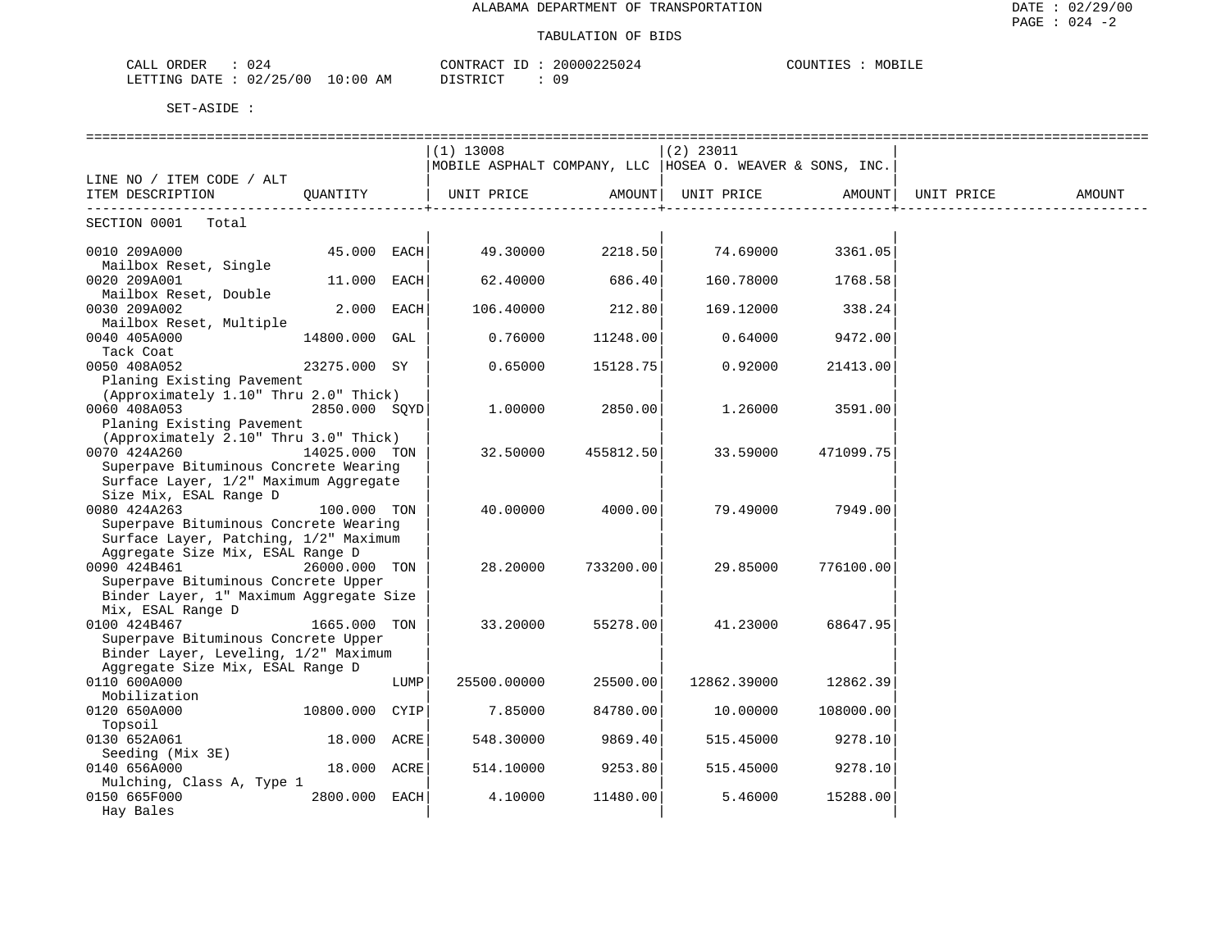#### TABULATION OF BIDS

| $\sim$ $\sim$<br>ORDER<br>CALI<br>UZ4            | 20000225024<br>CONTRACT<br>-25024 | COUNTIE!<br>MOBILF |
|--------------------------------------------------|-----------------------------------|--------------------|
| /25/00<br>0:00<br>LETTING<br>ΑM<br>DATE.<br>U 47 | דת סידי את<br>n o<br>$\lambda$    |                    |

|                                         |                |      | $(1)$ 13008                                               |           | $(2)$ 23011 |           |            |        |
|-----------------------------------------|----------------|------|-----------------------------------------------------------|-----------|-------------|-----------|------------|--------|
|                                         |                |      | MOBILE ASPHALT COMPANY, LLC  HOSEA O. WEAVER & SONS, INC. |           |             |           |            |        |
| LINE NO / ITEM CODE / ALT               |                |      |                                                           |           |             |           |            |        |
| ITEM DESCRIPTION                        | OUANTITY       |      | UNIT PRICE                                                | AMOUNT    | UNIT PRICE  | AMOUNT    | UNIT PRICE | AMOUNT |
| SECTION 0001 Total                      |                |      |                                                           |           |             |           |            |        |
| 0010 209A000                            | $45.000$ EACH  |      | 49.30000                                                  | 2218.50   | 74.69000    | 3361.05   |            |        |
| Mailbox Reset, Single                   |                |      |                                                           |           |             |           |            |        |
| 0020 209A001                            | 11.000 EACH    |      | 62.40000                                                  | 686.40    | 160.78000   | 1768.58   |            |        |
| Mailbox Reset, Double                   |                |      |                                                           |           |             |           |            |        |
| 0030 209A002                            | $2.000$ EACH   |      | 106.40000                                                 | 212.80    | 169.12000   | 338.24    |            |        |
| Mailbox Reset, Multiple                 |                |      |                                                           |           |             |           |            |        |
| 0040 405A000                            | 14800.000 GAL  |      | 0.76000                                                   | 11248.00  | 0.64000     | 9472.00   |            |        |
| Tack Coat                               |                |      |                                                           |           |             |           |            |        |
| 0050 408A052                            | 23275.000 SY   |      | 0.65000                                                   | 15128.75  | 0.92000     | 21413.00  |            |        |
| Planing Existing Pavement               |                |      |                                                           |           |             |           |            |        |
| (Approximately 1.10" Thru 2.0" Thick)   |                |      |                                                           |           |             |           |            |        |
| 0060 408A053                            | 2850.000 SOYD  |      | 1.00000                                                   | 2850.00   | 1,26000     | 3591.00   |            |        |
| Planing Existing Pavement               |                |      |                                                           |           |             |           |            |        |
| (Approximately 2.10" Thru 3.0" Thick)   |                |      |                                                           |           |             |           |            |        |
| 0070 424A260                            | 14025.000 TON  |      | 32.50000                                                  | 455812.50 | 33.59000    | 471099.75 |            |        |
| Superpave Bituminous Concrete Wearing   |                |      |                                                           |           |             |           |            |        |
| Surface Layer, 1/2" Maximum Aggregate   |                |      |                                                           |           |             |           |            |        |
| Size Mix, ESAL Range D                  |                |      |                                                           |           |             |           |            |        |
| 0080 424A263                            | 100.000 TON    |      | 40.00000                                                  | 4000.00   | 79.49000    | 7949.00   |            |        |
| Superpave Bituminous Concrete Wearing   |                |      |                                                           |           |             |           |            |        |
| Surface Layer, Patching, 1/2" Maximum   |                |      |                                                           |           |             |           |            |        |
| Aggregate Size Mix, ESAL Range D        |                |      |                                                           |           |             |           |            |        |
| 0090 424B461                            | 26000.000 TON  |      | 28.20000                                                  | 733200.00 | 29.85000    | 776100.00 |            |        |
| Superpave Bituminous Concrete Upper     |                |      |                                                           |           |             |           |            |        |
| Binder Layer, 1" Maximum Aggregate Size |                |      |                                                           |           |             |           |            |        |
| Mix, ESAL Range D                       |                |      |                                                           |           |             |           |            |        |
| 0100 424B467                            | 1665.000 TON   |      | 33.20000                                                  | 55278.00  | 41.23000    | 68647.95  |            |        |
| Superpave Bituminous Concrete Upper     |                |      |                                                           |           |             |           |            |        |
| Binder Layer, Leveling, 1/2" Maximum    |                |      |                                                           |           |             |           |            |        |
| Aggregate Size Mix, ESAL Range D        |                |      |                                                           |           |             |           |            |        |
| 0110 600A000                            |                | LUMP | 25500.00000                                               | 25500.00  | 12862.39000 | 12862.39  |            |        |
| Mobilization                            |                |      |                                                           |           |             |           |            |        |
| 0120 650A000                            | 10800.000 CYIP |      | 7.85000                                                   | 84780.00  | 10.00000    | 108000.00 |            |        |
| Topsoil                                 |                |      |                                                           |           |             |           |            |        |
| 0130 652A061                            | 18.000 ACRE    |      | 548.30000                                                 | 9869.40   | 515.45000   | 9278.10   |            |        |
| Seeding (Mix 3E)                        |                |      |                                                           |           |             |           |            |        |
| 0140 656A000                            | 18.000 ACRE    |      | 514.10000                                                 | 9253.80   | 515.45000   | 9278.10   |            |        |
| Mulching, Class A, Type 1               | 2800.000 EACH  |      |                                                           | 11480.00  | 5.46000     | 15288.00  |            |        |
| 0150 665F000                            |                |      | 4.10000                                                   |           |             |           |            |        |
| Hay Bales                               |                |      |                                                           |           |             |           |            |        |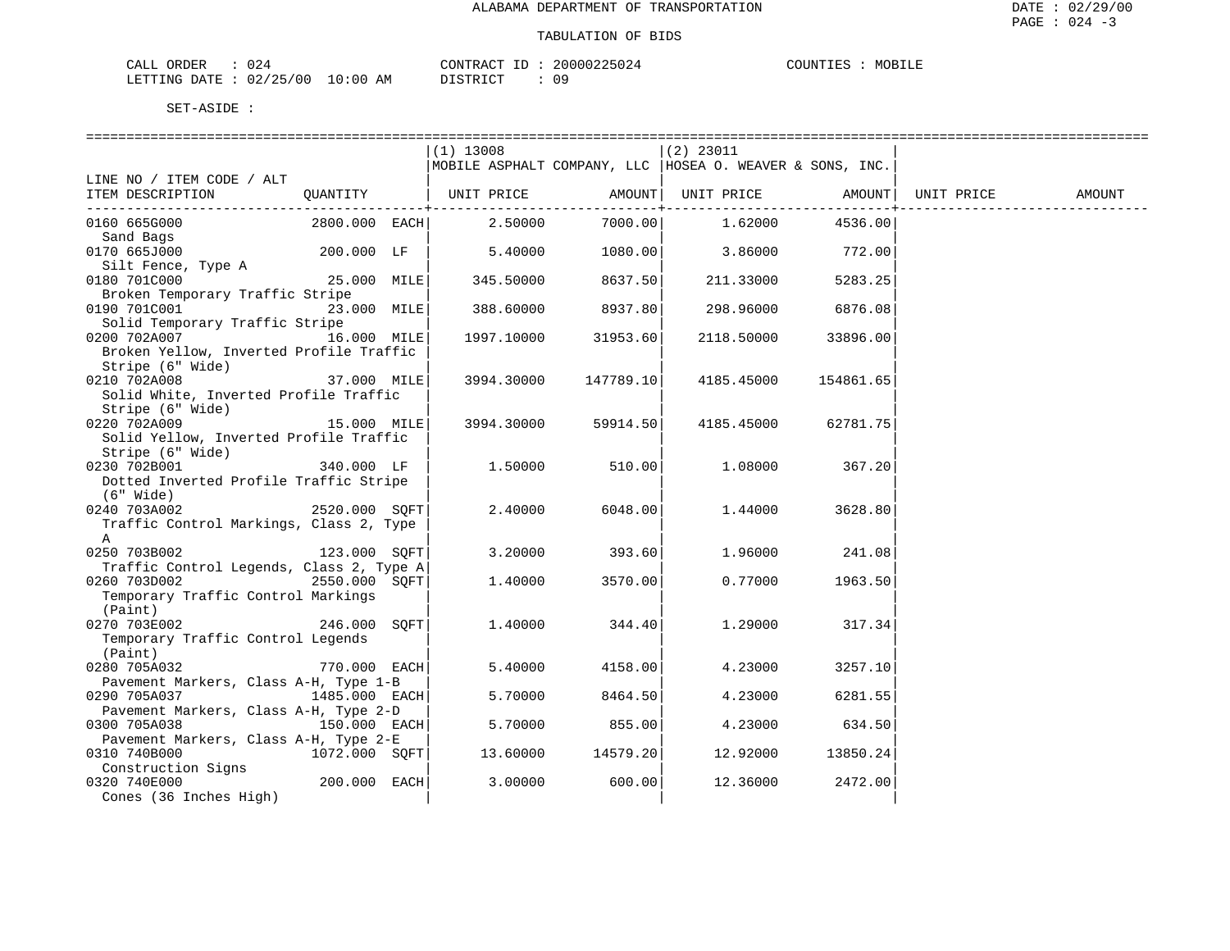### TABULATION OF BIDS

| ORDER<br>CALL                | $\hat{ }$<br>24 ل |    | CONTRACT ID: | 20000225024 | COUNTIES | MOBILE |
|------------------------------|-------------------|----|--------------|-------------|----------|--------|
| LETTING DATE: 02/25/00 10:00 |                   | AM | DISTRICT     |             |          |        |

|                                                          |               |                                                            | ======================== |                 |           |            |        |
|----------------------------------------------------------|---------------|------------------------------------------------------------|--------------------------|-----------------|-----------|------------|--------|
|                                                          |               | $(1)$ 13008                                                |                          | $(2)$ 23011     |           |            |        |
|                                                          |               | MOBILE ASPHALT COMPANY, LLC   HOSEA O. WEAVER & SONS, INC. |                          |                 |           |            |        |
| LINE NO / ITEM CODE / ALT                                |               |                                                            |                          |                 |           |            |        |
| ITEM DESCRIPTION                                         |               | QUANTITY   UNIT PRICE AMOUNT  UNIT PRICE                   |                          |                 | AMOUNT    | UNIT PRICE | AMOUNT |
|                                                          |               |                                                            | ----------+-             |                 |           |            |        |
| 0160 665G000                                             |               | 2800.000 EACH 2.50000                                      |                          | 7000.00 1.62000 | 4536.00   |            |        |
| Sand Bags                                                |               |                                                            |                          |                 |           |            |        |
| 0170 665J000                                             | 200.000 LF    | 5.40000                                                    | 1080.00                  | 3.86000 772.00  |           |            |        |
| Silt Fence, Type A                                       |               |                                                            |                          |                 |           |            |        |
| $25.000$ MILE<br>0180 701C000                            |               | 345.50000                                                  | 8637.50                  | 211.33000       | 5283.25   |            |        |
| Broken Temporary Traffic Stripe                          |               |                                                            |                          |                 |           |            |        |
| 0190 701C001                                             | 23.000 MILE   | 388.60000                                                  | 8937.80                  | 298.96000       | 6876.08   |            |        |
| Solid Temporary Traffic Stripe                           |               |                                                            |                          |                 |           |            |        |
| 0200 702A007                                             | 16.000 MILE   |                                                            | 1997.10000 31953.60      | 2118.50000      | 33896.00  |            |        |
| Broken Yellow, Inverted Profile Traffic                  |               |                                                            |                          |                 |           |            |        |
| Stripe (6" Wide)                                         |               |                                                            |                          |                 |           |            |        |
| 0210 702A008                                             | 37.000 MILE   | 3994.30000                                                 | 147789.10                | 4185.45000      | 154861.65 |            |        |
| Solid White, Inverted Profile Traffic                    |               |                                                            |                          |                 |           |            |        |
| Stripe (6" Wide)                                         |               |                                                            |                          |                 |           |            |        |
| 0220 702A009<br>15.000 MILE                              |               | 3994.30000                                                 | 59914.50                 | 4185.45000      | 62781.75  |            |        |
| Solid Yellow, Inverted Profile Traffic                   |               |                                                            |                          |                 |           |            |        |
| Stripe (6" Wide)                                         |               |                                                            |                          |                 |           |            |        |
| 0230 702B001                                             | 340.000 LF    | 1.50000                                                    | 510.00                   | 1.08000         | 367.20    |            |        |
| Dotted Inverted Profile Traffic Stripe                   |               |                                                            |                          |                 |           |            |        |
| (6" Wide)                                                |               |                                                            |                          |                 |           |            |        |
| 0240 703A002                                             | 2520.000 SOFT | 2.40000                                                    | 6048.00                  | 1.44000         | 3628.80   |            |        |
| Traffic Control Markings, Class 2, Type                  |               |                                                            |                          |                 |           |            |        |
| A<br>$123.000$ SQFT                                      |               |                                                            |                          |                 |           |            |        |
| 0250 703B002                                             |               | 3.20000                                                    | 393.60                   | 1.96000         | 241.08    |            |        |
| Traffic Control Legends, Class 2, Type A<br>0260 703D002 | 2550.000 SOFT | 1,40000                                                    | 3570.00                  | 0.77000         |           |            |        |
| Temporary Traffic Control Markings                       |               |                                                            |                          |                 | 1963.50   |            |        |
| (Paint)                                                  |               |                                                            |                          |                 |           |            |        |
| 246.000 SQFT<br>0270 703E002                             |               | 1,40000                                                    | 344.40                   | 1,29000         | 317.34    |            |        |
| Temporary Traffic Control Legends                        |               |                                                            |                          |                 |           |            |        |
| (Paint)                                                  |               |                                                            |                          |                 |           |            |        |
| 0280 705A032                                             | 770.000 EACH  | 5.40000                                                    | 4158.00                  | 4.23000         | 3257.10   |            |        |
| Pavement Markers, Class A-H, Type 1-B                    |               |                                                            |                          |                 |           |            |        |
| 0290 705A037                                             | 1485.000 EACH | 5.70000                                                    | 8464.50                  | 4.23000         | 6281.55   |            |        |
| Pavement Markers, Class A-H, Type 2-D                    |               |                                                            |                          |                 |           |            |        |
| 0300 705A038                                             | 150.000 EACH  | 5.70000                                                    | 855.00                   | 4.23000         | 634.50    |            |        |
| Pavement Markers, Class A-H, Type 2-E                    |               |                                                            |                          |                 |           |            |        |
| 0310 740B000                                             | 1072.000 SQFT | 13.60000                                                   | 14579.20                 | 12.92000        | 13850.24  |            |        |
| Construction Signs                                       |               |                                                            |                          |                 |           |            |        |
| 0320 740E000                                             | 200.000 EACH  | 3.00000                                                    | 600.00                   | 12.36000        | 2472.00   |            |        |
| Cones (36 Inches High)                                   |               |                                                            |                          |                 |           |            |        |
|                                                          |               |                                                            |                          |                 |           |            |        |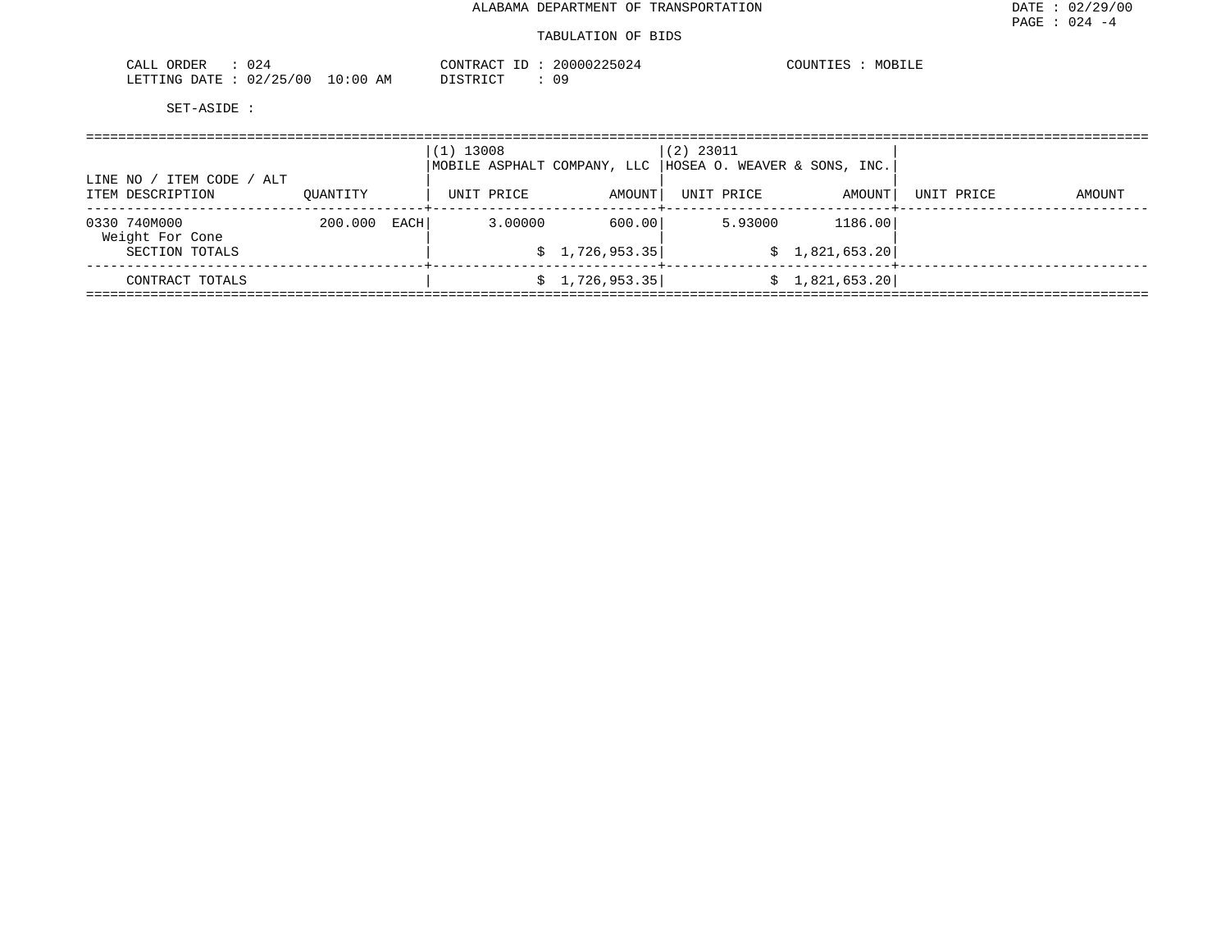| 024<br>ORDER<br>CALL   |            | CONTRACT<br>$\Box$ | 20000225024 | MOBILE<br>COUNTIES |
|------------------------|------------|--------------------|-------------|--------------------|
| LETTING DATE: 02/25/00 | $10:00$ AM | DISTRICT           |             |                    |

| ITEM CODE / ALT<br>LINE NO /    |          |      | $(1)$ 13008<br>MOBILE ASPHALT COMPANY, LLC |                 | $(2)$ 23011<br>HOSEA O. WEAVER & SONS, INC. |                 |            |        |
|---------------------------------|----------|------|--------------------------------------------|-----------------|---------------------------------------------|-----------------|------------|--------|
| ITEM DESCRIPTION                | OUANTITY |      | UNIT PRICE                                 | AMOUNT          | UNIT PRICE                                  | AMOUNT          | UNIT PRICE | AMOUNT |
| 0330 740M000<br>Weight For Cone | 200.000  | EACH | 3.00000                                    | 600.00          | 5.93000                                     | 1186.00         |            |        |
| SECTION TOTALS                  |          |      |                                            | \$1,726,953.35  |                                             | \$1,821,653.20] |            |        |
| CONTRACT TOTALS                 |          |      |                                            | \$1,726,953.35] |                                             | \$1,821,653.20] |            |        |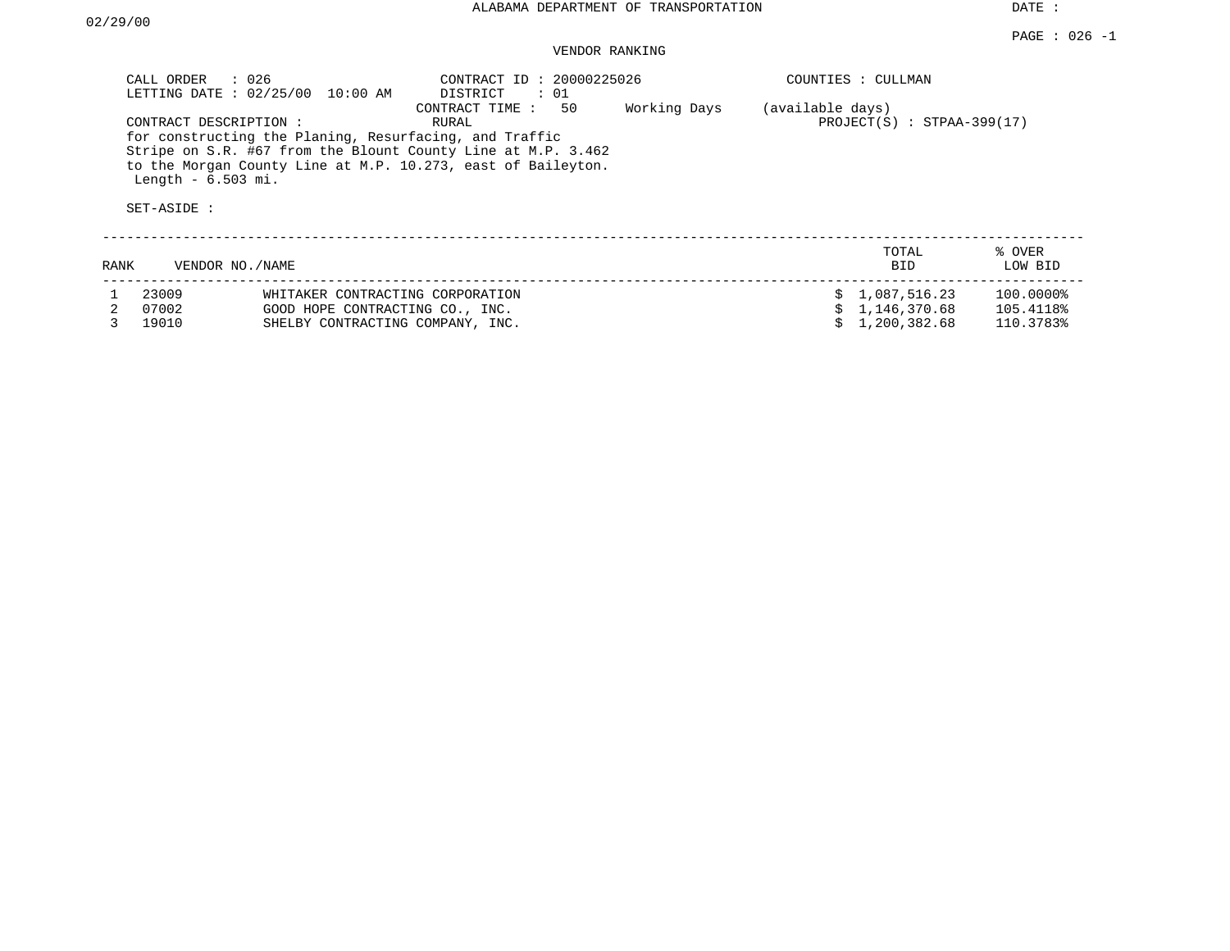## VENDOR RANKING

| CALL ORDER                         | : 026<br>LETTING DATE : 02/25/00<br>10:00 AM                                                                                                                                                                     | CONTRACT ID: 20000225026<br>: 01<br>DISTRICT |              |                  | COUNTIES : CULLMAN             |                        |
|------------------------------------|------------------------------------------------------------------------------------------------------------------------------------------------------------------------------------------------------------------|----------------------------------------------|--------------|------------------|--------------------------------|------------------------|
| Length $-6.503$ mi.<br>SET-ASIDE : | CONTRACT DESCRIPTION :<br>for constructing the Planing, Resurfacing, and Traffic<br>Stripe on S.R. #67 from the Blount County Line at M.P. 3.462<br>to the Morgan County Line at M.P. 10.273, east of Baileyton. | 50<br>CONTRACT TIME:<br>RURAL                | Working Days | (available days) | $PROJECT(S)$ : STPAA-399(17)   |                        |
| RANK                               | VENDOR NO. / NAME                                                                                                                                                                                                |                                              |              |                  | TOTAL<br><b>BID</b>            | % OVER<br>LOW BID      |
| 23009<br>07002                     | WHITAKER CONTRACTING CORPORATION<br>GOOD HOPE CONTRACTING CO., INC.                                                                                                                                              |                                              |              |                  | \$1,087,516.23<br>1,146,370.68 | 100.0000%<br>105.4118% |

3 19010 SHELBY CONTRACTING COMPANY, INC. \$ 1,200,382.68 110.3783%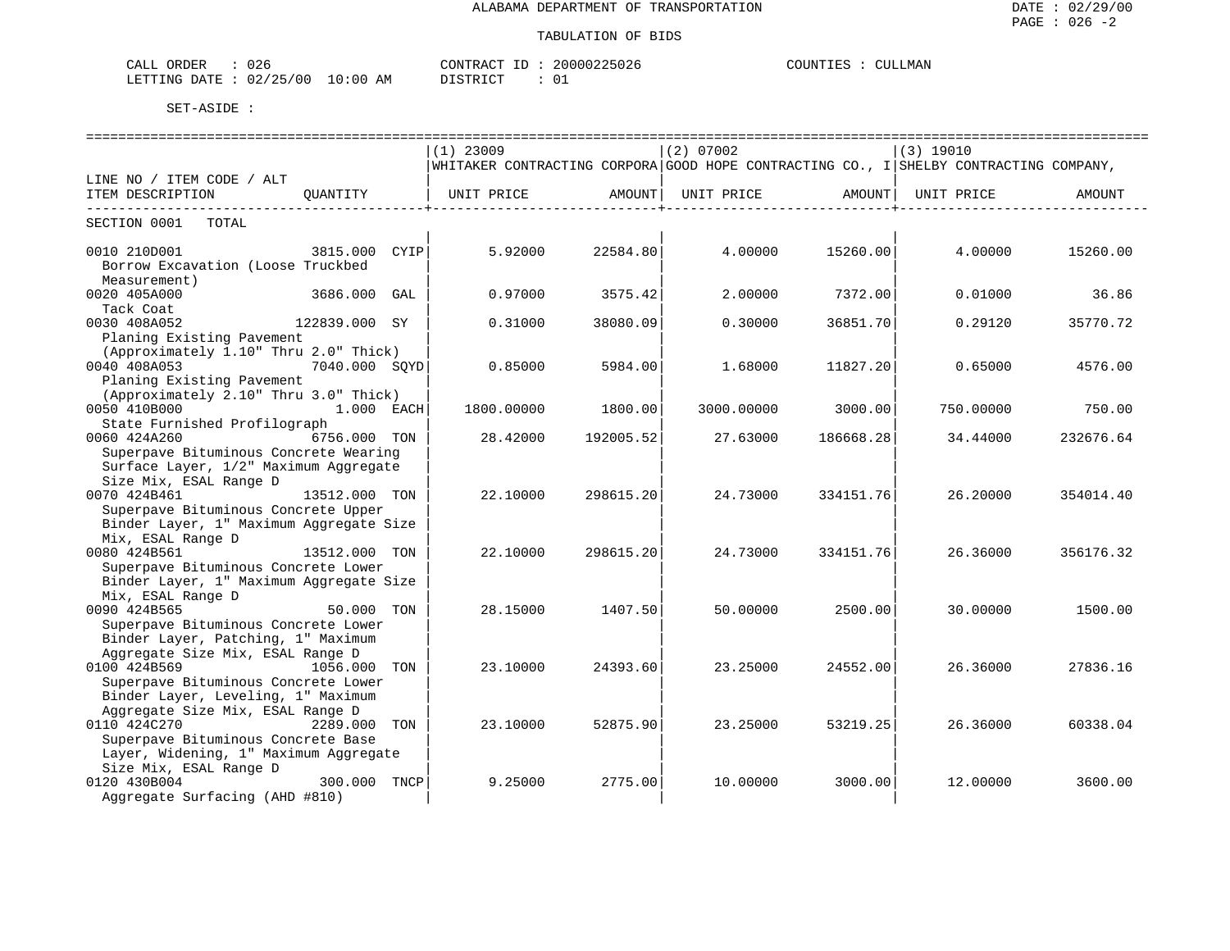| ORDER<br>$\sim$ $\sim$<br>U 26<br>' A I<br>للسلطات                  |                             | דרות<br>Δ( | nn<br>∕ r<br>$\sqrt{2}$ | 2.55337<br>NTT.<br>'OTIN'T<br>MAN |
|---------------------------------------------------------------------|-----------------------------|------------|-------------------------|-----------------------------------|
| $\sim$ $\sim$ $\sim$<br>ነለ ጥፔ<br>′∩∩<br>mmm<br>. NG 2<br>◡▵<br>____ | ΆM<br>ו ט<br>$\overline{1}$ | CDD<br>— ∪ |                         |                                   |

|                                         |               |     | $(1)$ 23009                                                                           |           | $(2)$ 07002 |                                | (3) 19010 |           |  |  |  |
|-----------------------------------------|---------------|-----|---------------------------------------------------------------------------------------|-----------|-------------|--------------------------------|-----------|-----------|--|--|--|
|                                         |               |     | WHITAKER CONTRACTING CORPORA GOOD HOPE CONTRACTING CO., I SHELBY CONTRACTING COMPANY, |           |             |                                |           |           |  |  |  |
| LINE NO / ITEM CODE / ALT               |               |     |                                                                                       |           |             |                                |           |           |  |  |  |
| ITEM DESCRIPTION                        | OUANTITY      |     | UNIT PRICE AMOUNT                                                                     |           |             | UNIT PRICE AMOUNT   UNIT PRICE |           | AMOUNT    |  |  |  |
| --------------------------------        |               |     |                                                                                       |           |             | -------------------+-----      |           |           |  |  |  |
| SECTION 0001<br>TOTAL                   |               |     |                                                                                       |           |             |                                |           |           |  |  |  |
|                                         |               |     |                                                                                       |           |             |                                |           |           |  |  |  |
| 0010 210D001                            | 3815.000 CYIP |     | 5.92000                                                                               | 22584.80  | 4.00000     | 15260.00                       | 4.00000   | 15260.00  |  |  |  |
| Borrow Excavation (Loose Truckbed       |               |     |                                                                                       |           |             |                                |           |           |  |  |  |
| Measurement)                            |               |     |                                                                                       |           |             |                                |           |           |  |  |  |
| 0020 405A000                            | 3686.000      | GAL | 0.97000                                                                               | 3575.42   | 2,00000     | 7372.00                        | 0.01000   | 36.86     |  |  |  |
| Tack Coat                               |               |     |                                                                                       |           |             |                                |           |           |  |  |  |
| 0030 408A052                            | 122839.000 SY |     | 0.31000                                                                               | 38080.09  | 0.30000     | 36851.70                       | 0.29120   | 35770.72  |  |  |  |
| Planing Existing Pavement               |               |     |                                                                                       |           |             |                                |           |           |  |  |  |
| (Approximately 1.10" Thru 2.0" Thick)   |               |     |                                                                                       |           |             |                                |           |           |  |  |  |
| 0040 408A053                            | 7040.000 SQYD |     | 0.85000                                                                               | 5984.00   | 1.68000     | 11827.20                       | 0.65000   | 4576.00   |  |  |  |
| Planing Existing Pavement               |               |     |                                                                                       |           |             |                                |           |           |  |  |  |
| (Approximately 2.10" Thru 3.0" Thick)   |               |     |                                                                                       |           |             |                                |           |           |  |  |  |
| 0050 410B000                            | 1.000 EACH    |     | 1800.00000                                                                            | 1800.00   | 3000.00000  | 3000.00                        | 750.00000 | 750.00    |  |  |  |
| State Furnished Profilograph            |               |     |                                                                                       |           |             |                                |           |           |  |  |  |
| 0060 424A260                            | 6756.000 TON  |     | 28.42000                                                                              | 192005.52 | 27.63000    | 186668.28                      | 34.44000  | 232676.64 |  |  |  |
| Superpave Bituminous Concrete Wearing   |               |     |                                                                                       |           |             |                                |           |           |  |  |  |
| Surface Layer, 1/2" Maximum Aggregate   |               |     |                                                                                       |           |             |                                |           |           |  |  |  |
| Size Mix, ESAL Range D                  |               |     |                                                                                       |           |             |                                |           |           |  |  |  |
| 0070 424B461                            | 13512.000 TON |     | 22.10000                                                                              | 298615.20 | 24.73000    | 334151.76                      | 26.20000  | 354014.40 |  |  |  |
| Superpave Bituminous Concrete Upper     |               |     |                                                                                       |           |             |                                |           |           |  |  |  |
| Binder Layer, 1" Maximum Aggregate Size |               |     |                                                                                       |           |             |                                |           |           |  |  |  |
| Mix, ESAL Range D                       |               |     |                                                                                       |           |             |                                |           |           |  |  |  |
| 0080 424B561                            | 13512.000 TON |     | 22.10000                                                                              | 298615.20 | 24.73000    | 334151.76                      | 26.36000  | 356176.32 |  |  |  |
| Superpave Bituminous Concrete Lower     |               |     |                                                                                       |           |             |                                |           |           |  |  |  |
| Binder Layer, 1" Maximum Aggregate Size |               |     |                                                                                       |           |             |                                |           |           |  |  |  |
| Mix, ESAL Range D                       |               |     |                                                                                       |           |             |                                |           |           |  |  |  |
| 0090 424B565                            | 50.000 TON    |     | 28.15000                                                                              | 1407.50   | 50.00000    | 2500.00                        | 30.00000  | 1500.00   |  |  |  |
| Superpave Bituminous Concrete Lower     |               |     |                                                                                       |           |             |                                |           |           |  |  |  |
| Binder Layer, Patching, 1" Maximum      |               |     |                                                                                       |           |             |                                |           |           |  |  |  |
| Aggregate Size Mix, ESAL Range D        |               |     |                                                                                       |           |             |                                |           |           |  |  |  |
| 0100 424B569                            | 1056.000 TON  |     | 23.10000                                                                              | 24393.60  | 23.25000    | 24552.00                       | 26.36000  | 27836.16  |  |  |  |
| Superpave Bituminous Concrete Lower     |               |     |                                                                                       |           |             |                                |           |           |  |  |  |
| Binder Layer, Leveling, 1" Maximum      |               |     |                                                                                       |           |             |                                |           |           |  |  |  |
| Aggregate Size Mix, ESAL Range D        |               |     |                                                                                       |           |             |                                |           |           |  |  |  |
| 0110 424C270                            | 2289.000      | TON | 23.10000                                                                              | 52875.90  | 23.25000    | 53219.25                       | 26.36000  | 60338.04  |  |  |  |
| Superpave Bituminous Concrete Base      |               |     |                                                                                       |           |             |                                |           |           |  |  |  |
| Layer, Widening, 1" Maximum Aggregate   |               |     |                                                                                       |           |             |                                |           |           |  |  |  |
| Size Mix, ESAL Range D                  |               |     |                                                                                       |           |             |                                |           |           |  |  |  |
| 0120 430B004                            | 300.000 TNCP  |     | 9.25000                                                                               | 2775.00   | 10.00000    | 3000.00                        | 12.00000  | 3600.00   |  |  |  |
| Aggregate Surfacing (AHD #810)          |               |     |                                                                                       |           |             |                                |           |           |  |  |  |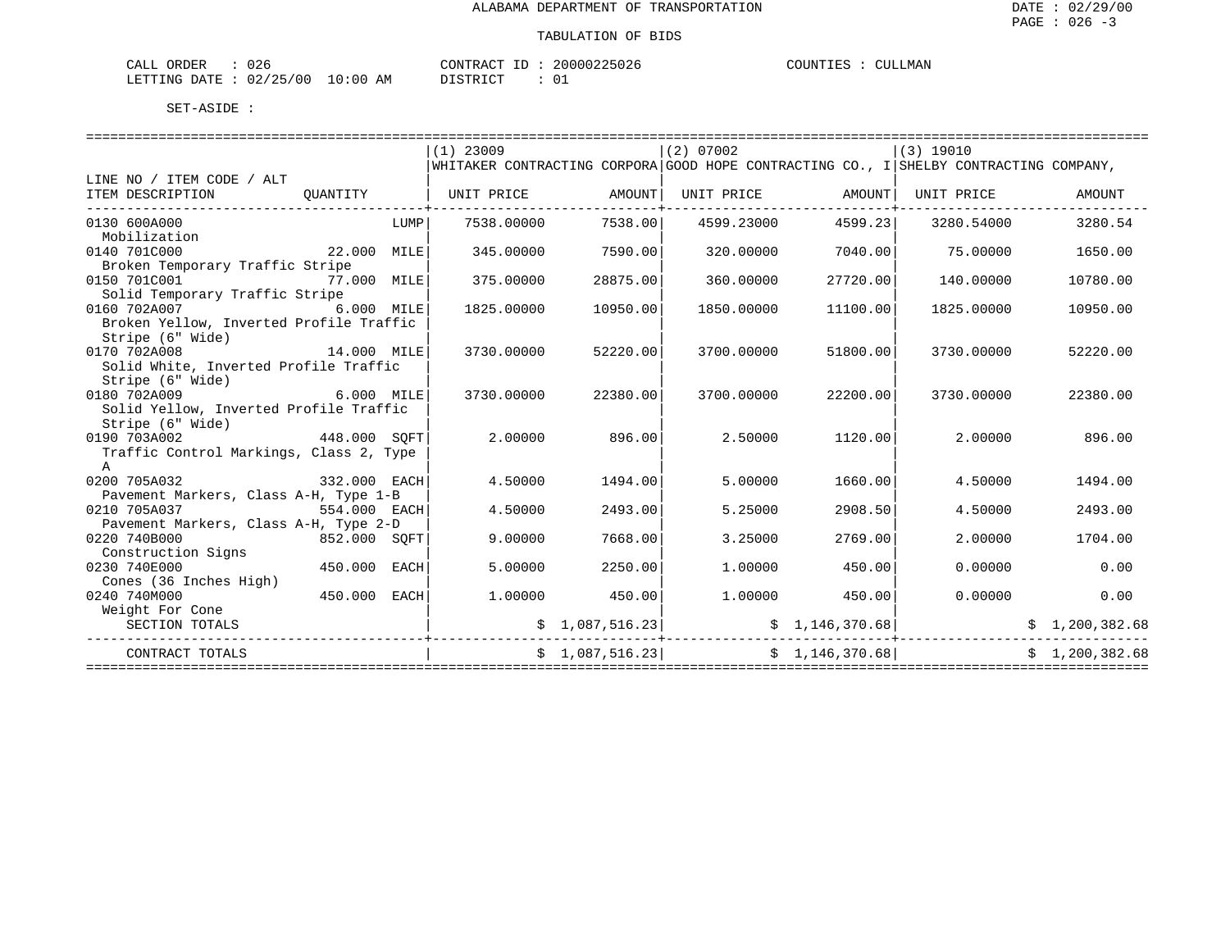| 026<br>CALL ORDER                | CONTRACT ID:     | 20000225026 | COUNTIES :<br>CULLMAN<br>$\sim$ $\sim$ |
|----------------------------------|------------------|-------------|----------------------------------------|
| LETTING DATE : 02/25/00 10:00 AM | ידי איד פידי פור |             |                                        |

|                                                                              |             |      | $(1)$ 23009                                                                           |                     | (2) 07002                                                         |          | (3) 19010               |                 |
|------------------------------------------------------------------------------|-------------|------|---------------------------------------------------------------------------------------|---------------------|-------------------------------------------------------------------|----------|-------------------------|-----------------|
|                                                                              |             |      | WHITAKER CONTRACTING CORPORA GOOD HOPE CONTRACTING CO., I SHELBY CONTRACTING COMPANY, |                     |                                                                   |          |                         |                 |
| LINE NO / ITEM CODE / ALT                                                    |             |      |                                                                                       |                     |                                                                   |          |                         |                 |
| ITEM DESCRIPTION QUANTITY   UNIT PRICE AMOUNT  UNIT PRICE AMOUNT  UNIT PRICE |             |      |                                                                                       |                     |                                                                   |          |                         | AMOUNT          |
|                                                                              |             |      |                                                                                       | -------------+----- |                                                                   |          |                         |                 |
| 0130 600A000                                                                 |             | LUMP | 7538.00000                                                                            | 7538.001            | 4599.23000                                                        | 4599.23  | 3280.54000              | 3280.54         |
| Mobilization                                                                 |             |      |                                                                                       |                     |                                                                   |          |                         |                 |
| 0140 701C000                                                                 | 22.000 MILE |      | 345.00000                                                                             | 7590.00             | 320.00000                                                         | 7040.00  | 75.00000                | 1650.00         |
| Broken Temporary Traffic Stripe                                              |             |      |                                                                                       |                     |                                                                   |          |                         |                 |
| 0150 701C001<br>77.000 MILE                                                  |             |      | 375.00000                                                                             | 28875.00            | 360,00000                                                         | 27720.00 | 140.00000               | 10780.00        |
| Solid Temporary Traffic Stripe                                               |             |      |                                                                                       |                     |                                                                   |          |                         |                 |
| 0160 702A007                                                                 | 6.000 MILE  |      | 1825,00000                                                                            | 10950.00            | 1850.00000                                                        | 11100.00 | 1825.00000              | 10950.00        |
| Broken Yellow, Inverted Profile Traffic                                      |             |      |                                                                                       |                     |                                                                   |          |                         |                 |
| Stripe (6" Wide)                                                             |             |      |                                                                                       |                     |                                                                   |          |                         |                 |
| 14.000 MILE<br>0170 702A008                                                  |             |      | 3730.00000                                                                            | 52220.00            | 3700.00000                                                        | 51800.00 | 3730.00000              | 52220.00        |
| Solid White, Inverted Profile Traffic                                        |             |      |                                                                                       |                     |                                                                   |          |                         |                 |
| Stripe (6" Wide)                                                             |             |      |                                                                                       |                     |                                                                   |          |                         |                 |
| 6.000 MILE<br>0180 702A009                                                   |             |      | 3730.00000                                                                            | 22380.00            | 3700.00000                                                        | 22200.00 | 3730.00000              | 22380.00        |
| Solid Yellow, Inverted Profile Traffic                                       |             |      |                                                                                       |                     |                                                                   |          |                         |                 |
| Stripe (6" Wide)                                                             |             |      |                                                                                       |                     |                                                                   |          |                         |                 |
| 448.000 SQFT<br>0190 703A002                                                 |             |      | 2,00000                                                                               | 896.00              | 2.50000                                                           | 1120.00  | 2.00000                 | 896.00          |
| Traffic Control Markings, Class 2, Type                                      |             |      |                                                                                       |                     |                                                                   |          |                         |                 |
| $\mathbb{A}$                                                                 |             |      |                                                                                       |                     |                                                                   |          |                         |                 |
| 0200 705A032<br>332.000 EACH                                                 |             |      | 4.50000                                                                               | 1494.00             | 5,00000                                                           | 1660.00  | 4.50000                 | 1494.00         |
| Pavement Markers, Class A-H, Type 1-B                                        |             |      |                                                                                       |                     |                                                                   |          |                         |                 |
| 554.000 EACH<br>0210 705A037                                                 |             |      | 4.50000                                                                               | 2493.00             | 5.25000                                                           | 2908.50  | 4.50000                 | 2493.00         |
| Pavement Markers, Class A-H, Type 2-D                                        |             |      |                                                                                       |                     |                                                                   |          |                         |                 |
| $852.000$ SQFT<br>0220 740B000                                               |             |      | 9,00000                                                                               | 7668.00             | 3.25000                                                           | 2769.00  | 2.00000                 | 1704.00         |
| Construction Signs                                                           |             |      |                                                                                       |                     |                                                                   |          |                         |                 |
| 450.000 EACH<br>0230 740E000                                                 |             |      | 5,00000                                                                               | 2250.00             | 1,00000                                                           | 450.00   | 0.00000                 | 0.00            |
| Cones (36 Inches High)                                                       |             |      |                                                                                       |                     |                                                                   |          |                         |                 |
| 450.000 EACH<br>0240 740M000                                                 |             |      | 1,00000                                                                               | 450.00              | 1,00000                                                           | 450.00   |                         | 0.00000<br>0.00 |
| Weight For Cone                                                              |             |      |                                                                                       |                     |                                                                   |          |                         |                 |
| SECTION TOTALS                                                               |             |      |                                                                                       |                     | $\sharp$ 1,087,516.23 $\sharp$ $\sharp$ 1,146,370.68              |          |                         | \$1,200,382.68  |
|                                                                              |             |      |                                                                                       |                     | .<br>+------------------------------                              |          | .<br>+----------------- |                 |
| CONTRACT TOTALS                                                              |             |      |                                                                                       |                     | $\frac{1}{2}$ , 087, 516.23 $\frac{1}{2}$ $\frac{1}{46}$ , 370.68 |          |                         | \$1,200,382.68  |
|                                                                              |             |      |                                                                                       |                     |                                                                   |          |                         |                 |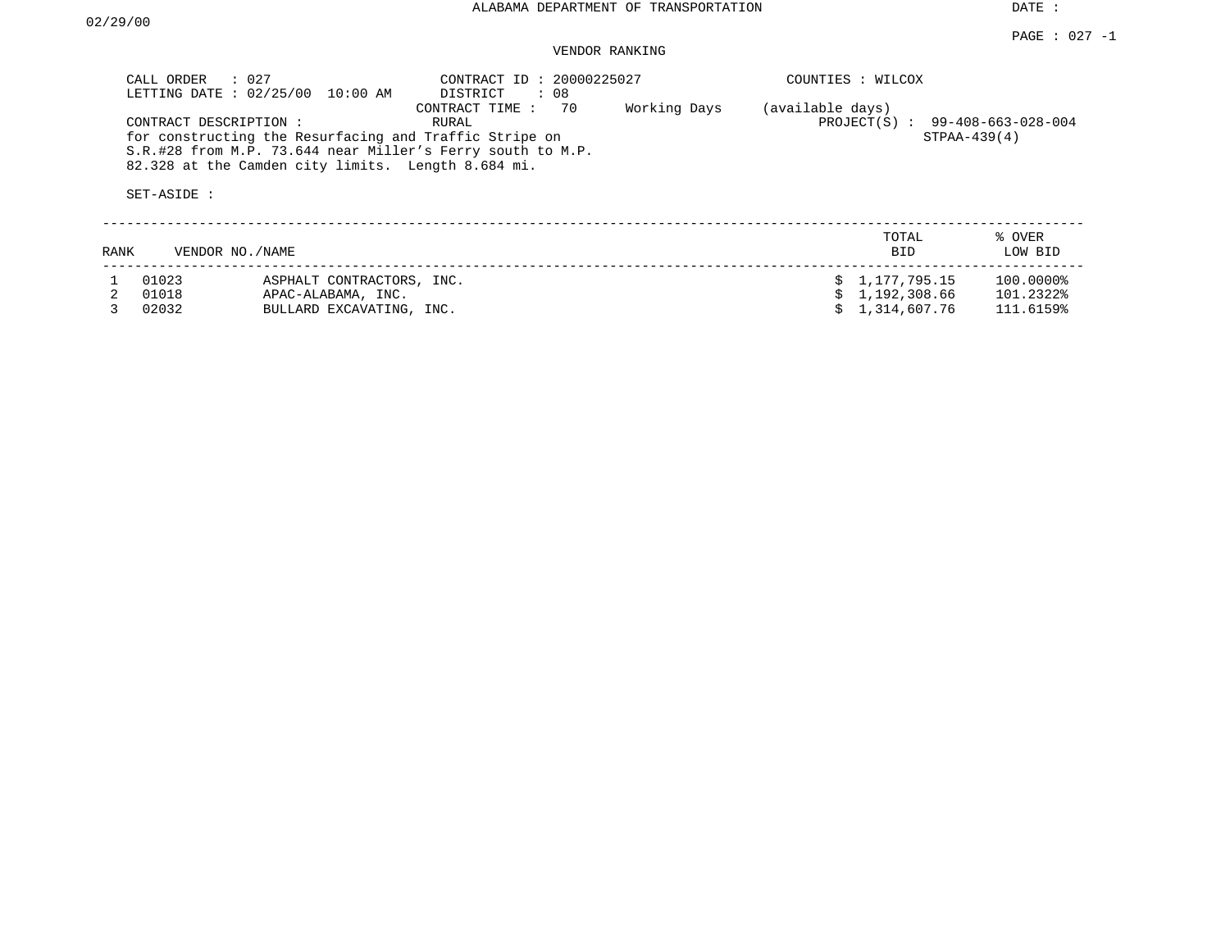## VENDOR RANKING

|      | : 027<br>CALL ORDER<br>LETTING DATE: 02/25/00<br>CONTRACT DESCRIPTION:<br>SET-ASIDE : | 10:00 AM<br>for constructing the Resurfacing and Traffic Stripe on<br>S.R.#28 from M.P. 73.644 near Miller's Ferry south to M.P.<br>82.328 at the Camden city limits. Length 8.684 mi. | (available days) | COUNTIES : WILCOX<br>PROJECT(S) : 99-408-663-028-004<br>$STPAA-439(4)$ |                                                |                                     |
|------|---------------------------------------------------------------------------------------|----------------------------------------------------------------------------------------------------------------------------------------------------------------------------------------|------------------|------------------------------------------------------------------------|------------------------------------------------|-------------------------------------|
| RANK | VENDOR NO./NAME                                                                       |                                                                                                                                                                                        |                  |                                                                        | TOTAL<br><b>BID</b>                            | % OVER<br>LOW BID                   |
|      | 01023<br>01018<br>02032                                                               | ASPHALT CONTRACTORS, INC.<br>APAC-ALABAMA, INC.<br>BULLARD EXCAVATING, INC.                                                                                                            |                  |                                                                        | \$1,177,795.15<br>1,192,308.66<br>1,314,607.76 | 100.0000%<br>101.2322%<br>111.6159% |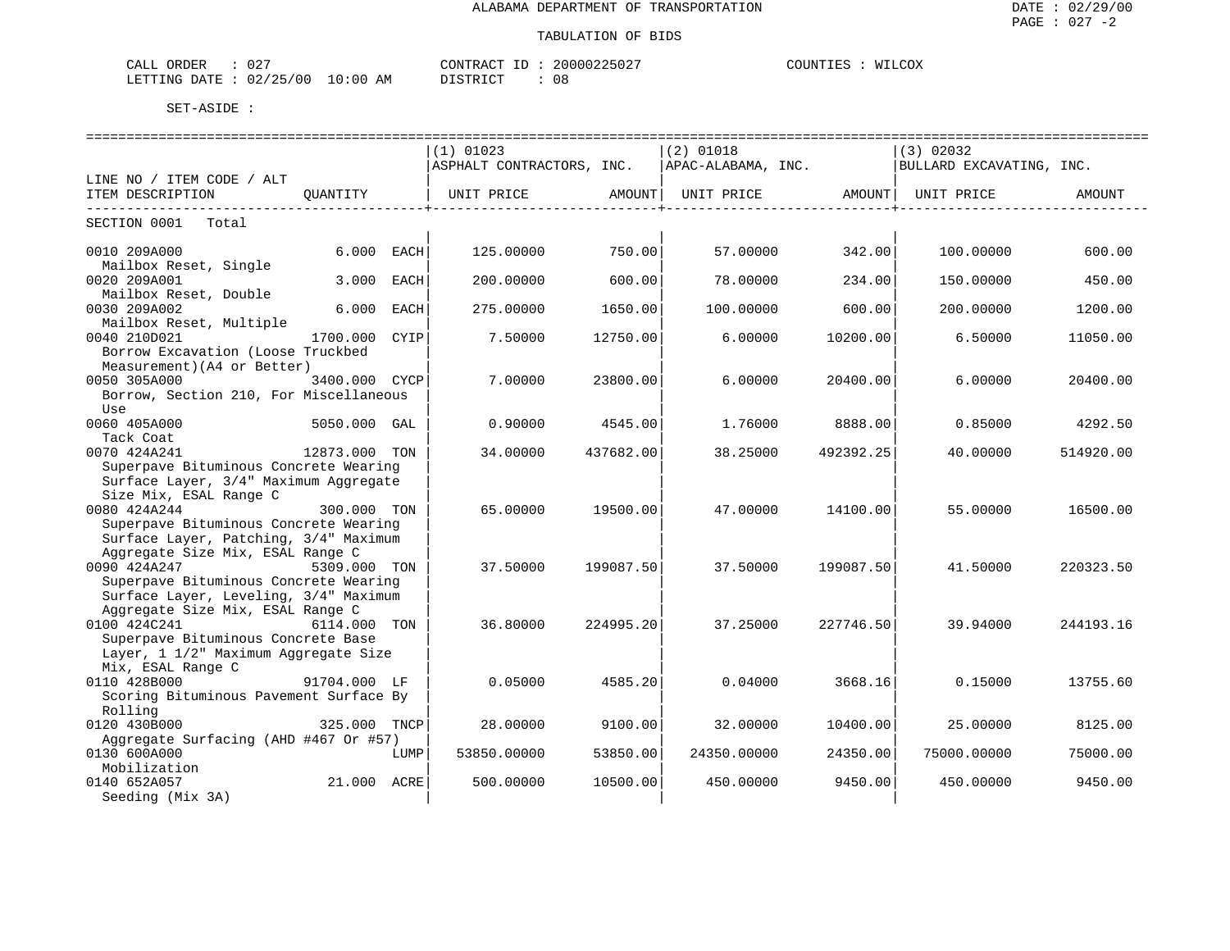#### TABULATION OF BIDS

| <b>ORDER</b><br>CALI | 10T<br>ے ر |             | CONTRACT     | 20000225027 | COUNTIES | MTT<br>COX |
|----------------------|------------|-------------|--------------|-------------|----------|------------|
| LETTING DATE         | 02/25/00   | 10:00<br>AM | דת לידי את ה | 08          |          |            |

|                                                                                                                    |               |      | ------------------------------<br>(1) 01023                      |           | ==============================<br>$(2)$ 01018 |           | ================================<br>(3) 02032 |           |
|--------------------------------------------------------------------------------------------------------------------|---------------|------|------------------------------------------------------------------|-----------|-----------------------------------------------|-----------|-----------------------------------------------|-----------|
|                                                                                                                    |               |      | ASPHALT CONTRACTORS, INC.                                        |           | APAC-ALABAMA, INC.                            |           | BULLARD EXCAVATING, INC.                      |           |
| LINE NO / ITEM CODE / ALT                                                                                          |               |      |                                                                  |           |                                               |           |                                               |           |
| ITEM DESCRIPTION                                                                                                   | OUANTITY      |      | UNIT PRICE         AMOUNT  UNIT PRICE         AMOUNT  UNIT PRICE |           |                                               |           |                                               | AMOUNT    |
| SECTION 0001 Total                                                                                                 |               |      |                                                                  |           |                                               |           |                                               |           |
| 0010 209A000                                                                                                       | 6.000 EACH    |      | 125,00000                                                        | 750.001   | 57.00000                                      | 342.00    | 100,00000                                     | 600.00    |
| Mailbox Reset, Single<br>0020 209A001                                                                              | 3.000         | EACH | 200.00000                                                        | 600.00    | 78,00000                                      | 234.00    | 150.00000                                     | 450.00    |
| Mailbox Reset, Double<br>0030 209A002                                                                              | 6.000         | EACH | 275.00000                                                        | 1650.00   | 100.00000                                     | 600.00    | 200.00000                                     | 1200.00   |
| Mailbox Reset, Multiple<br>0040 210D021<br>Borrow Excavation (Loose Truckbed                                       | 1700.000      | CYIP | 7.50000                                                          | 12750.00  | 6.00000                                       | 10200.00  | 6.50000                                       | 11050.00  |
| Measurement) (A4 or Better)<br>0050 305A000<br>Borrow, Section 210, For Miscellaneous                              | 3400.000 CYCP |      | 7.00000                                                          | 23800.00  | 6.00000                                       | 20400.00  | 6,00000                                       | 20400.00  |
| Use<br>0060 405A000<br>Tack Coat                                                                                   | 5050.000 GAL  |      | 0.90000                                                          | 4545.00   | 1.76000                                       | 8888.00   | 0.85000                                       | 4292.50   |
| 0070 424A241<br>Superpave Bituminous Concrete Wearing                                                              | 12873.000 TON |      | 34.00000                                                         | 437682.00 | 38.25000                                      | 492392.25 | 40.00000                                      | 514920.00 |
| Surface Layer, 3/4" Maximum Aggregate<br>Size Mix, ESAL Range C<br>0080 424A244                                    | 300.000 TON   |      | 65.00000                                                         | 19500.00  | 47.00000                                      | 14100.00  | 55.00000                                      | 16500.00  |
| Superpave Bituminous Concrete Wearing<br>Surface Layer, Patching, 3/4" Maximum<br>Aggregate Size Mix, ESAL Range C |               |      |                                                                  |           |                                               |           |                                               |           |
| 0090 424A247<br>Superpave Bituminous Concrete Wearing                                                              | 5309.000 TON  |      | 37.50000                                                         | 199087.50 | 37.50000                                      | 199087.50 | 41.50000                                      | 220323.50 |
| Surface Layer, Leveling, 3/4" Maximum<br>Aggregate Size Mix, ESAL Range C<br>0100 424C241                          | 6114.000 TON  |      | 36.80000                                                         | 224995.20 | 37.25000                                      | 227746.50 | 39.94000                                      | 244193.16 |
| Superpave Bituminous Concrete Base<br>Layer, 1 1/2" Maximum Aggregate Size<br>Mix, ESAL Range C                    |               |      |                                                                  |           |                                               |           |                                               |           |
| 0110 428B000<br>Scoring Bituminous Pavement Surface By<br>Rolling                                                  | 91704.000 LF  |      | 0.05000                                                          | 4585.20   | 0.04000                                       | 3668.16   | 0.15000                                       | 13755.60  |
| 0120 430B000                                                                                                       | 325.000 TNCP  |      | 28.00000                                                         | 9100.00   | 32.00000                                      | 10400.00  | 25.00000                                      | 8125.00   |
| Aggregate Surfacing (AHD #467 Or #57)                                                                              |               |      |                                                                  |           |                                               |           |                                               |           |
| 0130 600A000<br>Mobilization                                                                                       |               | LUMP | 53850.00000                                                      | 53850.00  | 24350.00000                                   | 24350.00  | 75000.00000                                   | 75000.00  |
| 0140 652A057<br>Seeding (Mix 3A)                                                                                   | 21.000 ACRE   |      | 500.00000                                                        | 10500.00  | 450.00000                                     | 9450.00   | 450.00000                                     | 9450.00   |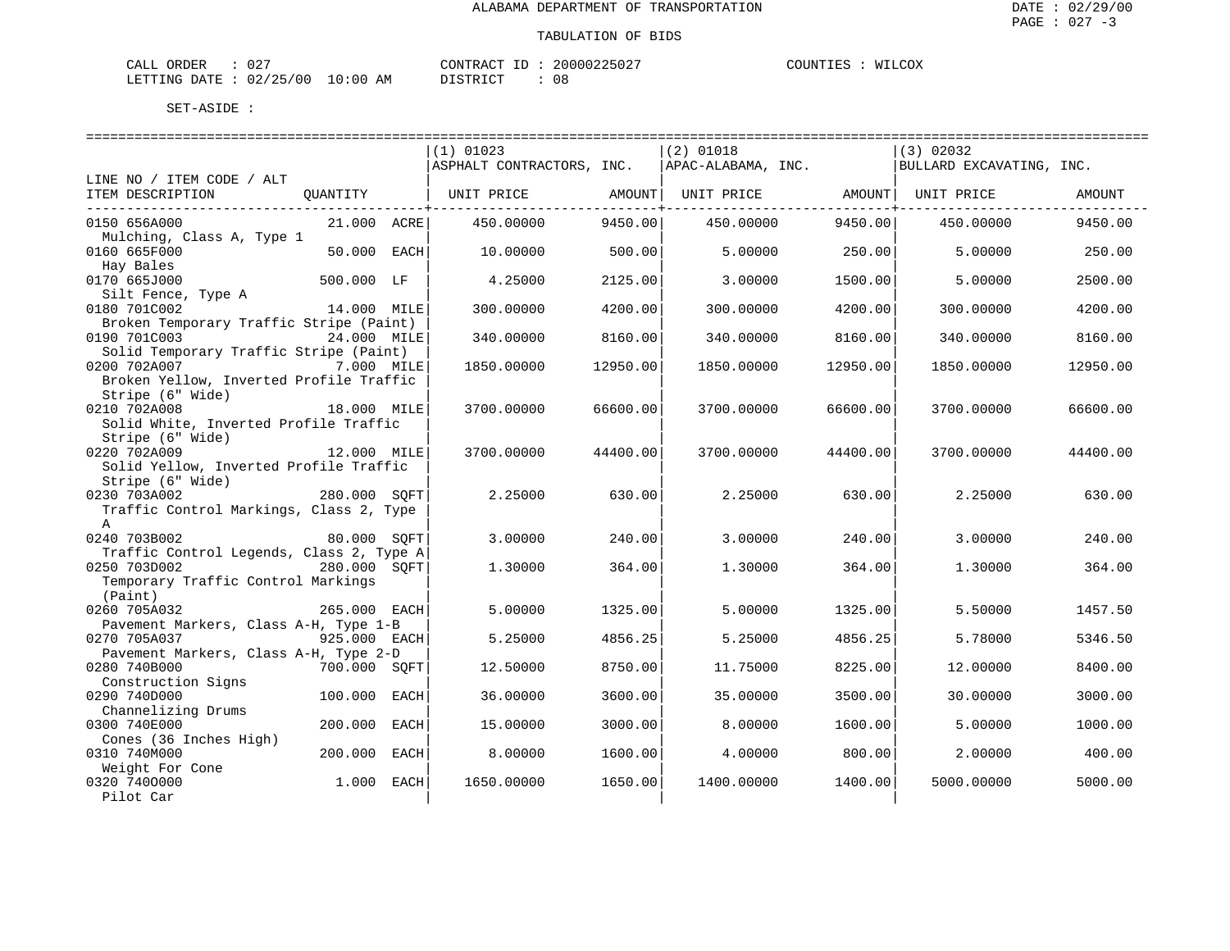| ORDER<br>CALL          | $\cap$<br>J 4 |             | CONTRACT ID | 20000225027 | COUNTIES | WILCOX |
|------------------------|---------------|-------------|-------------|-------------|----------|--------|
| LETTING DATE: 02/25/00 |               | 10:00<br>AΜ | DI STR TOT  | 08          |          |        |

|                                                       |              |      | ============================== |          |                    |          |                          |          |
|-------------------------------------------------------|--------------|------|--------------------------------|----------|--------------------|----------|--------------------------|----------|
|                                                       |              |      | $(1)$ 01023                    |          | $(2)$ 01018        |          | (3) 02032                |          |
|                                                       |              |      | ASPHALT CONTRACTORS, INC.      |          | APAC-ALABAMA, INC. |          | BULLARD EXCAVATING, INC. |          |
| LINE NO / ITEM CODE / ALT                             |              |      |                                |          |                    |          |                          |          |
| ITEM DESCRIPTION                                      | OUANTITY     |      | UNIT PRICE                     | AMOUNT   | UNIT PRICE         | AMOUNT   | UNIT PRICE               | AMOUNT   |
| 0150 656A000                                          | 21.000 ACRE  |      | 450.00000                      | 9450.00  | 450.00000          | 9450.00  | 450.00000                | 9450.00  |
| Mulching, Class A, Type 1                             |              |      |                                |          |                    |          |                          |          |
| 0160 665F000                                          | 50.000       | EACH | 10.00000                       | 500.00   | 5.00000            | 250.00   | 5.00000                  | 250.00   |
| Hay Bales                                             |              |      |                                |          |                    |          |                          |          |
| 0170 665J000                                          | 500.000 LF   |      | 4.25000                        | 2125.00  | 3.00000            | 1500.00  | 5.00000                  | 2500.00  |
| Silt Fence, Type A                                    |              |      |                                |          |                    |          |                          |          |
| 0180 701C002                                          | 14.000 MILE  |      | 300.00000                      | 4200.00  | 300.00000          | 4200.00  | 300.00000                | 4200.00  |
| Broken Temporary Traffic Stripe (Paint)               |              |      |                                |          |                    |          |                          |          |
| 0190 701C003                                          | 24.000 MILE  |      | 340.00000                      | 8160.00  | 340.00000          | 8160.00  | 340.00000                | 8160.00  |
| Solid Temporary Traffic Stripe (Paint)                |              |      |                                |          |                    |          |                          |          |
| 0200 702A007                                          | 7.000 MILE   |      | 1850.00000                     | 12950.00 | 1850.00000         | 12950.00 | 1850.00000               | 12950.00 |
| Broken Yellow, Inverted Profile Traffic               |              |      |                                |          |                    |          |                          |          |
| Stripe (6" Wide)                                      |              |      |                                |          |                    |          |                          |          |
| 0210 702A008<br>Solid White, Inverted Profile Traffic | 18.000 MILE  |      | 3700.00000                     | 66600.00 | 3700.00000         | 66600.00 | 3700.00000               | 66600.00 |
| Stripe (6" Wide)                                      |              |      |                                |          |                    |          |                          |          |
| 0220 702A009                                          | 12.000 MILE  |      | 3700.00000                     | 44400.00 | 3700.00000         | 44400.00 | 3700.00000               | 44400.00 |
| Solid Yellow, Inverted Profile Traffic                |              |      |                                |          |                    |          |                          |          |
| Stripe (6" Wide)                                      |              |      |                                |          |                    |          |                          |          |
| 0230 703A002                                          | 280.000 SOFT |      | 2.25000                        | 630.00   | 2.25000            | 630.00   | 2.25000                  | 630.00   |
| Traffic Control Markings, Class 2, Type               |              |      |                                |          |                    |          |                          |          |
| A                                                     |              |      |                                |          |                    |          |                          |          |
| 0240 703B002                                          | 80.000 SOFT  |      | 3.00000                        | 240.00   | 3.00000            | 240.00   | 3.00000                  | 240.00   |
| Traffic Control Legends, Class 2, Type A              |              |      |                                |          |                    |          |                          |          |
| 0250 703D002                                          | 280.000 SOFT |      | 1.30000                        | 364.00   | 1.30000            | 364.00   | 1.30000                  | 364.00   |
| Temporary Traffic Control Markings                    |              |      |                                |          |                    |          |                          |          |
| (Paint)                                               |              |      |                                |          |                    |          |                          |          |
| 0260 705A032                                          | 265.000 EACH |      | 5.00000                        | 1325.00  | 5.00000            | 1325.00  | 5.50000                  | 1457.50  |
| Pavement Markers, Class A-H, Type 1-B<br>0270 705A037 |              |      | 5.25000                        | 4856.25  | 5.25000            |          | 5.78000                  |          |
| Pavement Markers, Class A-H, Type 2-D                 | 925.000 EACH |      |                                |          |                    | 4856.25  |                          | 5346.50  |
| 0280 740B000                                          | 700.000 SOFT |      | 12.50000                       | 8750.00  | 11.75000           | 8225.00  | 12,00000                 | 8400.00  |
| Construction Signs                                    |              |      |                                |          |                    |          |                          |          |
| 0290 740D000                                          | 100.000      | EACH | 36.00000                       | 3600.00  | 35.00000           | 3500.00  | 30.00000                 | 3000.00  |
| Channelizing Drums                                    |              |      |                                |          |                    |          |                          |          |
| 0300 740E000                                          | 200.000      | EACH | 15,00000                       | 3000.00  | 8,00000            | 1600.00  | 5.00000                  | 1000.00  |
| Cones (36 Inches High)                                |              |      |                                |          |                    |          |                          |          |
| 0310 740M000                                          | 200.000      | EACH | 8.00000                        | 1600.00  | 4.00000            | 800.00   | 2.00000                  | 400.00   |
| Weight For Cone                                       |              |      |                                |          |                    |          |                          |          |
| 0320 7400000                                          | 1.000        | EACH | 1650.00000                     | 1650.00  | 1400.00000         | 1400.00  | 5000.00000               | 5000.00  |
| Pilot Car                                             |              |      |                                |          |                    |          |                          |          |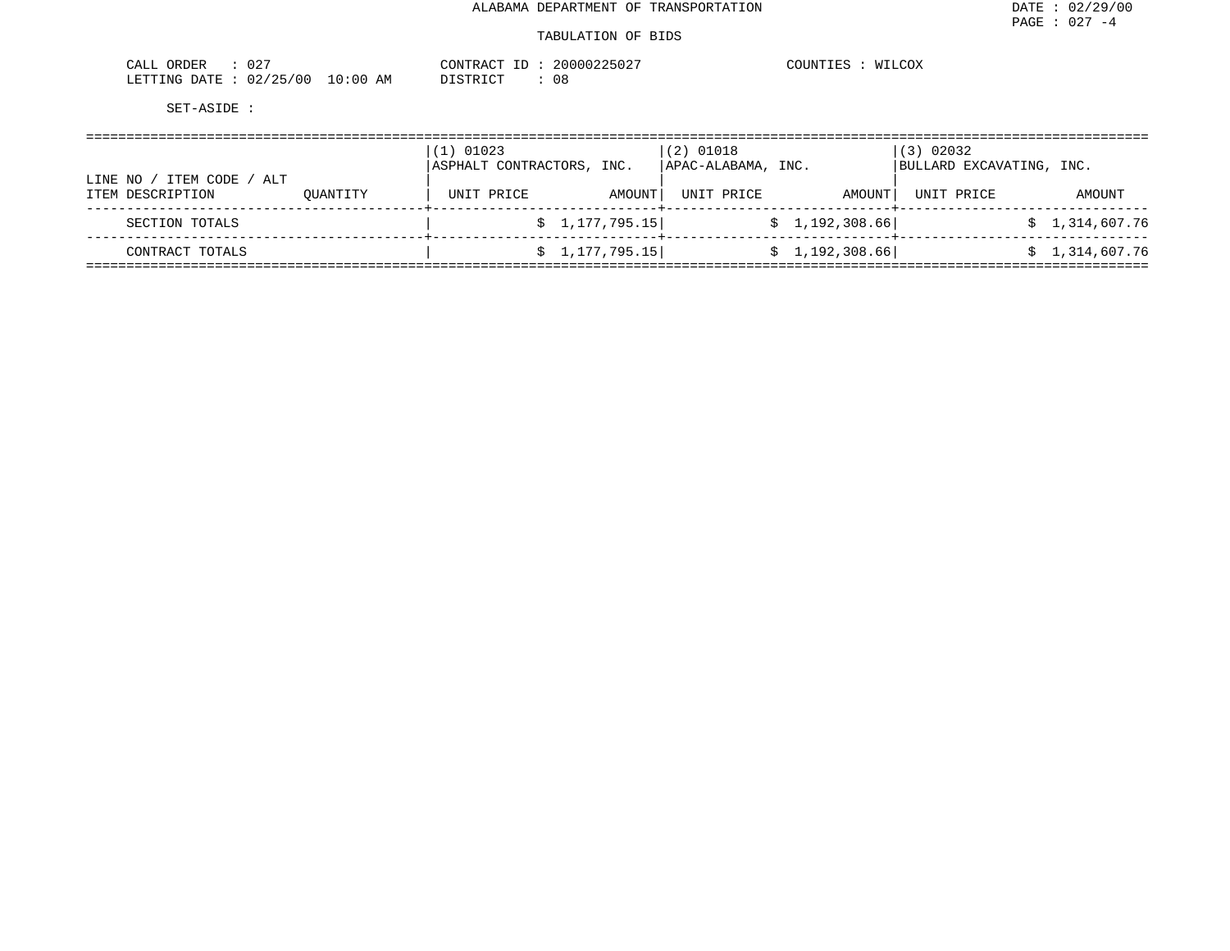#### TABULATION OF BIDS

| $\cap$ $\cap$<br>ORDER<br>CALL<br>UZ.                                                        | CONTRAC          | 20000225027<br>$\sim$                   | COUNTIES<br>$\bigcap$<br><b>MAI</b><br>≀C∪∆ |
|----------------------------------------------------------------------------------------------|------------------|-----------------------------------------|---------------------------------------------|
| $\sim$ $\sim$ $\sim$<br>/00<br>02<br>LETTING<br><b>DATE</b><br>$\overline{\phantom{a}}$<br>. | :00<br>AM<br>TO. | TAT<br>ו שיו<br>u c<br><i>ມ</i> ⊥ມ⊥⊥⊾ພ⊥ |                                             |

|                                                   | (1) 01023<br>ASPHALT CONTRACTORS, INC. |            | $(2)$ 01018<br>APAC-ALABAMA, INC. |            | (3) 02032<br>BULLARD EXCAVATING, INC. |            |                |
|---------------------------------------------------|----------------------------------------|------------|-----------------------------------|------------|---------------------------------------|------------|----------------|
| ITEM CODE<br>LINE NO<br>/ ALT<br>ITEM DESCRIPTION | OUANTITY                               | UNIT PRICE | AMOUNT                            | UNIT PRICE | AMOUNT                                | UNIT PRICE | AMOUNT         |
| SECTION TOTALS                                    |                                        |            | \$1,177,795.15]                   |            | \$1,192,308.66]                       |            | \$1,314,607.76 |
| CONTRACT TOTALS                                   |                                        |            | \$1,177,795.15]                   |            | \$1,192,308.66]                       |            | \$1,314,607.76 |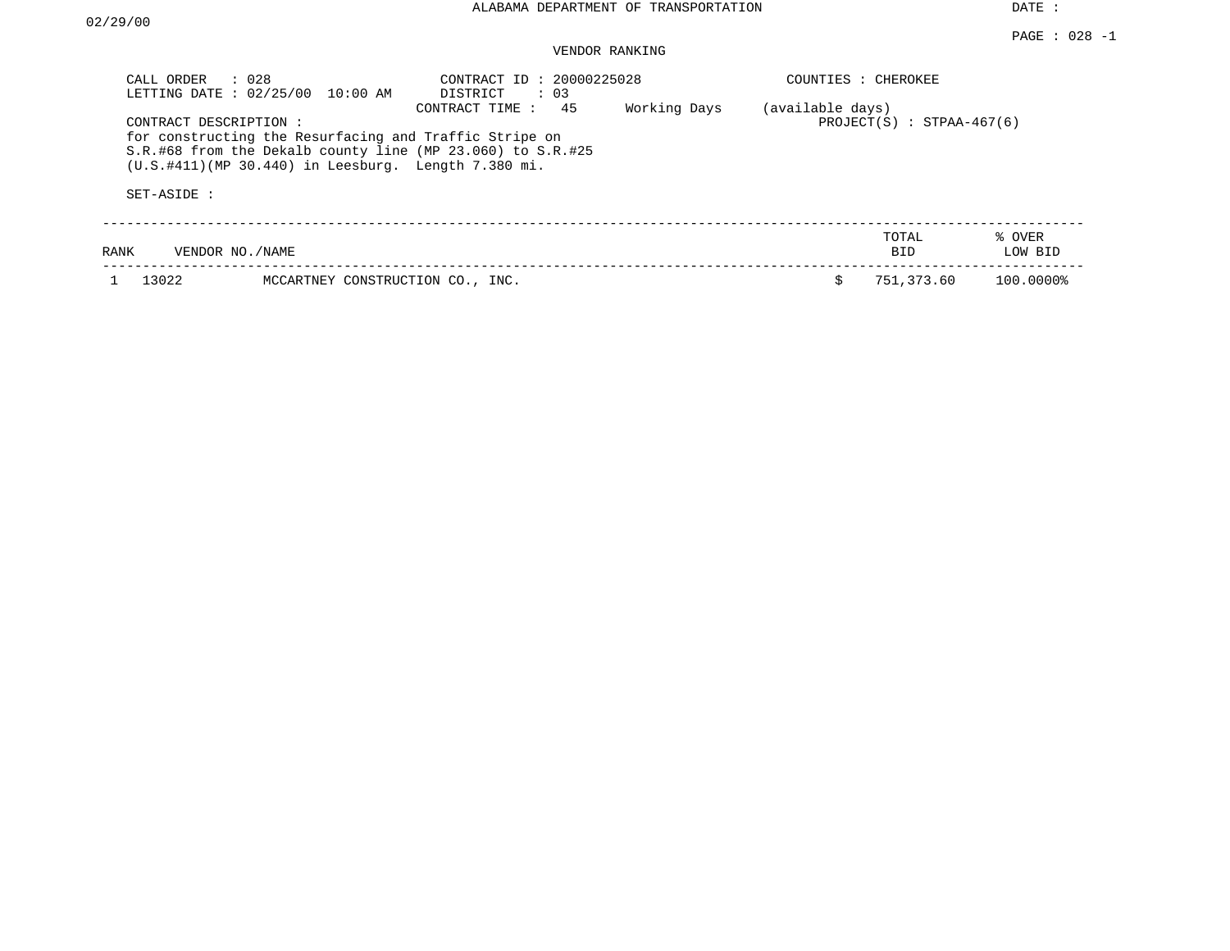## VENDOR RANKING

| CALL ORDER<br>LETTING DATE: 02/25/00 | $\therefore$ 028<br>10:00 AM                                                                                                                                                    | CONTRACT ID: 20000225028<br>DISTRICT<br>$\therefore$ 03 |              |                  | COUNTIES : CHEROKEE         |                   |
|--------------------------------------|---------------------------------------------------------------------------------------------------------------------------------------------------------------------------------|---------------------------------------------------------|--------------|------------------|-----------------------------|-------------------|
| CONTRACT DESCRIPTION:<br>SET-ASIDE:  | for constructing the Resurfacing and Traffic Stripe on<br>S.R.#68 from the Dekalb county line (MP 23.060) to S.R.#25<br>$(U.S. #411)$ (MP 30.440) in Leesburg. Length 7.380 mi. | 45<br>CONTRACT TIME :                                   | Working Days | (available days) | $PROJECT(S) : STPAA-467(6)$ |                   |
| RANK                                 | VENDOR NO./NAME                                                                                                                                                                 |                                                         |              |                  | TOTAL<br>BID.               | % OVER<br>LOW BID |
| 13022                                | MCCARTNEY CONSTRUCTION CO., INC.                                                                                                                                                |                                                         |              |                  | 751,373.60                  | 100.0000%         |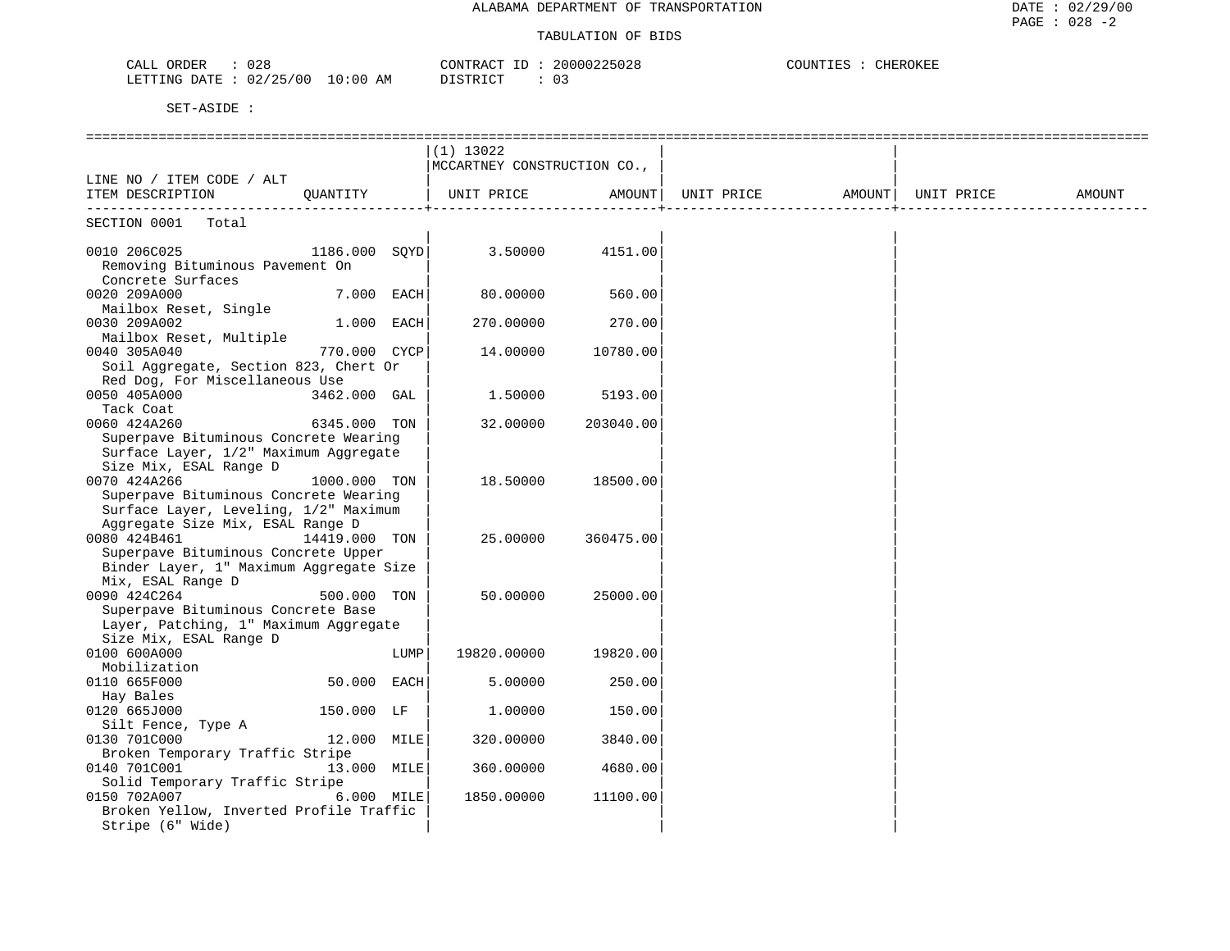| 028<br>CALL ORDER               | CONTRACT ID: 20000225028 | COUNTIES : CHEROKEE |
|---------------------------------|--------------------------|---------------------|
| LETTING DATE: 02/25/00 10:00 AM | DISTRICT<br>- 03         |                     |

|                                         |               |              | $(1)$ 13022                 |           |                    |        |            |        |
|-----------------------------------------|---------------|--------------|-----------------------------|-----------|--------------------|--------|------------|--------|
|                                         |               |              | MCCARTNEY CONSTRUCTION CO., |           |                    |        |            |        |
| LINE NO / ITEM CODE / ALT               |               |              |                             |           |                    |        |            |        |
| ITEM DESCRIPTION                        | QUANTITY      |              | UNIT PRICE                  | AMOUNT    | UNIT PRICE         | AMOUNT | UNIT PRICE | AMOUNT |
| SECTION 0001 Total                      |               |              |                             |           | ------------------ |        |            |        |
|                                         |               |              |                             |           |                    |        |            |        |
| 0010 206C025                            | 1186.000 SOYD |              | 3.50000                     | 4151.00   |                    |        |            |        |
| Removing Bituminous Pavement On         |               |              |                             |           |                    |        |            |        |
| Concrete Surfaces                       |               |              |                             |           |                    |        |            |        |
| 0020 209A000                            |               | $7.000$ EACH | 80.00000                    | 560.00    |                    |        |            |        |
| Mailbox Reset, Single                   |               |              |                             |           |                    |        |            |        |
| 0030 209A002                            | $1.000$ EACH  |              | 270.00000                   | 270.00    |                    |        |            |        |
| Mailbox Reset, Multiple                 |               |              |                             |           |                    |        |            |        |
| 0040 305A040                            | 770.000 CYCP  |              | 14.00000                    | 10780.00  |                    |        |            |        |
| Soil Aggregate, Section 823, Chert Or   |               |              |                             |           |                    |        |            |        |
| Red Dog, For Miscellaneous Use          |               |              |                             |           |                    |        |            |        |
| 0050 405A000                            | 3462.000 GAL  |              | 1.50000                     | 5193.00   |                    |        |            |        |
| Tack Coat                               |               |              |                             |           |                    |        |            |        |
| 0060 424A260                            | 6345.000 TON  |              | 32.00000                    | 203040.00 |                    |        |            |        |
| Superpave Bituminous Concrete Wearing   |               |              |                             |           |                    |        |            |        |
| Surface Layer, 1/2" Maximum Aggregate   |               |              |                             |           |                    |        |            |        |
| Size Mix, ESAL Range D                  |               |              |                             |           |                    |        |            |        |
| 0070 424A266                            | 1000.000 TON  |              | 18.50000                    | 18500.00  |                    |        |            |        |
| Superpave Bituminous Concrete Wearing   |               |              |                             |           |                    |        |            |        |
| Surface Layer, Leveling, 1/2" Maximum   |               |              |                             |           |                    |        |            |        |
| Aggregate Size Mix, ESAL Range D        |               |              |                             |           |                    |        |            |        |
| 0080 424B461                            | 14419.000 TON |              | 25.00000                    | 360475.00 |                    |        |            |        |
| Superpave Bituminous Concrete Upper     |               |              |                             |           |                    |        |            |        |
| Binder Layer, 1" Maximum Aggregate Size |               |              |                             |           |                    |        |            |        |
| Mix, ESAL Range D                       |               |              |                             |           |                    |        |            |        |
| 0090 424C264                            | 500.000 TON   |              | 50.00000                    | 25000.00  |                    |        |            |        |
| Superpave Bituminous Concrete Base      |               |              |                             |           |                    |        |            |        |
| Layer, Patching, 1" Maximum Aggregate   |               |              |                             |           |                    |        |            |        |
| Size Mix, ESAL Range D                  |               |              |                             |           |                    |        |            |        |
| 0100 600A000                            |               | LUMP         | 19820.00000                 | 19820.00  |                    |        |            |        |
| Mobilization                            |               |              |                             |           |                    |        |            |        |
| 0110 665F000                            | 50.000 EACH   |              | 5.00000                     | 250.00    |                    |        |            |        |
| Hay Bales                               |               |              |                             |           |                    |        |            |        |
| 0120 665J000                            | 150.000 LF    |              | 1,00000                     | 150.00    |                    |        |            |        |
| Silt Fence, Type A                      |               |              |                             |           |                    |        |            |        |
| 0130 701C000                            | $12.000$ MILE |              | 320.00000                   | 3840.00   |                    |        |            |        |
| Broken Temporary Traffic Stripe         |               |              |                             |           |                    |        |            |        |
| 0140 701C001                            | $13.000$ MILE |              | 360.00000                   | 4680.00   |                    |        |            |        |
| Solid Temporary Traffic Stripe          |               |              |                             |           |                    |        |            |        |
| 0150 702A007                            |               | $6.000$ MILE | 1850.00000                  | 11100.00  |                    |        |            |        |
| Broken Yellow, Inverted Profile Traffic |               |              |                             |           |                    |        |            |        |
| Stripe (6" Wide)                        |               |              |                             |           |                    |        |            |        |
|                                         |               |              |                             |           |                    |        |            |        |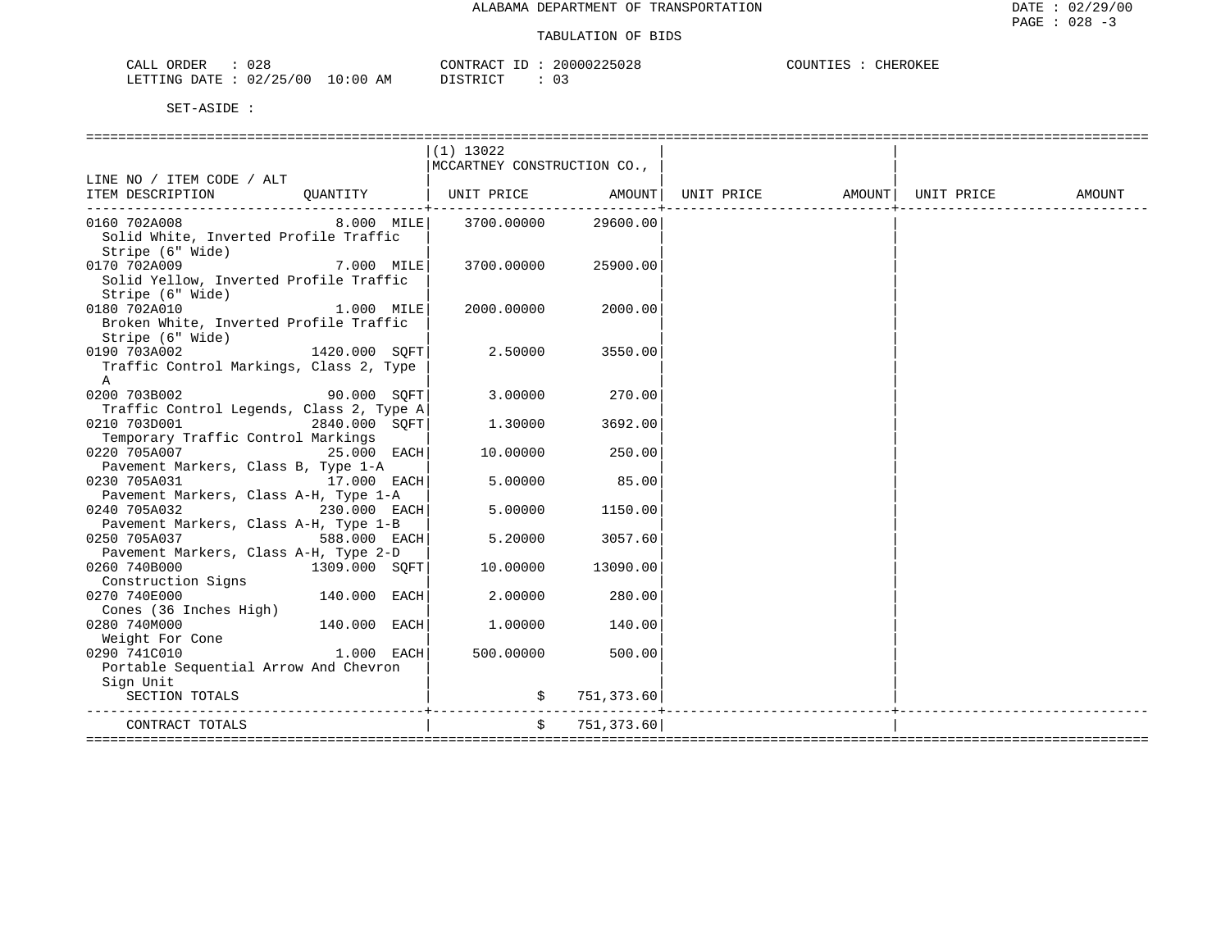| 028<br>ORDER<br>$C\Lambda T$<br>ىلىلەر | CONTRACT                           | ID | 225028<br>2000022    | COUNTIES<br>CHEROKEE |
|----------------------------------------|------------------------------------|----|----------------------|----------------------|
| 02/25/00<br>LETTING DATE               | DISTRICT<br>10:00<br>AΜ<br>, 11111 |    | $\sim$ $\sim$<br>UJ. |                      |

|                                                                                          |               | $(1)$ 13022                    |               |                                                      |  |        |
|------------------------------------------------------------------------------------------|---------------|--------------------------------|---------------|------------------------------------------------------|--|--------|
|                                                                                          |               | MCCARTNEY CONSTRUCTION CO.,    |               |                                                      |  |        |
| LINE NO / ITEM CODE / ALT                                                                |               |                                |               |                                                      |  |        |
| ITEM DESCRIPTION    QUANTITY<br>---------------------------------                        |               |                                |               | UNIT PRICE   AMOUNT  UNIT PRICE   AMOUNT  UNIT PRICE |  | AMOUNT |
| 0160 702A008<br>Solid White, Inverted Profile Traffic<br>Stripe (6" Wide)                |               | 8.000 MILE 3700.00000 29600.00 |               |                                                      |  |        |
| 7.000 MILE<br>0170 702A009<br>Solid Yellow, Inverted Profile Traffic<br>Stripe (6" Wide) |               | 3700.00000                     | 25900.00      |                                                      |  |        |
| 0180 702A010<br>Broken White, Inverted Profile Traffic                                   | $1.000$ MILE  | 2000.00000                     | 2000.00       |                                                      |  |        |
| Stripe (6" Wide)<br>0190 703A002<br>Traffic Control Markings, Class 2, Type              | 1420.000 SQFT | 2.50000                        | 3550.00       |                                                      |  |        |
| $\mathbb{A}$                                                                             |               |                                |               |                                                      |  |        |
| 0200 703B002<br>90.000 SOFT                                                              |               | 3.00000                        | 270.00        |                                                      |  |        |
| Traffic Control Legends, Class 2, Type A<br>0210 703D001                                 | 2840.000 SOFT | 1.30000                        | 3692.00       |                                                      |  |        |
| Temporary Traffic Control Markings<br>0220 705A007                                       | 25.000 EACH   | 10.00000                       | 250.00        |                                                      |  |        |
| Pavement Markers, Class B, Type 1-A<br>17.000 EACH<br>0230 705A031                       |               | 5.00000                        | 85.00         |                                                      |  |        |
| Pavement Markers, Class A-H, Type 1-A<br>0240 705A032<br>$230.000$ EACH                  |               | 5.00000                        | 1150.00       |                                                      |  |        |
| Pavement Markers, Class A-H, Type 1-B<br>0250 705A037                                    | 588.000 EACH  | 5.20000                        | 3057.60       |                                                      |  |        |
| Pavement Markers, Class A-H, Type 2-D<br>0260 740B000                                    | 1309.000 SOFT | 10.00000                       | 13090.00      |                                                      |  |        |
| Construction Signs<br>0270 740E000                                                       | 140.000 EACH  | 2.00000                        | 280.00        |                                                      |  |        |
| Cones (36 Inches High)<br>0280 740M000                                                   | 140.000 EACH  | 1.00000                        | 140.00        |                                                      |  |        |
| Weight For Cone<br>$1.000$ EACH<br>0290 741C010                                          |               | 500.00000                      | 500.001       |                                                      |  |        |
| Portable Sequential Arrow And Chevron                                                    |               |                                |               |                                                      |  |        |
| Sign Unit<br>SECTION TOTALS                                                              |               |                                | \$751,373.60] |                                                      |  |        |
| CONTRACT TOTALS<br>=================                                                     |               |                                | \$751,373.60] |                                                      |  |        |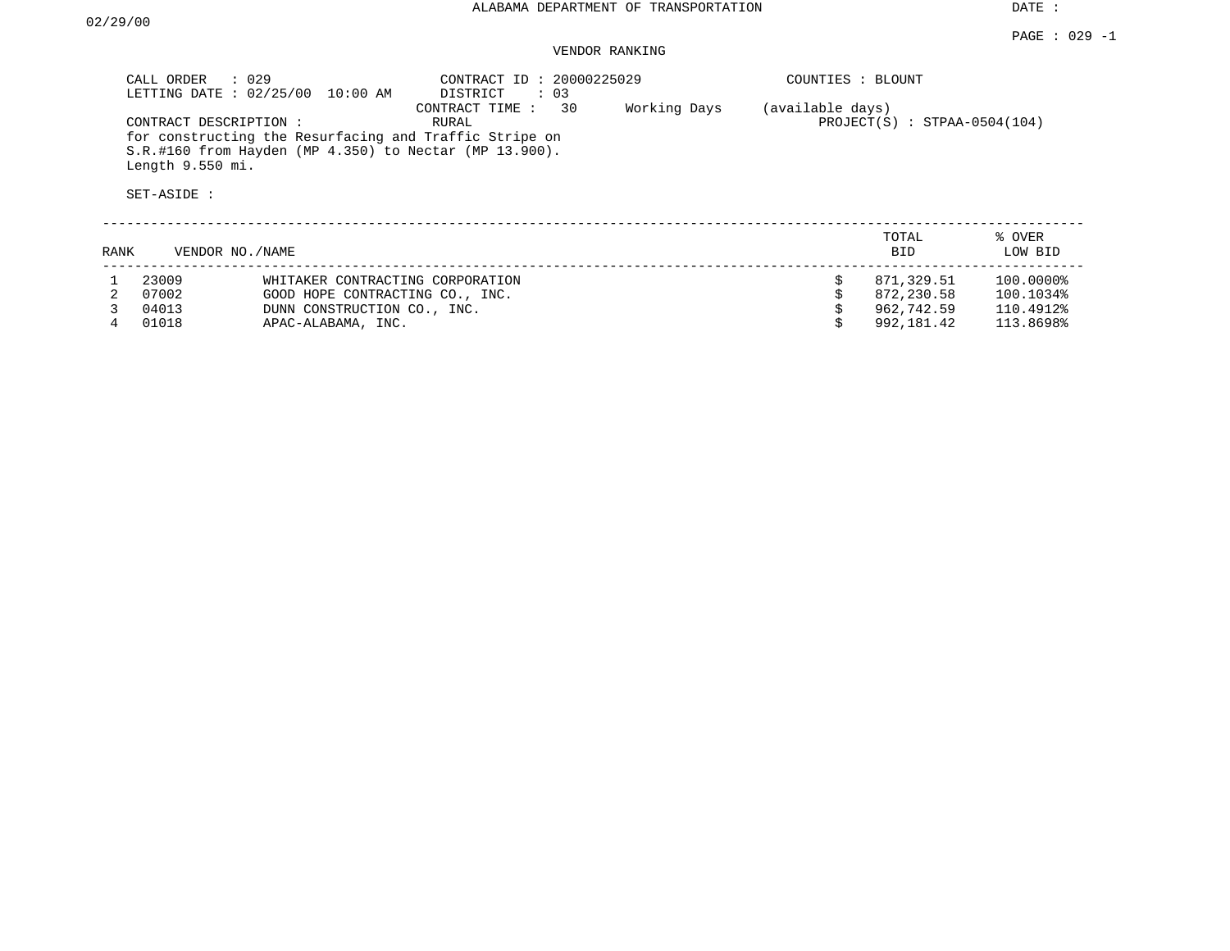## VENDOR RANKING

|      | CALL ORDER<br>LETTING DATE: 02/25/00                      | $\therefore$ 029<br>10:00 AM                                                                                        | CONTRACT ID: 20000225029<br>DISTRICT<br>$\therefore$ 03 |              | COUNTIES : BLOUNT                                  |                     |                   |
|------|-----------------------------------------------------------|---------------------------------------------------------------------------------------------------------------------|---------------------------------------------------------|--------------|----------------------------------------------------|---------------------|-------------------|
|      | CONTRACT DESCRIPTION :<br>Length 9.550 mi.<br>SET-ASIDE : | for constructing the Resurfacing and Traffic Stripe on<br>$S.R.$ #160 from Hayden (MP 4.350) to Nectar (MP 13.900). | 30<br>CONTRACT TIME :<br>RURAL                          | Working Days | (available days)<br>$PROJECT(S)$ : STPAA-0504(104) |                     |                   |
| RANK |                                                           | VENDOR NO. / NAME                                                                                                   |                                                         |              |                                                    | TOTAL<br><b>BID</b> | % OVER<br>LOW BID |
|      | 23009                                                     | WHITAKER CONTRACTING CORPORATION                                                                                    |                                                         |              | Ŝ.                                                 | 871,329.51          | 100.0000%         |
|      | 07002                                                     | GOOD HOPE CONTRACTING CO., INC.                                                                                     |                                                         |              |                                                    | 872,230.58          | 100.1034%         |
|      | 04013                                                     | DUNN CONSTRUCTION CO., INC.                                                                                         |                                                         |              |                                                    | 962,742.59          | 110.4912%         |

4 01018 APAC-ALABAMA, INC. \$ 992,181.42 113.8698%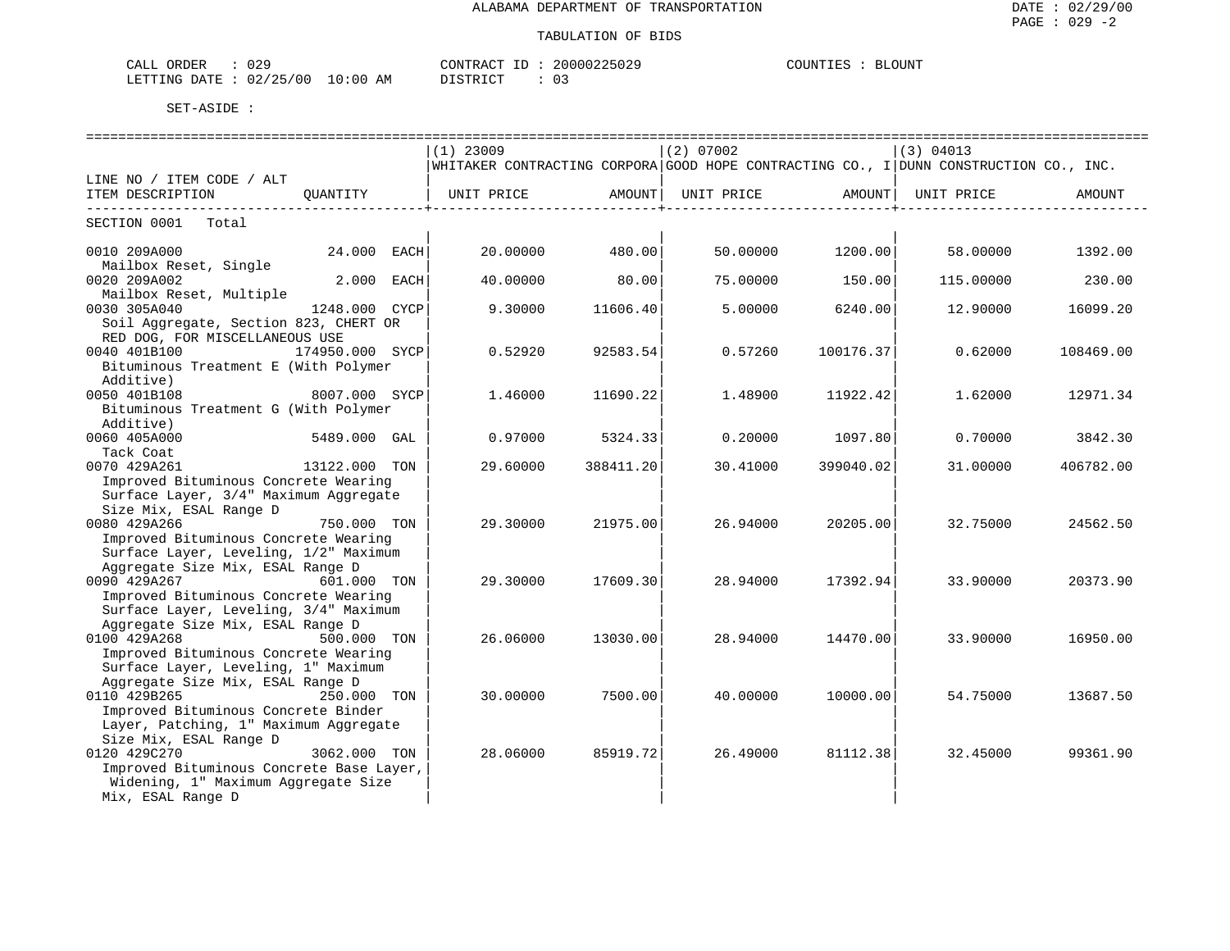| ORDER<br>$\sim - -$<br>CALI | 0.29<br>しムー                                                                                                                                                                                              | $\Delta$ $\sim$<br>$\cap$ $\cap$ $\cap$<br>20000<br>7502.<br>⊥ RAU" | $\bigcap$ TINT<br>COLINT. |
|-----------------------------|----------------------------------------------------------------------------------------------------------------------------------------------------------------------------------------------------------|---------------------------------------------------------------------|---------------------------|
| .ETTTING<br>ገ∆ጥ∏            | $\sqrt{2}$<br>$\sim$<br>02/<br>00'<br>AΜ<br>10:00<br>$\overline{\phantom{a}}$<br>ر بے<br>the contract of the contract of the contract of the contract of the contract of the contract of the contract of | DIAMBIAT<br>$\sim$<br>◡ ◡                                           |                           |

|                                                                           |                 |      | $(1)$ 23009                                                                           |                         | $(2)$ 07002 |                        | (3) 04013 |           |
|---------------------------------------------------------------------------|-----------------|------|---------------------------------------------------------------------------------------|-------------------------|-------------|------------------------|-----------|-----------|
|                                                                           |                 |      | WHITAKER CONTRACTING CORPORA GOOD HOPE CONTRACTING CO., I DUNN CONSTRUCTION CO., INC. |                         |             |                        |           |           |
| LINE NO / ITEM CODE / ALT                                                 |                 |      |                                                                                       |                         |             |                        |           |           |
| ITEM DESCRIPTION                                                          | OUANTITY        |      | UNIT PRICE                  AMOUNT    UNIT PRICE                 AMOUNT    UNIT PRICE |                         |             |                        |           | AMOUNT    |
| -------------------------<br>SECTION 0001 Total                           |                 |      |                                                                                       | -----------------+----- |             | ------------------+--- |           |           |
| 0010 209A000                                                              | 24.000 EACH     |      | 20.00000                                                                              | 480.00                  | 50.00000    | 1200.00                | 58.00000  | 1392.00   |
| Mailbox Reset, Single                                                     |                 |      |                                                                                       |                         |             |                        |           |           |
| 0020 209A002                                                              | 2.000           | EACH | 40.00000                                                                              | 80.00                   | 75.00000    | 150.00                 | 115.00000 | 230.00    |
| Mailbox Reset, Multiple<br>0030 305A040                                   | 1248.000        | CYCP | 9.30000                                                                               | 11606.40                | 5.00000     | 6240.00                | 12,90000  | 16099.20  |
| Soil Aggregate, Section 823, CHERT OR                                     |                 |      |                                                                                       |                         |             |                        |           |           |
| RED DOG, FOR MISCELLANEOUS USE                                            |                 |      |                                                                                       |                         |             |                        |           |           |
| 0040 401B100                                                              | 174950.000 SYCP |      | 0.52920                                                                               | 92583.54                | 0.57260     | 100176.37              | 0.62000   | 108469.00 |
| Bituminous Treatment E (With Polymer                                      |                 |      |                                                                                       |                         |             |                        |           |           |
| Additive)                                                                 |                 |      |                                                                                       |                         |             |                        |           |           |
| 0050 401B108                                                              | 8007.000 SYCP   |      | 1.46000                                                                               | 11690.22                | 1.48900     | 11922.42               | 1.62000   | 12971.34  |
| Bituminous Treatment G (With Polymer<br>Additive)                         |                 |      |                                                                                       |                         |             |                        |           |           |
| 0060 405A000                                                              | 5489.000 GAL    |      | 0.97000                                                                               | 5324.33                 | 0.20000     | 1097.80                | 0.70000   | 3842.30   |
| Tack Coat                                                                 |                 |      |                                                                                       |                         |             |                        |           |           |
| 0070 429A261                                                              | 13122.000 TON   |      | 29.60000                                                                              | 388411.20               | 30.41000    | 399040.02              | 31,00000  | 406782.00 |
| Improved Bituminous Concrete Wearing                                      |                 |      |                                                                                       |                         |             |                        |           |           |
| Surface Layer, 3/4" Maximum Aggregate                                     |                 |      |                                                                                       |                         |             |                        |           |           |
| Size Mix, ESAL Range D                                                    |                 |      |                                                                                       |                         |             |                        |           |           |
| 0080 429A266                                                              | 750.000 TON     |      | 29.30000                                                                              | 21975.00                | 26.94000    | 20205.00               | 32.75000  | 24562.50  |
| Improved Bituminous Concrete Wearing                                      |                 |      |                                                                                       |                         |             |                        |           |           |
| Surface Layer, Leveling, 1/2" Maximum<br>Aggregate Size Mix, ESAL Range D |                 |      |                                                                                       |                         |             |                        |           |           |
| 0090 429A267                                                              | 601.000 TON     |      | 29.30000                                                                              | 17609.30                | 28.94000    | 17392.94               | 33.90000  | 20373.90  |
| Improved Bituminous Concrete Wearing                                      |                 |      |                                                                                       |                         |             |                        |           |           |
| Surface Layer, Leveling, 3/4" Maximum                                     |                 |      |                                                                                       |                         |             |                        |           |           |
| Aggregate Size Mix, ESAL Range D                                          |                 |      |                                                                                       |                         |             |                        |           |           |
| 0100 429A268                                                              | 500.000 TON     |      | 26.06000                                                                              | 13030.00                | 28.94000    | 14470.00               | 33.90000  | 16950.00  |
| Improved Bituminous Concrete Wearing                                      |                 |      |                                                                                       |                         |             |                        |           |           |
| Surface Layer, Leveling, 1" Maximum<br>Aggregate Size Mix, ESAL Range D   |                 |      |                                                                                       |                         |             |                        |           |           |
| 0110 429B265                                                              | 250.000 TON     |      | 30.00000                                                                              | 7500.00                 | 40.00000    | 10000.00               | 54.75000  | 13687.50  |
| Improved Bituminous Concrete Binder                                       |                 |      |                                                                                       |                         |             |                        |           |           |
| Layer, Patching, 1" Maximum Aggregate                                     |                 |      |                                                                                       |                         |             |                        |           |           |
| Size Mix, ESAL Range D                                                    |                 |      |                                                                                       |                         |             |                        |           |           |
| 0120 429C270                                                              | 3062.000 TON    |      | 28,06000                                                                              | 85919.72                | 26.49000    | 81112.38               | 32.45000  | 99361.90  |
| Improved Bituminous Concrete Base Layer,                                  |                 |      |                                                                                       |                         |             |                        |           |           |
| Widening, 1" Maximum Aggregate Size                                       |                 |      |                                                                                       |                         |             |                        |           |           |
| Mix, ESAL Range D                                                         |                 |      |                                                                                       |                         |             |                        |           |           |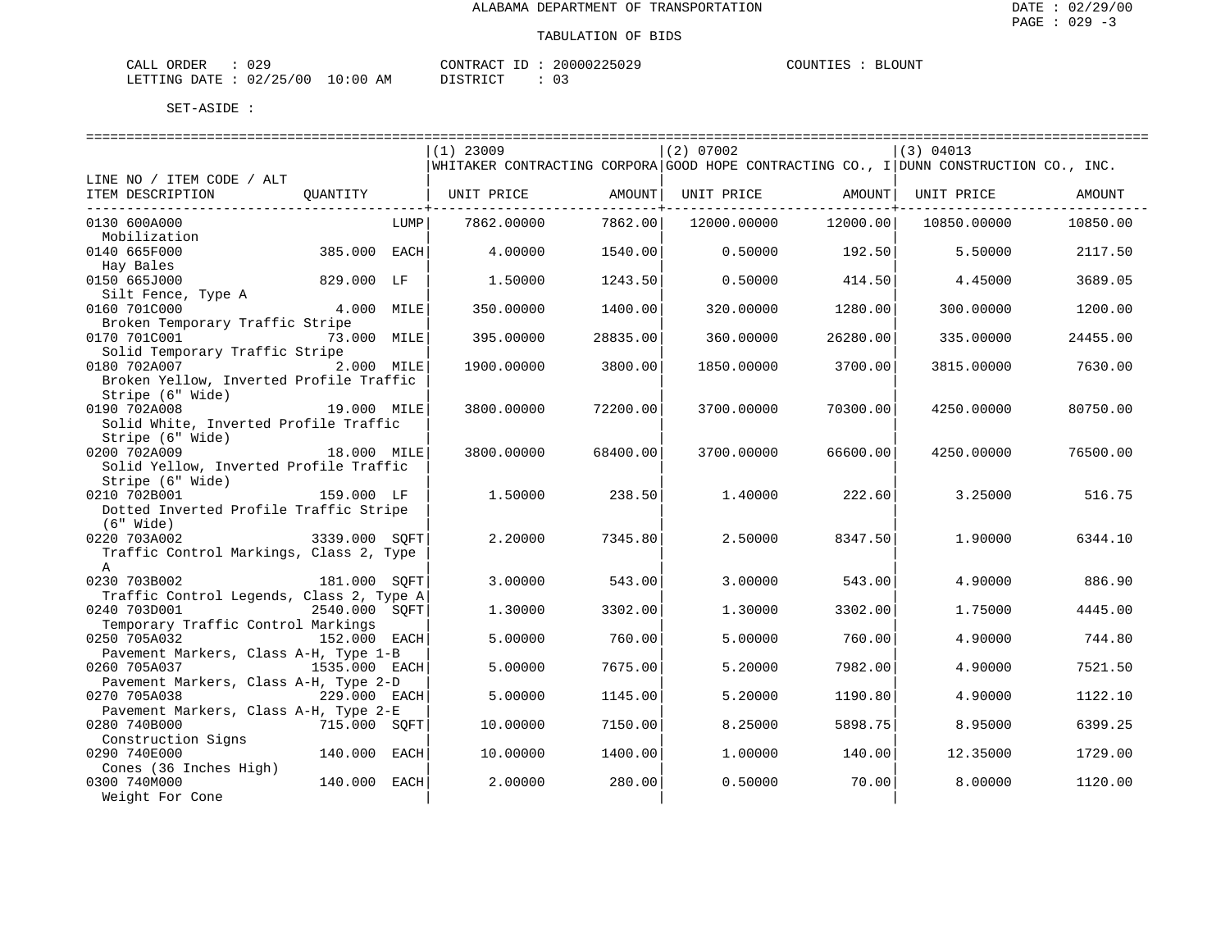| CALL ORDER                      | 029 | CONTRACT<br>ID | 20000225029 | COUNTIES | BLOUNT |
|---------------------------------|-----|----------------|-------------|----------|--------|
| LETTING DATE: 02/25/00 10:00 AM |     | DISTRICT       | 03          |          |        |

|                                                           |               |      | $(1)$ 23009                                                                              |                           | (2) 07002   |                             | (3) 04013   |          |
|-----------------------------------------------------------|---------------|------|------------------------------------------------------------------------------------------|---------------------------|-------------|-----------------------------|-------------|----------|
|                                                           |               |      | $ WHITAKER$ CONTRACTING CORPORA GOOD HOPE CONTRACTING CO., I DUNN CONSTRUCTION CO., INC. |                           |             |                             |             |          |
| LINE NO / ITEM CODE / ALT                                 |               |      |                                                                                          |                           |             |                             |             |          |
| ITEM DESCRIPTION                                          | QUANTITY      |      | UNIT PRICE                                                                               | AMOUNT  <br>------------+ | UNIT PRICE  | AMOUNT  <br>--------------+ | UNIT PRICE  | AMOUNT   |
| 0130 600A000                                              |               | LUMP | 7862.00000                                                                               | 7862.00                   | 12000.00000 | 12000.001                   | 10850.00000 | 10850.00 |
| Mobilization                                              |               |      |                                                                                          |                           |             |                             |             |          |
| 0140 665F000                                              | 385.000 EACH  |      | 4,00000                                                                                  | 1540.00                   |             | $0.50000$ 192.50            | 5.50000     | 2117.50  |
| Hay Bales                                                 |               |      |                                                                                          |                           |             |                             |             |          |
| 0150 665J000<br>Silt Fence, Type A                        | 829.000 LF    |      | 1,50000                                                                                  | 1243.50                   | 0.50000     | 414.50                      | 4.45000     | 3689.05  |
| 0160 701C000                                              | 4.000 MILE    |      | 350.00000                                                                                | 1400.00                   | 320,00000   | 1280.00                     | 300,00000   | 1200.00  |
| Broken Temporary Traffic Stripe                           |               |      |                                                                                          |                           |             |                             |             |          |
| 0170 701C001                                              | 73.000 MILE   |      | 395.00000                                                                                | 28835.00                  | 360.00000   | 26280.00                    | 335.00000   | 24455.00 |
| Solid Temporary Traffic Stripe                            |               |      |                                                                                          |                           |             |                             |             |          |
| 0180 702A007                                              | 2.000 MILE    |      | 1900.00000                                                                               | 3800.00                   | 1850.00000  | 3700.00                     | 3815.00000  | 7630.00  |
| Broken Yellow, Inverted Profile Traffic                   |               |      |                                                                                          |                           |             |                             |             |          |
| Stripe (6" Wide)                                          |               |      |                                                                                          |                           |             |                             |             |          |
| 0190 702A008                                              | 19.000 MILE   |      | 3800.00000                                                                               | 72200.00                  | 3700.00000  | 70300.00                    | 4250.00000  | 80750.00 |
| Solid White, Inverted Profile Traffic<br>Stripe (6" Wide) |               |      |                                                                                          |                           |             |                             |             |          |
| 0200 702A009                                              | 18.000 MILE   |      | 3800.00000                                                                               | 68400.00                  | 3700.00000  | 66600.00                    | 4250.00000  | 76500.00 |
| Solid Yellow, Inverted Profile Traffic                    |               |      |                                                                                          |                           |             |                             |             |          |
| Stripe (6" Wide)                                          |               |      |                                                                                          |                           |             |                             |             |          |
| 0210 702B001                                              | 159.000 LF    |      | 1.50000                                                                                  | 238.50                    | 1,40000     | 222.60                      | 3.25000     | 516.75   |
| Dotted Inverted Profile Traffic Stripe                    |               |      |                                                                                          |                           |             |                             |             |          |
| (6" Wide)                                                 |               |      |                                                                                          |                           |             |                             |             |          |
| 0220 703A002                                              | 3339.000 SOFT |      | 2.20000                                                                                  | 7345.80                   | 2.50000     | 8347.50                     | 1.90000     | 6344.10  |
| Traffic Control Markings, Class 2, Type                   |               |      |                                                                                          |                           |             |                             |             |          |
| $\mathbb{A}$                                              |               |      |                                                                                          |                           |             |                             |             |          |
| 0230 703B002                                              | 181.000 SOFT  |      | 3.00000                                                                                  | 543.00                    | 3.00000     | 543.00                      | 4.90000     | 886.90   |
| Traffic Control Legends, Class 2, Type A<br>0240 703D001  | 2540.000 SOFT |      | 1,30000                                                                                  | 3302.00                   | 1.30000     | 3302.00                     | 1.75000     | 4445.00  |
| Temporary Traffic Control Markings                        |               |      |                                                                                          |                           |             |                             |             |          |
| 0250 705A032                                              | 152.000 EACH  |      | 5.00000                                                                                  | 760.00                    | 5.00000     | 760.00                      | 4.90000     | 744.80   |
| Pavement Markers, Class A-H, Type 1-B                     |               |      |                                                                                          |                           |             |                             |             |          |
| 0260 705A037                                              | 1535.000 EACH |      | 5.00000                                                                                  | 7675.00                   | 5.20000     | 7982.00                     | 4.90000     | 7521.50  |
| Pavement Markers, Class A-H, Type 2-D                     |               |      |                                                                                          |                           |             |                             |             |          |
| 0270 705A038                                              | 229.000 EACH  |      | 5.00000                                                                                  | 1145.00                   | 5.20000     | 1190.80                     | 4.90000     | 1122.10  |
| Pavement Markers, Class A-H, Type 2-E                     |               |      |                                                                                          |                           |             |                             |             |          |
| 0280 740B000                                              | 715.000 SOFT  |      | 10.00000                                                                                 | 7150.00                   | 8.25000     | 5898.75                     | 8.95000     | 6399.25  |
| Construction Signs                                        |               |      |                                                                                          |                           |             |                             |             |          |
| 0290 740E000                                              | 140.000 EACH  |      | 10,00000                                                                                 | 1400.00                   | 1,00000     | 140.00                      | 12.35000    | 1729.00  |
| Cones (36 Inches High)<br>0300 740M000                    | 140.000 EACH  |      | 2,00000                                                                                  | 280.00                    | 0.50000     | 70.001                      | 8,00000     | 1120.00  |
| Weight For Cone                                           |               |      |                                                                                          |                           |             |                             |             |          |
|                                                           |               |      |                                                                                          |                           |             |                             |             |          |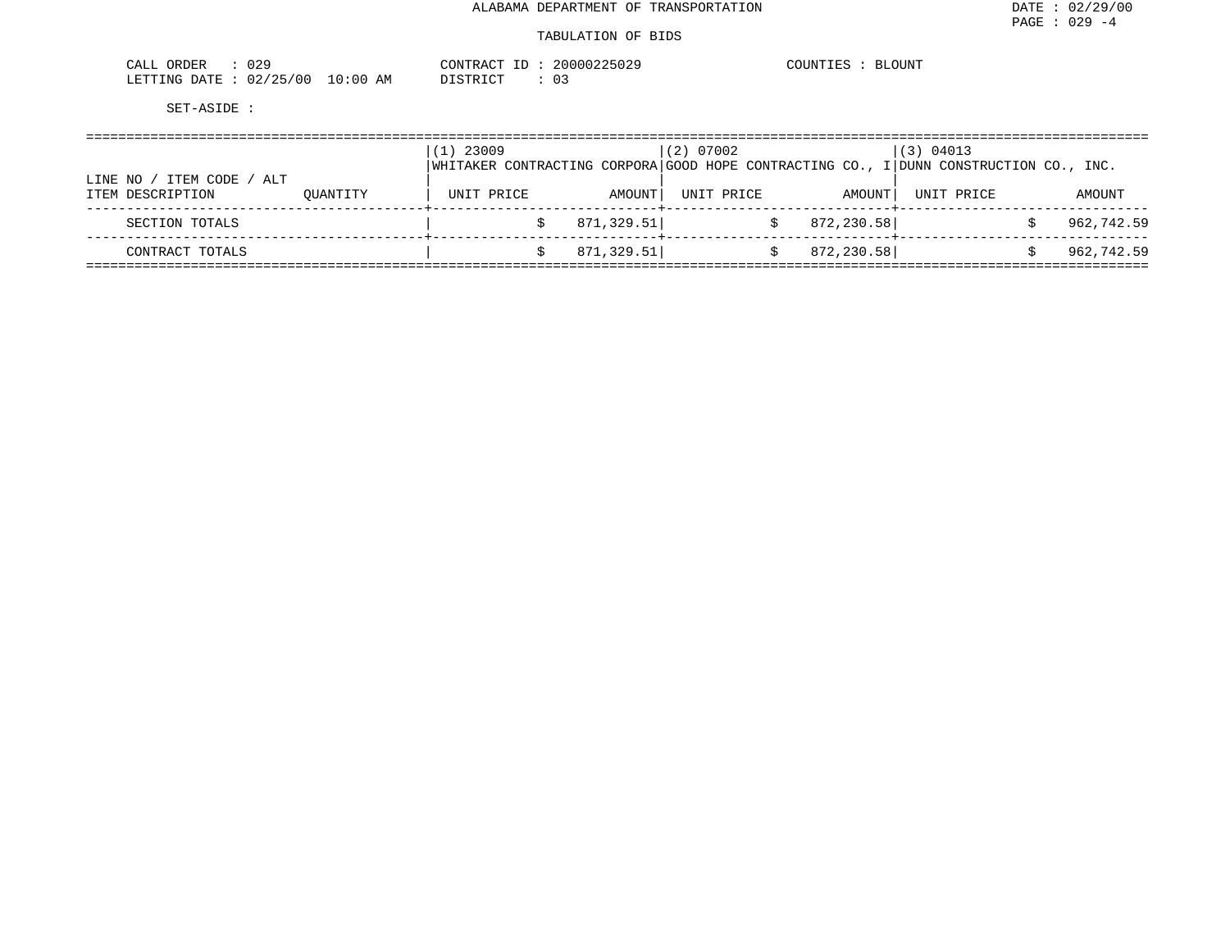#### TABULATION OF BIDS

| nnn<br>ORDER<br>U 41<br>سسدت                           |             | ∩NTR ∆∩T<br>CONTRAC.   | 225029<br>`∩∩∩∩ ⁄ | <b>BLOUNT</b><br>COUNT |
|--------------------------------------------------------|-------------|------------------------|-------------------|------------------------|
| '25/00<br>LETTING<br>DATE<br>$\sim$<br>UZ.<br><u>_</u> | 10:00<br>ΆM | <b>CTP</b><br>-------- | . U –             |                        |

|                                                   |          | 23009<br>$\perp$ ) |            | (2) 07002  |             | (3) 04013<br>WHITAKER CONTRACTING CORPORA GOOD HOPE CONTRACTING CO., I DUNN CONSTRUCTION CO., INC. |            |
|---------------------------------------------------|----------|--------------------|------------|------------|-------------|----------------------------------------------------------------------------------------------------|------------|
| ITEM CODE<br>LINE NO<br>/ ALT<br>ITEM DESCRIPTION | OUANTITY | UNIT PRICE         | AMOUNT     | UNIT PRICE | AMOUNT      | UNIT PRICE                                                                                         | AMOUNT     |
| SECTION TOTALS                                    |          |                    | 871,329.51 |            | 872,230.58  |                                                                                                    | 962,742.59 |
| CONTRACT TOTALS                                   |          |                    | 871,329.51 |            | 872, 230.58 |                                                                                                    | 962,742.59 |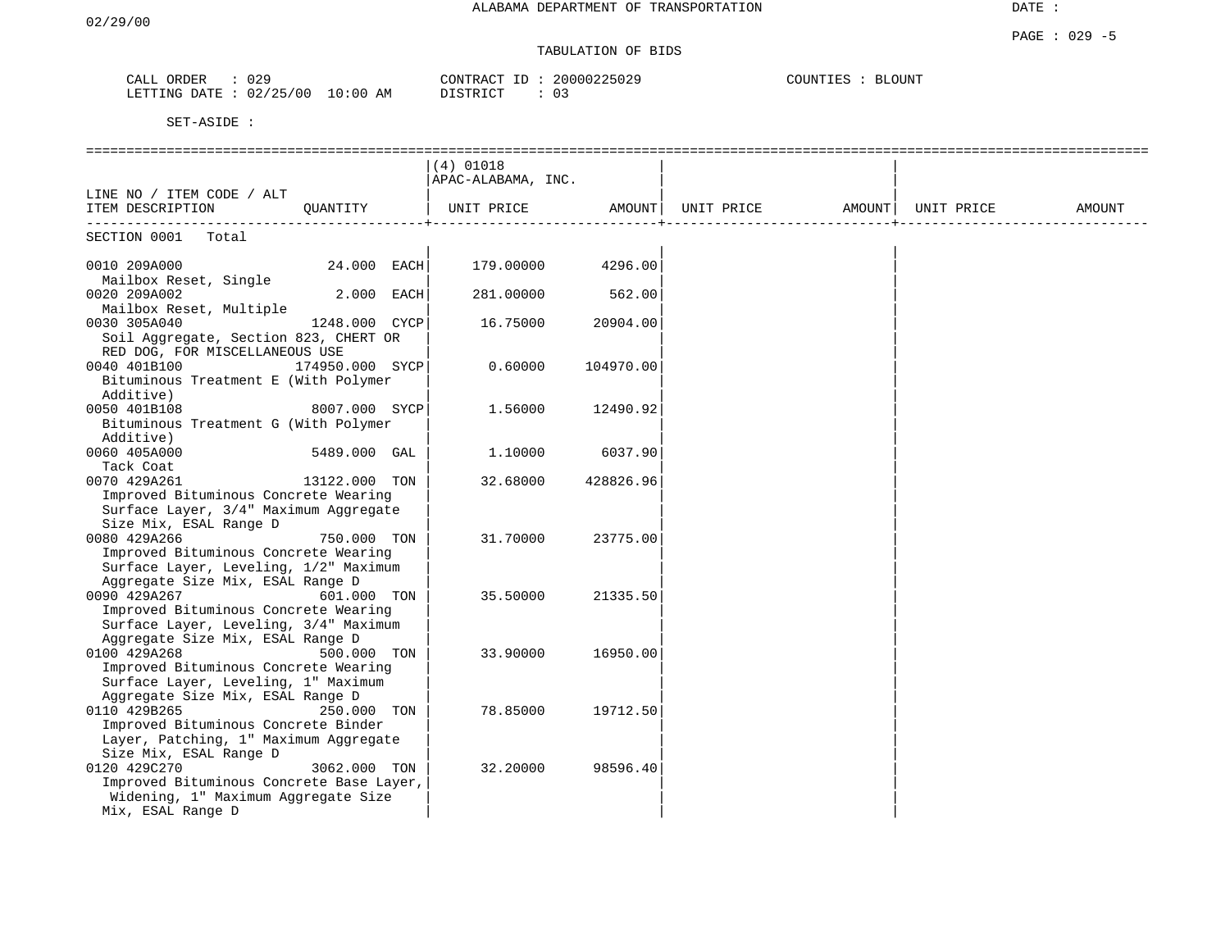## TABULATION OF BIDS

| CALL<br>ORDER   | 029                     | 20000225029<br>CONTRACT<br>ID | COUNTIES<br><b>BLOUNT</b> |
|-----------------|-------------------------|-------------------------------|---------------------------|
| LETTING<br>DATE | 02/25/00<br>10:00<br>ΑM | ידי אידי אידי<br>n -<br>U 2   |                           |

|                                                                           |                 | $(4)$ 01018        |           |                                                                                         |  |        |
|---------------------------------------------------------------------------|-----------------|--------------------|-----------|-----------------------------------------------------------------------------------------|--|--------|
|                                                                           |                 | APAC-ALABAMA, INC. |           |                                                                                         |  |        |
| LINE NO / ITEM CODE / ALT                                                 |                 |                    |           |                                                                                         |  |        |
| ITEM DESCRIPTION                                                          | QUANTITY        |                    |           | UNIT PRICE                AMOUNT     UNIT PRICE                   AMOUNT     UNIT PRICE |  | AMOUNT |
|                                                                           |                 |                    |           |                                                                                         |  |        |
| SECTION 0001 Total                                                        |                 |                    |           |                                                                                         |  |        |
|                                                                           |                 |                    |           |                                                                                         |  |        |
| 0010 209A000                                                              | $24.000$ EACH   | 179.00000          | 4296.00   |                                                                                         |  |        |
| Mailbox Reset, Single                                                     |                 |                    |           |                                                                                         |  |        |
| 0020 209A002<br>Mailbox Reset, Multiple                                   | 2.000 EACH      | 281.00000          | 562.00    |                                                                                         |  |        |
| 0030 305A040                                                              | 1248.000 CYCP   | 16.75000           | 20904.00  |                                                                                         |  |        |
| Soil Aggregate, Section 823, CHERT OR                                     |                 |                    |           |                                                                                         |  |        |
| RED DOG, FOR MISCELLANEOUS USE                                            |                 |                    |           |                                                                                         |  |        |
| 0040 401B100                                                              | 174950.000 SYCP | 0.60000            | 104970.00 |                                                                                         |  |        |
| Bituminous Treatment E (With Polymer                                      |                 |                    |           |                                                                                         |  |        |
| Additive)                                                                 |                 |                    |           |                                                                                         |  |        |
| 0050 401B108                                                              | 8007.000 SYCP   | 1.56000            | 12490.92  |                                                                                         |  |        |
| Bituminous Treatment G (With Polymer                                      |                 |                    |           |                                                                                         |  |        |
| Additive)                                                                 |                 |                    |           |                                                                                         |  |        |
| 0060 405A000                                                              | 5489.000 GAL    | 1.10000            | 6037.90   |                                                                                         |  |        |
| Tack Coat                                                                 |                 |                    |           |                                                                                         |  |        |
| 0070 429A261                                                              | 13122.000 TON   | 32.68000           | 428826.96 |                                                                                         |  |        |
| Improved Bituminous Concrete Wearing                                      |                 |                    |           |                                                                                         |  |        |
| Surface Layer, 3/4" Maximum Aggregate                                     |                 |                    |           |                                                                                         |  |        |
| Size Mix, ESAL Range D                                                    |                 |                    |           |                                                                                         |  |        |
| 0080 429A266                                                              | 750.000 TON     | 31.70000           | 23775.00  |                                                                                         |  |        |
| Improved Bituminous Concrete Wearing                                      |                 |                    |           |                                                                                         |  |        |
| Surface Layer, Leveling, 1/2" Maximum                                     |                 |                    |           |                                                                                         |  |        |
| Aggregate Size Mix, ESAL Range D                                          |                 |                    |           |                                                                                         |  |        |
| 0090 429A267                                                              | 601.000 TON     | 35.50000           | 21335.50  |                                                                                         |  |        |
| Improved Bituminous Concrete Wearing                                      |                 |                    |           |                                                                                         |  |        |
| Surface Layer, Leveling, 3/4" Maximum<br>Aggregate Size Mix, ESAL Range D |                 |                    |           |                                                                                         |  |        |
| 0100 429A268                                                              | 500.000 TON     | 33.90000           | 16950.00  |                                                                                         |  |        |
| Improved Bituminous Concrete Wearing                                      |                 |                    |           |                                                                                         |  |        |
| Surface Layer, Leveling, 1" Maximum                                       |                 |                    |           |                                                                                         |  |        |
| Aggregate Size Mix, ESAL Range D                                          |                 |                    |           |                                                                                         |  |        |
| 0110 429B265                                                              | 250.000 TON     | 78.85000           | 19712.50  |                                                                                         |  |        |
| Improved Bituminous Concrete Binder                                       |                 |                    |           |                                                                                         |  |        |
| Layer, Patching, 1" Maximum Aggregate                                     |                 |                    |           |                                                                                         |  |        |
| Size Mix, ESAL Range D                                                    |                 |                    |           |                                                                                         |  |        |
| 0120 429C270                                                              | 3062.000 TON    | 32,20000           | 98596.40  |                                                                                         |  |        |
| Improved Bituminous Concrete Base Layer,                                  |                 |                    |           |                                                                                         |  |        |
| Widening, 1" Maximum Aggregate Size                                       |                 |                    |           |                                                                                         |  |        |
| Mix, ESAL Range D                                                         |                 |                    |           |                                                                                         |  |        |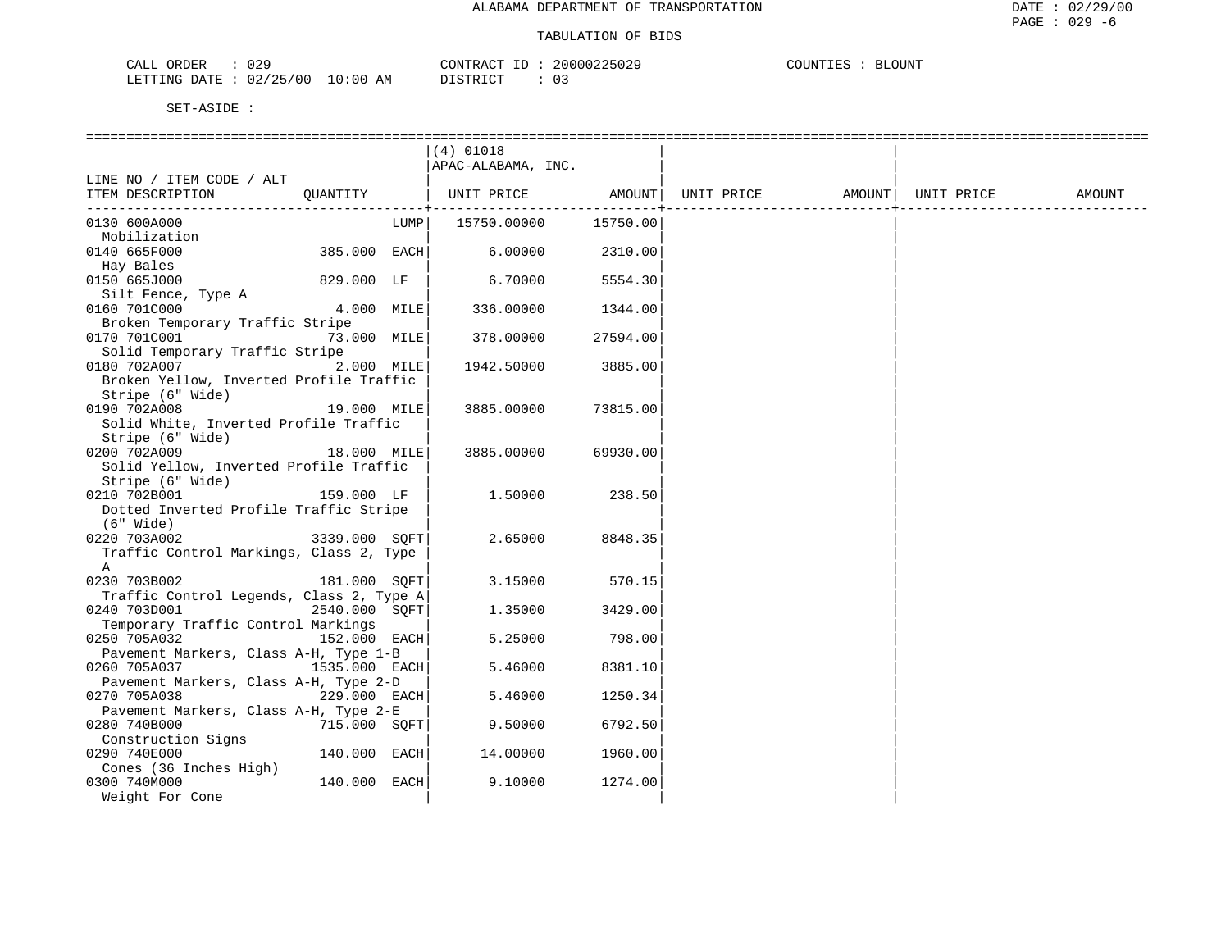| 029<br>ORDER<br>للتنعب                             |            | $\bigcap$ NTRA $\bigcap$   | , NUUU 3 3 4<br>725029 | $T$ $\cap T$ $\cap T$ | <b>BLOUNT</b> |
|----------------------------------------------------|------------|----------------------------|------------------------|-----------------------|---------------|
| '00<br>ハウ / つに<br>מות החחם<br>DATE<br>UZ.<br>L N G | 0:00<br>AΜ | $\tau$ стр $\tau$<br>----- | ັບ                     |                       |               |

| $(4)$ 01018<br>APAC-ALABAMA, INC.<br>LINE NO / ITEM CODE / ALT<br>  UNIT PRICE AMOUNT <br>ITEM DESCRIPTION QUANTITY<br>UNIT PRICE AMOUNT   UNIT PRICE<br>AMOUNT<br>15750.00000<br>15750.00<br>0130 600A000<br>LUMP  <br>Mobilization<br>385.000 EACH<br>0140 665F000<br>6.00000<br>2310.00<br>Hay Bales<br>0150 665J000<br>829.000 LF<br>6.70000<br>5554.30<br>Silt Fence, Type A<br>4.000 MILE<br>0160 701C000<br>336.00000<br>1344.00<br>Broken Temporary Traffic Stripe<br>0170 701C001<br>73.000 MILE<br>378.00000<br>27594.00<br>Solid Temporary Traffic Stripe<br>2.000 MILE<br>0180 702A007<br>1942.50000<br>3885.00<br>Broken Yellow, Inverted Profile Traffic<br>Stripe (6" Wide)<br>19.000 MILE<br>0190 702A008<br>3885.00000<br>73815.00<br>Solid White, Inverted Profile Traffic<br>Stripe (6" Wide)<br>0200 702A009<br>18.000 MILE<br>3885.00000<br>69930.00<br>Solid Yellow, Inverted Profile Traffic<br>Stripe (6" Wide)<br>159.000 LF<br>1.50000<br>238.50<br>0210 702B001<br>Dotted Inverted Profile Traffic Stripe<br>(6" Wide)<br>3339.000 SQFT<br>2.65000<br>0220 703A002<br>8848.35<br>Traffic Control Markings, Class 2, Type<br>$\mathsf{A}$<br>0230 703B002<br>181.000 SOFT<br>3.15000<br>570.15<br>Traffic Control Legends, Class 2, Type A<br>0240 703D001<br>2540.000 SQFT<br>3429.00<br>1.35000<br>Temporary Traffic Control Markings<br>5.25000<br>0250 705A032<br>152.000 EACH<br>798.00<br>Pavement Markers, Class A-H, Type 1-B<br>0260 705A037<br>1535.000 EACH<br>5.46000<br>8381.10<br>Pavement Markers, Class A-H, Type 2-D<br>0270 705A038<br>229.000 EACH<br>5.46000<br>1250.34<br>Pavement Markers, Class A-H, Type 2-E<br>6792.50<br>0280 740B000<br>715.000 SQFT <br>9.50000<br>Construction Signs<br>1960.00<br>0290 740E000<br>140.000 EACH<br>14.00000<br>Cones (36 Inches High)<br>140.000 EACH<br>0300 740M000<br>9.10000<br>1274.00<br>Weight For Cone |  |  |  |  |  |
|-------------------------------------------------------------------------------------------------------------------------------------------------------------------------------------------------------------------------------------------------------------------------------------------------------------------------------------------------------------------------------------------------------------------------------------------------------------------------------------------------------------------------------------------------------------------------------------------------------------------------------------------------------------------------------------------------------------------------------------------------------------------------------------------------------------------------------------------------------------------------------------------------------------------------------------------------------------------------------------------------------------------------------------------------------------------------------------------------------------------------------------------------------------------------------------------------------------------------------------------------------------------------------------------------------------------------------------------------------------------------------------------------------------------------------------------------------------------------------------------------------------------------------------------------------------------------------------------------------------------------------------------------------------------------------------------------------------------------------------------------------------------------------------------------------------------------------------------------------------------------------------------------------|--|--|--|--|--|
|                                                                                                                                                                                                                                                                                                                                                                                                                                                                                                                                                                                                                                                                                                                                                                                                                                                                                                                                                                                                                                                                                                                                                                                                                                                                                                                                                                                                                                                                                                                                                                                                                                                                                                                                                                                                                                                                                                       |  |  |  |  |  |
|                                                                                                                                                                                                                                                                                                                                                                                                                                                                                                                                                                                                                                                                                                                                                                                                                                                                                                                                                                                                                                                                                                                                                                                                                                                                                                                                                                                                                                                                                                                                                                                                                                                                                                                                                                                                                                                                                                       |  |  |  |  |  |
|                                                                                                                                                                                                                                                                                                                                                                                                                                                                                                                                                                                                                                                                                                                                                                                                                                                                                                                                                                                                                                                                                                                                                                                                                                                                                                                                                                                                                                                                                                                                                                                                                                                                                                                                                                                                                                                                                                       |  |  |  |  |  |
|                                                                                                                                                                                                                                                                                                                                                                                                                                                                                                                                                                                                                                                                                                                                                                                                                                                                                                                                                                                                                                                                                                                                                                                                                                                                                                                                                                                                                                                                                                                                                                                                                                                                                                                                                                                                                                                                                                       |  |  |  |  |  |
|                                                                                                                                                                                                                                                                                                                                                                                                                                                                                                                                                                                                                                                                                                                                                                                                                                                                                                                                                                                                                                                                                                                                                                                                                                                                                                                                                                                                                                                                                                                                                                                                                                                                                                                                                                                                                                                                                                       |  |  |  |  |  |
|                                                                                                                                                                                                                                                                                                                                                                                                                                                                                                                                                                                                                                                                                                                                                                                                                                                                                                                                                                                                                                                                                                                                                                                                                                                                                                                                                                                                                                                                                                                                                                                                                                                                                                                                                                                                                                                                                                       |  |  |  |  |  |
|                                                                                                                                                                                                                                                                                                                                                                                                                                                                                                                                                                                                                                                                                                                                                                                                                                                                                                                                                                                                                                                                                                                                                                                                                                                                                                                                                                                                                                                                                                                                                                                                                                                                                                                                                                                                                                                                                                       |  |  |  |  |  |
|                                                                                                                                                                                                                                                                                                                                                                                                                                                                                                                                                                                                                                                                                                                                                                                                                                                                                                                                                                                                                                                                                                                                                                                                                                                                                                                                                                                                                                                                                                                                                                                                                                                                                                                                                                                                                                                                                                       |  |  |  |  |  |
|                                                                                                                                                                                                                                                                                                                                                                                                                                                                                                                                                                                                                                                                                                                                                                                                                                                                                                                                                                                                                                                                                                                                                                                                                                                                                                                                                                                                                                                                                                                                                                                                                                                                                                                                                                                                                                                                                                       |  |  |  |  |  |
|                                                                                                                                                                                                                                                                                                                                                                                                                                                                                                                                                                                                                                                                                                                                                                                                                                                                                                                                                                                                                                                                                                                                                                                                                                                                                                                                                                                                                                                                                                                                                                                                                                                                                                                                                                                                                                                                                                       |  |  |  |  |  |
|                                                                                                                                                                                                                                                                                                                                                                                                                                                                                                                                                                                                                                                                                                                                                                                                                                                                                                                                                                                                                                                                                                                                                                                                                                                                                                                                                                                                                                                                                                                                                                                                                                                                                                                                                                                                                                                                                                       |  |  |  |  |  |
|                                                                                                                                                                                                                                                                                                                                                                                                                                                                                                                                                                                                                                                                                                                                                                                                                                                                                                                                                                                                                                                                                                                                                                                                                                                                                                                                                                                                                                                                                                                                                                                                                                                                                                                                                                                                                                                                                                       |  |  |  |  |  |
|                                                                                                                                                                                                                                                                                                                                                                                                                                                                                                                                                                                                                                                                                                                                                                                                                                                                                                                                                                                                                                                                                                                                                                                                                                                                                                                                                                                                                                                                                                                                                                                                                                                                                                                                                                                                                                                                                                       |  |  |  |  |  |
|                                                                                                                                                                                                                                                                                                                                                                                                                                                                                                                                                                                                                                                                                                                                                                                                                                                                                                                                                                                                                                                                                                                                                                                                                                                                                                                                                                                                                                                                                                                                                                                                                                                                                                                                                                                                                                                                                                       |  |  |  |  |  |
|                                                                                                                                                                                                                                                                                                                                                                                                                                                                                                                                                                                                                                                                                                                                                                                                                                                                                                                                                                                                                                                                                                                                                                                                                                                                                                                                                                                                                                                                                                                                                                                                                                                                                                                                                                                                                                                                                                       |  |  |  |  |  |
|                                                                                                                                                                                                                                                                                                                                                                                                                                                                                                                                                                                                                                                                                                                                                                                                                                                                                                                                                                                                                                                                                                                                                                                                                                                                                                                                                                                                                                                                                                                                                                                                                                                                                                                                                                                                                                                                                                       |  |  |  |  |  |
|                                                                                                                                                                                                                                                                                                                                                                                                                                                                                                                                                                                                                                                                                                                                                                                                                                                                                                                                                                                                                                                                                                                                                                                                                                                                                                                                                                                                                                                                                                                                                                                                                                                                                                                                                                                                                                                                                                       |  |  |  |  |  |
|                                                                                                                                                                                                                                                                                                                                                                                                                                                                                                                                                                                                                                                                                                                                                                                                                                                                                                                                                                                                                                                                                                                                                                                                                                                                                                                                                                                                                                                                                                                                                                                                                                                                                                                                                                                                                                                                                                       |  |  |  |  |  |
|                                                                                                                                                                                                                                                                                                                                                                                                                                                                                                                                                                                                                                                                                                                                                                                                                                                                                                                                                                                                                                                                                                                                                                                                                                                                                                                                                                                                                                                                                                                                                                                                                                                                                                                                                                                                                                                                                                       |  |  |  |  |  |
|                                                                                                                                                                                                                                                                                                                                                                                                                                                                                                                                                                                                                                                                                                                                                                                                                                                                                                                                                                                                                                                                                                                                                                                                                                                                                                                                                                                                                                                                                                                                                                                                                                                                                                                                                                                                                                                                                                       |  |  |  |  |  |
|                                                                                                                                                                                                                                                                                                                                                                                                                                                                                                                                                                                                                                                                                                                                                                                                                                                                                                                                                                                                                                                                                                                                                                                                                                                                                                                                                                                                                                                                                                                                                                                                                                                                                                                                                                                                                                                                                                       |  |  |  |  |  |
|                                                                                                                                                                                                                                                                                                                                                                                                                                                                                                                                                                                                                                                                                                                                                                                                                                                                                                                                                                                                                                                                                                                                                                                                                                                                                                                                                                                                                                                                                                                                                                                                                                                                                                                                                                                                                                                                                                       |  |  |  |  |  |
|                                                                                                                                                                                                                                                                                                                                                                                                                                                                                                                                                                                                                                                                                                                                                                                                                                                                                                                                                                                                                                                                                                                                                                                                                                                                                                                                                                                                                                                                                                                                                                                                                                                                                                                                                                                                                                                                                                       |  |  |  |  |  |
|                                                                                                                                                                                                                                                                                                                                                                                                                                                                                                                                                                                                                                                                                                                                                                                                                                                                                                                                                                                                                                                                                                                                                                                                                                                                                                                                                                                                                                                                                                                                                                                                                                                                                                                                                                                                                                                                                                       |  |  |  |  |  |
|                                                                                                                                                                                                                                                                                                                                                                                                                                                                                                                                                                                                                                                                                                                                                                                                                                                                                                                                                                                                                                                                                                                                                                                                                                                                                                                                                                                                                                                                                                                                                                                                                                                                                                                                                                                                                                                                                                       |  |  |  |  |  |
|                                                                                                                                                                                                                                                                                                                                                                                                                                                                                                                                                                                                                                                                                                                                                                                                                                                                                                                                                                                                                                                                                                                                                                                                                                                                                                                                                                                                                                                                                                                                                                                                                                                                                                                                                                                                                                                                                                       |  |  |  |  |  |
|                                                                                                                                                                                                                                                                                                                                                                                                                                                                                                                                                                                                                                                                                                                                                                                                                                                                                                                                                                                                                                                                                                                                                                                                                                                                                                                                                                                                                                                                                                                                                                                                                                                                                                                                                                                                                                                                                                       |  |  |  |  |  |
|                                                                                                                                                                                                                                                                                                                                                                                                                                                                                                                                                                                                                                                                                                                                                                                                                                                                                                                                                                                                                                                                                                                                                                                                                                                                                                                                                                                                                                                                                                                                                                                                                                                                                                                                                                                                                                                                                                       |  |  |  |  |  |
|                                                                                                                                                                                                                                                                                                                                                                                                                                                                                                                                                                                                                                                                                                                                                                                                                                                                                                                                                                                                                                                                                                                                                                                                                                                                                                                                                                                                                                                                                                                                                                                                                                                                                                                                                                                                                                                                                                       |  |  |  |  |  |
|                                                                                                                                                                                                                                                                                                                                                                                                                                                                                                                                                                                                                                                                                                                                                                                                                                                                                                                                                                                                                                                                                                                                                                                                                                                                                                                                                                                                                                                                                                                                                                                                                                                                                                                                                                                                                                                                                                       |  |  |  |  |  |
|                                                                                                                                                                                                                                                                                                                                                                                                                                                                                                                                                                                                                                                                                                                                                                                                                                                                                                                                                                                                                                                                                                                                                                                                                                                                                                                                                                                                                                                                                                                                                                                                                                                                                                                                                                                                                                                                                                       |  |  |  |  |  |
|                                                                                                                                                                                                                                                                                                                                                                                                                                                                                                                                                                                                                                                                                                                                                                                                                                                                                                                                                                                                                                                                                                                                                                                                                                                                                                                                                                                                                                                                                                                                                                                                                                                                                                                                                                                                                                                                                                       |  |  |  |  |  |
|                                                                                                                                                                                                                                                                                                                                                                                                                                                                                                                                                                                                                                                                                                                                                                                                                                                                                                                                                                                                                                                                                                                                                                                                                                                                                                                                                                                                                                                                                                                                                                                                                                                                                                                                                                                                                                                                                                       |  |  |  |  |  |
|                                                                                                                                                                                                                                                                                                                                                                                                                                                                                                                                                                                                                                                                                                                                                                                                                                                                                                                                                                                                                                                                                                                                                                                                                                                                                                                                                                                                                                                                                                                                                                                                                                                                                                                                                                                                                                                                                                       |  |  |  |  |  |
|                                                                                                                                                                                                                                                                                                                                                                                                                                                                                                                                                                                                                                                                                                                                                                                                                                                                                                                                                                                                                                                                                                                                                                                                                                                                                                                                                                                                                                                                                                                                                                                                                                                                                                                                                                                                                                                                                                       |  |  |  |  |  |
|                                                                                                                                                                                                                                                                                                                                                                                                                                                                                                                                                                                                                                                                                                                                                                                                                                                                                                                                                                                                                                                                                                                                                                                                                                                                                                                                                                                                                                                                                                                                                                                                                                                                                                                                                                                                                                                                                                       |  |  |  |  |  |
|                                                                                                                                                                                                                                                                                                                                                                                                                                                                                                                                                                                                                                                                                                                                                                                                                                                                                                                                                                                                                                                                                                                                                                                                                                                                                                                                                                                                                                                                                                                                                                                                                                                                                                                                                                                                                                                                                                       |  |  |  |  |  |
|                                                                                                                                                                                                                                                                                                                                                                                                                                                                                                                                                                                                                                                                                                                                                                                                                                                                                                                                                                                                                                                                                                                                                                                                                                                                                                                                                                                                                                                                                                                                                                                                                                                                                                                                                                                                                                                                                                       |  |  |  |  |  |
|                                                                                                                                                                                                                                                                                                                                                                                                                                                                                                                                                                                                                                                                                                                                                                                                                                                                                                                                                                                                                                                                                                                                                                                                                                                                                                                                                                                                                                                                                                                                                                                                                                                                                                                                                                                                                                                                                                       |  |  |  |  |  |
|                                                                                                                                                                                                                                                                                                                                                                                                                                                                                                                                                                                                                                                                                                                                                                                                                                                                                                                                                                                                                                                                                                                                                                                                                                                                                                                                                                                                                                                                                                                                                                                                                                                                                                                                                                                                                                                                                                       |  |  |  |  |  |
|                                                                                                                                                                                                                                                                                                                                                                                                                                                                                                                                                                                                                                                                                                                                                                                                                                                                                                                                                                                                                                                                                                                                                                                                                                                                                                                                                                                                                                                                                                                                                                                                                                                                                                                                                                                                                                                                                                       |  |  |  |  |  |
|                                                                                                                                                                                                                                                                                                                                                                                                                                                                                                                                                                                                                                                                                                                                                                                                                                                                                                                                                                                                                                                                                                                                                                                                                                                                                                                                                                                                                                                                                                                                                                                                                                                                                                                                                                                                                                                                                                       |  |  |  |  |  |
|                                                                                                                                                                                                                                                                                                                                                                                                                                                                                                                                                                                                                                                                                                                                                                                                                                                                                                                                                                                                                                                                                                                                                                                                                                                                                                                                                                                                                                                                                                                                                                                                                                                                                                                                                                                                                                                                                                       |  |  |  |  |  |
|                                                                                                                                                                                                                                                                                                                                                                                                                                                                                                                                                                                                                                                                                                                                                                                                                                                                                                                                                                                                                                                                                                                                                                                                                                                                                                                                                                                                                                                                                                                                                                                                                                                                                                                                                                                                                                                                                                       |  |  |  |  |  |
|                                                                                                                                                                                                                                                                                                                                                                                                                                                                                                                                                                                                                                                                                                                                                                                                                                                                                                                                                                                                                                                                                                                                                                                                                                                                                                                                                                                                                                                                                                                                                                                                                                                                                                                                                                                                                                                                                                       |  |  |  |  |  |
|                                                                                                                                                                                                                                                                                                                                                                                                                                                                                                                                                                                                                                                                                                                                                                                                                                                                                                                                                                                                                                                                                                                                                                                                                                                                                                                                                                                                                                                                                                                                                                                                                                                                                                                                                                                                                                                                                                       |  |  |  |  |  |
|                                                                                                                                                                                                                                                                                                                                                                                                                                                                                                                                                                                                                                                                                                                                                                                                                                                                                                                                                                                                                                                                                                                                                                                                                                                                                                                                                                                                                                                                                                                                                                                                                                                                                                                                                                                                                                                                                                       |  |  |  |  |  |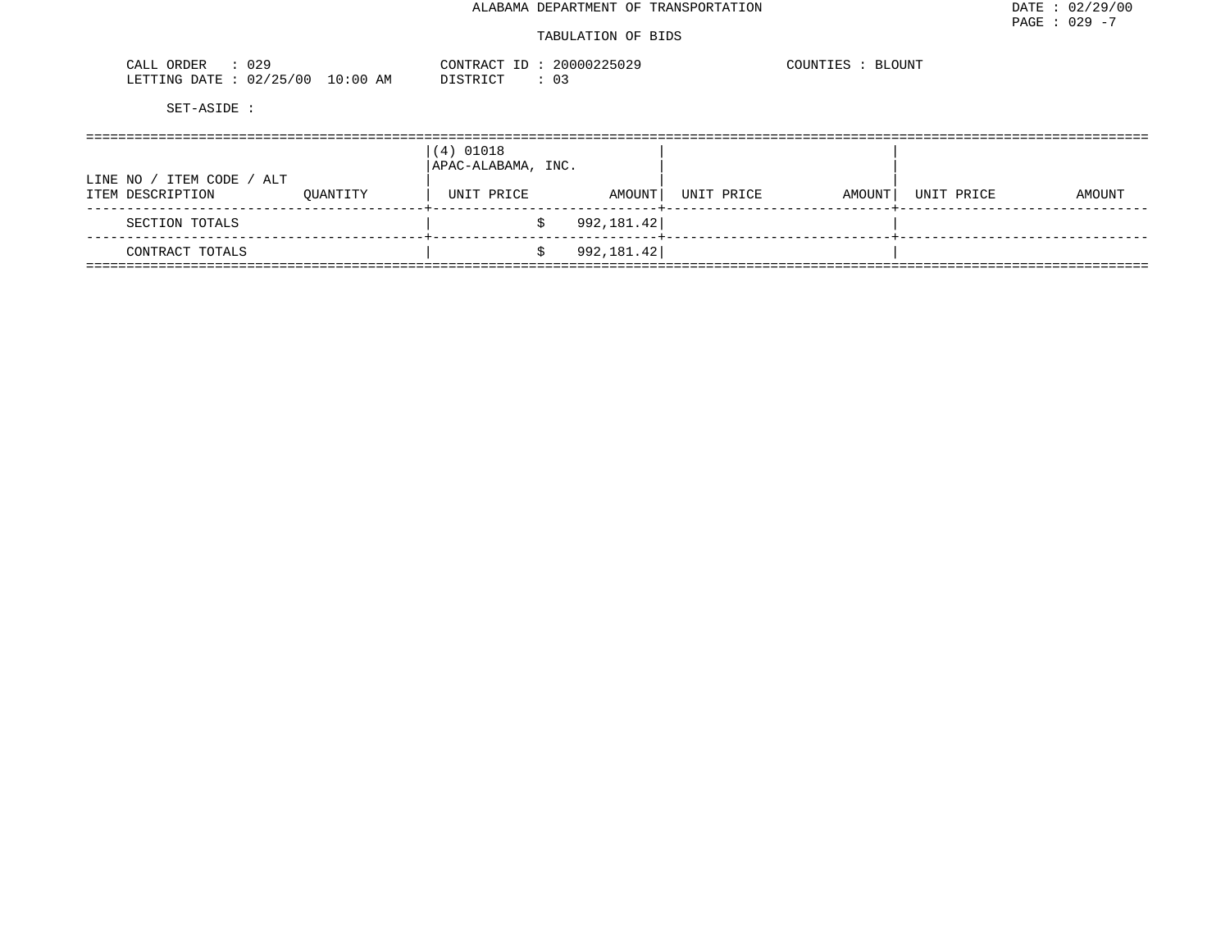| 0.29<br>ORDER<br>$\sim$ $ -$<br>CALI<br><u> U 4 -</u> |                                   | $\bigcap_{\Pi} \bigcap_{\Pi} \bigcap_{\Pi} \bigcap_{\Pi}$<br>I RAU | 100225029<br>ה ה ה<br>- 00001 | $- - -$<br>.OUNT<br>ותו ונ"<br>F.C |
|-------------------------------------------------------|-----------------------------------|--------------------------------------------------------------------|-------------------------------|------------------------------------|
| ノつに<br>02<br>00 '<br>.RTTTNG<br>ገ∆ጥ∏                  | $\sim$<br>ΑM<br>`: () (,<br>$-11$ | T CTR T CT                                                         | <u>_</u><br>◡-                |                                    |

|                                                    |          | $(4)$ 01018<br>APAC-ALABAMA, INC. |            |            |        |            |        |
|----------------------------------------------------|----------|-----------------------------------|------------|------------|--------|------------|--------|
| / ITEM CODE / ALT<br>LINE NO /<br>ITEM DESCRIPTION | OUANTITY | UNIT PRICE                        | AMOUNT     | UNIT PRICE | AMOUNT | UNIT PRICE | AMOUNT |
| SECTION TOTALS                                     |          |                                   | 992,181.42 |            |        |            |        |
| CONTRACT TOTALS                                    |          |                                   | 992,181.42 |            |        |            |        |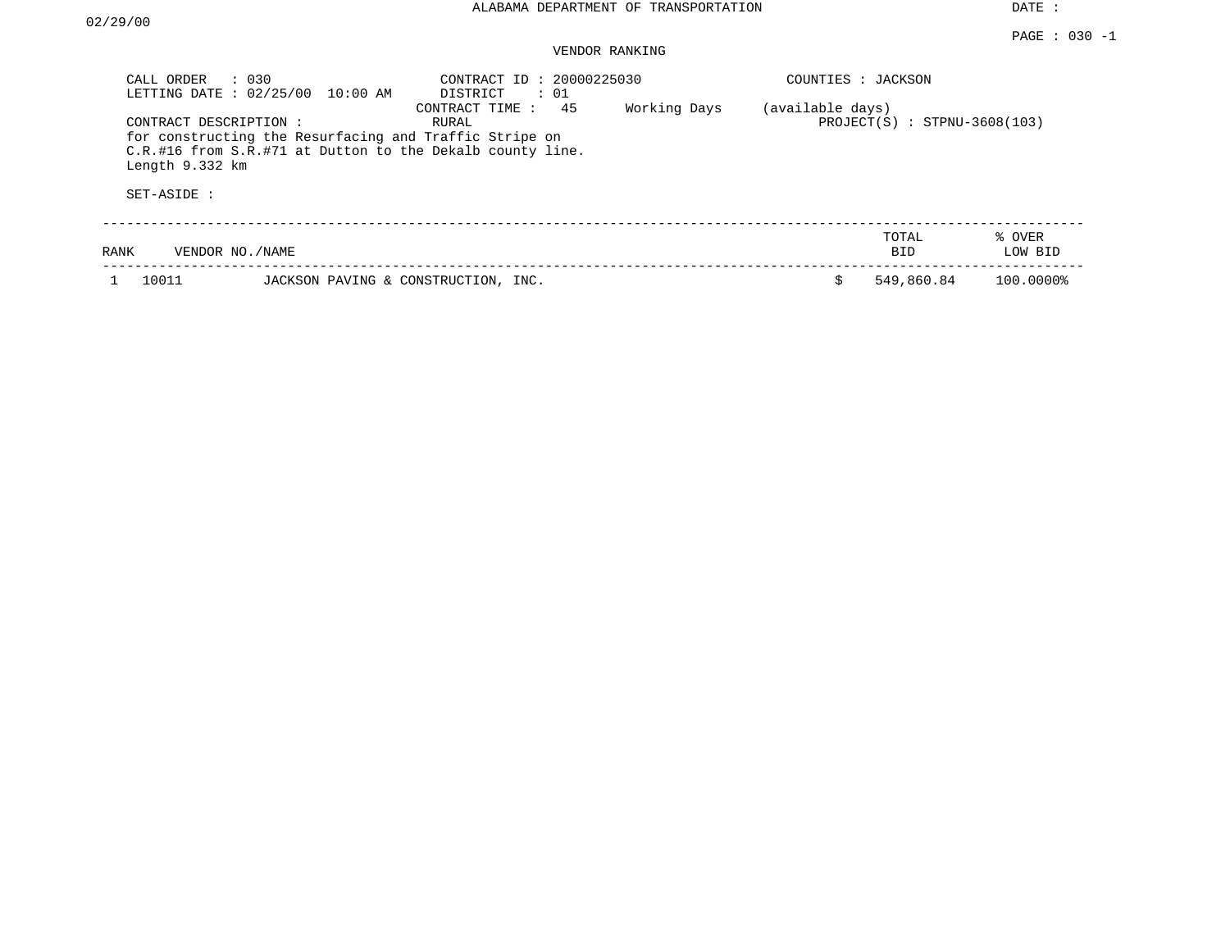## VENDOR RANKING

| CALL ORDER<br>LETTING DATE: 02/25/00                    | $\therefore$ 030<br>10:00 AM                                                                                        | CONTRACT ID: 20000225030<br>DISTRICT<br>: 01 |              | COUNTIES : JACKSON |                                |                   |
|---------------------------------------------------------|---------------------------------------------------------------------------------------------------------------------|----------------------------------------------|--------------|--------------------|--------------------------------|-------------------|
| CONTRACT DESCRIPTION:<br>Length 9.332 km<br>SET-ASIDE : | for constructing the Resurfacing and Traffic Stripe on<br>C.R.#16 from S.R.#71 at Dutton to the Dekalb county line. | 45<br>CONTRACT TIME:<br>RURAL                | Working Days | (available days)   | $PROJECT(S)$ : STPNU-3608(103) |                   |
| VENDOR NO./NAME<br>RANK                                 |                                                                                                                     |                                              |              |                    | TOTAL<br><b>BID</b>            | % OVER<br>LOW BID |
| 10011                                                   | JACKSON PAVING & CONSTRUCTION, INC.                                                                                 |                                              |              |                    | 549,860.84                     | 100.0000%         |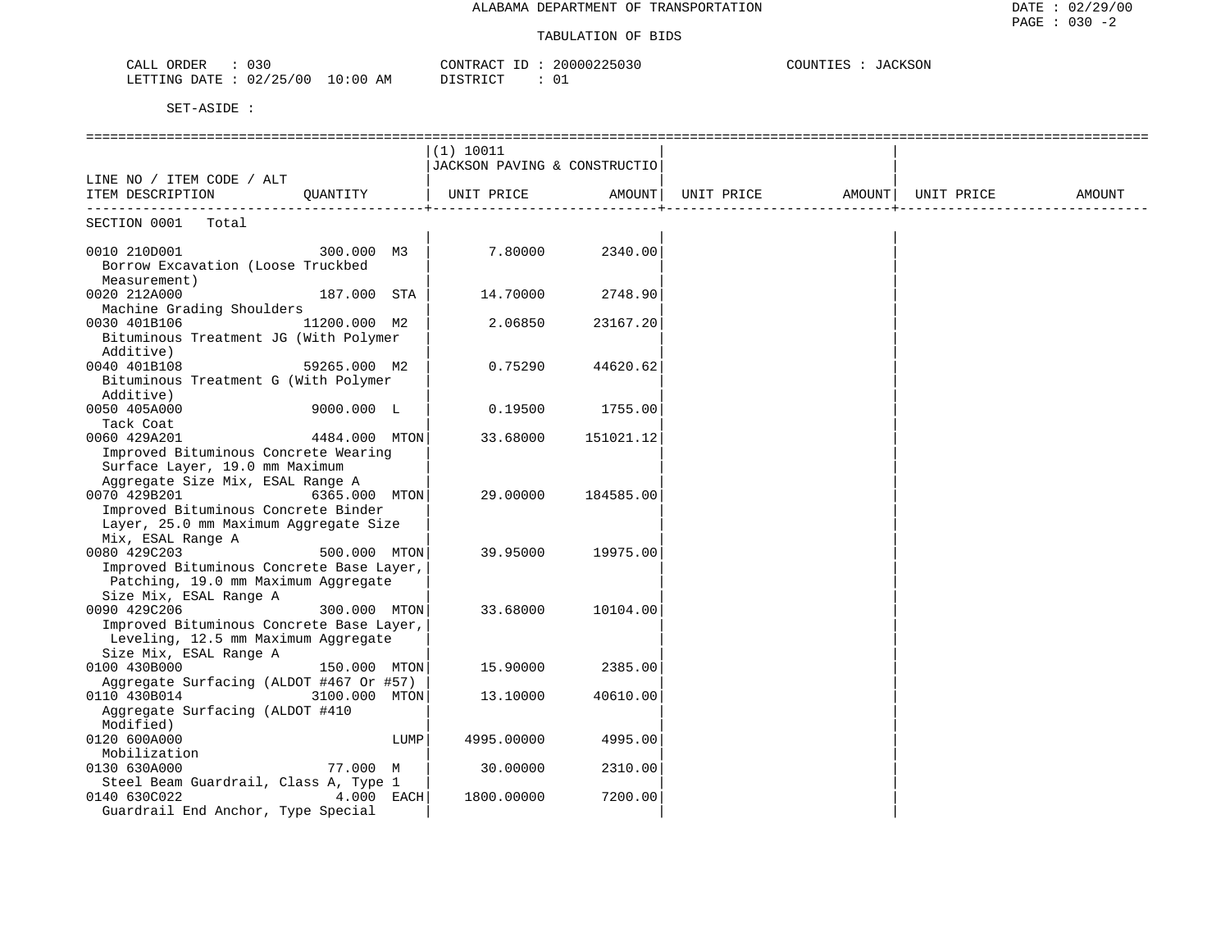| 030<br>CALL ORDER                       | 20000225030<br>CONTRACT ID<br>$\sim$ | COUNTIES<br>JACKSON |
|-----------------------------------------|--------------------------------------|---------------------|
| LETTING DATE : $02/25/00$<br>$10:00$ AM | $\sim$<br>DISTRICT<br>ັ∪⊥            |                     |

|                                                            |               |      | (1) 10011                    |           |                              |  |        |
|------------------------------------------------------------|---------------|------|------------------------------|-----------|------------------------------|--|--------|
|                                                            |               |      | JACKSON PAVING & CONSTRUCTIO |           |                              |  |        |
| LINE NO / ITEM CODE / ALT                                  |               |      |                              |           |                              |  |        |
| ITEM DESCRIPTION                                           | OUANTITY      |      | UNIT PRICE                   | AMOUNT    | UNIT PRICE AMOUNT UNIT PRICE |  | AMOUNT |
| SECTION 0001<br>Total                                      |               |      |                              |           |                              |  |        |
|                                                            |               |      |                              |           |                              |  |        |
| 0010 210D001                                               | 300.000 M3    |      | 7.80000                      | 2340.00   |                              |  |        |
| Borrow Excavation (Loose Truckbed                          |               |      |                              |           |                              |  |        |
| Measurement)                                               |               |      |                              |           |                              |  |        |
| 0020 212A000                                               | 187.000 STA   |      | 14.70000                     | 2748.90   |                              |  |        |
| Machine Grading Shoulders                                  |               |      |                              |           |                              |  |        |
| 0030 401B106                                               | 11200.000 M2  |      | 2.06850                      | 23167.20  |                              |  |        |
| Bituminous Treatment JG (With Polymer                      |               |      |                              |           |                              |  |        |
| Additive)                                                  |               |      |                              |           |                              |  |        |
| 0040 401B108                                               | 59265.000 M2  |      | 0.75290                      | 44620.62  |                              |  |        |
| Bituminous Treatment G (With Polymer                       |               |      |                              |           |                              |  |        |
| Additive)                                                  |               |      |                              |           |                              |  |        |
| 0050 405A000                                               | 9000.000 L    |      | 0.19500                      | 1755.00   |                              |  |        |
| Tack Coat                                                  |               |      |                              |           |                              |  |        |
| 0060 429A201                                               | 4484.000 MTON |      | 33.68000                     | 151021.12 |                              |  |        |
| Improved Bituminous Concrete Wearing                       |               |      |                              |           |                              |  |        |
| Surface Layer, 19.0 mm Maximum                             |               |      |                              |           |                              |  |        |
| Aggregate Size Mix, ESAL Range A                           |               |      |                              |           |                              |  |        |
| 0070 429B201<br>Improved Bituminous Concrete Binder        | 6365.000 MTON |      | 29,00000                     | 184585.00 |                              |  |        |
|                                                            |               |      |                              |           |                              |  |        |
| Layer, 25.0 mm Maximum Aggregate Size<br>Mix, ESAL Range A |               |      |                              |           |                              |  |        |
| 0080 429C203                                               | 500.000 MTON  |      | 39.95000                     | 19975.00  |                              |  |        |
| Improved Bituminous Concrete Base Layer,                   |               |      |                              |           |                              |  |        |
| Patching, 19.0 mm Maximum Aggregate                        |               |      |                              |           |                              |  |        |
| Size Mix, ESAL Range A                                     |               |      |                              |           |                              |  |        |
| 0090 429C206                                               | 300.000 MTON  |      | 33.68000                     | 10104.00  |                              |  |        |
| Improved Bituminous Concrete Base Layer,                   |               |      |                              |           |                              |  |        |
| Leveling, 12.5 mm Maximum Aggregate                        |               |      |                              |           |                              |  |        |
| Size Mix, ESAL Range A                                     |               |      |                              |           |                              |  |        |
| 0100 430B000                                               | 150.000 MTON  |      | 15.90000                     | 2385.00   |                              |  |        |
| Aggregate Surfacing (ALDOT #467 Or #57)                    |               |      |                              |           |                              |  |        |
| 0110 430B014                                               | 3100.000 MTON |      | 13.10000                     | 40610.00  |                              |  |        |
| Aggregate Surfacing (ALDOT #410                            |               |      |                              |           |                              |  |        |
| Modified)                                                  |               |      |                              |           |                              |  |        |
| 0120 600A000                                               |               | LUMP | 4995.00000                   | 4995.00   |                              |  |        |
| Mobilization                                               |               |      |                              |           |                              |  |        |
| 0130 630A000                                               | 77.000 M      |      | 30.00000                     | 2310.00   |                              |  |        |
| Steel Beam Guardrail, Class A, Type 1                      |               |      |                              |           |                              |  |        |
| 0140 630C022                                               | 4.000 EACH    |      | 1800.00000                   | 7200.00   |                              |  |        |
| Guardrail End Anchor, Type Special                         |               |      |                              |           |                              |  |        |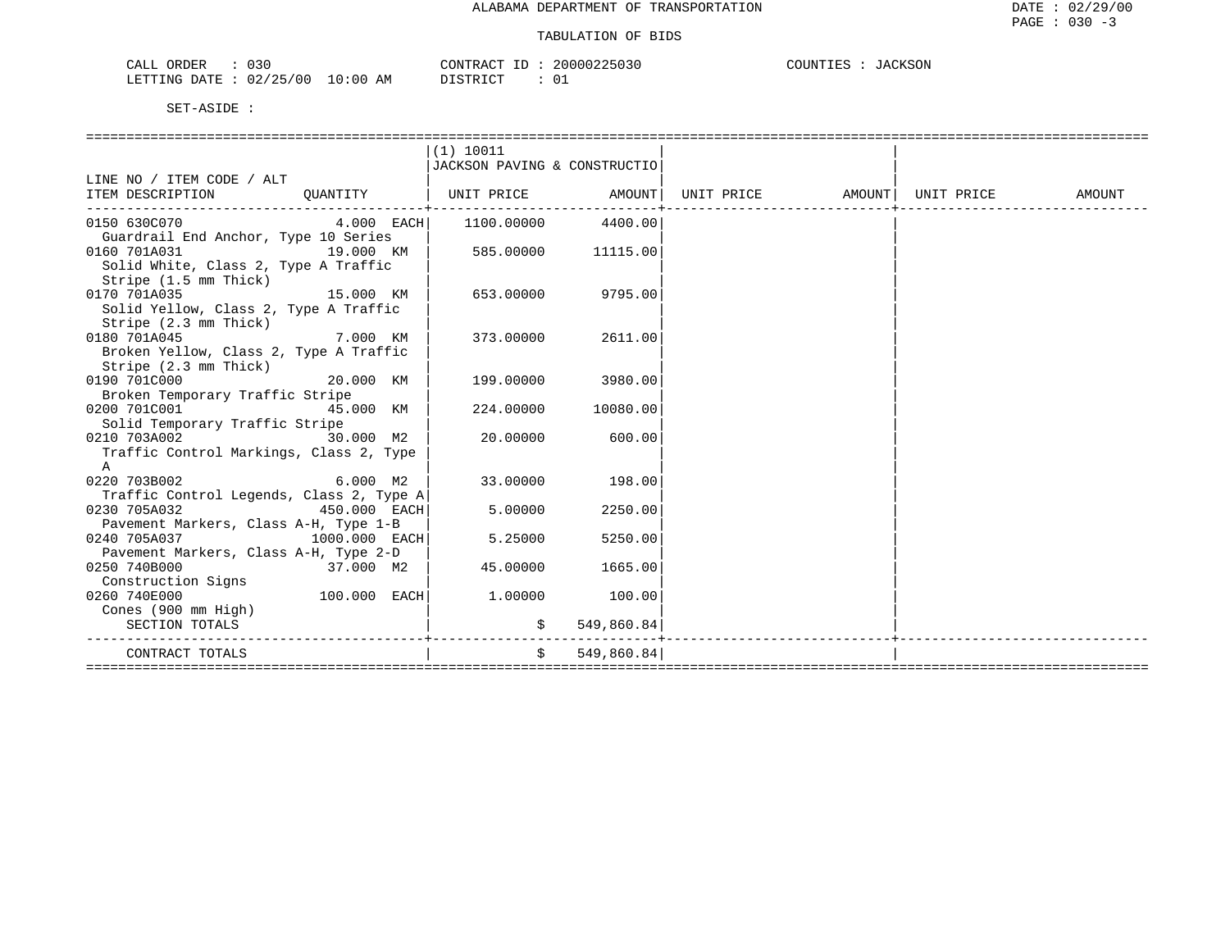| 030<br>ORDER<br>CALL     |            | CONTRACT | 20000225030 | COUNTIES<br>JACKSON |
|--------------------------|------------|----------|-------------|---------------------|
| 02/25/00<br>LETTING DATE | $10:00$ AM | DISTRICT |             |                     |

|                                                                              |              | (1) 10011                    |               |  |        |
|------------------------------------------------------------------------------|--------------|------------------------------|---------------|--|--------|
|                                                                              |              | JACKSON PAVING & CONSTRUCTIO |               |  |        |
| LINE NO / ITEM CODE / ALT                                                    |              |                              |               |  |        |
| ITEM DESCRIPTION OUANTITY   UNIT PRICE AMOUNT  UNIT PRICE AMOUNT  UNIT PRICE |              |                              |               |  | AMOUNT |
| ----------------------------                                                 |              |                              |               |  |        |
| 0150 630C070 4.000 EACH 1100.00000                                           |              |                              | 4400.00       |  |        |
| Guardrail End Anchor, Type 10 Series                                         |              |                              |               |  |        |
| 19.000 KM<br>0160 701A031                                                    |              | 585.00000 11115.00           |               |  |        |
| Solid White, Class 2, Type A Traffic                                         |              |                              |               |  |        |
| Stripe (1.5 mm Thick)                                                        |              |                              |               |  |        |
| 15.000 KM<br>0170 701A035                                                    |              | 653.00000                    | 9795.00       |  |        |
| Solid Yellow, Class 2, Type A Traffic                                        |              |                              |               |  |        |
| Stripe (2.3 mm Thick)                                                        |              |                              |               |  |        |
| <b>2.000 KM</b><br>0180 701A045                                              |              | 373.00000                    | 2611.00       |  |        |
| Broken Yellow, Class 2, Type A Traffic                                       |              |                              |               |  |        |
| Stripe (2.3 mm Thick)                                                        |              |                              |               |  |        |
| 20.000 KM<br>0190 701C000                                                    |              | 199.00000                    | 3980.00       |  |        |
| Broken Temporary Traffic Stripe                                              |              |                              |               |  |        |
| 45.000 KM<br>0200 701C001                                                    |              | 224.00000                    | 10080.00      |  |        |
| Solid Temporary Traffic Stripe                                               |              |                              |               |  |        |
| 30.000 M2<br>0210 703A002                                                    |              | 20.00000                     | 600.00        |  |        |
| Traffic Control Markings, Class 2, Type                                      |              |                              |               |  |        |
| $\mathsf{A}$                                                                 |              |                              |               |  |        |
| $6.000$ M2<br>0220 703B002                                                   |              | 33.00000                     | 198.00        |  |        |
| Traffic Control Legends, Class 2, Type A                                     |              |                              |               |  |        |
| 450.000 EACH<br>0230 705A032                                                 |              | 5.00000                      | 2250.00       |  |        |
| Pavement Markers, Class A-H, Type 1-B                                        |              |                              |               |  |        |
| $1000.000$ EACH<br>0240 705A037                                              |              | 5.25000                      | 5250.00       |  |        |
| Pavement Markers, Class A-H, Type 2-D                                        |              |                              |               |  |        |
| 37.000 M2<br>0250 740B000                                                    |              | 45.00000                     | 1665.00       |  |        |
| Construction Signs                                                           |              |                              |               |  |        |
| 0260 740E000                                                                 | 100.000 EACH | 1.00000                      | 100.00        |  |        |
| Cones (900 mm High)                                                          |              |                              |               |  |        |
| SECTION TOTALS                                                               |              |                              | \$549,860.84] |  |        |
|                                                                              |              |                              |               |  |        |
| CONTRACT TOTALS                                                              |              | $S$ and $S$                  | 549,860.84    |  |        |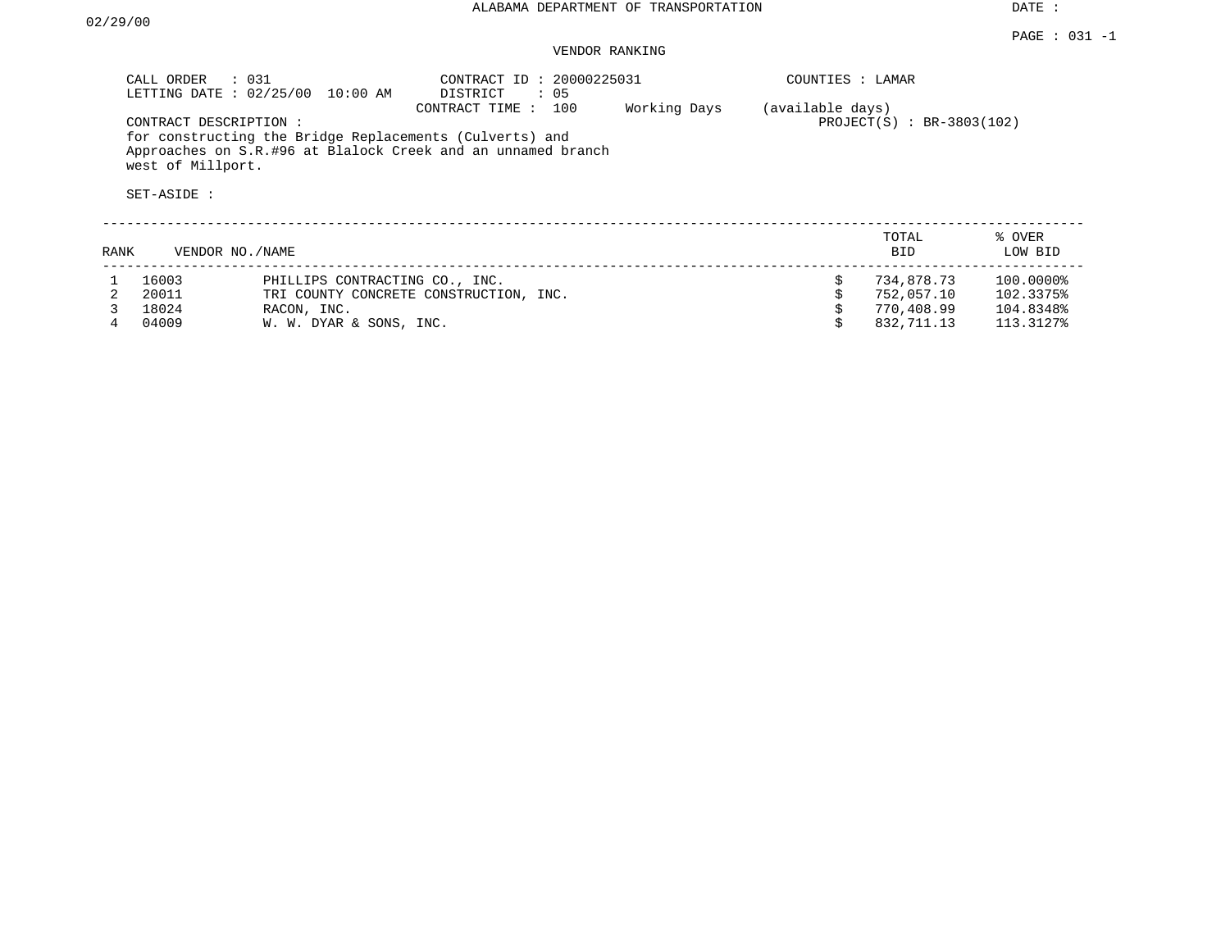## VENDOR RANKING

|      | CALL ORDER<br>LETTING DATE: 02/25/00                      | $\therefore$ 031<br>$10:00$ AM                          | CONTRACT ID: 20000225031<br>DISTRICT<br>: 05                                          |              | COUNTIES : LAMAR |                           |                   |
|------|-----------------------------------------------------------|---------------------------------------------------------|---------------------------------------------------------------------------------------|--------------|------------------|---------------------------|-------------------|
|      | CONTRACT DESCRIPTION:<br>west of Millport.<br>SET-ASIDE : | for constructing the Bridge Replacements (Culverts) and | 100<br>CONTRACT TIME:<br>Approaches on S.R.#96 at Blalock Creek and an unnamed branch | Working Days | (available days) | PROJECT(S) : BR-3803(102) |                   |
| RANK | VENDOR NO./NAME                                           |                                                         |                                                                                       |              |                  | TOTAL<br><b>BID</b>       | % OVER<br>LOW BID |
|      | 16003                                                     | PHILLIPS CONTRACTING CO., INC.                          |                                                                                       |              | Ŝ.               | 734,878.73                | 100.0000%         |
|      | 20011                                                     |                                                         | TRI COUNTY CONCRETE CONSTRUCTION, INC.                                                |              |                  | 752,057.10                | 102.3375%         |
|      | 18024                                                     | RACON, INC.                                             |                                                                                       |              |                  | 770,408.99                | 104.8348%         |
|      | 04009                                                     | W. W. DYAR & SONS, INC.                                 |                                                                                       |              |                  | 832,711.13                | 113.3127%         |

4 04009 W. W. DYAR & SONS, INC. \$ 832,711.13 113.3127%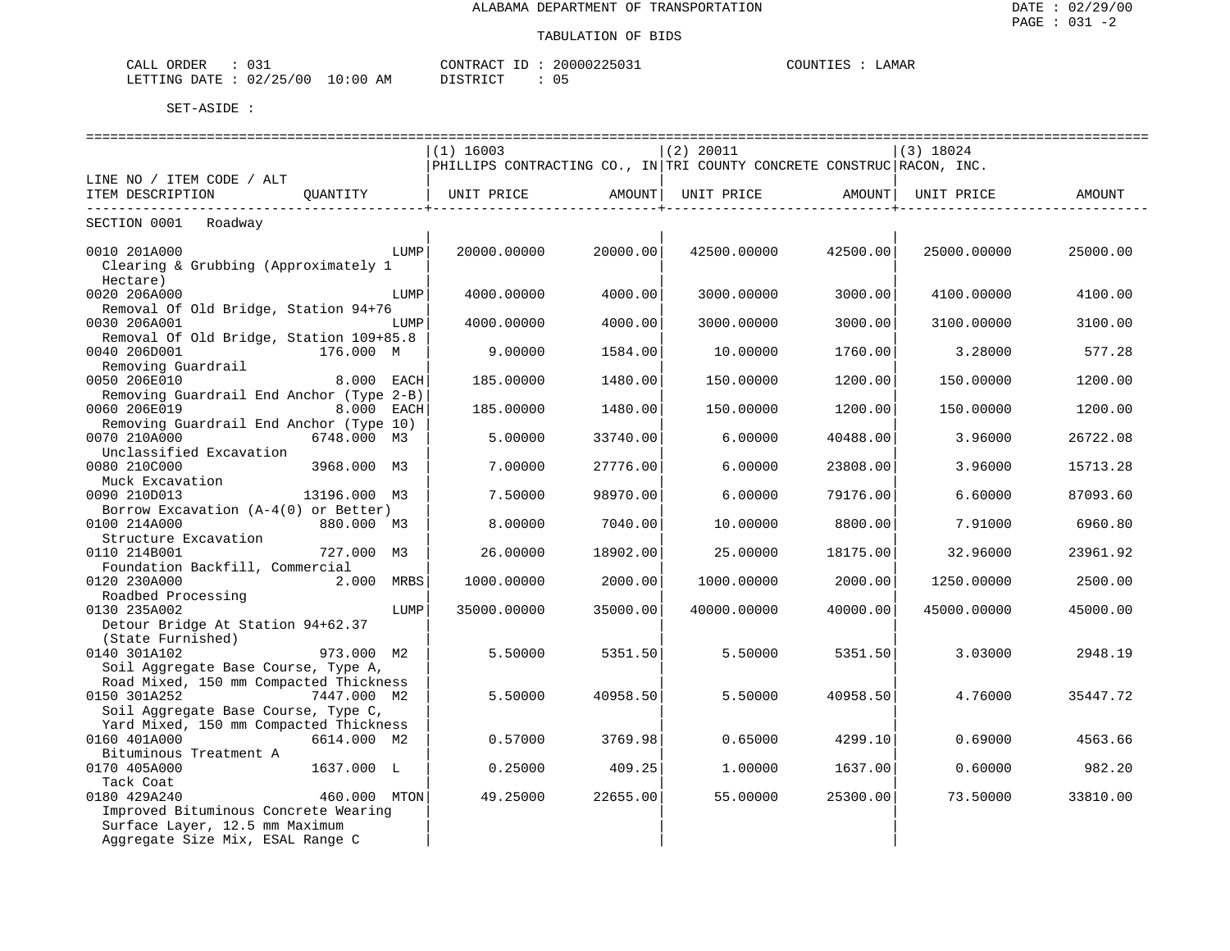| ORDER<br>CALL<br>. U J -                                                                                                                        | CONTRACT                       | 20000225031    | LAMAR<br>COUNTIE? |
|-------------------------------------------------------------------------------------------------------------------------------------------------|--------------------------------|----------------|-------------------|
| 02/25/00<br>LETTING<br>DATE.<br>the contract of the contract of the contract of the contract of the contract of the contract of the contract of | 10:00<br><b>DISTRICT</b><br>AM | 0 <sub>5</sub> |                   |

|                                                           | ======================= |          | ------------------                                                    |          |                   | ======================== |
|-----------------------------------------------------------|-------------------------|----------|-----------------------------------------------------------------------|----------|-------------------|--------------------------|
|                                                           | $(1)$ 16003             |          | (2) 20011                                                             |          | $(3)$ 18024       |                          |
|                                                           |                         |          | PHILLIPS CONTRACTING CO., IN TRI COUNTY CONCRETE CONSTRUC RACON, INC. |          |                   |                          |
| LINE NO / ITEM CODE / ALT<br>ITEM DESCRIPTION<br>QUANTITY |                         |          | UNIT PRICE   AMOUNT  UNIT PRICE   AMOUNT                              |          | UNIT PRICE        | AMOUNT                   |
|                                                           |                         |          | --------------------------+-                                          |          | _________________ |                          |
| SECTION 0001 Roadway                                      |                         |          |                                                                       |          |                   |                          |
| 0010 201A000<br>LUMP                                      | 20000.00000             | 20000.00 | 42500.00000                                                           | 42500.00 | 25000.00000       | 25000.00                 |
| Clearing & Grubbing (Approximately 1                      |                         |          |                                                                       |          |                   |                          |
| Hectare)                                                  |                         |          |                                                                       |          |                   |                          |
| 0020 206A000<br>LUMP                                      | 4000.00000              | 4000.00  | 3000.00000                                                            | 3000.00  | 4100.00000        | 4100.00                  |
| Removal Of Old Bridge, Station 94+76                      |                         |          |                                                                       |          |                   |                          |
| 0030 206A001<br>LUMP                                      | 4000.00000              | 4000.00  | 3000.00000                                                            | 3000.00  | 3100.00000        | 3100.00                  |
| Removal Of Old Bridge, Station 109+85.8                   |                         |          |                                                                       |          |                   |                          |
| 0040 206D001<br>176.000 M                                 | 9,00000                 | 1584.00  | 10.00000                                                              | 1760.00  | 3.28000           | 577.28                   |
| Removing Guardrail                                        |                         |          |                                                                       |          |                   |                          |
| 0050 206E010<br>8.000 EACH                                | 185.00000               | 1480.00  | 150.00000                                                             | 1200.00  | 150.00000         | 1200.00                  |
| Removing Guardrail End Anchor (Type 2-B)                  |                         |          |                                                                       |          |                   |                          |
| 0060 206E019<br><b>8.000 EACH</b>                         | 185,00000               | 1480.00  | 150.00000                                                             | 1200.00  | 150.00000         | 1200.00                  |
| Removing Guardrail End Anchor (Type 10)                   |                         |          |                                                                       |          |                   |                          |
| 6748.000 M3<br>0070 210A000                               | 5.00000                 | 33740.00 | 6.00000                                                               | 40488.00 | 3.96000           | 26722.08                 |
| Unclassified Excavation                                   |                         |          |                                                                       |          |                   |                          |
| 0080 210C000<br>3968.000 M3                               | 7,00000                 | 27776.00 | 6,00000                                                               | 23808.00 | 3.96000           | 15713.28                 |
| Muck Excavation                                           |                         |          |                                                                       |          |                   |                          |
| 0090 210D013<br>13196.000 M3                              | 7.50000                 | 98970.00 | 6.00000                                                               | 79176.00 | 6.60000           | 87093.60                 |
| Borrow Excavation (A-4(0) or Better)                      |                         |          |                                                                       |          |                   |                          |
| 0100 214A000<br>880.000 M3<br>Structure Excavation        | 8,00000                 | 7040.00  | 10.00000                                                              | 8800.00  | 7.91000           | 6960.80                  |
| 0110 214B001<br>727.000 M3                                | 26.00000                | 18902.00 | 25.00000                                                              | 18175.00 | 32.96000          | 23961.92                 |
| Foundation Backfill, Commercial                           |                         |          |                                                                       |          |                   |                          |
| 0120 230A000<br>2.000 MRBS                                | 1000.00000              | 2000.00  | 1000.00000                                                            | 2000.00  | 1250.00000        | 2500.00                  |
| Roadbed Processing                                        |                         |          |                                                                       |          |                   |                          |
| 0130 235A002<br>LUMP                                      | 35000.00000             | 35000.00 | 40000.00000                                                           | 40000.00 | 45000.00000       | 45000.00                 |
| Detour Bridge At Station 94+62.37                         |                         |          |                                                                       |          |                   |                          |
| (State Furnished)                                         |                         |          |                                                                       |          |                   |                          |
| 973.000 M2<br>0140 301A102                                | 5.50000                 | 5351.50  | 5.50000                                                               | 5351.50  | 3.03000           | 2948.19                  |
| Soil Aggregate Base Course, Type A,                       |                         |          |                                                                       |          |                   |                          |
| Road Mixed, 150 mm Compacted Thickness                    |                         |          |                                                                       |          |                   |                          |
| 0150 301A252<br>7447.000 M2                               | 5.50000                 | 40958.50 | 5.50000                                                               | 40958.50 | 4.76000           | 35447.72                 |
| Soil Aggregate Base Course, Type C,                       |                         |          |                                                                       |          |                   |                          |
| Yard Mixed, 150 mm Compacted Thickness                    |                         |          |                                                                       |          |                   |                          |
| 0160 401A000<br>6614.000 M2                               | 0.57000                 | 3769.98  | 0.65000                                                               | 4299.10  | 0.69000           | 4563.66                  |
| Bituminous Treatment A                                    |                         |          |                                                                       |          |                   |                          |
| 1637.000 L<br>0170 405A000                                | 0.25000                 | 409.25   | 1,00000                                                               | 1637.00  | 0.60000           | 982.20                   |
| Tack Coat                                                 |                         |          |                                                                       |          |                   |                          |
| 0180 429A240<br>460.000 MTON                              | 49.25000                | 22655.00 | 55.00000                                                              | 25300.00 | 73.50000          | 33810.00                 |
| Improved Bituminous Concrete Wearing                      |                         |          |                                                                       |          |                   |                          |
| Surface Layer, 12.5 mm Maximum                            |                         |          |                                                                       |          |                   |                          |
| Aggregate Size Mix, ESAL Range C                          |                         |          |                                                                       |          |                   |                          |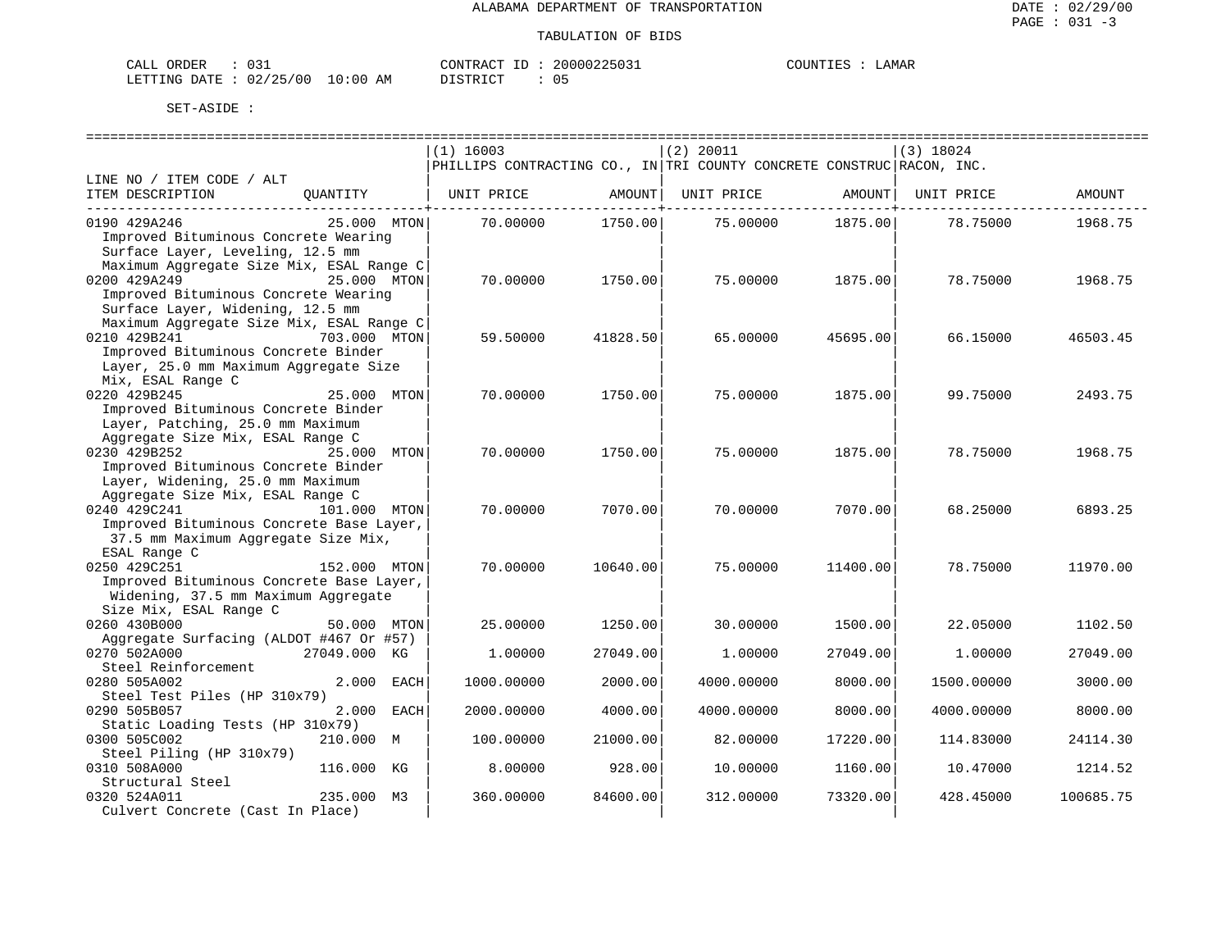| CALL<br>ORDER                    | 031 | CONTRACT<br>TD. | $2000022503+$ | COUNT <sup>T</sup><br>- H.N | <b>AMAR</b> |
|----------------------------------|-----|-----------------|---------------|-----------------------------|-------------|
| LETTING DATE : 02/25/00 10:00 AM |     | ידי איד אידי את | ັັ            |                             |             |

|                                                                  | $(1)$ 16003 |                           | $(2)$ 20011                                                           |          | $(3)$ 18024 |           |
|------------------------------------------------------------------|-------------|---------------------------|-----------------------------------------------------------------------|----------|-------------|-----------|
|                                                                  |             |                           | PHILLIPS CONTRACTING CO., IN TRI COUNTY CONCRETE CONSTRUC RACON, INC. |          |             |           |
| LINE NO / ITEM CODE / ALT                                        |             |                           |                                                                       |          |             |           |
| ITEM DESCRIPTION<br>OUANTITY                                     | UNIT PRICE  | AMOUNT                    | UNIT PRICE                                                            | AMOUNT   | UNIT PRICE  | AMOUNT    |
| _________________________________<br>0190 429A246<br>25.000 MTON | 70.00000    | --------+-----<br>1750.00 | 75.00000 1875.00                                                      |          | 78.75000    | 1968.75   |
| Improved Bituminous Concrete Wearing                             |             |                           |                                                                       |          |             |           |
| Surface Layer, Leveling, 12.5 mm                                 |             |                           |                                                                       |          |             |           |
| Maximum Aggregate Size Mix, ESAL Range C                         |             |                           |                                                                       |          |             |           |
| 0200 429A249<br>25.000 MTON                                      | 70.00000    | 1750.00                   | 75,00000                                                              | 1875.00  | 78.75000    | 1968.75   |
| Improved Bituminous Concrete Wearing                             |             |                           |                                                                       |          |             |           |
| Surface Layer, Widening, 12.5 mm                                 |             |                           |                                                                       |          |             |           |
| Maximum Aggregate Size Mix, ESAL Range C                         |             |                           |                                                                       |          |             |           |
| 0210 429B241<br>703.000 MTON                                     | 59.50000    | 41828.50                  | 65.00000                                                              | 45695.00 | 66.15000    | 46503.45  |
| Improved Bituminous Concrete Binder                              |             |                           |                                                                       |          |             |           |
|                                                                  |             |                           |                                                                       |          |             |           |
| Layer, 25.0 mm Maximum Aggregate Size                            |             |                           |                                                                       |          |             |           |
| Mix, ESAL Range C<br>25.000 MTON                                 |             |                           |                                                                       |          |             |           |
| 0220 429B245                                                     | 70.00000    | 1750.00                   | 75.00000                                                              | 1875.00  | 99.75000    | 2493.75   |
| Improved Bituminous Concrete Binder                              |             |                           |                                                                       |          |             |           |
| Layer, Patching, 25.0 mm Maximum                                 |             |                           |                                                                       |          |             |           |
| Aggregate Size Mix, ESAL Range C                                 |             |                           |                                                                       |          |             |           |
| 0230 429B252<br>25.000 MTON                                      | 70.00000    | 1750.00                   | 75.00000                                                              | 1875.00  | 78.75000    | 1968.75   |
| Improved Bituminous Concrete Binder                              |             |                           |                                                                       |          |             |           |
| Layer, Widening, 25.0 mm Maximum                                 |             |                           |                                                                       |          |             |           |
| Aggregate Size Mix, ESAL Range C                                 |             |                           |                                                                       |          |             |           |
| 0240 429C241<br>101.000 MTON                                     | 70.00000    | 7070.00                   | 70.00000                                                              | 7070.00  | 68.25000    | 6893.25   |
| Improved Bituminous Concrete Base Layer,                         |             |                           |                                                                       |          |             |           |
| 37.5 mm Maximum Aggregate Size Mix,                              |             |                           |                                                                       |          |             |           |
| ESAL Range C                                                     |             |                           |                                                                       |          |             |           |
| 0250 429C251<br>152.000 MTON                                     | 70.00000    | 10640.00                  | 75.00000                                                              | 11400.00 | 78.75000    | 11970.00  |
| Improved Bituminous Concrete Base Layer,                         |             |                           |                                                                       |          |             |           |
| Widening, 37.5 mm Maximum Aggregate                              |             |                           |                                                                       |          |             |           |
| Size Mix, ESAL Range C                                           |             |                           |                                                                       |          |             |           |
| 0260 430B000<br>50.000 MTON                                      | 25.00000    | 1250.00                   | 30.00000                                                              | 1500.00  | 22.05000    | 1102.50   |
| Aggregate Surfacing (ALDOT #467 Or #57)                          |             |                           |                                                                       |          |             |           |
| 0270 502A000<br>27049.000 KG                                     | 1,00000     | 27049.00                  | 1,00000                                                               | 27049.00 | 1,00000     | 27049.00  |
| Steel Reinforcement                                              |             |                           |                                                                       |          |             |           |
| 0280 505A002<br>2.000<br>EACH                                    | 1000.00000  | 2000.00                   | 4000.00000                                                            | 8000.00  | 1500.00000  | 3000.00   |
| Steel Test Piles (HP 310x79)                                     |             |                           |                                                                       |          |             |           |
| 0290 505B057<br>2.000 EACH                                       | 2000.00000  | 4000.00                   | 4000.00000                                                            | 8000.00  | 4000.00000  | 8000.00   |
| Static Loading Tests (HP 310x79)                                 |             |                           |                                                                       |          |             |           |
| 0300 505C002<br>210.000 M                                        | 100.00000   | 21000.00                  | 82.00000                                                              | 17220.00 | 114.83000   | 24114.30  |
| Steel Piling (HP 310x79)                                         |             |                           |                                                                       |          |             |           |
| 0310 508A000<br>116.000 KG                                       | 8.00000     | 928.00                    | 10.00000                                                              | 1160.00  | 10.47000    | 1214.52   |
| Structural Steel                                                 |             |                           |                                                                       |          |             |           |
| 0320 524A011<br>235.000 M3                                       | 360.00000   | 84600.00                  | 312,00000                                                             | 73320.00 | 428.45000   | 100685.75 |
| Culvert Concrete (Cast In Place)                                 |             |                           |                                                                       |          |             |           |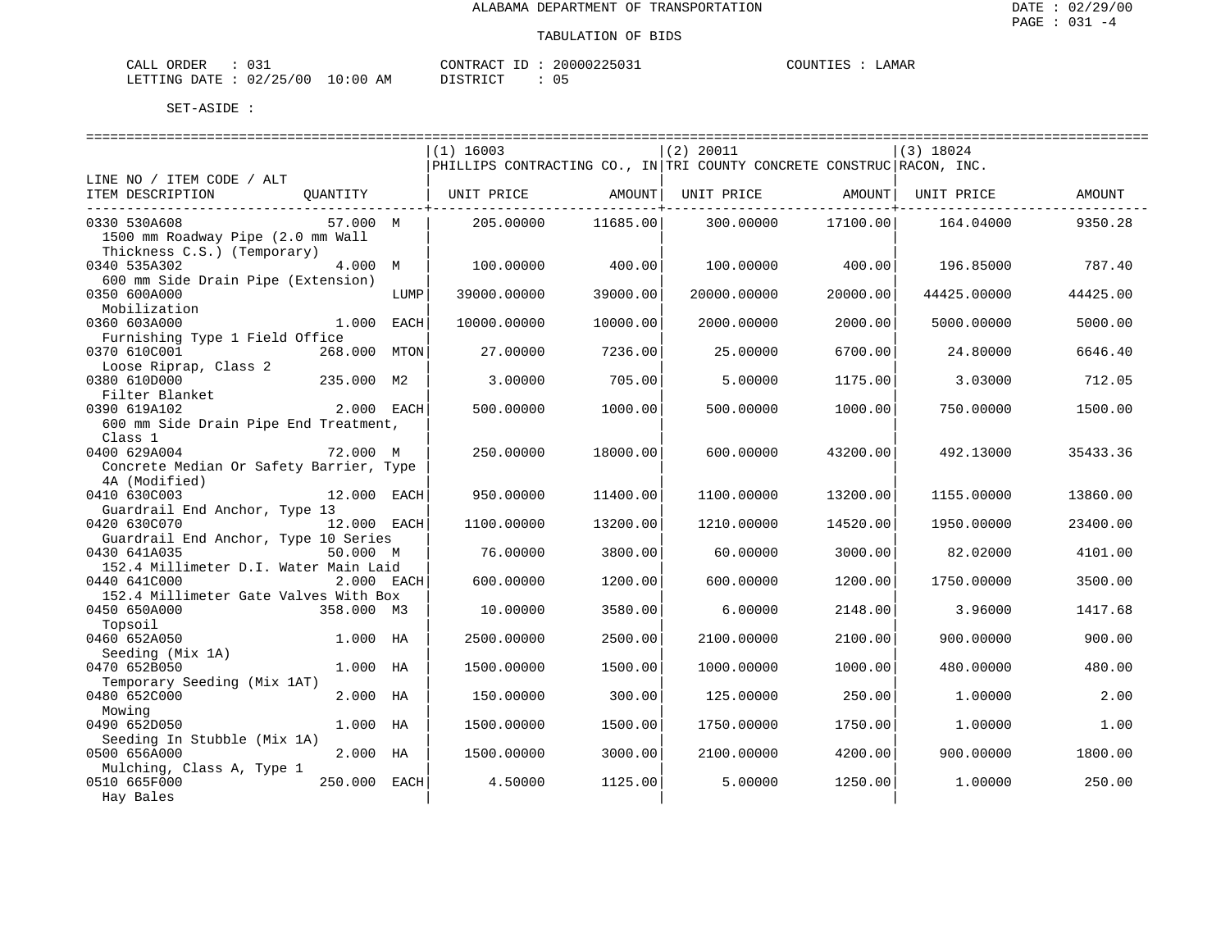| CALL<br>ORDER                    | 031 | CONTRACT<br>TD. | $2000022503+$ | COUNT <sup>T</sup><br>- H.N | <b>AMAR</b> |
|----------------------------------|-----|-----------------|---------------|-----------------------------|-------------|
| LETTING DATE : 02/25/00 10:00 AM |     | ידי איד אידי את | ັັ            |                             |             |

|                                         |              |      | $(1)$ 16003                                                           |          | $(2)$ 20011 |          | $(3)$ 18024 |          |
|-----------------------------------------|--------------|------|-----------------------------------------------------------------------|----------|-------------|----------|-------------|----------|
|                                         |              |      | PHILLIPS CONTRACTING CO., IN TRI COUNTY CONCRETE CONSTRUC RACON, INC. |          |             |          |             |          |
| LINE NO / ITEM CODE / ALT               |              |      |                                                                       |          |             |          |             |          |
| ITEM DESCRIPTION                        | OUANTITY     |      | UNIT PRICE                                                            | AMOUNT   | UNIT PRICE  | AMOUNT   | UNIT PRICE  | AMOUNT   |
|                                         |              |      |                                                                       |          |             |          |             |          |
| 0330 530A608                            | 57.000 M     |      | 205,00000                                                             | 11685.00 | 300,00000   | 17100.00 | 164.04000   | 9350.28  |
| 1500 mm Roadway Pipe (2.0 mm Wall       |              |      |                                                                       |          |             |          |             |          |
| Thickness C.S.) (Temporary)             |              |      |                                                                       |          |             |          |             |          |
| 0340 535A302                            | 4.000 M      |      | 100,00000                                                             | 400.00   | 100.00000   | 400.00   | 196.85000   | 787.40   |
| 600 mm Side Drain Pipe (Extension)      |              |      |                                                                       |          |             |          |             |          |
| 0350 600A000                            |              | LUMP | 39000.00000                                                           | 39000.00 | 20000.00000 | 20000.00 | 44425.00000 | 44425.00 |
| Mobilization                            |              |      |                                                                       |          |             |          |             |          |
| 0360 603A000                            | 1,000        | EACH | 10000.00000                                                           | 10000.00 | 2000.00000  | 2000.00  | 5000.00000  | 5000.00  |
|                                         |              |      |                                                                       |          |             |          |             |          |
| Furnishing Type 1 Field Office          |              |      |                                                                       |          |             |          |             |          |
| 0370 610C001                            | 268.000      | MTON | 27.00000                                                              | 7236.00  | 25.00000    | 6700.00  | 24.80000    | 6646.40  |
| Loose Riprap, Class 2                   |              |      |                                                                       |          |             |          |             |          |
| 0380 610D000                            | 235.000 M2   |      | 3,00000                                                               | 705.00   | 5.00000     | 1175.00  | 3.03000     | 712.05   |
| Filter Blanket                          |              |      |                                                                       |          |             |          |             |          |
| 0390 619A102                            | 2.000 EACH   |      | 500.00000                                                             | 1000.00  | 500.00000   | 1000.00  | 750.00000   | 1500.00  |
| 600 mm Side Drain Pipe End Treatment,   |              |      |                                                                       |          |             |          |             |          |
| Class 1                                 |              |      |                                                                       |          |             |          |             |          |
| 0400 629A004                            | 72.000 M     |      | 250.00000                                                             | 18000.00 | 600,00000   | 43200.00 | 492.13000   | 35433.36 |
| Concrete Median Or Safety Barrier, Type |              |      |                                                                       |          |             |          |             |          |
| 4A (Modified)                           |              |      |                                                                       |          |             |          |             |          |
| 0410 630C003                            | 12.000 EACH  |      | 950.00000                                                             | 11400.00 | 1100.00000  | 13200.00 | 1155.00000  | 13860.00 |
| Guardrail End Anchor, Type 13           |              |      |                                                                       |          |             |          |             |          |
| 0420 630C070                            | 12.000 EACH  |      | 1100.00000                                                            | 13200.00 | 1210.00000  | 14520.00 | 1950.00000  | 23400.00 |
| Guardrail End Anchor, Type 10 Series    |              |      |                                                                       |          |             |          |             |          |
| 0430 641A035                            | 50.000 M     |      | 76,00000                                                              | 3800.00  | 60,00000    | 3000.00  | 82.02000    | 4101.00  |
| 152.4 Millimeter D.I. Water Main Laid   |              |      |                                                                       |          |             |          |             |          |
| 0440 641C000                            | 2.000 EACH   |      | 600.00000                                                             | 1200.00  | 600.00000   | 1200.00  | 1750.00000  | 3500.00  |
| 152.4 Millimeter Gate Valves With Box   |              |      |                                                                       |          |             |          |             |          |
| 0450 650A000                            | 358.000 M3   |      | 10.00000                                                              | 3580.00  | 6.00000     | 2148.00  | 3.96000     | 1417.68  |
| Topsoil                                 |              |      |                                                                       |          |             |          |             |          |
| 0460 652A050                            | 1.000 HA     |      | 2500.00000                                                            | 2500.00  | 2100.00000  | 2100.00  | 900,00000   | 900.00   |
| Seeding (Mix 1A)                        |              |      |                                                                       |          |             |          |             |          |
| 0470 652B050                            | 1.000 HA     |      | 1500.00000                                                            | 1500.00  | 1000.00000  | 1000.00  | 480.00000   | 480.00   |
| Temporary Seeding (Mix 1AT)             |              |      |                                                                       |          |             |          |             |          |
|                                         |              |      |                                                                       |          |             |          |             |          |
| 0480 652C000                            | 2.000 HA     |      | 150.00000                                                             | 300.00   | 125.00000   | 250.00   | 1,00000     | 2.00     |
| Mowing                                  |              |      |                                                                       |          |             |          |             |          |
| 0490 652D050                            | 1.000 HA     |      | 1500.00000                                                            | 1500.00  | 1750.00000  | 1750.00  | 1,00000     | 1.00     |
| Seeding In Stubble (Mix 1A)             |              |      |                                                                       |          |             |          |             |          |
| 0500 656A000                            | 2.000 HA     |      | 1500.00000                                                            | 3000.00  | 2100.00000  | 4200.00  | 900.00000   | 1800.00  |
| Mulching, Class A, Type 1               |              |      |                                                                       |          |             |          |             |          |
| 0510 665F000                            | 250.000 EACH |      | 4.50000                                                               | 1125.00  | 5.00000     | 1250.00  | 1,00000     | 250.00   |
| Hay Bales                               |              |      |                                                                       |          |             |          |             |          |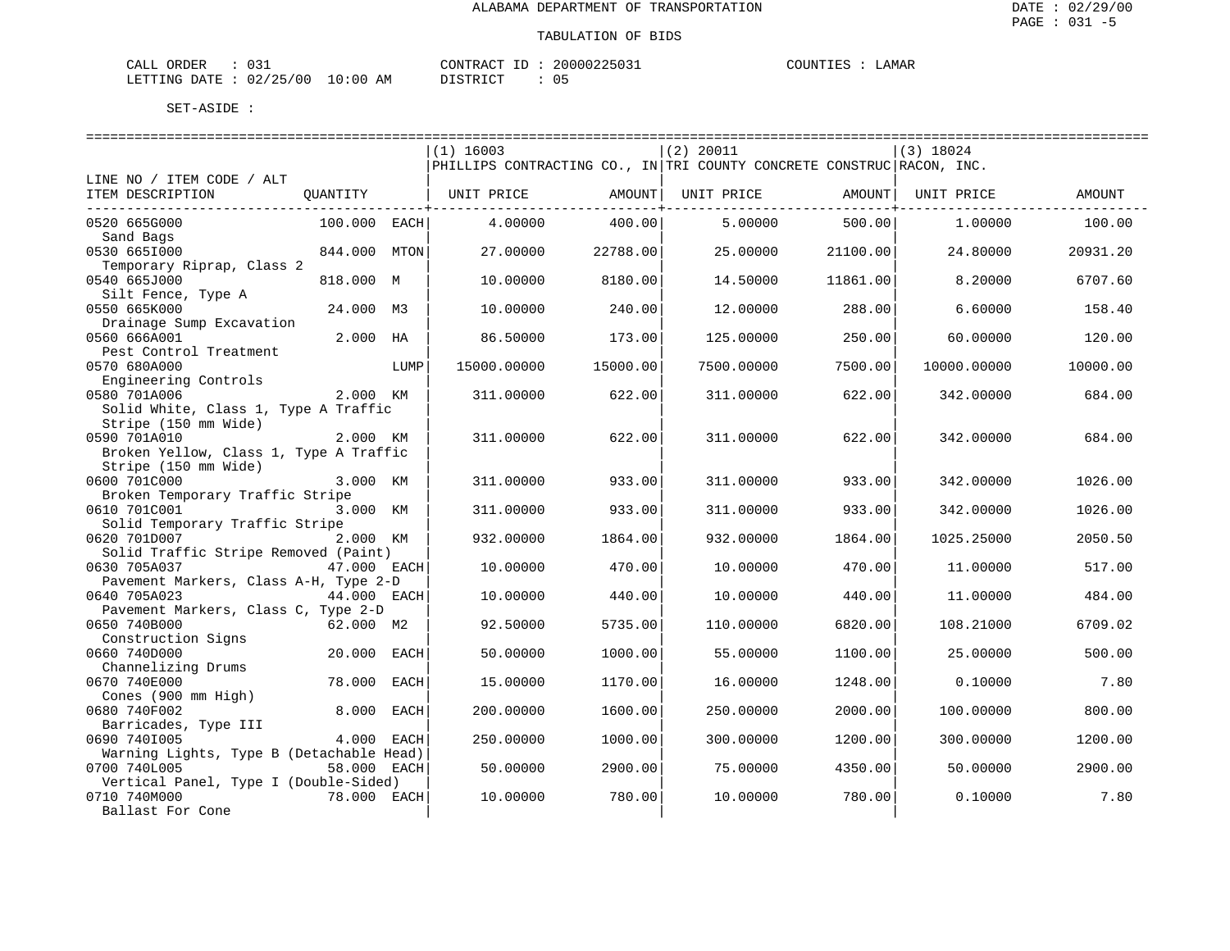| 031<br>ORDER<br>CALL       |             | CONTRACT<br>ID   | 20000225031 | COUNTIES | <b>AMAR</b> |  |
|----------------------------|-------------|------------------|-------------|----------|-------------|--|
| : 02/25/00<br>LETTING DATE | 10:00<br>AM | חי הדי פידי את ה |             |          |             |  |

|                                                          |              |      | $(1)$ 16003                                                           |          | (2) 20011  |                | $(3)$ 18024 |          |
|----------------------------------------------------------|--------------|------|-----------------------------------------------------------------------|----------|------------|----------------|-------------|----------|
|                                                          |              |      | PHILLIPS CONTRACTING CO., IN TRI COUNTY CONCRETE CONSTRUC RACON, INC. |          |            |                |             |          |
| LINE NO / ITEM CODE / ALT                                |              |      |                                                                       |          |            |                |             |          |
| ITEM DESCRIPTION                                         | QUANTITY     |      | UNIT PRICE                                                            | AMOUNT   | UNIT PRICE | AMOUNT         | UNIT PRICE  | AMOUNT   |
|                                                          |              |      |                                                                       |          |            | ------------+- |             |          |
| 0520 665G000                                             | 100.000 EACH |      | 4.00000                                                               | 400.00   | 5,00000    | 500.00         | 1,00000     | 100.00   |
| Sand Bags                                                |              |      |                                                                       |          |            |                |             |          |
| 0530 6651000                                             | 844.000 MTON |      | 27.00000                                                              | 22788.00 | 25.00000   | 21100.00       | 24.80000    | 20931.20 |
| Temporary Riprap, Class 2                                |              |      |                                                                       |          |            |                |             |          |
| 0540 665J000                                             | 818.000 M    |      | 10.00000                                                              | 8180.00  | 14.50000   | 11861.00       | 8.20000     | 6707.60  |
| Silt Fence, Type A                                       |              |      |                                                                       |          |            |                |             |          |
| 0550 665K000                                             | 24.000 M3    |      | 10.00000                                                              | 240.00   | 12.00000   | 288.00         | 6.60000     | 158.40   |
| Drainage Sump Excavation                                 |              |      |                                                                       |          |            |                |             |          |
| 0560 666A001                                             | 2.000 HA     |      | 86.50000                                                              | 173.00   | 125.00000  | 250.00         | 60.00000    | 120.00   |
| Pest Control Treatment                                   |              |      |                                                                       |          |            |                |             |          |
| 0570 680A000                                             |              | LUMP | 15000.00000                                                           | 15000.00 | 7500.00000 | 7500.00        | 10000.00000 | 10000.00 |
| Engineering Controls                                     |              |      |                                                                       |          |            |                |             |          |
| 0580 701A006                                             | 2.000 KM     |      | 311,00000                                                             | 622.00   | 311.00000  | 622.00         | 342.00000   | 684.00   |
| Solid White, Class 1, Type A Traffic                     |              |      |                                                                       |          |            |                |             |          |
| Stripe (150 mm Wide)                                     |              |      |                                                                       |          |            |                |             |          |
| 0590 701A010                                             | 2.000 KM     |      | 311,00000                                                             | 622.00   | 311,00000  | 622.00         | 342.00000   | 684.00   |
| Broken Yellow, Class 1, Type A Traffic                   |              |      |                                                                       |          |            |                |             |          |
| Stripe (150 mm Wide)                                     |              |      |                                                                       |          |            |                |             |          |
| 0600 701C000                                             | 3.000 KM     |      | 311.00000                                                             | 933.00   | 311.00000  | 933.00         | 342.00000   | 1026.00  |
| Broken Temporary Traffic Stripe                          |              |      |                                                                       |          |            |                |             |          |
| 0610 701C001                                             | 3.000 KM     |      | 311,00000                                                             | 933.00   | 311.00000  | 933.00         | 342.00000   | 1026.00  |
| Solid Temporary Traffic Stripe                           |              |      |                                                                       |          |            |                |             |          |
| 0620 701D007                                             | 2.000 KM     |      |                                                                       | 1864.00  |            | 1864.00        |             |          |
| Solid Traffic Stripe Removed (Paint)                     |              |      | 932.00000                                                             |          | 932.00000  |                | 1025.25000  | 2050.50  |
| 0630 705A037                                             | 47.000 EACH  |      |                                                                       |          |            |                |             | 517.00   |
|                                                          |              |      | 10.00000                                                              | 470.00   | 10.00000   | 470.00         | 11,00000    |          |
| Pavement Markers, Class A-H, Type 2-D<br>0640 705A023    | 44.000 EACH  |      | 10.00000                                                              | 440.00   | 10.00000   | 440.00         | 11,00000    | 484.00   |
|                                                          |              |      |                                                                       |          |            |                |             |          |
| Pavement Markers, Class C, Type 2-D                      |              |      |                                                                       |          |            |                |             |          |
| 0650 740B000                                             | 62.000 M2    |      | 92.50000                                                              | 5735.00  | 110.00000  | 6820.00        | 108.21000   | 6709.02  |
| Construction Signs                                       |              |      |                                                                       |          |            |                |             |          |
| 0660 740D000                                             | 20.000 EACH  |      | 50.00000                                                              | 1000.00  | 55.00000   | 1100.00        | 25.00000    | 500.00   |
| Channelizing Drums<br>0670 740E000                       | 78.000       | EACH | 15,00000                                                              | 1170.00  | 16.00000   | 1248.00        | 0.10000     | 7.80     |
|                                                          |              |      |                                                                       |          |            |                |             |          |
| Cones (900 mm High)<br>0680 740F002                      | 8.000 EACH   |      | 200.00000                                                             | 1600.00  | 250.00000  | 2000.00        | 100.00000   | 800.00   |
|                                                          |              |      |                                                                       |          |            |                |             |          |
| Barricades, Type III                                     |              |      |                                                                       |          |            |                |             |          |
| 0690 7401005<br>Warning Lights, Type B (Detachable Head) | 4.000 EACH   |      | 250.00000                                                             | 1000.00  | 300.00000  | 1200.00        | 300.00000   | 1200.00  |
|                                                          |              |      |                                                                       |          |            |                |             | 2900.00  |
| 0700 740L005                                             | 58.000 EACH  |      | 50.00000                                                              | 2900.00  | 75.00000   | 4350.00        | 50.00000    |          |
| Vertical Panel, Type I (Double-Sided)<br>0710 740M000    |              |      |                                                                       |          |            |                |             |          |
|                                                          | 78.000 EACH  |      | 10.00000                                                              | 780.00   | 10.00000   | 780.00         | 0.10000     | 7.80     |
| Ballast For Cone                                         |              |      |                                                                       |          |            |                |             |          |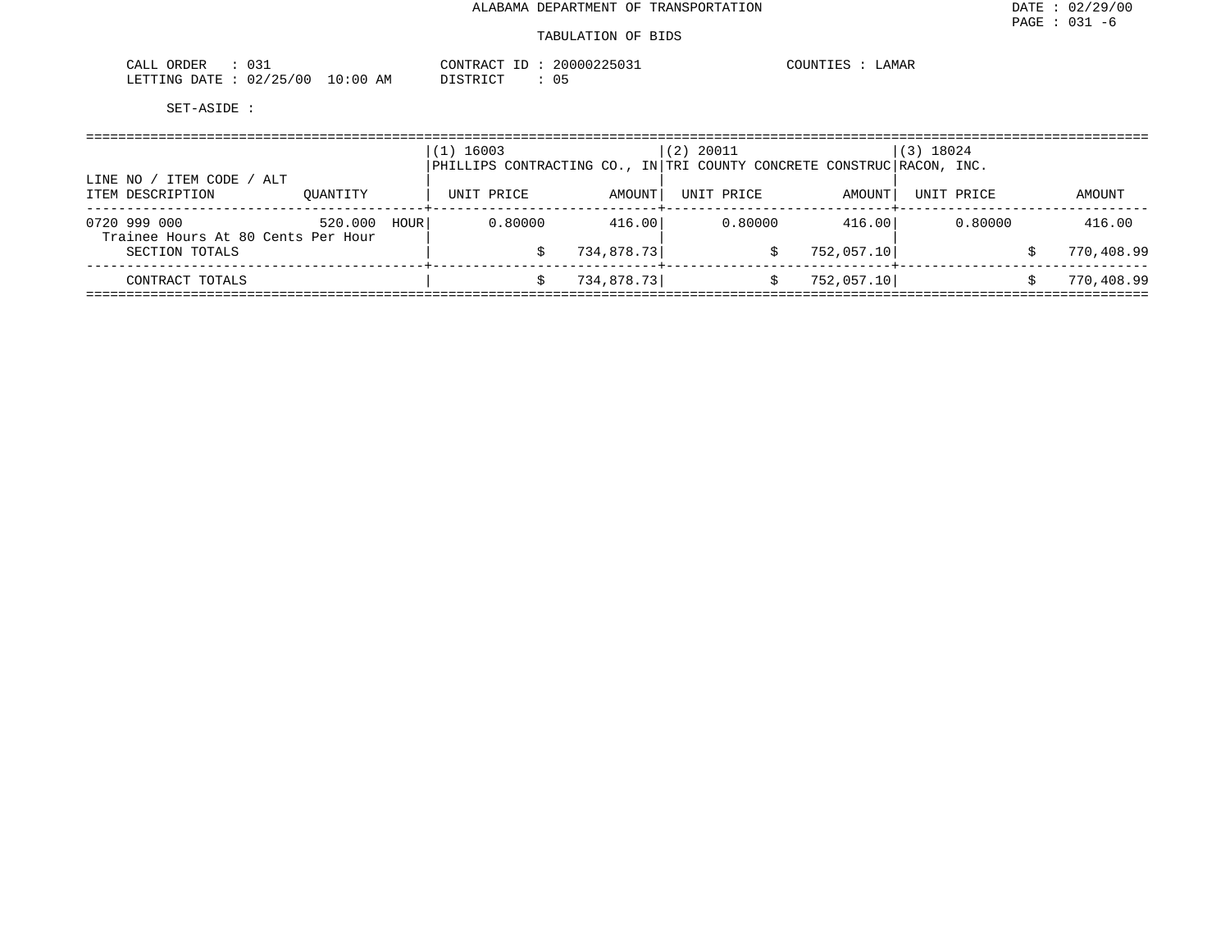| ົ∩ 2.1<br>ORDER<br>∪ ⊃ ⊥                                    | ,,,,,,,, <b>,,,</b> ,<br>דיי∩ ב פידיזור∩י<br>$250.5 +$ | COLINT<br>איהד<br>JAMAR<br>1 H.Y |  |
|-------------------------------------------------------------|--------------------------------------------------------|----------------------------------|--|
| /25/00<br>່ດ:ດດ<br>LETTING<br>DATE<br>ററ<br>AM<br>.<br>U 4. | $T \cap T$<br>$\sim$<br>.<br>, + + + + + +             |                                  |  |

| ITEM CODE<br>/ ALT<br>LINE NO /                    |          |      | $(1)$ 16003<br>PHILLIPS CONTRACTING CO., IN TRI COUNTY CONCRETE CONSTRUC RACON, INC. |            | (2) 20011  |            | $(3)$ 18024 |            |
|----------------------------------------------------|----------|------|--------------------------------------------------------------------------------------|------------|------------|------------|-------------|------------|
| ITEM DESCRIPTION                                   | OUANTITY |      | UNIT PRICE                                                                           | AMOUNT     | UNIT PRICE | AMOUNT     | UNIT PRICE  | AMOUNT     |
| 0720 999 000<br>Trainee Hours At 80 Cents Per Hour | 520.000  | HOUR | 0.80000                                                                              | 416.00     | 0.80000    | 416.00     | 0.80000     | 416.00     |
| SECTION TOTALS                                     |          |      |                                                                                      | 734,878.73 |            | 752,057.10 |             | 770,408.99 |
| CONTRACT TOTALS                                    |          |      |                                                                                      | 734,878.73 |            | 752,057.10 |             | 770,408.99 |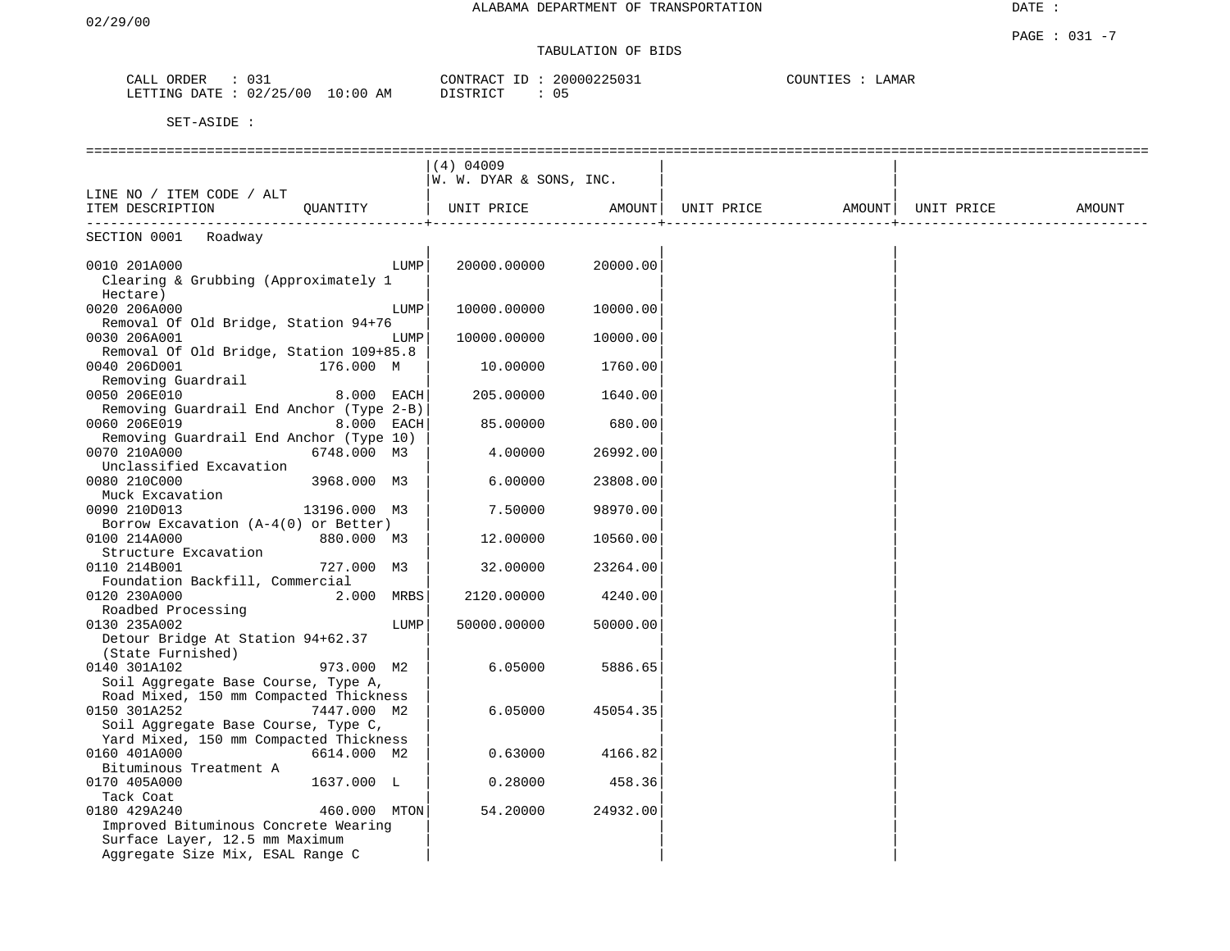# TABULATION OF BIDS

| ORDER<br>CALL | 03.                      | 20000225031<br>CONTRACT ID | COUNTIES<br>LAMAR |
|---------------|--------------------------|----------------------------|-------------------|
| LETTING DATE  | 10:00 AM<br>, : 02/25/00 | DISTRICT                   |                   |

|                                                                      |              | $(4)$ 04009             |          |                                                                                    |  |        |
|----------------------------------------------------------------------|--------------|-------------------------|----------|------------------------------------------------------------------------------------|--|--------|
|                                                                      |              | W. W. DYAR & SONS, INC. |          |                                                                                    |  |        |
| LINE NO / ITEM CODE / ALT                                            |              |                         |          |                                                                                    |  |        |
| ITEM DESCRIPTION QUANTITY                                            |              |                         |          | UNIT PRICE AMOUNT  UNIT PRICE AMOUNT  UNIT PRICE<br>------------------------------ |  | AMOUNT |
| SECTION 0001 Roadway                                                 |              |                         |          |                                                                                    |  |        |
| 0010 201A000                                                         | LUMP         | 20000.00000             | 20000.00 |                                                                                    |  |        |
| Clearing & Grubbing (Approximately 1                                 |              |                         |          |                                                                                    |  |        |
| Hectare)                                                             |              |                         |          |                                                                                    |  |        |
| 0020 206A000                                                         | LUMP         | 10000.00000             | 10000.00 |                                                                                    |  |        |
| Removal Of Old Bridge, Station 94+76                                 |              |                         |          |                                                                                    |  |        |
| 0030 206A001                                                         | LUMP         | 10000.00000             | 10000.00 |                                                                                    |  |        |
| Removal Of Old Bridge, Station 109+85.8                              |              |                         |          |                                                                                    |  |        |
| 0040 206D001<br>176.000 M                                            |              | 10.00000                | 1760.00  |                                                                                    |  |        |
| Removing Guardrail                                                   |              |                         |          |                                                                                    |  |        |
| 0050 206E010                                                         | 8.000 EACH   | 205.00000               | 1640.00  |                                                                                    |  |        |
| Removing Guardrail End Anchor (Type 2-B)                             |              |                         |          |                                                                                    |  |        |
| 0060 206E019                                                         | 8.000 EACH   | 85.00000                | 680.00   |                                                                                    |  |        |
| Removing Guardrail End Anchor (Type 10)                              |              |                         |          |                                                                                    |  |        |
| 0070 210A000                                                         | 6748.000 M3  | 4.00000                 | 26992.00 |                                                                                    |  |        |
| Unclassified Excavation                                              |              |                         |          |                                                                                    |  |        |
| 0080 210C000                                                         | 3968.000 M3  | 6.00000                 | 23808.00 |                                                                                    |  |        |
| Muck Excavation                                                      |              |                         |          |                                                                                    |  |        |
| 0090 210D013<br>13196.000 M3<br>Borrow Excavation (A-4(0) or Better) |              | 7.50000                 | 98970.00 |                                                                                    |  |        |
| 0100 214A000<br>880.000 M3                                           |              | 12.00000                | 10560.00 |                                                                                    |  |        |
| Structure Excavation                                                 |              |                         |          |                                                                                    |  |        |
| 0110 214B001                                                         | 727.000 M3   | 32.00000                | 23264.00 |                                                                                    |  |        |
| Foundation Backfill, Commercial                                      |              |                         |          |                                                                                    |  |        |
| 0120 230A000                                                         | 2.000 MRBS   | 2120.00000              | 4240.00  |                                                                                    |  |        |
| Roadbed Processing                                                   |              |                         |          |                                                                                    |  |        |
| 0130 235A002                                                         | LUMP         | 50000.00000             | 50000.00 |                                                                                    |  |        |
| Detour Bridge At Station 94+62.37                                    |              |                         |          |                                                                                    |  |        |
| (State Furnished)                                                    |              |                         |          |                                                                                    |  |        |
| 973.000 M2<br>0140 301A102                                           |              | 6.05000                 | 5886.65  |                                                                                    |  |        |
| Soil Aggregate Base Course, Type A,                                  |              |                         |          |                                                                                    |  |        |
| Road Mixed, 150 mm Compacted Thickness                               |              |                         |          |                                                                                    |  |        |
| 0150 301A252<br>7447.000 M2                                          |              | 6.05000                 | 45054.35 |                                                                                    |  |        |
| Soil Aggregate Base Course, Type C,                                  |              |                         |          |                                                                                    |  |        |
| Yard Mixed, 150 mm Compacted Thickness                               |              |                         |          |                                                                                    |  |        |
| 0160 401A000<br>6614.000 M2                                          |              | 0.63000                 | 4166.82  |                                                                                    |  |        |
| Bituminous Treatment A                                               |              |                         |          |                                                                                    |  |        |
| 0170 405A000<br>1637.000 L<br>Tack Coat                              |              | 0.28000                 | 458.36   |                                                                                    |  |        |
| 0180 429A240                                                         | 460.000 MTON | 54.20000                | 24932.00 |                                                                                    |  |        |
| Improved Bituminous Concrete Wearing                                 |              |                         |          |                                                                                    |  |        |
| Surface Layer, 12.5 mm Maximum                                       |              |                         |          |                                                                                    |  |        |
| Aggregate Size Mix, ESAL Range C                                     |              |                         |          |                                                                                    |  |        |
|                                                                      |              |                         |          |                                                                                    |  |        |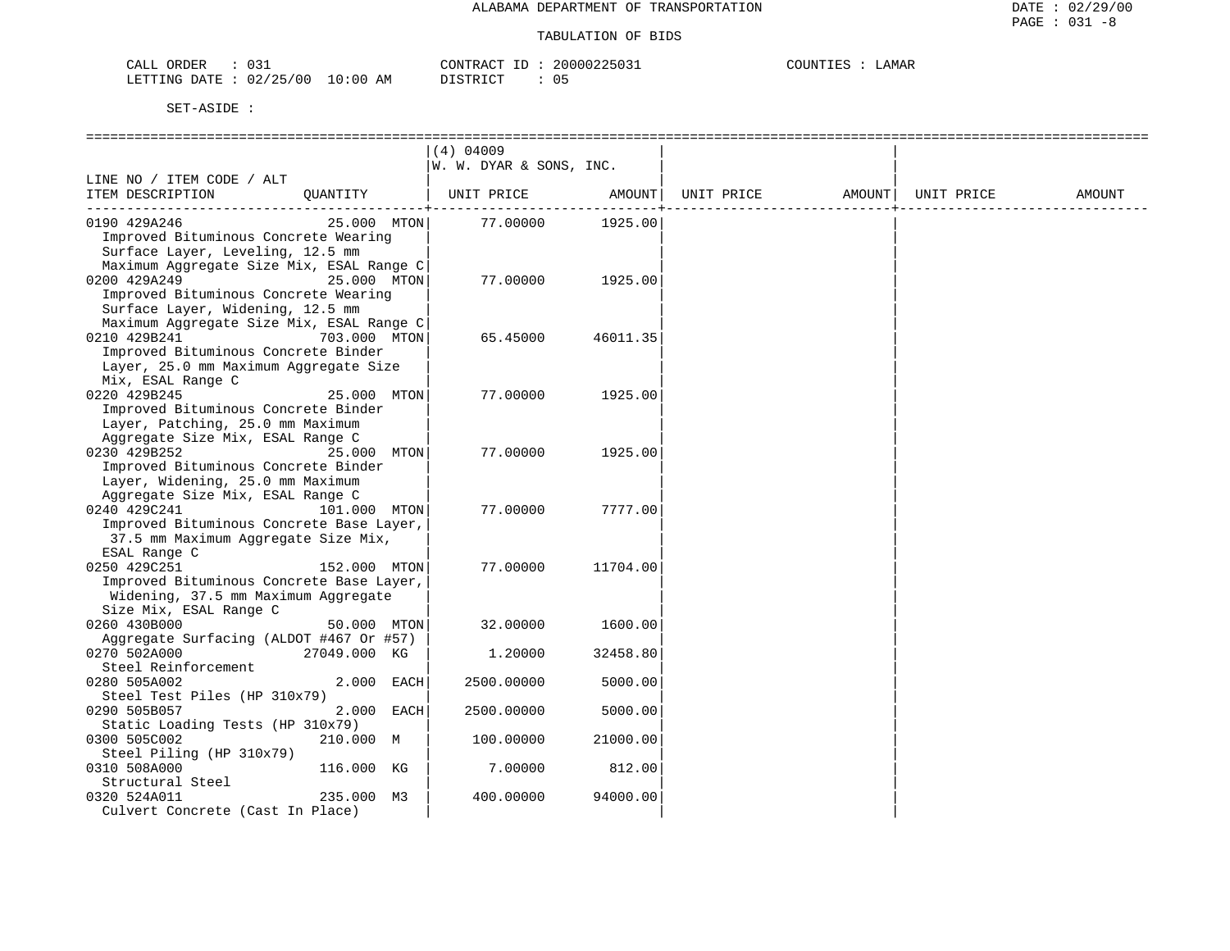| CALL<br>ORDER<br>⊥د∪                          | 20000225037<br>CONTRACT<br>___ | COUNTIES<br>LAMAR |
|-----------------------------------------------|--------------------------------|-------------------|
| 02/25/00<br>LO : 00<br>LETTING<br>DATE.<br>AΜ | יחי החד שחי<br>◡ ◡             |                   |

|                                                                                                                                                     | $(4)$ 04009             |          |            |        |            |        |
|-----------------------------------------------------------------------------------------------------------------------------------------------------|-------------------------|----------|------------|--------|------------|--------|
|                                                                                                                                                     | W. W. DYAR & SONS, INC. |          |            |        |            |        |
| LINE NO / ITEM CODE / ALT<br>ITEM DESCRIPTION<br>OUANTITY                                                                                           | UNIT PRICE              | AMOUNT   | UNIT PRICE | AMOUNT | UNIT PRICE | AMOUNT |
| 25.000 MTON<br>0190 429A246<br>Improved Bituminous Concrete Wearing<br>Surface Layer, Leveling, 12.5 mm<br>Maximum Aggregate Size Mix, ESAL Range C | 77.00000                | 1925.00  |            |        |            |        |
| 0200 429A249<br>25.000 MTON<br>Improved Bituminous Concrete Wearing<br>Surface Layer, Widening, 12.5 mm<br>Maximum Aggregate Size Mix, ESAL Range C | 77.00000                | 1925.00  |            |        |            |        |
| 0210 429B241<br>703.000 MTON<br>Improved Bituminous Concrete Binder<br>Layer, 25.0 mm Maximum Aggregate Size<br>Mix, ESAL Range C                   | 65.45000                | 46011.35 |            |        |            |        |
| 0220 429B245<br>25.000 MTON<br>Improved Bituminous Concrete Binder<br>Layer, Patching, 25.0 mm Maximum<br>Aggregate Size Mix, ESAL Range C          | 77.00000                | 1925.00  |            |        |            |        |
| 0230 429B252<br>25.000 MTON<br>Improved Bituminous Concrete Binder<br>Layer, Widening, 25.0 mm Maximum<br>Aggregate Size Mix, ESAL Range C          | 77.00000                | 1925.00  |            |        |            |        |
| 0240 429C241<br>101.000 MTON<br>Improved Bituminous Concrete Base Layer,<br>37.5 mm Maximum Aggregate Size Mix,<br>ESAL Range C                     | 77.00000                | 7777.00  |            |        |            |        |
| 0250 429C251<br>152.000 MTON<br>Improved Bituminous Concrete Base Layer,<br>Widening, 37.5 mm Maximum Aggregate<br>Size Mix, ESAL Range C           | 77.00000                | 11704.00 |            |        |            |        |
| 0260 430B000<br>50.000 MTON<br>Aggregate Surfacing (ALDOT #467 Or #57)                                                                              | 32.00000                | 1600.00  |            |        |            |        |
| 0270 502A000<br>27049.000 KG<br>Steel Reinforcement                                                                                                 | 1,20000                 | 32458.80 |            |        |            |        |
| 0280 505A002<br>2.000 EACH<br>Steel Test Piles (HP 310x79)                                                                                          | 2500.00000              | 5000.00  |            |        |            |        |
| 0290 505B057<br>2.000 EACH<br>Static Loading Tests (HP 310x79)                                                                                      | 2500.00000              | 5000.00  |            |        |            |        |
| 210.000 M<br>0300 505C002<br>Steel Piling (HP 310x79)                                                                                               | 100.00000               | 21000.00 |            |        |            |        |
| 0310 508A000<br>116.000 KG<br>Structural Steel                                                                                                      | 7.00000                 | 812.00   |            |        |            |        |
| 235.000 M3<br>0320 524A011<br>Culvert Concrete (Cast In Place)                                                                                      | 400.00000               | 94000.00 |            |        |            |        |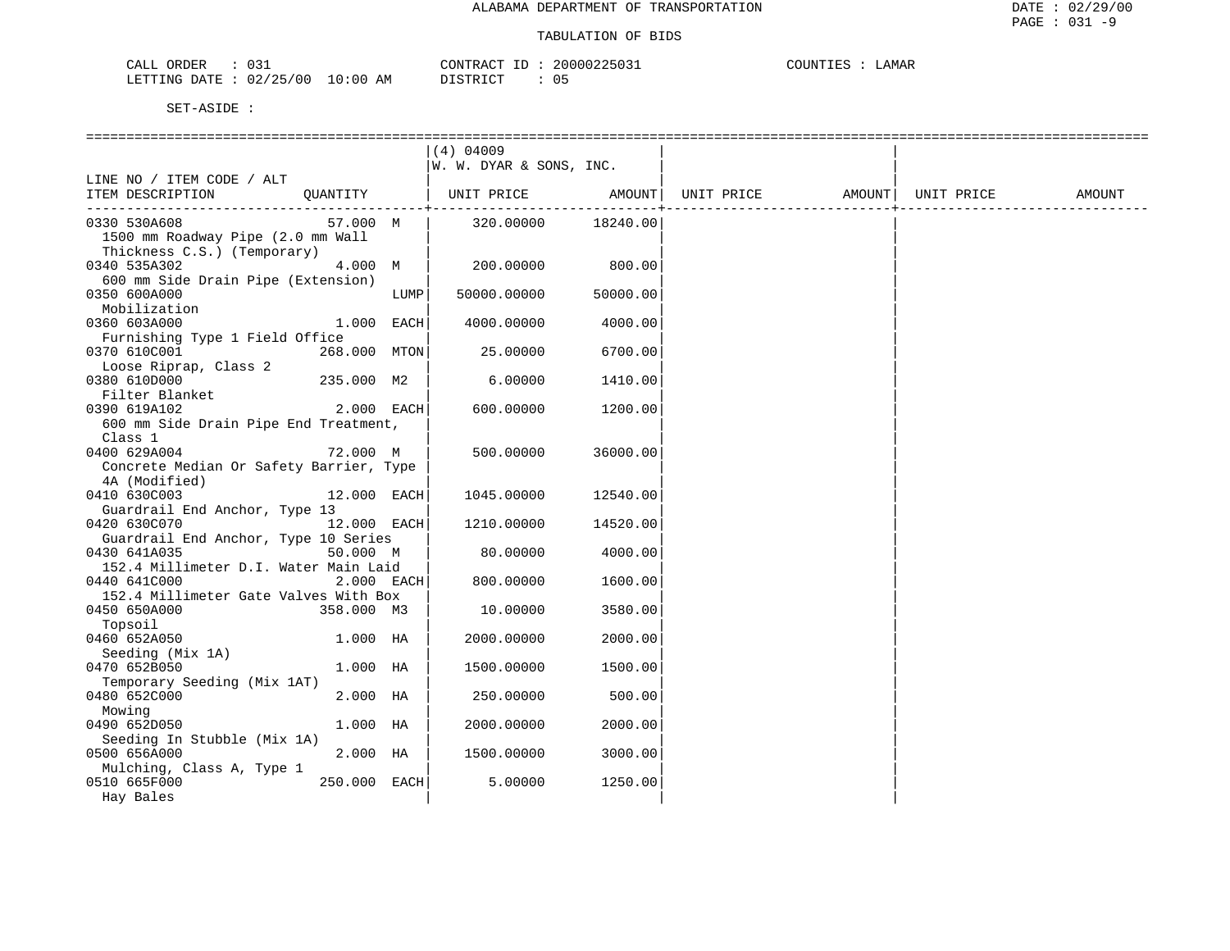| CALL ORDER<br>: 031              |          | CONTRACT ID: 20000225031 | COUNTIES : LAMAR |
|----------------------------------|----------|--------------------------|------------------|
| LETTING DATE : 02/25/00 10:00 AM | DISTRICT | 05                       |                  |

|                                                                              |              |            | $(4)$ 04009             |          |  |        |
|------------------------------------------------------------------------------|--------------|------------|-------------------------|----------|--|--------|
|                                                                              |              |            | W. W. DYAR & SONS, INC. |          |  |        |
| LINE NO / ITEM CODE / ALT                                                    |              |            |                         |          |  |        |
| ITEM DESCRIPTION OUANTITY   UNIT PRICE AMOUNT  UNIT PRICE AMOUNT  UNIT PRICE |              |            |                         |          |  | AMOUNT |
|                                                                              |              |            |                         |          |  |        |
| 0330 530A608                                                                 | 57.000 M     |            | 320.00000               | 18240.00 |  |        |
| 1500 mm Roadway Pipe (2.0 mm Wall                                            |              |            |                         |          |  |        |
| Thickness C.S.) (Temporary)                                                  |              |            |                         |          |  |        |
| 0340 535A302                                                                 | 4.000 M      |            | 200.00000               | 800.00   |  |        |
| 600 mm Side Drain Pipe (Extension)                                           |              |            |                         |          |  |        |
| 0350 600A000                                                                 |              | LUMP       | 50000.00000             | 50000.00 |  |        |
| Mobilization                                                                 |              |            |                         |          |  |        |
| 0360 603A000                                                                 | 1.000 EACH   |            | 4000.00000              | 4000.00  |  |        |
| Furnishing Type 1 Field Office                                               |              |            |                         |          |  |        |
| 0370 610C001                                                                 | 268.000 MTON |            | 25.00000                | 6700.00  |  |        |
| Loose Riprap, Class 2                                                        |              |            |                         |          |  |        |
|                                                                              |              |            |                         |          |  |        |
| 0380 610D000                                                                 | 235.000 M2   |            | 6.00000                 | 1410.00  |  |        |
| Filter Blanket                                                               |              |            |                         |          |  |        |
| 0390 619A102                                                                 | $2.000$ EACH |            | 600.00000               | 1200.00  |  |        |
| 600 mm Side Drain Pipe End Treatment,                                        |              |            |                         |          |  |        |
| Class 1                                                                      |              |            |                         |          |  |        |
| 0400 629A004                                                                 | 72.000 M     |            | 500.00000               | 36000.00 |  |        |
| Concrete Median Or Safety Barrier, Type                                      |              |            |                         |          |  |        |
| 4A (Modified)                                                                |              |            |                         |          |  |        |
| 0410 630C003                                                                 | 12.000 EACH  |            | 1045.00000              | 12540.00 |  |        |
| Guardrail End Anchor, Type 13                                                |              |            |                         |          |  |        |
| 0420 630C070                                                                 | 12.000 EACH  |            | 1210.00000              | 14520.00 |  |        |
| Guardrail End Anchor, Type 10 Series                                         |              |            |                         |          |  |        |
| 0430 641A035                                                                 | 50.000 M     |            | 80.00000                | 4000.00  |  |        |
| 152.4 Millimeter D.I. Water Main Laid                                        |              |            |                         |          |  |        |
| 0440 641C000                                                                 |              | 2.000 EACH | 800.00000               | 1600.00  |  |        |
| 152.4 Millimeter Gate Valves With Box                                        |              |            |                         |          |  |        |
| 0450 650A000                                                                 | 358.000 M3   |            | 10.00000                | 3580.00  |  |        |
| Topsoil                                                                      |              |            |                         |          |  |        |
| 0460 652A050                                                                 | 1.000 HA     |            | 2000.00000              | 2000.00  |  |        |
| Seeding (Mix 1A)                                                             |              |            |                         |          |  |        |
| 0470 652B050                                                                 | 1.000 HA     |            | 1500.00000              | 1500.00  |  |        |
| Temporary Seeding (Mix 1AT)                                                  |              |            |                         |          |  |        |
| 0480 652C000                                                                 | 2.000 HA     |            | 250.00000               | 500.00   |  |        |
| Mowing                                                                       |              |            |                         |          |  |        |
| 0490 652D050                                                                 | $1.000$ HA   |            | 2000.00000              | 2000.00  |  |        |
| Seeding In Stubble (Mix 1A)                                                  |              |            |                         |          |  |        |
| 0500 656A000                                                                 | 2.000 HA     |            | 1500.00000              | 3000.00  |  |        |
| Mulching, Class A, Type 1                                                    |              |            |                         |          |  |        |
| 0510 665F000                                                                 | 250.000 EACH |            | 5.00000                 | 1250.00  |  |        |
| Hay Bales                                                                    |              |            |                         |          |  |        |
|                                                                              |              |            |                         |          |  |        |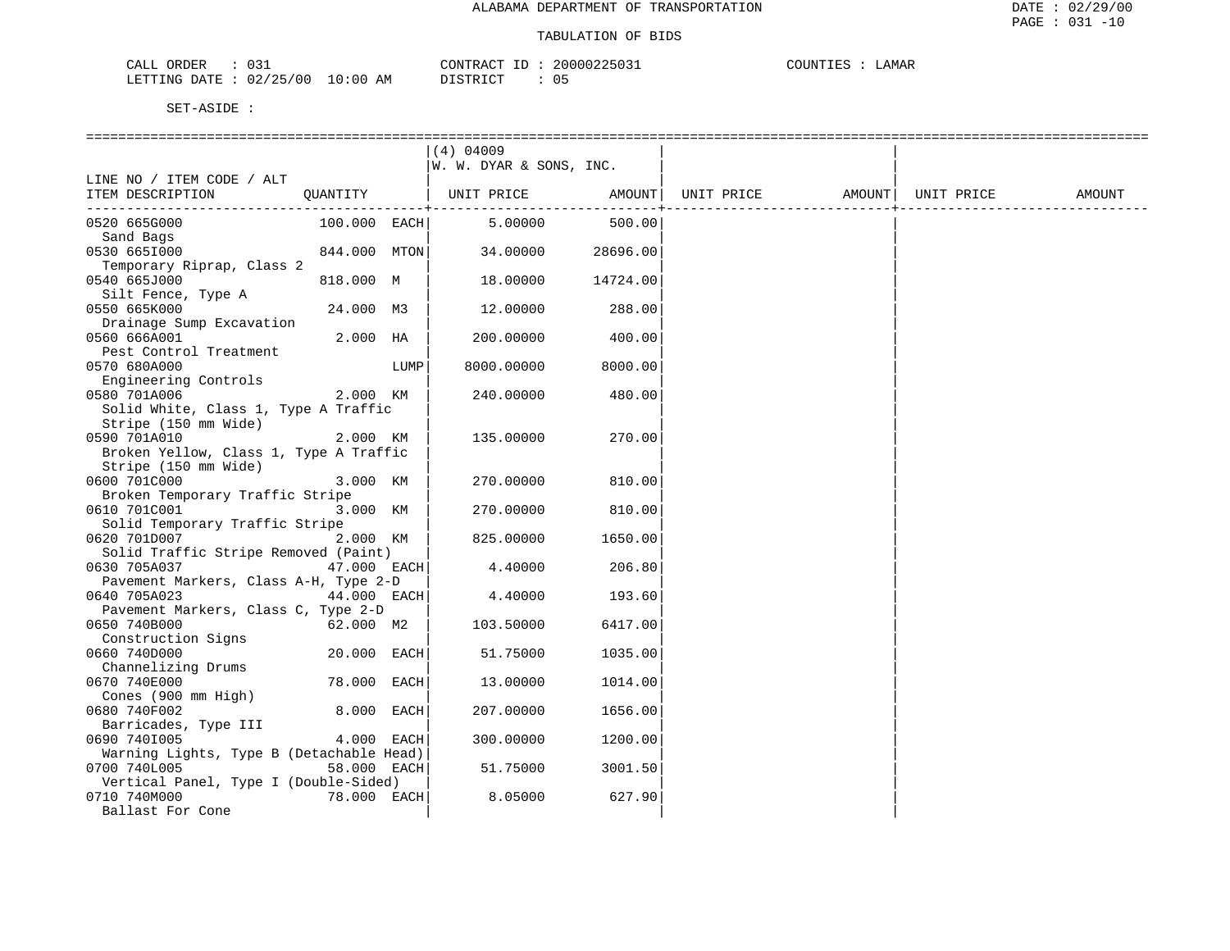| 031<br>ORDER<br>JALL                              | $\gamma$ ONTIK<br>$\lambda$ $\sim$<br>`R Aι | л. | 200002250? | $\alpha$ $\alpha$ $\tau$ $\tau$ $\tau$ $\tau$ $\tau$ $\tau$ $\tau$ $\tau$ $\tau$<br>∟AMAF<br>$\sim$ 11 11 $\sim$<br>- 111 1 |
|---------------------------------------------------|---------------------------------------------|----|------------|-----------------------------------------------------------------------------------------------------------------------------|
| 02/25/00<br>LETTING<br>DA <del>m</del> p<br>. I A | 0:00<br>חי חים דרו<br>AΜ                    |    | 05         |                                                                                                                             |

|                                                                                        |                |      | $(4)$ 04009<br>W. W. DYAR & SONS, INC. |          |            |                    |        |
|----------------------------------------------------------------------------------------|----------------|------|----------------------------------------|----------|------------|--------------------|--------|
| LINE NO / ITEM CODE / ALT                                                              |                |      |                                        |          |            |                    |        |
| ITEM DESCRIPTION                                                                       | QUANTITY       |      | UNIT PRICE AMOUNT                      |          | UNIT PRICE | AMOUNT  UNIT PRICE | AMOUNT |
| 0520 665G000<br>Sand Bags                                                              | $100.000$ EACH |      | 5.00000                                | 500.00   |            |                    |        |
| 0530 6651000<br>Temporary Riprap, Class 2                                              | 844.000 MTON   |      | 34.00000                               | 28696.00 |            |                    |        |
| 0540 665J000<br>Silt Fence, Type A                                                     | 818.000 M      |      | 18.00000                               | 14724.00 |            |                    |        |
| 0550 665K000<br>Drainage Sump Excavation                                               | 24.000 M3      |      | 12.00000                               | 288.00   |            |                    |        |
| 0560 666A001<br>Pest Control Treatment                                                 | 2.000 HA       |      | 200.00000                              | 400.00   |            |                    |        |
| 0570 680A000<br>Engineering Controls                                                   |                | LUMP | 8000.00000                             | 8000.00  |            |                    |        |
| 0580 701A006<br>Solid White, Class 1, Type A Traffic                                   | 2.000 KM       |      | 240.00000                              | 480.00   |            |                    |        |
| Stripe (150 mm Wide)<br>0590 701A010<br>Broken Yellow, Class 1, Type A Traffic         | 2.000 KM       |      | 135.00000                              | 270.00   |            |                    |        |
| Stripe (150 mm Wide)<br>0600 701C000                                                   | 3.000 KM       |      | 270.00000                              | 810.00   |            |                    |        |
| Broken Temporary Traffic Stripe<br>0610 701C001                                        | 3.000 KM       |      | 270.00000                              | 810.00   |            |                    |        |
| Solid Temporary Traffic Stripe<br>0620 701D007<br>Solid Traffic Stripe Removed (Paint) | 2.000 KM       |      | 825.00000                              | 1650.00  |            |                    |        |
| 0630 705A037<br>Pavement Markers, Class A-H, Type 2-D                                  | 47.000 EACH    |      | 4.40000                                | 206.80   |            |                    |        |
| 0640 705A023<br>Pavement Markers, Class C, Type 2-D                                    | 44.000 EACH    |      | 4.40000                                | 193.60   |            |                    |        |
| 0650 740B000<br>Construction Signs                                                     | 62.000 M2      |      | 103.50000                              | 6417.00  |            |                    |        |
| 0660 740D000<br>Channelizing Drums                                                     | 20.000 EACH    |      | 51.75000                               | 1035.00  |            |                    |        |
| 0670 740E000<br>Cones (900 mm High)                                                    | 78.000 EACH    |      | 13.00000                               | 1014.00  |            |                    |        |
| 0680 740F002<br>Barricades, Type III                                                   | 8.000 EACH     |      | 207.00000                              | 1656.00  |            |                    |        |
| 0690 7401005<br>Warning Lights, Type B (Detachable Head)                               | 4.000 EACH     |      | 300.00000                              | 1200.00  |            |                    |        |
| 0700 740L005<br>Vertical Panel, Type I (Double-Sided)                                  | 58.000 EACH    |      | 51.75000                               | 3001.50  |            |                    |        |
| 0710 740M000<br>Ballast For Cone                                                       | 78.000 EACH    |      | 8.05000                                | 627.90   |            |                    |        |
|                                                                                        |                |      |                                        |          |            |                    |        |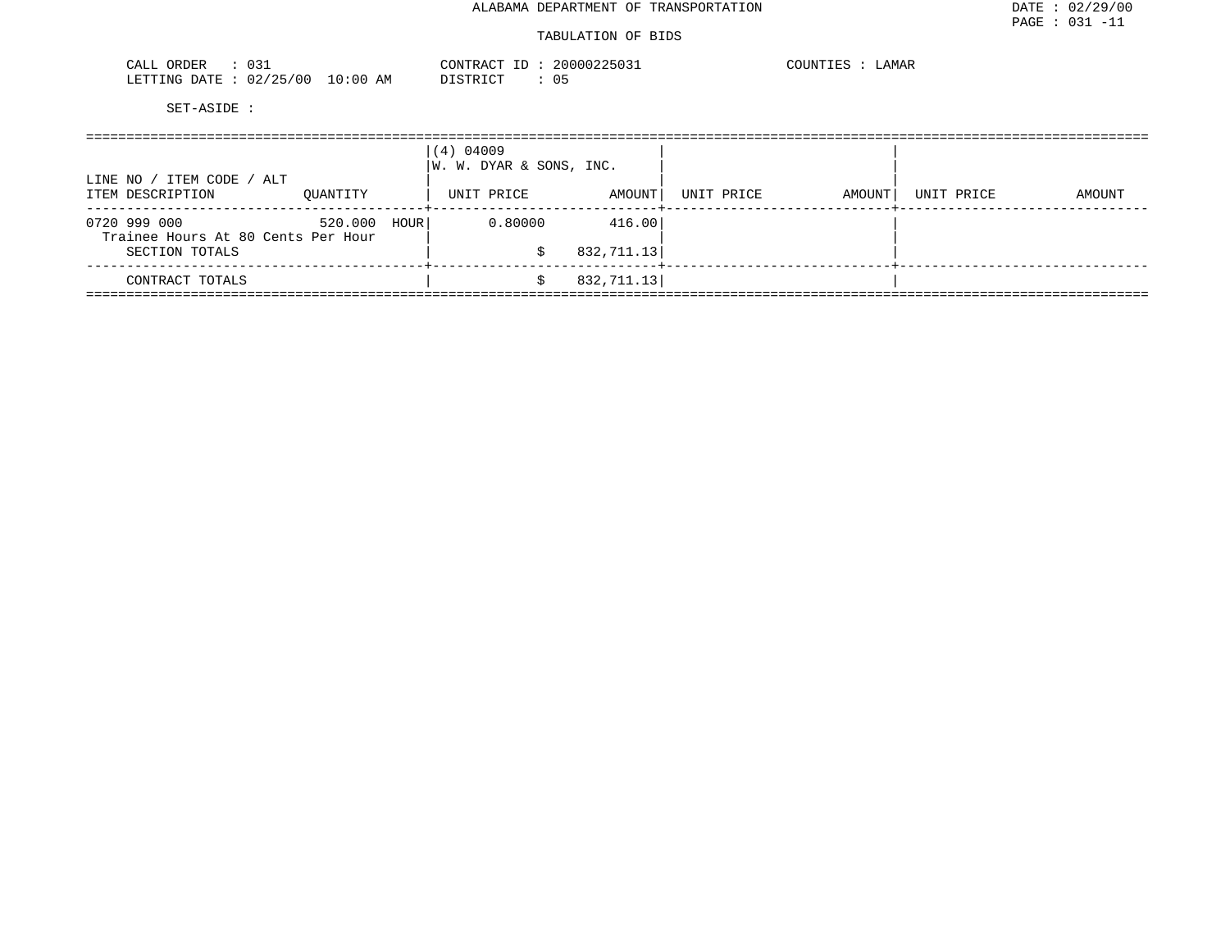| <b>RDER</b><br>⊥ ب ،                                              |                          | 701<br>$\sim$ $\sim$ $\sim$<br>، ^ י | . | JAMAR<br>. |
|-------------------------------------------------------------------|--------------------------|--------------------------------------|---|------------|
| ነ∆ ጥፑ<br>LETTING<br>00<br>and the contract of the contract of the | ΆM<br>n : n o<br>$\cdot$ | $ \sim$                              |   |            |

| AMOUNT |
|--------|
|        |
|        |
|        |
|        |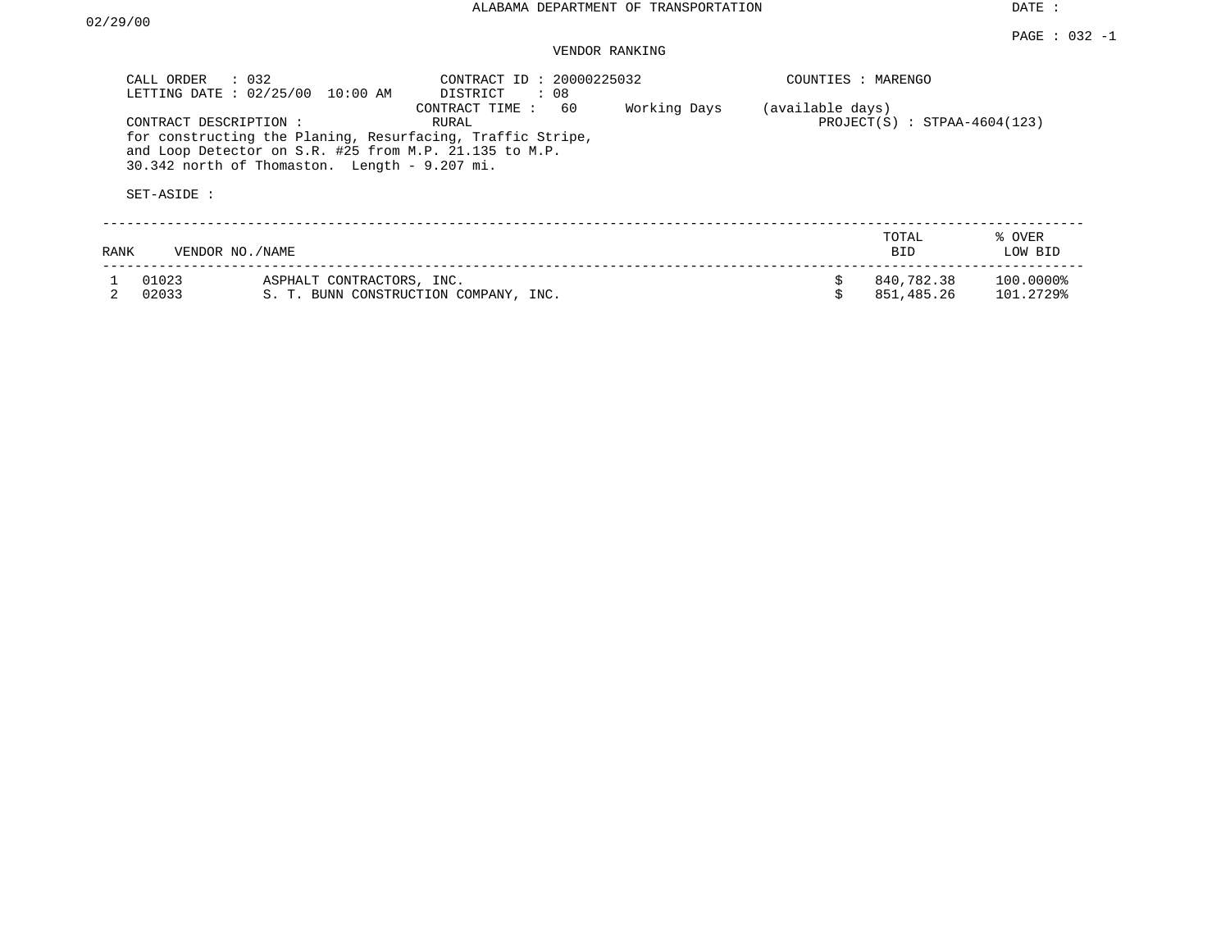### VENDOR RANKING

| CALL ORDER     | $\therefore$ 032<br>LETTING DATE : 02/25/00 10:00 AM                                                                                                                                             | CONTRACT ID: 20000225032<br>DISTRICT<br>: 08 |              | COUNTIES : MARENGO |                                |                        |
|----------------|--------------------------------------------------------------------------------------------------------------------------------------------------------------------------------------------------|----------------------------------------------|--------------|--------------------|--------------------------------|------------------------|
| SET-ASIDE :    | CONTRACT DESCRIPTION:<br>for constructing the Planing, Resurfacing, Traffic Stripe,<br>and Loop Detector on S.R. #25 from M.P. 21.135 to M.P.<br>$30.342$ north of Thomaston. Length - 9.207 mi. | 60<br>CONTRACT TIME:<br>RURAL                | Working Days | (available days)   | $PROJECT(S) : STPAA-4604(123)$ |                        |
|                |                                                                                                                                                                                                  |                                              |              |                    |                                |                        |
| RANK           | VENDOR NO./NAME                                                                                                                                                                                  |                                              |              |                    | TOTAL<br><b>BID</b>            | % OVER<br>LOW BID      |
| 01023<br>02033 | ASPHALT CONTRACTORS, INC.                                                                                                                                                                        | S. T. BUNN CONSTRUCTION COMPANY, INC.        |              |                    | 840,782.38<br>851,485.26       | 100.0000%<br>101.2729% |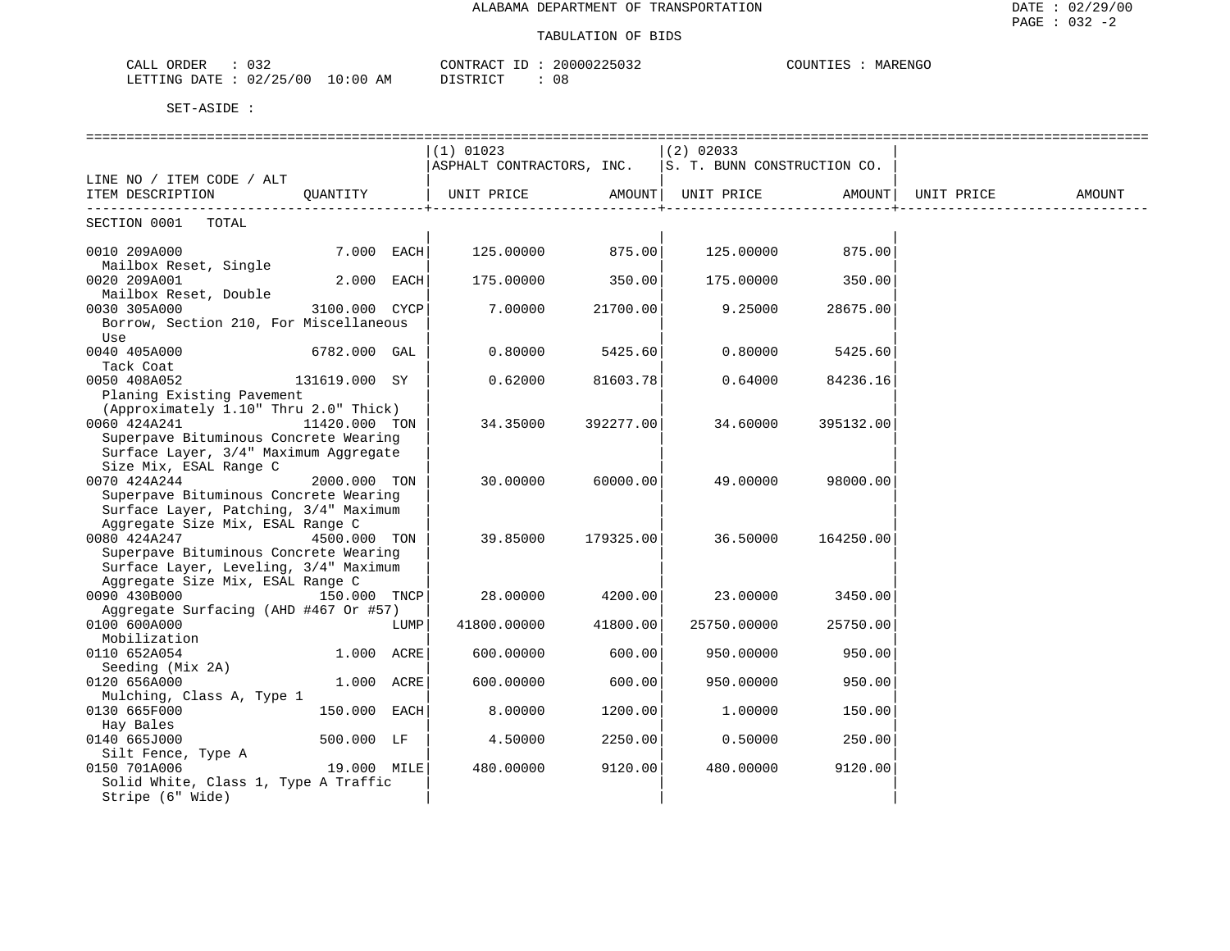### TABULATION OF BIDS

| CALL ORDER<br>$\therefore$ 032  |          | CONTRACT ID: 20000225032 | COUNTIES : | : MARENGO |
|---------------------------------|----------|--------------------------|------------|-----------|
| LETTING DATE: 02/25/00 10:00 AM | DISTRICT | 08                       |            |           |

|                                                                                     |               |      | ==============================                               |           |             |                    |  |
|-------------------------------------------------------------------------------------|---------------|------|--------------------------------------------------------------|-----------|-------------|--------------------|--|
|                                                                                     |               |      | $(1)$ 01023                                                  |           | $(2)$ 02033 |                    |  |
|                                                                                     |               |      | $ $ ASPHALT CONTRACTORS, INC. $ S. T. BUNN$ CONSTRUCTION CO. |           |             |                    |  |
| LINE NO / ITEM CODE / ALT                                                           |               |      |                                                              |           |             |                    |  |
| ITEM DESCRIPTION CUANTITY   UNIT PRICE AMOUNT  UNIT PRICE AMOUNT  UNIT PRICE AMOUNT |               |      |                                                              |           |             |                    |  |
|                                                                                     |               |      |                                                              |           |             |                    |  |
| SECTION 0001 TOTAL                                                                  |               |      |                                                              |           |             |                    |  |
| 0010 209A000                                                                        | $7.000$ EACH  |      | $125.00000$ 875.00                                           |           |             | $125.00000$ 875.00 |  |
| Mailbox Reset, Single                                                               |               |      |                                                              |           |             |                    |  |
| 0020 209A001                                                                        | $2.000$ EACH  |      | 175.00000                                                    | 350.00    |             | 175.00000 350.00   |  |
| Mailbox Reset, Double                                                               |               |      |                                                              |           |             |                    |  |
| 0030 305A000                                                                        | 3100.000 CYCP |      | 7.00000                                                      | 21700.00  | 9.25000     | 28675.00           |  |
| Borrow, Section 210, For Miscellaneous                                              |               |      |                                                              |           |             |                    |  |
| Use                                                                                 |               |      |                                                              |           |             |                    |  |
| 0040 405A000 6782.000 GAL                                                           |               |      | 0.80000                                                      | 5425.60   | 0.80000     | 5425.60            |  |
| Tack Coat                                                                           |               |      |                                                              |           |             |                    |  |
| 0050 408A052                                                                        | 131619.000 SY |      | 0.62000                                                      | 81603.78  | 0.64000     | 84236.16           |  |
| Planing Existing Pavement                                                           |               |      |                                                              |           |             |                    |  |
| (Approximately 1.10" Thru 2.0" Thick)                                               |               |      |                                                              |           |             |                    |  |
| 11420.000 TON<br>0060 424A241                                                       |               |      | 34.35000                                                     | 392277.00 | 34.60000    | 395132.00          |  |
| Superpave Bituminous Concrete Wearing                                               |               |      |                                                              |           |             |                    |  |
| Surface Layer, 3/4" Maximum Aggregate                                               |               |      |                                                              |           |             |                    |  |
| Size Mix, ESAL Range C                                                              |               |      |                                                              |           |             |                    |  |
| 0070 424A244                                                                        | 2000.000 TON  |      | 30.00000                                                     | 60000.00  | 49.00000    | 98000.00           |  |
| Superpave Bituminous Concrete Wearing                                               |               |      |                                                              |           |             |                    |  |
| Surface Layer, Patching, 3/4" Maximum                                               |               |      |                                                              |           |             |                    |  |
| Aggregate Size Mix, ESAL Range C                                                    |               |      |                                                              |           |             |                    |  |
| 0080 424A247<br>Superpave Bituminous Concrete Wearing                               | 4500.000 TON  |      | 39.85000 179325.00                                           |           | 36.50000    | 164250.00          |  |
| Surface Layer, Leveling, 3/4" Maximum                                               |               |      |                                                              |           |             |                    |  |
| Aggregate Size Mix, ESAL Range C                                                    |               |      |                                                              |           |             |                    |  |
| 0090 430B000                                                                        | 150.000 TNCP  |      | 28.00000                                                     | 4200.00   | 23.00000    | 3450.00            |  |
| Aggregate Surfacing (AHD #467 Or #57)                                               |               |      |                                                              |           |             |                    |  |
| 0100 600A000                                                                        |               | LUMP | 41800.00000                                                  | 41800.00  | 25750.00000 | 25750.00           |  |
| Mobilization                                                                        |               |      |                                                              |           |             |                    |  |
| 0110 652A054                                                                        | 1.000 ACRE    |      | 600.00000                                                    | 600.00    | 950.00000   | 950.00             |  |
| Seeding (Mix 2A)                                                                    |               |      |                                                              |           |             |                    |  |
| 0120 656A000                                                                        | 1.000 ACRE    |      | 600.00000                                                    | 600.00    | 950.00000   | 950.00             |  |
| Mulching, Class A, Type 1                                                           |               |      |                                                              |           |             |                    |  |
| 0130 665F000                                                                        | 150.000 EACH  |      | 8.00000                                                      | 1200.00   | 1.00000     | 150.00             |  |
| Hay Bales                                                                           |               |      |                                                              |           |             |                    |  |
| 0140 665J000                                                                        | 500.000 LF    |      | 4.50000                                                      | 2250.00   | 0.50000     | 250.00             |  |
| Silt Fence, Type A                                                                  |               |      |                                                              |           |             |                    |  |
| 0150 701A006                                                                        | 19.000 MILE   |      | 480.00000                                                    | 9120.00   | 480.00000   | 9120.00            |  |
| Solid White, Class 1, Type A Traffic                                                |               |      |                                                              |           |             |                    |  |
| Stripe (6" Wide)                                                                    |               |      |                                                              |           |             |                    |  |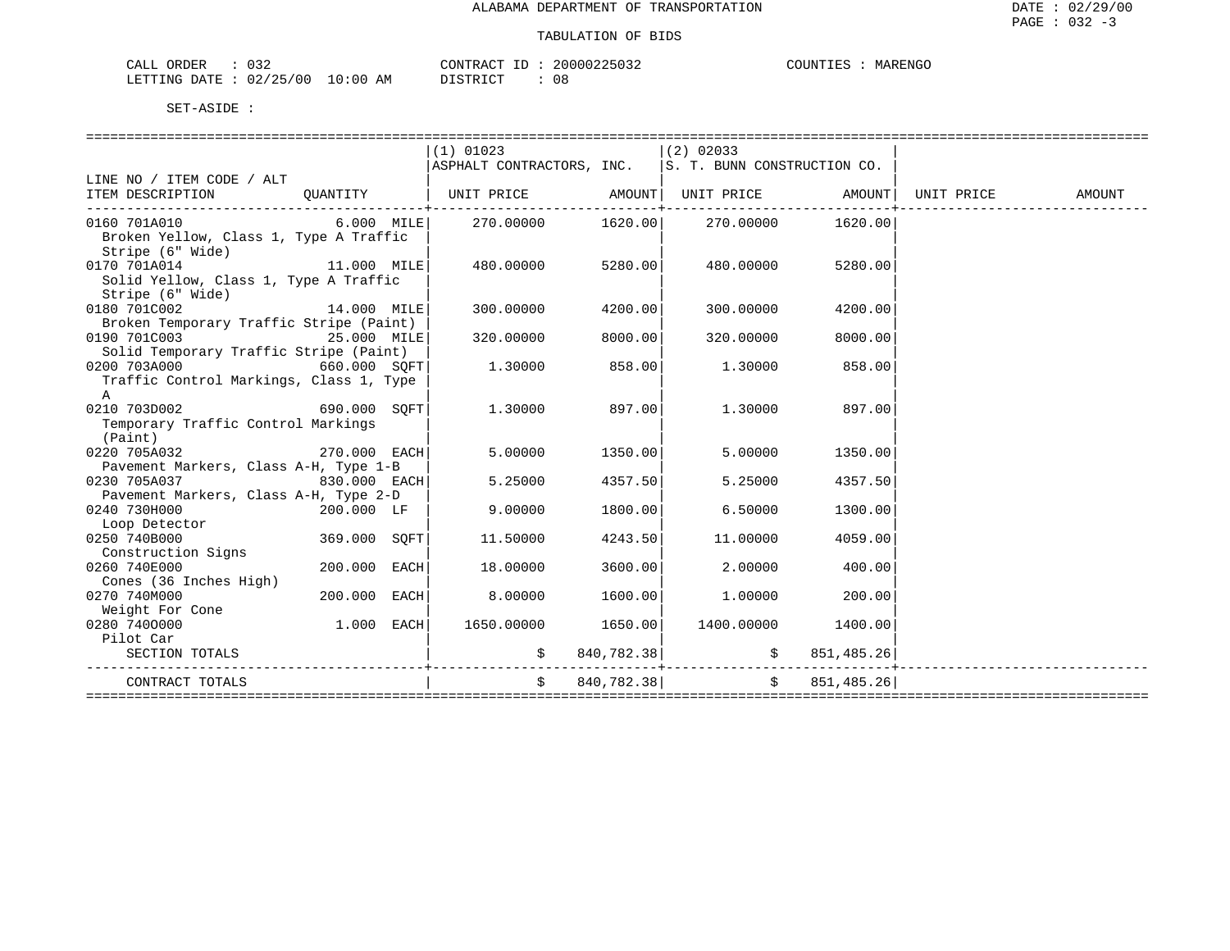| CALL ORDER                      | 032 |          | CONTRACT ID: 20000225032 | COUNTIES : | : MARENGO |
|---------------------------------|-----|----------|--------------------------|------------|-----------|
| LETTING DATE: 02/25/00 10:00 AM |     | DISTRICT | 08                       |            |           |

|                                                       | $(1)$ 01023                                                       |               | $(2)$ 02033                        |               |        |
|-------------------------------------------------------|-------------------------------------------------------------------|---------------|------------------------------------|---------------|--------|
|                                                       | ASPHALT CONTRACTORS, INC. $ S. T. BUNN  \text{CONSTRUCTION CO}$ . |               |                                    |               |        |
| LINE NO / ITEM CODE / ALT                             |                                                                   |               |                                    |               |        |
| ITEM DESCRIPTION QUANTITY                             |                                                                   |               |                                    |               | AMOUNT |
|                                                       |                                                                   |               |                                    |               |        |
| 0160 701A010 6.000 MILE                               | 270.00000                                                         |               | 1620.00 270.00000                  | 1620.00       |        |
| Broken Yellow, Class 1, Type A Traffic                |                                                                   |               |                                    |               |        |
| Stripe (6" Wide)                                      |                                                                   |               |                                    |               |        |
| 0170 701A014 11.000 MILE                              | 480.00000                                                         | 5280.00       | 480.00000                          | 5280.00       |        |
| Solid Yellow, Class 1, Type A Traffic                 |                                                                   |               |                                    |               |        |
| Stripe (6" Wide)                                      |                                                                   |               |                                    |               |        |
| $14.000$ MILE<br>0180 701C002                         | 300.00000                                                         | 4200.00       | 300,00000                          | 4200.00       |        |
| Broken Temporary Traffic Stripe (Paint)               |                                                                   |               |                                    |               |        |
| 0190 701C003 25.000 MILE                              | 320.00000                                                         | 8000.00       | 320.00000                          | 8000.00       |        |
| Solid Temporary Traffic Stripe (Paint)                |                                                                   |               |                                    |               |        |
| 0200 703A000<br>660.000 SOFT                          | 1.30000                                                           | 858.00        | 1.30000                            | 858.00        |        |
| Traffic Control Markings, Class 1, Type               |                                                                   |               |                                    |               |        |
| A                                                     |                                                                   |               |                                    |               |        |
| 0210 703D002<br>690.000 SOFT                          | 1,30000                                                           | 897.001       | 1,30000                            | 897.00        |        |
| Temporary Traffic Control Markings                    |                                                                   |               |                                    |               |        |
| (Paint)                                               |                                                                   |               |                                    |               |        |
| 270.000 EACH<br>0220 705A032                          | 5.00000                                                           | 1350.00       | 5.00000                            | 1350.00       |        |
|                                                       |                                                                   |               |                                    |               |        |
| Pavement Markers, Class A-H, Type 1-B<br>0230 705A037 | 5.25000                                                           | 4357.50       |                                    |               |        |
| $830.000$ EACH                                        |                                                                   |               | 5.25000                            | 4357.50       |        |
| Pavement Markers, Class A-H, Type 2-D                 |                                                                   |               |                                    |               |        |
| 0240 730H000<br>200.000 LF                            | 9,00000                                                           | 1800.00       | 6.50000                            | 1300.00       |        |
| Loop Detector                                         |                                                                   |               |                                    |               |        |
| 0250 740B000<br>369.000 SOFT                          | 11.50000                                                          | 4243.50       | 11,00000                           | 4059.00       |        |
| Construction Signs                                    |                                                                   |               |                                    |               |        |
| 0260 740E000<br>$200.000$ EACH                        | 18.00000                                                          | 3600.00       | 2,00000                            | 400.00        |        |
| Cones (36 Inches High)                                |                                                                   |               |                                    |               |        |
| 200.000 EACH<br>0270 740M000                          | 8.00000                                                           | 1600.00       | 1,00000                            | 200.00        |        |
| Weight For Cone                                       |                                                                   |               |                                    |               |        |
| 0280 7400000<br>$1.000$ EACH                          | 1650.00000                                                        | 1650.00       | 1400.00000 1400.00                 |               |        |
| Pilot Car                                             |                                                                   |               |                                    |               |        |
| SECTION TOTALS                                        |                                                                   |               |                                    |               |        |
|                                                       |                                                                   |               |                                    |               |        |
| CONTRACT TOTALS                                       |                                                                   | \$840,782.38] | ---------------------------------- | \$851,485.26] |        |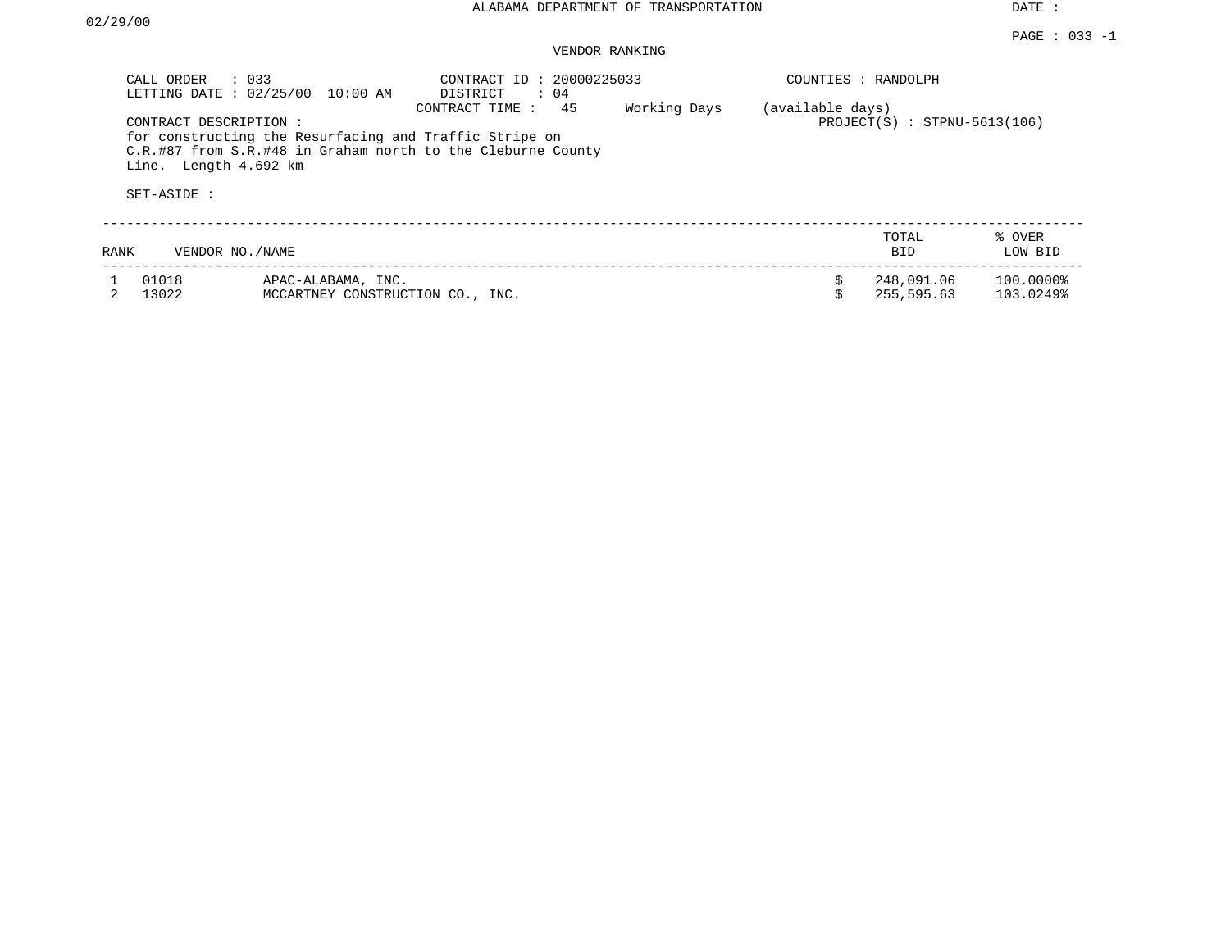### VENDOR RANKING

| CALL ORDER<br>LETTING DATE : 02/25/00                          | $\therefore$ 033<br>$10:00$ AM                                                                                        | CONTRACT ID: 20000225033<br>$\therefore$ 04<br>DISTRICT |              |                  | COUNTIES : RANDOLPH            |                        |
|----------------------------------------------------------------|-----------------------------------------------------------------------------------------------------------------------|---------------------------------------------------------|--------------|------------------|--------------------------------|------------------------|
| CONTRACT DESCRIPTION :<br>Line. Length 4.692 km<br>SET-ASIDE : | for constructing the Resurfacing and Traffic Stripe on<br>C.R.#87 from S.R.#48 in Graham north to the Cleburne County | 45<br>CONTRACT TIME:                                    | Working Days | (available days) | $PROJECT(S)$ : STPNU-5613(106) |                        |
|                                                                |                                                                                                                       |                                                         |              |                  |                                |                        |
| RANK                                                           | VENDOR NO./NAME                                                                                                       |                                                         |              |                  | TOTAL<br><b>BID</b>            | % OVER<br>LOW BID      |
| 01018<br>13022                                                 | APAC-ALABAMA, INC.<br>MCCARTNEY CONSTRUCTION CO., INC.                                                                |                                                         |              |                  | 248,091.06<br>255,595.63       | 100.0000%<br>103.0249% |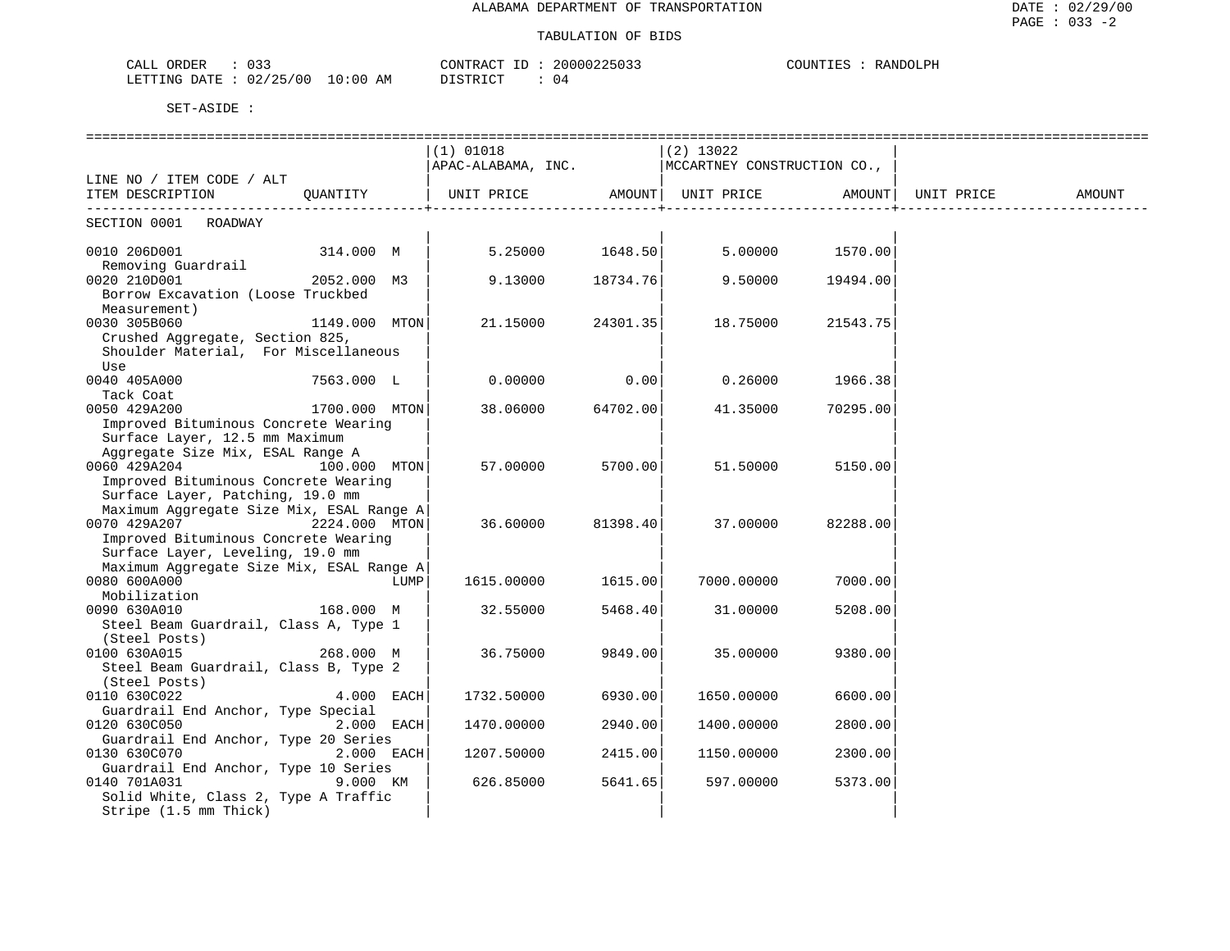### TABULATION OF BIDS

| 033<br>CALL<br>ORDER       |          | CONTRACT<br>ID        | 20000225033 | COUNTIES<br>RANDOLPH |
|----------------------------|----------|-----------------------|-------------|----------------------|
| 02/25/00<br>LETTING DATE : | 10:00 AM | DISTRICT<br>ມ⊥⊔⊥⊥∖⊥∪⊥ | - 04        |                      |

|                                          |               |      |                                                  |          | ============== |          |        |
|------------------------------------------|---------------|------|--------------------------------------------------|----------|----------------|----------|--------|
|                                          |               |      | $(1)$ 01018                                      |          | (2) 13022      |          |        |
|                                          |               |      | APAC-ALABAMA, INC. MCCARTNEY CONSTRUCTION CO.,   |          |                |          |        |
| LINE NO / ITEM CODE / ALT                |               |      |                                                  |          |                |          |        |
| ITEM DESCRIPTION QUANTITY                |               |      | UNIT PRICE AMOUNT  UNIT PRICE AMOUNT  UNIT PRICE |          |                |          | AMOUNT |
| SECTION 0001 ROADWAY                     |               |      |                                                  |          |                |          |        |
|                                          |               |      |                                                  |          |                |          |        |
| 0010 206D001                             | 314.000 M     |      | $5.25000$ $1648.50$ $5.00000$ $1570.00$          |          |                |          |        |
| Removing Guardrail                       |               |      |                                                  |          |                |          |        |
| 0020 210D001                             | 2052.000 M3   |      | 9.13000                                          | 18734.76 | 9.50000        | 19494.00 |        |
| Borrow Excavation (Loose Truckbed        |               |      |                                                  |          |                |          |        |
| Measurement)                             |               |      |                                                  |          |                |          |        |
| 0030 305B060                             | 1149.000 MTON |      | 21.15000                                         | 24301.35 | 18.75000       | 21543.75 |        |
| Crushed Aggregate, Section 825,          |               |      |                                                  |          |                |          |        |
| Shoulder Material, For Miscellaneous     |               |      |                                                  |          |                |          |        |
| Use                                      |               |      |                                                  |          |                |          |        |
| 0040 405A000                             | 7563.000 L    |      | 0.00000                                          | 0.00     | 0.26000        | 1966.38  |        |
| Tack Coat                                |               |      |                                                  |          |                |          |        |
| 0050 429A200<br>1700.000 MTON            |               |      | 38.06000                                         | 64702.00 | 41.35000       | 70295.00 |        |
| Improved Bituminous Concrete Wearing     |               |      |                                                  |          |                |          |        |
| Surface Layer, 12.5 mm Maximum           |               |      |                                                  |          |                |          |        |
| Aggregate Size Mix, ESAL Range A         |               |      |                                                  |          |                |          |        |
| 0060 429A204                             | 100.000 MTON  |      | 57.00000                                         | 5700.00  | 51.50000       | 5150.00  |        |
| Improved Bituminous Concrete Wearing     |               |      |                                                  |          |                |          |        |
| Surface Layer, Patching, 19.0 mm         |               |      |                                                  |          |                |          |        |
| Maximum Aggregate Size Mix, ESAL Range A |               |      |                                                  |          |                |          |        |
| 0070 429A207<br>2224.000 MTON            |               |      | 36.60000                                         | 81398.40 | 37.00000       | 82288.00 |        |
| Improved Bituminous Concrete Wearing     |               |      |                                                  |          |                |          |        |
| Surface Layer, Leveling, 19.0 mm         |               |      |                                                  |          |                |          |        |
| Maximum Aggregate Size Mix, ESAL Range A |               |      |                                                  |          |                |          |        |
| 0080 600A000                             |               | LUMP | 1615.00000                                       | 1615.00  | 7000.00000     | 7000.00  |        |
| Mobilization                             |               |      |                                                  |          |                |          |        |
| 168.000 M<br>0090 630A010                |               |      | 32.55000                                         | 5468.40  | 31.00000       | 5208.00  |        |
| Steel Beam Guardrail, Class A, Type 1    |               |      |                                                  |          |                |          |        |
| (Steel Posts)                            |               |      |                                                  |          |                |          |        |
| 0100 630A015                             | 268.000 M     |      | 36.75000                                         | 9849.00  | 35.00000       | 9380.00  |        |
| Steel Beam Guardrail, Class B, Type 2    |               |      |                                                  |          |                |          |        |
| (Steel Posts)                            |               |      |                                                  |          |                |          |        |
| 0110 630C022                             | 4.000 EACH    |      | 1732.50000                                       | 6930.00  | 1650.00000     | 6600.00  |        |
| Guardrail End Anchor, Type Special       |               |      |                                                  |          |                |          |        |
| 0120 630C050                             | 2.000 EACH    |      | 1470.00000                                       | 2940.00  | 1400.00000     | 2800.00  |        |
| Guardrail End Anchor, Type 20 Series     |               |      |                                                  |          |                |          |        |
| 0130 630C070 2.000 EACH                  |               |      | 1207.50000                                       | 2415.00  | 1150.00000     | 2300.00  |        |
| Guardrail End Anchor, Type 10 Series     |               |      |                                                  |          |                |          |        |
| 0140 701A031                             | 9.000 KM      |      | 626.85000                                        | 5641.65  | 597.00000      | 5373.00  |        |
| Solid White, Class 2, Type A Traffic     |               |      |                                                  |          |                |          |        |
| Stripe (1.5 mm Thick)                    |               |      |                                                  |          |                |          |        |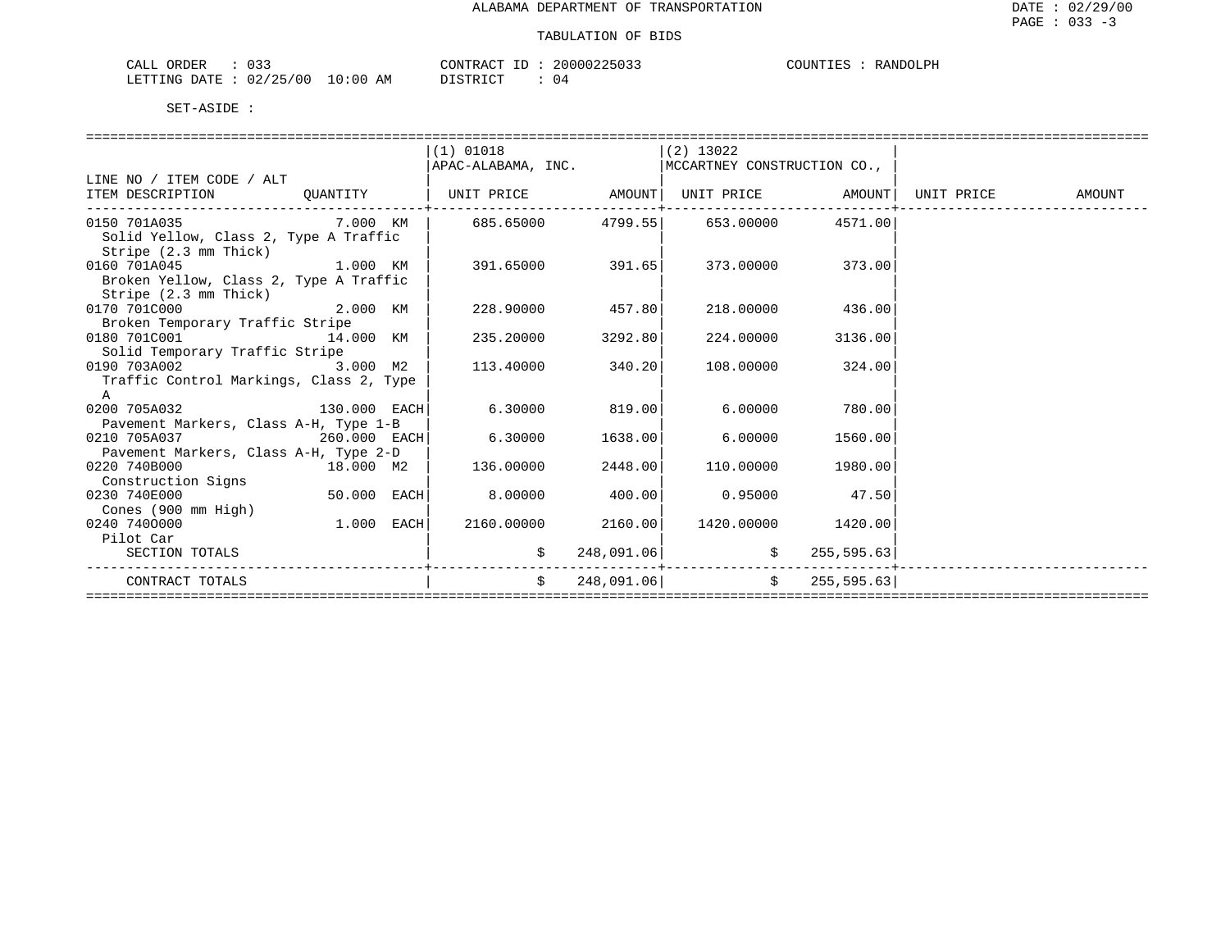| $\sim$ $\sim$ $\sim$ $\sim$<br>ORDER<br>- لىلەپ | 033          |                    | <b>CONTRACT</b><br>$-1$ | 200002250<br>. . <i>. .</i> | COUNT <sup>T</sup><br>工艺区 | $\bigcap T.DV$<br>R ANT |
|-------------------------------------------------|--------------|--------------------|-------------------------|-----------------------------|---------------------------|-------------------------|
| LETTING<br>DATE.                                | '25/00<br>02 | AΜ<br>:00<br>— ∪ ∵ | TAT<br>סידי אדרו        | 04                          |                           |                         |

|                                                                    |              | $(1)$ 01018                                        |            | $(2)$ 13022             |                          |        |
|--------------------------------------------------------------------|--------------|----------------------------------------------------|------------|-------------------------|--------------------------|--------|
|                                                                    |              | APAC-ALABAMA, INC.   MCCARTNEY CONSTRUCTION CO.,   |            |                         |                          |        |
| LINE NO / ITEM CODE / ALT                                          |              |                                                    |            |                         |                          |        |
| ITEM DESCRIPTION QUANTITY                                          |              | UNIT PRICE AMOUNT   UNIT PRICE AMOUNT   UNIT PRICE |            |                         |                          | AMOUNT |
| 0150 701A035 $\sim$ 7.000 KM   685.65000 4799.55 653.00000 4571.00 |              |                                                    |            |                         |                          |        |
| Solid Yellow, Class 2, Type A Traffic                              |              |                                                    |            |                         |                          |        |
| Stripe (2.3 mm Thick)                                              |              |                                                    |            |                         |                          |        |
| $1.000$ KM<br>0160 701A045                                         |              | 391.65000 391.65                                   |            |                         | 373.00000 373.00         |        |
| Broken Yellow, Class 2, Type A Traffic                             |              |                                                    |            |                         |                          |        |
| Stripe (2.3 mm Thick)                                              |              |                                                    |            |                         |                          |        |
| 2.000 KM<br>0170 701C000                                           |              | 228.90000                                          | 457.80     | 218.00000               | 436.00                   |        |
| Broken Temporary Traffic Stripe                                    |              |                                                    |            |                         |                          |        |
| 0180 701C001                                                       | 14.000 KM    | 235.20000                                          | 3292.80    |                         | 224.00000 3136.00        |        |
| Solid Temporary Traffic Stripe                                     |              |                                                    | 340.20     |                         |                          |        |
| 0190 703A002 3.000 M2<br>Traffic Control Markings, Class 2, Type   |              | 113.40000                                          |            | 108.00000               | 324.00                   |        |
| A                                                                  |              |                                                    |            |                         |                          |        |
| 130.000 EACH<br>0200 705A032                                       |              | $6.30000$ 819.00                                   |            | 6.00000                 | 780.00                   |        |
| Pavement Markers, Class A-H, Type 1-B                              |              |                                                    |            |                         |                          |        |
| 0210 705A037                                                       | 260.000 EACH | 6.30000                                            | 1638.00    |                         | 6.00000 1560.00          |        |
| Pavement Markers, Class A-H, Type 2-D                              |              |                                                    |            |                         |                          |        |
| 0220 740B000                                                       |              | $18.000$ M2 $\vert$ 136.00000                      | 2448.00    |                         | 110.00000 1980.00        |        |
| Construction Signs                                                 |              |                                                    |            |                         |                          |        |
| 0230 740E000                                                       | 50.000 EACH  | 8.00000                                            | 400.00     | $0.95000$ 47.50         |                          |        |
| Cones (900 mm High)                                                |              |                                                    |            |                         |                          |        |
| 0240 7400000                                                       | $1.000$ EACH | 2160.00000 2160.00                                 |            | 1420.00000 1420.00      |                          |        |
| Pilot Car                                                          |              |                                                    |            |                         |                          |        |
| SECTION TOTALS                                                     |              | \$                                                 | 248,091.06 |                         | $\frac{1}{5}$ 255,595.63 |        |
| CONTRACT TOTALS                                                    |              | $\mathsf{S}$                                       |            | 248,091.06 \$255,595.63 |                          |        |
|                                                                    |              |                                                    |            |                         |                          |        |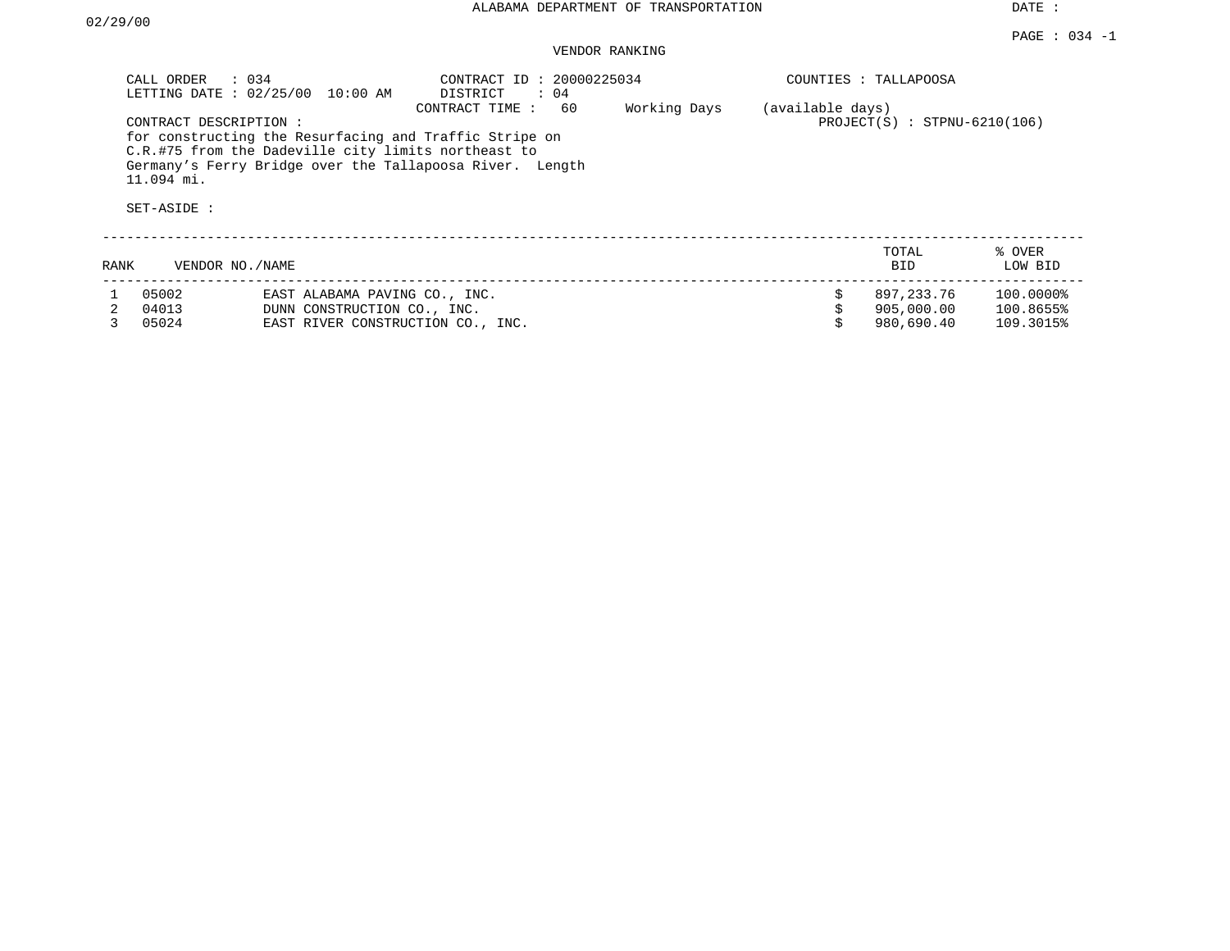### VENDOR RANKING

|      | CALL ORDER<br>$\therefore$ 034<br>LETTING DATE: $02/25/00$ | 10:00 AM                                                                                                                                                                  | CONTRACT ID: 20000225034<br>DISTRICT<br>$\colon$ 04 |              |                  | COUNTIES : TALLAPOOSA                  |                                     |
|------|------------------------------------------------------------|---------------------------------------------------------------------------------------------------------------------------------------------------------------------------|-----------------------------------------------------|--------------|------------------|----------------------------------------|-------------------------------------|
|      | CONTRACT DESCRIPTION:<br>$11.094$ mi.<br>SET-ASIDE :       | for constructing the Resurfacing and Traffic Stripe on<br>C.R.#75 from the Dadeville city limits northeast to<br>Germany's Ferry Bridge over the Tallapoosa River. Length | CONTRACT TIME:<br>60                                | Working Days | (available days) | $PROJECT(S) : STPNU-6210(106)$         |                                     |
| RANK | VENDOR NO./NAME                                            |                                                                                                                                                                           |                                                     |              |                  | TOTAL<br><b>BID</b>                    | % OVER<br>LOW BID                   |
|      | 05002<br>04013<br>05024                                    | EAST ALABAMA PAVING CO., INC.<br>DUNN CONSTRUCTION CO., INC.<br>EAST RIVER CONSTRUCTION CO., INC.                                                                         |                                                     |              | Ŝ.               | 897,233.76<br>905,000.00<br>980,690.40 | 100.0000%<br>100.8655%<br>109.3015% |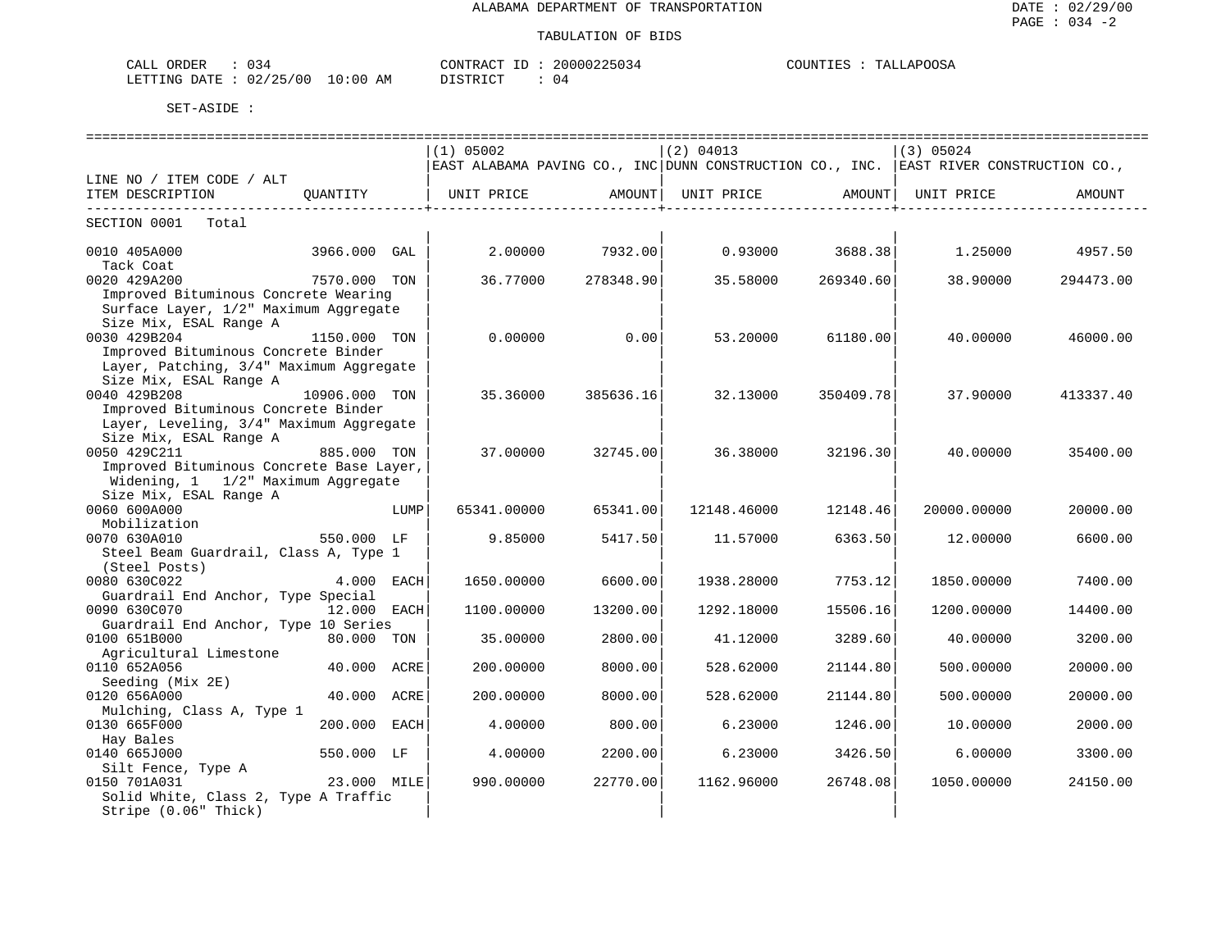| $\therefore$ 034<br>CALL ORDER  |          | CONTRACT ID: 20000225034 | COUNTIES : TALLAPOOSA |
|---------------------------------|----------|--------------------------|-----------------------|
| LETTING DATE: 02/25/00 10:00 AM | DISTRICT |                          |                       |

|                                          |               |      | $(1)$ 05002                                                                           |           | (2) 04013   |                   | (3) 05024   |           |
|------------------------------------------|---------------|------|---------------------------------------------------------------------------------------|-----------|-------------|-------------------|-------------|-----------|
|                                          |               |      | EAST ALABAMA PAVING CO., INC DUNN CONSTRUCTION CO., INC. EAST RIVER CONSTRUCTION CO., |           |             |                   |             |           |
| LINE NO / ITEM CODE / ALT                |               |      |                                                                                       |           |             |                   |             |           |
| ITEM DESCRIPTION                         | OUANTITY      |      | UNIT PRICE                                                                            | AMOUNT    | UNIT PRICE  | AMOUNT            | UNIT PRICE  | AMOUNT    |
|                                          |               |      |                                                                                       |           |             |                   |             |           |
| SECTION 0001 Total                       |               |      |                                                                                       |           |             |                   |             |           |
| 0010 405A000                             | 3966.000 GAL  |      | 2,00000                                                                               | 7932.00   |             | $0.93000$ 3688.38 | 1.25000     | 4957.50   |
| Tack Coat                                |               |      |                                                                                       |           |             |                   |             |           |
| 0020 429A200                             | 7570.000 TON  |      | 36.77000                                                                              | 278348.90 | 35.58000    | 269340.60         | 38.90000    | 294473.00 |
| Improved Bituminous Concrete Wearing     |               |      |                                                                                       |           |             |                   |             |           |
| Surface Layer, 1/2" Maximum Aggregate    |               |      |                                                                                       |           |             |                   |             |           |
| Size Mix, ESAL Range A<br>0030 429B204   |               |      | 0.00000                                                                               |           |             |                   |             |           |
| Improved Bituminous Concrete Binder      | 1150.000 TON  |      |                                                                                       | 0.00      | 53.20000    | 61180.00          | 40.00000    | 46000.00  |
| Layer, Patching, 3/4" Maximum Aggregate  |               |      |                                                                                       |           |             |                   |             |           |
| Size Mix, ESAL Range A                   |               |      |                                                                                       |           |             |                   |             |           |
| 0040 429B208                             | 10906.000 TON |      | 35.36000                                                                              | 385636.16 | 32.13000    | 350409.78         | 37.90000    | 413337.40 |
| Improved Bituminous Concrete Binder      |               |      |                                                                                       |           |             |                   |             |           |
| Layer, Leveling, 3/4" Maximum Aggregate  |               |      |                                                                                       |           |             |                   |             |           |
| Size Mix, ESAL Range A                   |               |      |                                                                                       |           |             |                   |             |           |
| 0050 429C211                             | 885.000 TON   |      | 37.00000                                                                              | 32745.00  | 36.38000    | 32196.30          | 40.00000    | 35400.00  |
| Improved Bituminous Concrete Base Layer, |               |      |                                                                                       |           |             |                   |             |           |
| Widening, 1 1/2" Maximum Aggregate       |               |      |                                                                                       |           |             |                   |             |           |
| Size Mix, ESAL Range A                   |               |      |                                                                                       |           |             |                   |             |           |
| 0060 600A000                             |               | LUMP | 65341.00000                                                                           | 65341.00  | 12148.46000 | 12148.46          | 20000.00000 | 20000.00  |
| Mobilization                             |               |      |                                                                                       |           |             |                   |             |           |
| 0070 630A010                             | 550.000 LF    |      | 9.85000                                                                               | 5417.50   | 11.57000    | 6363.50           | 12.00000    | 6600.00   |
| Steel Beam Guardrail, Class A, Type 1    |               |      |                                                                                       |           |             |                   |             |           |
| (Steel Posts)                            |               |      |                                                                                       |           |             |                   |             |           |
| 0080 630C022                             | 4.000 EACH    |      | 1650.00000                                                                            | 6600.00   | 1938.28000  | 7753.12           | 1850.00000  | 7400.00   |
| Guardrail End Anchor, Type Special       |               |      |                                                                                       |           |             |                   |             |           |
| 0090 630C070                             | 12.000 EACH   |      | 1100.00000                                                                            | 13200.00  | 1292.18000  | 15506.16          | 1200.00000  | 14400.00  |
| Guardrail End Anchor, Type 10 Series     |               |      |                                                                                       |           |             |                   |             |           |
| 0100 651B000                             | 80.000 TON    |      | 35.00000                                                                              | 2800.00   | 41.12000    | 3289.60           | 40.00000    | 3200.00   |
| Agricultural Limestone                   |               |      |                                                                                       |           |             |                   |             |           |
| 0110 652A056                             | 40.000 ACRE   |      | 200.00000                                                                             | 8000.00   | 528.62000   | 21144.80          | 500.00000   | 20000.00  |
| Seeding (Mix 2E)                         |               |      |                                                                                       |           |             |                   |             |           |
| 0120 656A000                             | 40.000 ACRE   |      | 200.00000                                                                             | 8000.00   | 528.62000   | 21144.80          | 500.00000   | 20000.00  |
| Mulching, Class A, Type 1                |               |      |                                                                                       |           |             |                   |             |           |
| 0130 665F000                             | 200.000 EACH  |      | 4.00000                                                                               | 800.00    | 6.23000     | 1246.00           | 10.00000    | 2000.00   |
| Hay Bales                                |               |      |                                                                                       |           |             |                   |             |           |
| 0140 665J000                             | 550.000 LF    |      | 4.00000                                                                               | 2200.00   | 6.23000     | 3426.50           | 6.00000     | 3300.00   |
| Silt Fence, Type A                       |               |      |                                                                                       |           |             |                   |             |           |
| 0150 701A031                             | 23.000 MILE   |      | 990.00000                                                                             | 22770.00  | 1162.96000  | 26748.08          | 1050.00000  | 24150.00  |
| Solid White, Class 2, Type A Traffic     |               |      |                                                                                       |           |             |                   |             |           |
| Stripe (0.06" Thick)                     |               |      |                                                                                       |           |             |                   |             |           |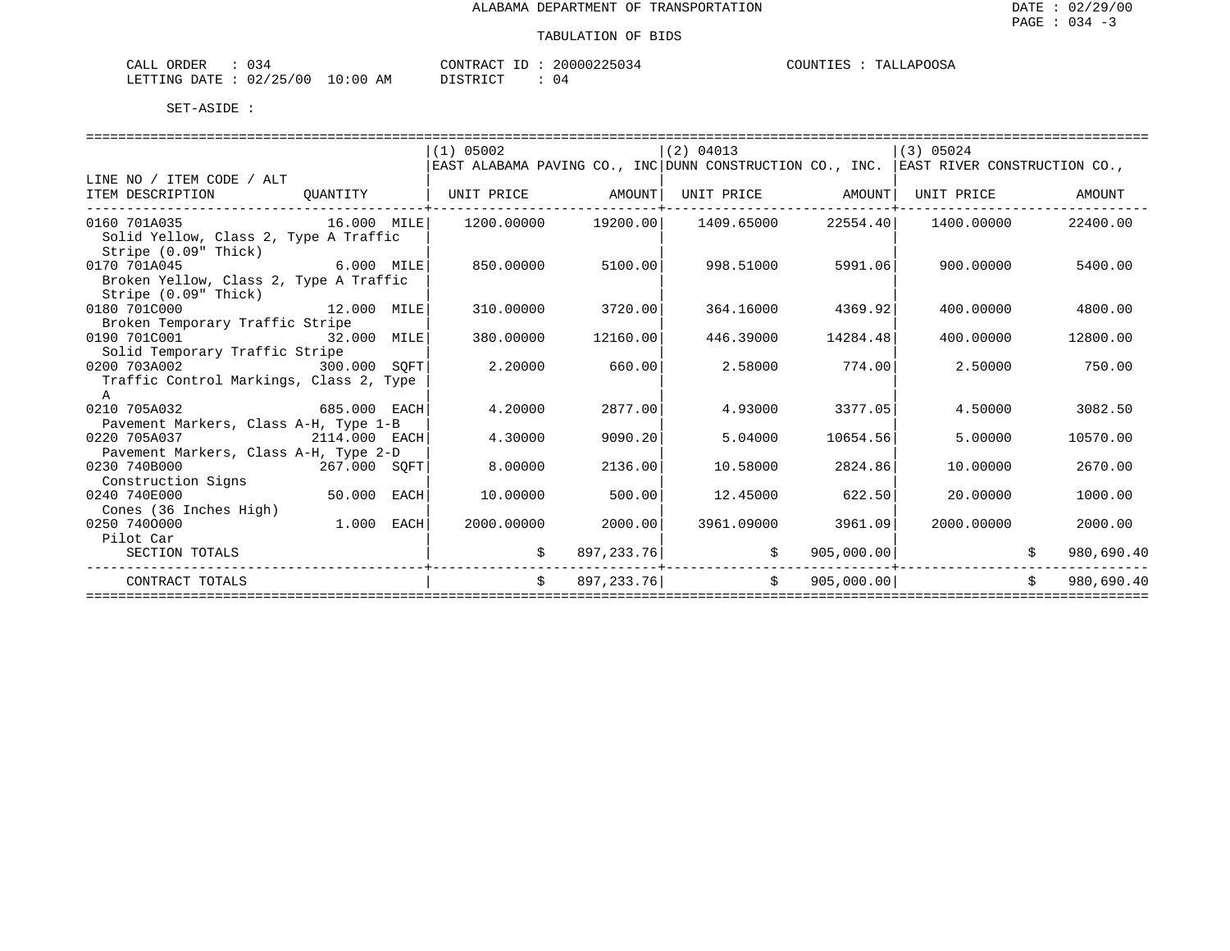| CALL ORDER                      |  |          | CONTRACT ID: 20000225034 | COUNTIES : TALLAPOOSA |
|---------------------------------|--|----------|--------------------------|-----------------------|
| LETTING DATE: 02/25/00 10:00 AM |  | DISTRICT |                          |                       |

|                                         | (1) 05002                                                                             |            | $(2)$ 04013                                                  |                    | (3) 05024  |    |            |
|-----------------------------------------|---------------------------------------------------------------------------------------|------------|--------------------------------------------------------------|--------------------|------------|----|------------|
|                                         | EAST ALABAMA PAVING CO., INC DUNN CONSTRUCTION CO., INC. EAST RIVER CONSTRUCTION CO., |            |                                                              |                    |            |    |            |
| LINE NO / ITEM CODE / ALT               |                                                                                       |            |                                                              |                    |            |    |            |
| ITEM DESCRIPTION<br>QUANTITY            | UNIT PRICE AMOUNT                                                                     |            | UNIT PRICE AMOUNT                                            |                    | UNIT PRICE |    | AMOUNT     |
| 0160 701A035<br>16.000 MILE             |                                                                                       |            | $1200.00000$ $19200.00$ $1409.65000$ $22554.40$ $1400.00000$ |                    |            |    | 22400.00   |
| Solid Yellow, Class 2, Type A Traffic   |                                                                                       |            |                                                              |                    |            |    |            |
| Stripe (0.09" Thick)                    |                                                                                       |            |                                                              |                    |            |    |            |
| 0170 701A045 6.000 MILE                 | 850.00000                                                                             | 5100.00    |                                                              | 998.51000 5991.06  | 900.00000  |    | 5400.00    |
| Broken Yellow, Class 2, Type A Traffic  |                                                                                       |            |                                                              |                    |            |    |            |
| Stripe (0.09" Thick)                    |                                                                                       |            |                                                              |                    |            |    |            |
| 12.000 MILE<br>0180 701C000             | 310.00000                                                                             | 3720.00    |                                                              | 364.16000 4369.92  | 400.00000  |    | 4800.00    |
| Broken Temporary Traffic Stripe         |                                                                                       |            |                                                              |                    |            |    |            |
| 0190 701C001<br>32.000 MILE             | 380.00000                                                                             | 12160.00   | 446.39000                                                    | 14284.48           | 400.00000  |    | 12800.00   |
| Solid Temporary Traffic Stripe          |                                                                                       |            |                                                              |                    |            |    |            |
| 0200 703A002<br>300.000 SOFT            | 2,20000                                                                               | 660.00     |                                                              | 2.58000 774.00     | 2.50000    |    | 750.00     |
| Traffic Control Markings, Class 2, Type |                                                                                       |            |                                                              |                    |            |    |            |
| A                                       |                                                                                       |            |                                                              |                    |            |    |            |
| 685.000 EACH<br>0210 705A032            | 4.20000                                                                               | 2877.00    | 4.93000                                                      | 3377.05            | 4.50000    |    | 3082.50    |
| Pavement Markers, Class A-H, Type 1-B   |                                                                                       |            |                                                              |                    |            |    |            |
| 0220 705A037<br>2114.000 EACH           | 4.30000                                                                               | 9090.20    | 5.04000                                                      | 10654.56           | 5.00000    |    | 10570.00   |
| Pavement Markers, Class A-H, Type 2-D   |                                                                                       |            |                                                              |                    |            |    |            |
| $267.000$ SQFT<br>0230 740B000          | 8,00000                                                                               | 2136.00    | 10.58000                                                     | 2824.86            | 10.00000   |    | 2670.00    |
| Construction Signs                      |                                                                                       |            |                                                              |                    |            |    |            |
| $50.000$ EACH<br>0240 740E000           | 10.00000                                                                              | 500.00     | 12.45000                                                     | 622.50             | 20,00000   |    | 1000.00    |
| Cones (36 Inches High)                  |                                                                                       |            |                                                              |                    |            |    |            |
| $1.000$ EACH<br>0250 7400000            | 2000.00000                                                                            | 2000.00    |                                                              | 3961.09000 3961.09 | 2000.00000 |    | 2000.00    |
| Pilot Car                               |                                                                                       |            |                                                              |                    |            |    |            |
| SECTION TOTALS                          | \$                                                                                    | 897,233.76 | $\ddot{\mathbf{S}}$                                          | 905,000.00         |            |    | 980,690.40 |
| CONTRACT TOTALS                         | $\mathsf{S}$                                                                          | 897,233.76 | $\ddot{\mathbf{S}}$                                          | 905,000.00         |            | Ŝ. | 980,690.40 |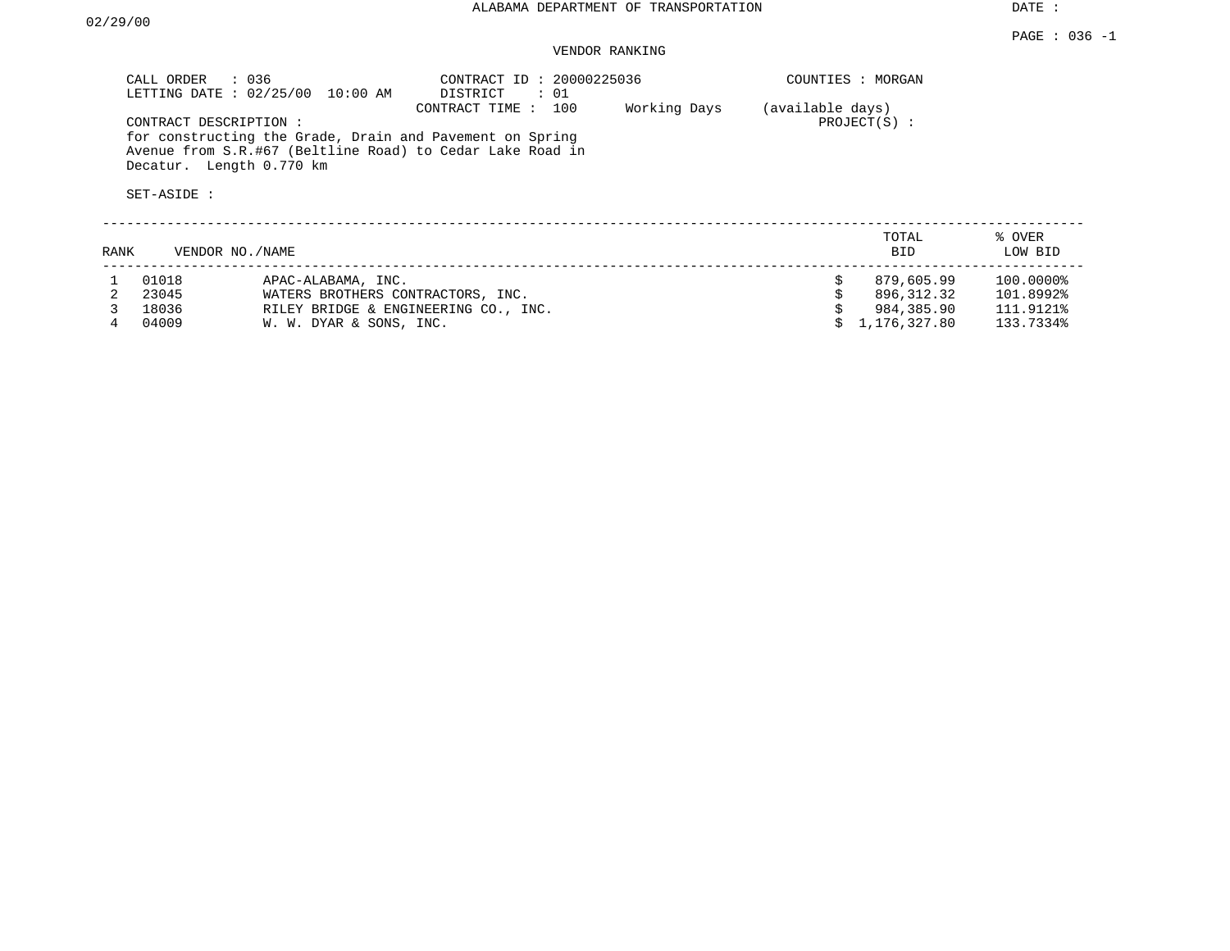### VENDOR RANKING

|      | CALL ORDER<br>$\therefore$ 036<br>LETTING DATE : 02/25/00        | 10:00 AM                             | CONTRACT ID: 20000225036<br>DISTRICT<br>: 01                                                                                                   |              | COUNTIES : MORGAN |                     |                   |
|------|------------------------------------------------------------------|--------------------------------------|------------------------------------------------------------------------------------------------------------------------------------------------|--------------|-------------------|---------------------|-------------------|
|      | CONTRACT DESCRIPTION:<br>Decatur. Length 0.770 km<br>SET-ASIDE : |                                      | CONTRACT TIME:<br>100<br>for constructing the Grade, Drain and Pavement on Spring<br>Avenue from S.R.#67 (Beltline Road) to Cedar Lake Road in | Working Days | (available days)  | $PROJECT(S)$ :      |                   |
| RANK | VENDOR NO./NAME                                                  |                                      |                                                                                                                                                |              |                   | TOTAL<br><b>BID</b> | % OVER<br>LOW BID |
|      | 01018                                                            | APAC-ALABAMA, INC.                   |                                                                                                                                                |              | Ŝ.                | 879,605.99          | 100.0000%         |
|      | 23045                                                            | WATERS BROTHERS CONTRACTORS, INC.    |                                                                                                                                                |              |                   | 896,312.32          | 101.8992%         |
|      | 18036                                                            | RILEY BRIDGE & ENGINEERING CO., INC. |                                                                                                                                                |              |                   | 984,385.90          | 111.9121%         |

4 04009 W. W. DYAR & SONS, INC. \$ 1,176,327.80 133.7334%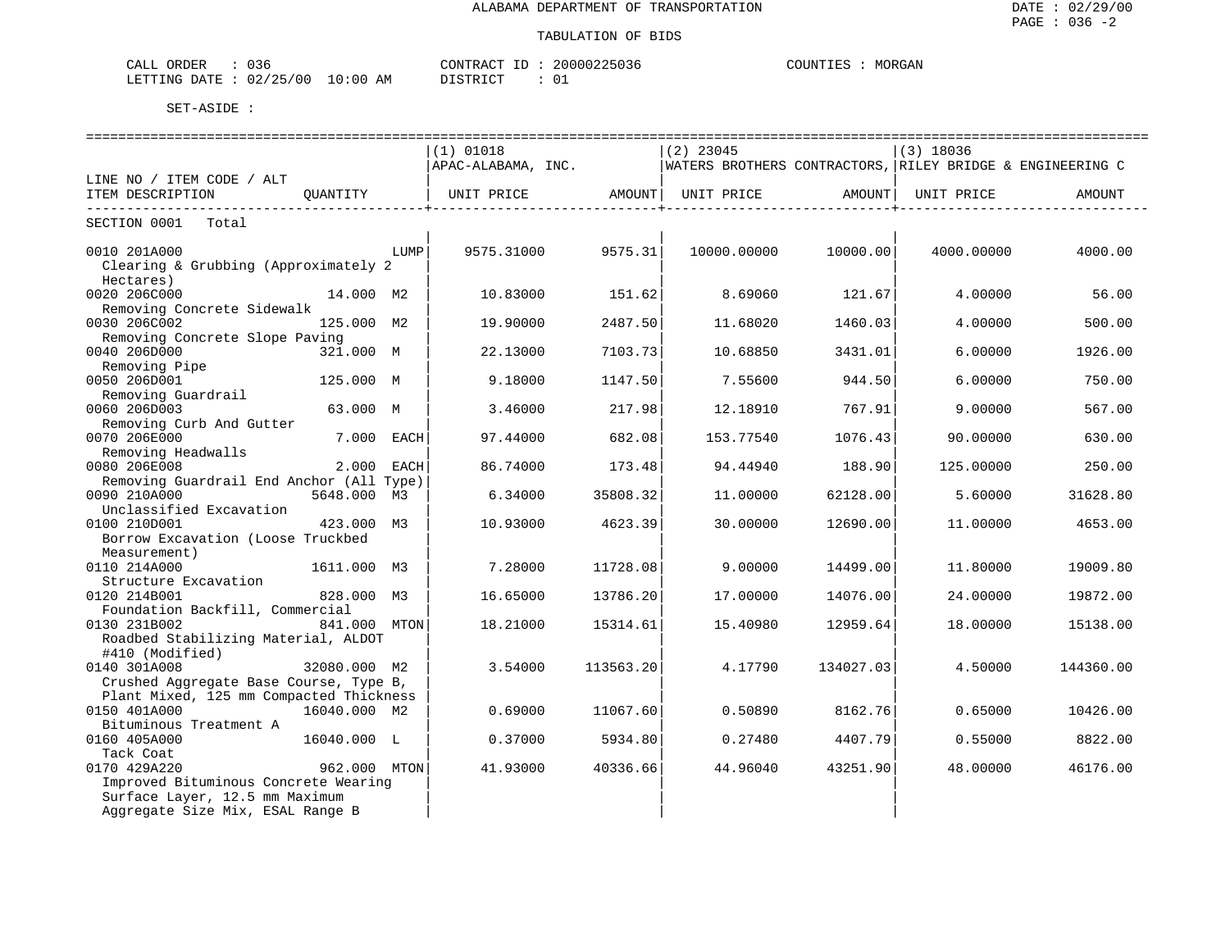| CALL ORDER                      | 036 |          | CONTRACT ID: 20000225036 | COUNTIES : | MORGAN |
|---------------------------------|-----|----------|--------------------------|------------|--------|
| LETTING DATE: 02/25/00 10:00 AM |     | DISTRICT |                          |            |        |

| ================                                  |              |            |                    |           |                                                           |           |             |           |
|---------------------------------------------------|--------------|------------|--------------------|-----------|-----------------------------------------------------------|-----------|-------------|-----------|
|                                                   |              |            | $(1)$ 01018        |           | $(2)$ 23045                                               |           | $(3)$ 18036 |           |
|                                                   |              |            | APAC-ALABAMA, INC. |           | WATERS BROTHERS CONTRACTORS, RILEY BRIDGE & ENGINEERING C |           |             |           |
| LINE NO / ITEM CODE / ALT                         |              |            |                    |           |                                                           |           |             |           |
| ITEM DESCRIPTION                                  | OUANTITY     |            | UNIT PRICE         | AMOUNT    | UNIT PRICE                                                | AMOUNT    | UNIT PRICE  | AMOUNT    |
| SECTION 0001 Total                                |              |            |                    |           |                                                           |           |             |           |
| 0010 201A000                                      |              | LUMP       | 9575.31000         | 9575.31   | 10000.00000                                               | 10000.00  | 4000.00000  | 4000.00   |
| Clearing & Grubbing (Approximately 2<br>Hectares) |              |            |                    |           |                                                           |           |             |           |
| 0020 206C000                                      | 14.000 M2    |            | 10.83000           | 151.62    | 8.69060                                                   | 121.67    | 4.00000     | 56.00     |
| Removing Concrete Sidewalk                        |              |            |                    |           |                                                           |           |             |           |
| 0030 206C002                                      | 125.000 M2   |            | 19,90000           | 2487.50   | 11.68020                                                  | 1460.03   | 4.00000     | 500.00    |
| Removing Concrete Slope Paving                    |              |            |                    |           |                                                           |           |             |           |
| 0040 206D000                                      | 321.000 M    |            | 22.13000           | 7103.73   | 10.68850                                                  | 3431.01   | 6.00000     | 1926.00   |
| Removing Pipe                                     |              |            |                    |           |                                                           |           |             |           |
| 0050 206D001                                      | 125.000 M    |            | 9.18000            | 1147.50   | 7.55600                                                   | 944.50    | 6,00000     | 750.00    |
| Removing Guardrail                                |              |            |                    |           |                                                           |           |             |           |
| 0060 206D003                                      | 63.000 M     |            | 3.46000            | 217.98    | 12.18910                                                  | 767.91    | 9,00000     | 567.00    |
| Removing Curb And Gutter                          |              |            |                    |           |                                                           |           |             |           |
| 0070 206E000                                      |              | 7.000 EACH | 97.44000           | 682.08    | 153.77540                                                 | 1076.43   | 90.00000    | 630.00    |
| Removing Headwalls                                |              |            |                    |           |                                                           |           |             |           |
| 0080 206E008                                      |              | 2.000 EACH | 86.74000           | 173.48    | 94.44940                                                  | 188.90    | 125.00000   | 250.00    |
| Removing Guardrail End Anchor (All Type)          |              |            |                    |           |                                                           |           |             |           |
| 0090 210A000                                      | 5648,000 M3  |            | 6.34000            | 35808.32  | 11,00000                                                  | 62128.00  | 5.60000     | 31628.80  |
| Unclassified Excavation                           |              |            |                    |           |                                                           |           |             |           |
| 0100 210D001                                      | 423.000 M3   |            | 10.93000           | 4623.39   | 30.00000                                                  | 12690.00  | 11,00000    | 4653.00   |
| Borrow Excavation (Loose Truckbed                 |              |            |                    |           |                                                           |           |             |           |
| Measurement)                                      |              |            |                    |           |                                                           |           |             |           |
| 0110 214A000                                      | 1611.000 M3  |            | 7.28000            | 11728.08  | 9.00000                                                   | 14499.00  | 11.80000    | 19009.80  |
| Structure Excavation                              |              |            |                    |           |                                                           |           |             |           |
| 0120 214B001                                      | 828.000 M3   |            | 16.65000           | 13786.20  | 17,00000                                                  | 14076.00  | 24,00000    | 19872.00  |
| Foundation Backfill, Commercial                   |              |            |                    |           |                                                           |           |             |           |
| 0130 231B002                                      | 841.000 MTON |            | 18.21000           | 15314.61  | 15.40980                                                  | 12959.64  | 18.00000    | 15138.00  |
| Roadbed Stabilizing Material, ALDOT               |              |            |                    |           |                                                           |           |             |           |
| #410 (Modified)                                   |              |            |                    |           |                                                           |           |             |           |
| 0140 301A008                                      | 32080.000 M2 |            | 3.54000            | 113563.20 | 4.17790                                                   | 134027.03 | 4.50000     | 144360.00 |
| Crushed Aggregate Base Course, Type B,            |              |            |                    |           |                                                           |           |             |           |
| Plant Mixed, 125 mm Compacted Thickness           |              |            |                    |           |                                                           |           |             |           |
| 0150 401A000                                      | 16040.000 M2 |            | 0.69000            | 11067.60  | 0.50890                                                   | 8162.76   | 0.65000     | 10426.00  |
| Bituminous Treatment A                            |              |            |                    |           |                                                           |           |             |           |
| 0160 405A000                                      | 16040.000 L  |            | 0.37000            | 5934.80   | 0.27480                                                   | 4407.79   | 0.55000     | 8822.00   |
| Tack Coat                                         |              |            |                    |           |                                                           |           |             |           |
| 0170 429A220                                      | 962.000 MTON |            | 41.93000           | 40336.66  | 44.96040                                                  | 43251.90  | 48.00000    | 46176.00  |
| Improved Bituminous Concrete Wearing              |              |            |                    |           |                                                           |           |             |           |
| Surface Layer, 12.5 mm Maximum                    |              |            |                    |           |                                                           |           |             |           |
| Aggregate Size Mix, ESAL Range B                  |              |            |                    |           |                                                           |           |             |           |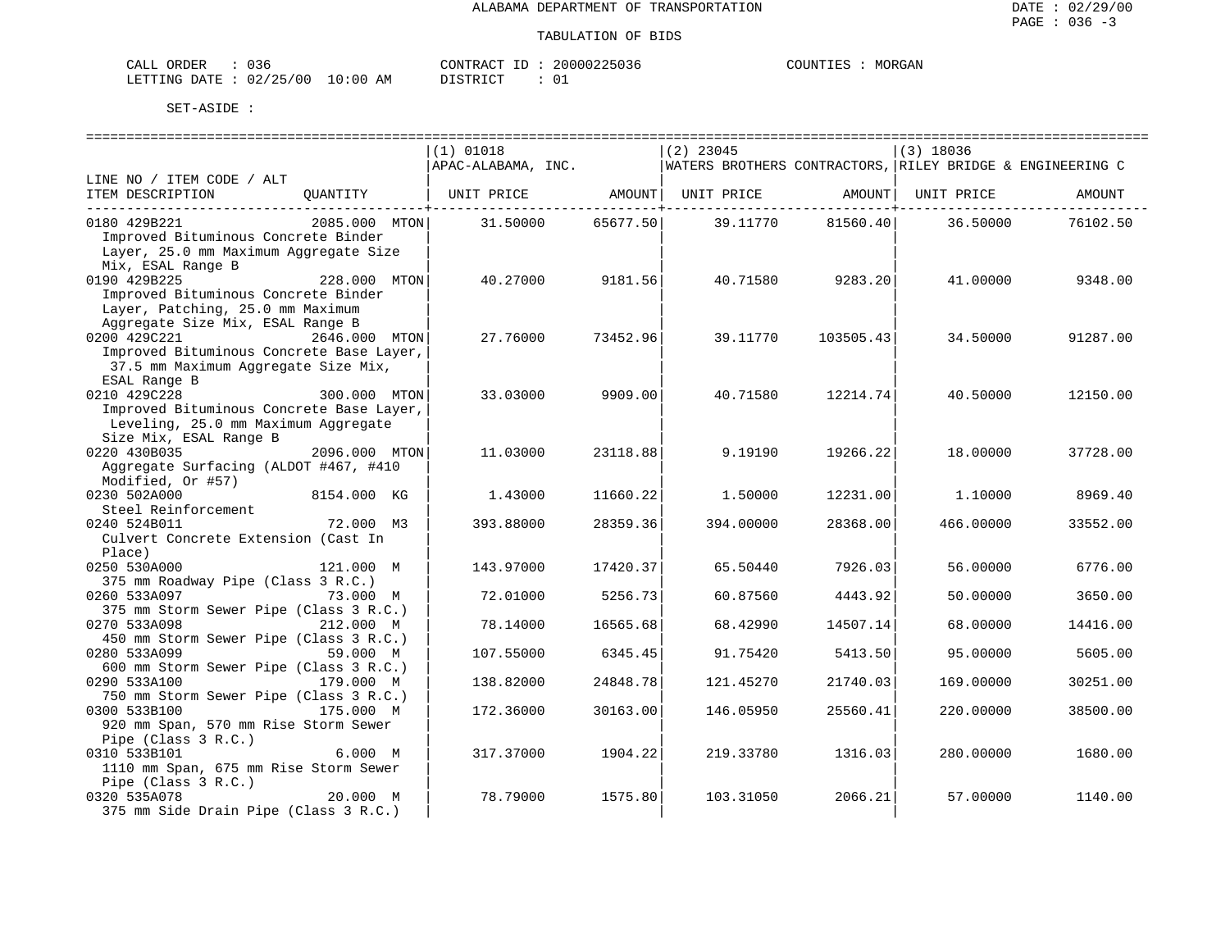| ORDER<br>CALL (        |  |             | CONTRACT ID       |  | 20000225036 | COUNTIL. | MORGAN |
|------------------------|--|-------------|-------------------|--|-------------|----------|--------|
| LETTING DATE: 02/25/00 |  | 10:00<br>ΑM | חי הדפידף דח<br>. |  | __          |          |        |

|                                                        |               | (1) 01018                                                   |                | $(2)$ 23045                                               |                     | $(3)$ 18036 |          |
|--------------------------------------------------------|---------------|-------------------------------------------------------------|----------------|-----------------------------------------------------------|---------------------|-------------|----------|
|                                                        |               | APAC-ALABAMA, INC.                                          |                | WATERS BROTHERS CONTRACTORS, RILEY BRIDGE & ENGINEERING C |                     |             |          |
| LINE NO / ITEM CODE / ALT                              |               |                                                             |                |                                                           |                     |             |          |
| ITEM DESCRIPTION                                       |               | QUANTITY   UNIT PRICE AMOUNT   UNIT PRICE AMOUNT UNIT PRICE |                |                                                           |                     |             | AMOUNT   |
|                                                        |               |                                                             | ---------+---- |                                                           | --------------+---- |             |          |
| 0180 429B221                                           | 2085.000 MTON | 31.50000                                                    | 65677.50       | 39.11770                                                  | 81560.40            | 36.50000    | 76102.50 |
| Improved Bituminous Concrete Binder                    |               |                                                             |                |                                                           |                     |             |          |
| Layer, 25.0 mm Maximum Aggregate Size                  |               |                                                             |                |                                                           |                     |             |          |
| Mix, ESAL Range B                                      |               |                                                             |                |                                                           |                     |             |          |
| 0190 429B225                                           | 228.000 MTON  | 40.27000                                                    | 9181.56        | 40.71580                                                  | 9283.20             | 41.00000    | 9348.00  |
| Improved Bituminous Concrete Binder                    |               |                                                             |                |                                                           |                     |             |          |
| Layer, Patching, 25.0 mm Maximum                       |               |                                                             |                |                                                           |                     |             |          |
| Aggregate Size Mix, ESAL Range B                       |               |                                                             |                |                                                           |                     |             |          |
| 0200 429C221                                           | 2646.000 MTON | 27.76000                                                    | 73452.96       | 39.11770                                                  | 103505.43           | 34.50000    | 91287.00 |
| Improved Bituminous Concrete Base Layer,               |               |                                                             |                |                                                           |                     |             |          |
| 37.5 mm Maximum Aggregate Size Mix,                    |               |                                                             |                |                                                           |                     |             |          |
| ESAL Range B                                           |               |                                                             |                |                                                           |                     |             |          |
| 0210 429C228                                           | 300.000 MTON  | 33.03000                                                    | 9909.00        | 40.71580                                                  | 12214.74            | 40.50000    | 12150.00 |
| Improved Bituminous Concrete Base Layer,               |               |                                                             |                |                                                           |                     |             |          |
| Leveling, 25.0 mm Maximum Aggregate                    |               |                                                             |                |                                                           |                     |             |          |
| Size Mix, ESAL Range B                                 |               |                                                             |                |                                                           |                     |             |          |
| 0220 430B035                                           | 2096.000 MTON | 11.03000                                                    | 23118.88       | 9.19190                                                   | 19266.22            | 18.00000    | 37728.00 |
| Aggregate Surfacing (ALDOT #467, #410                  |               |                                                             |                |                                                           |                     |             |          |
| Modified, Or #57)                                      |               |                                                             |                |                                                           |                     |             |          |
| 0230 502A000                                           | 8154.000 KG   | 1.43000                                                     | 11660.22       | 1.50000                                                   | 12231.00            | 1,10000     | 8969.40  |
| Steel Reinforcement                                    |               |                                                             |                |                                                           |                     |             |          |
| 0240 524B011                                           | 72.000 M3     | 393.88000                                                   | 28359.36       | 394.00000                                                 | 28368.00            | 466.00000   | 33552.00 |
| Culvert Concrete Extension (Cast In                    |               |                                                             |                |                                                           |                     |             |          |
| Place)                                                 |               |                                                             |                |                                                           |                     |             |          |
| 0250 530A000                                           | 121.000 M     | 143.97000                                                   | 17420.37       | 65.50440                                                  | 7926.03             | 56.00000    | 6776.00  |
| 375 mm Roadway Pipe (Class 3 R.C.)                     |               |                                                             |                |                                                           |                     |             |          |
| 0260 533A097                                           | 73.000 M      | 72.01000                                                    | 5256.73        | 60.87560                                                  | 4443.92             | 50.00000    | 3650.00  |
| 375 mm Storm Sewer Pipe (Class 3 R.C.)                 |               |                                                             |                |                                                           |                     |             |          |
| 0270 533A098                                           | 212.000 M     | 78.14000                                                    | 16565.68       | 68.42990                                                  | 14507.14            | 68.00000    | 14416.00 |
| 450 mm Storm Sewer Pipe (Class 3 R.C.)                 |               |                                                             |                |                                                           |                     |             |          |
| 0280 533A099<br>600 mm Storm Sewer Pipe (Class 3 R.C.) | 59.000 M      | 107.55000                                                   | 6345.45        | 91.75420                                                  | 5413.50             | 95.00000    | 5605.00  |
| 0290 533A100                                           | 179.000 M     |                                                             |                | 121.45270                                                 |                     |             |          |
| 750 mm Storm Sewer Pipe (Class 3 R.C.)                 |               | 138.82000                                                   | 24848.78       |                                                           | 21740.03            | 169.00000   | 30251.00 |
| 0300 533B100                                           | 175.000 M     | 172.36000                                                   | 30163.00       | 146.05950                                                 | 25560.41            | 220.00000   | 38500.00 |
| 920 mm Span, 570 mm Rise Storm Sewer                   |               |                                                             |                |                                                           |                     |             |          |
|                                                        |               |                                                             |                |                                                           |                     |             |          |
| Pipe (Class 3 R.C.)<br>0310 533B101                    | 6.000 M       | 317.37000                                                   | 1904.22        | 219.33780                                                 | 1316.03             | 280.00000   | 1680.00  |
| 1110 mm Span, 675 mm Rise Storm Sewer                  |               |                                                             |                |                                                           |                     |             |          |
| Pipe (Class 3 R.C.)                                    |               |                                                             |                |                                                           |                     |             |          |
| 0320 535A078                                           | 20.000 M      | 78.79000                                                    | 1575.80        | 103.31050                                                 | 2066.21             | 57.00000    | 1140.00  |
| 375 mm Side Drain Pipe (Class 3 R.C.)                  |               |                                                             |                |                                                           |                     |             |          |
|                                                        |               |                                                             |                |                                                           |                     |             |          |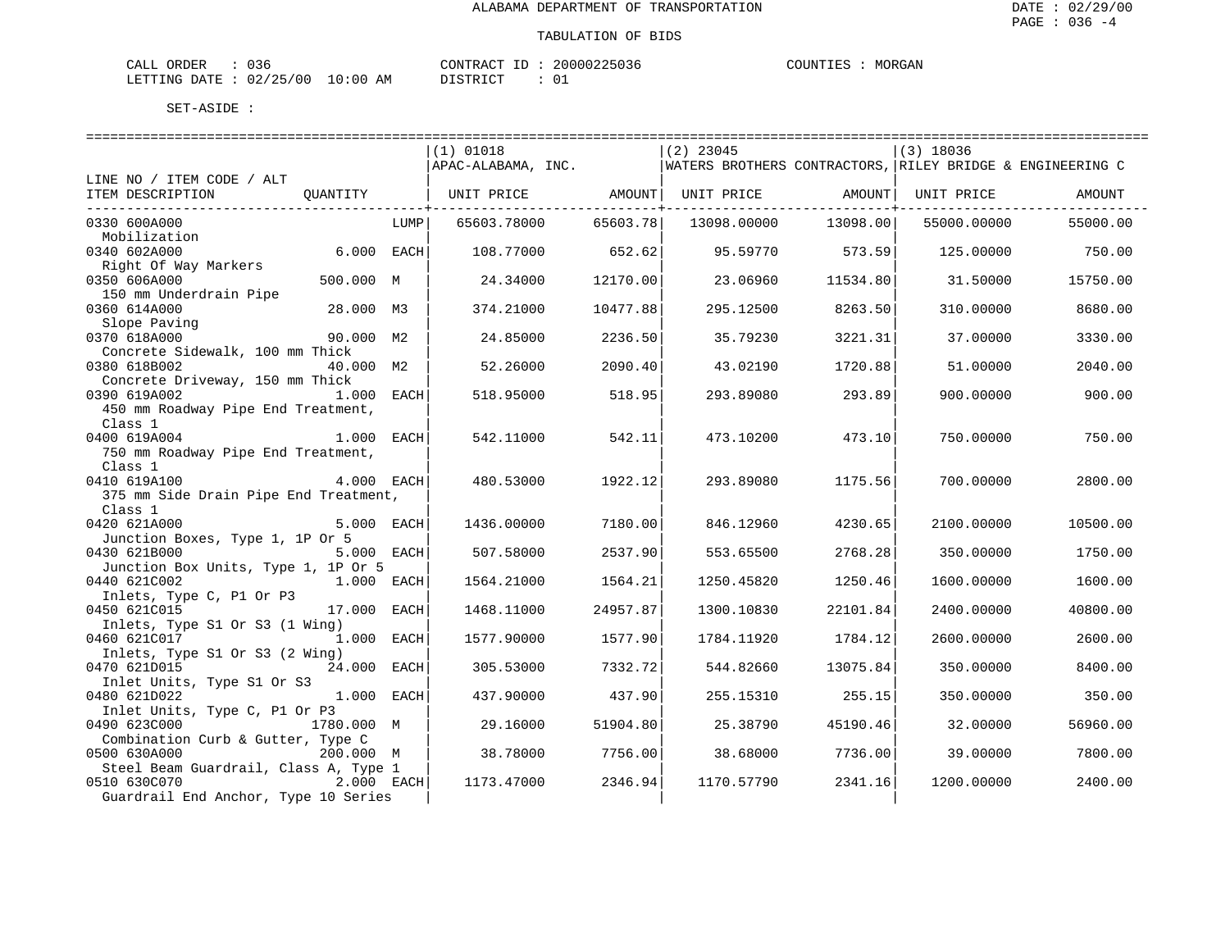| ORDER<br>CALL (        | . |             | CONTRACT ID | 20000225036 | COUNTIES |  | MORGAN |
|------------------------|---|-------------|-------------|-------------|----------|--|--------|
| LETTING DATE: 02/25/00 |   | 10:00<br>ΆM | דר דת TCT.  |             |          |  |        |

|                                                                 |             | $(1)$ 01018        |          | $(2)$ 23045                                               |          | $(3)$ 18036 |          |
|-----------------------------------------------------------------|-------------|--------------------|----------|-----------------------------------------------------------|----------|-------------|----------|
|                                                                 |             | APAC-ALABAMA, INC. |          | WATERS BROTHERS CONTRACTORS, RILEY BRIDGE & ENGINEERING C |          |             |          |
| LINE NO / ITEM CODE / ALT                                       |             |                    |          |                                                           |          |             |          |
| ITEM DESCRIPTION<br>OUANTITY                                    |             | UNIT PRICE         | AMOUNT   | UNIT PRICE                                                | AMOUNT   | UNIT PRICE  | AMOUNT   |
| 0330 600A000                                                    | LUMP        | 65603.78000        | 65603.78 | 13098.00000                                               | 13098.00 | 55000.00000 | 55000.00 |
| Mobilization                                                    |             |                    |          |                                                           |          |             |          |
| 0340 602A000                                                    | 6.000 EACH  | 108.77000          | 652.62   | 95.59770                                                  | 573.59   | 125.00000   | 750.00   |
| Right Of Way Markers                                            |             |                    |          |                                                           |          |             |          |
| 0350 606A000<br>500.000 M                                       |             | 24.34000           | 12170.00 | 23.06960                                                  | 11534.80 | 31.50000    | 15750.00 |
| 150 mm Underdrain Pipe<br>0360 614A000<br>28.000 M3             |             | 374.21000          | 10477.88 | 295.12500                                                 | 8263.50  | 310.00000   | 8680.00  |
| Slope Paving                                                    |             |                    |          |                                                           |          |             |          |
| 0370 618A000                                                    | 90.000 M2   | 24.85000           | 2236.50  | 35.79230                                                  | 3221.31  | 37.00000    | 3330.00  |
| Concrete Sidewalk, 100 mm Thick                                 |             |                    |          |                                                           |          |             |          |
| 0380 618B002                                                    | 40.000 M2   | 52.26000           | 2090.40  | 43.02190                                                  | 1720.88  | 51.00000    | 2040.00  |
| Concrete Driveway, 150 mm Thick                                 |             |                    |          |                                                           |          |             |          |
| 0390 619A002                                                    | 1.000 EACH  | 518.95000          | 518.95   | 293.89080                                                 | 293.89   | 900.00000   | 900.00   |
| 450 mm Roadway Pipe End Treatment,<br>Class 1                   |             |                    |          |                                                           |          |             |          |
| 1.000 EACH<br>0400 619A004                                      |             | 542.11000          | 542.11   | 473.10200                                                 | 473.10   | 750.00000   | 750.00   |
| 750 mm Roadway Pipe End Treatment,                              |             |                    |          |                                                           |          |             |          |
| Class 1                                                         |             |                    |          |                                                           |          |             |          |
| 0410 619A100                                                    | 4.000 EACH  | 480.53000          | 1922.12  | 293.89080                                                 | 1175.56  | 700.00000   | 2800.00  |
| 375 mm Side Drain Pipe End Treatment,                           |             |                    |          |                                                           |          |             |          |
| Class 1                                                         |             |                    |          |                                                           |          |             |          |
| 0420 621A000<br>Junction Boxes, Type 1, 1P Or 5                 | 5.000 EACH  | 1436.00000         | 7180.00  | 846.12960                                                 | 4230.65  | 2100.00000  | 10500.00 |
| 0430 621B000                                                    | 5.000 EACH  | 507.58000          | 2537.90  | 553.65500                                                 | 2768.28  | 350.00000   | 1750.00  |
| Junction Box Units, Type 1, 1P Or 5                             |             |                    |          |                                                           |          |             |          |
| 0440 621C002                                                    | 1.000 EACH  | 1564.21000         | 1564.21  | 1250.45820                                                | 1250.46  | 1600.00000  | 1600.00  |
| Inlets, Type C, P1 Or P3                                        |             |                    |          |                                                           |          |             |          |
| 0450 621C015                                                    | 17.000 EACH | 1468.11000         | 24957.87 | 1300.10830                                                | 22101.84 | 2400.00000  | 40800.00 |
| Inlets, Type S1 Or S3 (1 Wing)<br>0460 621C017                  | 1.000 EACH  | 1577.90000         | 1577.90  | 1784.11920                                                | 1784.12  | 2600.00000  | 2600.00  |
| Inlets, Type S1 Or S3 (2 Wing)                                  |             |                    |          |                                                           |          |             |          |
| 0470 621D015                                                    | 24.000 EACH | 305.53000          | 7332.72  | 544.82660                                                 | 13075.84 | 350.00000   | 8400.00  |
| Inlet Units, Type S1 Or S3                                      |             |                    |          |                                                           |          |             |          |
| 0480 621D022                                                    | 1.000 EACH  | 437.90000          | 437.90   | 255.15310                                                 | 255.15   | 350.00000   | 350.00   |
| Inlet Units, Type C, P1 Or P3                                   |             |                    |          |                                                           |          |             |          |
| 0490 623C000<br>1780.000 M<br>Combination Curb & Gutter, Type C |             | 29.16000           | 51904.80 | 25.38790                                                  | 45190.46 | 32.00000    | 56960.00 |
| 0500 630A000<br>200.000 M                                       |             | 38.78000           | 7756.00  | 38.68000                                                  | 7736.00  | 39.00000    | 7800.00  |
| Steel Beam Guardrail, Class A, Type 1                           |             |                    |          |                                                           |          |             |          |
| 2.000 EACH<br>0510 630C070                                      |             | 1173.47000         | 2346.94  | 1170.57790                                                | 2341.16  | 1200.00000  | 2400.00  |
| Guardrail End Anchor, Type 10 Series                            |             |                    |          |                                                           |          |             |          |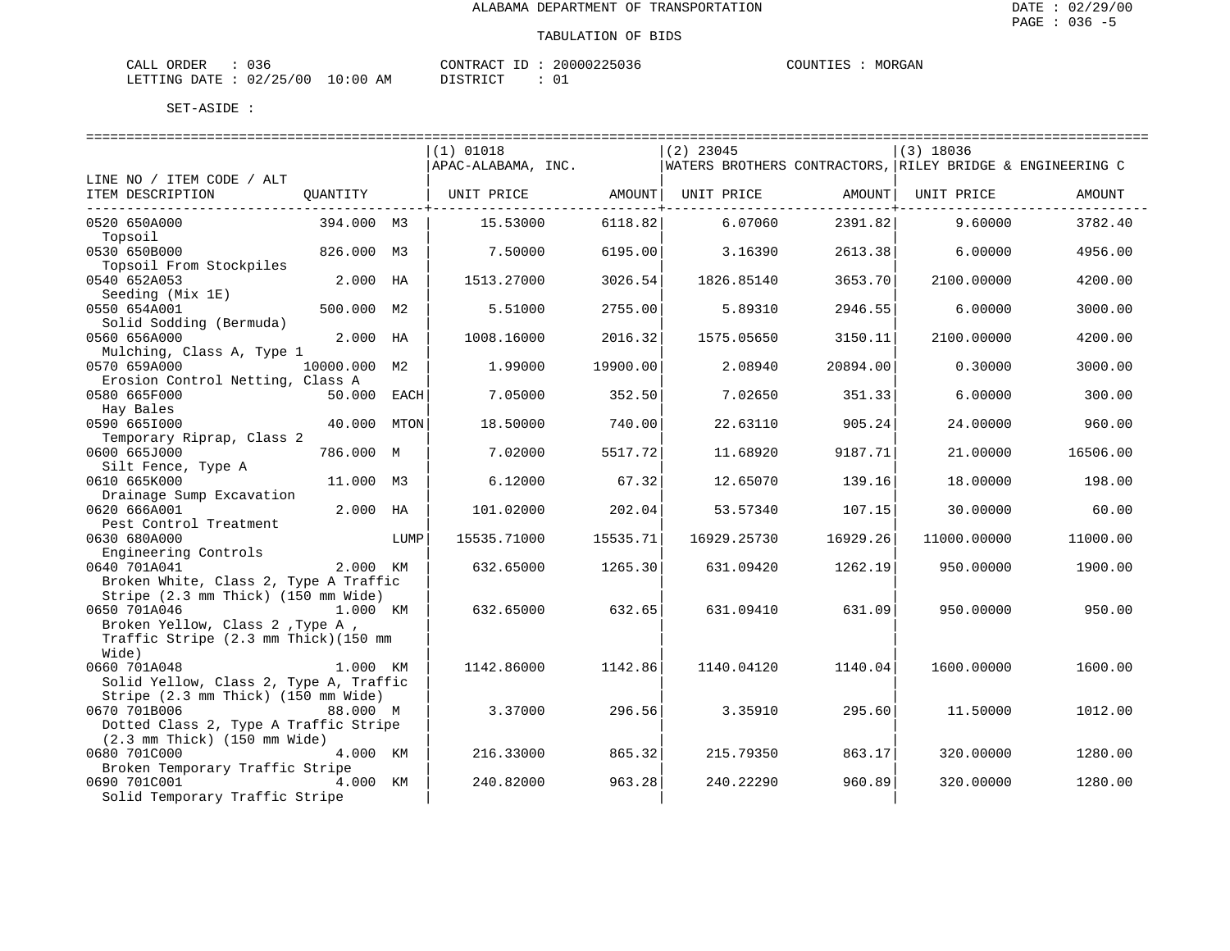| ORDER<br>CALL (        | . |             | CONTRACT ID | 20000225036 | COUNTIES |  | MORGAN |
|------------------------|---|-------------|-------------|-------------|----------|--|--------|
| LETTING DATE: 02/25/00 |   | 10:00<br>ΆM | דר דת TCT.  |             |          |  |        |

| ===================                                                           |              |      |                    |          |                                                           |          |             |          |
|-------------------------------------------------------------------------------|--------------|------|--------------------|----------|-----------------------------------------------------------|----------|-------------|----------|
|                                                                               |              |      | $(1)$ 01018        |          | $(2)$ 23045                                               |          | $(3)$ 18036 |          |
|                                                                               |              |      | APAC-ALABAMA, INC. |          | WATERS BROTHERS CONTRACTORS, RILEY BRIDGE & ENGINEERING C |          |             |          |
| LINE NO / ITEM CODE / ALT                                                     |              |      |                    |          |                                                           |          |             |          |
| ITEM DESCRIPTION                                                              | OUANTITY     |      | UNIT PRICE         | AMOUNT   | UNIT PRICE                                                | AMOUNT   | UNIT PRICE  | AMOUNT   |
| 0520 650A000                                                                  | 394.000 M3   |      | 15.53000           | 6118.82  | 6.07060                                                   | 2391.82  | 9.60000     | 3782.40  |
| Topsoil                                                                       |              |      |                    |          |                                                           |          |             |          |
| 0530 650B000                                                                  | 826.000 M3   |      | 7.50000            | 6195.00  | 3.16390                                                   | 2613.38  | 6,00000     | 4956.00  |
| Topsoil From Stockpiles                                                       |              |      |                    |          |                                                           |          |             |          |
| 0540 652A053                                                                  | 2.000 HA     |      | 1513.27000         | 3026.54  | 1826.85140                                                | 3653.70  | 2100.00000  | 4200.00  |
| Seeding (Mix 1E)                                                              | 500.000 M2   |      |                    |          |                                                           |          |             |          |
| 0550 654A001<br>Solid Sodding (Bermuda)                                       |              |      | 5.51000            | 2755.00  | 5.89310                                                   | 2946.55  | 6.00000     | 3000.00  |
| 0560 656A000                                                                  | 2.000 HA     |      | 1008.16000         | 2016.32  | 1575.05650                                                | 3150.11  | 2100.00000  | 4200.00  |
| Mulching, Class A, Type 1                                                     |              |      |                    |          |                                                           |          |             |          |
| 0570 659A000                                                                  | 10000.000 M2 |      | 1,99000            | 19900.00 | 2.08940                                                   | 20894.00 | 0.30000     | 3000.00  |
| Erosion Control Netting, Class A                                              |              |      |                    |          |                                                           |          |             |          |
| 0580 665F000                                                                  | 50.000 EACH  |      | 7.05000            | 352.50   | 7.02650                                                   | 351.33   | 6,00000     | 300.00   |
| Hay Bales                                                                     |              |      |                    |          |                                                           |          |             |          |
| 0590 6651000<br>Temporary Riprap, Class 2                                     | 40.000 MTON  |      | 18.50000           | 740.00   | 22.63110                                                  | 905.24   | 24.00000    | 960.00   |
| 0600 665J000                                                                  | 786.000 M    |      | 7.02000            | 5517.72  | 11.68920                                                  | 9187.71  | 21.00000    | 16506.00 |
| Silt Fence, Type A                                                            |              |      |                    |          |                                                           |          |             |          |
| 0610 665K000                                                                  | 11.000 M3    |      | 6.12000            | 67.32    | 12.65070                                                  | 139.16   | 18.00000    | 198.00   |
| Drainage Sump Excavation                                                      |              |      |                    |          |                                                           |          |             |          |
| 0620 666A001                                                                  | 2.000 HA     |      | 101.02000          | 202.04   | 53.57340                                                  | 107.15   | 30.00000    | 60.00    |
| Pest Control Treatment                                                        |              |      |                    |          |                                                           |          |             |          |
| 0630 680A000                                                                  |              | LUMP | 15535.71000        | 15535.71 | 16929.25730                                               | 16929.26 | 11000.00000 | 11000.00 |
| Engineering Controls<br>0640 701A041                                          | 2.000 KM     |      | 632.65000          | 1265.30  | 631.09420                                                 | 1262.19  | 950,00000   | 1900.00  |
| Broken White, Class 2, Type A Traffic                                         |              |      |                    |          |                                                           |          |             |          |
| Stripe (2.3 mm Thick) (150 mm Wide)                                           |              |      |                    |          |                                                           |          |             |          |
| 0650 701A046                                                                  | 1.000 KM     |      | 632.65000          | 632.65   | 631.09410                                                 | 631.09   | 950.00000   | 950.00   |
| Broken Yellow, Class 2, Type A,                                               |              |      |                    |          |                                                           |          |             |          |
| Traffic Stripe (2.3 mm Thick) (150 mm                                         |              |      |                    |          |                                                           |          |             |          |
| Wide)                                                                         |              |      |                    |          |                                                           |          |             |          |
| 0660 701A048                                                                  | 1.000 KM     |      | 1142.86000         | 1142.86  | 1140.04120                                                | 1140.04  | 1600.00000  | 1600.00  |
| Solid Yellow, Class 2, Type A, Traffic<br>Stripe (2.3 mm Thick) (150 mm Wide) |              |      |                    |          |                                                           |          |             |          |
| 0670 701B006                                                                  | 88.000 M     |      | 3.37000            | 296.56   | 3.35910                                                   | 295.60   | 11,50000    | 1012.00  |
| Dotted Class 2, Type A Traffic Stripe                                         |              |      |                    |          |                                                           |          |             |          |
| $(2.3$ mm Thick) $(150$ mm Wide)                                              |              |      |                    |          |                                                           |          |             |          |
| 0680 701C000                                                                  | 4.000 KM     |      | 216.33000          | 865.32   | 215.79350                                                 | 863.17   | 320.00000   | 1280.00  |
| Broken Temporary Traffic Stripe                                               |              |      |                    |          |                                                           |          |             |          |
| 0690 701C001                                                                  | 4.000 KM     |      | 240.82000          | 963.28   | 240.22290                                                 | 960.89   | 320.00000   | 1280.00  |
| Solid Temporary Traffic Stripe                                                |              |      |                    |          |                                                           |          |             |          |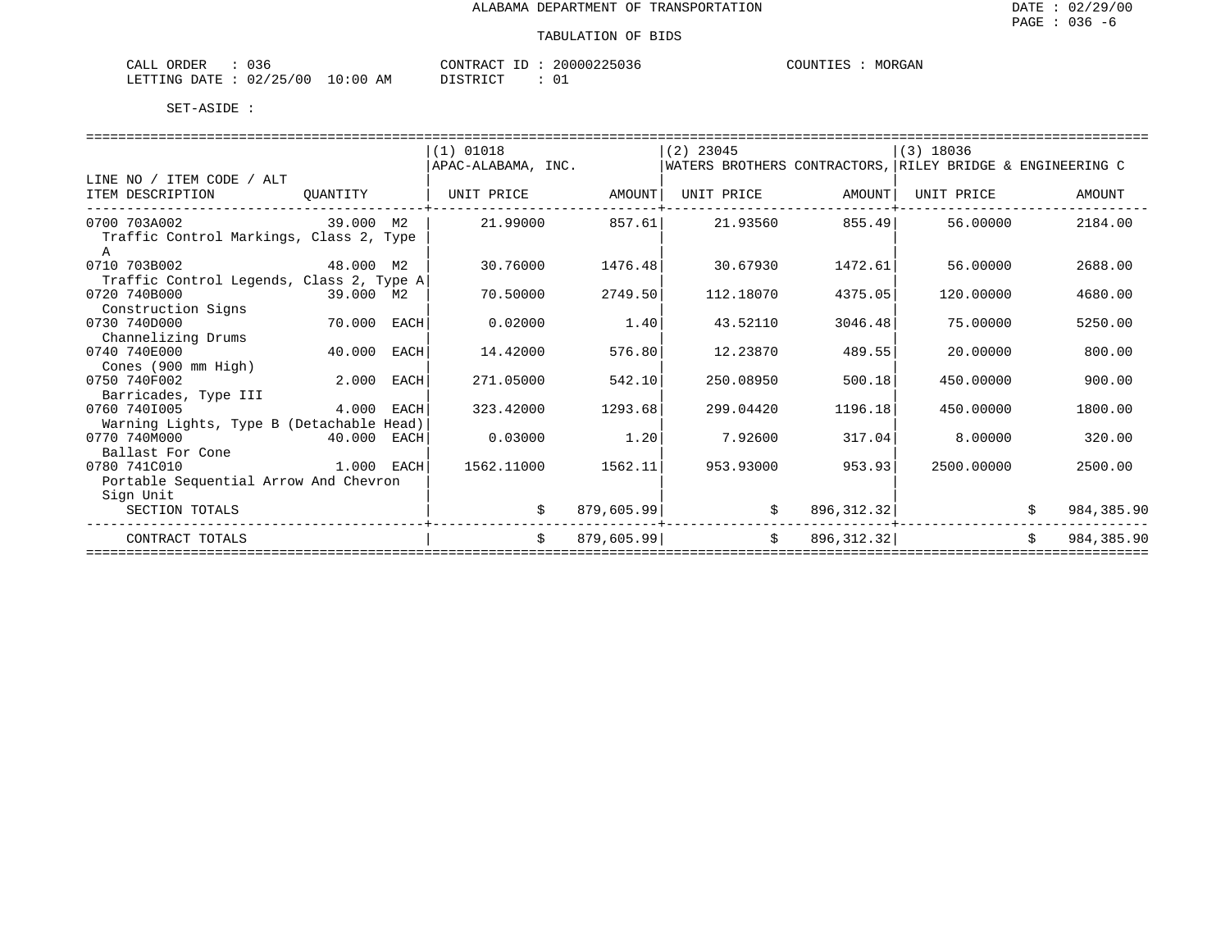| $\sim$<br>ORDER<br>$\sim$ $ -$<br>لىلطا<br><u>v J V</u>                   |             | $\sim$<br>'ONTF<br>א שי |    | <b>TINT</b> آ<br>. |  |
|---------------------------------------------------------------------------|-------------|-------------------------|----|--------------------|--|
| $\cap$<br>$\sim$ $\sim$<br><b>ETTING</b><br>ノつに<br><b>DATE</b><br>UZ<br>. | - 111<br>AМ | $\sim$<br>CDID          | ◡∸ |                    |  |

|                                          |              |      | (1) 01018          |            | $(2)$ 23045                                               |              | $(3)$ 18036 |    |            |
|------------------------------------------|--------------|------|--------------------|------------|-----------------------------------------------------------|--------------|-------------|----|------------|
|                                          |              |      | APAC-ALABAMA, INC. |            | WATERS BROTHERS CONTRACTORS, RILEY BRIDGE & ENGINEERING C |              |             |    |            |
| LINE NO / ITEM CODE / ALT                |              |      |                    |            |                                                           |              |             |    |            |
| ITEM DESCRIPTION                         | OUANTITY     |      | UNIT PRICE         | AMOUNT     | UNIT PRICE                                                | AMOUNT       | UNIT PRICE  |    | AMOUNT     |
|                                          |              |      |                    |            |                                                           |              |             |    |            |
| 0700 703A002                             | 39.000 M2    |      | 21,99000           | 857.61     | 21.93560                                                  | 855.49       | 56.00000    |    | 2184.00    |
| Traffic Control Markings, Class 2, Type  |              |      |                    |            |                                                           |              |             |    |            |
|                                          |              |      |                    |            |                                                           |              |             |    |            |
| 0710 703B002                             | 48.000 M2    |      | 30.76000           | 1476.48    | 30.67930                                                  | 1472.61      | 56.00000    |    | 2688.00    |
| Traffic Control Legends, Class 2, Type A |              |      |                    |            |                                                           |              |             |    |            |
| 0720 740B000                             | 39.000 M2    |      | 70.50000           | 2749.50    | 112.18070                                                 | 4375.05      | 120.00000   |    | 4680.00    |
| Construction Signs                       |              |      |                    |            |                                                           |              |             |    |            |
| 0730 740D000                             | 70.000       | EACH | 0.02000            | 1.40       | 43.52110                                                  | 3046.48      | 75.00000    |    | 5250.00    |
| Channelizing Drums                       |              |      |                    |            |                                                           |              |             |    |            |
| 0740 740E000                             | 40.000       | EACH | 14.42000           | 576.80     | 12.23870                                                  | 489.55       | 20.00000    |    | 800.00     |
| Cones (900 mm High)                      |              |      |                    |            |                                                           |              |             |    |            |
| 0750 740F002                             | 2.000        | EACH | 271.05000          | 542.10     | 250.08950                                                 | 500.18       | 450.00000   |    | 900.00     |
| Barricades, Type III                     |              |      |                    |            |                                                           |              |             |    |            |
| 0760 7401005                             | 4.000        | EACH | 323.42000          | 1293.68    | 299.04420                                                 | 1196.18      | 450.00000   |    | 1800.00    |
| Warning Lights, Type B (Detachable Head) |              |      |                    |            |                                                           |              |             |    |            |
| 0770 740M000                             | 40.000       | EACH | 0.03000            | 1.20       | 7.92600                                                   | 317.04       | 8,00000     |    | 320.00     |
| Ballast For Cone                         |              |      |                    |            |                                                           |              |             |    |            |
| 0780 741C010                             | $1.000$ EACH |      | 1562.11000         | 1562.11    | 953.93000                                                 | 953.93       | 2500.00000  |    | 2500.00    |
| Portable Sequential Arrow And Chevron    |              |      |                    |            |                                                           |              |             |    |            |
| Sign Unit                                |              |      |                    |            |                                                           |              |             |    |            |
| SECTION TOTALS                           |              |      | Ŝ.                 | 879,605.99 | Ŝ.                                                        | 896, 312.32  |             |    | 984,385.90 |
|                                          |              |      |                    |            |                                                           |              |             |    |            |
| CONTRACT TOTALS                          |              |      | \$                 | 879,605.99 | \$                                                        | 896, 312. 32 |             | Ŝ. | 984,385.90 |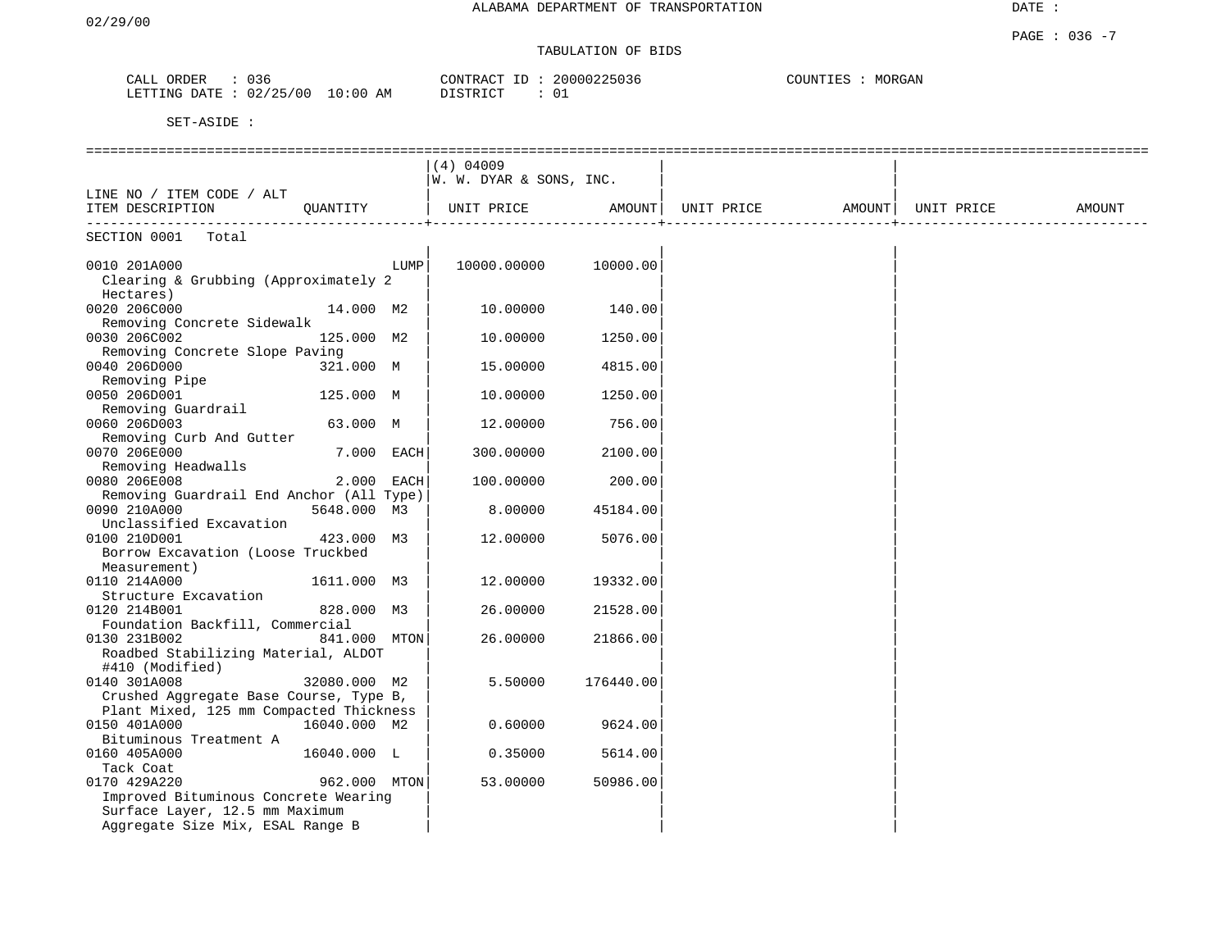#### PAGE : 036 -7 TABULATION OF BIDS

| ORDER<br>CALL | 036                        | 20000225036<br>CONTRACT ID | COUNTIES<br>MORGAN |
|---------------|----------------------------|----------------------------|--------------------|
| LETTING DATE  | $: 02/25/00$ .<br>10:00 AM | <b>DISTRICT</b>            |                    |

|                                                                                   |              |            | $(4)$ 04009<br>W. W. DYAR & SONS, INC. |           |                            |            |        |
|-----------------------------------------------------------------------------------|--------------|------------|----------------------------------------|-----------|----------------------------|------------|--------|
| LINE NO / ITEM CODE / ALT<br>ITEM DESCRIPTION                                     | OUANTITY     |            | UNIT PRICE                             |           | AMOUNT   UNIT PRICE AMOUNT | UNIT PRICE | AMOUNT |
| _______________________<br>SECTION 0001<br>Total                                  |              |            |                                        |           |                            |            |        |
|                                                                                   |              |            |                                        |           |                            |            |        |
| 0010 201A000<br>Clearing & Grubbing (Approximately 2                              |              | LUMP       | 10000.00000                            | 10000.00  |                            |            |        |
| Hectares)                                                                         |              |            |                                        |           |                            |            |        |
| 0020 206C000                                                                      | 14.000 M2    |            | 10.00000                               | 140.00    |                            |            |        |
| Removing Concrete Sidewalk                                                        |              |            |                                        |           |                            |            |        |
| 0030 206C002                                                                      | 125.000 M2   |            | 10.00000                               | 1250.00   |                            |            |        |
| Removing Concrete Slope Paving                                                    |              |            |                                        |           |                            |            |        |
| 0040 206D000                                                                      | 321.000 M    |            | 15.00000                               | 4815.00   |                            |            |        |
| Removing Pipe                                                                     |              |            |                                        |           |                            |            |        |
| 0050 206D001                                                                      | 125.000 M    |            | 10.00000                               | 1250.00   |                            |            |        |
| Removing Guardrail                                                                |              |            |                                        |           |                            |            |        |
| 0060 206D003                                                                      | 63.000 M     |            | 12.00000                               | 756.00    |                            |            |        |
| Removing Curb And Gutter                                                          |              |            |                                        |           |                            |            |        |
| 0070 206E000                                                                      |              | 7.000 EACH | 300.00000                              | 2100.00   |                            |            |        |
| Removing Headwalls                                                                |              |            |                                        |           |                            |            |        |
| 0080 206E008                                                                      |              | 2.000 EACH | 100.00000                              | 200.00    |                            |            |        |
| Removing Guardrail End Anchor (All Type)                                          |              |            |                                        |           |                            |            |        |
| 0090 210A000                                                                      | 5648.000 M3  |            | 8.00000                                | 45184.00  |                            |            |        |
| Unclassified Excavation                                                           |              |            |                                        |           |                            |            |        |
| 0100 210D001                                                                      | 423.000 M3   |            | 12.00000                               | 5076.00   |                            |            |        |
| Borrow Excavation (Loose Truckbed                                                 |              |            |                                        |           |                            |            |        |
| Measurement)                                                                      |              |            |                                        |           |                            |            |        |
| 0110 214A000                                                                      | 1611.000 M3  |            | 12.00000                               | 19332.00  |                            |            |        |
| Structure Excavation                                                              |              |            |                                        |           |                            |            |        |
| 0120 214B001                                                                      | 828.000 M3   |            | 26.00000                               | 21528.00  |                            |            |        |
| Foundation Backfill, Commercial<br>0130 231B002                                   | 841.000 MTON |            | 26,00000                               | 21866.00  |                            |            |        |
| Roadbed Stabilizing Material, ALDOT                                               |              |            |                                        |           |                            |            |        |
| #410 (Modified)                                                                   |              |            |                                        |           |                            |            |        |
| 0140 301A008                                                                      | 32080.000 M2 |            | 5.50000                                | 176440.00 |                            |            |        |
|                                                                                   |              |            |                                        |           |                            |            |        |
| Crushed Aggregate Base Course, Type B,<br>Plant Mixed, 125 mm Compacted Thickness |              |            |                                        |           |                            |            |        |
| 0150 401A000                                                                      | 16040.000 M2 |            | 0.60000                                | 9624.00   |                            |            |        |
|                                                                                   |              |            |                                        |           |                            |            |        |
| Bituminous Treatment A<br>0160 405A000                                            | 16040.000 L  |            | 0.35000                                | 5614.00   |                            |            |        |
|                                                                                   |              |            |                                        |           |                            |            |        |
| Tack Coat<br>0170 429A220                                                         | 962.000 MTON |            | 53.00000                               | 50986.00  |                            |            |        |
| Improved Bituminous Concrete Wearing                                              |              |            |                                        |           |                            |            |        |
|                                                                                   |              |            |                                        |           |                            |            |        |
| Surface Layer, 12.5 mm Maximum                                                    |              |            |                                        |           |                            |            |        |
| Aggregate Size Mix, ESAL Range B                                                  |              |            |                                        |           |                            |            |        |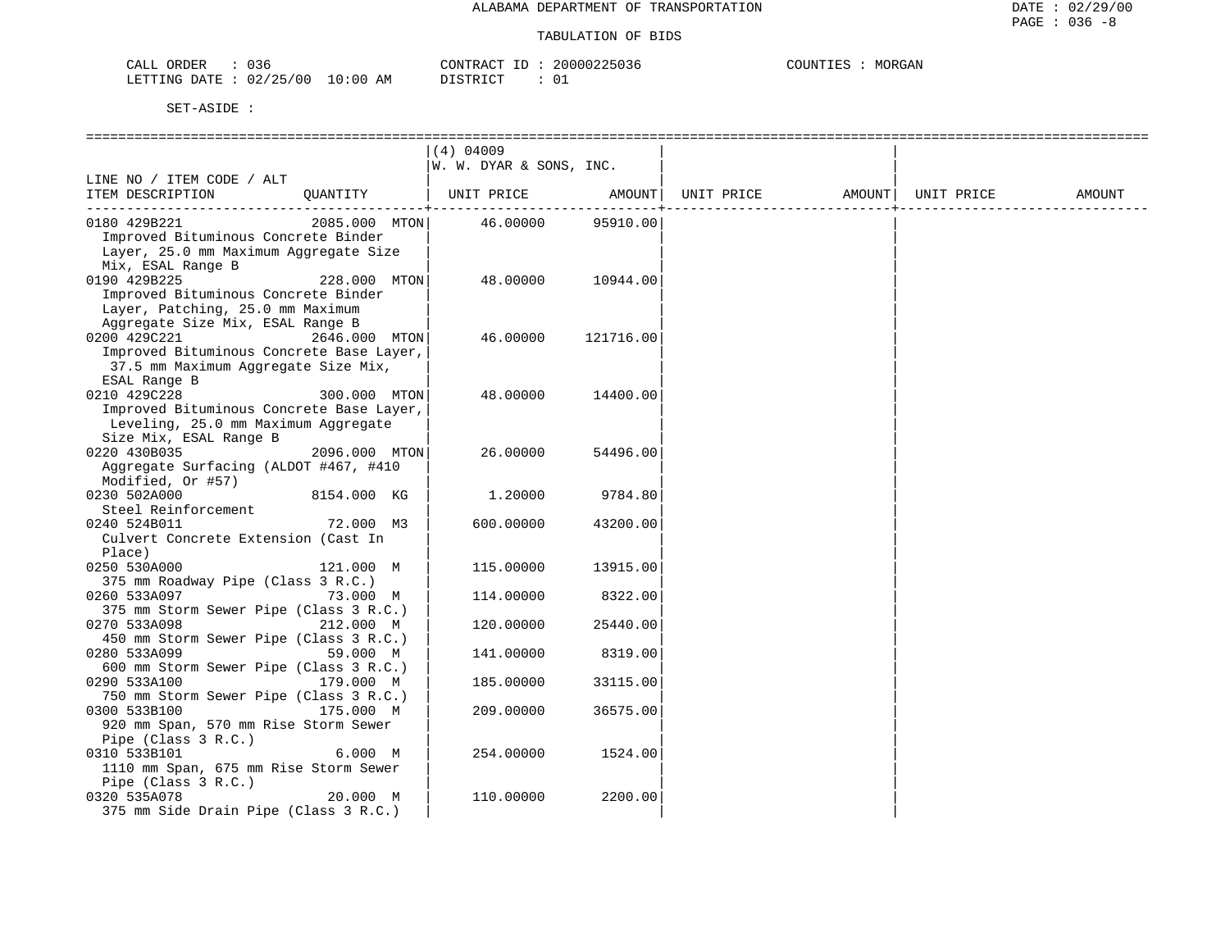| CALL ORDER<br>036               |          | CONTRACT ID: 20000225036 | MORGAN<br>COUNTIES |
|---------------------------------|----------|--------------------------|--------------------|
| LETTING DATE: 02/25/00 10:00 AM | DISTRICT | ڌ 0                      |                    |

|                                          |               | $(4)$ 04009             |           |            |        |            |        |
|------------------------------------------|---------------|-------------------------|-----------|------------|--------|------------|--------|
|                                          |               | W. W. DYAR & SONS, INC. |           |            |        |            |        |
| LINE NO / ITEM CODE / ALT                |               |                         |           |            |        |            |        |
| ITEM DESCRIPTION                         | OUANTITY      | UNIT PRICE              | AMOUNT    | UNIT PRICE | AMOUNT | UNIT PRICE | AMOUNT |
|                                          |               |                         |           |            |        |            |        |
| 0180 429B221                             | 2085.000 MTON | 46.00000                | 95910.00  |            |        |            |        |
| Improved Bituminous Concrete Binder      |               |                         |           |            |        |            |        |
| Layer, 25.0 mm Maximum Aggregate Size    |               |                         |           |            |        |            |        |
| Mix, ESAL Range B                        |               |                         |           |            |        |            |        |
| 0190 429B225                             | 228.000 MTON  | 48.00000                | 10944.00  |            |        |            |        |
| Improved Bituminous Concrete Binder      |               |                         |           |            |        |            |        |
| Layer, Patching, 25.0 mm Maximum         |               |                         |           |            |        |            |        |
| Aggregate Size Mix, ESAL Range B         |               |                         |           |            |        |            |        |
| 0200 429C221                             | 2646.000 MTON | 46.00000                | 121716.00 |            |        |            |        |
| Improved Bituminous Concrete Base Layer, |               |                         |           |            |        |            |        |
| 37.5 mm Maximum Aggregate Size Mix,      |               |                         |           |            |        |            |        |
| ESAL Range B                             |               |                         |           |            |        |            |        |
| 0210 429C228                             | 300.000 MTON  | 48.00000                | 14400.00  |            |        |            |        |
| Improved Bituminous Concrete Base Layer, |               |                         |           |            |        |            |        |
| Leveling, 25.0 mm Maximum Aggregate      |               |                         |           |            |        |            |        |
| Size Mix, ESAL Range B                   |               |                         |           |            |        |            |        |
| 0220 430B035                             | 2096.000 MTON | 26.00000                | 54496.00  |            |        |            |        |
| Aggregate Surfacing (ALDOT #467, #410    |               |                         |           |            |        |            |        |
| Modified, Or #57)                        |               |                         |           |            |        |            |        |
| 0230 502A000                             | 8154.000 KG   | 1.20000                 | 9784.80   |            |        |            |        |
| Steel Reinforcement                      |               |                         |           |            |        |            |        |
| 0240 524B011                             | 72.000 M3     | 600.00000               | 43200.00  |            |        |            |        |
| Culvert Concrete Extension (Cast In      |               |                         |           |            |        |            |        |
| Place)<br>0250 530A000                   | 121.000 M     | 115.00000               | 13915.00  |            |        |            |        |
| 375 mm Roadway Pipe (Class 3 R.C.)       |               |                         |           |            |        |            |        |
| 0260 533A097                             | 73.000 M      | 114,00000               | 8322.00   |            |        |            |        |
| 375 mm Storm Sewer Pipe (Class 3 R.C.)   |               |                         |           |            |        |            |        |
| 0270 533A098                             | 212.000 M     | 120.00000               | 25440.00  |            |        |            |        |
| 450 mm Storm Sewer Pipe (Class 3 R.C.)   |               |                         |           |            |        |            |        |
| 0280 533A099                             | 59.000 M      | 141.00000               | 8319.00   |            |        |            |        |
| 600 mm Storm Sewer Pipe (Class 3 R.C.)   |               |                         |           |            |        |            |        |
| 0290 533A100                             | 179.000 M     | 185.00000               | 33115.00  |            |        |            |        |
| 750 mm Storm Sewer Pipe (Class 3 R.C.)   |               |                         |           |            |        |            |        |
| 0300 533B100                             | 175.000 M     | 209.00000               | 36575.00  |            |        |            |        |
| 920 mm Span, 570 mm Rise Storm Sewer     |               |                         |           |            |        |            |        |
| Pipe (Class $3 R.C.$ )                   |               |                         |           |            |        |            |        |
| 0310 533B101                             | 6.000 M       | 254.00000               | 1524.00   |            |        |            |        |
| 1110 mm Span, 675 mm Rise Storm Sewer    |               |                         |           |            |        |            |        |
| Pipe (Class 3 R.C.)                      |               |                         |           |            |        |            |        |
| 0320 535A078                             | 20.000 M      | 110.00000               | 2200.00   |            |        |            |        |
| 375 mm Side Drain Pipe (Class 3 R.C.)    |               |                         |           |            |        |            |        |
|                                          |               |                         |           |            |        |            |        |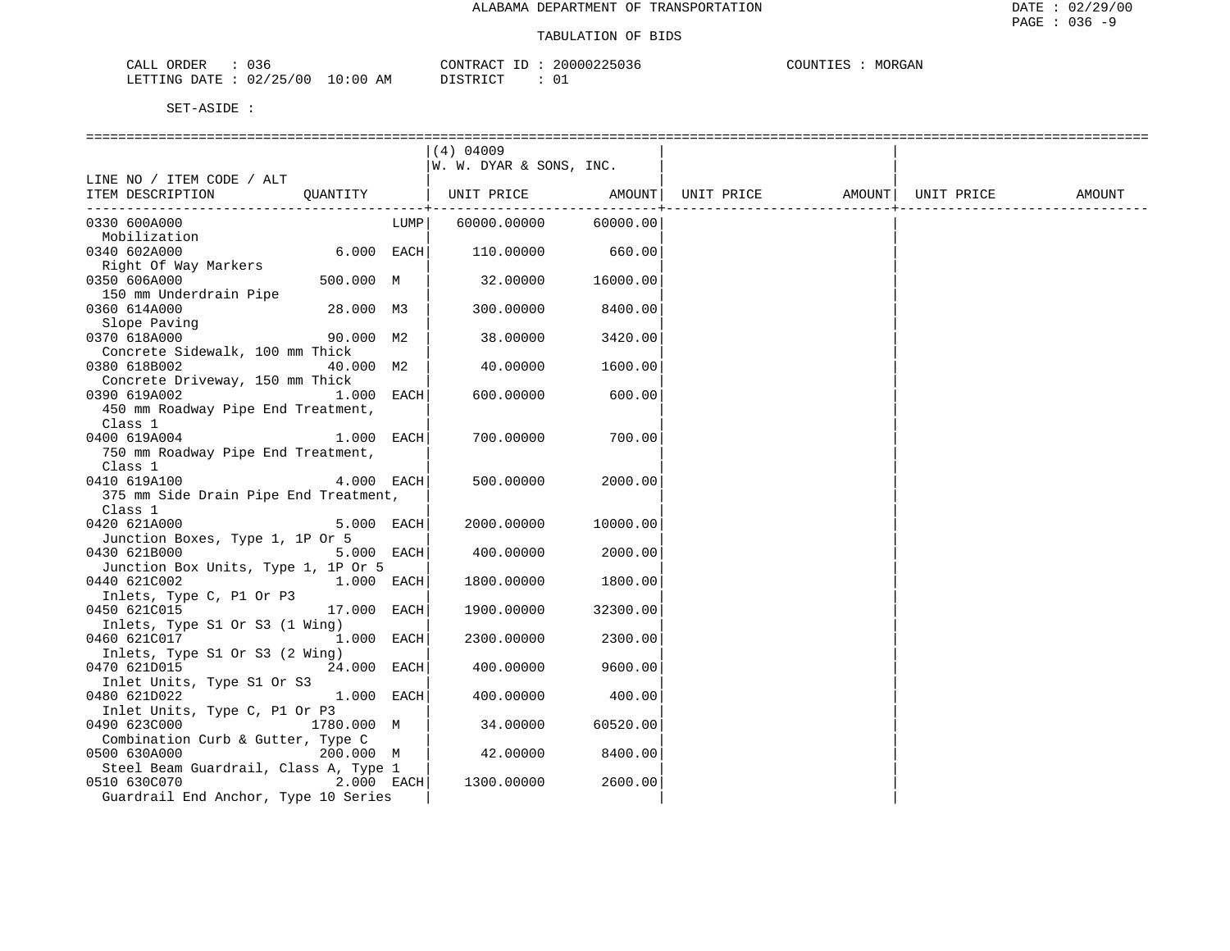| CALL ORDER<br>036               | CONTRACT ID: 20000225036 | COUNTIES :<br>MORGAN |
|---------------------------------|--------------------------|----------------------|
| LETTING DATE: 02/25/00 10:00 AM | DISTRICT                 |                      |

|                                                           |              |      | $(4)$ 04009             |                 |                                |  |        |
|-----------------------------------------------------------|--------------|------|-------------------------|-----------------|--------------------------------|--|--------|
|                                                           |              |      | W. W. DYAR & SONS, INC. |                 |                                |  |        |
| LINE NO / ITEM CODE / ALT                                 |              |      |                         |                 |                                |  |        |
| ITEM DESCRIPTION                                          | QUANTITY     |      | UNIT PRICE AMOUNT       |                 | UNIT PRICE AMOUNT   UNIT PRICE |  | AMOUNT |
| ---------------------------                               |              |      |                         | --------------- |                                |  |        |
| 0330 600A000                                              |              | LUMP | 60000.00000             | 60000.00        |                                |  |        |
| Mobilization                                              |              |      |                         |                 |                                |  |        |
| 0340 602A000                                              | $6.000$ EACH |      | 110.00000               | 660.00          |                                |  |        |
| Right Of Way Markers                                      |              |      |                         |                 |                                |  |        |
| 0350 606A000                                              | 500.000 M    |      | 32.00000                | 16000.00        |                                |  |        |
| 150 mm Underdrain Pipe                                    |              |      |                         |                 |                                |  |        |
| 0360 614A000                                              | 28.000 M3    |      | 300.00000               | 8400.00         |                                |  |        |
| Slope Paving                                              |              |      |                         |                 |                                |  |        |
| 0370 618A000                                              | 90.000 M2    |      | 38.00000                | 3420.00         |                                |  |        |
| Concrete Sidewalk, 100 mm Thick                           |              |      |                         |                 |                                |  |        |
| 0380 618B002                                              | 40.000 M2    |      | 40.00000                | 1600.00         |                                |  |        |
| Concrete Driveway, 150 mm Thick                           |              |      |                         |                 |                                |  |        |
| 0390 619A002                                              | 1.000 EACH   |      | 600.00000               | 600.00          |                                |  |        |
| 450 mm Roadway Pipe End Treatment,                        |              |      |                         |                 |                                |  |        |
| Class 1                                                   |              |      |                         |                 |                                |  |        |
| 0400 619A004                                              | 1.000 EACH   |      | 700.00000               | 700.00          |                                |  |        |
| 750 mm Roadway Pipe End Treatment,                        |              |      |                         |                 |                                |  |        |
| Class 1                                                   |              |      |                         |                 |                                |  |        |
| 0410 619A100                                              | 4.000 EACH   |      | 500.00000               | 2000.00         |                                |  |        |
| 375 mm Side Drain Pipe End Treatment,                     |              |      |                         |                 |                                |  |        |
| Class 1                                                   |              |      |                         |                 |                                |  |        |
| 0420 621A000                                              | 5.000 EACH   |      |                         | 10000.00        |                                |  |        |
|                                                           |              |      | 2000.00000              |                 |                                |  |        |
| Junction Boxes, Type 1, 1P Or 5<br>0430 621B000           | 5.000 EACH   |      | 400.00000               | 2000.00         |                                |  |        |
|                                                           |              |      |                         |                 |                                |  |        |
| Junction Box Units, Type 1, 1P Or 5                       |              |      |                         | 1800.00         |                                |  |        |
| 0440 621C002<br>Inlets, Type C, P1 Or P3                  | 1.000 EACH   |      | 1800.00000              |                 |                                |  |        |
|                                                           | 17.000 EACH  |      |                         |                 |                                |  |        |
| 0450 621C015                                              |              |      | 1900.00000              | 32300.00        |                                |  |        |
| Inlets, Type S1 Or S3 (1 Wing)<br>0460 621C017 1.000 EACH |              |      |                         |                 |                                |  |        |
|                                                           |              |      | 2300.00000              | 2300.00         |                                |  |        |
| Inlets, Type S1 Or S3 (2 Wing)                            |              |      |                         |                 |                                |  |        |
| 0470 621D015                                              | 24.000 EACH  |      | 400.00000               | 9600.00         |                                |  |        |
| Inlet Units, Type S1 Or S3                                |              |      |                         |                 |                                |  |        |
| 0480 621D022                                              | 1.000 EACH   |      | 400.00000               | 400.00          |                                |  |        |
| Inlet Units, Type C, P1 Or P3                             |              |      |                         |                 |                                |  |        |
| 0490 623C000                                              | 1780.000 M   |      | 34.00000                | 60520.00        |                                |  |        |
| Combination Curb & Gutter, Type C                         |              |      |                         |                 |                                |  |        |
| 0500 630A000                                              | 200.000 M    |      | 42.00000                | 8400.00         |                                |  |        |
| Steel Beam Guardrail, Class A, Type 1                     |              |      |                         |                 |                                |  |        |
| 0510 630C070                                              | $2.000$ EACH |      | 1300.00000              | 2600.00         |                                |  |        |
| Guardrail End Anchor, Type 10 Series                      |              |      |                         |                 |                                |  |        |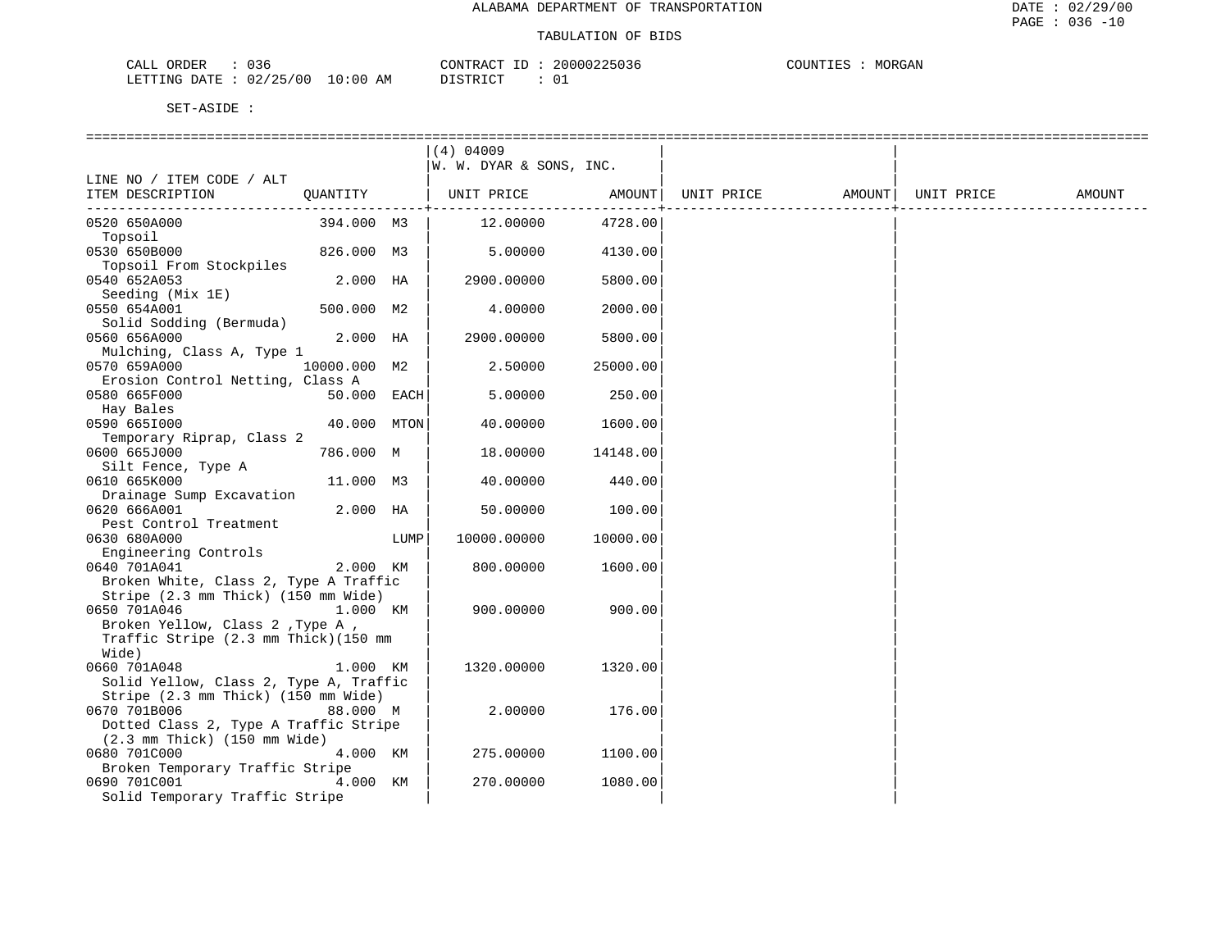| 036<br>ORDER                                                                                                       | 225036<br>$T$ $\cap$ $T$ $T$ $D$ .<br>$\land$ $\land$<br>∙nnnn′<br>$\kappa$ A $\kappa$ | <b>COUNTIF</b><br>MORGAN |  |
|--------------------------------------------------------------------------------------------------------------------|----------------------------------------------------------------------------------------|--------------------------|--|
| $\sqrt{2}$<br>100<br>10:00<br>LETTING<br>DATF<br>ΑM<br>$\sim$ $\sim$<br>$\overline{\phantom{a}}$<br>∪∠<br><u>_</u> | TAT<br><b>CTE</b><br>-----                                                             |                          |  |

|                                                                                          |              |      | (4) 04009<br>W. W. DYAR & SONS, INC. |          |            |        |            |        |
|------------------------------------------------------------------------------------------|--------------|------|--------------------------------------|----------|------------|--------|------------|--------|
| LINE NO / ITEM CODE / ALT                                                                |              |      |                                      |          |            |        |            |        |
| ITEM DESCRIPTION                                                                         | QUANTITY     |      | UNIT PRICE AMOUNT                    |          | UNIT PRICE | AMOUNT | UNIT PRICE | AMOUNT |
| 0520 650A000<br>Topsoil                                                                  | 394.000 M3   |      | 12.00000                             | 4728.00  |            |        |            |        |
| 0530 650B000<br>Topsoil From Stockpiles                                                  | 826.000 M3   |      | 5.00000                              | 4130.00  |            |        |            |        |
| 0540 652A053<br>Seeding (Mix 1E)                                                         | $2.000$ HA   |      | 2900.00000                           | 5800.00  |            |        |            |        |
| 0550 654A001<br>Solid Sodding (Bermuda)                                                  | 500.000 M2   |      | 4.00000                              | 2000.00  |            |        |            |        |
| 0560 656A000<br>Mulching, Class A, Type 1                                                | 2.000 HA     |      | 2900.00000                           | 5800.00  |            |        |            |        |
| 0570 659A000<br>Erosion Control Netting, Class A                                         | 10000.000 M2 |      | 2.50000                              | 25000.00 |            |        |            |        |
| 0580 665F000                                                                             | 50.000 EACH  |      | 5.00000                              | 250.00   |            |        |            |        |
| Hay Bales<br>0590 6651000                                                                | 40.000 MTON  |      | 40.00000                             | 1600.00  |            |        |            |        |
| Temporary Riprap, Class 2<br>0600 665J000                                                | 786.000 M    |      | 18.00000                             | 14148.00 |            |        |            |        |
| Silt Fence, Type A<br>0610 665K000                                                       | 11.000 M3    |      | 40.00000                             | 440.00   |            |        |            |        |
| Drainage Sump Excavation<br>0620 666A001                                                 | 2.000 HA     |      | 50.00000                             | 100.00   |            |        |            |        |
| Pest Control Treatment<br>0630 680A000                                                   |              | LUMP | 10000.00000                          | 10000.00 |            |        |            |        |
| Engineering Controls<br>0640 701A041                                                     | 2.000 KM     |      | 800.00000                            | 1600.00  |            |        |            |        |
| Broken White, Class 2, Type A Traffic<br>Stripe (2.3 mm Thick) (150 mm Wide)             |              |      |                                      |          |            |        |            |        |
| 0650 701A046<br>Broken Yellow, Class 2, Type A,<br>Traffic Stripe (2.3 mm Thick) (150 mm | 1.000 KM     |      | 900.00000                            | 900.00   |            |        |            |        |
| Wide)<br>0660 701A048                                                                    | 1.000 KM     |      | 1320.00000                           | 1320.00  |            |        |            |        |
| Solid Yellow, Class 2, Type A, Traffic<br>Stripe (2.3 mm Thick) (150 mm Wide)            |              |      |                                      |          |            |        |            |        |
| 0670 701B006<br>Dotted Class 2, Type A Traffic Stripe                                    | 88.000 M     |      | 2,00000                              | 176.00   |            |        |            |        |
| $(2.3 \, \text{mm} \, \text{Thick})$ $(150 \, \text{mm} \, \text{Wide})$<br>0680 701C000 | 4.000 KM     |      | 275.00000                            | 1100.00  |            |        |            |        |
| Broken Temporary Traffic Stripe<br>0690 701C001<br>Solid Temporary Traffic Stripe        | 4.000 KM     |      | 270.00000                            | 1080.00  |            |        |            |        |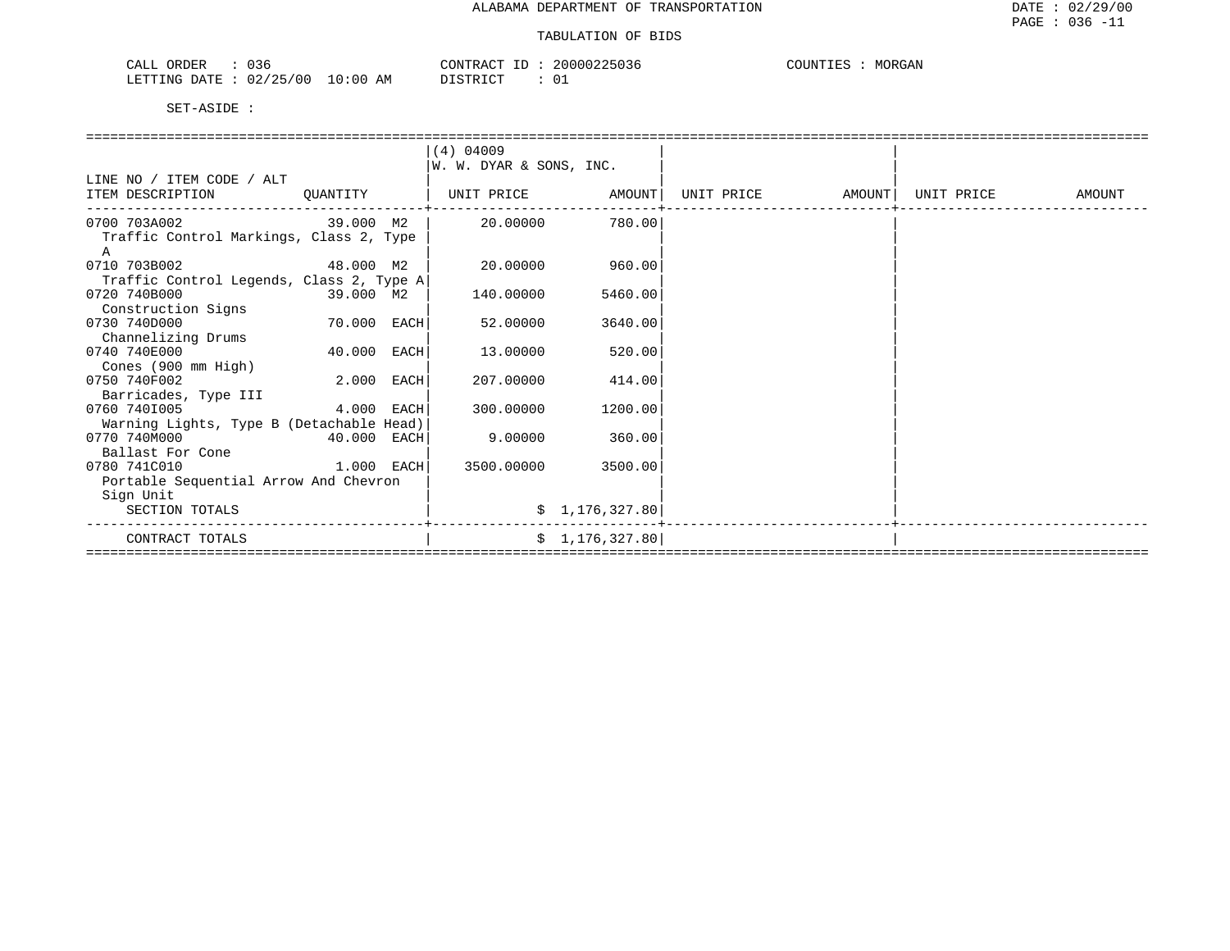| 036<br>ORDER<br>CALL                 | 20000225036<br>CONTRACT<br>ID | MORGAN<br>COUNTIES |
|--------------------------------------|-------------------------------|--------------------|
| $10:00$ AM<br>LETTING DATE: 02/25/00 | $0^{\degree}$<br>DISTRICT     |                    |

|                                          |              |      | $(4)$ 04009             |                |            |        |            |        |  |  |  |  |
|------------------------------------------|--------------|------|-------------------------|----------------|------------|--------|------------|--------|--|--|--|--|
|                                          |              |      | W. W. DYAR & SONS, INC. |                |            |        |            |        |  |  |  |  |
| LINE NO / ITEM CODE / ALT                |              |      |                         |                |            |        |            |        |  |  |  |  |
| ITEM DESCRIPTION                         | QUANTITY     |      | UNIT PRICE              | AMOUNT         | UNIT PRICE | AMOUNT | UNIT PRICE | AMOUNT |  |  |  |  |
| 0700 703A002                             | 39.000 M2    |      | 20,00000                | 780.00         |            |        |            |        |  |  |  |  |
| Traffic Control Markings, Class 2, Type  |              |      |                         |                |            |        |            |        |  |  |  |  |
| A                                        |              |      |                         |                |            |        |            |        |  |  |  |  |
| 0710 703B002                             | 48.000 M2    |      | 20.00000                | 960.00         |            |        |            |        |  |  |  |  |
| Traffic Control Legends, Class 2, Type A |              |      |                         |                |            |        |            |        |  |  |  |  |
| 0720 740B000                             | 39.000 M2    |      | 140.00000               | 5460.00        |            |        |            |        |  |  |  |  |
| Construction Signs                       |              |      |                         |                |            |        |            |        |  |  |  |  |
| 0730 740D000                             | 70.000       | EACH | 52.00000                | 3640.00        |            |        |            |        |  |  |  |  |
| Channelizing Drums                       |              |      |                         |                |            |        |            |        |  |  |  |  |
| 0740 740E000                             | 40.000       | EACH | 13,00000                | 520.00         |            |        |            |        |  |  |  |  |
| Cones (900 mm High)                      |              |      |                         |                |            |        |            |        |  |  |  |  |
| 0750 740F002                             | 2.000        | EACH | 207.00000               | 414.00         |            |        |            |        |  |  |  |  |
| Barricades, Type III                     |              |      |                         |                |            |        |            |        |  |  |  |  |
| 0760 7401005                             | 4.000        | EACH | 300.00000               | 1200.00        |            |        |            |        |  |  |  |  |
| Warning Lights, Type B (Detachable Head) |              |      |                         |                |            |        |            |        |  |  |  |  |
| 0770 740M000                             | 40.000 EACH  |      | 9,00000                 | 360.00         |            |        |            |        |  |  |  |  |
| Ballast For Cone                         |              |      |                         |                |            |        |            |        |  |  |  |  |
| 0780 741C010                             | $1.000$ EACH |      | 3500.00000              | 3500.00        |            |        |            |        |  |  |  |  |
| Portable Sequential Arrow And Chevron    |              |      |                         |                |            |        |            |        |  |  |  |  |
| Sign Unit                                |              |      |                         |                |            |        |            |        |  |  |  |  |
| SECTION TOTALS                           |              |      |                         | \$1,176,327.80 |            |        |            |        |  |  |  |  |
| CONTRACT TOTALS                          |              |      |                         | \$1,176,327.80 |            |        |            |        |  |  |  |  |
|                                          |              |      |                         |                |            |        |            |        |  |  |  |  |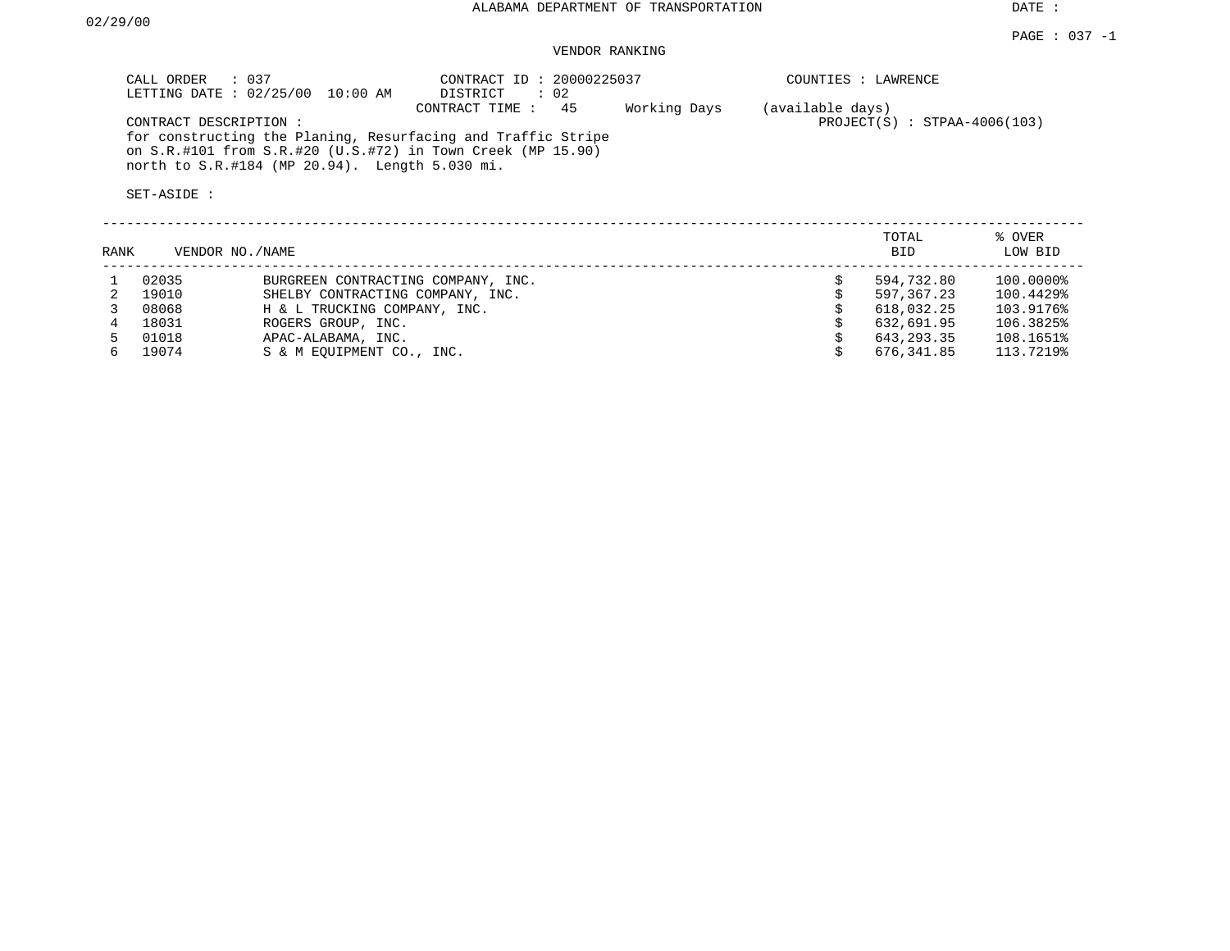# VENDOR RANKING

| $\therefore$ 0.37<br>CALL ORDER<br>LETTING DATE: 02/25/00<br>10:00 AM                                                                                                                                        | CONTRACT ID: 20000225037<br>$\therefore$ 02<br>DISTRICT |              | COUNTIES : LAWRENCE                                |        |
|--------------------------------------------------------------------------------------------------------------------------------------------------------------------------------------------------------------|---------------------------------------------------------|--------------|----------------------------------------------------|--------|
| CONTRACT DESCRIPTION:<br>for constructing the Planing, Resurfacing and Traffic Stripe<br>on $S.R.$ #101 from $S.R.$ #20 (U.S.#72) in Town Creek (MP 15.90)<br>north to S.R.#184 (MP 20.94). Length 5.030 mi. | -45<br>CONTRACT TIME:                                   | Working Days | (available days)<br>$PROJECT(S)$ : STPAA-4006(103) |        |
| SET-ASIDE:                                                                                                                                                                                                   |                                                         |              |                                                    |        |
|                                                                                                                                                                                                              |                                                         |              | TOTAL.                                             | % OVER |

| RANK | VENDOR NO./NAME |                                    | <b>BID</b> | LOW BID   |
|------|-----------------|------------------------------------|------------|-----------|
|      | 02035           | BURGREEN CONTRACTING COMPANY, INC. | 594,732.80 | 100.0000% |
|      | 19010           | SHELBY CONTRACTING COMPANY, INC.   | 597,367.23 | 100.4429% |
|      | 08068           | H & L TRUCKING COMPANY, INC.       | 618,032.25 | 103.9176% |
|      | 18031           | ROGERS GROUP, INC.                 | 632,691.95 | 106.3825% |
|      | 01018           | APAC-ALABAMA, INC.                 | 643,293.35 | 108.1651% |
| ნ.   | 19074           | S & M EOUIPMENT CO., INC.          | 676,341.85 | 113.7219% |
|      |                 |                                    |            |           |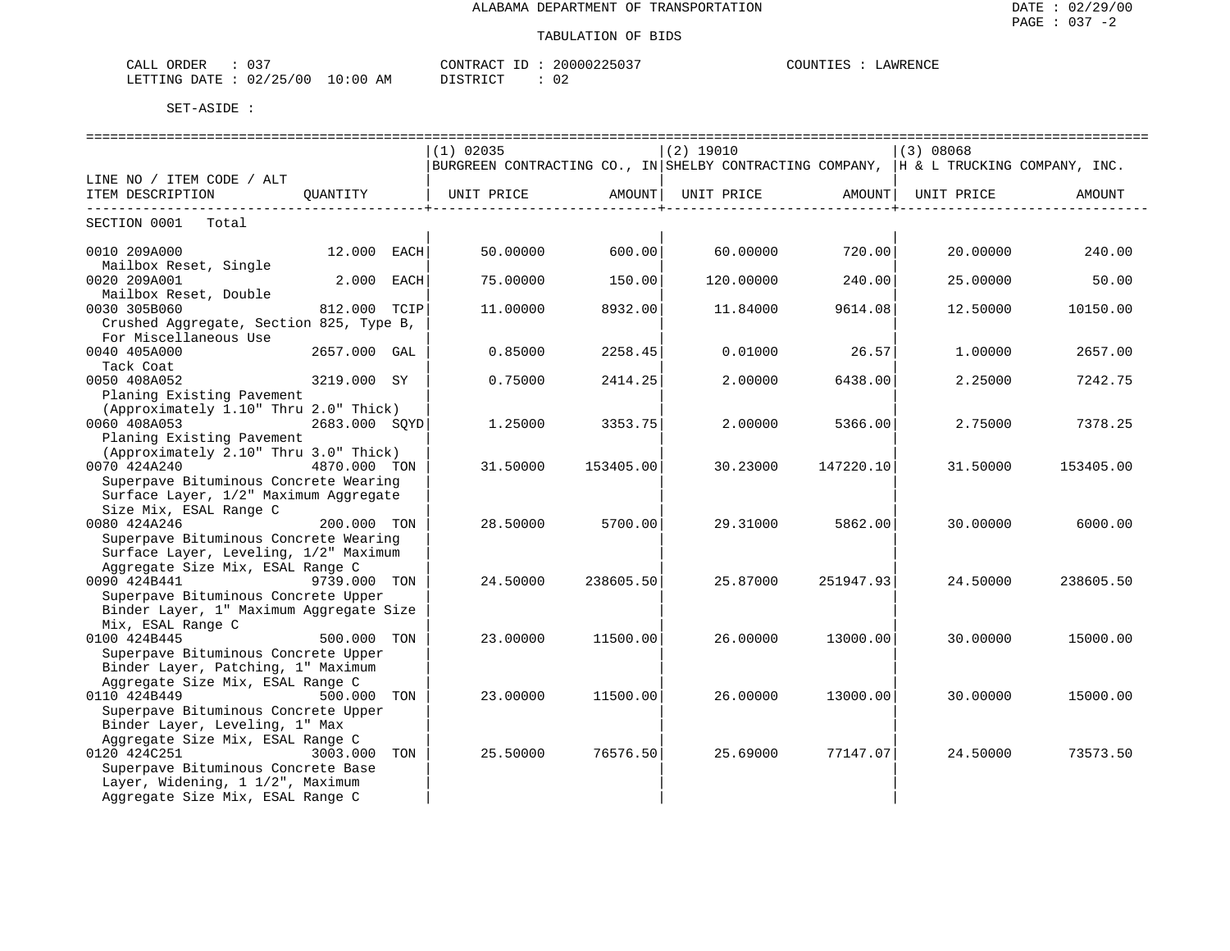| $\cap$ $\cap$<br>ORDER<br>וזהר<br>ىلىلل<br>ັບ       |                    | CONTRACT<br>$-$ | 00225037       | LAWRENCE<br>JNTIES |
|-----------------------------------------------------|--------------------|-----------------|----------------|--------------------|
| 02 <sub>l</sub><br>ノつに<br>מתדיחים<br>' 0 (<br>חת בח | 10:00<br>AΜ<br>111 | <b>CTRIC</b>    | <u>_</u><br>◡▵ |                    |

| ============================                          |               |     |                                                                                           |           |                                |           |           |           |  |  |
|-------------------------------------------------------|---------------|-----|-------------------------------------------------------------------------------------------|-----------|--------------------------------|-----------|-----------|-----------|--|--|
|                                                       |               |     | $(1)$ 02035                                                                               |           | $(2)$ 19010                    |           | (3) 08068 |           |  |  |
|                                                       |               |     | BURGREEN CONTRACTING CO., IN SHELBY CONTRACTING COMPANY, $ H \& L$ TRUCKING COMPANY, INC. |           |                                |           |           |           |  |  |
| LINE NO / ITEM CODE / ALT                             |               |     |                                                                                           |           |                                |           |           |           |  |  |
| ITEM DESCRIPTION                                      | QUANTITY      |     | UNIT PRICE AMOUNT                                                                         |           | UNIT PRICE AMOUNT   UNIT PRICE |           |           | AMOUNT    |  |  |
|                                                       |               |     |                                                                                           |           |                                |           |           |           |  |  |
| SECTION 0001<br>Total                                 |               |     |                                                                                           |           |                                |           |           |           |  |  |
| 0010 209A000                                          | 12.000 EACH   |     | 50.00000                                                                                  | 600.00    | 60.00000                       | 720.00    | 20.00000  | 240.00    |  |  |
| Mailbox Reset, Single                                 |               |     |                                                                                           |           |                                |           |           |           |  |  |
| 0020 209A001                                          | 2.000 EACH    |     | 75.00000                                                                                  | 150.00    | 120.00000                      | 240.00    | 25.00000  | 50.00     |  |  |
| Mailbox Reset, Double                                 |               |     |                                                                                           |           |                                |           |           |           |  |  |
| 0030 305B060                                          | 812.000 TCIP  |     | 11.00000                                                                                  | 8932.00   | 11.84000                       | 9614.08   | 12.50000  | 10150.00  |  |  |
| Crushed Aggregate, Section 825, Type B,               |               |     |                                                                                           |           |                                |           |           |           |  |  |
| For Miscellaneous Use                                 |               |     |                                                                                           |           |                                |           |           |           |  |  |
| 0040 405A000                                          | 2657.000 GAL  |     | 0.85000                                                                                   | 2258.45   | 0.01000                        | 26.57     | 1,00000   | 2657.00   |  |  |
| Tack Coat                                             |               |     |                                                                                           |           |                                |           |           |           |  |  |
| 0050 408A052                                          | 3219.000 SY   |     | 0.75000                                                                                   | 2414.25   | 2,00000                        | 6438.00   | 2.25000   | 7242.75   |  |  |
| Planing Existing Pavement                             |               |     |                                                                                           |           |                                |           |           |           |  |  |
| (Approximately 1.10" Thru 2.0" Thick)                 |               |     |                                                                                           |           |                                |           |           |           |  |  |
| 0060 408A053                                          | 2683.000 SOYD |     | 1.25000                                                                                   | 3353.75   | 2,00000                        | 5366.00   | 2.75000   | 7378.25   |  |  |
| Planing Existing Pavement                             |               |     |                                                                                           |           |                                |           |           |           |  |  |
| (Approximately 2.10" Thru 3.0" Thick)<br>0070 424A240 | 4870.000 TON  |     | 31.50000                                                                                  | 153405.00 | 30.23000                       | 147220.10 | 31.50000  | 153405.00 |  |  |
| Superpave Bituminous Concrete Wearing                 |               |     |                                                                                           |           |                                |           |           |           |  |  |
| Surface Layer, 1/2" Maximum Aggregate                 |               |     |                                                                                           |           |                                |           |           |           |  |  |
| Size Mix, ESAL Range C                                |               |     |                                                                                           |           |                                |           |           |           |  |  |
| 0080 424A246                                          | 200.000 TON   |     | 28.50000                                                                                  | 5700.00   | 29.31000                       | 5862.00   | 30.00000  | 6000.00   |  |  |
| Superpave Bituminous Concrete Wearing                 |               |     |                                                                                           |           |                                |           |           |           |  |  |
| Surface Layer, Leveling, 1/2" Maximum                 |               |     |                                                                                           |           |                                |           |           |           |  |  |
| Aggregate Size Mix, ESAL Range C                      |               |     |                                                                                           |           |                                |           |           |           |  |  |
| 0090 424B441                                          | 9739.000 TON  |     | 24.50000                                                                                  | 238605.50 | 25.87000                       | 251947.93 | 24.50000  | 238605.50 |  |  |
| Superpave Bituminous Concrete Upper                   |               |     |                                                                                           |           |                                |           |           |           |  |  |
| Binder Layer, 1" Maximum Aggregate Size               |               |     |                                                                                           |           |                                |           |           |           |  |  |
| Mix, ESAL Range C                                     |               |     |                                                                                           |           |                                |           |           |           |  |  |
| 0100 424B445                                          | 500.000 TON   |     | 23.00000                                                                                  | 11500.00  | 26.00000                       | 13000.00  | 30.00000  | 15000.00  |  |  |
| Superpave Bituminous Concrete Upper                   |               |     |                                                                                           |           |                                |           |           |           |  |  |
| Binder Layer, Patching, 1" Maximum                    |               |     |                                                                                           |           |                                |           |           |           |  |  |
| Aggregate Size Mix, ESAL Range C                      |               |     |                                                                                           |           |                                |           |           |           |  |  |
| 0110 424B449                                          | 500.000       | TON | 23.00000                                                                                  | 11500.00  | 26.00000                       | 13000.00  | 30.00000  | 15000.00  |  |  |
| Superpave Bituminous Concrete Upper                   |               |     |                                                                                           |           |                                |           |           |           |  |  |
| Binder Layer, Leveling, 1" Max                        |               |     |                                                                                           |           |                                |           |           |           |  |  |
| Aggregate Size Mix, ESAL Range C<br>0120 424C251      | 3003.000      | TON | 25.50000                                                                                  | 76576.50  | 25.69000                       | 77147.07  | 24.50000  | 73573.50  |  |  |
| Superpave Bituminous Concrete Base                    |               |     |                                                                                           |           |                                |           |           |           |  |  |
| Layer, Widening, 1 1/2", Maximum                      |               |     |                                                                                           |           |                                |           |           |           |  |  |
| Aggregate Size Mix, ESAL Range C                      |               |     |                                                                                           |           |                                |           |           |           |  |  |
|                                                       |               |     |                                                                                           |           |                                |           |           |           |  |  |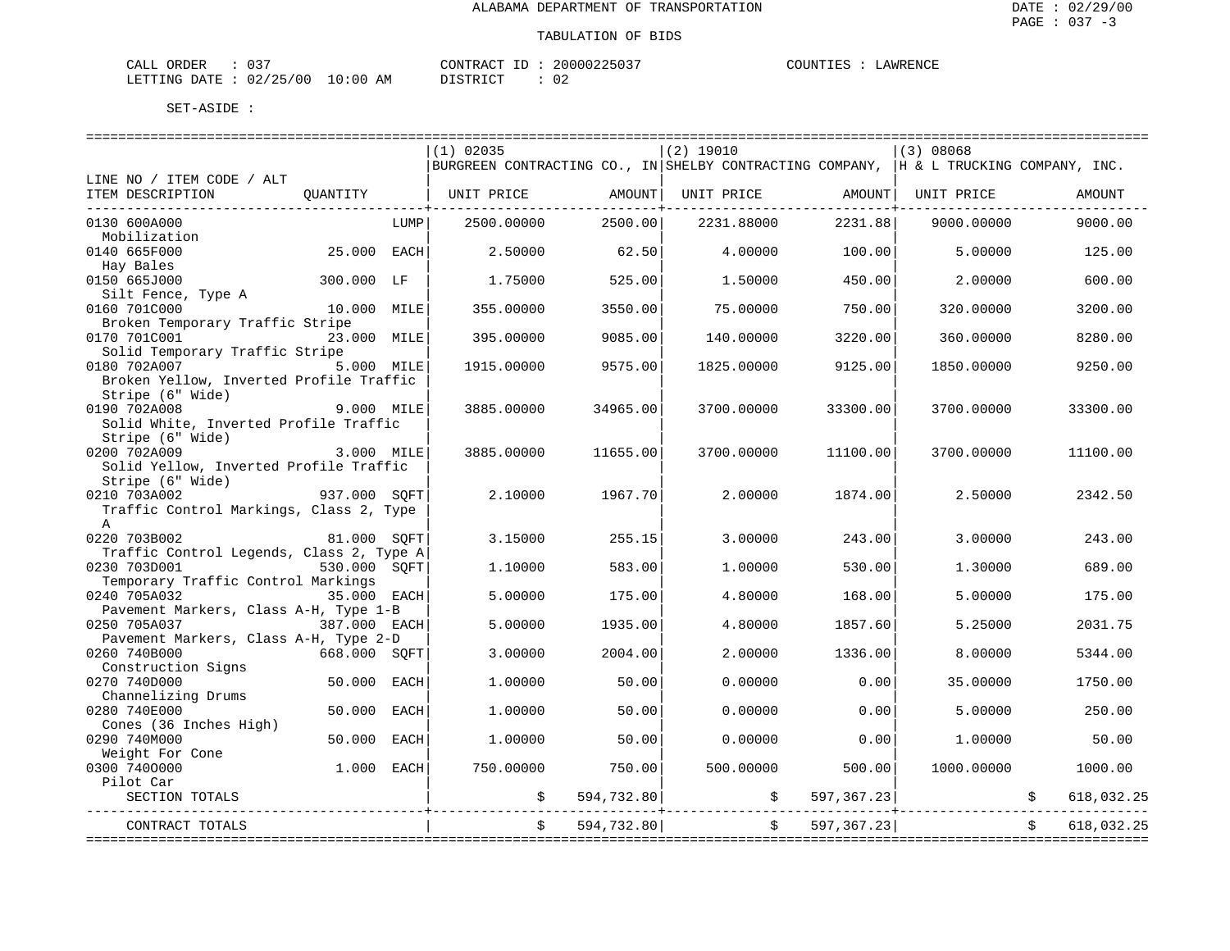LAWRENCE

| CALL ORDER                      | 037 |          |  | CONTRACT ID: 20000225037 | COUNTIES : | LAWRENCE |
|---------------------------------|-----|----------|--|--------------------------|------------|----------|
| LETTING DATE: 02/25/00 10:00 AM |     | DISTRICT |  | -02                      |            |          |

|                                                         |              |            | $(1)$ 02035                                                                               |            | $(2)$ 19010 |                           | (3) 08068  |                          |
|---------------------------------------------------------|--------------|------------|-------------------------------------------------------------------------------------------|------------|-------------|---------------------------|------------|--------------------------|
|                                                         |              |            | BURGREEN CONTRACTING CO., IN SHELBY CONTRACTING COMPANY, $ $ H & L TRUCKING COMPANY, INC. |            |             |                           |            |                          |
| LINE NO / ITEM CODE / ALT                               |              |            |                                                                                           |            |             |                           |            |                          |
| ITEM DESCRIPTION                                        | QUANTITY     |            | UNIT PRICE                                                                                | AMOUNT     | UNIT PRICE  | AMOUNT                    | UNIT PRICE | AMOUNT                   |
| 0130 600A000                                            |              | LUMP       | 2500.00000                                                                                | 2500.00    | 2231.88000  | ------------+-<br>2231.88 | 9000.00000 | 9000.00                  |
| Mobilization                                            |              |            |                                                                                           |            |             |                           |            |                          |
| 0140 665F000                                            | 25.000 EACH  |            | 2.50000                                                                                   | 62.50      | 4.00000     | 100.00                    | 5.00000    | 125.00                   |
| Hay Bales                                               |              |            |                                                                                           |            |             |                           |            |                          |
| 0150 665J000                                            | 300.000 LF   |            | 1.75000                                                                                   | 525.00     | 1,50000     | 450.00                    | 2,00000    | 600.00                   |
| Silt Fence, Type A                                      |              |            |                                                                                           |            |             |                           |            |                          |
| 0160 701C000                                            | 10.000 MILE  |            | 355.00000                                                                                 | 3550.00    | 75.00000    | 750.00                    | 320.00000  | 3200.00                  |
| Broken Temporary Traffic Stripe                         |              |            |                                                                                           |            |             |                           |            |                          |
| 0170 701C001                                            | 23.000 MILE  |            | 395.00000                                                                                 | 9085.00    | 140.00000   | 3220.00                   | 360.00000  | 8280.00                  |
| Solid Temporary Traffic Stripe                          |              |            |                                                                                           |            |             |                           |            |                          |
| 0180 702A007                                            | 5.000 MILE   |            | 1915.00000                                                                                | 9575.00    | 1825.00000  | 9125.00                   | 1850.00000 | 9250.00                  |
| Broken Yellow, Inverted Profile Traffic                 |              |            |                                                                                           |            |             |                           |            |                          |
| Stripe (6" Wide)                                        |              |            |                                                                                           |            |             |                           |            |                          |
| 0190 702A008                                            |              | 9.000 MILE | 3885.00000                                                                                | 34965.00   | 3700.00000  | 33300.00                  | 3700.00000 | 33300.00                 |
| Solid White, Inverted Profile Traffic                   |              |            |                                                                                           |            |             |                           |            |                          |
| Stripe (6" Wide)                                        |              |            |                                                                                           |            |             |                           |            |                          |
| 0200 702A009                                            | 3.000 MILE   |            | 3885.00000                                                                                | 11655.00   | 3700.00000  | 11100.00                  | 3700.00000 | 11100.00                 |
| Solid Yellow, Inverted Profile Traffic                  |              |            |                                                                                           |            |             |                           |            |                          |
| Stripe (6" Wide)                                        |              |            |                                                                                           |            |             |                           |            |                          |
| 0210 703A002                                            | 937.000 SOFT |            | 2.10000                                                                                   | 1967.70    | 2.00000     | 1874.00                   | 2.50000    | 2342.50                  |
| Traffic Control Markings, Class 2, Type<br>$\mathbb{A}$ |              |            |                                                                                           |            |             |                           |            |                          |
| 0220 703B002                                            | 81.000 SOFT  |            | 3.15000                                                                                   | 255.15     | 3.00000     | 243.00                    | 3.00000    | 243.00                   |
| Traffic Control Legends, Class 2, Type A                |              |            |                                                                                           |            |             |                           |            |                          |
| 0230 703D001                                            | 530.000 SOFT |            | 1.10000                                                                                   | 583.00     | 1,00000     | 530.00                    | 1,30000    | 689.00                   |
| Temporary Traffic Control Markings                      |              |            |                                                                                           |            |             |                           |            |                          |
| 0240 705A032                                            | 35.000 EACH  |            | 5.00000                                                                                   | 175.00     | 4.80000     | 168.00                    | 5.00000    | 175.00                   |
| Pavement Markers, Class A-H, Type 1-B                   |              |            |                                                                                           |            |             |                           |            |                          |
| 0250 705A037                                            | 387.000 EACH |            | 5.00000                                                                                   | 1935.00    | 4.80000     | 1857.60                   | 5.25000    | 2031.75                  |
| Pavement Markers, Class A-H, Type 2-D                   |              |            |                                                                                           |            |             |                           |            |                          |
| 0260 740B000                                            | 668.000 SOFT |            | 3.00000                                                                                   | 2004.00    | 2.00000     | 1336.00                   | 8.00000    | 5344.00                  |
| Construction Signs                                      |              |            |                                                                                           |            |             |                           |            |                          |
| 0270 740D000                                            | 50.000       | EACH       | 1,00000                                                                                   | 50.00      | 0.00000     | 0.00                      | 35.00000   | 1750.00                  |
| Channelizing Drums                                      |              |            |                                                                                           |            |             |                           |            |                          |
| 0280 740E000                                            | 50.000       | EACH       | 1,00000                                                                                   | 50.00      | 0.00000     | 0.00                      | 5.00000    | 250.00                   |
| Cones (36 Inches High)                                  |              |            |                                                                                           |            |             |                           |            |                          |
| 0290 740M000                                            | 50.000       | EACH       | 1,00000                                                                                   | 50.00      | 0.00000     | 0.00                      | 1,00000    | 50.00                    |
| Weight For Cone                                         |              |            |                                                                                           |            |             |                           |            |                          |
| 0300 7400000<br>Pilot Car                               | 1.000 EACH   |            | 750.00000                                                                                 | 750.00     | 500.00000   | 500.00                    | 1000.00000 | 1000.00                  |
| SECTION TOTALS                                          |              |            | \$                                                                                        | 594,732.80 | \$          | 597, 367.23               |            | 618,032.25               |
|                                                         |              |            |                                                                                           |            |             |                           |            |                          |
| CONTRACT TOTALS                                         |              |            | \$                                                                                        | 594,732.80 |             | $\ddot{s}$<br>597,367.23  |            | 618,032.25<br>$\ddot{s}$ |
|                                                         |              |            |                                                                                           |            |             |                           |            |                          |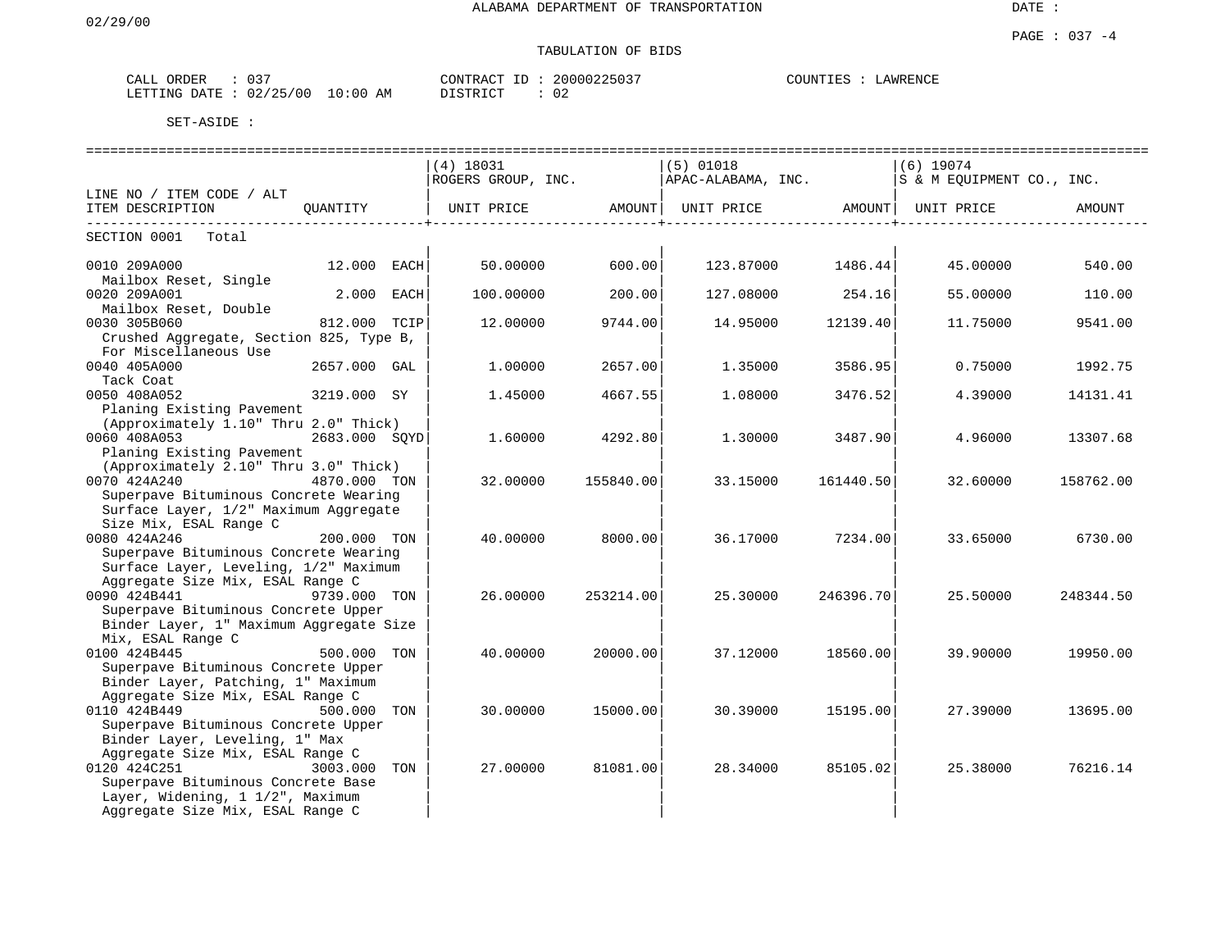# TABULATION OF BIDS

| $ -$<br>)RDER<br>ັ       |                 | $\bigcap \bigcap \mathcal{N}$<br>ਓ⊼⊂™ | .<br>:5U3 | חר⁄דות חזו<br>1 HiN∪L<br>. |
|--------------------------|-----------------|---------------------------------------|-----------|----------------------------|
| DATE<br>LETTING<br>' O C | . U : U (<br>ΆM | $T$ $C$<br>$-1$                       | ◡▵        |                            |

|                                                                                |              |     | $(4)$ 18031                                                             |                        | $(5)$ 01018 |                       | $(6)$ 19074 |           |
|--------------------------------------------------------------------------------|--------------|-----|-------------------------------------------------------------------------|------------------------|-------------|-----------------------|-------------|-----------|
|                                                                                |              |     | ROGERS GROUP, INC. $ABAC-ALABAMA$ , INC. $ S \& M EQUIPMENT CO.$ , INC. |                        |             |                       |             |           |
| LINE NO / ITEM CODE / ALT                                                      |              |     |                                                                         |                        |             |                       |             |           |
| ITEM DESCRIPTION                                                               |              |     |                                                                         |                        |             |                       |             | AMOUNT    |
| SECTION 0001 Total                                                             |              |     |                                                                         | -----------------+---- |             | -----------------+--  |             |           |
| 0010 209A000<br>Mailbox Reset, Single                                          | 12.000 EACH  |     | 50.00000                                                                | 600.00                 |             | $123.87000$ $1486.44$ | 45.00000    | 540.00    |
| 0020 209A001<br>Mailbox Reset, Double                                          | 2.000 EACH   |     | 100.00000                                                               | 200.00                 |             | 127.08000 254.16      | 55.00000    | 110.00    |
| 0030 305B060                                                                   | 812.000 TCIP |     | 12,00000                                                                | 9744.00                | 14.95000    | 12139.40              | 11.75000    | 9541.00   |
| Crushed Aggregate, Section 825, Type B,<br>For Miscellaneous Use               |              |     |                                                                         |                        |             |                       |             |           |
| 0040 405A000                                                                   | 2657.000 GAL |     | 1,00000                                                                 | 2657.00                | 1.35000     | 3586.95               | 0.75000     | 1992.75   |
| Tack Coat<br>0050 408A052                                                      | 3219.000 SY  |     | 1.45000                                                                 | 4667.55                | 1.08000     | 3476.52               | 4.39000     | 14131.41  |
| Planing Existing Pavement<br>(Approximately 1.10" Thru 2.0" Thick)             |              |     |                                                                         |                        |             |                       |             |           |
| 0060 408A053<br>2683.000 SOYD                                                  |              |     | 1.60000                                                                 | 4292.80                | 1,30000     | 3487.90               | 4.96000     | 13307.68  |
| Planing Existing Pavement                                                      |              |     |                                                                         |                        |             |                       |             |           |
| (Approximately 2.10" Thru 3.0" Thick)<br>0070 424A240                          | 4870.000 TON |     | 32.00000                                                                | 155840.00              | 33.15000    | 161440.50             | 32.60000    | 158762.00 |
| Superpave Bituminous Concrete Wearing<br>Surface Layer, 1/2" Maximum Aggregate |              |     |                                                                         |                        |             |                       |             |           |
| Size Mix, ESAL Range C                                                         |              |     |                                                                         |                        |             |                       |             |           |
| 0080 424A246                                                                   | 200.000 TON  |     | 40.00000                                                                | 8000.00                |             | 36.17000 7234.00      | 33.65000    | 6730.00   |
| Superpave Bituminous Concrete Wearing<br>Surface Layer, Leveling, 1/2" Maximum |              |     |                                                                         |                        |             |                       |             |           |
| Aggregate Size Mix, ESAL Range C                                               |              |     |                                                                         |                        |             |                       |             |           |
| 0090 424B441 9739.000 TON                                                      |              |     | 26.00000                                                                | 253214.00              | 25.30000    | 246396.70             | 25.50000    | 248344.50 |
| Superpave Bituminous Concrete Upper                                            |              |     |                                                                         |                        |             |                       |             |           |
| Binder Layer, 1" Maximum Aggregate Size                                        |              |     |                                                                         |                        |             |                       |             |           |
| Mix, ESAL Range C                                                              |              |     |                                                                         |                        |             |                       |             |           |
| 0100 424B445                                                                   | 500.000 TON  |     | 40.00000                                                                | 20000.00               | 37.12000    | 18560.00              | 39,90000    | 19950.00  |
| Superpave Bituminous Concrete Upper<br>Binder Layer, Patching, 1" Maximum      |              |     |                                                                         |                        |             |                       |             |           |
| Aggregate Size Mix, ESAL Range C                                               |              |     |                                                                         |                        |             |                       |             |           |
| 0110 424B449                                                                   | 500.000 TON  |     | 30,00000                                                                | 15000.00               | 30.39000    | 15195.00              | 27.39000    | 13695.00  |
| Superpave Bituminous Concrete Upper                                            |              |     |                                                                         |                        |             |                       |             |           |
| Binder Layer, Leveling, 1" Max                                                 |              |     |                                                                         |                        |             |                       |             |           |
| Aggregate Size Mix, ESAL Range C                                               |              |     |                                                                         |                        |             |                       |             |           |
| 0120 424C251                                                                   | 3003.000     | TON | 27.00000                                                                | 81081.00               | 28.34000    | 85105.02              | 25.38000    | 76216.14  |
| Superpave Bituminous Concrete Base                                             |              |     |                                                                         |                        |             |                       |             |           |
| Layer, Widening, 1 1/2", Maximum                                               |              |     |                                                                         |                        |             |                       |             |           |
| Aggregate Size Mix, ESAL Range C                                               |              |     |                                                                         |                        |             |                       |             |           |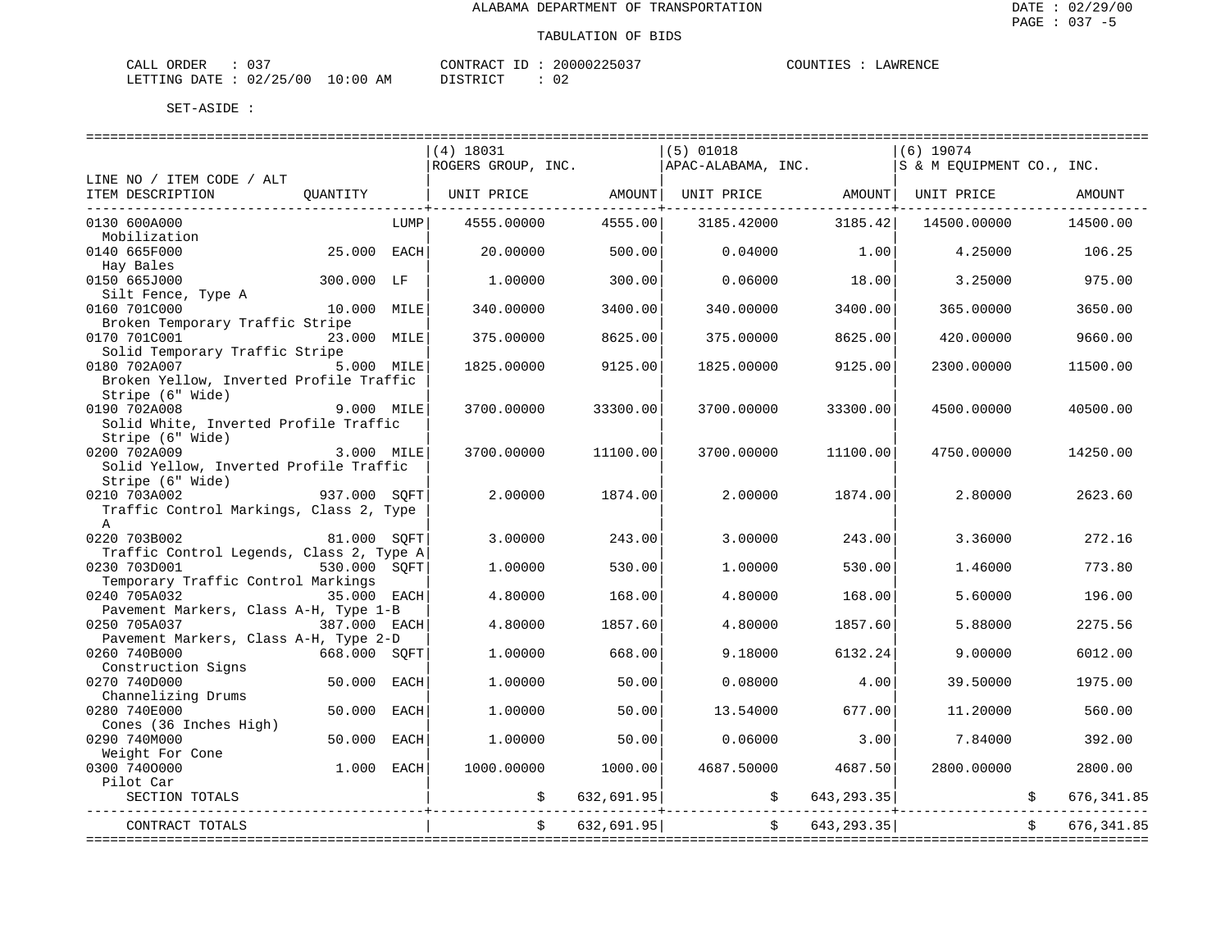| ORDER<br>CALL | $\sim$ $\sim$ $\sim$ |             |    | uv i RACT<br>חידוז∩י          |  | 20000225037 | COUNTIES | LAWRENCE |
|---------------|----------------------|-------------|----|-------------------------------|--|-------------|----------|----------|
| LETTING DATE  | 02/25/00             | 10:00<br>ᅩ◡ | AM | T OTT<br><b>DICTIO</b><br>. ש |  | 02          |          |          |

|                                                             |              |             | $(4)$ 18031<br>ROGERS GROUP, INC. |            | ============================<br>$(5)$ 01018<br>APAC-ALABAMA, INC. |                             | $(6)$ 19074<br>IS & M EOUIPMENT CO., INC. |              |               |
|-------------------------------------------------------------|--------------|-------------|-----------------------------------|------------|-------------------------------------------------------------------|-----------------------------|-------------------------------------------|--------------|---------------|
| LINE NO / ITEM CODE / ALT<br>ITEM DESCRIPTION               | OUANTITY     |             | UNIT PRICE                        | AMOUNT     | UNIT PRICE                                                        | AMOUNT<br>_________________ | UNIT PRICE                                |              | <b>AMOUNT</b> |
| 0130 600A000                                                |              | LUMP        | 4555.00000                        | 4555.00    | 3185.42000                                                        | 3185.42                     | 14500.00000                               |              | 14500.00      |
| Mobilization                                                |              |             |                                   |            |                                                                   |                             |                                           |              |               |
| 0140 665F000                                                | 25.000 EACH  |             | 20.00000                          | 500.00     | 0.04000                                                           | 1.00                        | 4.25000                                   |              | 106.25        |
| Hay Bales                                                   |              |             |                                   |            |                                                                   |                             |                                           |              |               |
| 0150 665J000                                                | 300.000 LF   |             | 1,00000                           | 300.00     | 0.06000                                                           | 18.00                       | 3.25000                                   |              | 975.00        |
| Silt Fence, Type A                                          |              |             |                                   |            |                                                                   |                             |                                           |              |               |
| 0160 701C000                                                | 10.000 MILE  |             | 340.00000                         | 3400.00    | 340.00000                                                         | 3400.00                     | 365.00000                                 |              | 3650.00       |
| Broken Temporary Traffic Stripe                             |              |             |                                   |            |                                                                   |                             |                                           |              |               |
| 0170 701C001                                                | 23.000 MILE  |             | 375.00000                         | 8625.00    | 375.00000                                                         | 8625.00                     | 420.00000                                 |              | 9660.00       |
| Solid Temporary Traffic Stripe                              |              |             |                                   |            |                                                                   |                             |                                           |              |               |
| 0180 702A007                                                | 5.000 MILE   |             | 1825.00000                        | 9125.00    | 1825.00000                                                        | 9125.00                     | 2300.00000                                |              | 11500.00      |
| Broken Yellow, Inverted Profile Traffic<br>Stripe (6" Wide) |              |             |                                   |            |                                                                   |                             |                                           |              |               |
| 0190 702A008                                                | 9.000 MILE   |             | 3700.00000                        | 33300.00   | 3700.00000                                                        | 33300.00                    | 4500.00000                                |              | 40500.00      |
| Solid White, Inverted Profile Traffic                       |              |             |                                   |            |                                                                   |                             |                                           |              |               |
| Stripe (6" Wide)                                            |              |             |                                   |            |                                                                   |                             |                                           |              |               |
| 0200 702A009                                                | 3.000 MILE   |             | 3700.00000                        | 11100.00   | 3700.00000                                                        | 11100.00                    | 4750.00000                                |              | 14250.00      |
| Solid Yellow, Inverted Profile Traffic                      |              |             |                                   |            |                                                                   |                             |                                           |              |               |
| Stripe (6" Wide)                                            |              |             |                                   |            |                                                                   |                             |                                           |              |               |
| 0210 703A002                                                | 937.000 SOFT |             | 2.00000                           | 1874.00    | 2.00000                                                           | 1874.00                     | 2.80000                                   |              | 2623.60       |
| Traffic Control Markings, Class 2, Type                     |              |             |                                   |            |                                                                   |                             |                                           |              |               |
| $\mathbb A$                                                 |              |             |                                   |            |                                                                   |                             |                                           |              |               |
| 0220 703B002                                                | 81.000 SOFT  |             | 3.00000                           | 243.00     | 3.00000                                                           | 243.00                      | 3.36000                                   |              | 272.16        |
| Traffic Control Legends, Class 2, Type A                    |              |             |                                   |            |                                                                   |                             |                                           |              |               |
| 0230 703D001                                                | 530.000 SOFT |             | 1,00000                           | 530.00     | 1,00000                                                           | 530.00                      | 1.46000                                   |              | 773.80        |
| Temporary Traffic Control Markings                          |              |             |                                   |            |                                                                   |                             |                                           |              |               |
| 0240 705A032                                                | 35.000 EACH  |             | 4.80000                           | 168.00     | 4.80000                                                           | 168.00                      | 5.60000                                   |              | 196.00        |
| Pavement Markers, Class A-H, Type 1-B                       |              |             |                                   |            |                                                                   |                             |                                           |              |               |
| 0250 705A037                                                | 387.000 EACH |             | 4.80000                           | 1857.60    | 4.80000                                                           | 1857.60                     | 5.88000                                   |              | 2275.56       |
| Pavement Markers, Class A-H, Type 2-D                       |              |             |                                   |            |                                                                   |                             |                                           |              |               |
| 0260 740B000                                                | 668.000 SOFT |             | 1,00000                           | 668.00     | 9.18000                                                           | 6132.24                     | 9,00000                                   |              | 6012.00       |
| Construction Signs                                          |              |             |                                   |            |                                                                   |                             |                                           |              |               |
| 0270 740D000                                                | 50.000       | <b>EACH</b> | 1,00000                           | 50.00      | 0.08000                                                           | 4.00                        | 39.50000                                  |              | 1975.00       |
| Channelizing Drums                                          |              |             |                                   |            |                                                                   |                             |                                           |              |               |
| 0280 740E000                                                | 50.000       | <b>EACH</b> | 1,00000                           | 50.00      | 13.54000                                                          | 677.00                      | 11,20000                                  |              | 560.00        |
| Cones (36 Inches High)                                      |              |             |                                   |            |                                                                   |                             |                                           |              |               |
| 0290 740M000                                                | 50.000       | <b>EACH</b> | 1,00000                           | 50.00      | 0.06000                                                           | 3.00                        | 7.84000                                   |              | 392.00        |
| Weight For Cone<br>0300 7400000                             | $1.000$ EACH |             | 1000.00000                        | 1000.00    | 4687.50000                                                        | 4687.50                     | 2800,00000                                |              | 2800.00       |
| Pilot Car                                                   |              |             |                                   |            |                                                                   |                             |                                           |              |               |
| SECTION TOTALS                                              |              |             |                                   | 632,691.95 | \$                                                                | 643, 293.35                 |                                           | \$           | 676, 341.85   |
| ________________                                            |              |             |                                   |            |                                                                   |                             |                                           |              |               |
| CONTRACT TOTALS                                             |              |             |                                   | 632,691.95 | $\mathsf{S}$ . The set of $\mathsf{S}$                            | 643, 293. 35                |                                           | $\mathsf{S}$ | 676, 341.85   |
|                                                             |              |             |                                   |            |                                                                   |                             |                                           |              |               |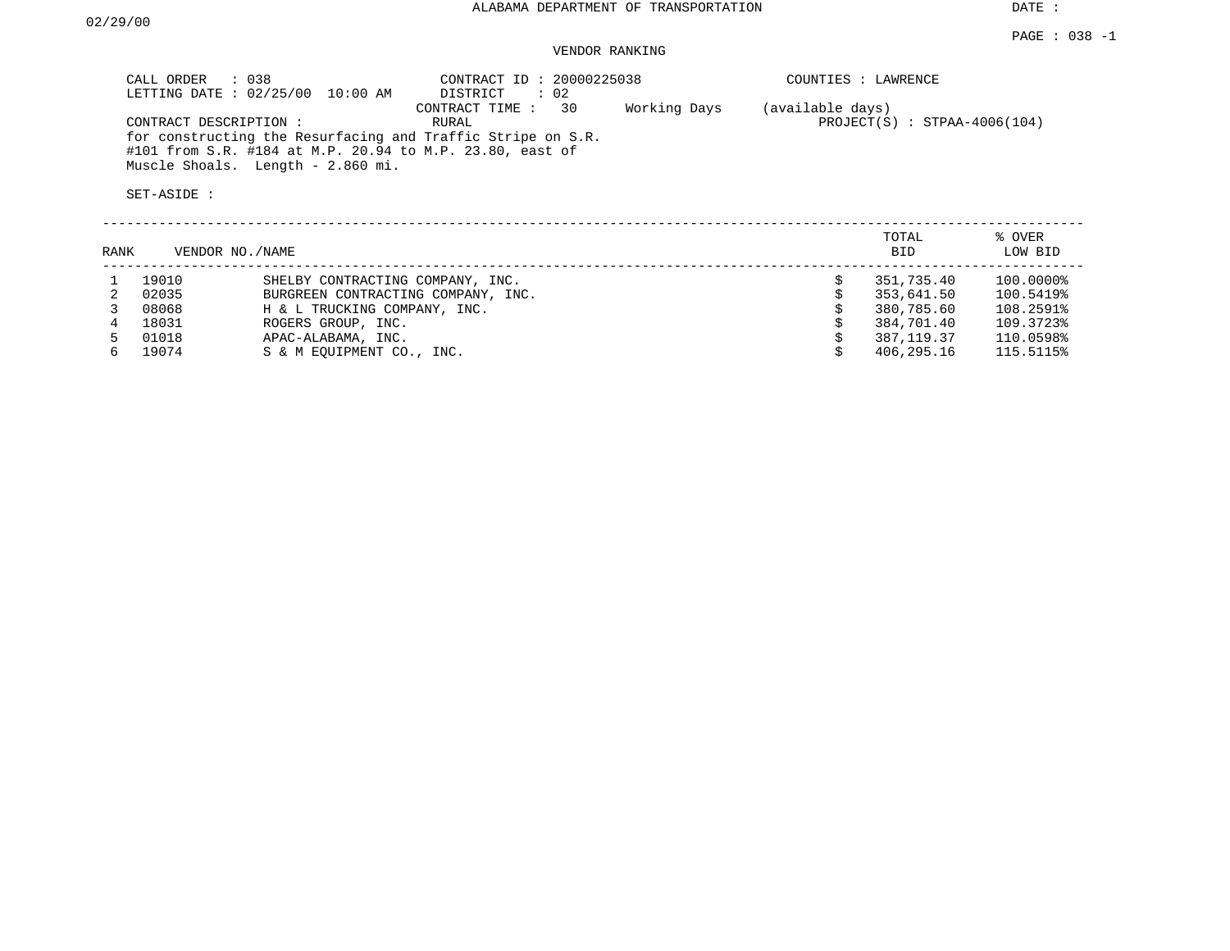### VENDOR RANKING

| CALL ORDER : 038<br>LETTING DATE : 02/25/00 10:00 AM                                                                                                         | CONTRACT ID: 20000225038<br>: 02<br>DISTRICT   | COUNTIES : LAWRENCE                                |
|--------------------------------------------------------------------------------------------------------------------------------------------------------------|------------------------------------------------|----------------------------------------------------|
| CONTRACT DESCRIPTION:                                                                                                                                        | 30<br>Working Days<br>CONTRACT TIME :<br>RURAL | (available days)<br>$PROJECT(S) : STPAA-4006(104)$ |
| for constructing the Resurfacing and Traffic Stripe on S.R.<br>#101 from S.R. #184 at M.P. 20.94 to M.P. 23.80, east of<br>Muscle Shoals. Length - 2.860 mi. |                                                |                                                    |
| SET-ASIDE :                                                                                                                                                  |                                                |                                                    |

| RANK |       | VENDOR NO./NAME                    | TOTAL<br><b>BID</b> | % OVER<br>LOW BID |
|------|-------|------------------------------------|---------------------|-------------------|
|      | 19010 | SHELBY CONTRACTING COMPANY, INC.   | 351,735.40          | 100.0000%         |
|      | 02035 | BURGREEN CONTRACTING COMPANY, INC. | 353,641.50          | 100.5419%         |
|      | 08068 | H & L TRUCKING COMPANY, INC.       | 380,785.60          | 108.2591%         |
|      | 18031 | ROGERS GROUP, INC.                 | 384,701.40          | 109.3723%         |
|      | 01018 | APAC-ALABAMA, INC.                 | 387, 119, 37        | 110.0598%         |
|      | 19074 | S & M EOUIPMENT CO., INC.          | 406,295.16          | 115.5115%         |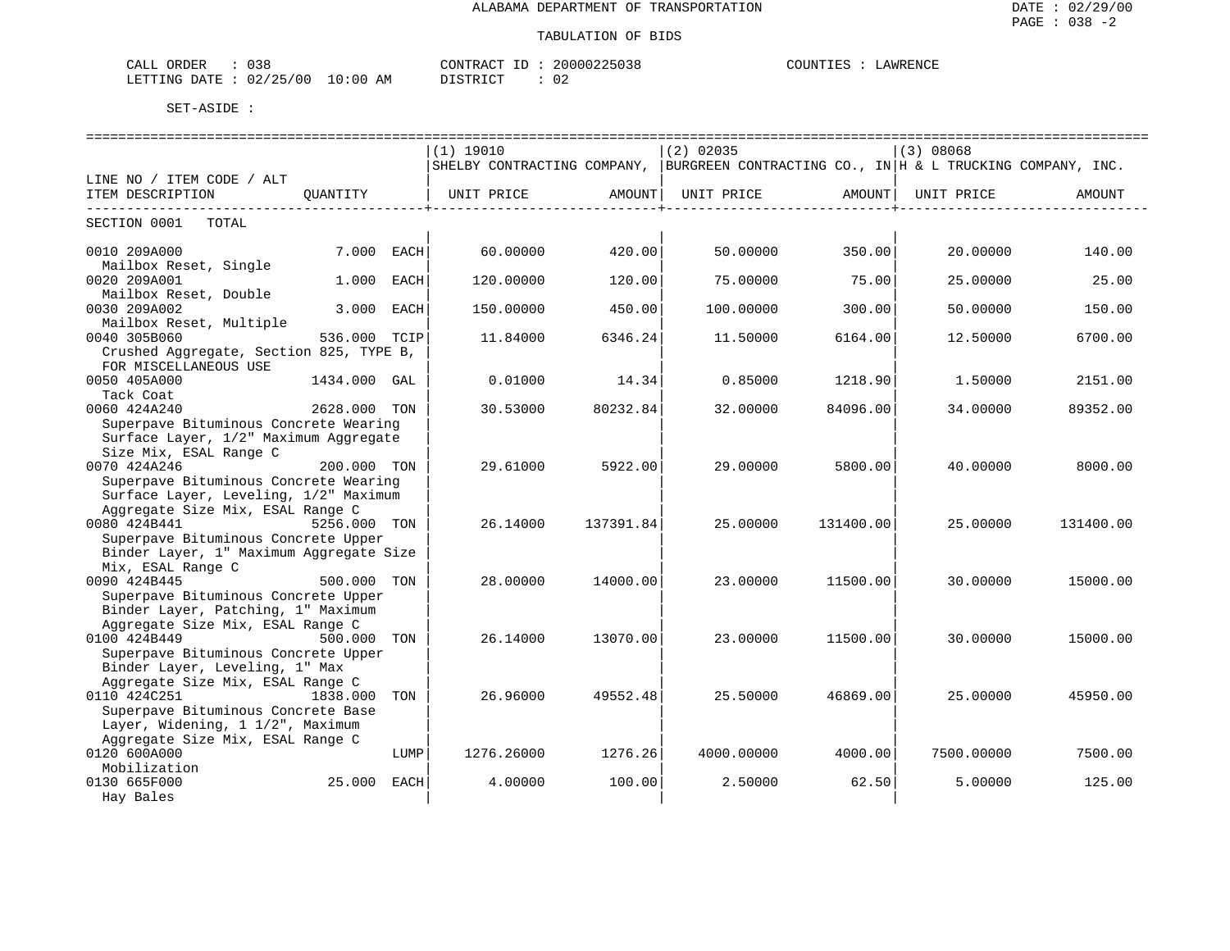| : 038<br>CALL ORDER              | CONTRACT ID: 20000225038 |      | COUNTIES : LAWRENCE |
|----------------------------------|--------------------------|------|---------------------|
| LETTING DATE : 02/25/00 10:00 AM | DISTRICT                 | - 02 |                     |

|                                                                                |              |             | ----------------------------                                                          |           |             |           |            |           |
|--------------------------------------------------------------------------------|--------------|-------------|---------------------------------------------------------------------------------------|-----------|-------------|-----------|------------|-----------|
|                                                                                |              |             | (1) 19010                                                                             |           | $(2)$ 02035 |           | (3) 08068  |           |
|                                                                                |              |             | SHELBY CONTRACTING COMPANY, BURGREEN CONTRACTING CO., IN H & L TRUCKING COMPANY, INC. |           |             |           |            |           |
| LINE NO / ITEM CODE / ALT                                                      |              |             |                                                                                       |           |             |           |            |           |
| ITEM DESCRIPTION                                                               | OUANTITY     |             | UNIT PRICE                                                                            | AMOUNTI   | UNIT PRICE  | AMOUNT    | UNIT PRICE | AMOUNT    |
| ------------------------<br>SECTION 0001<br>TOTAL                              |              |             |                                                                                       |           |             | .         |            |           |
|                                                                                |              |             |                                                                                       |           |             |           |            |           |
| 0010 209A000                                                                   | 7.000 EACH   |             | 60.00000                                                                              | 420.00    | 50.00000    | 350.00    | 20.00000   | 140.00    |
| Mailbox Reset, Single                                                          |              |             |                                                                                       |           |             |           |            |           |
| 0020 209A001                                                                   | 1.000        | <b>EACH</b> | 120.00000                                                                             | 120.00    | 75,00000    | 75.00     | 25.00000   | 25.00     |
| Mailbox Reset, Double                                                          |              |             |                                                                                       |           |             |           |            |           |
| 0030 209A002                                                                   | 3.000        | EACH        | 150.00000                                                                             | 450.00    | 100.00000   | 300.00    | 50.00000   | 150.00    |
| Mailbox Reset, Multiple                                                        |              |             |                                                                                       |           |             |           |            |           |
| 0040 305B060                                                                   | 536.000 TCIP |             | 11.84000                                                                              | 6346.24   | 11.50000    | 6164.00   | 12.50000   | 6700.00   |
| Crushed Aggregate, Section 825, TYPE B,                                        |              |             |                                                                                       |           |             |           |            |           |
| FOR MISCELLANEOUS USE                                                          |              |             |                                                                                       |           |             |           |            |           |
| 0050 405A000                                                                   | 1434.000 GAL |             | 0.01000                                                                               | 14.34     | 0.85000     | 1218.90   | 1,50000    | 2151.00   |
| Tack Coat                                                                      |              |             |                                                                                       |           |             |           |            |           |
| 0060 424A240                                                                   | 2628.000 TON |             | 30.53000                                                                              | 80232.84  | 32.00000    | 84096.00  | 34,00000   | 89352.00  |
| Superpave Bituminous Concrete Wearing<br>Surface Layer, 1/2" Maximum Aggregate |              |             |                                                                                       |           |             |           |            |           |
| Size Mix, ESAL Range C                                                         |              |             |                                                                                       |           |             |           |            |           |
| 0070 424A246                                                                   | 200.000 TON  |             | 29.61000                                                                              | 5922.00   | 29,00000    | 5800.00   | 40.00000   | 8000.00   |
| Superpave Bituminous Concrete Wearing                                          |              |             |                                                                                       |           |             |           |            |           |
| Surface Layer, Leveling, 1/2" Maximum                                          |              |             |                                                                                       |           |             |           |            |           |
| Aggregate Size Mix, ESAL Range C                                               |              |             |                                                                                       |           |             |           |            |           |
| 0080 424B441                                                                   | 5256.000 TON |             | 26.14000                                                                              | 137391.84 | 25.00000    | 131400.00 | 25.00000   | 131400.00 |
| Superpave Bituminous Concrete Upper                                            |              |             |                                                                                       |           |             |           |            |           |
| Binder Layer, 1" Maximum Aggregate Size                                        |              |             |                                                                                       |           |             |           |            |           |
| Mix, ESAL Range C                                                              |              |             |                                                                                       |           |             |           |            |           |
| 0090 424B445                                                                   | 500.000 TON  |             | 28.00000                                                                              | 14000.00  | 23.00000    | 11500.00  | 30,00000   | 15000.00  |
| Superpave Bituminous Concrete Upper                                            |              |             |                                                                                       |           |             |           |            |           |
| Binder Layer, Patching, 1" Maximum                                             |              |             |                                                                                       |           |             |           |            |           |
| Aggregate Size Mix, ESAL Range C                                               |              |             |                                                                                       |           |             |           |            |           |
| 0100 424B449                                                                   | 500.000 TON  |             | 26.14000                                                                              | 13070.00  | 23.00000    | 11500.00  | 30.00000   | 15000.00  |
| Superpave Bituminous Concrete Upper                                            |              |             |                                                                                       |           |             |           |            |           |
| Binder Layer, Leveling, 1" Max<br>Aggregate Size Mix, ESAL Range C             |              |             |                                                                                       |           |             |           |            |           |
| 0110 424C251                                                                   | 1838.000     | TON         | 26,96000                                                                              | 49552.48  | 25.50000    | 46869.00  | 25,00000   | 45950.00  |
| Superpave Bituminous Concrete Base                                             |              |             |                                                                                       |           |             |           |            |           |
| Layer, Widening, 1 1/2", Maximum                                               |              |             |                                                                                       |           |             |           |            |           |
| Aggregate Size Mix, ESAL Range C                                               |              |             |                                                                                       |           |             |           |            |           |
| 0120 600A000                                                                   |              | LUMP        | 1276.26000                                                                            | 1276.26   | 4000.00000  | 4000.00   | 7500.00000 | 7500.00   |
| Mobilization                                                                   |              |             |                                                                                       |           |             |           |            |           |
| 0130 665F000                                                                   | 25.000 EACH  |             | 4.00000                                                                               | 100.00    | 2.50000     | 62.50     | 5.00000    | 125.00    |
| Hay Bales                                                                      |              |             |                                                                                       |           |             |           |            |           |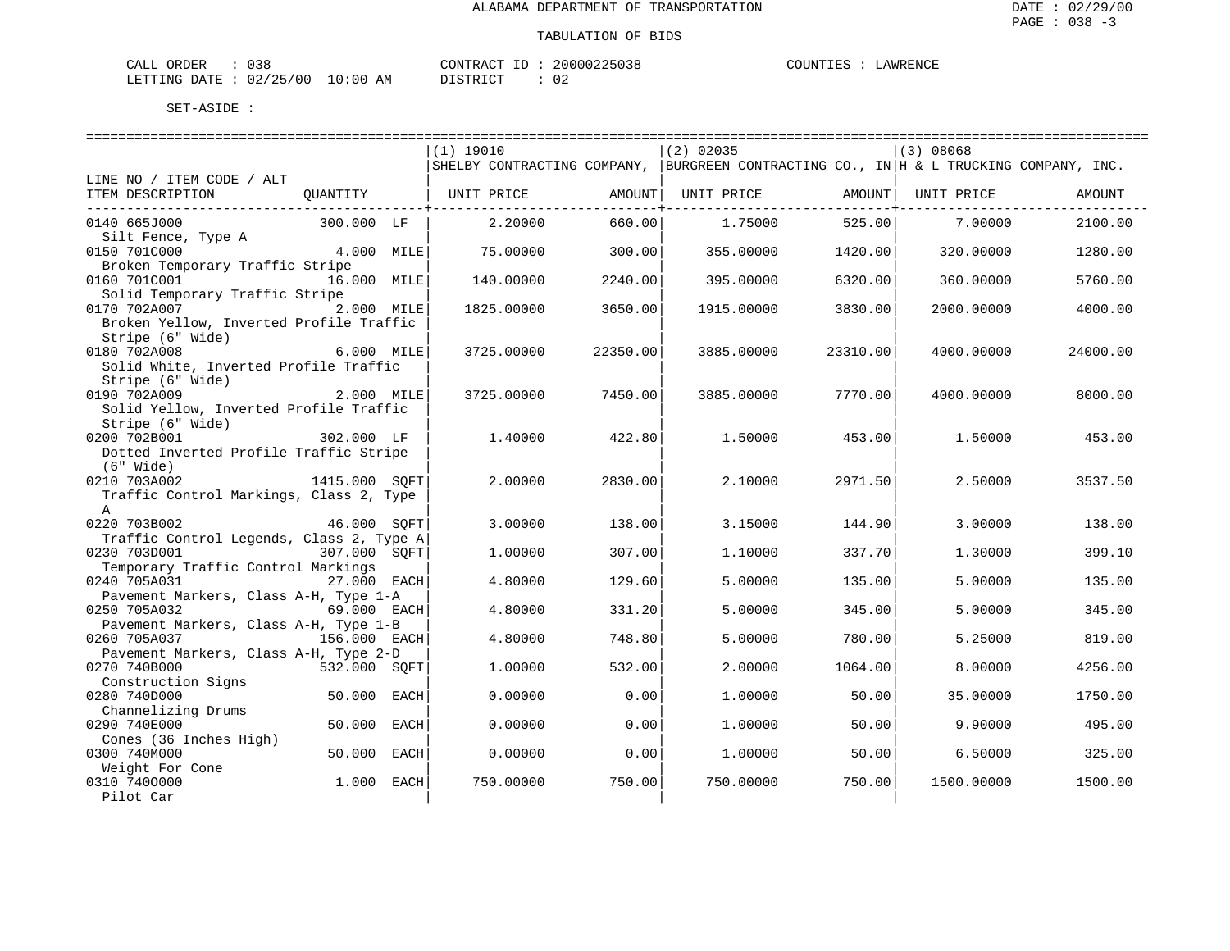| CALL ORDER                      | 038 | CONTRACT ID: 2 |  | 20000225038 | COUNTIES | LAWRENCE |
|---------------------------------|-----|----------------|--|-------------|----------|----------|
| LETTING DATE: 02/25/00 10:00 AM |     | DISTRICT       |  | -02         |          |          |

|                                          |               |      | (1) 19010                   |          | $(2)$ 02035                                               |          | (3) 08068  |          |
|------------------------------------------|---------------|------|-----------------------------|----------|-----------------------------------------------------------|----------|------------|----------|
|                                          |               |      | SHELBY CONTRACTING COMPANY, |          | BURGREEN CONTRACTING CO., IN H & L TRUCKING COMPANY, INC. |          |            |          |
| LINE NO / ITEM CODE / ALT                |               |      |                             |          |                                                           |          |            |          |
| ITEM DESCRIPTION                         | OUANTITY      |      | UNIT PRICE                  | AMOUNT   | UNIT PRICE                                                | AMOUNT   | UNIT PRICE | AMOUNT   |
|                                          |               |      |                             |          |                                                           |          |            |          |
| 0140 665J000                             | 300.000 LF    |      | 2.20000                     | 660.00   | 1.75000                                                   | 525.00   | 7.00000    | 2100.00  |
| Silt Fence, Type A                       |               |      |                             |          |                                                           |          |            |          |
| 0150 701C000                             | 4.000 MILE    |      | 75.00000                    | 300.00   | 355.00000                                                 | 1420.00  | 320.00000  | 1280.00  |
| Broken Temporary Traffic Stripe          |               |      |                             |          |                                                           |          |            |          |
| 0160 701C001                             | 16.000 MILE   |      | 140.00000                   | 2240.00  | 395.00000                                                 | 6320.00  | 360.00000  | 5760.00  |
| Solid Temporary Traffic Stripe           |               |      |                             |          |                                                           |          |            |          |
| 0170 702A007                             | 2.000 MILE    |      | 1825.00000                  | 3650.00  | 1915.00000                                                | 3830.00  | 2000.00000 | 4000.00  |
| Broken Yellow, Inverted Profile Traffic  |               |      |                             |          |                                                           |          |            |          |
| Stripe (6" Wide)                         |               |      |                             |          |                                                           |          |            |          |
| 0180 702A008                             | 6.000 MILE    |      | 3725.00000                  | 22350.00 | 3885.00000                                                | 23310.00 | 4000.00000 | 24000.00 |
| Solid White, Inverted Profile Traffic    |               |      |                             |          |                                                           |          |            |          |
| Stripe (6" Wide)                         |               |      |                             |          |                                                           |          |            |          |
| 0190 702A009                             | 2.000 MILE    |      | 3725.00000                  | 7450.00  | 3885.00000                                                | 7770.00  | 4000.00000 | 8000.00  |
| Solid Yellow, Inverted Profile Traffic   |               |      |                             |          |                                                           |          |            |          |
| Stripe (6" Wide)                         |               |      |                             |          |                                                           |          |            |          |
| 0200 702B001                             | 302.000 LF    |      | 1.40000                     | 422.80   | 1,50000                                                   | 453.00   | 1.50000    | 453.00   |
| Dotted Inverted Profile Traffic Stripe   |               |      |                             |          |                                                           |          |            |          |
| $(6"$ Wide)                              |               |      |                             |          |                                                           |          |            |          |
| 0210 703A002                             | 1415.000 SOFT |      | 2.00000                     | 2830.00  | 2.10000                                                   | 2971.50  | 2.50000    | 3537.50  |
| Traffic Control Markings, Class 2, Type  |               |      |                             |          |                                                           |          |            |          |
| $\mathbb{A}$                             |               |      |                             |          |                                                           |          |            |          |
| 0220 703B002                             | 46.000 SOFT   |      | 3.00000                     | 138.00   | 3.15000                                                   | 144.90   | 3.00000    | 138.00   |
| Traffic Control Legends, Class 2, Type A |               |      |                             |          |                                                           |          |            |          |
| 0230 703D001                             | 307.000 SOFT  |      | 1,00000                     | 307.00   | 1,10000                                                   | 337.70   | 1.30000    | 399.10   |
| Temporary Traffic Control Markings       |               |      |                             |          |                                                           |          |            |          |
| 0240 705A031                             | 27.000 EACH   |      | 4.80000                     | 129.60   | 5.00000                                                   | 135.00   | 5.00000    | 135.00   |
| Pavement Markers, Class A-H, Type 1-A    |               |      |                             |          |                                                           |          |            |          |
| 0250 705A032                             | 69.000 EACH   |      | 4.80000                     | 331.20   | 5.00000                                                   | 345.00   | 5.00000    | 345.00   |
| Pavement Markers, Class A-H, Type 1-B    |               |      |                             |          |                                                           |          |            |          |
| 0260 705A037                             | 156.000 EACH  |      | 4.80000                     | 748.80   | 5.00000                                                   | 780.00   | 5.25000    | 819.00   |
| Pavement Markers, Class A-H, Type 2-D    |               |      |                             |          |                                                           |          |            |          |
| 0270 740B000                             | 532.000 SOFT  |      | 1,00000                     | 532.00   | 2,00000                                                   | 1064.00  | 8.00000    | 4256.00  |
| Construction Signs                       |               |      |                             |          |                                                           |          |            |          |
| 0280 740D000                             | 50.000        | EACH | 0.00000                     | 0.00     | 1,00000                                                   | 50.00    | 35.00000   | 1750.00  |
| Channelizing Drums                       |               |      |                             |          |                                                           |          |            |          |
| 0290 740E000                             | 50.000        | EACH | 0.00000                     | 0.00     | 1,00000                                                   | 50.00    | 9.90000    | 495.00   |
| Cones (36 Inches High)                   |               |      |                             |          |                                                           |          |            |          |
| 0300 740M000                             | 50.000        | EACH | 0.00000                     | 0.00     | 1,00000                                                   | 50.00    | 6.50000    | 325.00   |
| Weight For Cone                          |               |      |                             |          |                                                           |          |            |          |
| 0310 7400000                             | $1.000$ EACH  |      | 750.00000                   | 750.00   | 750.00000                                                 | 750.00   | 1500.00000 | 1500.00  |
| Pilot Car                                |               |      |                             |          |                                                           |          |            |          |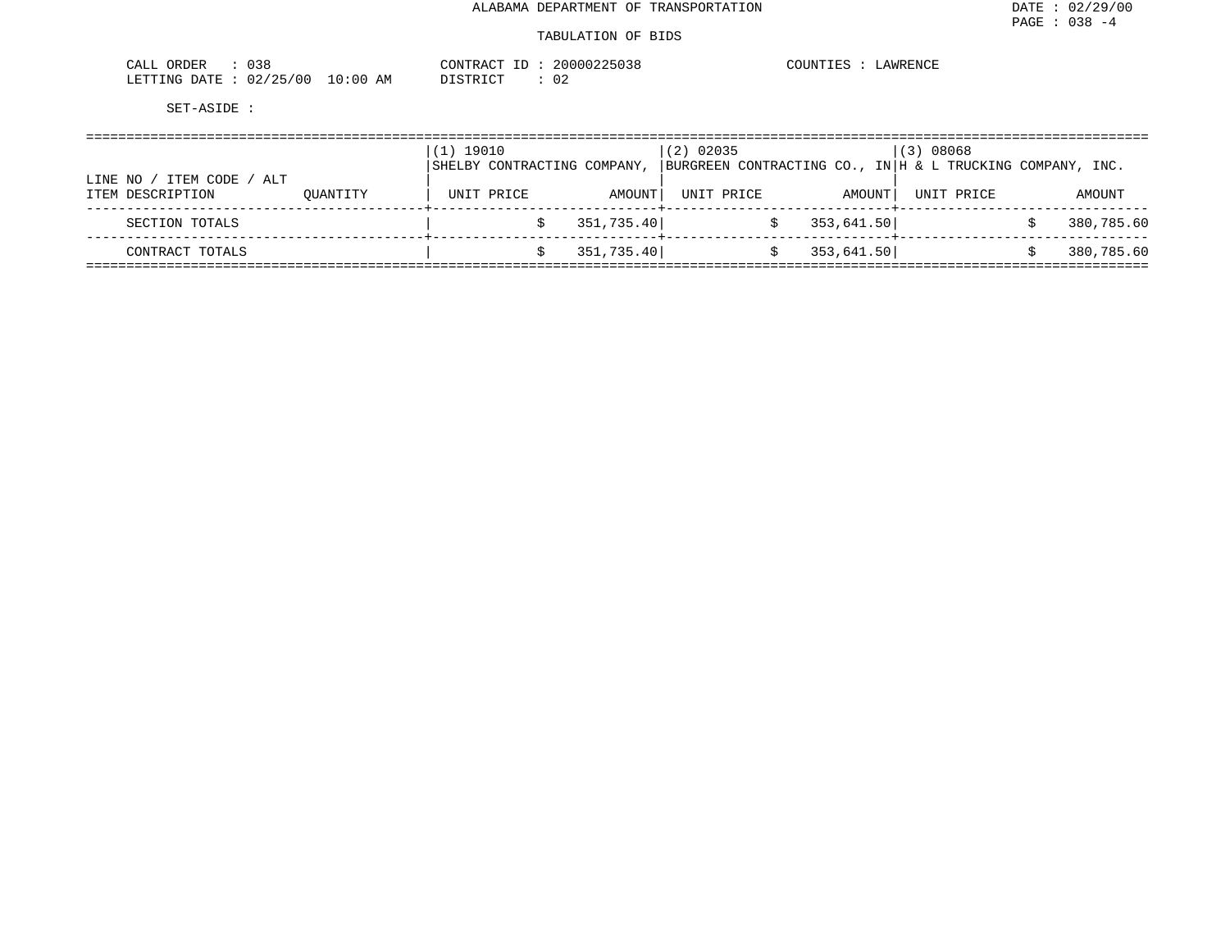#### TABULATION OF BIDS

| ORDER<br>$\sim$ $ -$<br>ـىلىلىك<br>0 J C |                    | 20000225038<br>CONTRACT<br>$- -$ | LAWRENCE<br>COUNTIES |
|------------------------------------------|--------------------|----------------------------------|----------------------|
| 02/25/00<br>LETTING DATE                 | LO : 00<br>ΑM<br>∸ | 02<br>UT STR TOT<br><i>┙</i> ∸┘∸ |                      |

|           |                    |          | (1) 19010 |                             |            | $(2)$ 02035 |            | (3) 08068                                                 |            |
|-----------|--------------------|----------|-----------|-----------------------------|------------|-------------|------------|-----------------------------------------------------------|------------|
|           |                    |          |           | SHELBY CONTRACTING COMPANY, |            |             |            | BURGREEN CONTRACTING CO., IN H & L TRUCKING COMPANY, INC. |            |
| LINE NO / | ITEM CODE /<br>ALT |          |           |                             |            |             |            |                                                           |            |
|           | ITEM DESCRIPTION   | OUANTITY |           | UNIT PRICE                  | AMOUNT     | UNIT PRICE  | AMOUNT     | UNIT PRICE                                                | AMOUNT     |
|           | SECTION TOTALS     |          |           |                             | 351,735.40 |             | 353,641.50 |                                                           | 380,785.60 |
|           |                    |          |           |                             |            |             |            |                                                           |            |
|           | CONTRACT TOTALS    |          |           |                             | 351,735.40 |             | 353,641.50 |                                                           | 380,785.60 |
|           |                    |          |           |                             |            |             |            |                                                           |            |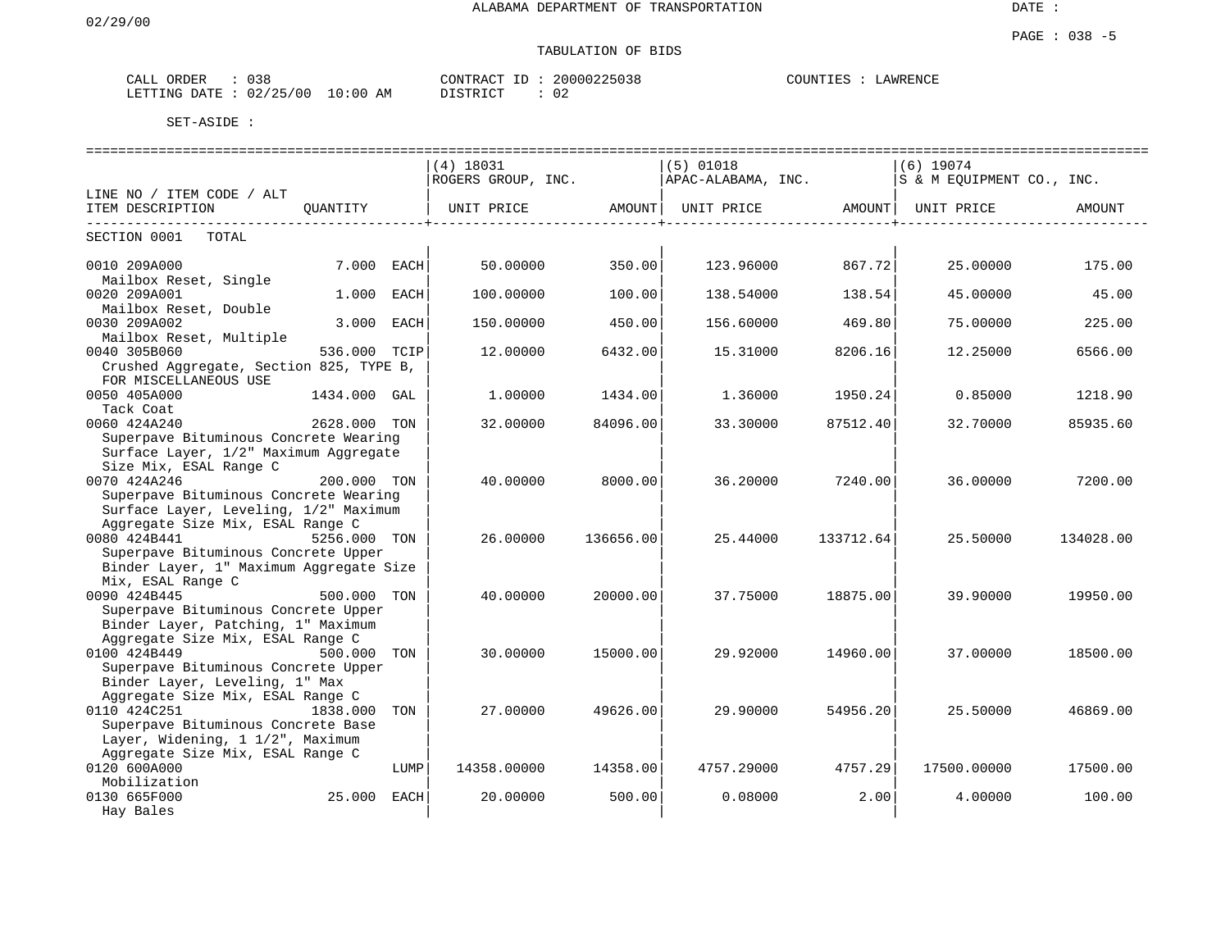# TABULATION OF BIDS

| ORDER<br>$^{\prime}$<br>للدائك | $\sim$ $\sim$<br>しろと                            | $\ldots$ : 20000225000<br>$\sim$ $\sim$ $\sim$ $\sim$<br>$\sim$<br>W.<br>. .<br>$\Delta$<br>. | <b>AWRENCE</b><br>™∩™<br>∟AWR F |
|--------------------------------|-------------------------------------------------|-----------------------------------------------------------------------------------------------|---------------------------------|
| LETTING<br>DATE                | $\sqrt{2}$<br>ი ი<br>י∩י<br>AM<br>⊥∪ະ0∩_<br>UZ. | $- - - - - - -$<br>$\sim$<br>. .<br>∪∠                                                        |                                 |

|                                                                                                                                          |              |      | ============================= |           |                    |           |                           |           |
|------------------------------------------------------------------------------------------------------------------------------------------|--------------|------|-------------------------------|-----------|--------------------|-----------|---------------------------|-----------|
|                                                                                                                                          |              |      | (4) 18031                     |           | (5) 01018          |           | (6) 19074                 |           |
|                                                                                                                                          |              |      | ROGERS GROUP, INC.            |           | APAC-ALABAMA, INC. |           | S & M EOUIPMENT CO., INC. |           |
| LINE NO / ITEM CODE / ALT                                                                                                                |              |      |                               |           |                    |           |                           |           |
| ITEM DESCRIPTION                                                                                                                         |              |      |                               |           |                    |           |                           | AMOUNT    |
| SECTION 0001<br>TOTAL                                                                                                                    |              |      |                               |           |                    |           |                           |           |
| 0010 209A000<br>Mailbox Reset, Single                                                                                                    | 7.000 EACH   |      | 50.00000                      | 350.00    | 123.96000          | 867.72    | 25.00000                  | 175.00    |
| 0020 209A001<br>Mailbox Reset, Double                                                                                                    | 1.000        | EACH | 100.00000                     | 100.00    | 138.54000          | 138.54    | 45.00000                  | 45.00     |
| 0030 209A002<br>Mailbox Reset, Multiple                                                                                                  | 3.000        | EACH | 150.00000                     | 450.00    | 156.60000          | 469.80    | 75.00000                  | 225.00    |
| 0040 305B060<br>Crushed Aggregate, Section 825, TYPE B,                                                                                  | 536.000 TCIP |      | 12.00000                      | 6432.00   | 15.31000           | 8206.16   | 12.25000                  | 6566.00   |
| FOR MISCELLANEOUS USE<br>0050 405A000<br>Tack Coat                                                                                       | 1434.000 GAL |      | 1,00000                       | 1434.00   | 1.36000            | 1950.24   | 0.85000                   | 1218.90   |
| 0060 424A240<br>Superpave Bituminous Concrete Wearing                                                                                    | 2628.000 TON |      | 32.00000                      | 84096.00  | 33.30000           | 87512.40  | 32.70000                  | 85935.60  |
| Surface Layer, 1/2" Maximum Aggregate<br>Size Mix, ESAL Range C                                                                          |              |      |                               |           |                    |           |                           |           |
| 0070 424A246<br>Superpave Bituminous Concrete Wearing                                                                                    | 200.000 TON  |      | 40.00000                      | 8000.00   | 36.20000           | 7240.001  | 36.00000                  | 7200.00   |
| Surface Layer, Leveling, 1/2" Maximum<br>Aggregate Size Mix, ESAL Range C                                                                |              |      |                               |           |                    |           |                           |           |
| 0080 424B441<br>Superpave Bituminous Concrete Upper                                                                                      | 5256.000 TON |      | 26.00000                      | 136656.00 | 25.44000           | 133712.64 | 25.50000                  | 134028.00 |
| Binder Layer, 1" Maximum Aggregate Size<br>Mix, ESAL Range C<br>0090 424B445                                                             | 500.000 TON  |      | 40.00000                      | 20000.00  | 37.75000           | 18875.00  | 39.90000                  | 19950.00  |
| Superpave Bituminous Concrete Upper<br>Binder Layer, Patching, 1" Maximum                                                                |              |      |                               |           |                    |           |                           |           |
| Aggregate Size Mix, ESAL Range C<br>0100 424B449<br>500.000 TON<br>Superpave Bituminous Concrete Upper<br>Binder Layer, Leveling, 1" Max |              |      | 30.00000                      | 15000.00  | 29.92000           | 14960.00  | 37.00000                  | 18500.00  |
| Aggregate Size Mix, ESAL Range C<br>0110 424C251<br>Superpave Bituminous Concrete Base<br>Layer, Widening, 1 1/2", Maximum               | 1838.000     | TON  | 27,00000                      | 49626.00  | 29,90000           | 54956.20  | 25.50000                  | 46869.00  |
| Aggregate Size Mix, ESAL Range C<br>0120 600A000<br>Mobilization                                                                         |              | LUMP | 14358.00000                   | 14358.00  | 4757.29000         | 4757.291  | 17500.00000               | 17500.00  |
| 0130 665F000<br>Hay Bales                                                                                                                | 25.000 EACH  |      | 20.00000                      | 500.00    | 0.08000            | 2.00      | 4.00000                   | 100.00    |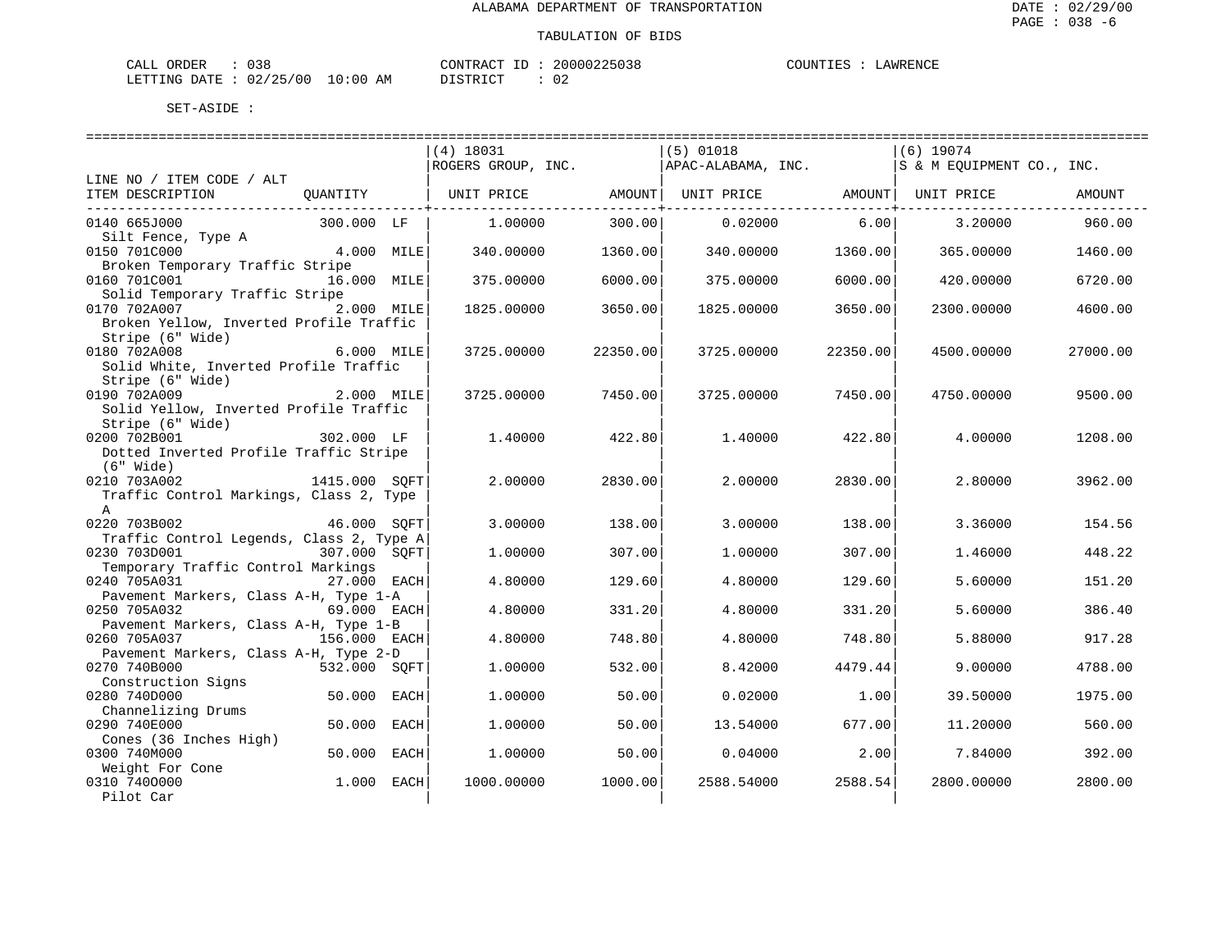| CALL ORDER                       | 038 |  |          |  | CONTRACT ID: 20000225038 | COUNTIES : LAWRENCE |  |
|----------------------------------|-----|--|----------|--|--------------------------|---------------------|--|
| LETTING DATE : 02/25/00 10:00 AM |     |  | DISTRICT |  | 02                       |                     |  |

|                                          |              |             | $(4)$ 18031        |          | $(5)$ 01018                    |          | $(6)$ 19074               |          |
|------------------------------------------|--------------|-------------|--------------------|----------|--------------------------------|----------|---------------------------|----------|
|                                          |              |             | ROGERS GROUP, INC. |          | APAC-ALABAMA, INC.             |          | S & M EOUIPMENT CO., INC. |          |
| LINE NO / ITEM CODE / ALT                |              |             |                    |          |                                |          |                           |          |
| ITEM DESCRIPTION                         | QUANTITY     |             | UNIT PRICE AMOUNT  |          | UNIT PRICE AMOUNT   UNIT PRICE |          |                           | AMOUNT   |
| 0140 665J000                             | 300.000 LF   |             | 1.00000            | 300.00   | 0.02000                        | 6.00     | 3.20000                   | 960.00   |
| Silt Fence, Type A                       |              |             |                    |          |                                |          |                           |          |
| 0150 701C000                             | 4.000 MILE   |             | 340.00000          | 1360.00  | 340.00000                      | 1360.00  | 365.00000                 | 1460.00  |
| Broken Temporary Traffic Stripe          |              |             |                    |          |                                |          |                           |          |
| 0160 701C001                             | 16.000 MILE  |             | 375,00000          | 6000.00  | 375.00000                      | 6000.00  | 420.00000                 | 6720.00  |
| Solid Temporary Traffic Stripe           |              |             |                    |          |                                |          |                           |          |
| 0170 702A007                             | 2.000 MILE   |             | 1825.00000         | 3650.00  | 1825.00000                     | 3650.00  | 2300.00000                | 4600.00  |
| Broken Yellow, Inverted Profile Traffic  |              |             |                    |          |                                |          |                           |          |
| Stripe (6" Wide)                         |              |             |                    |          |                                |          |                           |          |
| 0180 702A008                             | 6.000 MILE   |             | 3725,00000         | 22350.00 | 3725,00000                     | 22350.00 | 4500.00000                | 27000.00 |
| Solid White, Inverted Profile Traffic    |              |             |                    |          |                                |          |                           |          |
| Stripe (6" Wide)                         |              |             |                    |          |                                |          |                           |          |
| 0190 702A009                             | 2.000 MILE   |             | 3725.00000         | 7450.00  | 3725.00000                     | 7450.00  | 4750.00000                | 9500.00  |
| Solid Yellow, Inverted Profile Traffic   |              |             |                    |          |                                |          |                           |          |
| Stripe (6" Wide)                         |              |             |                    |          |                                |          |                           |          |
| 0200 702B001                             | 302.000 LF   |             | 1,40000            | 422.80   | 1,40000                        | 422.80   | 4.00000                   | 1208.00  |
| Dotted Inverted Profile Traffic Stripe   |              |             |                    |          |                                |          |                           |          |
| (6" Wide)                                |              |             |                    |          |                                |          |                           |          |
| 1415.000 SQFT<br>0210 703A002            |              |             | 2,00000            | 2830.00  | 2,00000                        | 2830.00  | 2.80000                   | 3962.00  |
| Traffic Control Markings, Class 2, Type  |              |             |                    |          |                                |          |                           |          |
| A                                        |              |             |                    |          |                                |          |                           |          |
| 0220 703B002                             | 46.000 SOFT  |             | 3.00000            | 138.00   | 3.00000                        | 138.00   | 3.36000                   | 154.56   |
| Traffic Control Legends, Class 2, Type A |              |             |                    |          |                                |          |                           |          |
| 0230 703D001                             | 307.000 SOFT |             | 1,00000            | 307.00   | 1,00000                        | 307.00   | 1.46000                   | 448.22   |
| Temporary Traffic Control Markings       |              |             |                    |          |                                |          |                           |          |
| 0240 705A031                             | 27.000 EACH  |             | 4.80000            | 129.60   | 4.80000                        | 129.60   | 5.60000                   | 151.20   |
| Pavement Markers, Class A-H, Type 1-A    |              |             |                    |          |                                |          |                           |          |
| 0250 705A032                             | 69.000 EACH  |             | 4.80000            | 331.20   | 4.80000                        | 331.20   | 5.60000                   | 386.40   |
| Pavement Markers, Class A-H, Type 1-B    |              |             |                    |          |                                |          |                           |          |
| 0260 705A037                             | 156.000 EACH |             | 4.80000            | 748.80   | 4.80000                        | 748.80   | 5.88000                   | 917.28   |
| Pavement Markers, Class A-H, Type 2-D    |              |             |                    |          |                                |          |                           |          |
| 0270 740B000                             | 532.000 SOFT |             | 1,00000            | 532.00   | 8.42000                        | 4479.44  | 9,00000                   | 4788.00  |
| Construction Signs                       |              |             |                    |          |                                |          |                           |          |
| 0280 740D000                             | 50.000       | EACH        | 1,00000            | 50.00    | 0.02000                        | 1.00     | 39.50000                  | 1975.00  |
| Channelizing Drums                       |              |             |                    |          |                                |          |                           |          |
| 0290 740E000                             | 50.000       | <b>EACH</b> | 1,00000            | 50.00    | 13.54000                       | 677.00   | 11,20000                  | 560.00   |
| Cones (36 Inches High)                   |              |             |                    |          |                                |          |                           |          |
| 0300 740M000                             | 50.000       | EACH        | 1,00000            | 50.00    | 0.04000                        | 2.00     | 7.84000                   | 392.00   |
| Weight For Cone                          |              |             |                    |          |                                |          |                           |          |
| 0310 7400000                             | 1.000        | EACH        | 1000.00000         | 1000.00  | 2588.54000                     | 2588.54  | 2800.00000                | 2800.00  |
| Pilot Car                                |              |             |                    |          |                                |          |                           |          |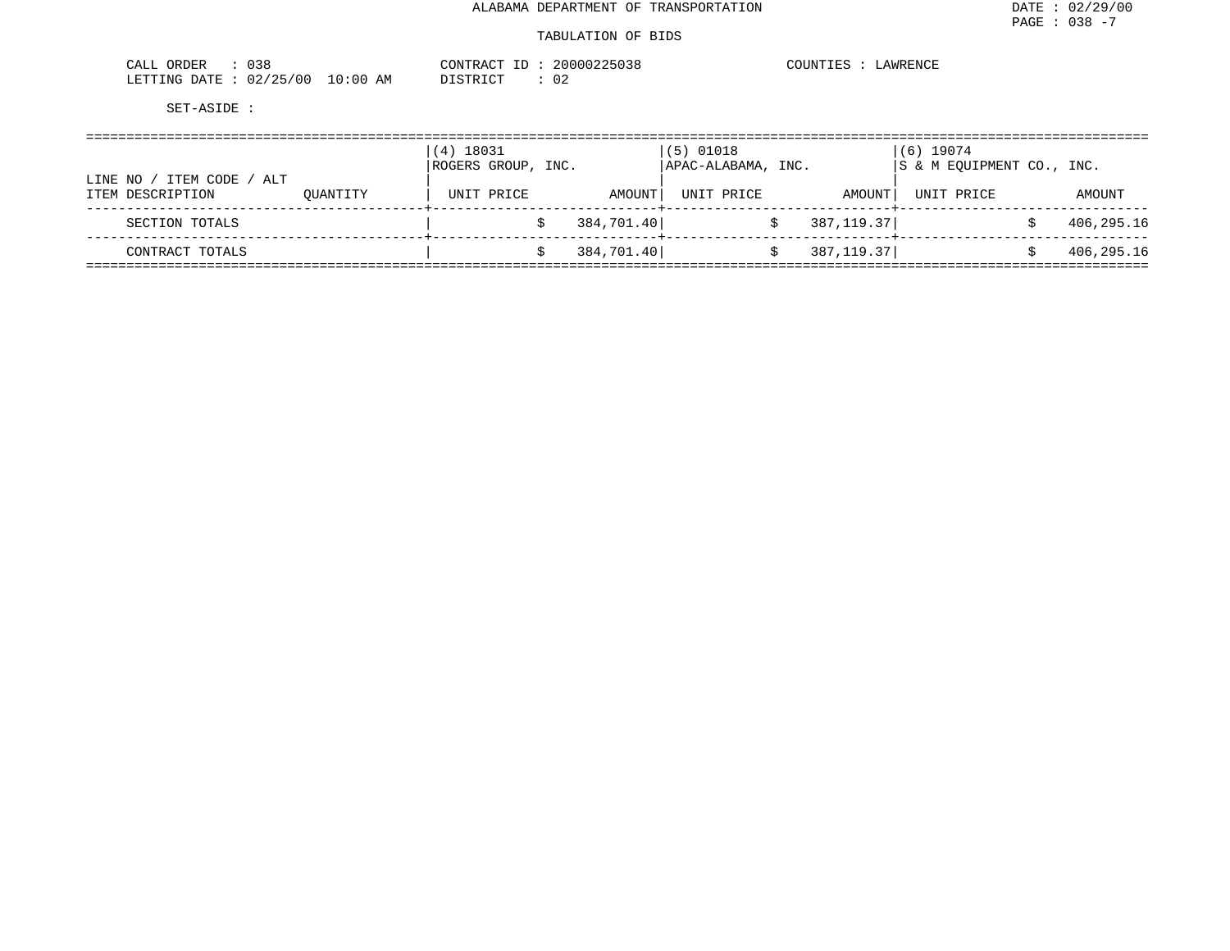| 038<br>CALL<br>ORDER     |             | CONTRACT<br>$ -$                          | 20000225038 | COUNTIES<br>LAWRENCE |
|--------------------------|-------------|-------------------------------------------|-------------|----------------------|
| 02/25/00<br>LETTING DATE | 10:00<br>ΆM | ירו קידפור מ<br><i>┙</i> ┵┙┵ <sub>む</sub> | ∩∩<br>υz    |                      |

| LINE NO /        | ITEM CODE<br>/ ALT |          | (4) 18031<br>ROGERS GROUP, INC. |            |            | $(5)$ 01018<br>  APAC-ALABAMA, INC. |            | $(6)$ 19074<br>IS & M EOUIPMENT CO., INC. |            |
|------------------|--------------------|----------|---------------------------------|------------|------------|-------------------------------------|------------|-------------------------------------------|------------|
| ITEM DESCRIPTION |                    | OUANTITY |                                 | UNIT PRICE | AMOUNT     | UNIT PRICE                          | AMOUNT     | UNIT PRICE                                | AMOUNT     |
| SECTION TOTALS   |                    |          |                                 |            | 384,701.40 |                                     | 387,119.37 |                                           | 406,295.16 |
| CONTRACT TOTALS  |                    |          |                                 |            | 384,701.40 |                                     | 387,119.37 |                                           | 406,295.16 |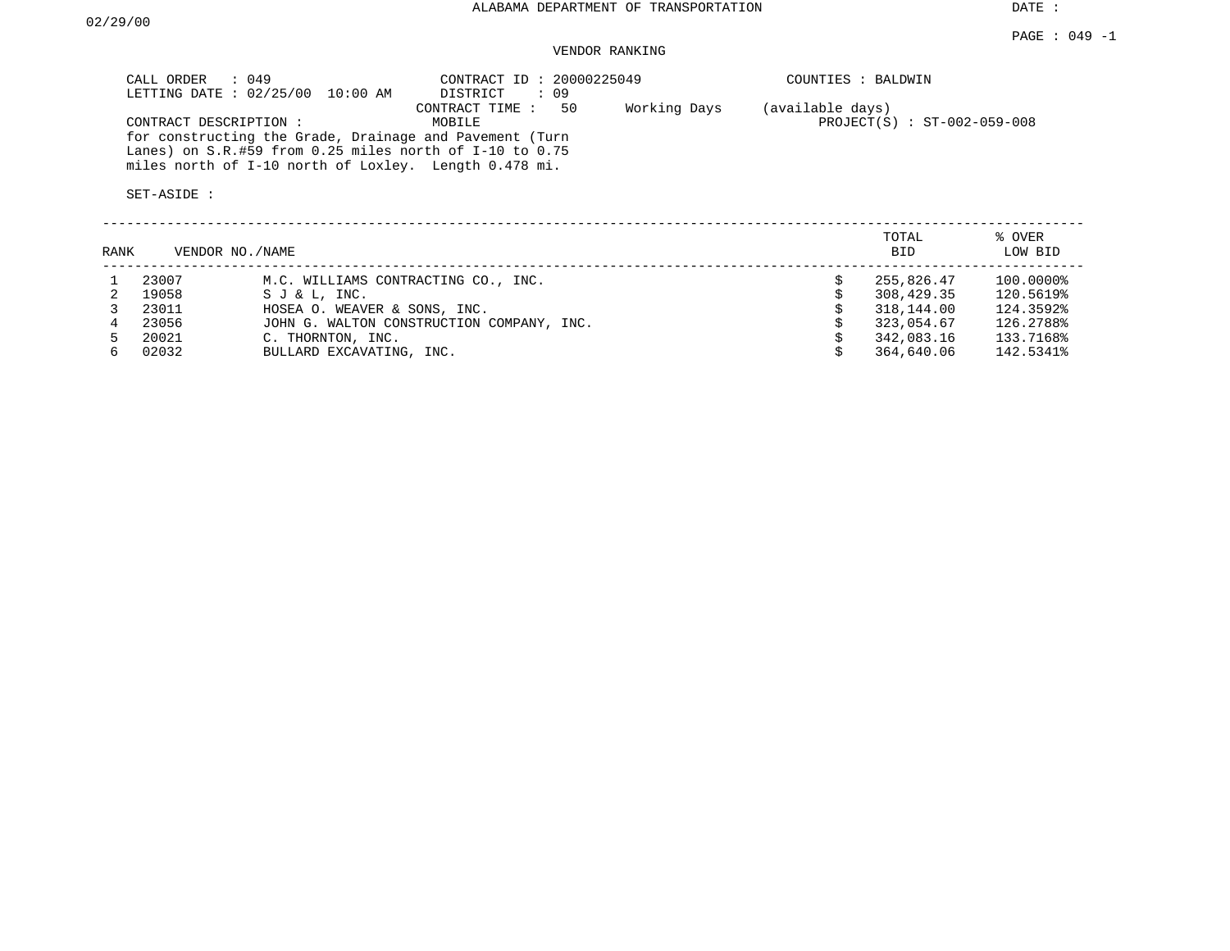# VENDOR RANKING

| CALL ORDER : 049<br>LETTING DATE: 02/25/00 10:00 AM                                                                                                                            | CONTRACT ID: 20000225049<br>$\therefore$ 09<br>DISTRICT |              | COUNTIES : BALDWIN                                |
|--------------------------------------------------------------------------------------------------------------------------------------------------------------------------------|---------------------------------------------------------|--------------|---------------------------------------------------|
| CONTRACT DESCRIPTION :                                                                                                                                                         | 50<br>CONTRACT TIME :<br>MOBILE                         | Working Days | (available days)<br>$PROJECT(S) : ST-002-059-008$ |
| for constructing the Grade, Drainage and Pavement (Turn<br>Lanes) on $S.R.$ #59 from 0.25 miles north of I-10 to 0.75<br>miles north of I-10 north of Loxley. Length 0.478 mi. |                                                         |              |                                                   |
| SET-ASIDE :                                                                                                                                                                    |                                                         |              |                                                   |

| RANK | VENDOR NO./NAME |                                           | TOTAL<br><b>BID</b> | % OVER<br>LOW BID |
|------|-----------------|-------------------------------------------|---------------------|-------------------|
|      | 23007           | M.C. WILLIAMS CONTRACTING CO., INC.       | 255,826.47          | 100.0000%         |
|      | 19058           | SJ & L. INC.                              | 308,429.35          | 120.5619%         |
|      | 23011           | HOSEA O. WEAVER & SONS, INC.              | 318,144.00          | 124.3592%         |
|      | 23056           | JOHN G. WALTON CONSTRUCTION COMPANY, INC. | 323,054.67          | 126.2788%         |
|      | 20021           | C. THORNTON, INC.                         | 342,083.16          | 133.7168%         |
| 6.   | 02032           | BULLARD EXCAVATING, INC.                  | 364,640.06          | 142.5341%         |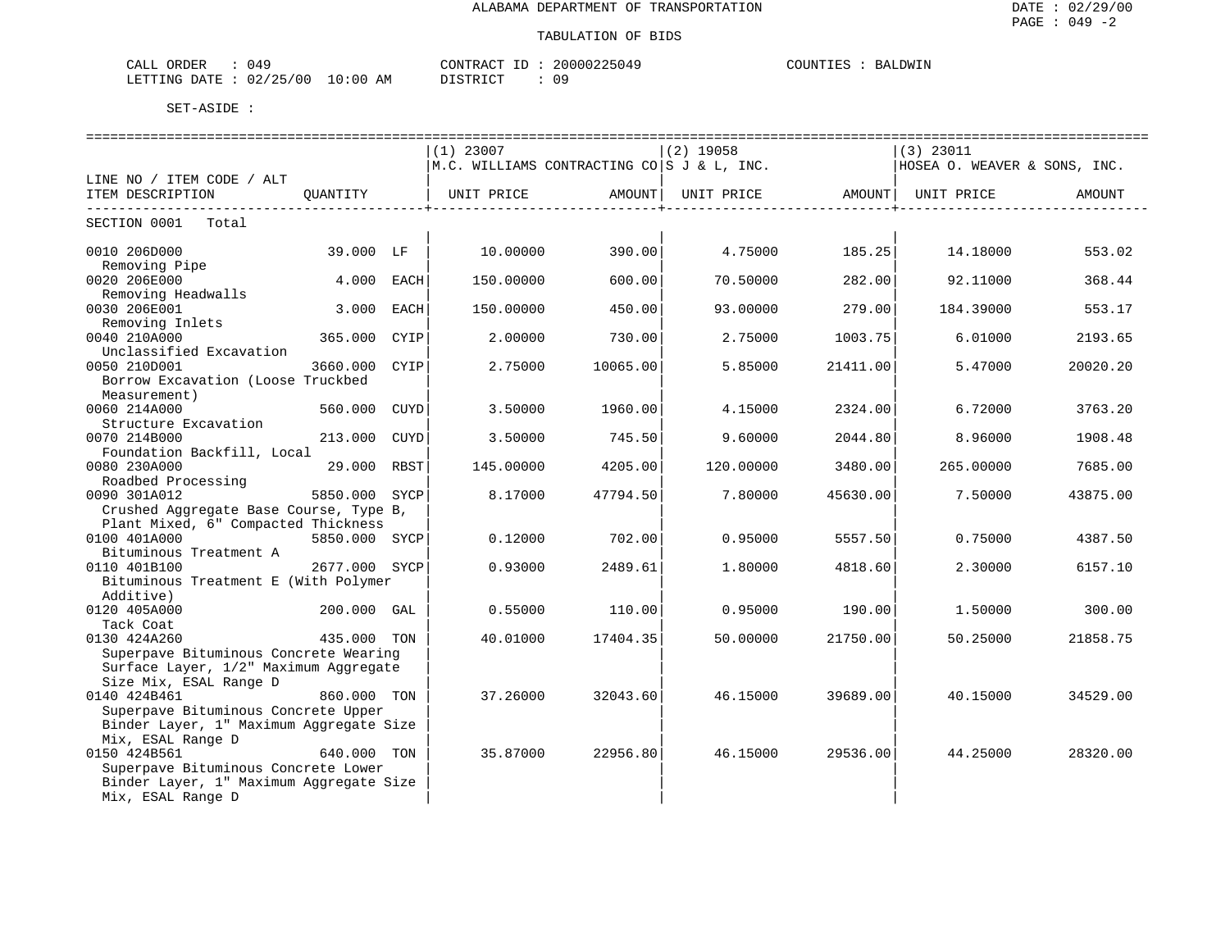| CALL<br>ORDER<br>. 140               |             | CONTRACT     | 20000225049 | COUNTIES<br><b>IIMTI</b><br>BAL |
|--------------------------------------|-------------|--------------|-------------|---------------------------------|
| /25/00<br>02/<br>LETTING DATE<br>___ | 10:00<br>AΜ | דת לידי את ה |             |                                 |

|                                                                                                          |               |      | $(1)$ 23007                                                         |                          | (2) 19058 |                         | $(3)$ 23011                  |          |
|----------------------------------------------------------------------------------------------------------|---------------|------|---------------------------------------------------------------------|--------------------------|-----------|-------------------------|------------------------------|----------|
|                                                                                                          |               |      | M.C. WILLIAMS CONTRACTING CO S J & L, INC.                          |                          |           |                         | HOSEA O. WEAVER & SONS, INC. |          |
| LINE NO / ITEM CODE / ALT                                                                                |               |      |                                                                     |                          |           |                         |                              |          |
| ITEM DESCRIPTION                                                                                         |               |      | QUANTITY   UNIT PRICE     AMOUNT  UNIT PRICE     AMOUNT  UNIT PRICE | ------------------------ |           | _______________________ |                              | AMOUNT   |
| SECTION 0001 Total                                                                                       |               |      |                                                                     |                          |           |                         |                              |          |
| 0010 206D000<br>Removing Pipe                                                                            | 39.000 LF     |      | 10.00000                                                            | 390.00                   |           | 4.75000 185.25          | 14.18000                     | 553.02   |
| 0020 206E000<br>Removing Headwalls                                                                       | 4.000 EACH    |      | 150.00000                                                           | 600.00                   | 70.50000  | 282.00                  | 92.11000                     | 368.44   |
| 0030 206E001<br>Removing Inlets                                                                          | 3.000         | EACH | 150.00000                                                           | 450.00                   | 93.00000  | 279.00                  | 184.39000                    | 553.17   |
| 0040 210A000<br>Unclassified Excavation                                                                  | 365.000 CYIP  |      | 2.00000                                                             | 730.00                   | 2.75000   | 1003.75                 | 6.01000                      | 2193.65  |
| 0050 210D001<br>Borrow Excavation (Loose Truckbed                                                        | 3660.000      | CYIP | 2.75000                                                             | 10065.00                 | 5.85000   | 21411.00                | 5.47000                      | 20020.20 |
| Measurement)<br>0060 214A000                                                                             | 560.000 CUYD  |      | 3.50000                                                             | 1960.00                  | 4.15000   | 2324.00                 | 6.72000                      | 3763.20  |
| Structure Excavation<br>0070 214B000<br>Foundation Backfill, Local                                       | 213.000 CUYD  |      | 3.50000                                                             | 745.50                   | 9.60000   | 2044.80                 | 8.96000                      | 1908.48  |
| 0080 230A000<br>Roadbed Processing                                                                       | 29.000 RBST   |      | 145.00000                                                           | 4205.00                  | 120.00000 | 3480.00                 | 265.00000                    | 7685.00  |
| 0090 301A012<br>Crushed Aggregate Base Course, Type B,                                                   | 5850.000 SYCP |      | 8.17000                                                             | 47794.50                 | 7.80000   | 45630.00                | 7.50000                      | 43875.00 |
| Plant Mixed, 6" Compacted Thickness                                                                      |               |      |                                                                     |                          |           |                         |                              |          |
| 0100 401A000                                                                                             | 5850.000 SYCP |      | 0.12000                                                             | 702.001                  | 0.95000   | 5557.50                 | 0.75000                      | 4387.50  |
| Bituminous Treatment A                                                                                   |               |      |                                                                     |                          |           |                         |                              |          |
| 0110 401B100<br>Bituminous Treatment E (With Polymer<br>Additive)                                        | 2677.000 SYCP |      | 0.93000                                                             | 2489.61                  | 1,80000   | 4818.60                 | 2.30000                      | 6157.10  |
| 0120 405A000<br>Tack Coat                                                                                | 200.000 GAL   |      | 0.55000                                                             | 110.00                   | 0.95000   | 190.00                  | 1.50000                      | 300.00   |
| 0130 424A260                                                                                             | 435.000 TON   |      | 40.01000                                                            | 17404.35                 | 50.00000  | 21750.00                | 50.25000                     | 21858.75 |
| Superpave Bituminous Concrete Wearing<br>Surface Layer, 1/2" Maximum Aggregate<br>Size Mix, ESAL Range D |               |      |                                                                     |                          |           |                         |                              |          |
| 0140 424B461<br>Superpave Bituminous Concrete Upper<br>Binder Layer, 1" Maximum Aggregate Size           | 860.000 TON   |      | 37.26000                                                            | 32043.60                 | 46.15000  | 39689.00                | 40.15000                     | 34529.00 |
| Mix, ESAL Range D<br>0150 424B561                                                                        | 640.000 TON   |      | 35.87000                                                            | 22956.80                 | 46.15000  | 29536.00                | 44.25000                     | 28320.00 |
| Superpave Bituminous Concrete Lower<br>Binder Layer, 1" Maximum Aggregate Size<br>Mix, ESAL Range D      |               |      |                                                                     |                          |           |                         |                              |          |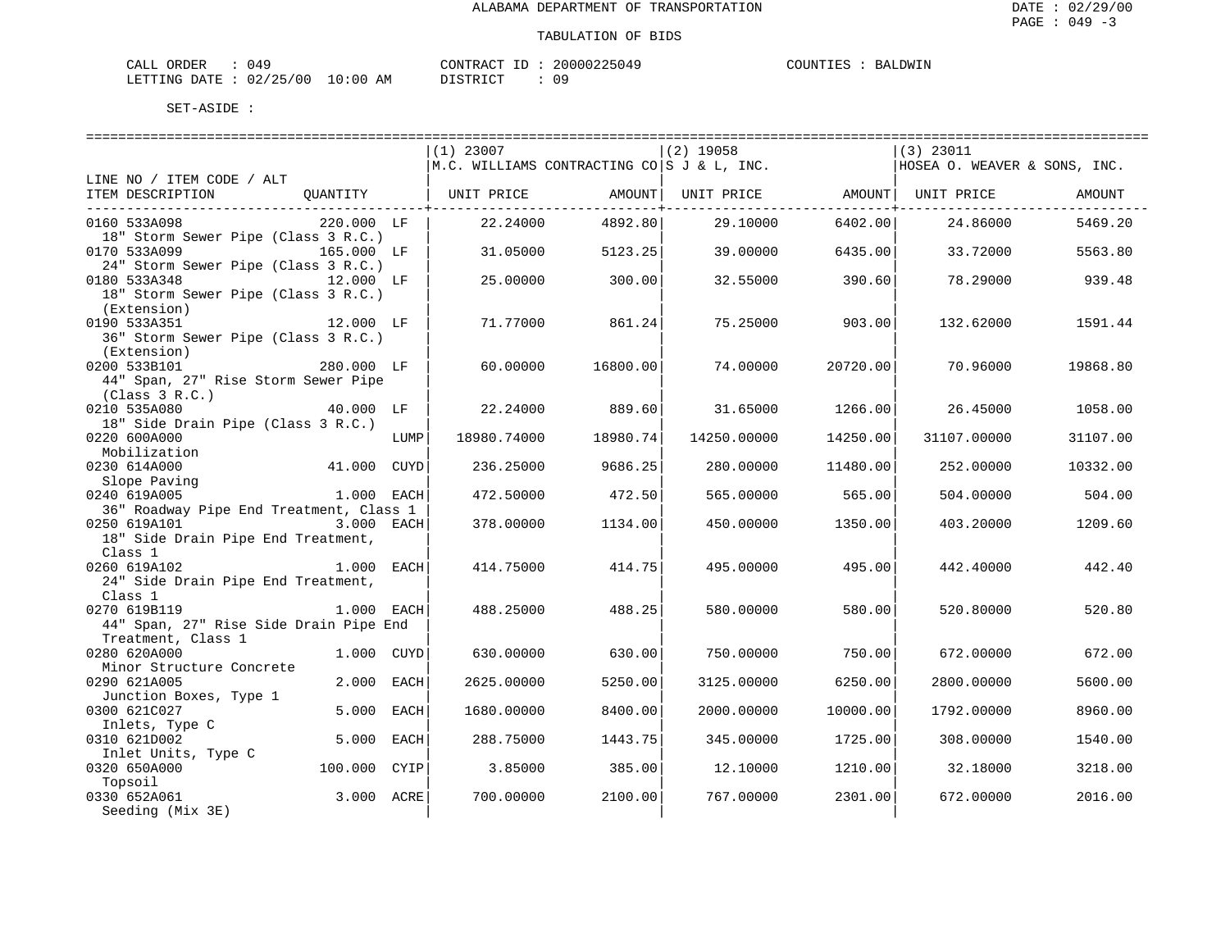| ORDER<br>CALI          | 14'، |               | CONTRACT  | TD. | 20000225049 | COUNTIES |  | <b>BALDWIN</b> |
|------------------------|------|---------------|-----------|-----|-------------|----------|--|----------------|
| LETTING DATE: 02/25/00 |      | LO : 00<br>AM | T STR TOT |     | n a         |          |  |                |

|                                         |              |      | $(1)$ 23007                                                |          | $(2)$ 19058         |          | $(3)$ 23011                  |          |  |
|-----------------------------------------|--------------|------|------------------------------------------------------------|----------|---------------------|----------|------------------------------|----------|--|
|                                         |              |      | $\vert$ M.C. WILLIAMS CONTRACTING CO $\vert$ S J & L, INC. |          |                     |          | HOSEA O. WEAVER & SONS, INC. |          |  |
| LINE NO / ITEM CODE / ALT               |              |      |                                                            |          |                     |          |                              |          |  |
| ITEM DESCRIPTION                        | QUANTITY     |      | UNIT PRICE                                                 |          | AMOUNT   UNIT PRICE |          | AMOUNT  UNIT PRICE           | AMOUNT   |  |
|                                         |              |      |                                                            |          |                     |          |                              |          |  |
| 0160 533A098                            | 220.000 LF   |      | 22.24000                                                   | 4892.80  | 29.10000            | 6402.00  | 24.86000                     | 5469.20  |  |
| 18" Storm Sewer Pipe (Class 3 R.C.)     |              |      |                                                            |          |                     |          |                              |          |  |
| 0170 533A099                            | 165.000 LF   |      | 31.05000                                                   | 5123.25  | 39.00000            | 6435.00  | 33.72000                     | 5563.80  |  |
| 24" Storm Sewer Pipe (Class 3 R.C.)     |              |      |                                                            |          |                     |          |                              |          |  |
| 0180 533A348<br>$12.000$ LF             |              |      | 25.00000                                                   | 300.00   | 32.55000            | 390.60   | 78.29000                     | 939.48   |  |
| 18" Storm Sewer Pipe (Class 3 R.C.)     |              |      |                                                            |          |                     |          |                              |          |  |
| (Extension)                             |              |      |                                                            |          |                     |          |                              |          |  |
| 0190 533A351                            | 12.000 LF    |      | 71.77000                                                   | 861.24   | 75.25000            | 903.00   | 132.62000                    | 1591.44  |  |
| 36" Storm Sewer Pipe (Class 3 R.C.)     |              |      |                                                            |          |                     |          |                              |          |  |
| (Extension)                             |              |      |                                                            |          |                     |          |                              |          |  |
| 0200 533B101                            | 280.000 LF   |      | 60.00000                                                   | 16800.00 | 74.00000            | 20720.00 | 70.96000                     | 19868.80 |  |
| 44" Span, 27" Rise Storm Sewer Pipe     |              |      |                                                            |          |                     |          |                              |          |  |
| (Class 3 R.C.)                          |              |      |                                                            |          |                     |          |                              |          |  |
| 0210 535A080                            | 40.000 LF    |      | 22.24000                                                   | 889.60   | 31.65000            | 1266.00  | 26.45000                     | 1058.00  |  |
| 18" Side Drain Pipe (Class 3 R.C.)      |              |      |                                                            |          |                     |          |                              |          |  |
| 0220 600A000                            |              | LUMP | 18980.74000                                                | 18980.74 | 14250.00000         | 14250.00 | 31107.00000                  | 31107.00 |  |
| Mobilization                            |              |      |                                                            |          |                     |          |                              |          |  |
| 0230 614A000                            | 41.000 CUYD  |      | 236.25000                                                  | 9686.25  | 280.00000           | 11480.00 | 252.00000                    | 10332.00 |  |
| Slope Paving                            |              |      |                                                            |          |                     |          |                              |          |  |
| 0240 619A005                            | 1.000 EACH   |      | 472.50000                                                  | 472.50   | 565.00000           | 565.00   | 504.00000                    | 504.00   |  |
| 36" Roadway Pipe End Treatment, Class 1 |              |      |                                                            |          |                     |          |                              |          |  |
| 0250 619A101                            | 3.000 EACH   |      | 378.00000                                                  | 1134.00  | 450.00000           | 1350.00  | 403.20000                    | 1209.60  |  |
| 18" Side Drain Pipe End Treatment,      |              |      |                                                            |          |                     |          |                              |          |  |
| Class 1                                 |              |      |                                                            |          |                     |          |                              |          |  |
| 0260 619A102                            | 1.000 EACH   |      | 414.75000                                                  | 414.75   | 495.00000           | 495.00   | 442.40000                    | 442.40   |  |
| 24" Side Drain Pipe End Treatment,      |              |      |                                                            |          |                     |          |                              |          |  |
| Class 1                                 |              |      |                                                            |          |                     |          |                              |          |  |
| 0270 619B119                            | 1.000 EACH   |      | 488.25000                                                  | 488.25   | 580.00000           | 580.00   | 520.80000                    | 520.80   |  |
| 44" Span, 27" Rise Side Drain Pipe End  |              |      |                                                            |          |                     |          |                              |          |  |
| Treatment, Class 1                      |              |      |                                                            |          |                     |          |                              |          |  |
| 0280 620A000                            | 1.000 CUYD   |      | 630.00000                                                  | 630.00   | 750.00000           | 750.00   | 672.00000                    | 672.00   |  |
| Minor Structure Concrete                |              |      |                                                            |          |                     |          |                              |          |  |
| 0290 621A005                            | 2.000 EACH   |      | 2625.00000                                                 | 5250.00  | 3125.00000          | 6250.00  | 2800.00000                   | 5600.00  |  |
| Junction Boxes, Type 1                  |              |      |                                                            |          |                     |          |                              |          |  |
| 0300 621C027                            | 5.000 EACH   |      | 1680.00000                                                 | 8400.00  | 2000.00000          | 10000.00 | 1792.00000                   | 8960.00  |  |
| Inlets, Type C                          |              |      |                                                            |          |                     |          |                              |          |  |
| 0310 621D002                            | 5.000 EACH   |      | 288.75000                                                  | 1443.75  | 345.00000           | 1725.00  | 308.00000                    | 1540.00  |  |
| Inlet Units, Type C                     |              |      |                                                            |          |                     |          |                              |          |  |
| 0320 650A000                            | 100.000 CYIP |      | 3.85000                                                    | 385.00   | 12,10000            | 1210.00  | 32.18000                     | 3218.00  |  |
| Topsoil                                 |              |      |                                                            |          |                     |          |                              |          |  |
| 0330 652A061                            | 3.000 ACRE   |      | 700.00000                                                  | 2100.00  | 767.00000           | 2301.00  | 672.00000                    | 2016.00  |  |
| Seeding (Mix 3E)                        |              |      |                                                            |          |                     |          |                              |          |  |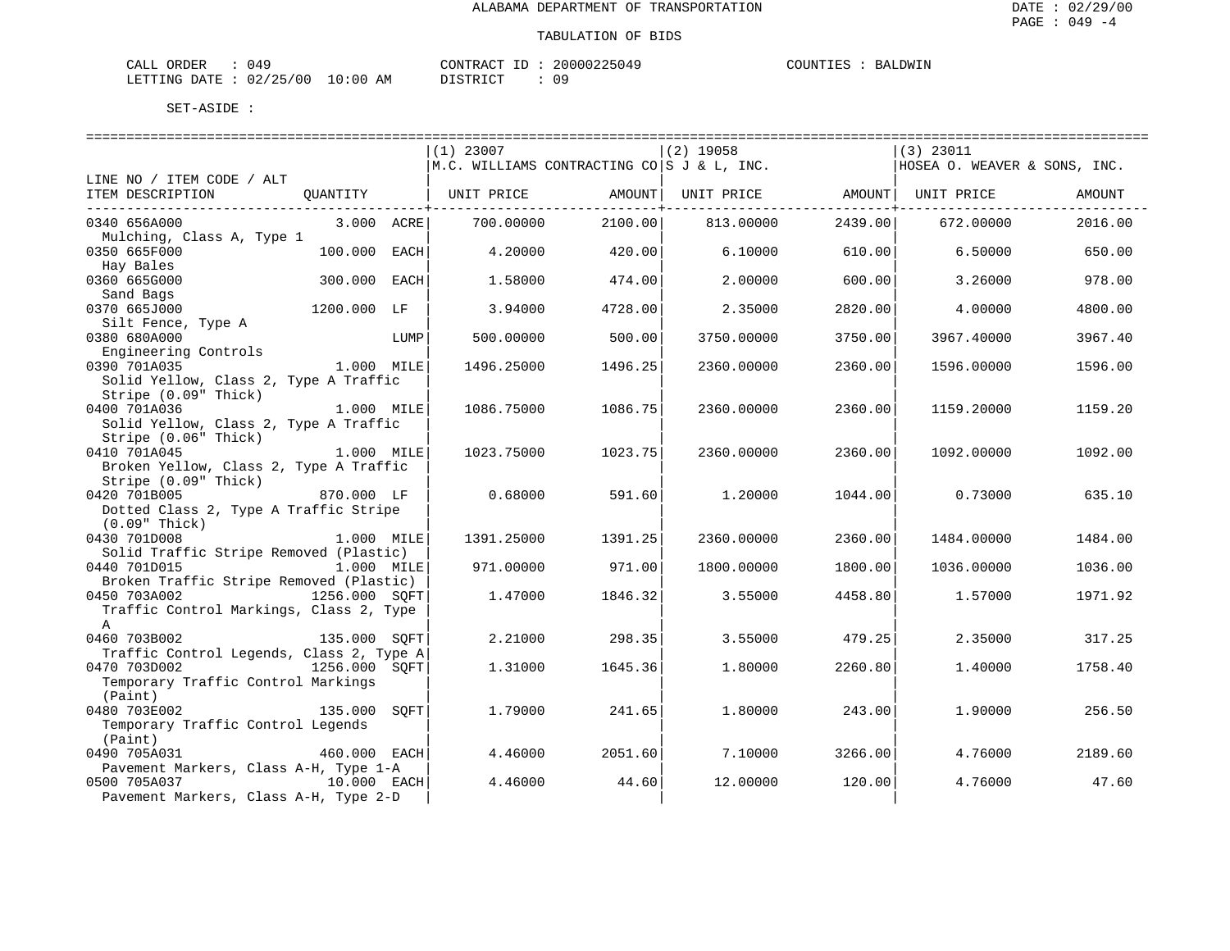| L ORDER<br>CALL                 | ∩⊿⊂ | CONTRACT ID : | 20000225049 | COUNTIES | BALDWIN |
|---------------------------------|-----|---------------|-------------|----------|---------|
| LETTING DATE: 02/25/00 10:00 AM |     | DISTRICT      | n a         |          |         |

|                                                                           |      | $(1)$ 23007                                                |         | $(2)$ 19058 |         | $(3)$ 23011                  |         |
|---------------------------------------------------------------------------|------|------------------------------------------------------------|---------|-------------|---------|------------------------------|---------|
|                                                                           |      | $\vert$ M.C. WILLIAMS CONTRACTING CO $\vert$ S J & L, INC. |         |             |         | HOSEA O. WEAVER & SONS, INC. |         |
| LINE NO / ITEM CODE / ALT                                                 |      |                                                            |         |             |         |                              |         |
| ITEM DESCRIPTION<br>OUANTITY                                              |      | UNIT PRICE                                                 | AMOUNT  | UNIT PRICE  |         | AMOUNT   UNIT PRICE          | AMOUNT  |
|                                                                           |      |                                                            |         |             |         |                              |         |
| 0340 656A000<br>3.000 ACRE<br>Mulching, Class A, Type 1                   |      | 700.00000                                                  | 2100.00 | 813.00000   | 2439.00 | 672.00000                    | 2016.00 |
| 0350 665F000<br>100.000                                                   | EACH | 4.20000                                                    | 420.00  | 6.10000     | 610.00  | 6.50000                      | 650.00  |
| Hay Bales                                                                 |      |                                                            |         |             |         |                              |         |
| 0360 665G000<br>300.000                                                   | EACH | 1.58000                                                    | 474.00  | 2,00000     | 600.00  | 3.26000                      | 978.00  |
| Sand Bags                                                                 |      |                                                            |         |             |         |                              |         |
| 0370 665J000<br>1200.000 LF                                               |      | 3.94000                                                    | 4728.00 | 2.35000     | 2820.00 | 4.00000                      | 4800.00 |
| Silt Fence, Type A                                                        |      |                                                            |         |             |         |                              |         |
| 0380 680A000                                                              | LUMP | 500.00000                                                  | 500.00  | 3750.00000  | 3750.00 | 3967.40000                   | 3967.40 |
| Engineering Controls<br>0390 701A035<br>$1.000$ MILE                      |      |                                                            |         |             |         |                              |         |
| Solid Yellow, Class 2, Type A Traffic                                     |      | 1496.25000                                                 | 1496.25 | 2360.00000  | 2360.00 | 1596.00000                   | 1596.00 |
| Stripe (0.09" Thick)                                                      |      |                                                            |         |             |         |                              |         |
| 0400 701A036<br>1.000 MILE                                                |      | 1086.75000                                                 | 1086.75 | 2360.00000  | 2360.00 | 1159.20000                   | 1159.20 |
| Solid Yellow, Class 2, Type A Traffic                                     |      |                                                            |         |             |         |                              |         |
| Stripe (0.06" Thick)                                                      |      |                                                            |         |             |         |                              |         |
| 0410 701A045<br>1.000 MILE                                                |      | 1023.75000                                                 | 1023.75 | 2360.00000  | 2360.00 | 1092.00000                   | 1092.00 |
| Broken Yellow, Class 2, Type A Traffic                                    |      |                                                            |         |             |         |                              |         |
| Stripe (0.09" Thick)                                                      |      |                                                            |         |             |         |                              |         |
| 0420 701B005<br>870.000 LF                                                |      | 0.68000                                                    | 591.60  | 1,20000     | 1044.00 | 0.73000                      | 635.10  |
| Dotted Class 2, Type A Traffic Stripe<br>$(0.09"$ Thick)                  |      |                                                            |         |             |         |                              |         |
| 0430 701D008<br>1.000 MILE                                                |      | 1391.25000                                                 | 1391.25 | 2360.00000  | 2360.00 | 1484.00000                   | 1484.00 |
| Solid Traffic Stripe Removed (Plastic)                                    |      |                                                            |         |             |         |                              |         |
| 0440 701D015<br>1.000 MILE                                                |      | 971.00000                                                  | 971.00  | 1800.00000  | 1800.00 | 1036.00000                   | 1036.00 |
| Broken Traffic Stripe Removed (Plastic)                                   |      |                                                            |         |             |         |                              |         |
| 1256.000 SQFT<br>0450 703A002                                             |      | 1.47000                                                    | 1846.32 | 3.55000     | 4458.80 | 1.57000                      | 1971.92 |
| Traffic Control Markings, Class 2, Type                                   |      |                                                            |         |             |         |                              |         |
| $\mathbb{A}$                                                              |      |                                                            |         |             |         |                              |         |
| 0460 703B002<br>135.000 SOFT                                              |      | 2.21000                                                    | 298.35  | 3.55000     | 479.25  | 2.35000                      | 317.25  |
| Traffic Control Legends, Class 2, Type A<br>0470 703D002<br>1256.000 SOFT |      | 1.31000                                                    | 1645.36 | 1,80000     | 2260.80 | 1.40000                      | 1758.40 |
| Temporary Traffic Control Markings                                        |      |                                                            |         |             |         |                              |         |
| (Paint)                                                                   |      |                                                            |         |             |         |                              |         |
| 0480 703E002<br>135.000                                                   | SOFT | 1.79000                                                    | 241.65  | 1,80000     | 243.00  | 1.90000                      | 256.50  |
| Temporary Traffic Control Legends                                         |      |                                                            |         |             |         |                              |         |
| (Paint)                                                                   |      |                                                            |         |             |         |                              |         |
| 0490 705A031<br>460.000 EACH                                              |      | 4.46000                                                    | 2051.60 | 7.10000     | 3266.00 | 4.76000                      | 2189.60 |
| Pavement Markers, Class A-H, Type 1-A                                     |      |                                                            |         |             |         |                              |         |
| 0500 705A037<br>10.000 EACH                                               |      | 4.46000                                                    | 44.60   | 12,00000    | 120.00  | 4.76000                      | 47.60   |
| Pavement Markers, Class A-H, Type 2-D                                     |      |                                                            |         |             |         |                              |         |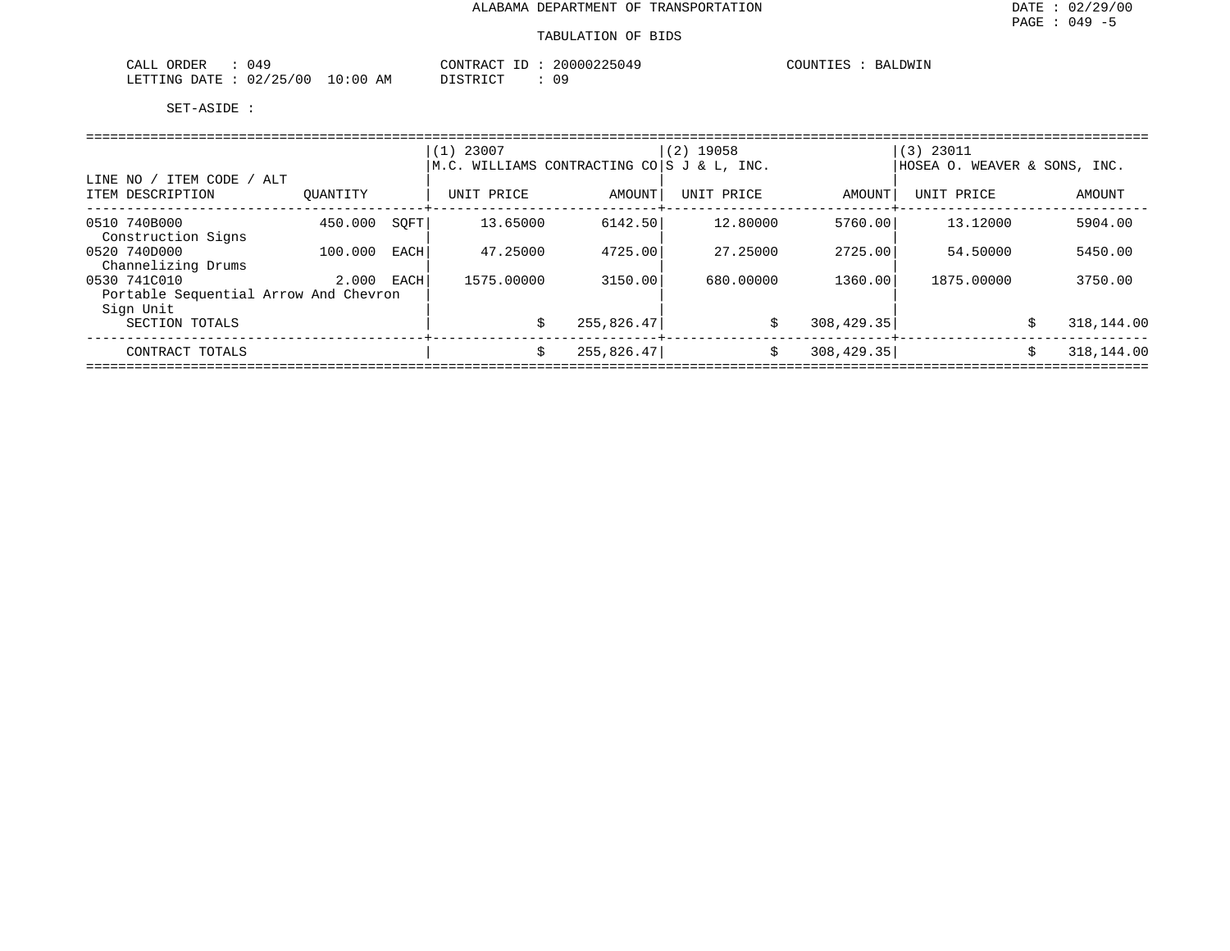| 049<br>$\sim$ $\sim$ $\sim$ $\sim$<br>ORDER<br>CALL |             | 200002<br>CONTRACT                | BALDWIN<br>COLINT<br>- 111 |
|-----------------------------------------------------|-------------|-----------------------------------|----------------------------|
| 02/25/00<br>LETTING<br><b>DATE</b>                  | 10:00<br>AM | 09<br>T CITY<br>: סידפ דח<br>---- |                            |

|                                               |          |      | $(1)$ 23007                                       |            | $(2)$ 19058 |             | $(3)$ 23011                  |                  |  |  |  |  |
|-----------------------------------------------|----------|------|---------------------------------------------------|------------|-------------|-------------|------------------------------|------------------|--|--|--|--|
|                                               |          |      | $M.C.$ WILLIAMS CONTRACTING CO $ S J \& L$ , INC. |            |             |             | HOSEA O. WEAVER & SONS, INC. |                  |  |  |  |  |
| LINE NO / ITEM CODE / ALT<br>ITEM DESCRIPTION | OUANTITY |      | UNIT PRICE                                        | AMOUNT     | UNIT PRICE  | AMOUNT      | UNIT PRICE                   | AMOUNT           |  |  |  |  |
| 0510 740B000                                  | 450.000  | SOFT | 13.65000                                          | 6142.50    | 12.80000    | 5760.00     | 13.12000                     | 5904.00          |  |  |  |  |
| Construction Signs                            |          |      |                                                   |            |             |             |                              |                  |  |  |  |  |
| 0520 740D000                                  | 100,000  | EACH | 47.25000                                          | 4725.00    | 27.25000    | 2725.00     | 54.50000                     | 5450.00          |  |  |  |  |
| Channelizing Drums                            |          |      |                                                   |            |             |             |                              |                  |  |  |  |  |
| 0530 741C010                                  | 2.000    | EACH | 1575.00000                                        | 3150.00    | 680,00000   | 1360.00     | 1875,00000                   | 3750.00          |  |  |  |  |
| Portable Sequential Arrow And Chevron         |          |      |                                                   |            |             |             |                              |                  |  |  |  |  |
| Sign Unit                                     |          |      |                                                   |            |             |             |                              |                  |  |  |  |  |
| SECTION TOTALS                                |          |      |                                                   | 255,826.47 | \$          | 308, 429.35 |                              | 318,144.00<br>\$ |  |  |  |  |
| CONTRACT TOTALS                               |          |      | Ŝ.                                                | 255,826.47 | Ŝ.          | 308, 429.35 |                              | 318,144.00<br>\$ |  |  |  |  |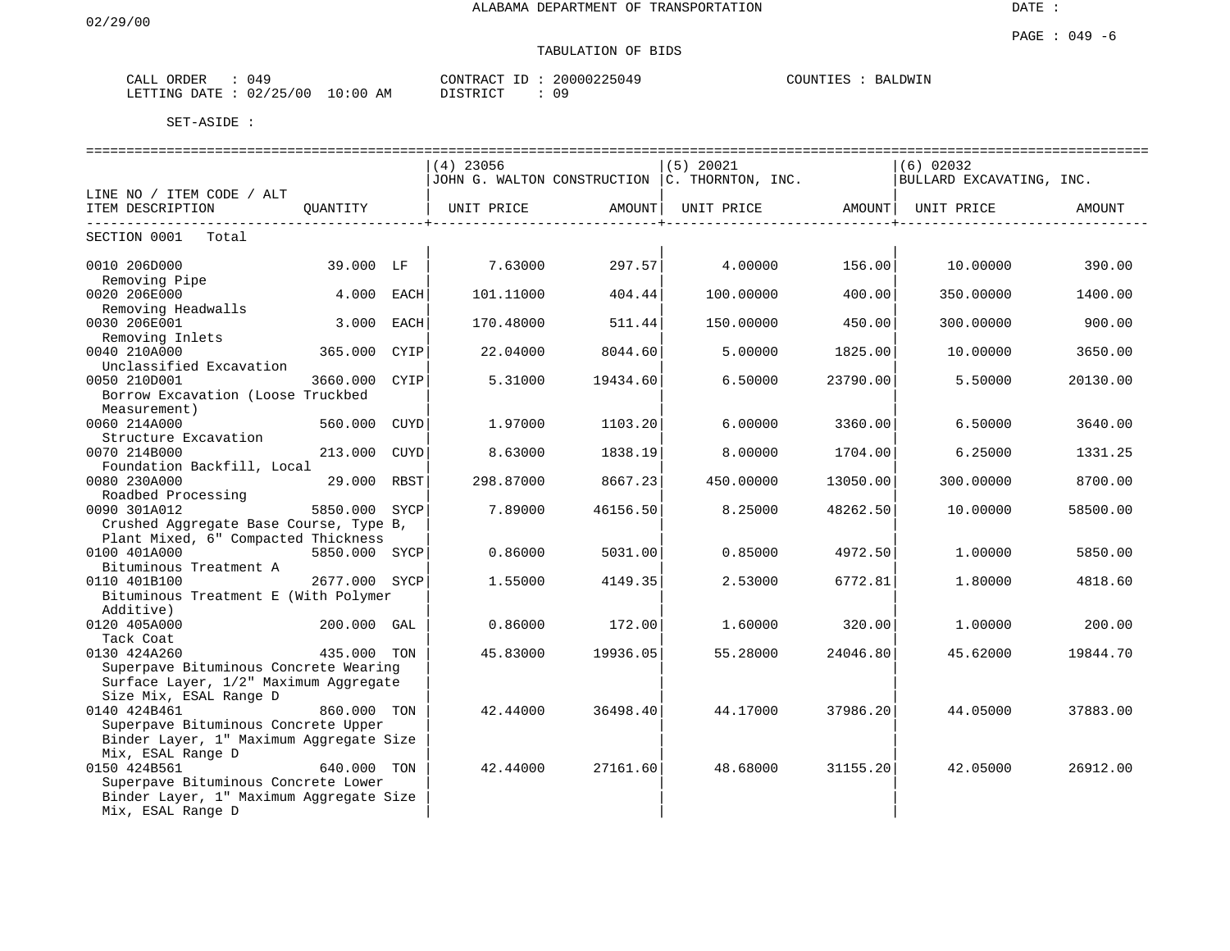# TABULATION OF BIDS

| ORDER<br>CALL | ገ 4 ዓ                   | CONTRACT<br>$ -$ | 20000225049 | COUNTIES<br><b>BALDWIN</b> |
|---------------|-------------------------|------------------|-------------|----------------------------|
| LETTING DATE  | 02/25/00<br>10:00<br>AM | DI STRICT        | 09          |                            |

|                                                                                                                          |               |      | ============================== |          |                                                    |          |                                |          |
|--------------------------------------------------------------------------------------------------------------------------|---------------|------|--------------------------------|----------|----------------------------------------------------|----------|--------------------------------|----------|
|                                                                                                                          |               |      | $(4)$ 23056                    |          | $(5)$ 20021                                        |          | $(6)$ 02032                    |          |
|                                                                                                                          |               |      |                                |          | JOHN G. WALTON CONSTRUCTION $ c $ . THORNTON, INC. |          | BULLARD EXCAVATING, INC.       |          |
| LINE NO / ITEM CODE / ALT                                                                                                |               |      |                                |          |                                                    |          |                                |          |
| ITEM DESCRIPTION                                                                                                         |               |      | QUANTITY   UNIT PRICE AMOUNT   |          |                                                    |          | UNIT PRICE AMOUNT   UNIT PRICE | AMOUNT   |
| --------------------------<br>SECTION 0001 Total                                                                         |               |      |                                |          |                                                    |          |                                |          |
| 0010 206D000<br>Removing Pipe                                                                                            | 39.000 LF     |      | 7.63000                        | 297.57   | 4.00000 156.00                                     |          | 10.00000                       | 390.00   |
| 0020 206E000<br>Removing Headwalls                                                                                       | 4.000         | EACH | 101.11000                      | 404.44   | 100.00000                                          | 400.00   | 350.00000                      | 1400.00  |
| 0030 206E001<br>Removing Inlets                                                                                          | 3.000         | EACH | 170.48000                      | 511.44   | 150.00000                                          | 450.00   | 300,00000                      | 900.00   |
| 0040 210A000<br>Unclassified Excavation                                                                                  | 365.000 CYIP  |      | 22.04000                       | 8044.60  | 5.00000                                            | 1825.00  | 10.00000                       | 3650.00  |
| 0050 210D001<br>Borrow Excavation (Loose Truckbed<br>Measurement)                                                        | 3660.000 CYIP |      | 5.31000                        | 19434.60 | 6.50000                                            | 23790.00 | 5.50000                        | 20130.00 |
| 0060 214A000<br>Structure Excavation                                                                                     | 560.000 CUYD  |      | 1.97000                        | 1103.20  | 6.00000                                            | 3360.00  | 6.50000                        | 3640.00  |
| 0070 214B000<br>Foundation Backfill, Local                                                                               | 213.000 CUYD  |      | 8.63000                        | 1838.19  | 8,00000                                            | 1704.00  | 6.25000                        | 1331.25  |
| 0080 230A000<br>Roadbed Processing                                                                                       | 29.000 RBST   |      | 298.87000                      | 8667.23  | 450.00000                                          | 13050.00 | 300.00000                      | 8700.00  |
| i Tanzania (n. 1879).<br>Nati<br>0090 301A012<br>Crushed Aggregate Base Course, Type B,                                  | 5850.000 SYCP |      | 7.89000                        | 46156.50 | 8.25000                                            | 48262.50 | 10.00000                       | 58500.00 |
| Plant Mixed, 6" Compacted Thickness<br>0100 401A000<br>Bituminous Treatment A                                            | 5850.000 SYCP |      | 0.86000                        | 5031.00  | 0.85000                                            | 4972.50  | 1,00000                        | 5850.00  |
| 0110 401B100<br>Bituminous Treatment E (With Polymer                                                                     | 2677.000 SYCP |      | 1.55000                        | 4149.35  | 2.53000                                            | 6772.81  | 1,80000                        | 4818.60  |
| Additive)<br>0120 405A000<br>Tack Coat                                                                                   | 200.000 GAL   |      | 0.86000                        | 172.00   | 1.60000                                            | 320.00   | 1,00000                        | 200.00   |
| 0130 424A260<br>Superpave Bituminous Concrete Wearing<br>Surface Layer, 1/2" Maximum Aggregate                           | 435.000 TON   |      | 45.83000                       | 19936.05 | 55.28000                                           | 24046.80 | 45.62000                       | 19844.70 |
| Size Mix, ESAL Range D<br>0140 424B461<br>Superpave Bituminous Concrete Upper<br>Binder Layer, 1" Maximum Aggregate Size | 860.000 TON   |      | 42.44000                       | 36498.40 | 44.17000                                           | 37986.20 | 44.05000                       | 37883.00 |
| Mix, ESAL Range D<br>0150 424B561<br>Superpave Bituminous Concrete Lower<br>Binder Layer, 1" Maximum Aggregate Size      | 640.000 TON   |      | 42.44000                       | 27161.60 | 48.68000                                           | 31155.20 | 42.05000                       | 26912.00 |
| Mix, ESAL Range D                                                                                                        |               |      |                                |          |                                                    |          |                                |          |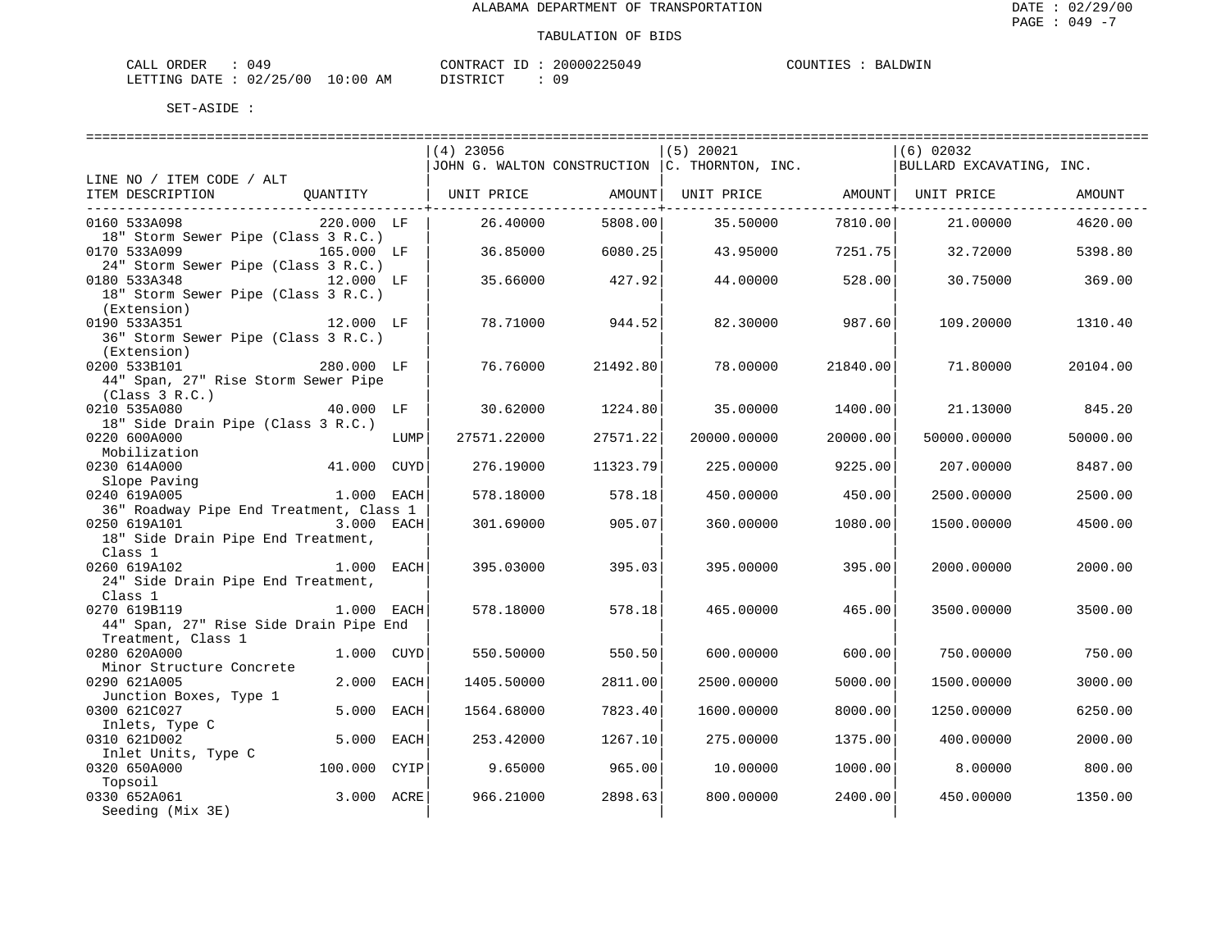| ORDER<br>CALI          | 14'، |               | CONTRACT  | TD. | 20000225049 | COUNTIES |  | <b>BALDWIN</b> |
|------------------------|------|---------------|-----------|-----|-------------|----------|--|----------------|
| LETTING DATE: 02/25/00 |      | LO : 00<br>AM | T STR TOT |     | n a         |          |  |                |

|                                               |              |      | $(4)$ 23056 |          | $(5)$ 20021                                       |          | $(6)$ 02032              |          |
|-----------------------------------------------|--------------|------|-------------|----------|---------------------------------------------------|----------|--------------------------|----------|
|                                               |              |      |             |          | JOHN G. WALTON CONSTRUCTION $ $ C. THORNTON, INC. |          | BULLARD EXCAVATING, INC. |          |
| LINE NO / ITEM CODE / ALT                     |              |      |             |          |                                                   |          |                          |          |
| ITEM DESCRIPTION<br>QUANTITY                  |              |      | UNIT PRICE  | AMOUNT   | UNIT PRICE AMOUNT   UNIT PRICE                    |          |                          | AMOUNT   |
|                                               |              |      |             |          |                                                   |          |                          |          |
| 0160 533A098                                  | 220.000 LF   |      | 26.40000    | 5808.00  | 35.50000                                          | 7810.00  | 21,00000                 | 4620.00  |
| 18" Storm Sewer Pipe (Class 3 R.C.)           |              |      |             |          |                                                   |          |                          |          |
| 0170 533A099                                  | 165.000 LF   |      | 36.85000    | 6080.25  | 43.95000                                          | 7251.75  | 32.72000                 | 5398.80  |
| 24" Storm Sewer Pipe (Class 3 R.C.)           |              |      |             |          |                                                   |          |                          |          |
| 0180 533A348<br>12.000 LF                     |              |      | 35.66000    | 427.92   | 44.00000                                          | 528.00   | 30.75000                 | 369.00   |
| 18" Storm Sewer Pipe (Class 3 R.C.)           |              |      |             |          |                                                   |          |                          |          |
| (Extension)                                   |              |      |             |          |                                                   |          |                          |          |
| 0190 533A351                                  | 12.000 LF    |      | 78.71000    | 944.52   | 82.30000                                          | 987.60   | 109.20000                | 1310.40  |
| 36" Storm Sewer Pipe (Class 3 R.C.)           |              |      |             |          |                                                   |          |                          |          |
| (Extension)                                   |              |      |             |          |                                                   |          |                          |          |
| 0200 533B101                                  | 280.000 LF   |      | 76.76000    | 21492.80 | 78.00000                                          | 21840.00 | 71.80000                 | 20104.00 |
| 44" Span, 27" Rise Storm Sewer Pipe           |              |      |             |          |                                                   |          |                          |          |
| (Class 3 R.C.)                                |              |      |             |          |                                                   |          |                          |          |
| 0210 535A080                                  | 40.000 LF    |      | 30.62000    | 1224.80  | 35,00000                                          | 1400.00  | 21.13000                 | 845.20   |
| 18" Side Drain Pipe (Class 3 R.C.)            |              |      |             |          |                                                   |          |                          |          |
| 0220 600A000                                  |              | LUMP | 27571.22000 | 27571.22 | 20000.00000                                       | 20000.00 | 50000.00000              | 50000.00 |
| Mobilization                                  |              |      |             |          |                                                   |          |                          |          |
| 0230 614A000                                  | 41.000 CUYD  |      | 276.19000   | 11323.79 | 225,00000                                         | 9225.00  | 207.00000                | 8487.00  |
| Slope Paving                                  |              |      |             |          |                                                   |          |                          |          |
| 0240 619A005                                  | 1.000 EACH   |      | 578.18000   | 578.18   | 450.00000                                         | 450.00   | 2500.00000               | 2500.00  |
| 36" Roadway Pipe End Treatment, Class 1       | 3.000 EACH   |      |             | 905.07   |                                                   |          |                          |          |
| 0250 619A101                                  |              |      | 301.69000   |          | 360.00000                                         | 1080.00  | 1500.00000               | 4500.00  |
| 18" Side Drain Pipe End Treatment,<br>Class 1 |              |      |             |          |                                                   |          |                          |          |
| 0260 619A102                                  | 1.000 EACH   |      | 395.03000   | 395.03   | 395.00000                                         | 395.00   | 2000.00000               | 2000.00  |
| 24" Side Drain Pipe End Treatment,            |              |      |             |          |                                                   |          |                          |          |
| Class 1                                       |              |      |             |          |                                                   |          |                          |          |
| 1.000 EACH<br>0270 619B119                    |              |      | 578.18000   | 578.18   | 465.00000                                         | 465.00   | 3500.00000               | 3500.00  |
| 44" Span, 27" Rise Side Drain Pipe End        |              |      |             |          |                                                   |          |                          |          |
| Treatment, Class 1                            |              |      |             |          |                                                   |          |                          |          |
| 0280 620A000                                  | 1.000 CUYD   |      | 550.50000   | 550.50   | 600,00000                                         | 600.00   | 750.00000                | 750.00   |
| Minor Structure Concrete                      |              |      |             |          |                                                   |          |                          |          |
| 0290 621A005                                  | 2.000 EACH   |      | 1405.50000  | 2811.00  | 2500.00000                                        | 5000.00  | 1500.00000               | 3000.00  |
| Junction Boxes, Type 1                        |              |      |             |          |                                                   |          |                          |          |
| 0300 621C027                                  | 5.000 EACH   |      | 1564.68000  | 7823.40  | 1600.00000                                        | 8000.00  | 1250.00000               | 6250.00  |
| Inlets, Type C                                |              |      |             |          |                                                   |          |                          |          |
| 0310 621D002                                  | 5.000 EACH   |      | 253.42000   | 1267.10  | 275.00000                                         | 1375.00  | 400.00000                | 2000.00  |
| Inlet Units, Type C                           |              |      |             |          |                                                   |          |                          |          |
| 0320 650A000                                  | 100.000 CYIP |      | 9.65000     | 965.00   | 10.00000                                          | 1000.00  | 8.00000                  | 800.00   |
| Topsoil                                       |              |      |             |          |                                                   |          |                          |          |
| 0330 652A061                                  | 3.000 ACRE   |      | 966.21000   | 2898.63  | 800.00000                                         | 2400.00  | 450.00000                | 1350.00  |
| Seeding (Mix 3E)                              |              |      |             |          |                                                   |          |                          |          |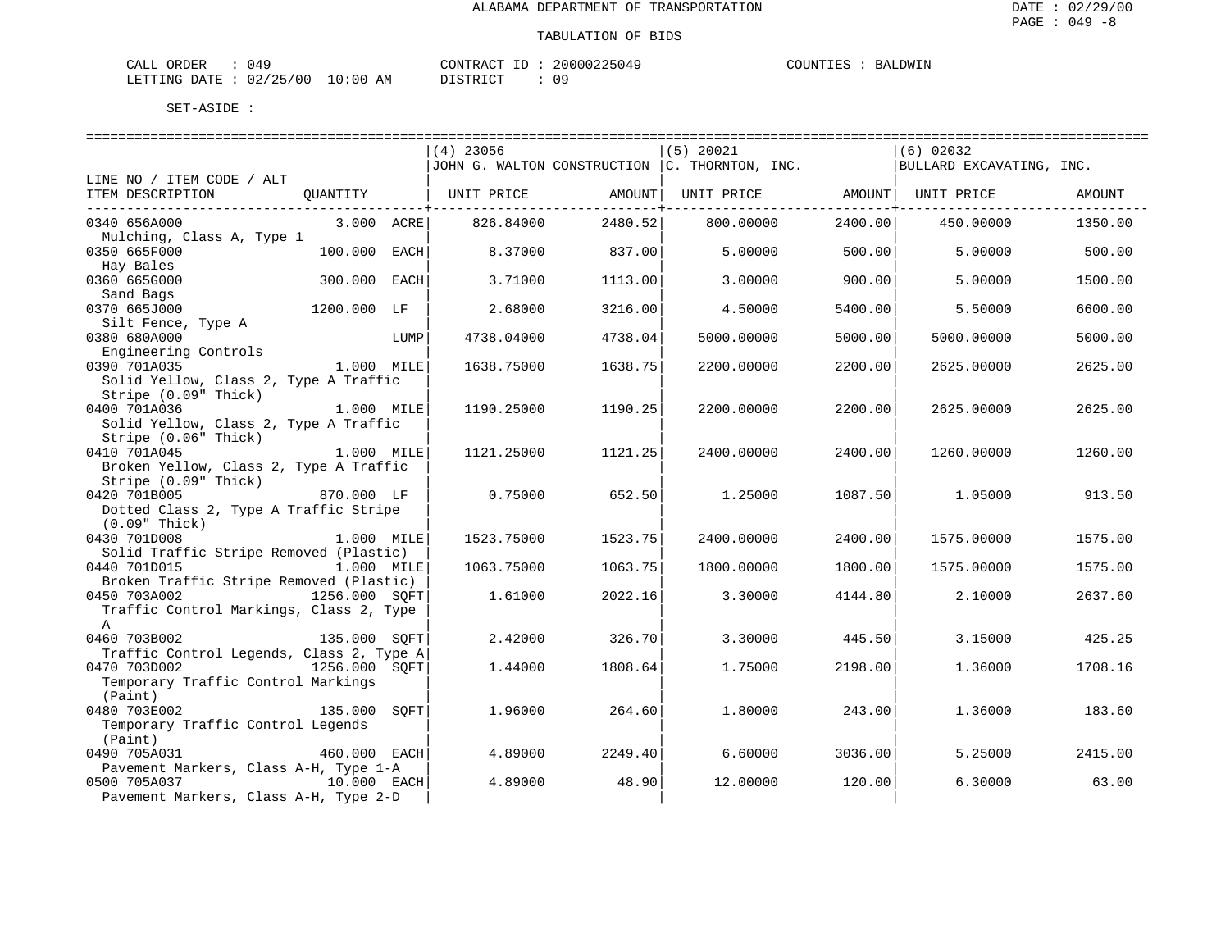| CALL ORDER                      | 049 |          | CONTRACT ID: 20000225049 | COUNTIES | BALDWIN |
|---------------------------------|-----|----------|--------------------------|----------|---------|
| LETTING DATE: 02/25/00 10:00 AM |     | DISTRICT | 09                       |          |         |

|                                                                           | $(4)$ 23056 |         | $(5)$ 20021                                   |            | $(6)$ 02032              |         |
|---------------------------------------------------------------------------|-------------|---------|-----------------------------------------------|------------|--------------------------|---------|
|                                                                           |             |         | JOHN G. WALTON CONSTRUCTION C. THORNTON, INC. |            | BULLARD EXCAVATING, INC. |         |
| LINE NO / ITEM CODE / ALT                                                 |             |         |                                               |            |                          |         |
| ITEM DESCRIPTION<br>QUANTITY                                              | UNIT PRICE  |         | AMOUNT  UNIT PRICE AMOUNT  UNIT PRICE         | . <b>.</b> |                          | AMOUNT  |
| 0340 656A000<br>3.000 ACRE                                                | 826.84000   | 2480.52 | 800.00000                                     | 2400.00    | 450.00000                | 1350.00 |
| Mulching, Class A, Type 1                                                 |             |         |                                               |            |                          |         |
| 100.000<br>0350 665F000<br>EACH                                           | 8.37000     | 837.00  | 5.00000                                       | 500.00     | 5.00000                  | 500.00  |
| Hay Bales                                                                 |             |         |                                               |            |                          |         |
| 300.000<br>0360 665G000<br>EACH                                           | 3.71000     | 1113.00 | 3.00000                                       | 900.00     | 5,00000                  | 1500.00 |
| Sand Bags                                                                 |             |         |                                               |            |                          |         |
| 0370 665J000<br>1200.000 LF                                               | 2.68000     | 3216.00 | 4.50000                                       | 5400.00    | 5.50000                  | 6600.00 |
| Silt Fence, Type A<br>0380 680A000                                        |             |         |                                               |            |                          |         |
| LUMP<br>Engineering Controls                                              | 4738.04000  | 4738.04 | 5000.00000                                    | 5000.00    | 5000.00000               | 5000.00 |
| 0390 701A035<br>1.000 MILE                                                | 1638.75000  | 1638.75 | 2200.00000                                    | 2200.00    | 2625,00000               | 2625.00 |
| Solid Yellow, Class 2, Type A Traffic                                     |             |         |                                               |            |                          |         |
| Stripe (0.09" Thick)                                                      |             |         |                                               |            |                          |         |
| 0400 701A036<br>1.000 MILE                                                | 1190.25000  | 1190.25 | 2200.00000                                    | 2200.00    | 2625.00000               | 2625.00 |
| Solid Yellow, Class 2, Type A Traffic                                     |             |         |                                               |            |                          |         |
| Stripe (0.06" Thick)                                                      |             |         |                                               |            |                          |         |
| 0410 701A045<br>1.000 MILE                                                | 1121.25000  | 1121.25 | 2400.00000                                    | 2400.00    | 1260.00000               | 1260.00 |
| Broken Yellow, Class 2, Type A Traffic                                    |             |         |                                               |            |                          |         |
| Stripe (0.09" Thick)                                                      |             |         |                                               |            |                          |         |
| 0420 701B005<br>870.000 LF<br>Dotted Class 2, Type A Traffic Stripe       | 0.75000     | 652.50  | 1,25000                                       | 1087.50    | 1.05000                  | 913.50  |
| $(0.09"$ Thick)                                                           |             |         |                                               |            |                          |         |
| 0430 701D008<br>1.000 MILE                                                | 1523.75000  | 1523.75 | 2400.00000                                    | 2400.00    | 1575.00000               | 1575.00 |
| Solid Traffic Stripe Removed (Plastic)                                    |             |         |                                               |            |                          |         |
| 0440 701D015<br>1.000 MILE                                                | 1063.75000  | 1063.75 | 1800.00000                                    | 1800.00    | 1575.00000               | 1575.00 |
| Broken Traffic Stripe Removed (Plastic)                                   |             |         |                                               |            |                          |         |
| 0450 703A002<br>1256.000 SOFT                                             | 1.61000     | 2022.16 | 3.30000                                       | 4144.80    | 2.10000                  | 2637.60 |
| Traffic Control Markings, Class 2, Type                                   |             |         |                                               |            |                          |         |
| $\mathsf{A}$                                                              |             |         |                                               |            |                          |         |
| 0460 703B002<br>135.000 SOFT                                              | 2.42000     | 326.70  | 3.30000                                       | 445.50     | 3.15000                  | 425.25  |
| Traffic Control Legends, Class 2, Type A<br>0470 703D002<br>1256.000 SOFT | 1.44000     | 1808.64 | 1.75000                                       | 2198.00    | 1.36000                  | 1708.16 |
| Temporary Traffic Control Markings                                        |             |         |                                               |            |                          |         |
| (Paint)                                                                   |             |         |                                               |            |                          |         |
| 0480 703E002<br>135.000 SOFT                                              | 1.96000     | 264.60  | 1.80000                                       | 243.00     | 1.36000                  | 183.60  |
| Temporary Traffic Control Legends                                         |             |         |                                               |            |                          |         |
| (Paint)                                                                   |             |         |                                               |            |                          |         |
| 0490 705A031<br>460.000 EACH                                              | 4.89000     | 2249.40 | 6.60000                                       | 3036.00    | 5.25000                  | 2415.00 |
| Pavement Markers, Class A-H, Type 1-A                                     |             |         |                                               |            |                          |         |
| 0500 705A037<br>10.000 EACH                                               | 4.89000     | 48.90   | 12.00000                                      | 120.00     | 6.30000                  | 63.00   |
| Pavement Markers, Class A-H, Type 2-D                                     |             |         |                                               |            |                          |         |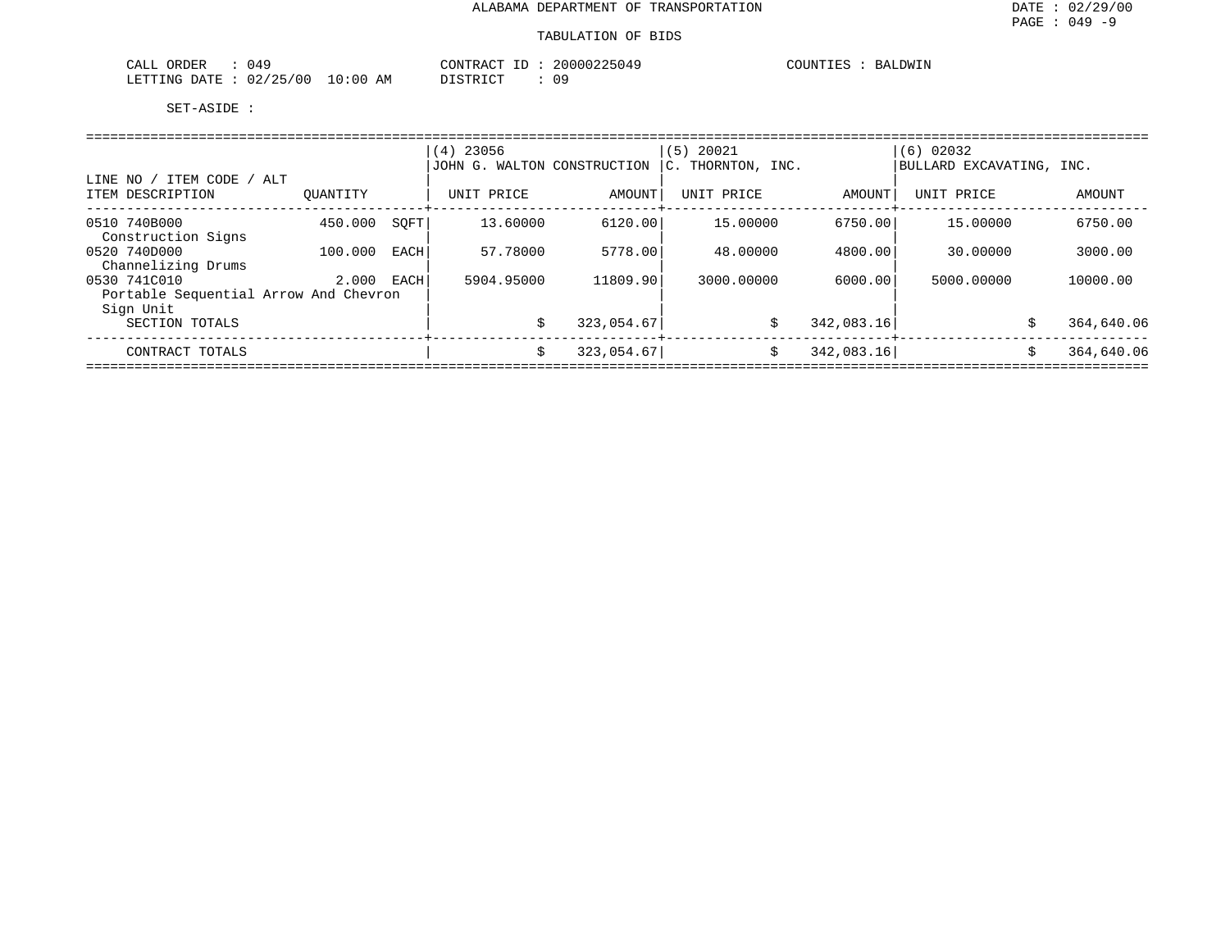| ORDER<br>77 L<br>، ئىللەت | 49 ر                                                 |                      | $\cap$ ת מידיזג $\cap$<br>71 M | ┚ | 2000<br>. ( ) 4 ' | <b>COLLUL</b><br>$- - -$<br>HA. | DWIN |
|---------------------------|------------------------------------------------------|----------------------|--------------------------------|---|-------------------|---------------------------------|------|
| <b>ETTING</b><br>DATF.    | $\bigcap$ $\bigcap$ $\bigcap$ $\bigcap$<br>00<br>ر ب | :00<br>AΜ<br>$\cdot$ | .0007707                       |   | 09                |                                 |      |

|                                                    |          |      | $(4)$ 23056                 |            | $(5)$ 20021       |            | (6) 02032                |            |  |  |  |  |
|----------------------------------------------------|----------|------|-----------------------------|------------|-------------------|------------|--------------------------|------------|--|--|--|--|
|                                                    |          |      | JOHN G. WALTON CONSTRUCTION |            | C. THORNTON, INC. |            | BULLARD EXCAVATING, INC. |            |  |  |  |  |
| ITEM CODE / ALT<br>LINE NO<br>ITEM DESCRIPTION     | OUANTITY |      | UNIT PRICE                  | AMOUNT     | UNIT PRICE        | AMOUNT     | UNIT PRICE               | AMOUNT     |  |  |  |  |
|                                                    |          |      |                             |            |                   |            |                          |            |  |  |  |  |
| 0510 740B000<br>Construction Signs                 | 450.000  | SOFT | 13.60000                    | 6120.00    | 15.00000          | 6750.00    | 15.00000                 | 6750.00    |  |  |  |  |
| 0520 740D000                                       | 100.000  | EACH | 57.78000                    | 5778.00    | 48,00000          | 4800.00    | 30.00000                 | 3000.00    |  |  |  |  |
| Channelizing Drums<br>0530 741C010                 | 2.000    | EACH | 5904.95000                  | 11809.90   | 3000.00000        | 6000.00    | 5000,00000               | 10000.00   |  |  |  |  |
| Portable Sequential Arrow And Chevron<br>Sign Unit |          |      |                             |            |                   |            |                          |            |  |  |  |  |
| SECTION TOTALS                                     |          |      | \$                          | 323,054.67 | \$                | 342,083.16 | Ŝ                        | 364,640.06 |  |  |  |  |
| CONTRACT TOTALS                                    |          |      | \$                          | 323,054.67 | \$                | 342,083.16 | \$                       | 364,640.06 |  |  |  |  |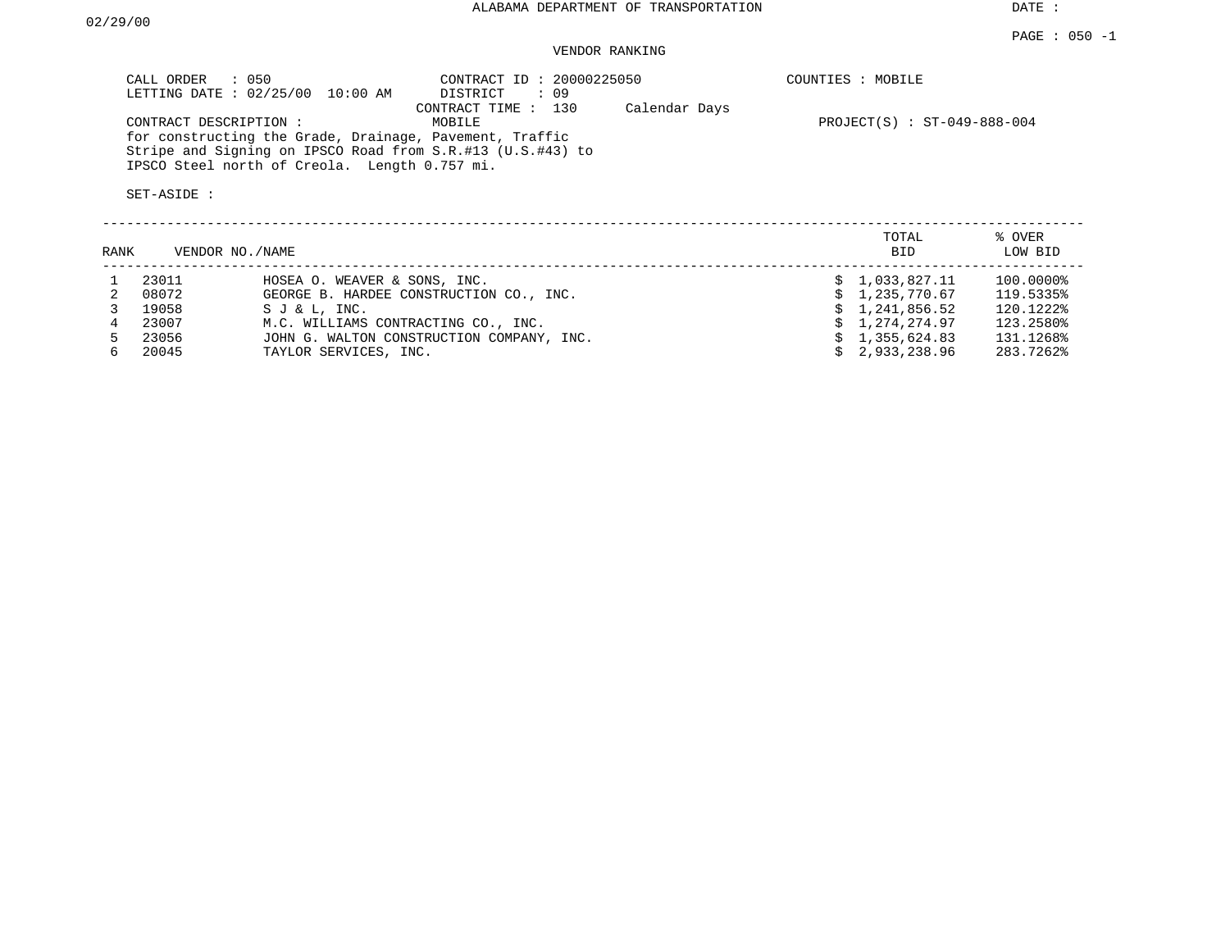DATE :

#### PAGE : 050 -1 VENDOR RANKING

| $PROJECT(S) : ST-049-888-004$ |
|-------------------------------|
|                               |
|                               |
|                               |
|                               |

| RANK | VENDOR NO./NAME |                                           | TOTAL<br><b>BID</b> | % OVER<br>LOW BID |
|------|-----------------|-------------------------------------------|---------------------|-------------------|
|      | 23011           | HOSEA O. WEAVER & SONS, INC.              | \$1.033.827.11      | 100.0000%         |
|      | 08072           | GEORGE B. HARDEE CONSTRUCTION CO., INC.   | \$1,235,770.67      | 119.5335%         |
|      | 19058           | SJ & L. INC.                              | \$1,241,856.52      | 120.1222%         |
|      | 23007           | M.C. WILLIAMS CONTRACTING CO., INC.       | \$1,274,274.97      | 123.2580%         |
|      | 23056           | JOHN G. WALTON CONSTRUCTION COMPANY, INC. | \$1,355,624.83      | 131.1268%         |
| 6.   | 20045           | TAYLOR SERVICES, INC.                     | \$2.933.238.96      | 283.7262%         |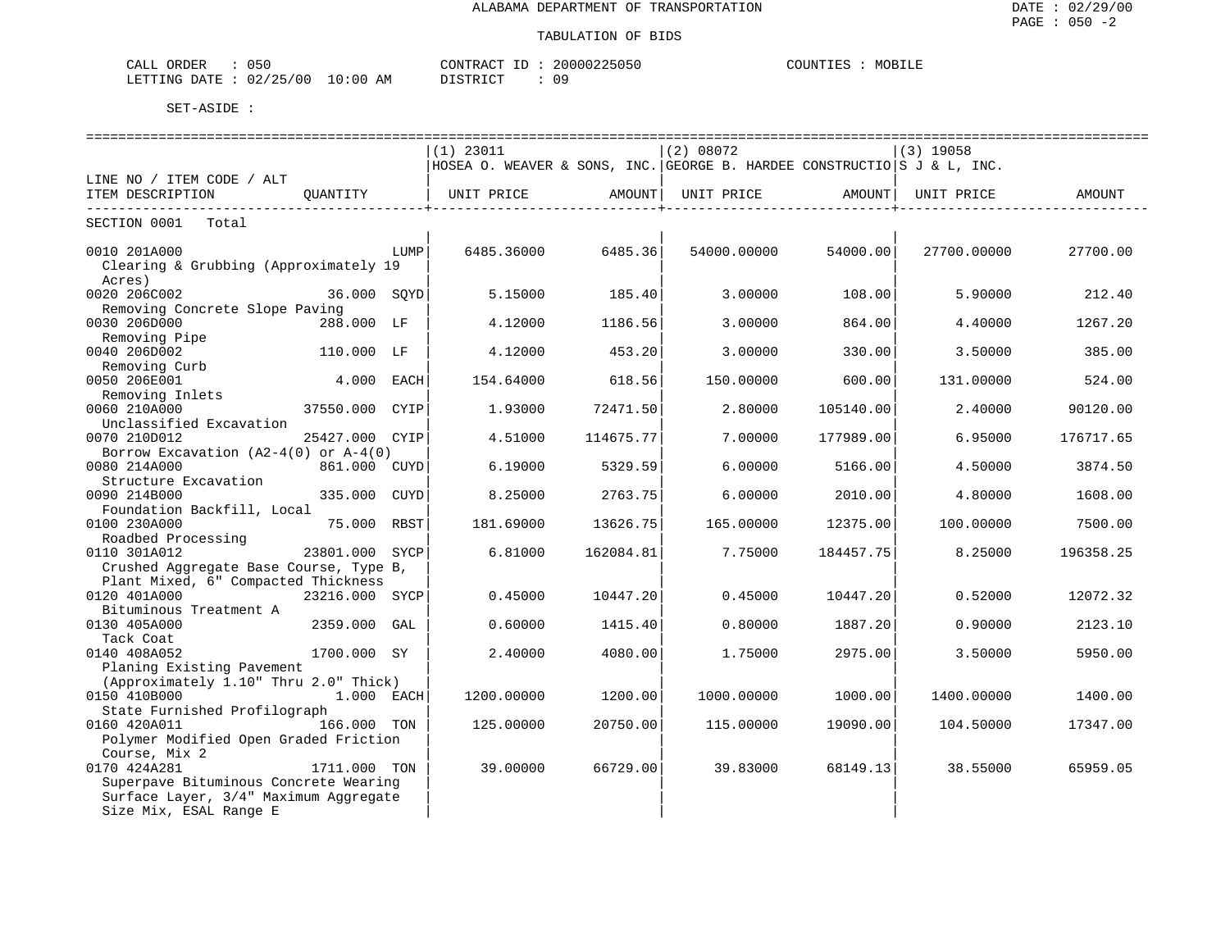| CALL<br>ORDER<br>いっし                           | $C\cap N$ TRA $C$ T<br>$ -$           | 20000225050 | COUNTIES<br>MOBILE |
|------------------------------------------------|---------------------------------------|-------------|--------------------|
| 02/25/00<br>LETTING<br>DATE.<br><u> ∠⊷ ⊥ ⊥</u> | 10:00<br>DISTRICT<br>ΆM<br>ד אדעד פדת | 09          |                    |

|                                                     |                |      |                                                                         |                    | ============================= |           | -------------------------------- |           |
|-----------------------------------------------------|----------------|------|-------------------------------------------------------------------------|--------------------|-------------------------------|-----------|----------------------------------|-----------|
|                                                     |                |      | $(1)$ 23011                                                             |                    | (2) 08072                     |           | $(3)$ 19058                      |           |
|                                                     |                |      | HOSEA O. WEAVER & SONS, INC. GEORGE B. HARDEE CONSTRUCTIO S J & L, INC. |                    |                               |           |                                  |           |
| LINE NO / ITEM CODE / ALT                           |                |      |                                                                         |                    |                               |           |                                  |           |
| ITEM DESCRIPTION                                    | QUANTITY       |      | UNIT PRICE AMOUNT                                                       | ----------------+- | UNIT PRICE AMOUNT             |           | UNIT PRICE                       | AMOUNT    |
| -----------------------------<br>SECTION 0001 Total |                |      |                                                                         |                    |                               |           |                                  |           |
| 0010 201A000                                        |                | LUMP | 6485.36000                                                              | 6485.36            | 54000.00000                   | 54000.00  | 27700.00000                      | 27700.00  |
| Clearing & Grubbing (Approximately 19               |                |      |                                                                         |                    |                               |           |                                  |           |
| Acres)                                              |                |      |                                                                         |                    |                               |           |                                  |           |
| 0020 206C002                                        | 36.000 SOYD    |      | 5.15000                                                                 | 185.40             | 3.00000                       | 108.00    | 5.90000                          | 212.40    |
| Removing Concrete Slope Paving                      |                |      |                                                                         |                    |                               |           |                                  |           |
| 0030 206D000                                        | 288.000 LF     |      | 4.12000                                                                 | 1186.56            | 3.00000                       | 864.00    | 4.40000                          | 1267.20   |
| Removing Pipe                                       |                |      |                                                                         |                    |                               |           |                                  |           |
| 0040 206D002                                        | 110.000 LF     |      | 4.12000                                                                 | 453.20             | 3.00000                       | 330.00    | 3.50000                          | 385.00    |
| Removing Curb                                       |                |      |                                                                         |                    |                               |           |                                  |           |
| 0050 206E001                                        | 4.000 EACH     |      | 154.64000                                                               | 618.56             | 150.00000                     | 600.00    | 131.00000                        | 524.00    |
| Removing Inlets                                     |                |      |                                                                         |                    |                               |           |                                  |           |
| 0060 210A000                                        | 37550.000 CYIP |      | 1.93000                                                                 | 72471.50           | 2.80000                       | 105140.00 | 2.40000                          | 90120.00  |
| Unclassified Excavation                             |                |      |                                                                         |                    |                               |           |                                  |           |
| 0070 210D012                                        | 25427.000 CYIP |      | 4.51000                                                                 | 114675.77          | 7.00000                       | 177989.00 | 6.95000                          | 176717.65 |
| Borrow Excavation $(A2-4(0))$ or $A-4(0)$           |                |      |                                                                         |                    |                               |           |                                  |           |
| 0080 214A000                                        | 861.000 CUYD   |      | 6.19000                                                                 | 5329.59            | 6,00000                       | 5166.00   | 4.50000                          | 3874.50   |
| Structure Excavation                                |                |      |                                                                         |                    |                               |           |                                  |           |
| 0090 214B000                                        | 335.000 CUYD   |      | 8.25000                                                                 | 2763.75            | 6.00000                       | 2010.00   | 4.80000                          | 1608.00   |
| Foundation Backfill, Local                          |                |      |                                                                         |                    |                               |           |                                  |           |
| 0100 230A000                                        | 75.000 RBST    |      | 181.69000                                                               | 13626.75           | 165.00000                     | 12375.00  | 100.00000                        | 7500.00   |
| Roadbed Processing                                  |                |      |                                                                         |                    |                               |           |                                  |           |
| 0110 301A012                                        | 23801.000 SYCP |      | 6.81000                                                                 | 162084.81          | 7.75000                       | 184457.75 | 8.25000                          | 196358.25 |
| Crushed Aggregate Base Course, Type B,              |                |      |                                                                         |                    |                               |           |                                  |           |
| Plant Mixed, 6" Compacted Thickness                 |                |      |                                                                         |                    |                               |           |                                  |           |
| 0120 401A000                                        | 23216.000 SYCP |      | 0.45000                                                                 | 10447.20           | 0.45000                       | 10447.20  | 0.52000                          | 12072.32  |
| Bituminous Treatment A                              |                |      |                                                                         |                    |                               |           |                                  |           |
| 0130 405A000                                        | 2359.000 GAL   |      | 0.60000                                                                 | 1415.40            | 0.80000                       | 1887.20   | 0.90000                          | 2123.10   |
| Tack Coat                                           |                |      |                                                                         |                    |                               |           |                                  |           |
| 0140 408A052                                        | 1700.000 SY    |      | 2.40000                                                                 | 4080.00            | 1.75000                       | 2975.00   | 3.50000                          | 5950.00   |
| Planing Existing Pavement                           |                |      |                                                                         |                    |                               |           |                                  |           |
| (Approximately 1.10" Thru 2.0" Thick)               |                |      |                                                                         |                    |                               |           |                                  |           |
| 0150 410B000                                        | 1.000 EACH     |      | 1200.00000                                                              | 1200.00            | 1000.00000                    | 1000.00   | 1400.00000                       | 1400.00   |
| State Furnished Profilograph                        |                |      |                                                                         |                    |                               |           |                                  |           |
| 0160 420A011                                        | 166.000 TON    |      | 125.00000                                                               | 20750.00           | 115.00000                     | 19090.00  | 104.50000                        | 17347.00  |
| Polymer Modified Open Graded Friction               |                |      |                                                                         |                    |                               |           |                                  |           |
| Course, Mix 2                                       |                |      |                                                                         |                    |                               |           |                                  |           |
| 0170 424A281                                        | 1711.000 TON   |      | 39.00000                                                                | 66729.00           | 39.83000                      | 68149.13  | 38.55000                         | 65959.05  |
| Superpave Bituminous Concrete Wearing               |                |      |                                                                         |                    |                               |           |                                  |           |
| Surface Layer, 3/4" Maximum Aggregate               |                |      |                                                                         |                    |                               |           |                                  |           |
| Size Mix, ESAL Range E                              |                |      |                                                                         |                    |                               |           |                                  |           |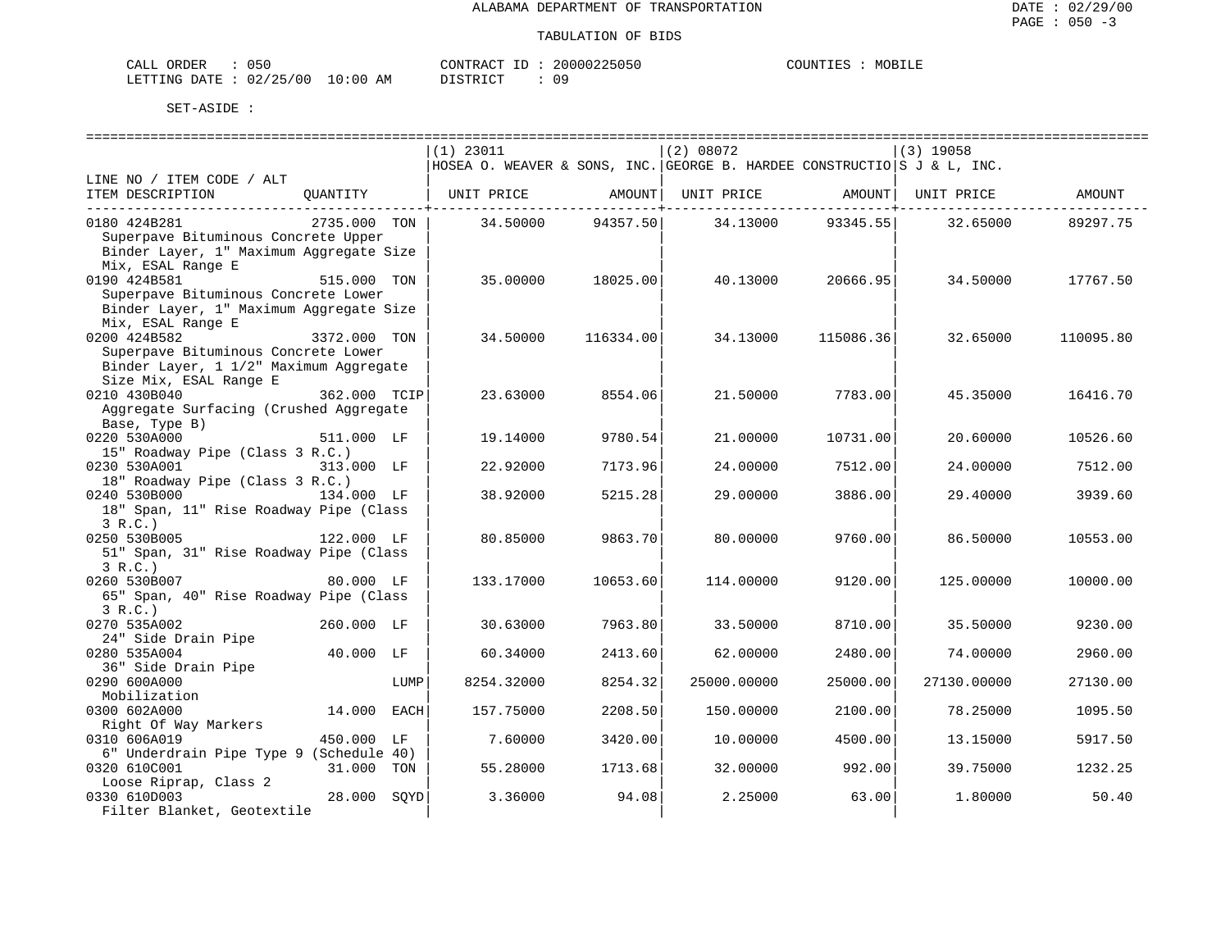| CALL ORDER                      | 050 |          | CONTRACT ID: 20000225050 | COUNTIES : | MOBILE |
|---------------------------------|-----|----------|--------------------------|------------|--------|
| LETTING DATE: 02/25/00 10:00 AM |     | DISTRICT |                          |            |        |

|                                         |              | $(1)$ 23011 |                                                 | (2) 08072                                                               |                           | $(3)$ 19058 |           |
|-----------------------------------------|--------------|-------------|-------------------------------------------------|-------------------------------------------------------------------------|---------------------------|-------------|-----------|
|                                         |              |             |                                                 | HOSEA O. WEAVER & SONS, INC. GEORGE B. HARDEE CONSTRUCTIO S J & L, INC. |                           |             |           |
| LINE NO / ITEM CODE / ALT               |              |             |                                                 |                                                                         |                           |             |           |
| ITEM DESCRIPTION                        |              |             |                                                 | QUANTITY   UNIT PRICE AMOUNT  UNIT PRICE AMOUNT  UNIT PRICE AMOUNT      |                           |             |           |
| 0180 424B281                            | 2735.000 TON |             | . _ _ _ _ _ _ _ _ _ _ _ _ _ _ _ + _ _ _ _ _ _ _ | $34.50000$ $94357.50$ $34.13000$ $93345.55$                             | ---------------+--------- | 32.65000    | 89297.75  |
| Superpave Bituminous Concrete Upper     |              |             |                                                 |                                                                         |                           |             |           |
| Binder Layer, 1" Maximum Aggregate Size |              |             |                                                 |                                                                         |                           |             |           |
| Mix, ESAL Range E                       |              |             |                                                 |                                                                         |                           |             |           |
| 515.000 TON<br>0190 424B581             |              | 35,00000    | 18025.00                                        | 40.13000                                                                | 20666.95                  | 34.50000    | 17767.50  |
| Superpave Bituminous Concrete Lower     |              |             |                                                 |                                                                         |                           |             |           |
| Binder Layer, 1" Maximum Aggregate Size |              |             |                                                 |                                                                         |                           |             |           |
| Mix, ESAL Range E                       |              |             |                                                 |                                                                         |                           |             |           |
| $3372.000$ TON<br>0200 424B582          |              | 34.50000    | 116334.00                                       | 34.13000                                                                | 115086.36                 | 32.65000    | 110095.80 |
| Superpave Bituminous Concrete Lower     |              |             |                                                 |                                                                         |                           |             |           |
| Binder Layer, 1 1/2" Maximum Aggregate  |              |             |                                                 |                                                                         |                           |             |           |
| Size Mix, ESAL Range E                  |              |             |                                                 |                                                                         |                           |             |           |
| 0210 430B040                            | 362.000 TCIP | 23.63000    | 8554.06                                         | 21.50000                                                                | 7783.00                   | 45.35000    | 16416.70  |
| Aggregate Surfacing (Crushed Aggregate  |              |             |                                                 |                                                                         |                           |             |           |
|                                         |              |             |                                                 |                                                                         |                           |             |           |
| Base, Type B)                           |              |             |                                                 |                                                                         |                           |             |           |
| 0220 530A000                            | 511.000 LF   | 19.14000    | 9780.54                                         | 21,00000                                                                | 10731.00                  | 20.60000    | 10526.60  |
| 15" Roadway Pipe (Class 3 R.C.)         |              |             |                                                 |                                                                         |                           |             |           |
| 0230 530A001<br>313.000 LF              |              | 22.92000    | 7173.96                                         | 24.00000                                                                | 7512.00                   | 24,00000    | 7512.00   |
| 18" Roadway Pipe (Class 3 R.C.)         |              |             |                                                 |                                                                         |                           |             |           |
| 0240 530B000 134.000 LF                 |              | 38.92000    | 5215.28                                         | 29.00000                                                                | 3886.00                   | 29.40000    | 3939.60   |
| 18" Span, 11" Rise Roadway Pipe (Class  |              |             |                                                 |                                                                         |                           |             |           |
| 3 R.C.                                  |              |             |                                                 |                                                                         |                           |             |           |
| 122.000 LF<br>0250 530B005              |              | 80.85000    | 9863.70                                         | 80.00000                                                                | 9760.00                   | 86.50000    | 10553.00  |
| 51" Span, 31" Rise Roadway Pipe (Class  |              |             |                                                 |                                                                         |                           |             |           |
| 3 R.C.                                  |              |             |                                                 |                                                                         |                           |             |           |
| 0260 530B007                            | 80.000 LF    | 133.17000   | 10653.60                                        | 114,00000                                                               | 9120.00                   | 125.00000   | 10000.00  |
| 65" Span, 40" Rise Roadway Pipe (Class  |              |             |                                                 |                                                                         |                           |             |           |
| 3 R.C.                                  |              |             |                                                 |                                                                         |                           |             |           |
| 0270 535A002<br>260.000 LF              |              | 30.63000    | 7963.80                                         | 33.50000                                                                | 8710.00                   | 35.50000    | 9230.00   |
| 24" Side Drain Pipe                     |              |             |                                                 |                                                                         |                           |             |           |
| 40.000 LF<br>0280 535A004               |              | 60.34000    | 2413.60                                         | 62.00000                                                                | 2480.00                   | 74.00000    | 2960.00   |
| 36" Side Drain Pipe                     |              |             |                                                 |                                                                         |                           |             |           |
| 0290 600A000                            | LUMP         | 8254.32000  | 8254.32                                         | 25000.00000                                                             | 25000.00                  | 27130.00000 | 27130.00  |
| Mobilization                            |              |             |                                                 |                                                                         |                           |             |           |
| 0300 602A000                            | 14.000 EACH  | 157.75000   | 2208.50                                         | 150.00000                                                               | 2100.00                   | 78.25000    | 1095.50   |
| Right Of Way Markers                    |              |             |                                                 |                                                                         |                           |             |           |
| 0310 606A019                            | 450.000 LF   | 7.60000     | 3420.00                                         | 10.00000                                                                | 4500.00                   | 13.15000    | 5917.50   |
| 6" Underdrain Pipe Type 9 (Schedule 40) |              |             |                                                 |                                                                         |                           |             |           |
| 0320 610C001                            | 31.000 TON   | 55.28000    | 1713.68                                         | 32.00000                                                                | 992.00                    | 39.75000    | 1232.25   |
| Loose Riprap, Class 2                   |              |             |                                                 |                                                                         |                           |             |           |
| 0330 610D003                            | 28.000 SOYD  | 3.36000     | 94.08                                           | 2.25000                                                                 | 63.00                     | 1,80000     | 50.40     |
| Filter Blanket, Geotextile              |              |             |                                                 |                                                                         |                           |             |           |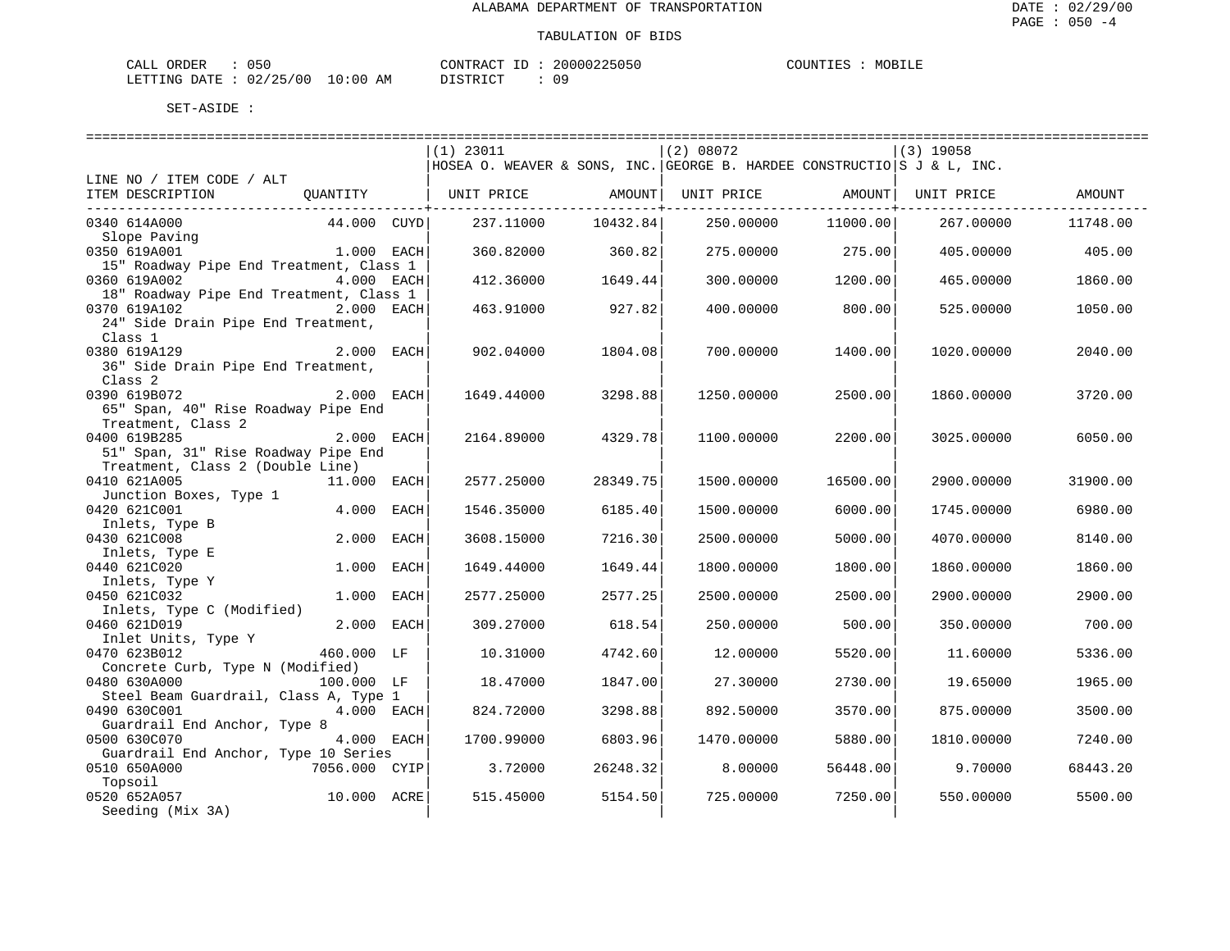| CALL ORDER                      | 050 |          | CONTRACT ID: 20000225050 | COUNTIES : MOBILE |
|---------------------------------|-----|----------|--------------------------|-------------------|
| LETTING DATE: 02/25/00 10:00 AM |     | DISTRICT |                          |                   |

|                                         |             | $(1)$ 23011                                                             |          | (2) 08072                      |          | $(3)$ 19058 |          |
|-----------------------------------------|-------------|-------------------------------------------------------------------------|----------|--------------------------------|----------|-------------|----------|
|                                         |             | HOSEA O. WEAVER & SONS, INC. GEORGE B. HARDEE CONSTRUCTIO S J & L, INC. |          |                                |          |             |          |
| LINE NO / ITEM CODE / ALT               |             |                                                                         |          |                                |          |             |          |
| ITEM DESCRIPTION                        | QUANTITY    | UNIT PRICE                                                              | AMOUNT   | UNIT PRICE AMOUNT   UNIT PRICE |          |             | AMOUNT   |
|                                         |             |                                                                         |          |                                |          |             |          |
| 0340 614A000                            | 44.000 CUYD | 237.11000                                                               | 10432.84 | 250.00000                      | 11000.00 | 267.00000   | 11748.00 |
| Slope Paving                            |             |                                                                         |          |                                |          |             |          |
| 0350 619A001                            | 1.000 EACH  | 360.82000                                                               | 360.82   | 275.00000                      | 275.00   | 405.00000   | 405.00   |
| 15" Roadway Pipe End Treatment, Class 1 |             |                                                                         |          |                                |          |             |          |
| 0360 619A002                            | 4.000 EACH  | 412.36000                                                               | 1649.44  | 300.00000                      | 1200.00  | 465,00000   | 1860.00  |
| 18" Roadway Pipe End Treatment, Class 1 |             |                                                                         |          |                                |          |             |          |
| 0370 619A102                            | 2.000 EACH  | 463.91000                                                               | 927.82   | 400.00000                      | 800.00   | 525.00000   | 1050.00  |
| 24" Side Drain Pipe End Treatment,      |             |                                                                         |          |                                |          |             |          |
| Class 1                                 |             |                                                                         |          |                                |          |             |          |
| 2.000 EACH<br>0380 619A129              |             | 902.04000                                                               | 1804.08  | 700.00000                      | 1400.00  | 1020.00000  | 2040.00  |
| 36" Side Drain Pipe End Treatment,      |             |                                                                         |          |                                |          |             |          |
| Class 2                                 |             |                                                                         |          |                                |          |             |          |
| 0390 619B072                            | 2.000 EACH  | 1649.44000                                                              | 3298.88  | 1250.00000                     | 2500.00  | 1860.00000  | 3720.00  |
| 65" Span, 40" Rise Roadway Pipe End     |             |                                                                         |          |                                |          |             |          |
| Treatment, Class 2                      |             |                                                                         |          |                                |          |             |          |
| 0400 619B285                            | 2.000 EACH  | 2164.89000                                                              | 4329.78  | 1100.00000                     | 2200.00  | 3025,00000  | 6050.00  |
| 51" Span, 31" Rise Roadway Pipe End     |             |                                                                         |          |                                |          |             |          |
| Treatment, Class 2 (Double Line)        |             |                                                                         |          |                                |          |             |          |
| 0410 621A005                            | 11.000 EACH | 2577.25000                                                              | 28349.75 | 1500.00000                     | 16500.00 | 2900.00000  | 31900.00 |
| Junction Boxes, Type 1                  |             |                                                                         |          |                                |          |             |          |
| 0420 621C001                            | 4.000 EACH  | 1546.35000                                                              | 6185.40  | 1500.00000                     | 6000.00  | 1745.00000  | 6980.00  |
| Inlets, Type B                          |             |                                                                         |          |                                |          |             |          |
| 0430 621C008                            | 2.000 EACH  | 3608.15000                                                              | 7216.30  | 2500.00000                     | 5000.00  | 4070.00000  | 8140.00  |
| Inlets, Type E                          |             |                                                                         |          |                                |          |             |          |
| 0440 621C020                            | 1.000 EACH  | 1649.44000                                                              | 1649.44  | 1800.00000                     | 1800.00  | 1860.00000  | 1860.00  |
| Inlets, Type Y                          |             |                                                                         |          |                                |          |             |          |
| 0450 621C032                            | 1.000 EACH  | 2577.25000                                                              | 2577.25  | 2500.00000                     | 2500.00  | 2900.00000  | 2900.00  |
| Inlets, Type C (Modified)               |             |                                                                         |          |                                |          |             |          |
| 0460 621D019                            | 2.000 EACH  | 309.27000                                                               | 618.54   | 250.00000                      | 500.00   | 350.00000   | 700.00   |
| Inlet Units, Type Y                     |             |                                                                         |          |                                |          |             |          |
| 0470 623B012                            | 460.000 LF  | 10.31000                                                                | 4742.60  | 12.00000                       | 5520.00  | 11,60000    | 5336.00  |
| Concrete Curb, Type N (Modified)        |             |                                                                         |          |                                |          |             |          |
| 0480 630A000                            | 100.000 LF  | 18.47000                                                                | 1847.00  | 27.30000                       | 2730.00  | 19.65000    | 1965.00  |
| Steel Beam Guardrail, Class A, Type 1   |             |                                                                         |          |                                |          |             |          |
| 0490 630C001                            | 4.000 EACH  | 824.72000                                                               | 3298.88  | 892.50000                      | 3570.00  | 875.00000   | 3500.00  |
| Guardrail End Anchor, Type 8            |             |                                                                         |          |                                |          |             |          |
| 0500 630C070                            | 4.000 EACH  | 1700.99000                                                              | 6803.96  | 1470.00000                     | 5880.00  | 1810.00000  | 7240.00  |
| Guardrail End Anchor, Type 10 Series    |             |                                                                         |          |                                |          |             |          |
| 0510 650A000<br>7056.000 CYIP           |             | 3.72000                                                                 | 26248.32 | 8.00000                        | 56448.00 | 9.70000     | 68443.20 |
| Topsoil                                 |             |                                                                         |          |                                |          |             |          |
| 0520 652A057                            | 10.000 ACRE | 515.45000                                                               | 5154.50  | 725.00000                      | 7250.00  | 550.00000   | 5500.00  |
| Seeding (Mix 3A)                        |             |                                                                         |          |                                |          |             |          |
|                                         |             |                                                                         |          |                                |          |             |          |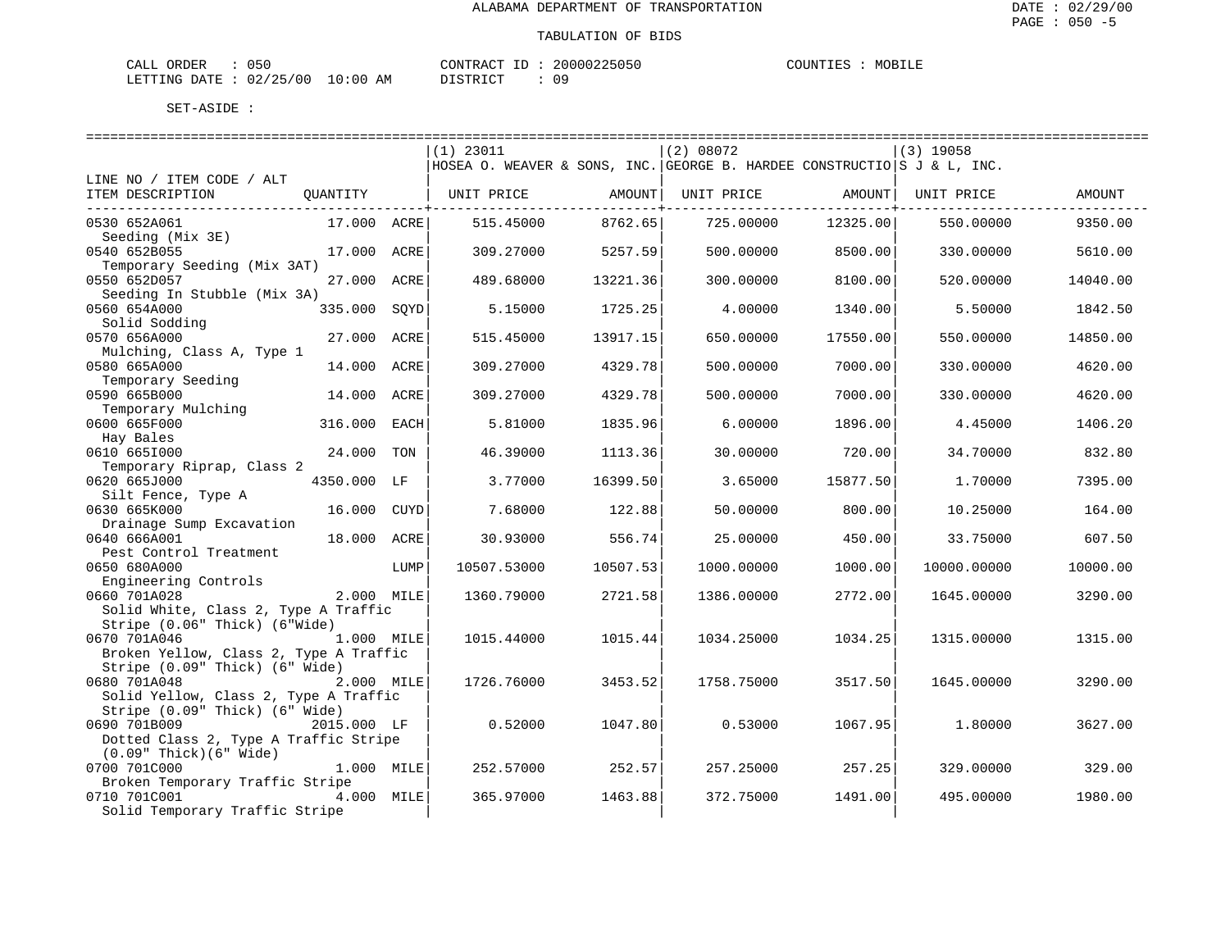| CALL ORDER             | 050 |             | CONTRACT | 20000225050 | COUNTIES | MOBILE |
|------------------------|-----|-------------|----------|-------------|----------|--------|
| LETTING DATE: 02/25/00 |     | 10:00<br>AM | DISTRICT | 0 S         |          |        |

|                                        |             |      | $(1)$ 23011                                                             |               | (2) 08072  |              | $(3)$ 19058 |          |
|----------------------------------------|-------------|------|-------------------------------------------------------------------------|---------------|------------|--------------|-------------|----------|
|                                        |             |      | HOSEA O. WEAVER & SONS, INC. GEORGE B. HARDEE CONSTRUCTIO S J & L, INC. |               |            |              |             |          |
| LINE NO / ITEM CODE / ALT              |             |      |                                                                         |               |            |              |             |          |
| ITEM DESCRIPTION                       | QUANTITY    |      | UNIT PRICE                                                              | AMOUNT        | UNIT PRICE | AMOUNT       | UNIT PRICE  | AMOUNT   |
| ______________________________________ |             |      |                                                                         | -----------+- |            | -----------+ |             |          |
| 0530 652A061                           | 17.000 ACRE |      | 515.45000                                                               | 8762.65       | 725.00000  | 12325.00     | 550.00000   | 9350.00  |
| Seeding (Mix 3E)                       |             |      |                                                                         |               |            |              |             |          |
| 0540 652B055                           | 17.000 ACRE |      | 309.27000                                                               | 5257.59       | 500.00000  | 8500.00      | 330.00000   | 5610.00  |
| Temporary Seeding (Mix 3AT)            |             |      |                                                                         |               |            |              |             |          |
| 0550 652D057                           | 27.000      | ACRE | 489.68000                                                               | 13221.36      | 300.00000  | 8100.00      | 520.00000   | 14040.00 |
| Seeding In Stubble (Mix 3A)            |             |      |                                                                         |               |            |              |             |          |
| 0560 654A000                           | 335.000     | SOYD | 5.15000                                                                 | 1725.25       | 4.00000    | 1340.00      | 5.50000     | 1842.50  |
| Solid Sodding                          |             |      |                                                                         |               |            |              |             |          |
| 0570 656A000                           | 27.000 ACRE |      | 515.45000                                                               | 13917.15      | 650.00000  | 17550.00     | 550.00000   | 14850.00 |
| Mulching, Class A, Type 1              |             |      |                                                                         |               |            |              |             |          |
| 0580 665A000                           | 14.000      | ACRE | 309.27000                                                               | 4329.78       | 500.00000  | 7000.00      | 330.00000   | 4620.00  |
|                                        |             |      |                                                                         |               |            |              |             |          |
| Temporary Seeding<br>0590 665B000      |             |      |                                                                         |               |            |              |             | 4620.00  |
|                                        | 14.000 ACRE |      | 309.27000                                                               | 4329.78       | 500.00000  | 7000.00      | 330.00000   |          |
| Temporary Mulching                     |             |      |                                                                         |               |            |              |             |          |
| 0600 665F000                           | 316.000     | EACH | 5.81000                                                                 | 1835.96       | 6.00000    | 1896.00      | 4.45000     | 1406.20  |
| Hay Bales                              |             |      |                                                                         |               |            |              |             |          |
| 0610 6651000                           | 24.000      | TON  | 46.39000                                                                | 1113.36       | 30.00000   | 720.00       | 34.70000    | 832.80   |
| Temporary Riprap, Class 2              |             |      |                                                                         |               |            |              |             |          |
| 0620 665J000                           | 4350.000 LF |      | 3.77000                                                                 | 16399.50      | 3.65000    | 15877.50     | 1.70000     | 7395.00  |
| Silt Fence, Type A                     |             |      |                                                                         |               |            |              |             |          |
| 0630 665K000                           | 16.000      | CUYD | 7.68000                                                                 | 122.88        | 50.00000   | 800.00       | 10.25000    | 164.00   |
| Drainage Sump Excavation               |             |      |                                                                         |               |            |              |             |          |
| 0640 666A001                           | 18.000      | ACRE | 30.93000                                                                | 556.74        | 25.00000   | 450.00       | 33.75000    | 607.50   |
| Pest Control Treatment                 |             |      |                                                                         |               |            |              |             |          |
| 0650 680A000                           |             | LUMP | 10507.53000                                                             | 10507.53      | 1000.00000 | 1000.00      | 10000.00000 | 10000.00 |
| Engineering Controls                   |             |      |                                                                         |               |            |              |             |          |
| 0660 701A028                           | 2.000 MILE  |      | 1360.79000                                                              | 2721.58       | 1386.00000 | 2772.00      | 1645.00000  | 3290.00  |
| Solid White, Class 2, Type A Traffic   |             |      |                                                                         |               |            |              |             |          |
| Stripe (0.06" Thick) (6"Wide)          |             |      |                                                                         |               |            |              |             |          |
| 0670 701A046                           | 1.000 MILE  |      | 1015.44000                                                              | 1015.44       | 1034.25000 | 1034.25      | 1315.00000  | 1315.00  |
| Broken Yellow, Class 2, Type A Traffic |             |      |                                                                         |               |            |              |             |          |
| Stripe (0.09" Thick) (6" Wide)         |             |      |                                                                         |               |            |              |             |          |
| 0680 701A048                           | 2.000 MILE  |      | 1726.76000                                                              | 3453.52       | 1758.75000 | 3517.50      | 1645.00000  | 3290.00  |
| Solid Yellow, Class 2, Type A Traffic  |             |      |                                                                         |               |            |              |             |          |
| Stripe (0.09" Thick) (6" Wide)         |             |      |                                                                         |               |            |              |             |          |
| 0690 701B009                           | 2015.000 LF |      | 0.52000                                                                 | 1047.80       | 0.53000    | 1067.95      | 1,80000     | 3627.00  |
| Dotted Class 2, Type A Traffic Stripe  |             |      |                                                                         |               |            |              |             |          |
| $(0.09"$ Thick $)(6"$ Wide)            |             |      |                                                                         |               |            |              |             |          |
| 0700 701C000                           | 1.000 MILE  |      | 252.57000                                                               | 252.57        | 257.25000  | 257.25       | 329.00000   | 329.00   |
| Broken Temporary Traffic Stripe        |             |      |                                                                         |               |            |              |             |          |
| 0710 701C001                           | 4.000 MILE  |      | 365.97000                                                               | 1463.88       | 372.75000  | 1491.00      | 495.00000   | 1980.00  |
| Solid Temporary Traffic Stripe         |             |      |                                                                         |               |            |              |             |          |
|                                        |             |      |                                                                         |               |            |              |             |          |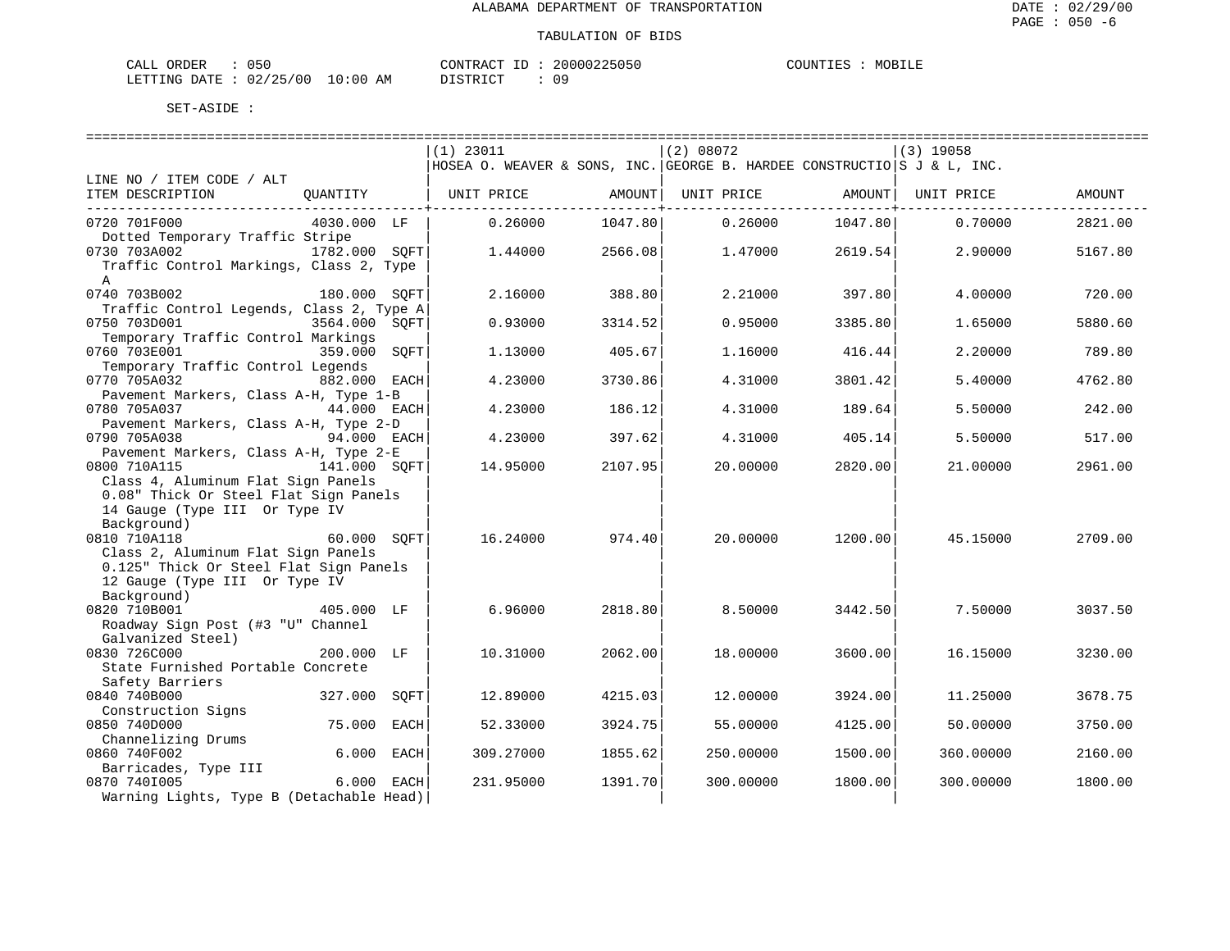| ORDER<br>CALL (              | 050 |    | CONTRACT ID: 2 |  | 20000225050 | COUNTIES | MOBILE |
|------------------------------|-----|----|----------------|--|-------------|----------|--------|
| LETTING DATE: 02/25/00 10:00 |     | AM | DISTRICT       |  | n c         |          |        |

|                                                                              | $(1)$ 23011                                                             |         | (2) 08072  |         | $(3)$ 19058 |         |
|------------------------------------------------------------------------------|-------------------------------------------------------------------------|---------|------------|---------|-------------|---------|
|                                                                              | HOSEA O. WEAVER & SONS, INC. GEORGE B. HARDEE CONSTRUCTIO S J & L, INC. |         |            |         |             |         |
| LINE NO / ITEM CODE / ALT                                                    |                                                                         |         |            |         |             |         |
| ITEM DESCRIPTION<br>OUANTITY                                                 | UNIT PRICE                                                              | AMOUNT  | UNIT PRICE | AMOUNT  | UNIT PRICE  | AMOUNT  |
| _____________________<br>0720 701F000<br>4030.000 LF                         | 0.26000                                                                 | 1047.80 | 0.26000    | 1047.80 | 0.70000     | 2821.00 |
| Dotted Temporary Traffic Stripe                                              |                                                                         |         |            |         |             |         |
| 0730 703A002<br>1782.000 SOFT                                                | 1.44000                                                                 | 2566.08 | 1.47000    | 2619.54 | 2.90000     | 5167.80 |
| Traffic Control Markings, Class 2, Type                                      |                                                                         |         |            |         |             |         |
| $\mathbb{A}$                                                                 |                                                                         |         |            |         |             |         |
| 0740 703B002<br>180.000 SOFT                                                 | 2.16000                                                                 | 388.80  | 2.21000    | 397.80  | 4.00000     | 720.00  |
| Traffic Control Legends, Class 2, Type A                                     |                                                                         |         |            |         |             |         |
| 0750 703D001<br>3564.000 SOFT                                                | 0.93000                                                                 | 3314.52 | 0.95000    | 3385.80 | 1.65000     | 5880.60 |
| Temporary Traffic Control Markings                                           |                                                                         |         |            |         |             |         |
| 0760 703E001<br>359.000<br>SOFT                                              | 1.13000                                                                 | 405.67  | 1.16000    | 416.44  | 2.20000     | 789.80  |
| Temporary Traffic Control Legends                                            |                                                                         |         |            |         |             |         |
| 0770 705A032<br>882.000 EACH<br>Pavement Markers, Class A-H, Type 1-B        | 4.23000                                                                 | 3730.86 | 4.31000    | 3801.42 | 5.40000     | 4762.80 |
| 0780 705A037<br>44.000 EACH                                                  | 4.23000                                                                 | 186.12  | 4.31000    | 189.64  | 5.50000     | 242.00  |
| Pavement Markers, Class A-H, Type 2-D                                        |                                                                         |         |            |         |             |         |
| 0790 705A038<br>94.000 EACH                                                  | 4.23000                                                                 | 397.62  | 4.31000    | 405.14  | 5.50000     | 517.00  |
| Pavement Markers, Class A-H, Type 2-E                                        |                                                                         |         |            |         |             |         |
| 0800 710A115<br>141.000 SOFT                                                 | 14.95000                                                                | 2107.95 | 20,00000   | 2820.00 | 21,00000    | 2961.00 |
| Class 4, Aluminum Flat Sign Panels                                           |                                                                         |         |            |         |             |         |
| 0.08" Thick Or Steel Flat Sign Panels                                        |                                                                         |         |            |         |             |         |
| 14 Gauge (Type III Or Type IV                                                |                                                                         |         |            |         |             |         |
| Background)                                                                  |                                                                         |         |            |         |             |         |
| 0810 710A118<br>60.000 SOFT                                                  | 16.24000                                                                | 974.40  | 20.00000   | 1200.00 | 45.15000    | 2709.00 |
| Class 2, Aluminum Flat Sign Panels<br>0.125" Thick Or Steel Flat Sign Panels |                                                                         |         |            |         |             |         |
| 12 Gauge (Type III Or Type IV                                                |                                                                         |         |            |         |             |         |
| Background)                                                                  |                                                                         |         |            |         |             |         |
| 0820 710B001<br>405,000 LF                                                   | 6.96000                                                                 | 2818.80 | 8.50000    | 3442.50 | 7.50000     | 3037.50 |
| Roadway Sign Post (#3 "U" Channel                                            |                                                                         |         |            |         |             |         |
| Galvanized Steel)                                                            |                                                                         |         |            |         |             |         |
| 0830 726C000<br>200.000 LF                                                   | 10.31000                                                                | 2062.00 | 18.00000   | 3600.00 | 16.15000    | 3230.00 |
| State Furnished Portable Concrete                                            |                                                                         |         |            |         |             |         |
| Safety Barriers                                                              |                                                                         |         |            |         |             |         |
| 0840 740B000<br>327.000<br>SOFT                                              | 12.89000                                                                | 4215.03 | 12.00000   | 3924.00 | 11.25000    | 3678.75 |
| Construction Signs                                                           |                                                                         |         |            |         |             |         |
| 0850 740D000<br>75.000<br>EACH<br>Channelizing Drums                         | 52.33000                                                                | 3924.75 | 55.00000   | 4125.00 | 50.00000    | 3750.00 |
| 0860 740F002<br>6.000 EACH                                                   | 309.27000                                                               | 1855.62 | 250.00000  | 1500.00 | 360.00000   | 2160.00 |
| Barricades, Type III                                                         |                                                                         |         |            |         |             |         |
| 0870 7401005<br>6.000 EACH                                                   | 231.95000                                                               | 1391.70 | 300.00000  | 1800.00 | 300.00000   | 1800.00 |
| Warning Lights, Type B (Detachable Head)                                     |                                                                         |         |            |         |             |         |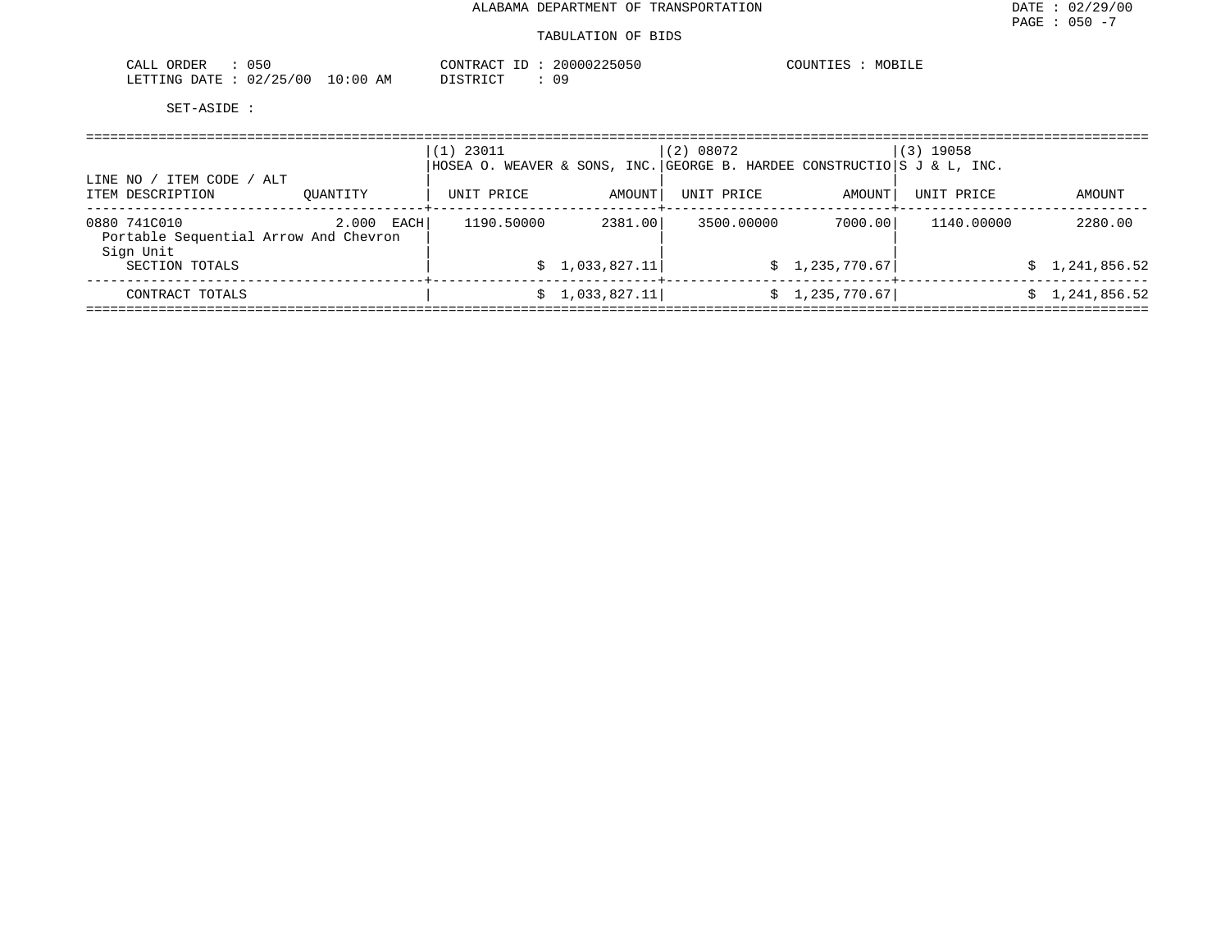| $\cap$ $\cap$<br>CALL<br>JRDER<br>U5U              |                   | CONTRACT        | . 2000022505<br>25151 | COUNTI <sup>r</sup><br>. <del>.</del> |
|----------------------------------------------------|-------------------|-----------------|-----------------------|---------------------------------------|
| 10F<br>LETTING<br>00 /<br>02.<br>D <sub>3</sub> mm | :00<br>AM<br>- 11 | <b>DICTETAT</b> | 0 S                   |                                       |

|                                                                    |               | $(1)$ 23011 |                 | (2) 08072<br>HOSEA O. WEAVER & SONS, INC. GEORGE B. HARDEE CONSTRUCTIO S J & L, INC. |                | (3) 19058  |                |
|--------------------------------------------------------------------|---------------|-------------|-----------------|--------------------------------------------------------------------------------------|----------------|------------|----------------|
| ITEM CODE / ALT<br>LINE NO<br>ITEM DESCRIPTION                     | OUANTITY      | UNIT PRICE  | AMOUNT          | UNIT PRICE                                                                           | AMOUNT         | UNIT PRICE | AMOUNT         |
| 0880 741C010<br>Portable Sequential Arrow And Chevron<br>Sign Unit | 2.000<br>EACH | 1190.50000  | 2381.00         | 3500.00000                                                                           | 7000.00        | 1140.00000 | 2280.00        |
| SECTION TOTALS                                                     |               |             | \$1,033,827.11] |                                                                                      | \$1,235,770.67 |            | \$1,241,856.52 |
| CONTRACT TOTALS                                                    |               | S.          | 1,033,827.11    |                                                                                      | \$1,235,770.67 |            | \$1,241,856.52 |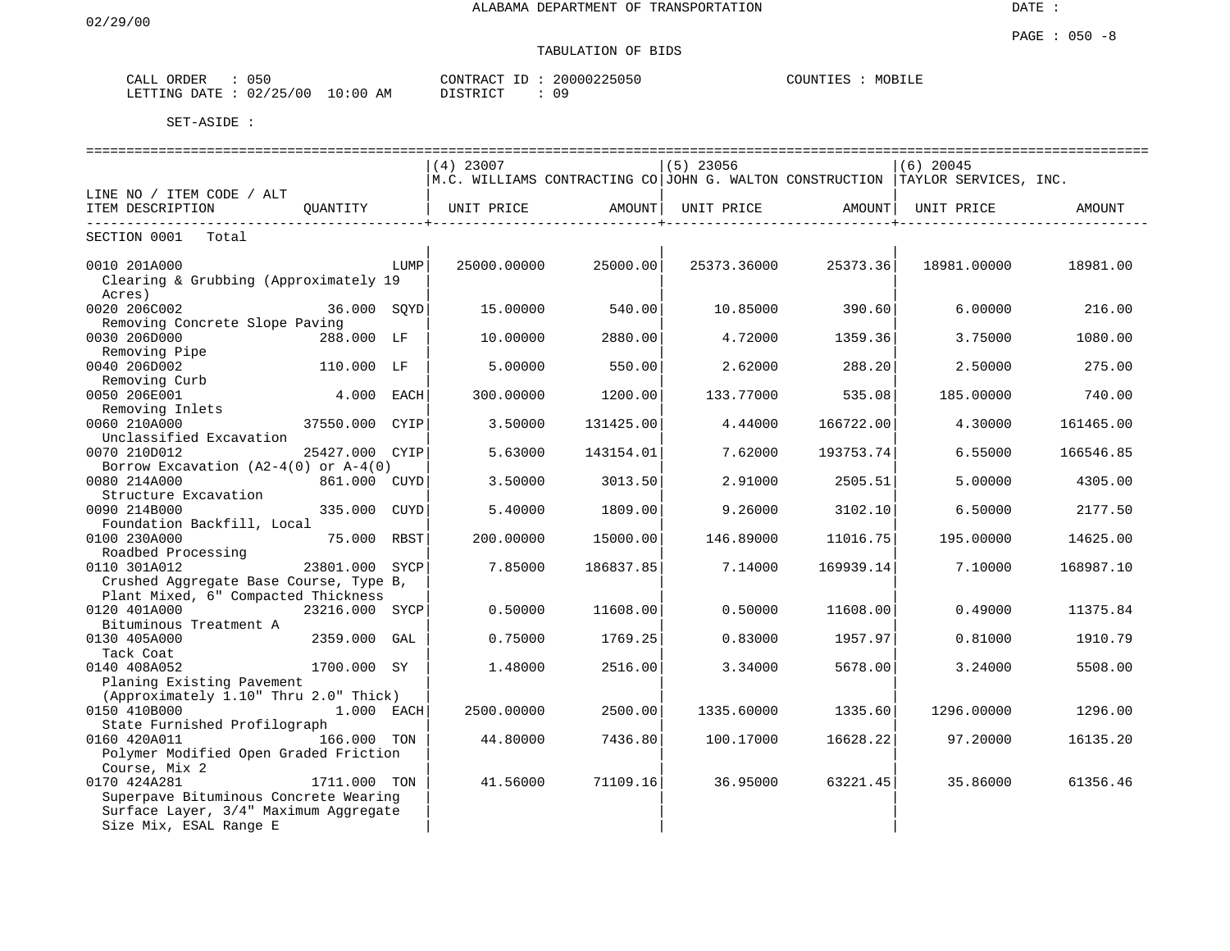# TABULATION OF BIDS

| ORDER<br>CALL | 050      |          | CONTRACT ID  | $\sim$ | 20000225050 | COUNTIES | MOBILE |
|---------------|----------|----------|--------------|--------|-------------|----------|--------|
| LETTING DATE  | 02/25/00 | 10:00 AM | דת לידי את ה |        | Ωq          |          |        |

| ==============================<br>=============================<br>================================= |                |      |             |           |             |                                        |                                                                                               |           |  |  |  |
|------------------------------------------------------------------------------------------------------|----------------|------|-------------|-----------|-------------|----------------------------------------|-----------------------------------------------------------------------------------------------|-----------|--|--|--|
|                                                                                                      |                |      | $(4)$ 23007 |           | $(5)$ 23056 |                                        | $(6)$ 20045                                                                                   |           |  |  |  |
|                                                                                                      |                |      |             |           |             |                                        | $\,$ M.C. WILLIAMS CONTRACTING CO $\,$ JOHN G. WALTON CONSTRUCTION $\,$ TAYLOR SERVICES, INC. |           |  |  |  |
| LINE NO / ITEM CODE / ALT                                                                            |                |      |             |           |             |                                        |                                                                                               |           |  |  |  |
| ITEM DESCRIPTION<br>. _ _ _ _ _ _ _ _ _ _ _ _<br>---------------                                     | QUANTITY       |      | UNIT PRICE  | AMOUNT    |             | UNIT PRICE AMOUNT<br>----------------+ | UNIT PRICE                                                                                    | AMOUNT    |  |  |  |
| SECTION 0001 Total                                                                                   |                |      |             |           |             |                                        |                                                                                               |           |  |  |  |
| 0010 201A000                                                                                         |                | LUMP | 25000.00000 | 25000.00  | 25373.36000 | 25373.36                               | 18981.00000                                                                                   | 18981.00  |  |  |  |
| Clearing & Grubbing (Approximately 19                                                                |                |      |             |           |             |                                        |                                                                                               |           |  |  |  |
| Acres)                                                                                               |                |      |             |           |             |                                        |                                                                                               |           |  |  |  |
| 0020 206C002                                                                                         | 36.000 SOYD    |      | 15,00000    | 540.00    | 10.85000    | 390.60                                 | 6.00000                                                                                       | 216.00    |  |  |  |
| Removing Concrete Slope Paving                                                                       |                |      |             |           |             |                                        |                                                                                               |           |  |  |  |
| 0030 206D000                                                                                         | 288.000 LF     |      | 10,00000    | 2880.00   | 4.72000     | 1359.36                                | 3.75000                                                                                       | 1080.00   |  |  |  |
| Removing Pipe                                                                                        |                |      |             |           |             |                                        |                                                                                               |           |  |  |  |
| 0040 206D002                                                                                         | 110.000 LF     |      | 5.00000     | 550.00    | 2.62000     | 288.20                                 | 2.50000                                                                                       | 275.00    |  |  |  |
| Removing Curb                                                                                        |                |      |             |           |             |                                        |                                                                                               |           |  |  |  |
| 0050 206E001                                                                                         | 4.000 EACH     |      | 300,00000   | 1200.00   | 133.77000   | 535.08                                 | 185,00000                                                                                     | 740.00    |  |  |  |
| Removing Inlets                                                                                      |                |      |             |           |             |                                        |                                                                                               |           |  |  |  |
| 0060 210A000                                                                                         | 37550.000 CYIP |      | 3.50000     | 131425.00 | 4.44000     | 166722.00                              | 4.30000                                                                                       | 161465.00 |  |  |  |
| Unclassified Excavation                                                                              |                |      |             |           |             |                                        |                                                                                               |           |  |  |  |
| 0070 210D012                                                                                         | 25427.000 CYIP |      | 5.63000     | 143154.01 | 7.62000     | 193753.74                              | 6.55000                                                                                       | 166546.85 |  |  |  |
| Borrow Excavation $(A2-4(0))$ or $A-4(0)$                                                            |                |      |             |           |             |                                        |                                                                                               |           |  |  |  |
| 0080 214A000                                                                                         | 861.000 CUYD   |      | 3.50000     | 3013.50   | 2.91000     | 2505.51                                | 5.00000                                                                                       | 4305.00   |  |  |  |
| Structure Excavation                                                                                 |                |      |             |           |             |                                        |                                                                                               |           |  |  |  |
| 0090 214B000                                                                                         | 335.000 CUYD   |      | 5.40000     | 1809.00   | 9.26000     | 3102.10                                | 6.50000                                                                                       | 2177.50   |  |  |  |
| Foundation Backfill, Local                                                                           |                |      |             |           |             |                                        |                                                                                               |           |  |  |  |
| 0100 230A000                                                                                         | 75.000 RBST    |      | 200.00000   | 15000.00  | 146.89000   | 11016.75                               | 195.00000                                                                                     | 14625.00  |  |  |  |
| Roadbed Processing                                                                                   |                |      |             |           |             |                                        |                                                                                               |           |  |  |  |
| 0110 301A012                                                                                         | 23801.000 SYCP |      | 7.85000     | 186837.85 | 7.14000     | 169939.14                              | 7.10000                                                                                       | 168987.10 |  |  |  |
| Crushed Aggregate Base Course, Type B,                                                               |                |      |             |           |             |                                        |                                                                                               |           |  |  |  |
| Plant Mixed, 6" Compacted Thickness                                                                  |                |      |             |           |             |                                        |                                                                                               |           |  |  |  |
| 0120 401A000                                                                                         | 23216.000 SYCP |      | 0.50000     | 11608.00  | 0.50000     | 11608.00                               | 0.49000                                                                                       | 11375.84  |  |  |  |
| Bituminous Treatment A<br>0130 405A000                                                               | 2359.000 GAL   |      | 0.75000     | 1769.25   | 0.83000     | 1957.97                                | 0.81000                                                                                       | 1910.79   |  |  |  |
| Tack Coat                                                                                            |                |      |             |           |             |                                        |                                                                                               |           |  |  |  |
| 0140 408A052                                                                                         | 1700.000 SY    |      | 1.48000     | 2516.00   | 3.34000     | 5678.00                                | 3.24000                                                                                       | 5508.00   |  |  |  |
| Planing Existing Pavement                                                                            |                |      |             |           |             |                                        |                                                                                               |           |  |  |  |
| (Approximately 1.10" Thru 2.0" Thick)                                                                |                |      |             |           |             |                                        |                                                                                               |           |  |  |  |
| 0150 410B000                                                                                         | $1.000$ EACH   |      | 2500.00000  | 2500.00   | 1335.60000  | 1335.60                                | 1296.00000                                                                                    | 1296.00   |  |  |  |
| State Furnished Profilograph                                                                         |                |      |             |           |             |                                        |                                                                                               |           |  |  |  |
| 0160 420A011                                                                                         | 166.000 TON    |      | 44.80000    | 7436.80   | 100.17000   | 16628.22                               | 97.20000                                                                                      | 16135.20  |  |  |  |
| Polymer Modified Open Graded Friction                                                                |                |      |             |           |             |                                        |                                                                                               |           |  |  |  |
| Course, Mix 2                                                                                        |                |      |             |           |             |                                        |                                                                                               |           |  |  |  |
| 0170 424A281                                                                                         | 1711.000 TON   |      | 41.56000    | 71109.16  | 36.95000    | 63221.45                               | 35.86000                                                                                      | 61356.46  |  |  |  |
| Superpave Bituminous Concrete Wearing                                                                |                |      |             |           |             |                                        |                                                                                               |           |  |  |  |
| Surface Layer, 3/4" Maximum Aggregate                                                                |                |      |             |           |             |                                        |                                                                                               |           |  |  |  |
| Size Mix, ESAL Range E                                                                               |                |      |             |           |             |                                        |                                                                                               |           |  |  |  |
|                                                                                                      |                |      |             |           |             |                                        |                                                                                               |           |  |  |  |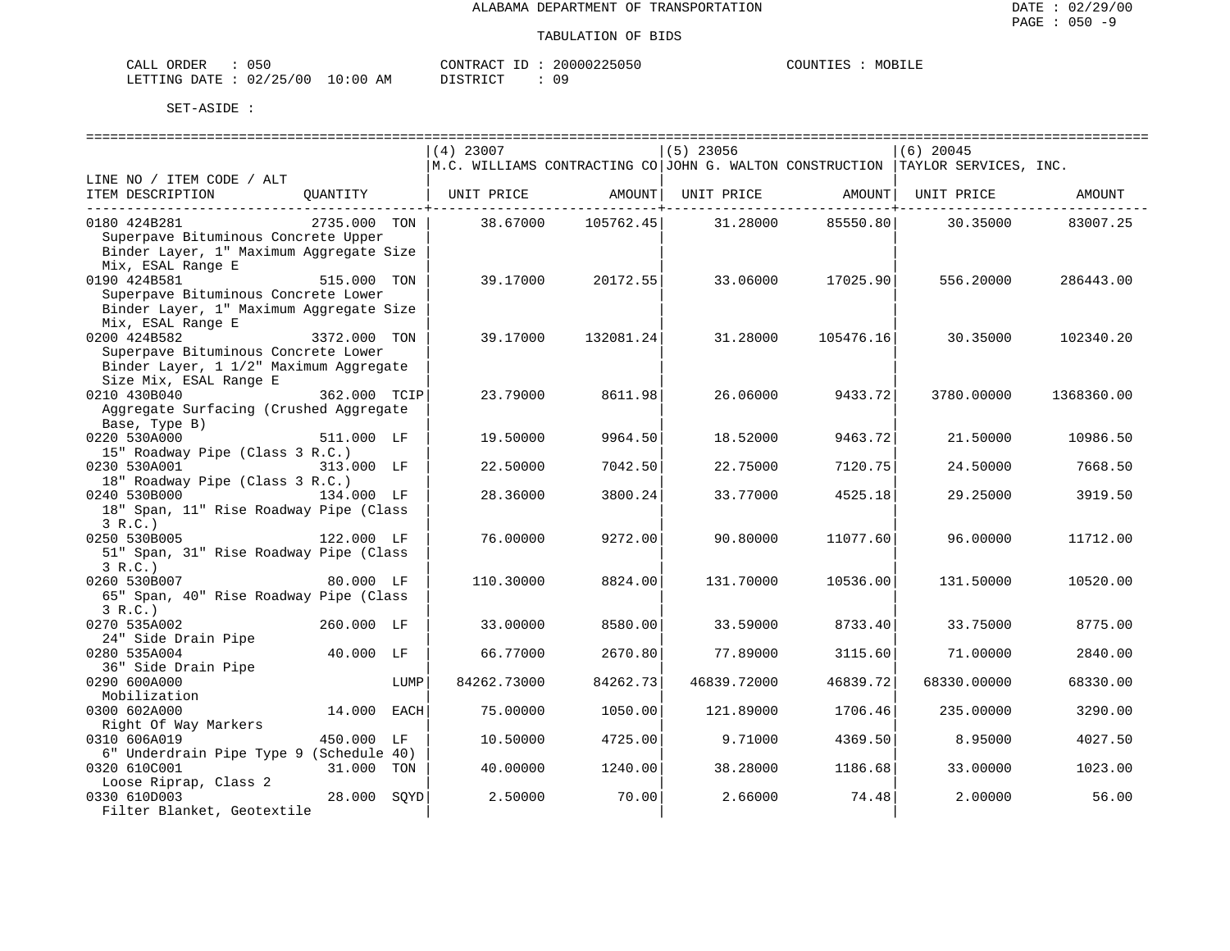| CALL ORDER |  | 050                              | CONTRACT ID: | 20000225050 | COUNTIES |  | MOBILE |
|------------|--|----------------------------------|--------------|-------------|----------|--|--------|
|            |  | LETTING DATE : 02/25/00 10:00 AM | PISTRICT     |             |          |  |        |

|                                         |                |      | $(4)$ 23007       |                    | $(5)$ 23056          |           | $(6)$ 20045                                                                                            |            |
|-----------------------------------------|----------------|------|-------------------|--------------------|----------------------|-----------|--------------------------------------------------------------------------------------------------------|------------|
|                                         |                |      |                   |                    |                      |           | $\vert$ M.C. WILLIAMS CONTRACTING CO $\vert$ JOHN G. WALTON CONSTRUCTION $\vert$ TAYLOR SERVICES, INC. |            |
| LINE NO / ITEM CODE / ALT               |                |      |                   |                    |                      |           |                                                                                                        |            |
| ITEM DESCRIPTION                        | QUANTITY       |      | UNIT PRICE AMOUNT |                    |                      |           | UNIT PRICE AMOUNT   UNIT PRICE                                                                         | AMOUNT     |
|                                         |                |      |                   |                    | ----------+--------- |           | ---------+----------                                                                                   |            |
| 0180 424B281                            | 2735.000 TON   |      |                   | 38.67000 105762.45 | 31.28000             | 85550.80  | 30.35000                                                                                               | 83007.25   |
| Superpave Bituminous Concrete Upper     |                |      |                   |                    |                      |           |                                                                                                        |            |
| Binder Layer, 1" Maximum Aggregate Size |                |      |                   |                    |                      |           |                                                                                                        |            |
| Mix, ESAL Range E                       |                |      |                   |                    |                      |           |                                                                                                        |            |
| 0190 424B581                            | 515.000 TON    |      | 39.17000          | 20172.55           | 33.06000             | 17025.90  | 556.20000                                                                                              | 286443.00  |
| Superpave Bituminous Concrete Lower     |                |      |                   |                    |                      |           |                                                                                                        |            |
| Binder Layer, 1" Maximum Aggregate Size |                |      |                   |                    |                      |           |                                                                                                        |            |
| Mix, ESAL Range E                       |                |      |                   |                    |                      |           |                                                                                                        |            |
| 0200 424B582                            | $3372.000$ TON |      | 39.17000          | 132081.24          | 31.28000             | 105476.16 | 30.35000                                                                                               | 102340.20  |
| Superpave Bituminous Concrete Lower     |                |      |                   |                    |                      |           |                                                                                                        |            |
|                                         |                |      |                   |                    |                      |           |                                                                                                        |            |
| Binder Layer, 1 1/2" Maximum Aggregate  |                |      |                   |                    |                      |           |                                                                                                        |            |
| Size Mix, ESAL Range E<br>0210 430B040  |                |      |                   |                    |                      |           |                                                                                                        |            |
|                                         | 362.000 TCIP   |      | 23.79000          | 8611.98            | 26.06000             | 9433.72   | 3780.00000                                                                                             | 1368360.00 |
| Aggregate Surfacing (Crushed Aggregate  |                |      |                   |                    |                      |           |                                                                                                        |            |
| Base, Type B)                           |                |      |                   |                    |                      |           |                                                                                                        |            |
| 0220 530A000                            | 511.000 LF     |      | 19.50000          | 9964.50            | 18.52000             | 9463.72   | 21.50000                                                                                               | 10986.50   |
| 15" Roadway Pipe (Class 3 R.C.)         |                |      |                   |                    |                      |           |                                                                                                        |            |
| 0230 530A001<br>313.000 LF              |                |      | 22.50000          | 7042.50            | 22.75000             | 7120.75   | 24.50000                                                                                               | 7668.50    |
| 18" Roadway Pipe (Class 3 R.C.)         |                |      |                   |                    |                      |           |                                                                                                        |            |
| 0240 530B000 134.000 LF                 |                |      | 28.36000          | 3800.24            | 33.77000             | 4525.18   | 29.25000                                                                                               | 3919.50    |
| 18" Span, 11" Rise Roadway Pipe (Class  |                |      |                   |                    |                      |           |                                                                                                        |            |
| 3 R.C.                                  |                |      |                   |                    |                      |           |                                                                                                        |            |
| 122.000 LF<br>0250 530B005              |                |      | 76.00000          | 9272.00            | 90.80000             | 11077.60  | 96.00000                                                                                               | 11712.00   |
| 51" Span, 31" Rise Roadway Pipe (Class  |                |      |                   |                    |                      |           |                                                                                                        |            |
| 3 R.C.                                  |                |      |                   |                    |                      |           |                                                                                                        |            |
| 0260 530B007                            | 80.000 LF      |      | 110.30000         | 8824.00            | 131.70000            | 10536.00  | 131.50000                                                                                              | 10520.00   |
| 65" Span, 40" Rise Roadway Pipe (Class  |                |      |                   |                    |                      |           |                                                                                                        |            |
| 3 R.C.                                  |                |      |                   |                    |                      |           |                                                                                                        |            |
| 0270 535A002                            | 260.000 LF     |      | 33.00000          | 8580.00            | 33.59000             | 8733.40   | 33.75000                                                                                               | 8775.00    |
| 24" Side Drain Pipe                     |                |      |                   |                    |                      |           |                                                                                                        |            |
| 0280 535A004                            | 40.000 LF      |      | 66.77000          | 2670.80            | 77.89000             | 3115.60   | 71,00000                                                                                               | 2840.00    |
| 36" Side Drain Pipe                     |                |      |                   |                    |                      |           |                                                                                                        |            |
| 0290 600A000                            |                | LUMP | 84262.73000       | 84262.73           | 46839.72000          | 46839.72  | 68330.00000                                                                                            | 68330.00   |
| Mobilization                            |                |      |                   |                    |                      |           |                                                                                                        |            |
| 0300 602A000                            | 14.000 EACH    |      | 75.00000          | 1050.00            | 121.89000            | 1706.46   | 235.00000                                                                                              | 3290.00    |
| Right Of Way Markers                    |                |      |                   |                    |                      |           |                                                                                                        |            |
| 0310 606A019                            | 450.000 LF     |      | 10.50000          | 4725.00            | 9.71000              | 4369.50   | 8.95000                                                                                                | 4027.50    |
| 6" Underdrain Pipe Type 9 (Schedule 40) |                |      |                   |                    |                      |           |                                                                                                        |            |
| 0320 610C001                            | 31.000 TON     |      | 40.00000          | 1240.00            | 38.28000             | 1186.68   | 33.00000                                                                                               | 1023.00    |
| Loose Riprap, Class 2                   |                |      |                   |                    |                      |           |                                                                                                        |            |
| 0330 610D003                            | 28.000 SOYD    |      | 2.50000           | 70.00              | 2.66000              | 74.48     | 2.00000                                                                                                | 56.00      |
| Filter Blanket, Geotextile              |                |      |                   |                    |                      |           |                                                                                                        |            |
|                                         |                |      |                   |                    |                      |           |                                                                                                        |            |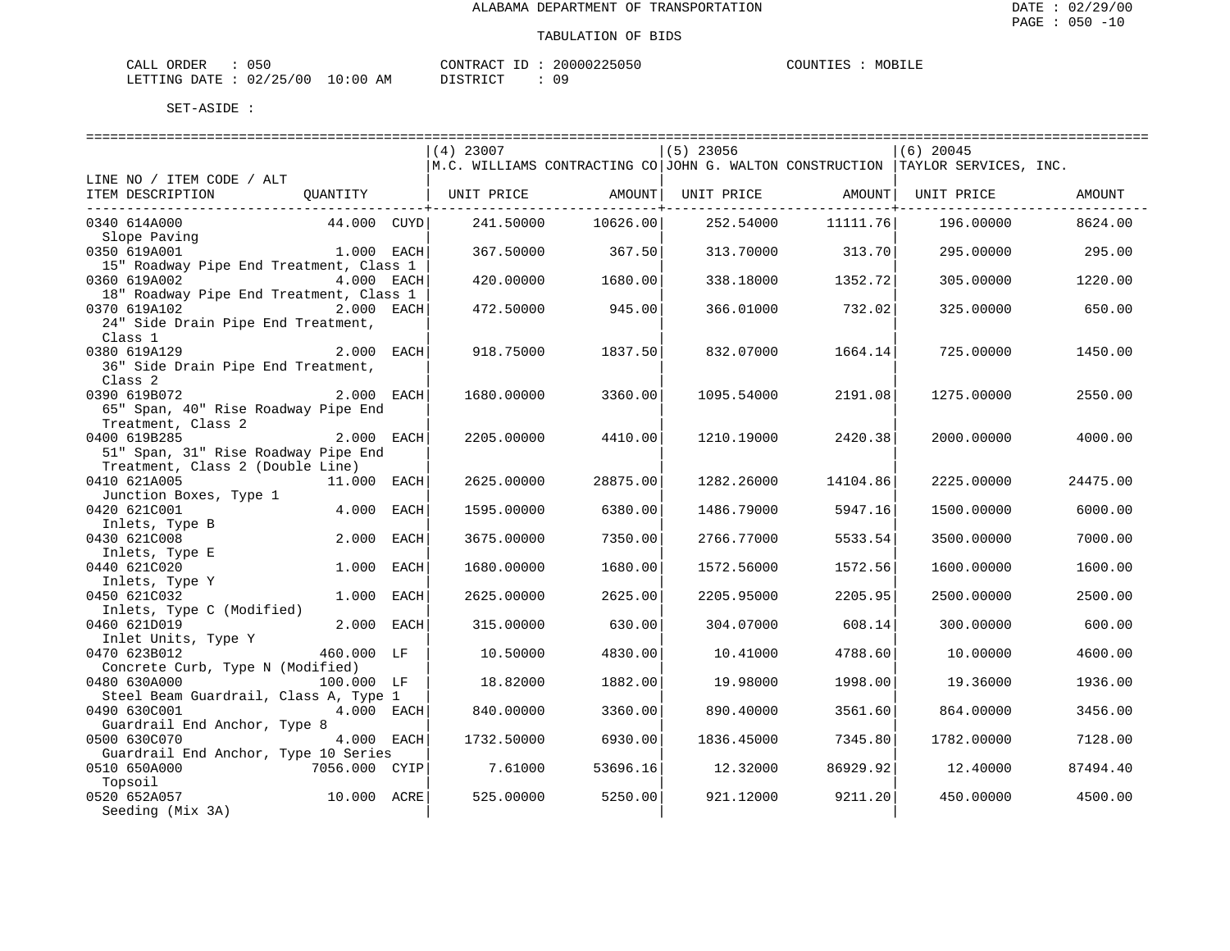| CALL (<br>ORDER               | 050 |    | CONTRACT ID: | 20000225050 | COUNTIES | MOBILE |
|-------------------------------|-----|----|--------------|-------------|----------|--------|
| LETTING DATE : 02/25/00 10:00 |     | AM | DISTRICT     |             |          |        |

|                                         |              | $(4)$ 23007                                      |          | $(5)$ 23056 |                  | $(6)$ 20045                                                                        |          |
|-----------------------------------------|--------------|--------------------------------------------------|----------|-------------|------------------|------------------------------------------------------------------------------------|----------|
|                                         |              |                                                  |          |             |                  | M.C. WILLIAMS CONTRACTING CO   JOHN G. WALTON CONSTRUCTION   TAYLOR SERVICES, INC. |          |
| LINE NO / ITEM CODE / ALT               |              |                                                  |          |             |                  |                                                                                    |          |
| ITEM DESCRIPTION                        |              | QUANTITY   UNIT PRICE AMOUNT   UNIT PRICE AMOUNT |          |             |                  | UNIT PRICE                                                                         | AMOUNT   |
| _________________________________       |              |                                                  |          |             |                  |                                                                                    |          |
| 0340 614A000                            | 44.000 CUYD  | 241.50000                                        | 10626.00 | 252.54000   | 11111.76         | 196.00000                                                                          | 8624.00  |
| Slope Paving                            |              |                                                  |          |             |                  |                                                                                    |          |
| 0350 619A001                            | 1.000 EACH   | 367.50000                                        | 367.50   |             | 313.70000 313.70 | 295.00000                                                                          | 295.00   |
| 15" Roadway Pipe End Treatment, Class 1 |              |                                                  |          |             |                  |                                                                                    |          |
| 0360 619A002                            | 4.000 EACH   | 420.00000                                        | 1680.00  | 338.18000   | 1352.72          | 305.00000                                                                          | 1220.00  |
| 18" Roadway Pipe End Treatment, Class 1 |              |                                                  |          |             |                  |                                                                                    |          |
| 0370 619A102                            | 2.000 EACH   | 472.50000                                        | 945.00   | 366.01000   | 732.02           | 325,00000                                                                          | 650.00   |
| 24" Side Drain Pipe End Treatment,      |              |                                                  |          |             |                  |                                                                                    |          |
| Class 1                                 |              |                                                  |          |             |                  |                                                                                    |          |
| 0380 619A129                            | 2.000 EACH   | 918.75000                                        | 1837.50  | 832.07000   | 1664.14          | 725.00000                                                                          | 1450.00  |
| 36" Side Drain Pipe End Treatment,      |              |                                                  |          |             |                  |                                                                                    |          |
| Class 2                                 |              |                                                  |          |             |                  |                                                                                    |          |
| 2.000 EACH<br>0390 619B072              |              | 1680.00000                                       | 3360.00  | 1095.54000  | 2191.08          | 1275.00000                                                                         | 2550.00  |
| 65" Span, 40" Rise Roadway Pipe End     |              |                                                  |          |             |                  |                                                                                    |          |
| Treatment, Class 2                      |              |                                                  |          |             |                  |                                                                                    |          |
| 0400 619B285                            | 2.000 EACH   | 2205.00000                                       | 4410.00  | 1210.19000  | 2420.38          | 2000.00000                                                                         | 4000.00  |
| 51" Span, 31" Rise Roadway Pipe End     |              |                                                  |          |             |                  |                                                                                    |          |
| Treatment, Class 2 (Double Line)        |              |                                                  |          |             |                  |                                                                                    |          |
| 0410 621A005                            | 11.000 EACH  | 2625.00000                                       | 28875.00 | 1282.26000  | 14104.86         | 2225.00000                                                                         | 24475.00 |
| Junction Boxes, Type 1                  |              |                                                  |          |             |                  |                                                                                    |          |
| 0420 621C001                            | 4.000 EACH   | 1595.00000                                       | 6380.00  | 1486.79000  | 5947.16          | 1500.00000                                                                         | 6000.00  |
| Inlets, Type B                          |              |                                                  |          |             |                  |                                                                                    |          |
| 0430 621C008                            | 2.000 EACH   | 3675.00000                                       | 7350.00  | 2766.77000  | 5533.54          | 3500.00000                                                                         | 7000.00  |
| Inlets, Type E                          |              |                                                  |          |             |                  |                                                                                    |          |
| 0440 621C020                            | 1.000 EACH   | 1680.00000                                       | 1680.00  | 1572.56000  | 1572.56          | 1600.00000                                                                         | 1600.00  |
| Inlets, Type Y                          |              |                                                  |          |             |                  |                                                                                    |          |
| 0450 621C032                            | 1.000 EACH   | 2625.00000                                       | 2625.00  | 2205.95000  | 2205.95          | 2500.00000                                                                         | 2500.00  |
| Inlets, Type C (Modified)               |              |                                                  |          |             |                  |                                                                                    |          |
| 0460 621D019                            | 2.000 EACH   | 315.00000                                        | 630.00   | 304.07000   | 608.14           | 300.00000                                                                          | 600.00   |
| Inlet Units, Type Y                     |              |                                                  |          |             |                  |                                                                                    |          |
| 0470 623B012                            | 460.000 LF   | 10.50000                                         | 4830.00  | 10.41000    | 4788.60          | 10.00000                                                                           | 4600.00  |
| Concrete Curb, Type N (Modified)        |              |                                                  |          |             |                  |                                                                                    |          |
| 0480 630A000                            | 100.000 LF   | 18.82000                                         | 1882.00  | 19.98000    | 1998.00          | 19.36000                                                                           | 1936.00  |
| Steel Beam Guardrail, Class A, Type 1   |              |                                                  |          |             |                  |                                                                                    |          |
| 0490 630C001                            | $4.000$ EACH | 840.00000                                        | 3360.00  | 890.40000   | 3561.60          | 864.00000                                                                          | 3456.00  |
| Guardrail End Anchor, Type 8            |              |                                                  |          |             |                  |                                                                                    |          |
| 4.000 EACH<br>0500 630C070              |              | 1732.50000                                       | 6930.00  | 1836.45000  | 7345.80          | 1782.00000                                                                         | 7128.00  |
| Guardrail End Anchor, Type 10 Series    |              |                                                  |          |             |                  |                                                                                    |          |
| 7056.000 CYIP<br>0510 650A000           |              | 7.61000                                          | 53696.16 | 12.32000    | 86929.92         | 12.40000                                                                           | 87494.40 |
| Topsoil                                 |              |                                                  |          |             |                  |                                                                                    |          |
| 0520 652A057                            | 10.000 ACRE  | 525.00000                                        | 5250.00  | 921.12000   | 9211.20          | 450.00000                                                                          | 4500.00  |
| Seeding (Mix 3A)                        |              |                                                  |          |             |                  |                                                                                    |          |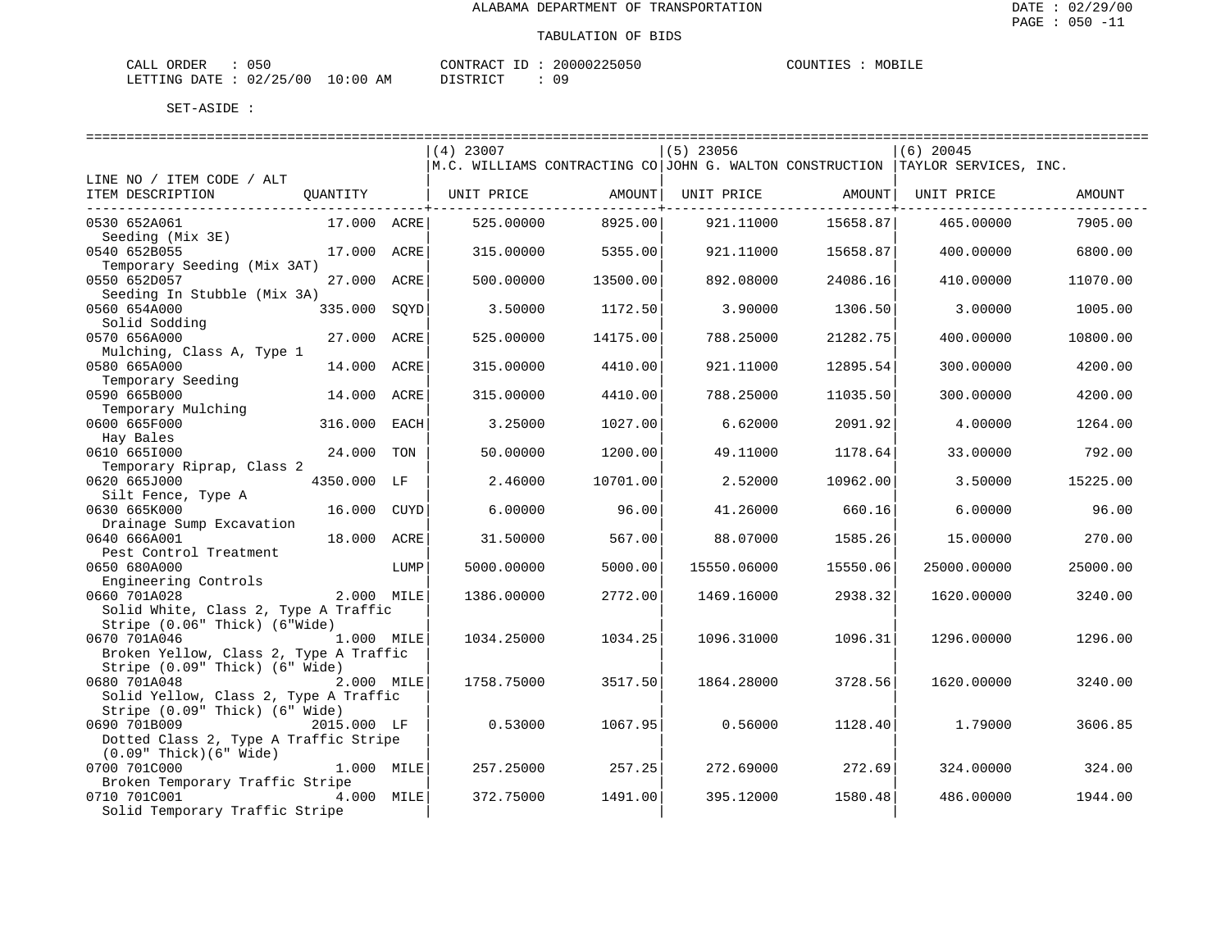| CALL (<br>ORDER               | 050 |    | CONTRACT ID: | 20000225050 | COUNTIES | MOBILE |
|-------------------------------|-----|----|--------------|-------------|----------|--------|
| LETTING DATE : 02/25/00 10:00 |     | AM | DISTRICT     |             |          |        |

|                                        |             |      | $(4)$ 23007                                                                          |          | $(5)$ 23056 |                | $(6)$ 20045 |          |
|----------------------------------------|-------------|------|--------------------------------------------------------------------------------------|----------|-------------|----------------|-------------|----------|
|                                        |             |      | $ M.C.$ WILLIAMS CONTRACTING CO JOHN G. WALTON CONSTRUCTION $ TAYLOR$ SERVICES, INC. |          |             |                |             |          |
| LINE NO / ITEM CODE / ALT              |             |      |                                                                                      |          |             |                |             |          |
| ITEM DESCRIPTION                       | QUANTITY    |      | UNIT PRICE                                                                           | AMOUNT   | UNIT PRICE  | AMOUNT         | UNIT PRICE  | AMOUNT   |
| ____________________________________   |             |      |                                                                                      |          |             | ---------+---- |             |          |
| 0530 652A061                           | 17.000 ACRE |      | 525.00000                                                                            | 8925.00  | 921.11000   | 15658.87       | 465.00000   | 7905.00  |
| Seeding (Mix 3E)                       |             |      |                                                                                      |          |             |                |             |          |
| 0540 652B055                           | 17.000 ACRE |      | 315.00000                                                                            | 5355.00  | 921.11000   | 15658.87       | 400.00000   | 6800.00  |
| Temporary Seeding (Mix 3AT)            |             |      |                                                                                      |          |             |                |             |          |
| 0550 652D057                           | 27.000 ACRE |      | 500.00000                                                                            | 13500.00 | 892.08000   | 24086.16       | 410.00000   | 11070.00 |
| Seeding In Stubble (Mix 3A)            |             |      |                                                                                      |          |             |                |             |          |
| 0560 654A000                           | 335.000     | SOYD | 3.50000                                                                              | 1172.50  | 3.90000     | 1306.50        | 3.00000     | 1005.00  |
| Solid Sodding                          |             |      |                                                                                      |          |             |                |             |          |
| 0570 656A000                           | 27.000 ACRE |      | 525.00000                                                                            | 14175.00 | 788.25000   | 21282.75       | 400.00000   | 10800.00 |
| Mulching, Class A, Type 1              |             |      |                                                                                      |          |             |                |             |          |
| 0580 665A000                           | 14.000      | ACRE | 315.00000                                                                            | 4410.00  | 921.11000   | 12895.54       | 300.00000   | 4200.00  |
| Temporary Seeding                      |             |      |                                                                                      |          |             |                |             |          |
| 0590 665B000                           | 14.000 ACRE |      | 315.00000                                                                            | 4410.00  | 788.25000   | 11035.50       | 300.00000   | 4200.00  |
| Temporary Mulching                     |             |      |                                                                                      |          |             |                |             |          |
| 0600 665F000                           | 316.000     | EACH | 3.25000                                                                              | 1027.00  | 6.62000     | 2091.92        | 4.00000     | 1264.00  |
| Hay Bales                              |             |      |                                                                                      |          |             |                |             |          |
| 0610 6651000                           | 24.000 TON  |      | 50.00000                                                                             | 1200.00  | 49.11000    | 1178.64        | 33.00000    | 792.00   |
| Temporary Riprap, Class 2              |             |      |                                                                                      |          |             |                |             |          |
| 0620 665J000                           | 4350.000 LF |      | 2.46000                                                                              | 10701.00 | 2.52000     | 10962.00       | 3.50000     | 15225.00 |
| Silt Fence, Type A                     |             |      |                                                                                      |          |             |                |             |          |
| 0630 665K000                           | 16.000 CUYD |      | 6.00000                                                                              | 96.00    | 41.26000    | 660.16         | 6.00000     | 96.00    |
| Drainage Sump Excavation               |             |      |                                                                                      |          |             |                |             |          |
| 0640 666A001                           | 18.000 ACRE |      | 31.50000                                                                             | 567.00   | 88.07000    | 1585.26        | 15,00000    | 270.00   |
| Pest Control Treatment                 |             |      |                                                                                      |          |             |                |             |          |
| 0650 680A000                           |             | LUMP | 5000.00000                                                                           | 5000.00  | 15550.06000 | 15550.06       | 25000.00000 | 25000.00 |
| Engineering Controls                   |             |      |                                                                                      |          |             |                |             |          |
| 0660 701A028                           | 2.000 MILE  |      | 1386.00000                                                                           | 2772.00  | 1469.16000  | 2938.32        | 1620.00000  | 3240.00  |
| Solid White, Class 2, Type A Traffic   |             |      |                                                                                      |          |             |                |             |          |
| Stripe (0.06" Thick) (6"Wide)          |             |      |                                                                                      |          |             |                |             |          |
| 0670 701A046                           | 1.000 MILE  |      | 1034.25000                                                                           | 1034.25  | 1096.31000  | 1096.31        | 1296.00000  | 1296.00  |
| Broken Yellow, Class 2, Type A Traffic |             |      |                                                                                      |          |             |                |             |          |
| Stripe (0.09" Thick) (6" Wide)         |             |      |                                                                                      |          |             |                |             |          |
| 0680 701A048                           | 2.000 MILE  |      | 1758.75000                                                                           | 3517.50  | 1864.28000  | 3728.56        | 1620.00000  | 3240.00  |
| Solid Yellow, Class 2, Type A Traffic  |             |      |                                                                                      |          |             |                |             |          |
| Stripe (0.09" Thick) (6" Wide)         |             |      |                                                                                      |          |             |                |             |          |
| 0690 701B009                           | 2015.000 LF |      | 0.53000                                                                              | 1067.95  | 0.56000     | 1128.40        | 1.79000     | 3606.85  |
| Dotted Class 2, Type A Traffic Stripe  |             |      |                                                                                      |          |             |                |             |          |
| $(0.09"$ Thick $)(6"$ Wide)            |             |      |                                                                                      |          |             |                |             |          |
| 0700 701C000                           | 1.000 MILE  |      | 257.25000                                                                            | 257.25   | 272.69000   | 272.69         | 324.00000   | 324.00   |
| Broken Temporary Traffic Stripe        |             |      |                                                                                      |          |             |                |             |          |
| 0710 701C001                           | 4.000 MILE  |      | 372.75000                                                                            | 1491.00  | 395.12000   | 1580.48        | 486.00000   | 1944.00  |
| Solid Temporary Traffic Stripe         |             |      |                                                                                      |          |             |                |             |          |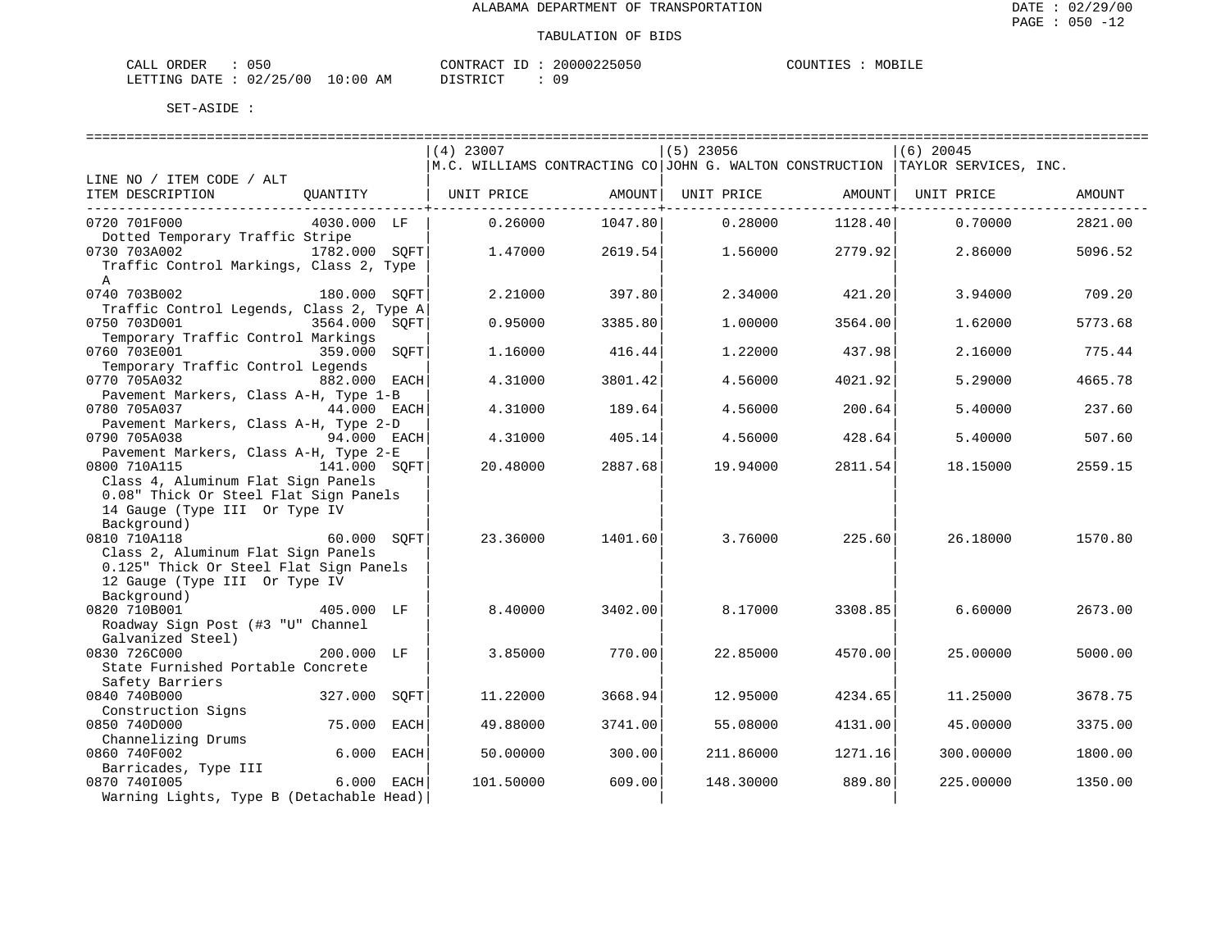| CALL (<br>ORDER               | 050 |    | CONTRACT ID: | 20000225050 | COUNTIES | MOBILE |
|-------------------------------|-----|----|--------------|-------------|----------|--------|
| LETTING DATE : 02/25/00 10:00 |     | AM | DISTRICT     |             |          |        |

|                                          |                 |                                                                                                        |         |             |         | . =================================== |         |
|------------------------------------------|-----------------|--------------------------------------------------------------------------------------------------------|---------|-------------|---------|---------------------------------------|---------|
|                                          |                 | $(4)$ 23007                                                                                            |         | $(5)$ 23056 |         | $(6)$ 20045                           |         |
|                                          |                 | $\vert$ M.C. WILLIAMS CONTRACTING CO $\vert$ JOHN G. WALTON CONSTRUCTION $\vert$ TAYLOR SERVICES, INC. |         |             |         |                                       |         |
| LINE NO / ITEM CODE / ALT                |                 |                                                                                                        |         |             |         |                                       |         |
| ITEM DESCRIPTION                         | OUANTITY        | UNIT PRICE                                                                                             | AMOUNT  | UNIT PRICE  | AMOUNT  | UNIT PRICE                            | AMOUNT  |
|                                          |                 |                                                                                                        |         |             |         |                                       |         |
| 0720 701F000                             | 4030.000 LF     | 0.26000                                                                                                | 1047.80 | 0.28000     | 1128.40 | 0.70000                               | 2821.00 |
| Dotted Temporary Traffic Stripe          |                 |                                                                                                        |         |             |         |                                       |         |
| 0730 703A002                             | 1782.000 SOFT   | 1,47000                                                                                                | 2619.54 | 1.56000     | 2779.92 | 2.86000                               | 5096.52 |
| Traffic Control Markings, Class 2, Type  |                 |                                                                                                        |         |             |         |                                       |         |
| A                                        |                 |                                                                                                        |         |             |         |                                       |         |
| 0740 703B002                             | 180.000 SOFT    | 2.21000                                                                                                |         | 2.34000     | 421.20  | 3.94000                               | 709.20  |
| Traffic Control Legends, Class 2, Type A |                 |                                                                                                        | 397.80  |             |         |                                       |         |
|                                          |                 |                                                                                                        |         |             |         |                                       |         |
| 0750 703D001                             | 3564.000 SOFT   | 0.95000                                                                                                | 3385.80 | 1,00000     | 3564.00 | 1.62000                               | 5773.68 |
| Temporary Traffic Control Markings       |                 |                                                                                                        |         |             |         |                                       |         |
| 0760 703E001                             | 359.000<br>SOFT | 1.16000                                                                                                | 416.44  | 1.22000     | 437.98  | 2.16000                               | 775.44  |
| Temporary Traffic Control Legends        |                 |                                                                                                        |         |             |         |                                       |         |
| 0770 705A032                             | 882.000 EACH    | 4.31000                                                                                                | 3801.42 | 4.56000     | 4021.92 | 5.29000                               | 4665.78 |
| Pavement Markers, Class A-H, Type 1-B    |                 |                                                                                                        |         |             |         |                                       |         |
| 0780 705A037                             | 44.000 EACH     | 4.31000                                                                                                | 189.64  | 4.56000     | 200.64  | 5.40000                               | 237.60  |
| Pavement Markers, Class A-H, Type 2-D    |                 |                                                                                                        |         |             |         |                                       |         |
| 0790 705A038                             | 94.000 EACH     | 4.31000                                                                                                | 405.14  | 4.56000     | 428.64  | 5.40000                               | 507.60  |
| Pavement Markers, Class A-H, Type 2-E    |                 |                                                                                                        |         |             |         |                                       |         |
| 0800 710A115                             | 141.000 SOFT    | 20.48000                                                                                               | 2887.68 | 19.94000    | 2811.54 | 18.15000                              | 2559.15 |
| Class 4, Aluminum Flat Sign Panels       |                 |                                                                                                        |         |             |         |                                       |         |
| 0.08" Thick Or Steel Flat Sign Panels    |                 |                                                                                                        |         |             |         |                                       |         |
| 14 Gauge (Type III Or Type IV            |                 |                                                                                                        |         |             |         |                                       |         |
| Background)                              |                 |                                                                                                        |         |             |         |                                       |         |
| 0810 710A118                             | 60.000 SOFT     | 23.36000                                                                                               | 1401.60 | 3.76000     | 225.60  | 26.18000                              | 1570.80 |
| Class 2, Aluminum Flat Sign Panels       |                 |                                                                                                        |         |             |         |                                       |         |
| 0.125" Thick Or Steel Flat Sign Panels   |                 |                                                                                                        |         |             |         |                                       |         |
| 12 Gauge (Type III Or Type IV            |                 |                                                                                                        |         |             |         |                                       |         |
| Background)                              |                 |                                                                                                        |         |             |         |                                       |         |
| 0820 710B001                             | 405.000 LF      | 8,40000                                                                                                | 3402.00 | 8.17000     | 3308.85 | 6.60000                               | 2673.00 |
| Roadway Sign Post (#3 "U" Channel        |                 |                                                                                                        |         |             |         |                                       |         |
| Galvanized Steel)                        |                 |                                                                                                        |         |             |         |                                       |         |
|                                          | 200.000 LF      | 3.85000                                                                                                |         |             | 4570.00 | 25,00000                              |         |
| 0830 726C000                             |                 |                                                                                                        | 770.00  | 22.85000    |         |                                       | 5000.00 |
| State Furnished Portable Concrete        |                 |                                                                                                        |         |             |         |                                       |         |
| Safety Barriers                          |                 |                                                                                                        |         |             |         |                                       |         |
| 0840 740B000                             | 327.000<br>SQFT | 11.22000                                                                                               | 3668.94 | 12.95000    | 4234.65 | 11.25000                              | 3678.75 |
| Construction Signs                       |                 |                                                                                                        |         |             |         |                                       |         |
| 0850 740D000                             | 75.000<br>EACH  | 49.88000                                                                                               | 3741.00 | 55.08000    | 4131.00 | 45.00000                              | 3375.00 |
| Channelizing Drums                       |                 |                                                                                                        |         |             |         |                                       |         |
| 0860 740F002                             | 6.000<br>EACH   | 50.00000                                                                                               | 300.00  | 211.86000   | 1271.16 | 300.00000                             | 1800.00 |
| Barricades, Type III                     |                 |                                                                                                        |         |             |         |                                       |         |
| 0870 7401005                             | 6.000<br>EACH   | 101.50000                                                                                              | 609.00  | 148.30000   | 889.80  | 225.00000                             | 1350.00 |
| Warning Lights, Type B (Detachable Head) |                 |                                                                                                        |         |             |         |                                       |         |
|                                          |                 |                                                                                                        |         |             |         |                                       |         |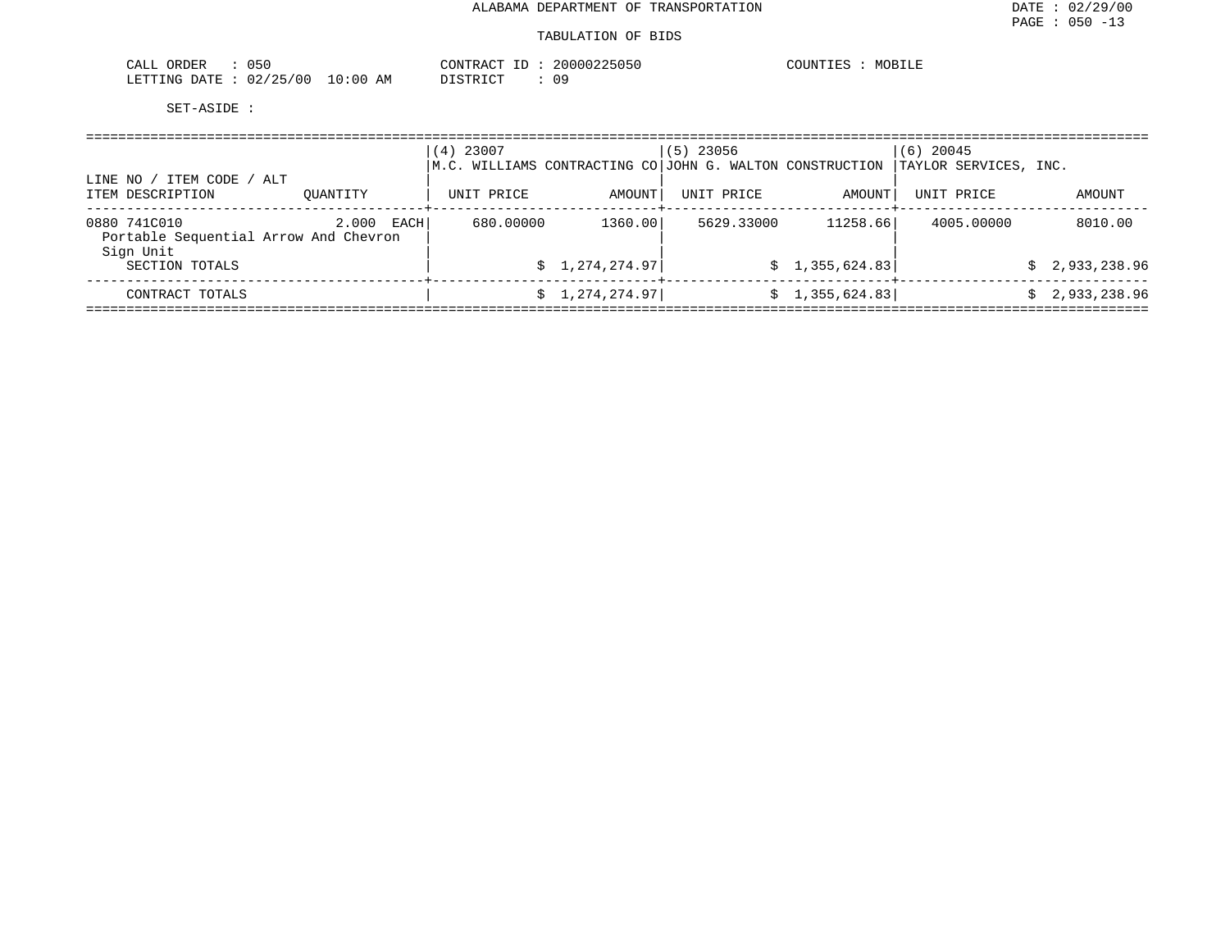| 050<br>CALL<br>ORDER                                                | 20000225050<br><b>PONTRA</b><br>ノウリウル | COUNT T<br>MOBILE |
|---------------------------------------------------------------------|---------------------------------------|-------------------|
| 2/25/00<br>. ი : იი<br>LETTING<br><b>DATE</b><br>ΆM<br>JZ/<br>- - - | 09<br>-------                         |                   |

| ITEM CODE /<br>LINE NO                                             | ALT           | (4) 23007  |                | $(5)$ 23056<br>$\,$ M.C. WILLIAMS CONTRACTING CO $\,$ JOHN G. WALTON CONSTRUCTION |                 | $(6)$ 20045<br>TAYLOR SERVICES, INC. |                |
|--------------------------------------------------------------------|---------------|------------|----------------|-----------------------------------------------------------------------------------|-----------------|--------------------------------------|----------------|
| ITEM DESCRIPTION                                                   | OUANTITY      | UNIT PRICE | AMOUNT         | UNIT PRICE                                                                        | AMOUNT          | UNIT PRICE                           | AMOUNT         |
| 0880 741C010<br>Portable Sequential Arrow And Chevron<br>Sign Unit | 2.000<br>EACH | 680.00000  | 1360.00        | 5629.33000                                                                        | 11258.66        | 4005,00000                           | 8010.00        |
| SECTION TOTALS                                                     |               |            | \$1,274,274.97 |                                                                                   | \$1,355,624.83] |                                      | \$2,933,238.96 |
| CONTRACT TOTALS                                                    |               |            | \$1,274,274.97 |                                                                                   | \$1,355,624.83] |                                      | 2,933,238.96   |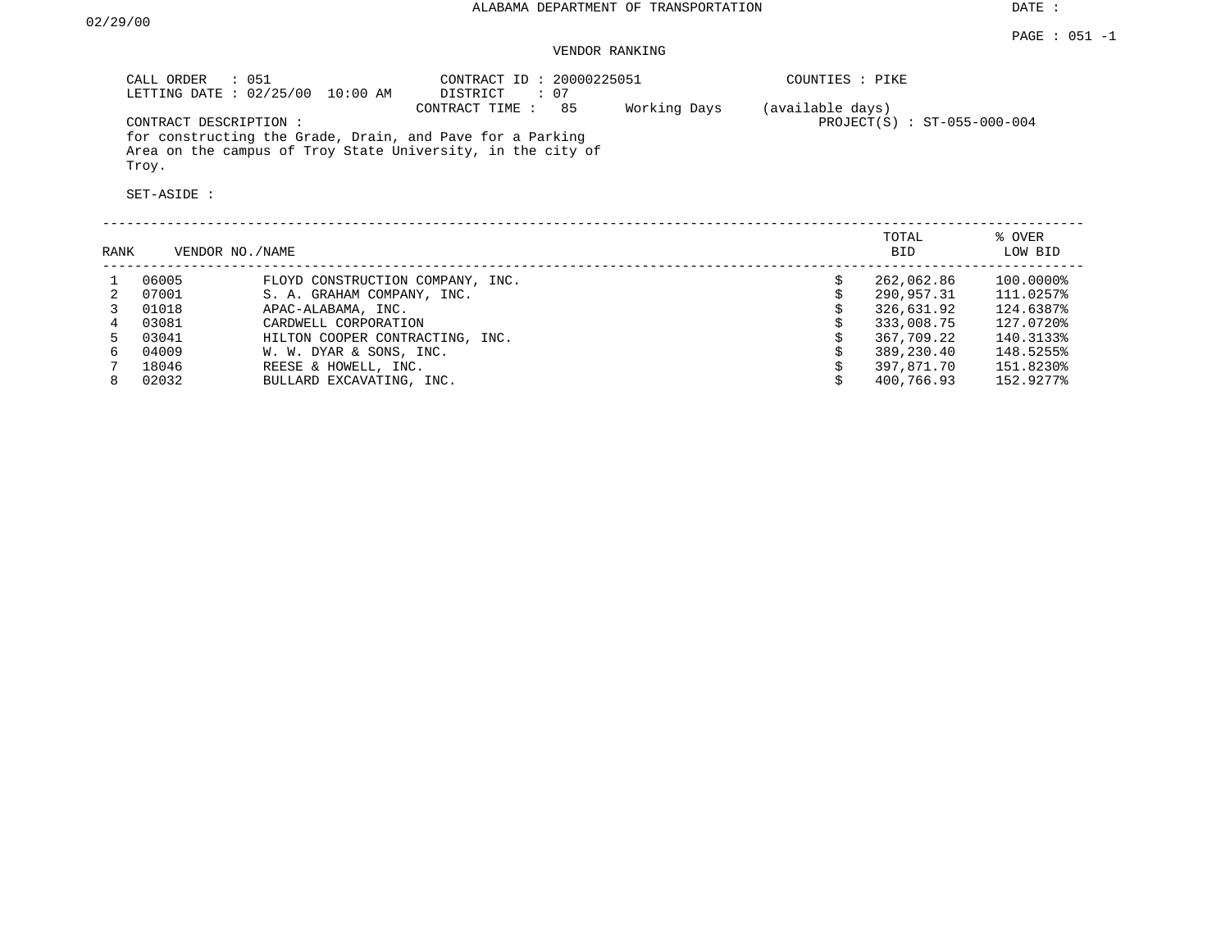DATE :

## VENDOR RANKING

| CALL ORDER<br>: 051<br>LETTING DATE: 02/25/00<br>10:00 AM                                                                         | CONTRACT ID: 20000225051<br>$\colon$ 07<br>DISTRICT |              | COUNTIES : PIKE                                   |
|-----------------------------------------------------------------------------------------------------------------------------------|-----------------------------------------------------|--------------|---------------------------------------------------|
| CONTRACT DESCRIPTION:                                                                                                             | 85<br>CONTRACT TIME :                               | Working Days | (available days)<br>$PROJECT(S) : ST-055-000-004$ |
| for constructing the Grade, Drain, and Pave for a Parking<br>Area on the campus of Troy State University, in the city of<br>Troy. |                                                     |              |                                                   |
| SET-ASIDE :                                                                                                                       |                                                     |              |                                                   |
|                                                                                                                                   |                                                     |              |                                                   |

| RANK |       | VENDOR NO./NAME                  | TOTAL<br><b>BID</b> | % OVER<br>LOW BID |
|------|-------|----------------------------------|---------------------|-------------------|
|      | 06005 | FLOYD CONSTRUCTION COMPANY, INC. | 262,062.86          | 100.0000%         |
|      | 07001 | S. A. GRAHAM COMPANY, INC.       | 290,957.31          | 111.0257%         |
|      | 01018 | APAC-ALABAMA, INC.               | 326,631.92          | 124.6387%         |
|      | 03081 | CARDWELL CORPORATION             | 333,008.75          | 127.0720%         |
|      | 03041 | HILTON COOPER CONTRACTING, INC.  | 367,709.22          | 140.3133%         |
| 6.   | 04009 | W. W. DYAR & SONS, INC.          | 389,230.40          | 148.5255%         |
|      | 18046 | REESE & HOWELL, INC.             | 397,871.70          | 151.8230%         |
| 8    | 02032 | BULLARD EXCAVATING, INC.         | 400,766.93          | 152.9277%         |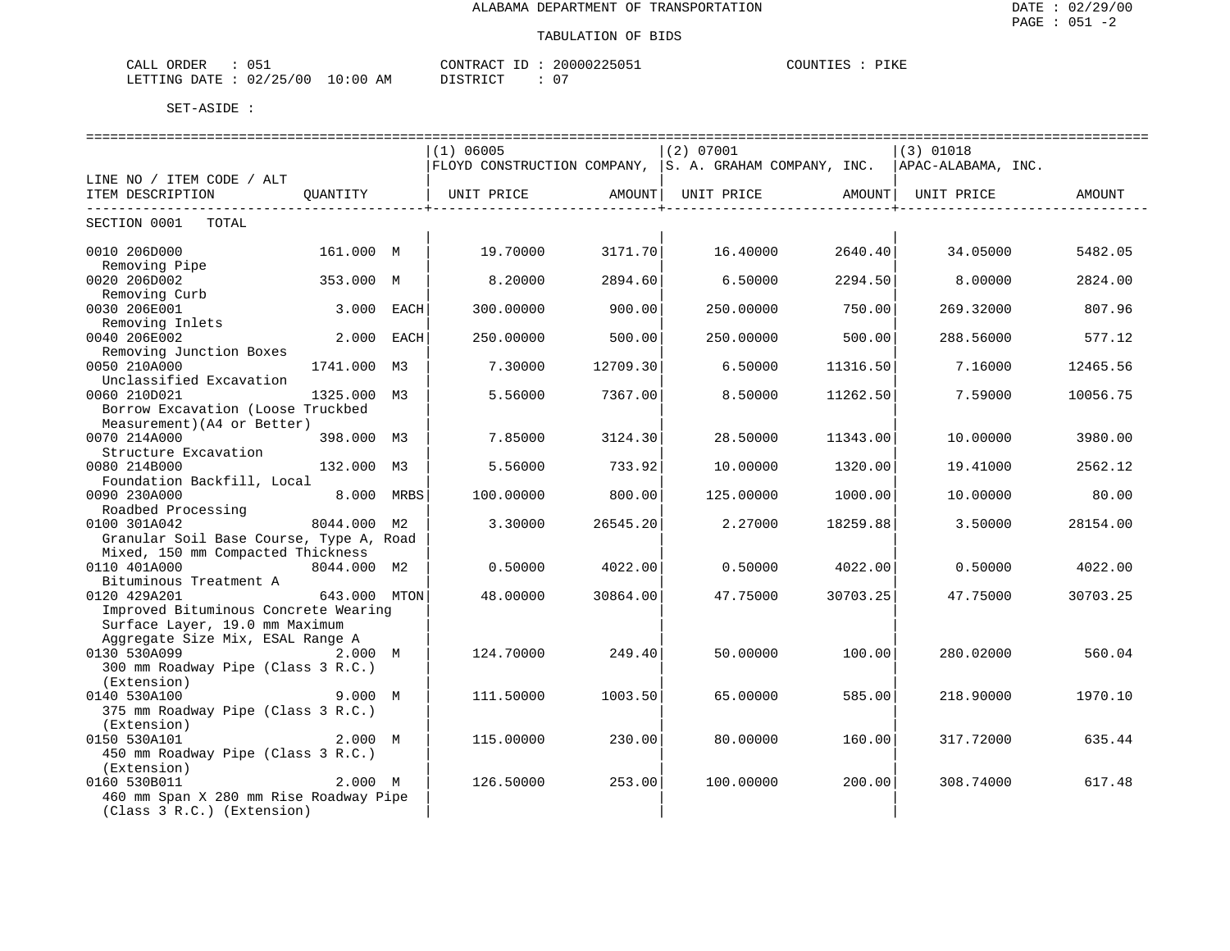| ORDER<br>$\sim$ $\sim$ $\sim$ $\sim$<br>ባዴ<br>ىلىلەك |             | $\lambda$ $\sim$<br>™NTR<br>ות ק            | 225051<br>. N N N N 3 | $- - - - -$<br>COUNTIL<br>. .<br>TVI |
|------------------------------------------------------|-------------|---------------------------------------------|-----------------------|--------------------------------------|
| ノつに<br>/00<br>02<br>LETTING<br>DATE<br>ت ک           | 10:00<br>ΑM | $ \sim$ $\sim$<br>$\Gamma$<br>, + + + + + + | $\mathbf{u}$          |                                      |

|                                         |              |                | ==============================                                              |          | ============================= |          | ================================ |             |
|-----------------------------------------|--------------|----------------|-----------------------------------------------------------------------------|----------|-------------------------------|----------|----------------------------------|-------------|
|                                         |              |                | (1) 06005                                                                   |          | (2) 07001                     |          | $(3)$ 01018                      |             |
|                                         |              |                | FLOYD CONSTRUCTION COMPANY, S. A. GRAHAM COMPANY, INC.   APAC-ALABAMA, INC. |          |                               |          |                                  |             |
| LINE NO / ITEM CODE / ALT               |              |                |                                                                             |          |                               |          |                                  |             |
| ITEM DESCRIPTION                        | OUANTITY     |                | UNIT PRICE                                                                  | AMOUNT   | UNIT PRICE                    | AMOUNT   | UNIT PRICE                       | AMOUNT      |
|                                         |              |                |                                                                             |          |                               |          |                                  | ----------- |
| SECTION 0001<br>TOTAL                   |              |                |                                                                             |          |                               |          |                                  |             |
|                                         |              |                |                                                                             |          |                               |          |                                  |             |
| 0010 206D000                            | 161.000 M    |                | 19.70000                                                                    | 3171.70  | 16.40000                      | 2640.40  | 34.05000                         | 5482.05     |
| Removing Pipe                           |              |                |                                                                             |          |                               |          |                                  |             |
| 0020 206D002                            | 353.000 M    |                | 8.20000                                                                     | 2894.60  | 6.50000                       | 2294.50  | 8.00000                          | 2824.00     |
| Removing Curb                           |              |                |                                                                             |          |                               |          |                                  |             |
| 0030 206E001                            |              | 3.000 EACH     | 300.00000                                                                   | 900.00   | 250.00000                     | 750.00   | 269.32000                        | 807.96      |
| Removing Inlets                         |              |                |                                                                             |          |                               |          |                                  |             |
| 0040 206E002                            | 2.000        | EACH           | 250.00000                                                                   | 500.00   | 250.00000                     | 500.00   | 288.56000                        | 577.12      |
| Removing Junction Boxes                 |              |                |                                                                             |          |                               |          |                                  |             |
| 0050 210A000                            | 1741.000     | M3             | 7.30000                                                                     | 12709.30 | 6.50000                       | 11316.50 | 7.16000                          | 12465.56    |
| Unclassified Excavation                 |              |                |                                                                             |          |                               |          |                                  |             |
| 0060 210D021                            | 1325.000     | M <sub>3</sub> | 5.56000                                                                     | 7367.00  | 8.50000                       | 11262.50 | 7.59000                          | 10056.75    |
| Borrow Excavation (Loose Truckbed       |              |                |                                                                             |          |                               |          |                                  |             |
| Measurement) (A4 or Better)             |              |                |                                                                             |          |                               |          |                                  |             |
| 0070 214A000                            | 398.000 M3   |                | 7.85000                                                                     | 3124.30  | 28.50000                      | 11343.00 | 10.00000                         | 3980.00     |
| Structure Excavation                    |              |                |                                                                             |          |                               |          |                                  |             |
| 0080 214B000                            | 132.000      | M3             | 5.56000                                                                     | 733.92   | 10.00000                      | 1320.00  | 19.41000                         | 2562.12     |
| Foundation Backfill, Local              |              |                |                                                                             |          |                               |          |                                  |             |
| 0090 230A000                            | 8.000        | MRBS           | 100.00000                                                                   | 800.00   | 125.00000                     | 1000.00  | 10.00000                         | 80.00       |
| Roadbed Processing                      |              |                |                                                                             |          |                               |          |                                  |             |
| 0100 301A042                            | 8044.000 M2  |                | 3.30000                                                                     | 26545.20 | 2.27000                       | 18259.88 | 3.50000                          | 28154.00    |
| Granular Soil Base Course, Type A, Road |              |                |                                                                             |          |                               |          |                                  |             |
| Mixed, 150 mm Compacted Thickness       |              |                |                                                                             |          |                               |          |                                  |             |
| 0110 401A000                            | 8044.000 M2  |                | 0.50000                                                                     | 4022.00  | 0.50000                       | 4022.00  | 0.50000                          | 4022.00     |
| Bituminous Treatment A<br>0120 429A201  | 643.000 MTON |                | 48.00000                                                                    | 30864.00 | 47.75000                      | 30703.25 | 47.75000                         | 30703.25    |
| Improved Bituminous Concrete Wearing    |              |                |                                                                             |          |                               |          |                                  |             |
| Surface Layer, 19.0 mm Maximum          |              |                |                                                                             |          |                               |          |                                  |             |
| Aggregate Size Mix, ESAL Range A        |              |                |                                                                             |          |                               |          |                                  |             |
| 0130 530A099                            | 2.000 M      |                | 124.70000                                                                   | 249.40   | 50.00000                      | 100.00   | 280.02000                        | 560.04      |
| 300 mm Roadway Pipe (Class 3 R.C.)      |              |                |                                                                             |          |                               |          |                                  |             |
| (Extension)                             |              |                |                                                                             |          |                               |          |                                  |             |
| 0140 530A100                            | 9.000 M      |                | 111.50000                                                                   | 1003.50  | 65.00000                      | 585.00   | 218,90000                        | 1970.10     |
| 375 mm Roadway Pipe (Class 3 R.C.)      |              |                |                                                                             |          |                               |          |                                  |             |
| (Extension)                             |              |                |                                                                             |          |                               |          |                                  |             |
| 0150 530A101                            | 2.000 M      |                | 115.00000                                                                   | 230.00   | 80.00000                      | 160.00   | 317.72000                        | 635.44      |
| 450 mm Roadway Pipe (Class 3 R.C.)      |              |                |                                                                             |          |                               |          |                                  |             |
| (Extension)                             |              |                |                                                                             |          |                               |          |                                  |             |
| 0160 530B011                            | 2.000 M      |                | 126.50000                                                                   | 253.00   | 100.00000                     | 200.00   | 308.74000                        | 617.48      |
| 460 mm Span X 280 mm Rise Roadway Pipe  |              |                |                                                                             |          |                               |          |                                  |             |
| (Class 3 R.C.) (Extension)              |              |                |                                                                             |          |                               |          |                                  |             |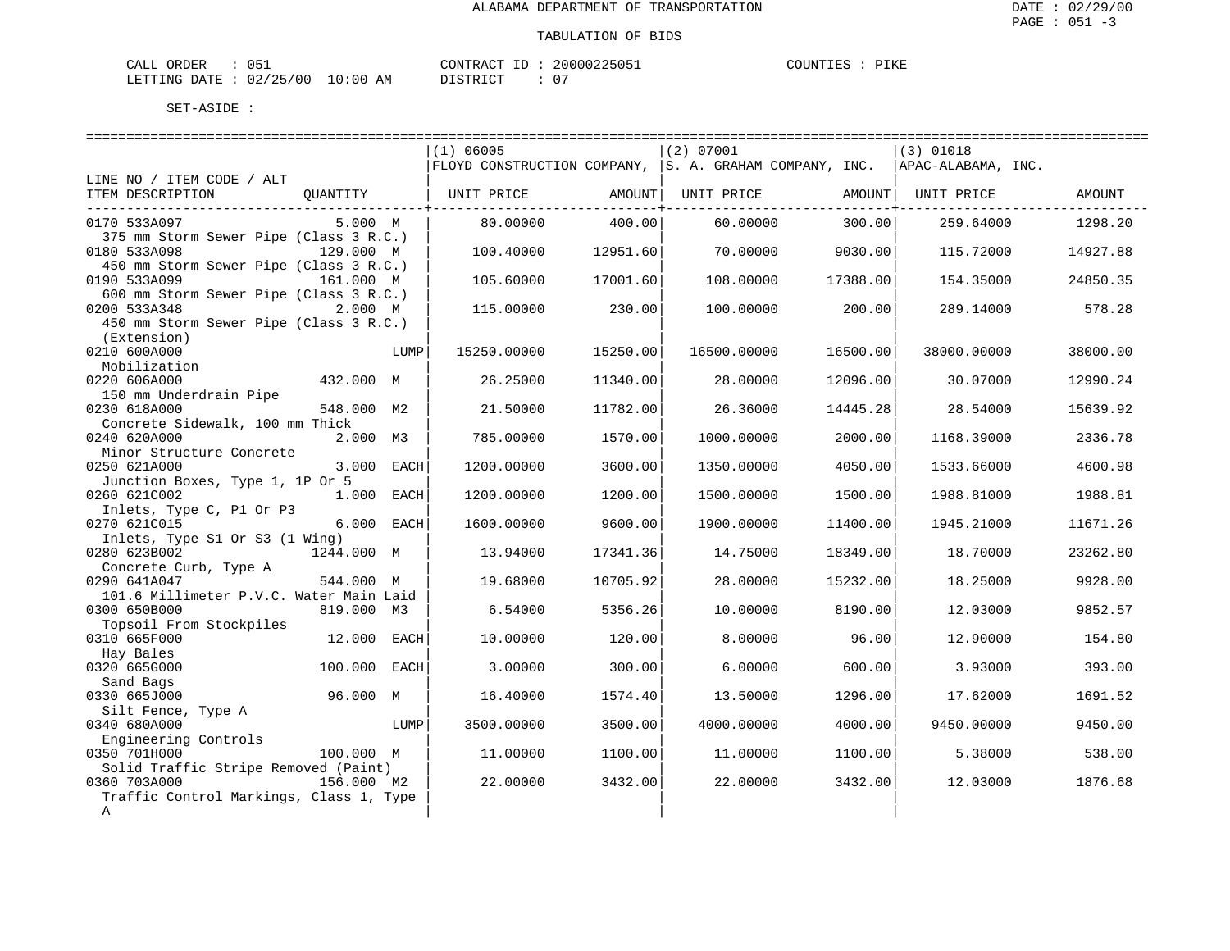| CALL ORDER : 051                 |  | CONTRACT ID: 20000225051 |  |
|----------------------------------|--|--------------------------|--|
| LETTING DATE : 02/25/00 10:00 AM |  | DISTRICT                 |  |

COUNTIES : PIKE

|                                         |              |            | (1) 06005                                                                            |          | (2) 07001   |                              | (3) 01018   |          |
|-----------------------------------------|--------------|------------|--------------------------------------------------------------------------------------|----------|-------------|------------------------------|-------------|----------|
|                                         |              |            | $ $ FLOYD CONSTRUCTION COMPANY, $ S.$ A. GRAHAM COMPANY, INC. $ $ APAC-ALABAMA, INC. |          |             |                              |             |          |
| LINE NO / ITEM CODE / ALT               |              |            |                                                                                      |          |             |                              |             |          |
| ITEM DESCRIPTION                        | QUANTITY     |            | UNIT PRICE                                                                           | AMOUNT   |             | UNIT PRICE AMOUNT UNIT PRICE |             | AMOUNT   |
|                                         |              |            |                                                                                      |          |             |                              |             |          |
| 0170 533A097                            | 5.000 M      |            | 80.00000                                                                             | 400.00   | 60.00000    | 300.00                       | 259.64000   | 1298.20  |
| 375 mm Storm Sewer Pipe (Class 3 R.C.)  |              |            |                                                                                      |          |             |                              |             |          |
| 0180 533A098                            | 129.000 M    |            | 100.40000                                                                            | 12951.60 | 70,00000    | 9030.00                      | 115.72000   | 14927.88 |
| 450 mm Storm Sewer Pipe (Class 3 R.C.)  |              |            |                                                                                      |          |             |                              |             |          |
| 0190 533A099                            | 161.000 M    |            | 105.60000                                                                            | 17001.60 | 108,00000   | 17388.00                     | 154.35000   | 24850.35 |
| 600 mm Storm Sewer Pipe (Class 3 R.C.)  |              |            |                                                                                      |          |             |                              |             |          |
| 0200 533A348                            | 2.000 M      |            | 115.00000                                                                            | 230.00   | 100.00000   | 200.00                       | 289.14000   | 578.28   |
| 450 mm Storm Sewer Pipe (Class 3 R.C.)  |              |            |                                                                                      |          |             |                              |             |          |
| (Extension)                             |              |            |                                                                                      |          |             |                              |             |          |
| 0210 600A000                            |              | LUMP       | 15250.00000                                                                          | 15250.00 | 16500.00000 | 16500.00                     | 38000.00000 | 38000.00 |
| Mobilization                            |              |            |                                                                                      |          |             |                              |             |          |
| 0220 606A000                            | 432.000 M    |            | 26.25000                                                                             | 11340.00 | 28.00000    | 12096.00                     | 30.07000    | 12990.24 |
| 150 mm Underdrain Pipe                  |              |            |                                                                                      |          |             |                              |             |          |
| 0230 618A000                            | 548.000 M2   |            | 21.50000                                                                             | 11782.00 | 26.36000    | 14445.28                     | 28.54000    | 15639.92 |
| Concrete Sidewalk, 100 mm Thick         |              |            |                                                                                      |          |             |                              |             |          |
| 0240 620A000                            | 2.000 M3     |            | 785.00000                                                                            | 1570.00  | 1000.00000  | 2000.00                      | 1168.39000  | 2336.78  |
| Minor Structure Concrete                |              |            |                                                                                      |          |             |                              |             |          |
| 0250 621A000                            |              | 3.000 EACH | 1200.00000                                                                           | 3600.00  | 1350.00000  | 4050.00                      | 1533.66000  | 4600.98  |
| Junction Boxes, Type 1, 1P Or 5         |              |            |                                                                                      |          |             |                              |             |          |
| 0260 621C002                            | 1.000 EACH   |            | 1200.00000                                                                           | 1200.00  | 1500.00000  | 1500.00                      | 1988.81000  | 1988.81  |
| Inlets, Type C, P1 Or P3                |              |            |                                                                                      |          |             |                              |             |          |
| 0270 621C015                            |              | 6.000 EACH | 1600.00000                                                                           | 9600.00  | 1900.00000  | 11400.00                     | 1945.21000  | 11671.26 |
| Inlets, Type S1 Or S3 (1 Wing)          |              |            |                                                                                      |          |             |                              |             |          |
| 0280 623B002                            | 1244.000 M   |            | 13.94000                                                                             | 17341.36 | 14.75000    | 18349.00                     | 18.70000    | 23262.80 |
| Concrete Curb, Type A                   |              |            |                                                                                      |          |             |                              |             |          |
| 0290 641A047                            | 544.000 M    |            | 19.68000                                                                             | 10705.92 | 28.00000    | 15232.00                     | 18.25000    | 9928.00  |
| 101.6 Millimeter P.V.C. Water Main Laid |              |            |                                                                                      |          |             |                              |             |          |
| 0300 650B000                            | 819.000 M3   |            | 6.54000                                                                              | 5356.26  | 10.00000    | 8190.00                      | 12.03000    | 9852.57  |
| Topsoil From Stockpiles                 |              |            |                                                                                      |          |             |                              |             |          |
| 0310 665F000                            | 12.000 EACH  |            | 10.00000                                                                             | 120.00   | 8,00000     | 96.00                        | 12.90000    | 154.80   |
| Hay Bales                               |              |            |                                                                                      |          |             |                              |             |          |
| 0320 665G000                            | 100.000 EACH |            | 3.00000                                                                              | 300.00   | 6.00000     | 600.00                       | 3.93000     | 393.00   |
| Sand Bags                               |              |            |                                                                                      |          |             |                              |             |          |
| 0330 665J000                            | 96.000 M     |            | 16.40000                                                                             | 1574.40  | 13.50000    | 1296.00                      | 17.62000    | 1691.52  |
| Silt Fence, Type A                      |              |            |                                                                                      |          |             |                              |             |          |
| 0340 680A000                            |              | LUMP       | 3500.00000                                                                           | 3500.00  | 4000.00000  | 4000.00                      | 9450.00000  | 9450.00  |
| Engineering Controls                    |              |            |                                                                                      |          |             |                              |             |          |
| 0350 701H000                            | 100.000 M    |            | 11,00000                                                                             | 1100.00  | 11,00000    | 1100.00                      | 5.38000     | 538.00   |
| Solid Traffic Stripe Removed (Paint)    |              |            |                                                                                      |          |             |                              |             |          |
| 0360 703A000                            | 156.000 M2   |            | 22,00000                                                                             | 3432.00  | 22,00000    | 3432.00                      | 12.03000    | 1876.68  |
| Traffic Control Markings, Class 1, Type |              |            |                                                                                      |          |             |                              |             |          |
| Α                                       |              |            |                                                                                      |          |             |                              |             |          |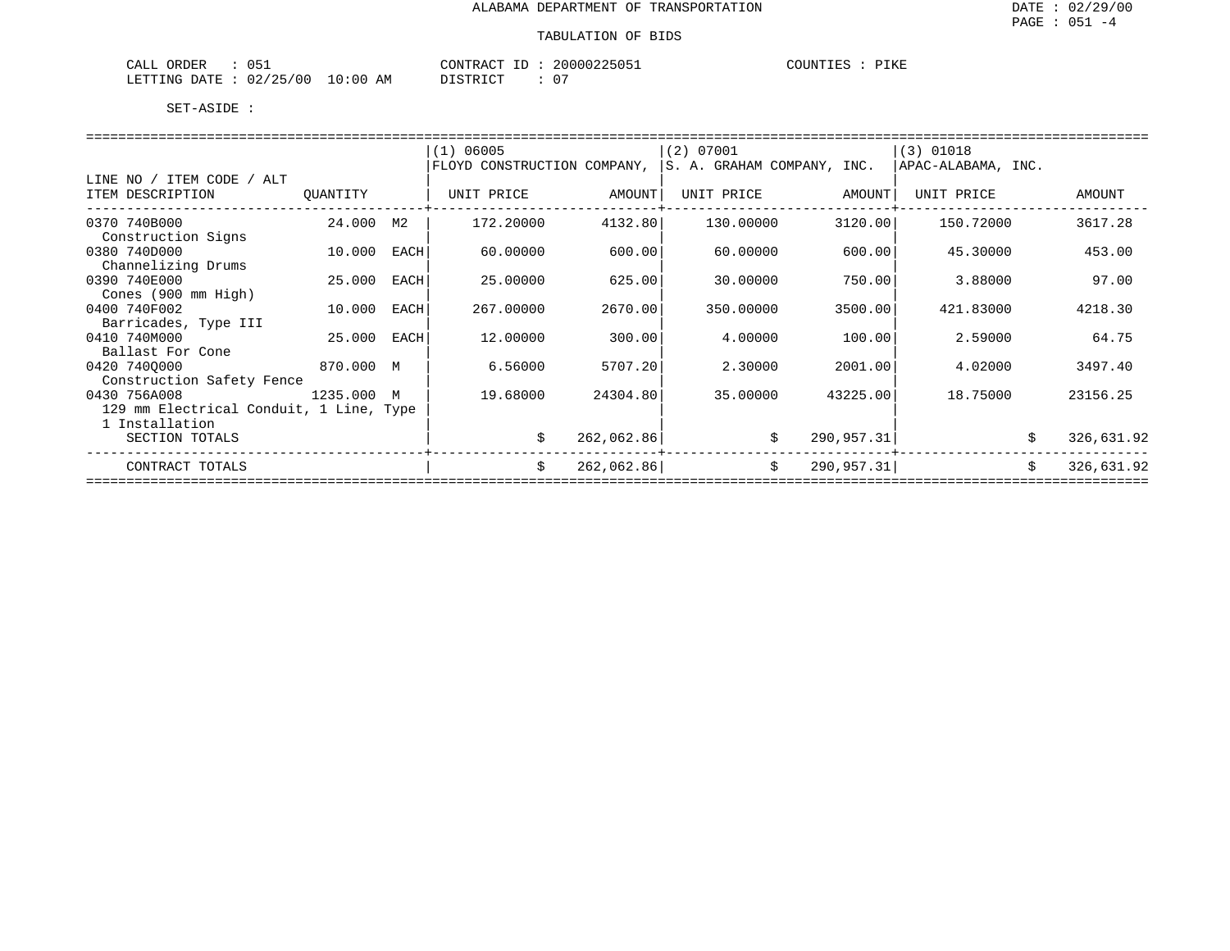| 051<br>ORDER<br>CALL         | CONTRACT    | 20000225051 | COUNTIES | PIKE |
|------------------------------|-------------|-------------|----------|------|
| 02/25/00<br>LETTING<br>DATE. | 10:00<br>AΜ | 07          |          |      |

|                                         |          |      | (1) 06005                   |            | (2) 07001  |                            | $(3)$ 01018        |                  |
|-----------------------------------------|----------|------|-----------------------------|------------|------------|----------------------------|--------------------|------------------|
|                                         |          |      | FLOYD CONSTRUCTION COMPANY, |            |            | S. A. GRAHAM COMPANY, INC. | APAC-ALABAMA, INC. |                  |
| LINE NO / ITEM CODE / ALT               |          |      |                             |            |            |                            |                    |                  |
| ITEM DESCRIPTION                        | QUANTITY |      | UNIT PRICE                  | AMOUNT     | UNIT PRICE | AMOUNT                     | UNIT PRICE         | AMOUNT           |
|                                         |          |      |                             |            |            |                            |                    |                  |
| 0370 740B000                            | 24.000   | M2   | 172,20000                   | 4132.80    | 130.00000  | 3120.00                    | 150.72000          | 3617.28          |
| Construction Signs                      |          |      |                             |            |            |                            |                    |                  |
| 0380 740D000                            | 10.000   | EACH | 60.00000                    | 600.00     | 60.00000   | 600.00                     | 45.30000           | 453.00           |
| Channelizing Drums                      |          |      |                             |            |            |                            |                    |                  |
| 0390 740E000                            | 25.000   | EACH | 25.00000                    | 625.00     | 30.00000   | 750.00                     | 3.88000            | 97.00            |
| Cones (900 mm High)                     |          |      |                             |            |            |                            |                    |                  |
| 0400 740F002                            | 10.000   | EACH | 267.00000                   | 2670.00    | 350.00000  | 3500.00                    | 421.83000          | 4218.30          |
| Barricades, Type III                    |          |      |                             |            |            |                            |                    |                  |
| 0410 740M000                            | 25.000   | EACH | 12.00000                    | 300.00     | 4.00000    | 100.00                     | 2.59000            | 64.75            |
| Ballast For Cone                        |          |      |                             |            |            |                            |                    |                  |
| 0420 7400000<br>870.000 M               |          |      | 6.56000                     | 5707.20    | 2.30000    | 2001.00                    | 4.02000            | 3497.40          |
| Construction Safety Fence               |          |      |                             |            |            |                            |                    |                  |
| 0430 756A008<br>1235.000 M              |          |      | 19.68000                    | 24304.80   | 35,00000   | 43225.00                   | 18.75000           | 23156.25         |
| 129 mm Electrical Conduit, 1 Line, Type |          |      |                             |            |            |                            |                    |                  |
| 1 Installation                          |          |      |                             |            |            |                            |                    |                  |
| SECTION TOTALS                          |          |      | \$                          | 262,062.86 |            | \$<br>290,957.31           |                    | 326,631.92       |
|                                         |          |      |                             |            |            |                            |                    |                  |
| CONTRACT TOTALS                         |          |      | $\ddot{s}$                  | 262,062.86 |            | \$<br>290,957.31           |                    | \$<br>326,631.92 |
|                                         |          |      |                             |            |            |                            |                    |                  |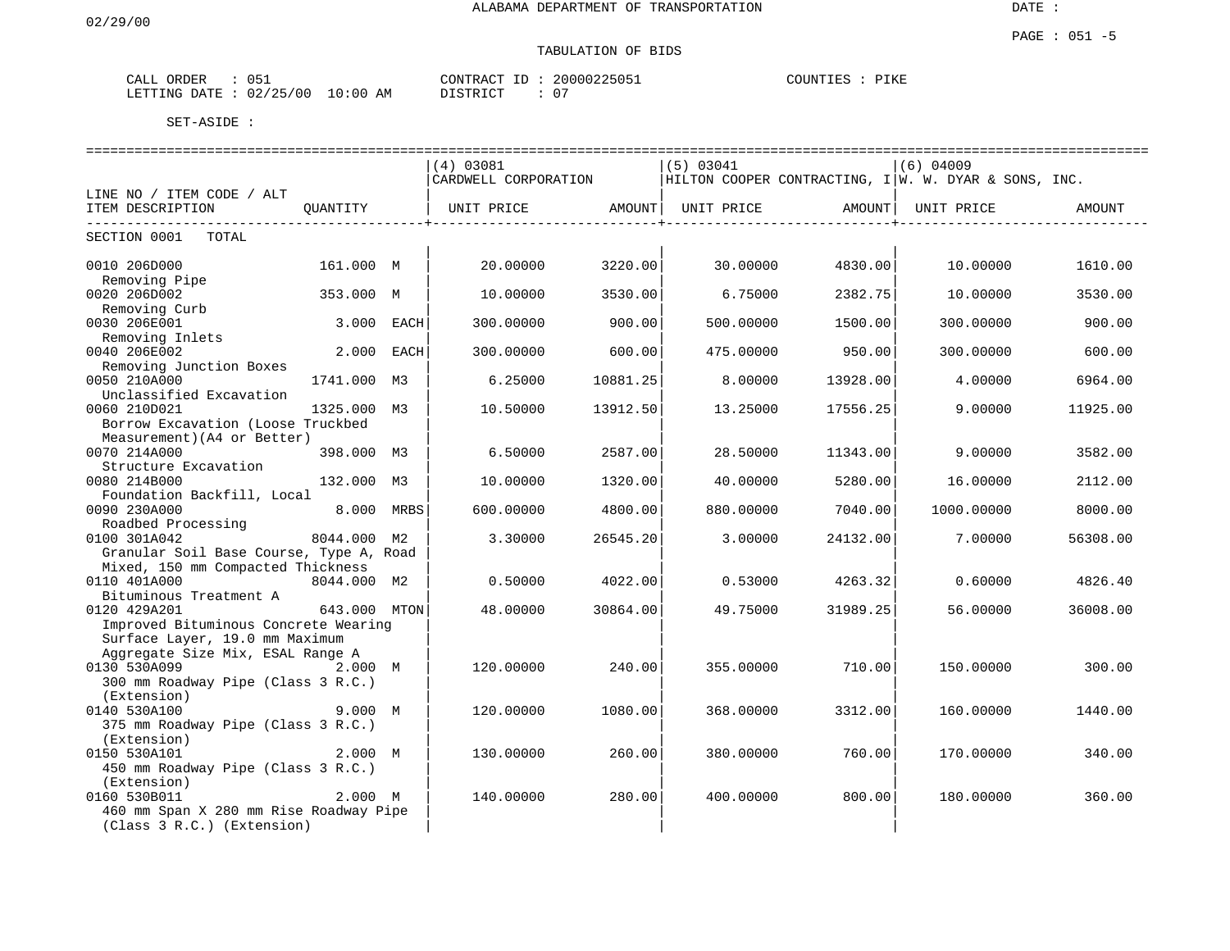# TABULATION OF BIDS

| 051<br>CALL<br>ORDER   |          | CONTRACT ID : | 20000225051        | COUNTIES<br>PIKE |
|------------------------|----------|---------------|--------------------|------------------|
| LETTING DATE: 02/25/00 | 10:00 AM | DISTRICT      | $\sim$ $\sim$<br>◡ |                  |

|                                                                        |              | ----------------------------- |          |            |                                                   |                                                        |          |
|------------------------------------------------------------------------|--------------|-------------------------------|----------|------------|---------------------------------------------------|--------------------------------------------------------|----------|
|                                                                        |              | (4) 03081                     |          | (5) 03041  |                                                   | $(6)$ 04009                                            |          |
|                                                                        |              | CARDWELL CORPORATION          |          |            |                                                   | HILTON COOPER CONTRACTING, $I W. W. DYAR & SONS, INC.$ |          |
| LINE NO / ITEM CODE / ALT                                              |              |                               |          |            |                                                   |                                                        |          |
| ITEM DESCRIPTION<br>---------------------------                        | OUANTITY     | UNIT PRICE                    | AMOUNT   | UNIT PRICE | AMOUNT  <br>_ _ _ _ _ _ _ _ _ _ _ _ _ _ _ _ _ _ _ | UNIT PRICE<br>___________                              | AMOUNT   |
| SECTION 0001<br>TOTAL                                                  |              |                               |          |            |                                                   |                                                        |          |
| 0010 206D000<br>Removing Pipe                                          | 161.000 M    | 20.00000                      | 3220.00  | 30.00000   | 4830.00                                           | 10.00000                                               | 1610.00  |
| 0020 206D002                                                           | 353.000 M    | 10.00000                      | 3530.00  | 6.75000    | 2382.75                                           | 10.00000                                               | 3530.00  |
| Removing Curb                                                          |              |                               |          |            |                                                   |                                                        |          |
| 0030 206E001                                                           | 3.000 EACH   | 300.00000                     | 900.00   | 500.00000  | 1500.00                                           | 300.00000                                              | 900.00   |
| Removing Inlets                                                        |              |                               |          |            |                                                   |                                                        |          |
| 0040 206E002                                                           | 2.000 EACH   | 300.00000                     | 600.00   | 475.00000  | 950.00                                            | 300.00000                                              | 600.00   |
| Removing Junction Boxes                                                |              |                               |          |            |                                                   |                                                        |          |
| 0050 210A000                                                           | 1741.000 M3  | 6.25000                       | 10881.25 | 8,00000    | 13928.00                                          | 4.00000                                                | 6964.00  |
| Unclassified Excavation                                                |              |                               |          |            |                                                   |                                                        |          |
| 0060 210D021                                                           | 1325.000 M3  | 10.50000                      | 13912.50 | 13.25000   | 17556.25                                          | 9.00000                                                | 11925.00 |
| Borrow Excavation (Loose Truckbed                                      |              |                               |          |            |                                                   |                                                        |          |
| Measurement) (A4 or Better)<br>0070 214A000                            |              |                               |          |            |                                                   |                                                        |          |
|                                                                        | 398.000 M3   | 6.50000                       | 2587.00  | 28.50000   | 11343.00                                          | 9,00000                                                | 3582.00  |
| Structure Excavation<br>0080 214B000                                   | 132.000 M3   | 10.00000                      | 1320.00  | 40.00000   | 5280.00                                           | 16.00000                                               | 2112.00  |
| Foundation Backfill, Local                                             |              |                               |          |            |                                                   |                                                        |          |
| 0090 230A000                                                           | 8.000 MRBS   | 600,00000                     | 4800.00  | 880.00000  | 7040.00                                           | 1000.00000                                             | 8000.00  |
| Roadbed Processing                                                     |              |                               |          |            |                                                   |                                                        |          |
| 0100 301A042                                                           | 8044.000 M2  | 3.30000                       | 26545.20 | 3.00000    | 24132.00                                          | 7.00000                                                | 56308.00 |
| Granular Soil Base Course, Type A, Road                                |              |                               |          |            |                                                   |                                                        |          |
| Mixed, 150 mm Compacted Thickness                                      |              |                               |          |            |                                                   |                                                        |          |
| 0110 401A000                                                           | 8044.000 M2  | 0.50000                       | 4022.00  | 0.53000    | 4263.32                                           | 0.60000                                                | 4826.40  |
| Bituminous Treatment A                                                 |              |                               |          |            |                                                   |                                                        |          |
| 0120 429A201                                                           | 643.000 MTON | 48.00000                      | 30864.00 | 49.75000   | 31989.25                                          | 56.00000                                               | 36008.00 |
| Improved Bituminous Concrete Wearing<br>Surface Layer, 19.0 mm Maximum |              |                               |          |            |                                                   |                                                        |          |
| Aggregate Size Mix, ESAL Range A                                       |              |                               |          |            |                                                   |                                                        |          |
| 0130 530A099                                                           | 2.000 M      | 120.00000                     | 240.00   | 355.00000  | 710.00                                            | 150.00000                                              | 300.00   |
| 300 mm Roadway Pipe (Class 3 R.C.)                                     |              |                               |          |            |                                                   |                                                        |          |
| (Extension)                                                            |              |                               |          |            |                                                   |                                                        |          |
| 0140 530A100                                                           | 9.000 M      | 120.00000                     | 1080.00  | 368.00000  | 3312.00                                           | 160.00000                                              | 1440.00  |
| 375 mm Roadway Pipe (Class 3 R.C.)                                     |              |                               |          |            |                                                   |                                                        |          |
| (Extension)                                                            |              |                               |          |            |                                                   |                                                        |          |
| 0150 530A101                                                           | 2.000 M      | 130.00000                     | 260.00   | 380.00000  | 760.00                                            | 170.00000                                              | 340.00   |
| 450 mm Roadway Pipe (Class 3 R.C.)                                     |              |                               |          |            |                                                   |                                                        |          |
| (Extension)                                                            |              |                               |          |            |                                                   |                                                        |          |
| 0160 530B011                                                           | 2.000 M      | 140.00000                     | 280.00   | 400.00000  | 800.00                                            | 180.00000                                              | 360.00   |
| 460 mm Span X 280 mm Rise Roadway Pipe<br>(Class 3 R.C.) (Extension)   |              |                               |          |            |                                                   |                                                        |          |
|                                                                        |              |                               |          |            |                                                   |                                                        |          |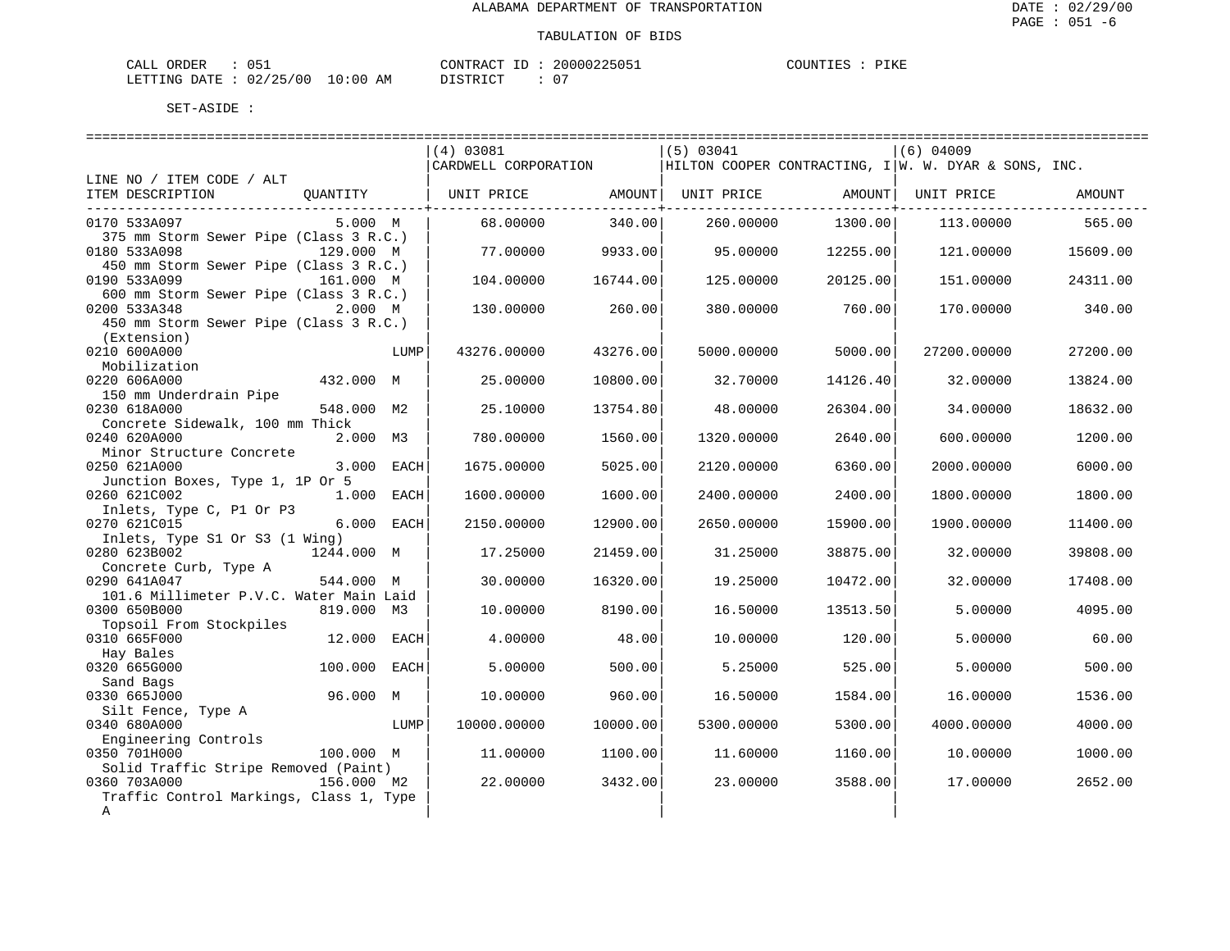| ORDER<br>CALL | 051                              | CONTRACT ID: | 20000225051 | PIKE<br>COUNTIES : |
|---------------|----------------------------------|--------------|-------------|--------------------|
|               | LETTING DATE : 02/25/00 10:00 AM | DISTRICT     | $\sim$      |                    |

|                                                                  |              |            | (4) 03081                                                                                  |                                             | (5) 03041  |          | (6) 04009   |          |
|------------------------------------------------------------------|--------------|------------|--------------------------------------------------------------------------------------------|---------------------------------------------|------------|----------|-------------|----------|
|                                                                  |              |            | CARDWELL CORPORATION $\vert$ HILTON COOPER CONTRACTING, $I \vert W. W. DYAR \&$ SONS, INC. |                                             |            |          |             |          |
| LINE NO / ITEM CODE / ALT                                        |              |            |                                                                                            |                                             |            |          |             |          |
| ITEM DESCRIPTION OUANTITY   UNIT PRICE AMOUNT  UNIT PRICE AMOUNT |              |            |                                                                                            |                                             |            |          | UNIT PRICE  | AMOUNT   |
|                                                                  |              |            |                                                                                            | . _ _ _ _ _ _ _ _ _ _ _ _ _ _ _ +<br>340.00 |            | 1300.00  |             | 565.00   |
| 0170 533A097<br>375 mm Storm Sewer Pipe (Class 3 R.C.)           | 5.000 M      |            | 68.00000                                                                                   |                                             | 260.00000  |          | 113.00000   |          |
| 0180 533A098                                                     | 129.000 M    |            | 77.00000                                                                                   | 9933.00                                     | 95.00000   | 12255.00 | 121.00000   | 15609.00 |
| 450 mm Storm Sewer Pipe (Class 3 R.C.)                           |              |            |                                                                                            |                                             |            |          |             |          |
| 0190 533A099                                                     | 161.000 M    |            | 104.00000                                                                                  | 16744.00                                    | 125.00000  | 20125.00 | 151.00000   | 24311.00 |
| 600 mm Storm Sewer Pipe (Class 3 R.C.)                           |              |            |                                                                                            |                                             |            |          |             |          |
| 0200 533A348                                                     | 2.000 M      |            | 130.00000                                                                                  | 260.00                                      | 380.00000  | 760.00   | 170.00000   | 340.00   |
| 450 mm Storm Sewer Pipe (Class 3 R.C.)                           |              |            |                                                                                            |                                             |            |          |             |          |
| (Extension)                                                      |              |            |                                                                                            |                                             |            |          |             |          |
| 0210 600A000                                                     |              | LUMP       | 43276.00000                                                                                | 43276.00                                    | 5000.00000 | 5000.00  | 27200.00000 | 27200.00 |
| Mobilization                                                     |              |            |                                                                                            |                                             |            |          |             |          |
| 0220 606A000                                                     | 432.000 M    |            | 25.00000                                                                                   | 10800.00                                    | 32.70000   | 14126.40 | 32.00000    | 13824.00 |
| 150 mm Underdrain Pipe                                           |              |            |                                                                                            |                                             |            |          |             |          |
| 0230 618A000                                                     | 548.000 M2   |            | 25.10000                                                                                   | 13754.80                                    | 48.00000   | 26304.00 | 34,00000    | 18632.00 |
| Concrete Sidewalk, 100 mm Thick                                  |              |            |                                                                                            |                                             |            |          |             |          |
| 0240 620A000                                                     | 2.000 M3     |            | 780.00000                                                                                  | 1560.00                                     | 1320.00000 | 2640.00  | 600.00000   | 1200.00  |
| Minor Structure Concrete                                         |              |            |                                                                                            |                                             |            |          |             |          |
| 0250 621A000                                                     |              | 3.000 EACH | 1675.00000                                                                                 | 5025.00                                     | 2120.00000 | 6360.00  | 2000.00000  | 6000.00  |
| Junction Boxes, Type 1, 1P Or 5                                  |              |            |                                                                                            |                                             |            |          |             |          |
| 0260 621C002                                                     | 1.000 EACH   |            | 1600.00000                                                                                 | 1600.00                                     | 2400.00000 | 2400.00  | 1800.00000  | 1800.00  |
| Inlets, Type C, P1 Or P3                                         |              |            |                                                                                            |                                             |            |          |             |          |
| 0270 621C015                                                     |              | 6.000 EACH | 2150.00000                                                                                 | 12900.00                                    | 2650.00000 | 15900.00 | 1900.00000  | 11400.00 |
| Inlets, Type S1 Or S3 (1 Wing)<br>0280 623B002                   | 1244.000 M   |            |                                                                                            | 21459.00                                    | 31.25000   | 38875.00 | 32.00000    |          |
| Concrete Curb, Type A                                            |              |            | 17.25000                                                                                   |                                             |            |          |             | 39808.00 |
| 0290 641A047                                                     | 544.000 M    |            | 30.00000                                                                                   | 16320.00                                    | 19.25000   | 10472.00 | 32,00000    | 17408.00 |
| 101.6 Millimeter P.V.C. Water Main Laid                          |              |            |                                                                                            |                                             |            |          |             |          |
| 0300 650B000                                                     | 819.000 M3   |            | 10.00000                                                                                   | 8190.00                                     | 16.50000   | 13513.50 | 5.00000     | 4095.00  |
| Topsoil From Stockpiles                                          |              |            |                                                                                            |                                             |            |          |             |          |
| 0310 665F000                                                     | 12.000 EACH  |            | 4.00000                                                                                    | 48.00                                       | 10.00000   | 120.00   | 5.00000     | 60.00    |
| Hay Bales                                                        |              |            |                                                                                            |                                             |            |          |             |          |
| 0320 665G000                                                     | 100.000 EACH |            | 5.00000                                                                                    | 500.00                                      | 5.25000    | 525.00   | 5,00000     | 500.00   |
| Sand Bags                                                        |              |            |                                                                                            |                                             |            |          |             |          |
| 0330 665J000                                                     | 96.000 M     |            | 10.00000                                                                                   | 960.00                                      | 16.50000   | 1584.00  | 16.00000    | 1536.00  |
| Silt Fence, Type A                                               |              |            |                                                                                            |                                             |            |          |             |          |
| 0340 680A000                                                     |              | LUMP       | 10000.00000                                                                                | 10000.00                                    | 5300.00000 | 5300.00  | 4000.00000  | 4000.00  |
| Engineering Controls                                             |              |            |                                                                                            |                                             |            |          |             |          |
| 0350 701H000                                                     | 100.000 M    |            | 11,00000                                                                                   | 1100.00                                     | 11.60000   | 1160.00  | 10.00000    | 1000.00  |
| Solid Traffic Stripe Removed (Paint)                             |              |            |                                                                                            |                                             |            |          |             |          |
| 0360 703A000                                                     | 156.000 M2   |            | 22.00000                                                                                   | 3432.00                                     | 23,00000   | 3588.00  | 17.00000    | 2652.00  |
| Traffic Control Markings, Class 1, Type                          |              |            |                                                                                            |                                             |            |          |             |          |
| Α                                                                |              |            |                                                                                            |                                             |            |          |             |          |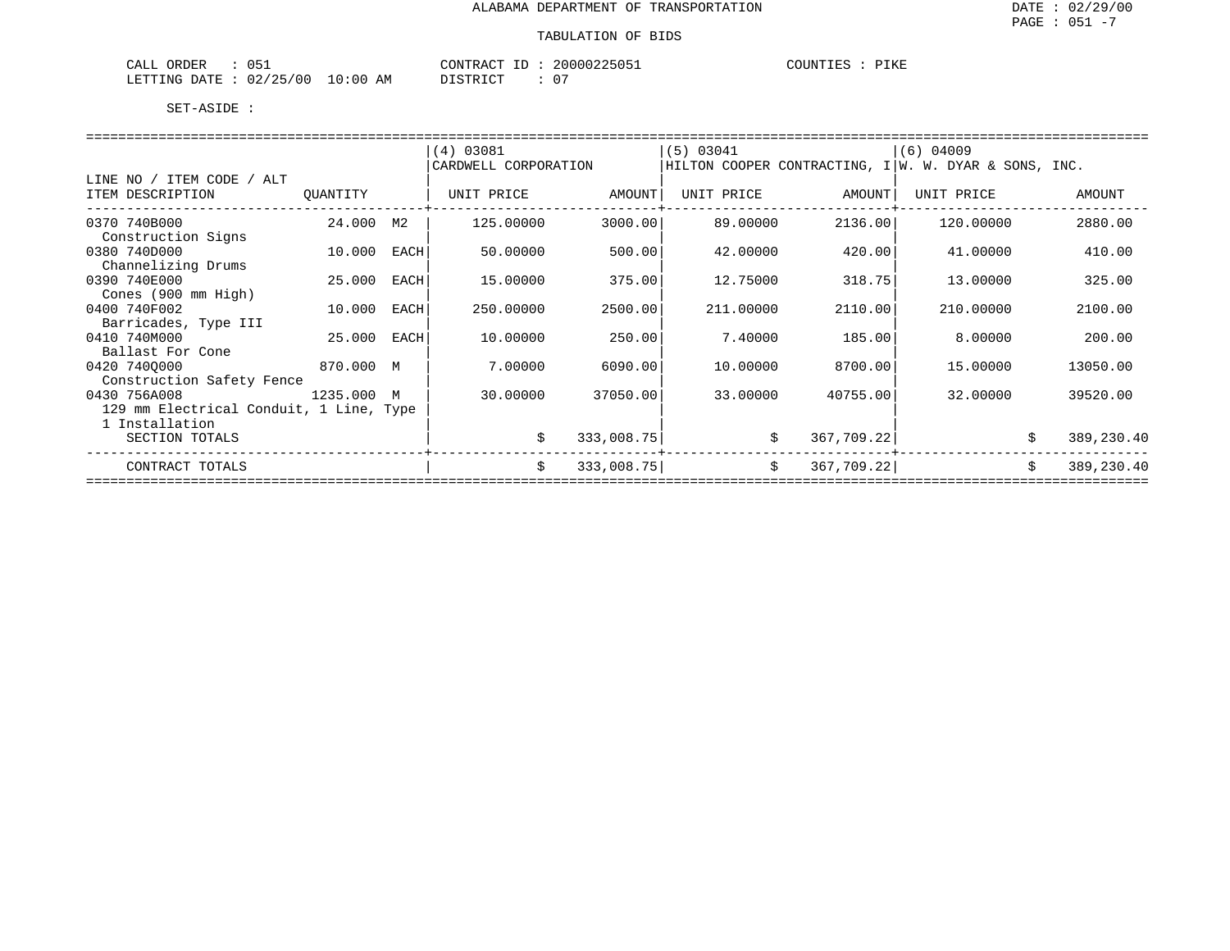| 051<br>ORDER<br>CALL                  | CONTRACT                                   | 20000225051<br>COUNTIES | DTITF<br><b>LIVE</b> |
|---------------------------------------|--------------------------------------------|-------------------------|----------------------|
| 10:00<br>02/25/00<br>LETTING<br>DATE. | $\sim$ $-$<br>ידי קידי פרי די ה<br>AΜ<br>◡ |                         |                      |

|                                         |           |      | (4) 03081            |            | $(5)$ 03041 |                  | $(6)$ 04009                                            |                  |
|-----------------------------------------|-----------|------|----------------------|------------|-------------|------------------|--------------------------------------------------------|------------------|
|                                         |           |      | CARDWELL CORPORATION |            |             |                  | HILTON COOPER CONTRACTING, I   W. W. DYAR & SONS, INC. |                  |
| LINE NO / ITEM CODE / ALT               |           |      |                      |            |             |                  |                                                        |                  |
| ITEM DESCRIPTION                        | QUANTITY  |      | UNIT PRICE           | AMOUNT     | UNIT PRICE  | AMOUNT           | UNIT PRICE                                             | AMOUNT           |
|                                         |           |      |                      |            |             |                  |                                                        |                  |
| 0370 740B000                            | 24.000 M2 |      | 125.00000            | 3000.00    | 89.00000    | 2136.00          | 120.00000                                              | 2880.00          |
| Construction Signs                      |           |      |                      |            |             |                  |                                                        |                  |
| 0380 740D000                            | 10.000    | EACH | 50.00000             | 500.00     | 42.00000    | 420.00           | 41.00000                                               | 410.00           |
| Channelizing Drums                      |           |      |                      |            |             |                  |                                                        |                  |
| 0390 740E000                            | 25.000    | EACH | 15.00000             | 375.00     | 12.75000    | 318.75           | 13,00000                                               | 325.00           |
|                                         |           |      |                      |            |             |                  |                                                        |                  |
| Cones (900 mm High)                     |           |      |                      |            |             |                  |                                                        |                  |
| 0400 740F002                            | 10.000    | EACH | 250.00000            | 2500.00    | 211,00000   | 2110.00          | 210.00000                                              | 2100.00          |
| Barricades, Type III                    |           |      |                      |            |             |                  |                                                        |                  |
| 0410 740M000                            | 25.000    | EACH | 10.00000             | 250.00     | 7.40000     | 185.00           | 8.00000                                                | 200.00           |
| Ballast For Cone                        |           |      |                      |            |             |                  |                                                        |                  |
| 0420 7400000<br>870.000 M               |           |      | 7.00000              | 6090.00    | 10,00000    | 8700.00          | 15,00000                                               | 13050.00         |
| Construction Safety Fence               |           |      |                      |            |             |                  |                                                        |                  |
| 0430 756A008<br>1235.000 M              |           |      | 30.00000             | 37050.00   | 33.00000    | 40755.00         | 32,00000                                               | 39520.00         |
| 129 mm Electrical Conduit, 1 Line, Type |           |      |                      |            |             |                  |                                                        |                  |
| 1 Installation                          |           |      |                      |            |             |                  |                                                        |                  |
| SECTION TOTALS                          |           |      | \$                   | 333,008.75 |             | 367,709.22<br>\$ |                                                        | 389,230.40       |
|                                         |           |      |                      |            |             |                  |                                                        |                  |
| CONTRACT TOTALS                         |           |      | \$                   | 333,008.75 |             | \$<br>367,709.22 |                                                        | Ŝ.<br>389,230.40 |
|                                         |           |      |                      |            |             |                  |                                                        |                  |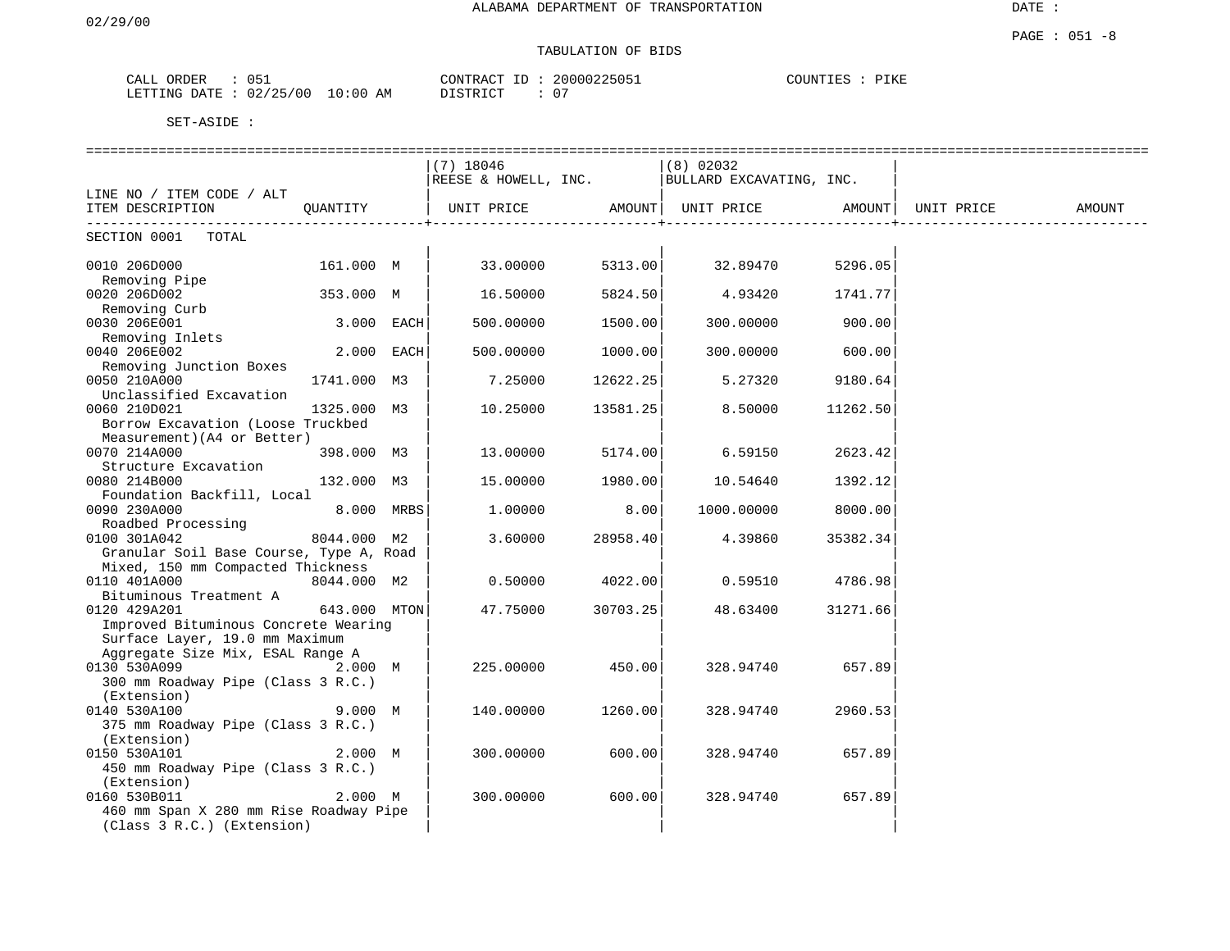# TABULATION OF BIDS

| ORDER<br>لىلطات       | $\sim$ $-$<br>11 L<br>ັບປົ              |           | CONTR<br>$\sim$<br>$- -$ | 200                    | ヘエびた<br>′⊥r.r |
|-----------------------|-----------------------------------------|-----------|--------------------------|------------------------|---------------|
| .RTTTNC<br>דים ∆<br>ᅭ | $\sim$ $-$<br>00'<br>$\sim$<br>UZ.<br>. | :00<br>AМ | TAT<br>. .               | $\sim$<br>$\mathbf{u}$ |               |

|                                               |              | $(7)$ 18046 |                    | (8) 02032                                                     |                   |            |        |
|-----------------------------------------------|--------------|-------------|--------------------|---------------------------------------------------------------|-------------------|------------|--------|
|                                               |              |             |                    | REESE & HOWELL, INC.   BULLARD EXCAVATING, INC.               |                   |            |        |
| LINE NO / ITEM CODE / ALT                     |              |             |                    |                                                               |                   |            |        |
| ITEM DESCRIPTION<br>------------------------- | OUANTITY     |             | ---------------+-- | UNIT PRICE             AMOUNT   UNIT PRICE             AMOUNT | _________________ | UNIT PRICE | AMOUNT |
| SECTION 0001 TOTAL                            |              |             |                    |                                                               |                   |            |        |
| 0010 206D000                                  | 161.000 M    | 33.00000    | 5313.00            | 32.89470                                                      | 5296.05           |            |        |
| Removing Pipe                                 |              |             |                    |                                                               |                   |            |        |
| 0020 206D002                                  | 353.000 M    | 16.50000    | 5824.50            | 4.93420                                                       | 1741.77           |            |        |
| Removing Curb                                 |              |             |                    |                                                               |                   |            |        |
| 0030 206E001                                  | 3.000 EACH   | 500.00000   | 1500.00            | 300.00000                                                     | 900.00            |            |        |
| Removing Inlets                               | 2.000 EACH   |             |                    |                                                               |                   |            |        |
| 0040 206E002<br>Removing Junction Boxes       |              | 500.00000   | 1000.00            | 300.00000                                                     | 600.00            |            |        |
| 0050 210A000                                  | 1741.000 M3  | 7.25000     | 12622.25           | 5.27320                                                       | 9180.64           |            |        |
| Unclassified Excavation                       |              |             |                    |                                                               |                   |            |        |
| 0060 210D021                                  | 1325.000 M3  | 10.25000    | 13581.25           | 8.50000                                                       | 11262.50          |            |        |
| Borrow Excavation (Loose Truckbed             |              |             |                    |                                                               |                   |            |        |
| Measurement) (A4 or Better)                   |              |             |                    |                                                               |                   |            |        |
| 0070 214A000                                  | 398.000 M3   | 13.00000    | 5174.00            | 6.59150                                                       | 2623.42           |            |        |
| Structure Excavation                          |              |             |                    |                                                               |                   |            |        |
| 0080 214B000                                  | 132.000 M3   | 15.00000    | 1980.00            | 10.54640                                                      | 1392.12           |            |        |
| Foundation Backfill, Local                    |              |             |                    |                                                               |                   |            |        |
| 0090 230A000                                  | 8.000 MRBS   | 1,00000     | 8.00               | 1000.00000                                                    | 8000.00           |            |        |
| Roadbed Processing                            |              |             |                    |                                                               |                   |            |        |
| 0100 301A042                                  | 8044.000 M2  | 3.60000     | 28958.40           | 4.39860                                                       | 35382.34          |            |        |
| Granular Soil Base Course, Type A, Road       |              |             |                    |                                                               |                   |            |        |
| Mixed, 150 mm Compacted Thickness             |              |             |                    |                                                               |                   |            |        |
| 0110 401A000                                  | 8044.000 M2  | 0.50000     | 4022.00            | 0.59510                                                       | 4786.98           |            |        |
| Bituminous Treatment A                        |              |             |                    |                                                               |                   |            |        |
| 0120 429A201                                  | 643.000 MTON | 47.75000    | 30703.25           | 48.63400                                                      | 31271.66          |            |        |
| Improved Bituminous Concrete Wearing          |              |             |                    |                                                               |                   |            |        |
| Surface Layer, 19.0 mm Maximum                |              |             |                    |                                                               |                   |            |        |
| Aggregate Size Mix, ESAL Range A              |              |             |                    |                                                               |                   |            |        |
| 0130 530A099                                  | 2.000 M      | 225.00000   | 450.00             | 328.94740                                                     | 657.89            |            |        |
| 300 mm Roadway Pipe (Class 3 R.C.)            |              |             |                    |                                                               |                   |            |        |
| (Extension)<br>0140 530A100                   | 9.000 M      |             | 1260.00            |                                                               |                   |            |        |
| 375 mm Roadway Pipe (Class 3 R.C.)            |              | 140.00000   |                    | 328.94740                                                     | 2960.53           |            |        |
| (Extension)                                   |              |             |                    |                                                               |                   |            |        |
| 0150 530A101                                  | 2.000 M      | 300.00000   | 600.00             | 328.94740                                                     | 657.89            |            |        |
| 450 mm Roadway Pipe (Class 3 R.C.)            |              |             |                    |                                                               |                   |            |        |
| (Extension)                                   |              |             |                    |                                                               |                   |            |        |
| 0160 530B011                                  | 2.000 M      | 300.00000   | 600.00             | 328.94740                                                     | 657.89            |            |        |
| 460 mm Span X 280 mm Rise Roadway Pipe        |              |             |                    |                                                               |                   |            |        |
| (Class 3 R.C.) (Extension)                    |              |             |                    |                                                               |                   |            |        |
|                                               |              |             |                    |                                                               |                   |            |        |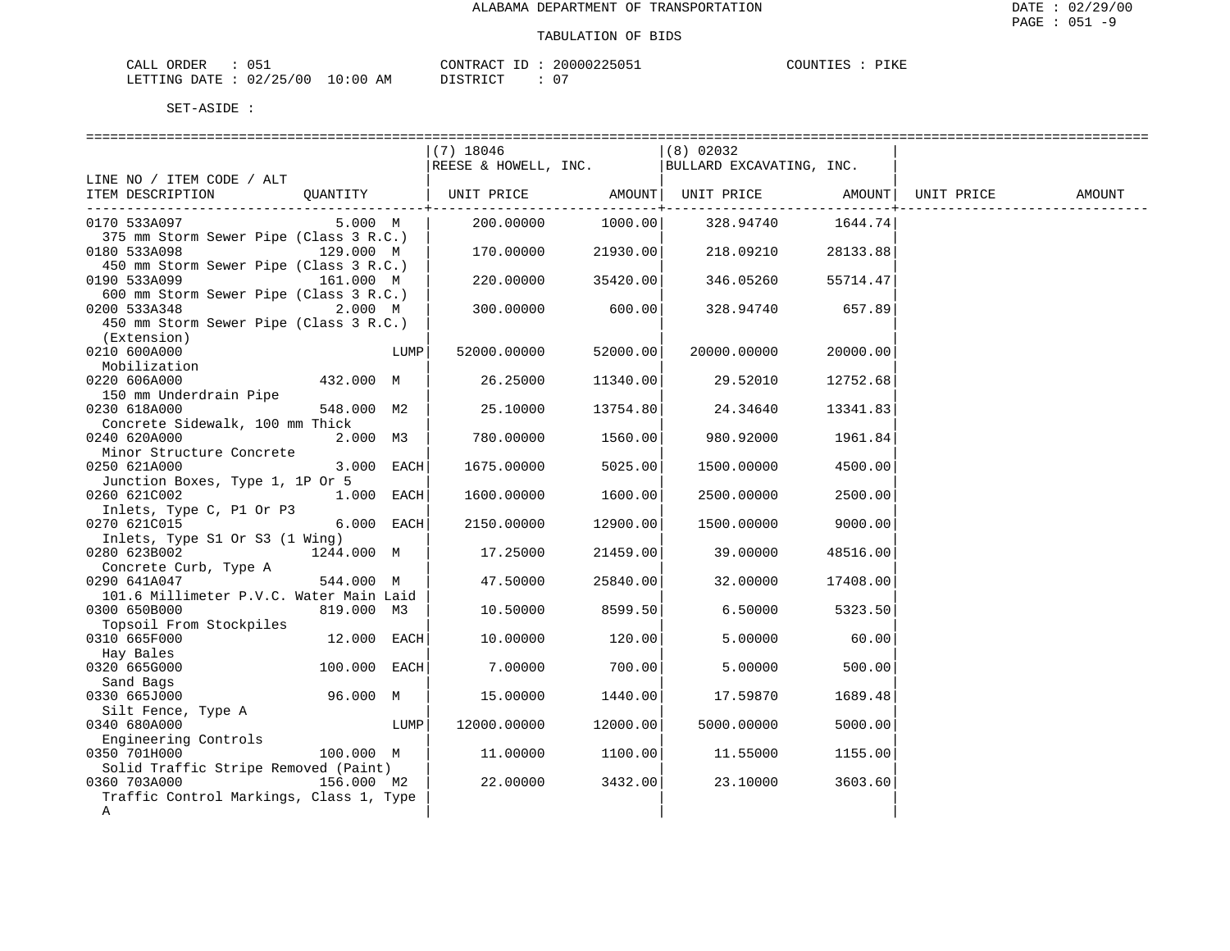| CALL ORDER                       | 051 |          | CONTRACT ID: 20000225051 | COUNTIES : PIKE |  |
|----------------------------------|-----|----------|--------------------------|-----------------|--|
| LETTING DATE : 02/25/00 10:00 AM |     | DISTRICT | $\cap$                   |                 |  |

|                                                                 |              |      | (7) 18046            |                    | $(8)$ 02032                                   |                  |            |        |
|-----------------------------------------------------------------|--------------|------|----------------------|--------------------|-----------------------------------------------|------------------|------------|--------|
|                                                                 |              |      |                      |                    | REESE & HOWELL, INC. BULLARD EXCAVATING, INC. |                  |            |        |
| LINE NO / ITEM CODE / ALT                                       |              |      |                      |                    |                                               |                  |            |        |
| ITEM DESCRIPTION QUANTITY   UNIT PRICE AMOUNT UNIT PRICE AMOUNT |              |      |                      |                    |                                               |                  | UNIT PRICE | AMOUNT |
| ______________________________________                          |              |      | 200.00000            | 1000.00            | ------+-------------                          |                  |            |        |
| 0170 533A097                                                    | 5.000 M      |      |                      |                    | 328.94740                                     | 1644.74          |            |        |
| 375 mm Storm Sewer Pipe (Class 3 R.C.)                          |              |      |                      |                    |                                               |                  |            |        |
| 0180 533A098<br>450 mm Storm Sewer Pipe (Class 3 R.C.)          | 129.000 M    |      | $170.00000$ 21930.00 |                    | 218.09210                                     | 28133.88         |            |        |
| 0190 533A099                                                    | 161.000 M    |      |                      | 220.00000 35420.00 | 346.05260                                     | 55714.47         |            |        |
| 600 mm Storm Sewer Pipe (Class 3 R.C.)                          |              |      |                      |                    |                                               |                  |            |        |
| 0200 533A348                                                    | 2.000 M      |      |                      | $300.00000$ 600.00 |                                               | 328.94740 657.89 |            |        |
|                                                                 |              |      |                      |                    |                                               |                  |            |        |
| 450 mm Storm Sewer Pipe (Class 3 R.C.)                          |              |      |                      |                    |                                               |                  |            |        |
| (Extension)<br>0210 600A000                                     |              | LUMP | 52000.00000          | 52000.00           | 20000.00000                                   | 20000.00         |            |        |
| Mobilization                                                    |              |      |                      |                    |                                               |                  |            |        |
| 0220 606A000                                                    | 432.000 M    |      |                      |                    |                                               |                  |            |        |
|                                                                 |              |      | 26.25000             | 11340.00           | 29.52010                                      | 12752.68         |            |        |
| 150 mm Underdrain Pipe                                          | 548.000 M2   |      |                      |                    |                                               |                  |            |        |
| 0230 618A000                                                    |              |      | 25.10000             | 13754.80           | 24.34640                                      | 13341.831        |            |        |
| Concrete Sidewalk, 100 mm Thick                                 |              |      |                      | 1560.00            |                                               |                  |            |        |
| 0240 620A000                                                    | 2.000 M3     |      | 780.00000            |                    | 980.92000                                     | 1961.84          |            |        |
| Minor Structure Concrete                                        |              |      |                      |                    |                                               |                  |            |        |
| 0250 621A000                                                    | 3.000 EACH   |      | 1675.00000           | 5025.00            | 1500.00000                                    | 4500.00          |            |        |
| Junction Boxes, Type 1, 1P Or 5                                 |              |      |                      |                    |                                               |                  |            |        |
| 0260 621C002                                                    | 1.000 EACH   |      | 1600.00000           | 1600.00            | 2500.00000                                    | 2500.00          |            |        |
| Inlets, Type C, P1 Or P3                                        | 6.000 EACH   |      |                      | 12900.00           |                                               |                  |            |        |
| 0270 621C015                                                    |              |      | 2150.00000           |                    | 1500.00000                                    | 9000.00          |            |        |
| Inlets, Type S1 Or S3 (1 Wing)<br>0280 623B002                  | 1244.000 M   |      | 17.25000             | 21459.00           | 39.00000                                      | 48516.00         |            |        |
| Concrete Curb, Type A                                           |              |      |                      |                    |                                               |                  |            |        |
| 0290 641A047                                                    | 544.000 M    |      | 47.50000             | 25840.00           | 32.00000                                      | 17408.00         |            |        |
| 101.6 Millimeter P.V.C. Water Main Laid                         |              |      |                      |                    |                                               |                  |            |        |
| 0300 650B000                                                    | 819.000 M3   |      | 10.50000             | 8599.50            | 6.50000                                       | 5323.50          |            |        |
| Topsoil From Stockpiles                                         |              |      |                      |                    |                                               |                  |            |        |
| 0310 665F000                                                    | 12.000 EACH  |      | 10.00000             | 120.00             | 5.00000                                       | 60.00            |            |        |
| Hay Bales                                                       |              |      |                      |                    |                                               |                  |            |        |
| 0320 665G000                                                    | 100.000 EACH |      | 7.00000              | 700.00             | 5.00000                                       | 500.00           |            |        |
| Sand Bags                                                       |              |      |                      |                    |                                               |                  |            |        |
| 0330 665J000                                                    | 96.000 M     |      | 15.00000             | 1440.00            | 17.59870                                      | 1689.48          |            |        |
| Silt Fence, Type A                                              |              |      |                      |                    |                                               |                  |            |        |
| 0340 680A000                                                    |              | LUMP | 12000.00000          | 12000.00           | 5000.00000                                    | 5000.00          |            |        |
| Engineering Controls                                            |              |      |                      |                    |                                               |                  |            |        |
| 0350 701H000                                                    | 100.000 M    |      | 11.00000             | 1100.00            | 11.55000                                      | 1155.00          |            |        |
| Solid Traffic Stripe Removed (Paint)                            |              |      |                      |                    |                                               |                  |            |        |
| 0360 703A000                                                    | 156.000 M2   |      | 22.00000             | 3432.00            | 23.10000                                      | 3603.60          |            |        |
| Traffic Control Markings, Class 1, Type                         |              |      |                      |                    |                                               |                  |            |        |
| A                                                               |              |      |                      |                    |                                               |                  |            |        |
|                                                                 |              |      |                      |                    |                                               |                  |            |        |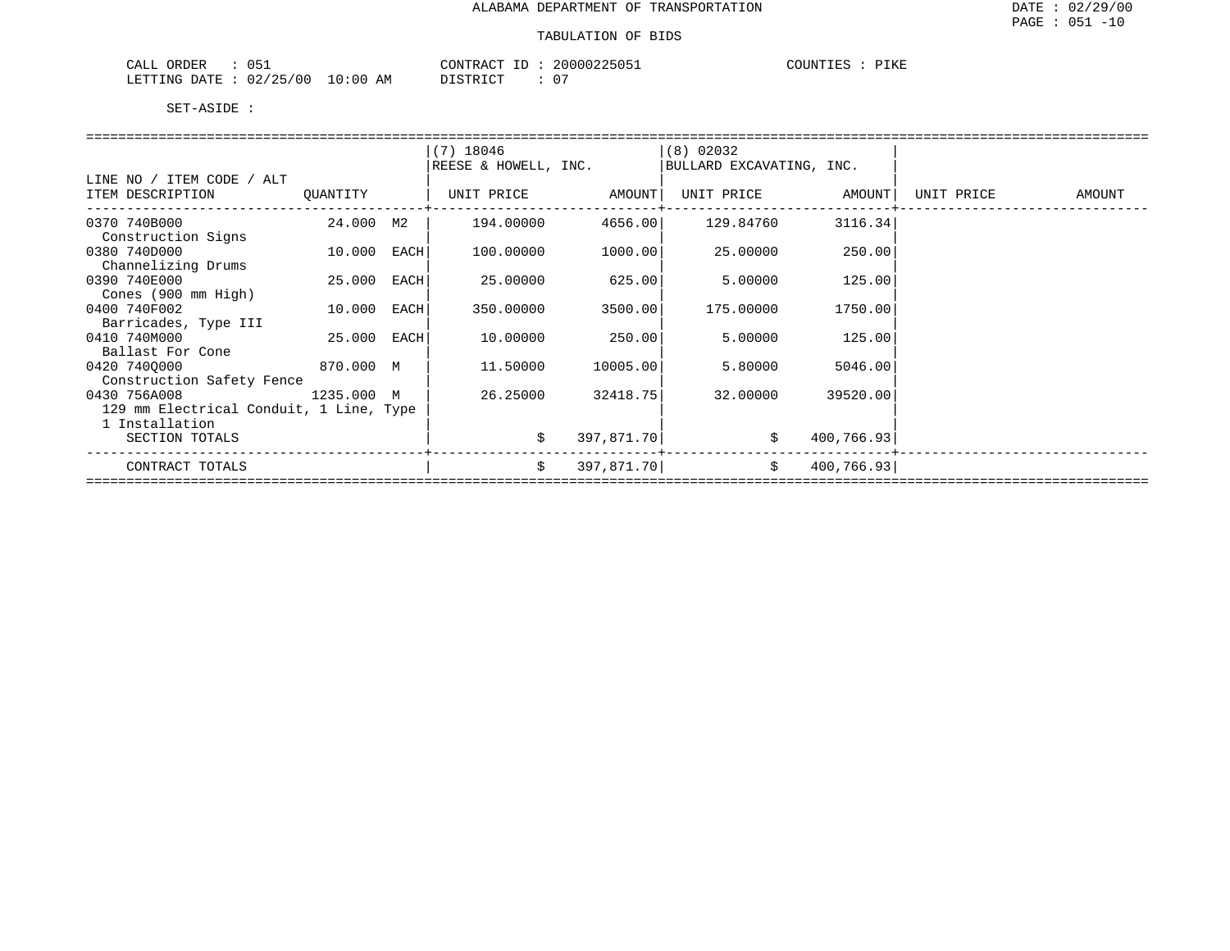| $\sim -$<br>ORDER<br>CALL<br>ັບປ⊥ | $\pi$ $\sim$<br>CONTRAC       | 20000225051<br>ZUUUU' | $- - - - -$<br>COUNTIES<br>.<br>ם גובי |
|-----------------------------------|-------------------------------|-----------------------|----------------------------------------|
| 02/25/00<br>LETTING DATE          | 10:00<br>AΜ<br>די הדי אידי את |                       |                                        |

|                                                                                                                                                                                                                                                                                                                                                                                                                                              |                                                                         | $(7)$ 18046                                                                                                                                                                               |                                                                                            | (8) 02032                                                                                                                                           |                                                                                              |  |
|----------------------------------------------------------------------------------------------------------------------------------------------------------------------------------------------------------------------------------------------------------------------------------------------------------------------------------------------------------------------------------------------------------------------------------------------|-------------------------------------------------------------------------|-------------------------------------------------------------------------------------------------------------------------------------------------------------------------------------------|--------------------------------------------------------------------------------------------|-----------------------------------------------------------------------------------------------------------------------------------------------------|----------------------------------------------------------------------------------------------|--|
|                                                                                                                                                                                                                                                                                                                                                                                                                                              |                                                                         |                                                                                                                                                                                           |                                                                                            |                                                                                                                                                     |                                                                                              |  |
|                                                                                                                                                                                                                                                                                                                                                                                                                                              |                                                                         |                                                                                                                                                                                           |                                                                                            |                                                                                                                                                     |                                                                                              |  |
|                                                                                                                                                                                                                                                                                                                                                                                                                                              |                                                                         |                                                                                                                                                                                           |                                                                                            |                                                                                                                                                     |                                                                                              |  |
|                                                                                                                                                                                                                                                                                                                                                                                                                                              |                                                                         |                                                                                                                                                                                           |                                                                                            |                                                                                                                                                     |                                                                                              |  |
|                                                                                                                                                                                                                                                                                                                                                                                                                                              |                                                                         |                                                                                                                                                                                           |                                                                                            |                                                                                                                                                     |                                                                                              |  |
|                                                                                                                                                                                                                                                                                                                                                                                                                                              |                                                                         |                                                                                                                                                                                           |                                                                                            |                                                                                                                                                     |                                                                                              |  |
|                                                                                                                                                                                                                                                                                                                                                                                                                                              |                                                                         |                                                                                                                                                                                           |                                                                                            |                                                                                                                                                     |                                                                                              |  |
|                                                                                                                                                                                                                                                                                                                                                                                                                                              |                                                                         |                                                                                                                                                                                           |                                                                                            |                                                                                                                                                     |                                                                                              |  |
|                                                                                                                                                                                                                                                                                                                                                                                                                                              |                                                                         |                                                                                                                                                                                           |                                                                                            |                                                                                                                                                     |                                                                                              |  |
|                                                                                                                                                                                                                                                                                                                                                                                                                                              |                                                                         |                                                                                                                                                                                           |                                                                                            |                                                                                                                                                     |                                                                                              |  |
|                                                                                                                                                                                                                                                                                                                                                                                                                                              |                                                                         |                                                                                                                                                                                           |                                                                                            |                                                                                                                                                     |                                                                                              |  |
|                                                                                                                                                                                                                                                                                                                                                                                                                                              |                                                                         |                                                                                                                                                                                           |                                                                                            |                                                                                                                                                     |                                                                                              |  |
|                                                                                                                                                                                                                                                                                                                                                                                                                                              |                                                                         |                                                                                                                                                                                           |                                                                                            |                                                                                                                                                     |                                                                                              |  |
|                                                                                                                                                                                                                                                                                                                                                                                                                                              |                                                                         |                                                                                                                                                                                           |                                                                                            |                                                                                                                                                     |                                                                                              |  |
|                                                                                                                                                                                                                                                                                                                                                                                                                                              |                                                                         |                                                                                                                                                                                           |                                                                                            |                                                                                                                                                     |                                                                                              |  |
|                                                                                                                                                                                                                                                                                                                                                                                                                                              |                                                                         |                                                                                                                                                                                           |                                                                                            |                                                                                                                                                     |                                                                                              |  |
|                                                                                                                                                                                                                                                                                                                                                                                                                                              |                                                                         |                                                                                                                                                                                           |                                                                                            |                                                                                                                                                     |                                                                                              |  |
|                                                                                                                                                                                                                                                                                                                                                                                                                                              |                                                                         |                                                                                                                                                                                           |                                                                                            |                                                                                                                                                     |                                                                                              |  |
|                                                                                                                                                                                                                                                                                                                                                                                                                                              |                                                                         |                                                                                                                                                                                           |                                                                                            |                                                                                                                                                     |                                                                                              |  |
|                                                                                                                                                                                                                                                                                                                                                                                                                                              |                                                                         |                                                                                                                                                                                           |                                                                                            |                                                                                                                                                     |                                                                                              |  |
|                                                                                                                                                                                                                                                                                                                                                                                                                                              |                                                                         |                                                                                                                                                                                           |                                                                                            |                                                                                                                                                     |                                                                                              |  |
|                                                                                                                                                                                                                                                                                                                                                                                                                                              |                                                                         |                                                                                                                                                                                           |                                                                                            |                                                                                                                                                     |                                                                                              |  |
|                                                                                                                                                                                                                                                                                                                                                                                                                                              |                                                                         |                                                                                                                                                                                           |                                                                                            |                                                                                                                                                     |                                                                                              |  |
| LINE NO / ITEM CODE / ALT<br>ITEM DESCRIPTION QUANTITY<br>0370 740B000<br>Construction Signs<br>0380 740D000<br>Channelizing Drums<br>0390 740E000<br>Cones (900 mm High)<br>0400 740F002<br>Barricades, Type III<br>0410 740M000<br>Ballast For Cone<br>0420 7400000<br>870.000 M<br>Construction Safety Fence<br>0430 756A008 1235.000 M<br>129 mm Electrical Conduit, 1 Line, Type<br>1 Installation<br>SECTION TOTALS<br>CONTRACT TOTALS | 24.000 M2  <br>10.000 EACH<br>25.000 EACH<br>10.000 EACH<br>25.000 EACH | REESE & HOWELL, INC.<br>  UNIT PRICE       AMOUNT  UNIT PRICE       AMOUNT  UNIT PRICE       AMOUNT<br>100.00000<br>25.00000<br>350.00000<br>10.00000<br>11.50000<br>26.25000<br>\$<br>\$ | 1000.00<br>625.00<br>3500.00<br>250.00<br>10005.00<br>32418.75<br>397,871.70<br>397,871.70 | BULLARD EXCAVATING, INC.<br>$194.00000$ $4656.00$ $129.84760$ $3116.34$<br>25.00000<br>5.00000<br>175.00000<br>5.00000<br>5.80000<br>32.00000<br>\$ | 250.00<br>125.00<br>1750.00<br>125.00<br>5046.00<br>39520.00<br>\$ 400,766.93]<br>400,766.93 |  |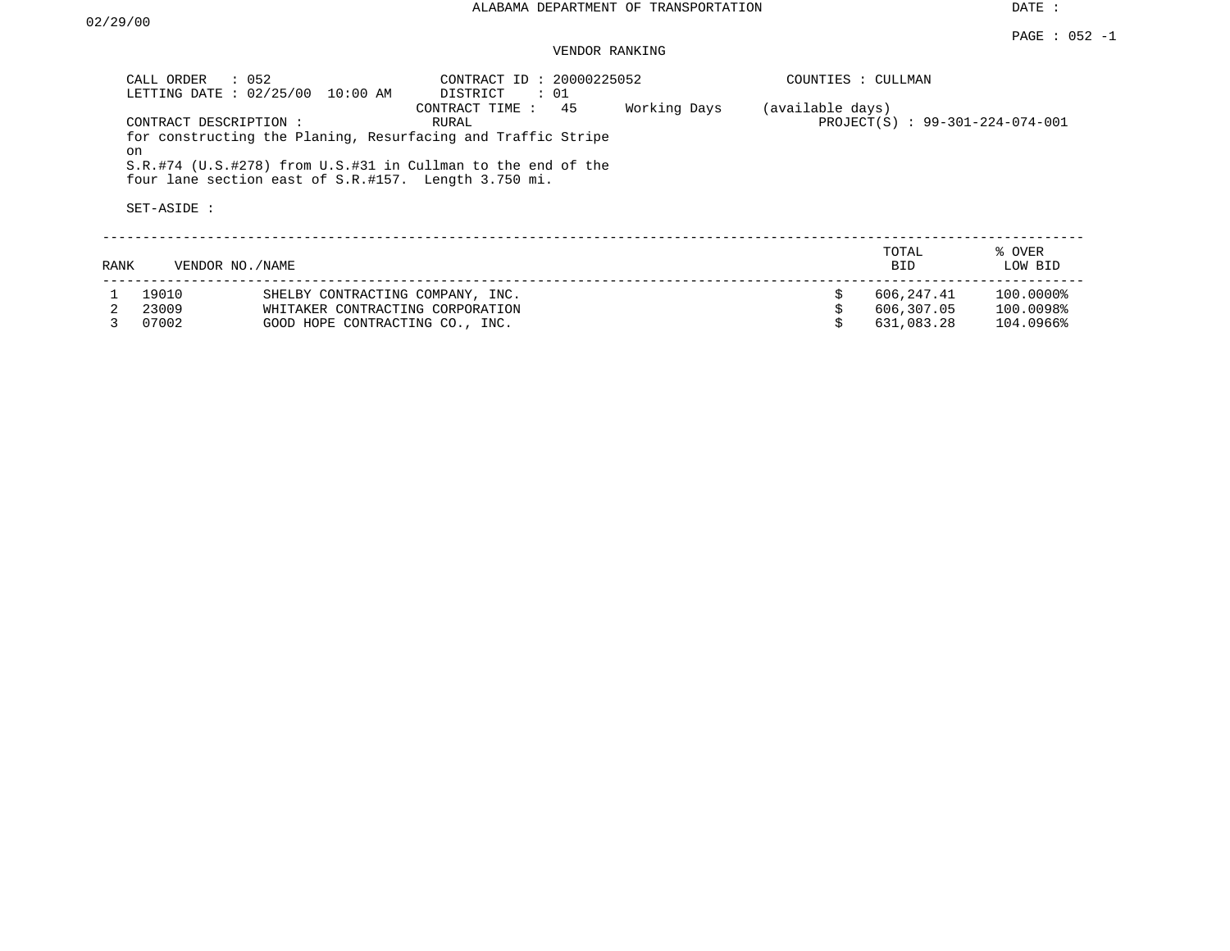DATE :

### VENDOR RANKING

|      | CALL ORDER<br>LETTING DATE: 02/25/00        | $\therefore$ 052<br>10:00 AM                                         | CONTRACT ID: 20000225052<br>DISTRICT<br>$\colon$ 01                                                                                                         |              | COUNTIES : CULLMAN |                                |                             |
|------|---------------------------------------------|----------------------------------------------------------------------|-------------------------------------------------------------------------------------------------------------------------------------------------------------|--------------|--------------------|--------------------------------|-----------------------------|
|      | CONTRACT DESCRIPTION :<br>on<br>SET-ASIDE : | four lane section east of S.R.#157. Length 3.750 mi.                 | CONTRACT TIME : 45<br>RURAL<br>for constructing the Planing, Resurfacing and Traffic Stripe<br>S.R.#74 (U.S.#278) from U.S.#31 in Cullman to the end of the | Working Days | (available days)   | PROJECT(S): 99-301-224-074-001 |                             |
| RANK |                                             | VENDOR NO. / NAME                                                    |                                                                                                                                                             |              |                    | TOTAL<br><b>BID</b>            | % OVER<br>LOW BID           |
|      | 19010<br>23009                              | SHELBY CONTRACTING COMPANY, INC.<br>WHITAKER CONTRACTING CORPORATION |                                                                                                                                                             |              | \$                 | 606,247.41<br>606,307.05       | $100.0000$ $8$<br>100.0098% |

3 07002 GOOD HOPE CONTRACTING CO., INC. \$ 631,083.28 104.0966%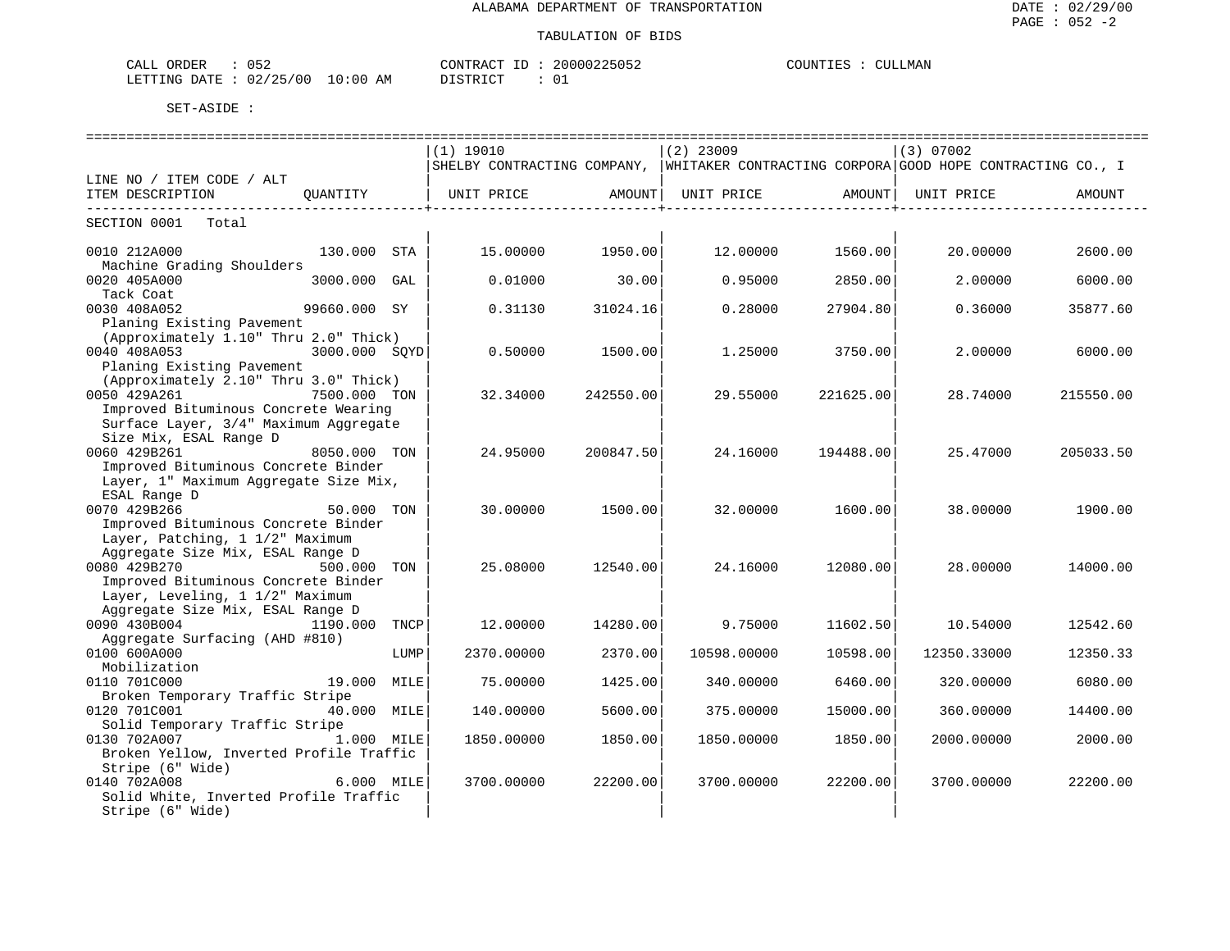| CALL ORDER                       |  |          | CONTRACT ID: 20000225052 | COUNTIES : CULLMAN |
|----------------------------------|--|----------|--------------------------|--------------------|
| LETTING DATE : 02/25/00 10:00 AM |  | DISTRICT | 01                       |                    |

|                                         |               |      | ==============================                                                        |           | =============================== |                     | ================================== |           |
|-----------------------------------------|---------------|------|---------------------------------------------------------------------------------------|-----------|---------------------------------|---------------------|------------------------------------|-----------|
|                                         |               |      | $(1)$ 19010                                                                           |           | $(2)$ 23009                     |                     | (3) 07002                          |           |
|                                         |               |      | SHELBY CONTRACTING COMPANY, WHITAKER CONTRACTING CORPORA GOOD HOPE CONTRACTING CO., I |           |                                 |                     |                                    |           |
| LINE NO / ITEM CODE / ALT               |               |      |                                                                                       |           |                                 |                     |                                    |           |
| ITEM DESCRIPTION                        | OUANTITY      |      | UNIT PRICE           AMOUNT  UNIT PRICE         AMOUNT                                |           |                                 |                     | UNIT PRICE                         | AMOUNT    |
| ------------------------------          |               |      | ----------------                                                                      |           |                                 | -----------------+- |                                    |           |
| SECTION 0001 Total                      |               |      |                                                                                       |           |                                 |                     |                                    |           |
|                                         |               |      |                                                                                       |           |                                 |                     |                                    |           |
| 0010 212A000                            | 130.000 STA   |      | 15.00000                                                                              | 1950.00   | 12.00000                        | 1560.00             | 20.00000                           | 2600.00   |
| Machine Grading Shoulders               |               |      |                                                                                       |           |                                 |                     |                                    |           |
| 0020 405A000                            | 3000.000 GAL  |      | 0.01000                                                                               | 30.00     | 0.95000                         | 2850.00             | 2,00000                            | 6000.00   |
| Tack Coat                               |               |      |                                                                                       |           |                                 |                     |                                    |           |
| 0030 408A052                            | 99660.000 SY  |      | 0.31130                                                                               | 31024.16  | 0.28000                         | 27904.80            | 0.36000                            | 35877.60  |
| Planing Existing Pavement               |               |      |                                                                                       |           |                                 |                     |                                    |           |
| (Approximately 1.10" Thru 2.0" Thick)   |               |      |                                                                                       |           |                                 |                     |                                    |           |
| 0040 408A053                            | 3000.000 SOYD |      | 0.50000                                                                               | 1500.00   | 1.25000                         | 3750.00             | 2,00000                            | 6000.00   |
| Planing Existing Pavement               |               |      |                                                                                       |           |                                 |                     |                                    |           |
| (Approximately 2.10" Thru 3.0" Thick)   |               |      |                                                                                       |           |                                 |                     |                                    |           |
| 0050 429A261                            | 7500.000 TON  |      | 32.34000                                                                              | 242550.00 | 29.55000                        | 221625.00           | 28.74000                           | 215550.00 |
| Improved Bituminous Concrete Wearing    |               |      |                                                                                       |           |                                 |                     |                                    |           |
| Surface Layer, 3/4" Maximum Aggregate   |               |      |                                                                                       |           |                                 |                     |                                    |           |
| Size Mix, ESAL Range D                  |               |      |                                                                                       |           |                                 |                     |                                    |           |
| 0060 429B261                            | 8050.000 TON  |      | 24.95000                                                                              | 200847.50 | 24.16000                        | 194488.00           | 25.47000                           | 205033.50 |
| Improved Bituminous Concrete Binder     |               |      |                                                                                       |           |                                 |                     |                                    |           |
| Layer, 1" Maximum Aggregate Size Mix,   |               |      |                                                                                       |           |                                 |                     |                                    |           |
| ESAL Range D                            |               |      |                                                                                       |           |                                 |                     |                                    |           |
| 0070 429B266                            | 50.000 TON    |      | 30,00000                                                                              | 1500.00   | 32.00000                        | 1600.00             | 38,00000                           | 1900.00   |
| Improved Bituminous Concrete Binder     |               |      |                                                                                       |           |                                 |                     |                                    |           |
| Layer, Patching, 1 1/2" Maximum         |               |      |                                                                                       |           |                                 |                     |                                    |           |
| Aggregate Size Mix, ESAL Range D        |               |      |                                                                                       |           |                                 |                     |                                    |           |
| 0080 429B270                            | 500.000 TON   |      | 25.08000                                                                              | 12540.00  | 24.16000                        | 12080.00            | 28,00000                           | 14000.00  |
| Improved Bituminous Concrete Binder     |               |      |                                                                                       |           |                                 |                     |                                    |           |
| Layer, Leveling, 1 1/2" Maximum         |               |      |                                                                                       |           |                                 |                     |                                    |           |
| Aggregate Size Mix, ESAL Range D        |               |      |                                                                                       |           |                                 |                     |                                    |           |
| 0090 430B004                            | 1190.000 TNCP |      | 12,00000                                                                              | 14280.00  | 9.75000                         | 11602.50            | 10.54000                           | 12542.60  |
| Aggregate Surfacing (AHD #810)          |               |      |                                                                                       |           |                                 |                     |                                    |           |
| 0100 600A000                            |               | LUMP | 2370.00000                                                                            | 2370.00   | 10598.00000                     | 10598.00            | 12350.33000                        | 12350.33  |
| Mobilization                            |               |      |                                                                                       |           |                                 |                     |                                    |           |
| 0110 701C000                            | 19.000 MILE   |      | 75.00000                                                                              | 1425.00   | 340.00000                       | 6460.00             | 320,00000                          | 6080.00   |
| Broken Temporary Traffic Stripe         |               |      |                                                                                       |           |                                 |                     |                                    |           |
| 0120 701C001                            | 40.000 MILE   |      | 140.00000                                                                             | 5600.00   | 375.00000                       | 15000.00            | 360.00000                          | 14400.00  |
| Solid Temporary Traffic Stripe          |               |      |                                                                                       |           |                                 |                     |                                    |           |
| 0130 702A007<br>1.000 MILE              |               |      | 1850.00000                                                                            | 1850.00   | 1850.00000                      | 1850.00             | 2000.00000                         | 2000.00   |
| Broken Yellow, Inverted Profile Traffic |               |      |                                                                                       |           |                                 |                     |                                    |           |
| Stripe (6" Wide)                        |               |      |                                                                                       |           |                                 |                     |                                    |           |
| 0140 702A008                            | 6.000 MILE    |      | 3700.00000                                                                            | 22200.00  | 3700.00000                      | 22200.00            | 3700.00000                         | 22200.00  |
| Solid White, Inverted Profile Traffic   |               |      |                                                                                       |           |                                 |                     |                                    |           |
| Stripe (6" Wide)                        |               |      |                                                                                       |           |                                 |                     |                                    |           |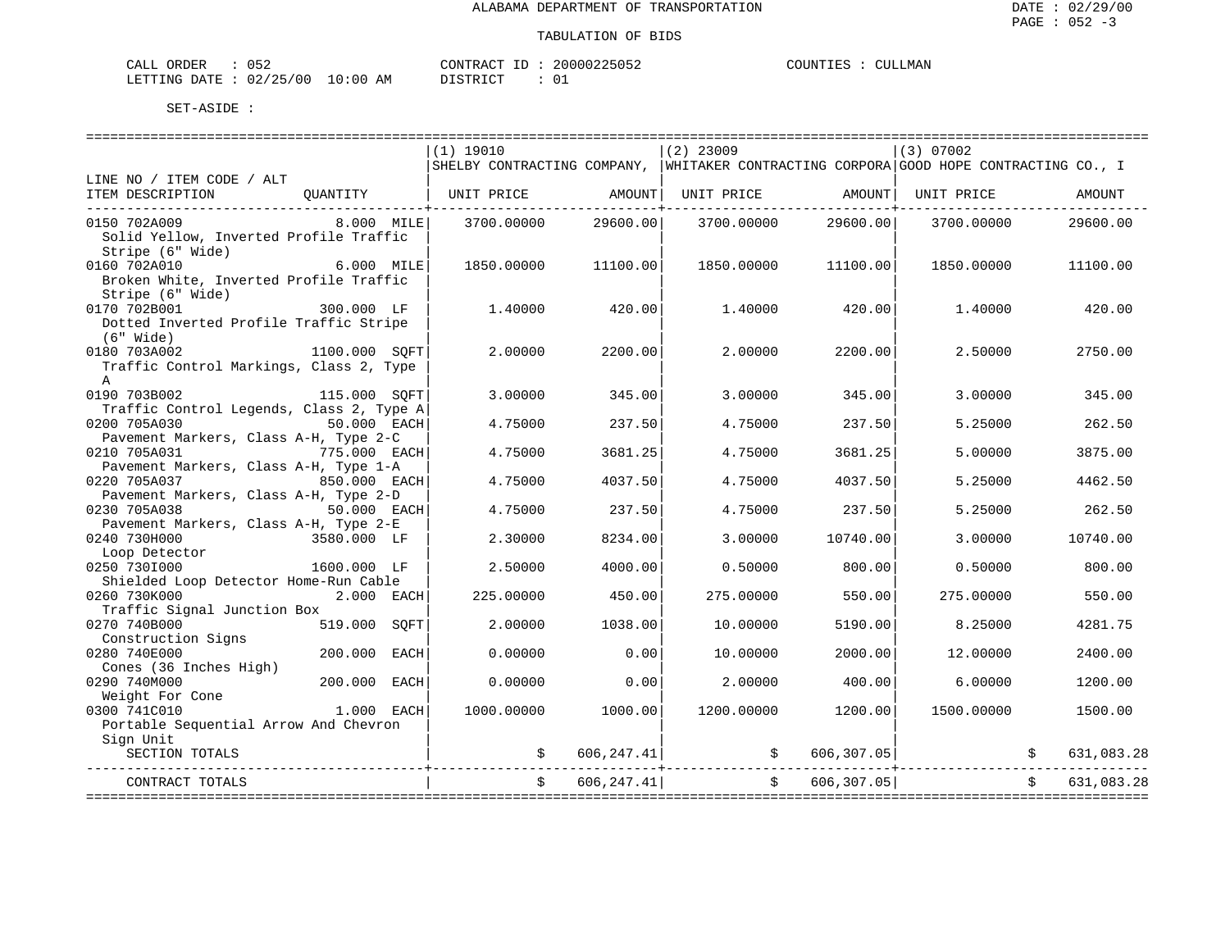| CALI | ORDER | $\sim$ $ \sim$<br>152  |               | CONTRACT | TD. | 20000225052   | COUNTIES | CULLMAN |
|------|-------|------------------------|---------------|----------|-----|---------------|----------|---------|
|      |       | LETTING DATE: 02/25/00 | LO : 00<br>AM | . ו חידי |     | $\sim$ $\sim$ |          |         |

|                                                       |                 | (1) 19010  |             | $(2)$ 23009                                                                           |                   | (3) 07002  |                  |
|-------------------------------------------------------|-----------------|------------|-------------|---------------------------------------------------------------------------------------|-------------------|------------|------------------|
|                                                       |                 |            |             | SHELBY CONTRACTING COMPANY, WHITAKER CONTRACTING CORPORA GOOD HOPE CONTRACTING CO., I |                   |            |                  |
| LINE NO / ITEM CODE / ALT                             |                 |            |             |                                                                                       |                   |            |                  |
| ITEM DESCRIPTION                                      | OUANTITY        | UNIT PRICE | AMOUNT      | UNIT PRICE                                                                            | AMOUNT            | UNIT PRICE | AMOUNT           |
| 0150 702A009                                          | 8.000 MILE      | 3700.00000 | 29600.00    | 3700.00000                                                                            | 29600.00          | 3700.00000 | 29600.00         |
| Solid Yellow, Inverted Profile Traffic                |                 |            |             |                                                                                       |                   |            |                  |
| Stripe (6" Wide)                                      |                 |            |             |                                                                                       |                   |            |                  |
| 0160 702A010                                          | 6.000 MILE      | 1850.00000 | 11100.00    | 1850.00000                                                                            | 11100.00          | 1850.00000 | 11100.00         |
| Broken White, Inverted Profile Traffic                |                 |            |             |                                                                                       |                   |            |                  |
| Stripe (6" Wide)                                      |                 |            |             |                                                                                       |                   |            |                  |
| 0170 702B001                                          | 300.000 LF      | 1,40000    | 420.00      | 1,40000                                                                               | 420.00            | 1.40000    | 420.00           |
| Dotted Inverted Profile Traffic Stripe                |                 |            |             |                                                                                       |                   |            |                  |
| (6" Wide)                                             |                 |            |             |                                                                                       |                   |            |                  |
| 0180 703A002                                          | 1100.000 SQFT   | 2.00000    | 2200.00     | 2.00000                                                                               | 2200.00           | 2.50000    | 2750.00          |
| Traffic Control Markings, Class 2, Type               |                 |            |             |                                                                                       |                   |            |                  |
| A<br>0190 703B002                                     |                 | 3.00000    | 345.00      |                                                                                       |                   | 3.00000    | 345.00           |
| Traffic Control Legends, Class 2, Type A              | 115.000 SOFT    |            |             | 3.00000                                                                               | 345.00            |            |                  |
| 0200 705A030                                          | 50.000 EACH     | 4.75000    | 237.50      | 4.75000                                                                               | 237.50            | 5.25000    | 262.50           |
| Pavement Markers, Class A-H, Type 2-C                 |                 |            |             |                                                                                       |                   |            |                  |
| 0210 705A031                                          | 775.000 EACH    | 4.75000    | 3681.25     | 4.75000                                                                               | 3681.25           | 5.00000    | 3875.00          |
| Pavement Markers, Class A-H, Type 1-A                 |                 |            |             |                                                                                       |                   |            |                  |
| 0220 705A037                                          | 850.000 EACH    | 4.75000    | 4037.50     | 4.75000                                                                               | 4037.50           | 5.25000    | 4462.50          |
| Pavement Markers, Class A-H, Type 2-D                 |                 |            |             |                                                                                       |                   |            |                  |
| 0230 705A038                                          | 50.000 EACH     | 4.75000    | 237.50      | 4.75000                                                                               | 237.50            | 5.25000    | 262.50           |
| Pavement Markers, Class A-H, Type 2-E                 |                 |            |             |                                                                                       |                   |            |                  |
| 0240 730H000                                          | 3580.000 LF     | 2.30000    | 8234.00     | 3.00000                                                                               | 10740.00          | 3.00000    | 10740.00         |
| Loop Detector                                         |                 |            |             |                                                                                       |                   |            |                  |
| 0250 7301000                                          | 1600.000 LF     | 2.50000    | 4000.00     | 0.50000                                                                               | 800.00            | 0.50000    | 800.00           |
| Shielded Loop Detector Home-Run Cable<br>0260 730K000 | 2.000 EACH      | 225,00000  | 450.00      | 275.00000                                                                             | 550.00            | 275,00000  | 550.00           |
| Traffic Signal Junction Box                           |                 |            |             |                                                                                       |                   |            |                  |
| 0270 740B000                                          | 519.000 SOFT    | 2.00000    | 1038.00     | 10.00000                                                                              | 5190.00           | 8.25000    | 4281.75          |
| Construction Signs                                    |                 |            |             |                                                                                       |                   |            |                  |
| 0280 740E000                                          | 200.000<br>EACH | 0.00000    | 0.00        | 10.00000                                                                              | 2000.00           | 12.00000   | 2400.00          |
| Cones (36 Inches High)                                |                 |            |             |                                                                                       |                   |            |                  |
| 0290 740M000                                          | 200.000 EACH    | 0.00000    | 0.00        | 2.00000                                                                               | 400.00            | 6,00000    | 1200.00          |
| Weight For Cone                                       |                 |            |             |                                                                                       |                   |            |                  |
| 0300 741C010                                          | 1.000 EACH      | 1000.00000 | 1000.00     | 1200.00000                                                                            | 1200.00           | 1500.00000 | 1500.00          |
| Portable Sequential Arrow And Chevron                 |                 |            |             |                                                                                       |                   |            |                  |
| Sign Unit                                             |                 |            |             |                                                                                       |                   |            |                  |
| SECTION TOTALS                                        |                 | \$         | 606, 247.41 |                                                                                       | 606, 307.05<br>\$ |            | \$<br>631,083.28 |
| CONTRACT TOTALS                                       |                 | Ŝ.         | 606, 247.41 | Ŝ.                                                                                    | 606, 307.05       |            | 631,083.28       |
|                                                       |                 |            |             |                                                                                       |                   |            |                  |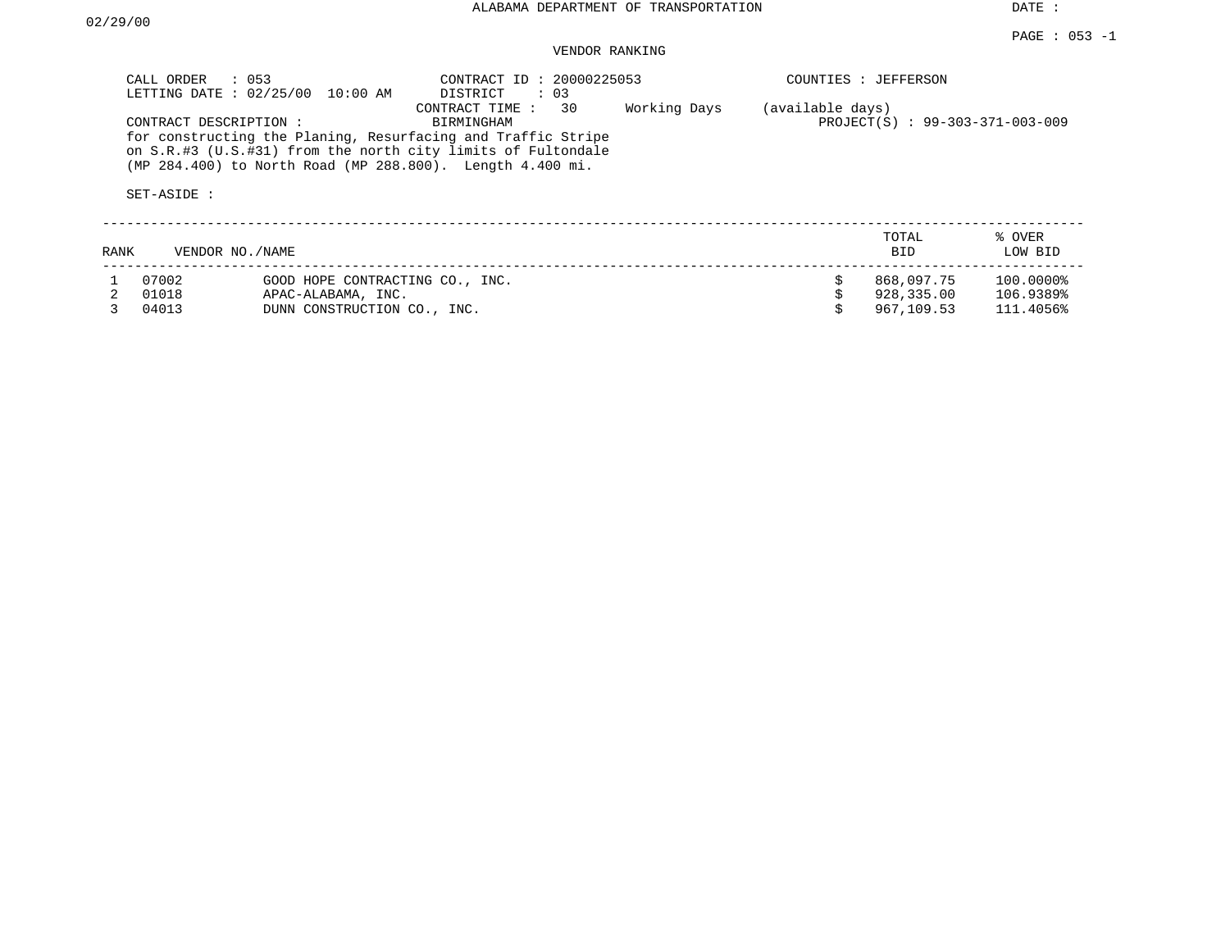DATE :

## VENDOR RANKING

|      | CALL ORDER<br>$\therefore$ 053<br>LETTING DATE: 02/25/00 | 10:00 AM                        | CONTRACT ID: 20000225053<br>DISTRICT<br>$\therefore$ 03                                                                                                                                                                         |              |                  | COUNTIES : JEFFERSON            |                   |
|------|----------------------------------------------------------|---------------------------------|---------------------------------------------------------------------------------------------------------------------------------------------------------------------------------------------------------------------------------|--------------|------------------|---------------------------------|-------------------|
|      | CONTRACT DESCRIPTION:<br>SET-ASIDE :                     |                                 | 30<br>CONTRACT TIME:<br>BIRMINGHAM<br>for constructing the Planing, Resurfacing and Traffic Stripe<br>on S.R.#3 (U.S.#31) from the north city limits of Fultondale<br>(MP 284.400) to North Road (MP 288.800). Length 4.400 mi. | Working Days | (available days) | PROJECT(S) : 99-303-371-003-009 |                   |
| RANK | VENDOR NO./NAME                                          |                                 |                                                                                                                                                                                                                                 |              |                  | TOTAL<br>BID.                   | % OVER<br>LOW BID |
|      | 07002                                                    | GOOD HOPE CONTRACTING CO., INC. |                                                                                                                                                                                                                                 |              |                  | 868,097.75                      | 100.0000%         |
|      | 01018                                                    | APAC-ALABAMA, INC.              |                                                                                                                                                                                                                                 |              |                  | 928,335.00                      | 106.9389%         |
|      | 04013                                                    | DUNN CONSTRUCTION CO., INC.     |                                                                                                                                                                                                                                 |              |                  | 967,109.53                      | 111.4056%         |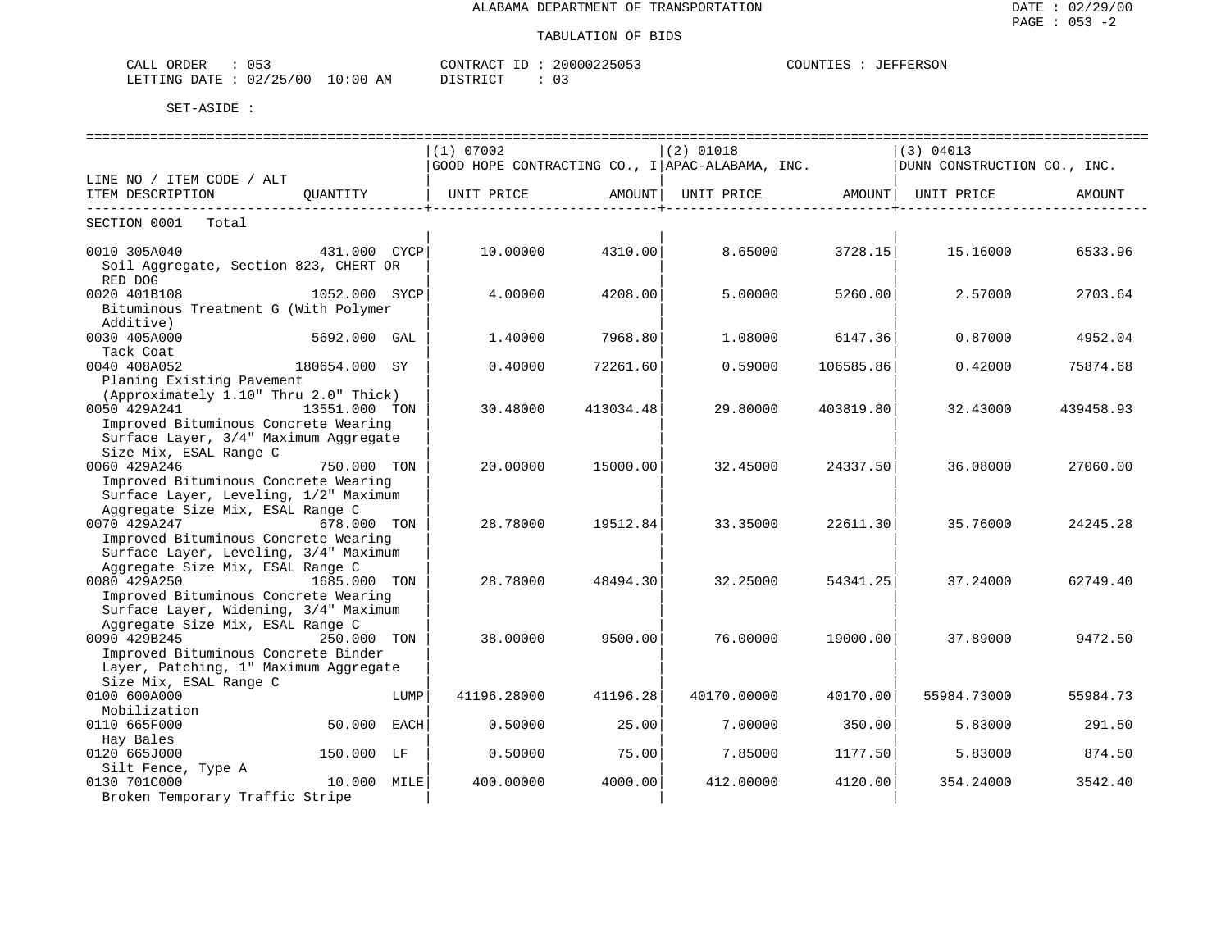| CALL ORDER                      |          | CONTRACT ID: 20000225053 | COUNTIES : JEFFERSON |
|---------------------------------|----------|--------------------------|----------------------|
| LETTING DATE: 02/25/00 10:00 AM | DISTRICT |                          |                      |

|                                                  |               |             |           |             |           |                                                                                         | ================================ |
|--------------------------------------------------|---------------|-------------|-----------|-------------|-----------|-----------------------------------------------------------------------------------------|----------------------------------|
|                                                  |               | (1) 07002   |           | $(2)$ 01018 |           | (3) 04013                                                                               |                                  |
|                                                  |               |             |           |             |           | $ $ GOOD HOPE CONTRACTING CO., I $ $ APAC-ALABAMA, INC. $ $ DUNN CONSTRUCTION CO., INC. |                                  |
| LINE NO / ITEM CODE / ALT                        |               |             |           |             |           |                                                                                         |                                  |
| ITEM DESCRIPTION                                 | OUANTITY      |             |           |             |           |                                                                                         | AMOUNT                           |
| --------------------------<br>SECTION 0001 Total |               |             |           |             |           |                                                                                         |                                  |
|                                                  |               |             |           |             |           |                                                                                         |                                  |
| 0010 305A040                                     | 431.000 CYCP  | 10.00000    | 4310.00   | 8.65000     | 3728.15   | 15.16000                                                                                | 6533.96                          |
| Soil Aggregate, Section 823, CHERT OR            |               |             |           |             |           |                                                                                         |                                  |
| RED DOG                                          |               |             |           |             |           |                                                                                         |                                  |
| 0020 401B108                                     | 1052.000 SYCP | 4.00000     | 4208.00   | 5.00000     | 5260.00   | 2.57000                                                                                 | 2703.64                          |
| Bituminous Treatment G (With Polymer             |               |             |           |             |           |                                                                                         |                                  |
| Additive)                                        |               |             |           |             |           |                                                                                         |                                  |
| 0030 405A000                                     | 5692.000 GAL  | 1,40000     | 7968.80   | 1,08000     | 6147.36   | 0.87000                                                                                 | 4952.04                          |
| Tack Coat                                        |               |             |           |             |           |                                                                                         |                                  |
| 0040 408A052                                     | 180654.000 SY | 0.40000     | 72261.60  | 0.59000     | 106585.86 | 0.42000                                                                                 | 75874.68                         |
| Planing Existing Pavement                        |               |             |           |             |           |                                                                                         |                                  |
| (Approximately 1.10" Thru 2.0" Thick)            |               |             |           |             |           |                                                                                         |                                  |
| 0050 429A241                                     | 13551.000 TON | 30.48000    | 413034.48 | 29.80000    | 403819.80 | 32.43000                                                                                | 439458.93                        |
| Improved Bituminous Concrete Wearing             |               |             |           |             |           |                                                                                         |                                  |
| Surface Layer, 3/4" Maximum Aggregate            |               |             |           |             |           |                                                                                         |                                  |
| Size Mix, ESAL Range C                           |               |             |           |             |           |                                                                                         |                                  |
| 0060 429A246                                     | 750.000 TON   | 20.00000    | 15000.00  | 32.45000    | 24337.50  | 36.08000                                                                                | 27060.00                         |
| Improved Bituminous Concrete Wearing             |               |             |           |             |           |                                                                                         |                                  |
| Surface Layer, Leveling, 1/2" Maximum            |               |             |           |             |           |                                                                                         |                                  |
| Aggregate Size Mix, ESAL Range C                 |               |             |           |             |           |                                                                                         |                                  |
| 0070 429A247                                     | 678.000 TON   | 28.78000    | 19512.84  | 33.35000    | 22611.30  | 35.76000                                                                                | 24245.28                         |
| Improved Bituminous Concrete Wearing             |               |             |           |             |           |                                                                                         |                                  |
| Surface Layer, Leveling, 3/4" Maximum            |               |             |           |             |           |                                                                                         |                                  |
| Aggregate Size Mix, ESAL Range C                 |               |             |           |             |           |                                                                                         |                                  |
| 0080 429A250                                     | 1685.000 TON  | 28.78000    | 48494.30  | 32.25000    | 54341.25  | 37.24000                                                                                | 62749.40                         |
| Improved Bituminous Concrete Wearing             |               |             |           |             |           |                                                                                         |                                  |
| Surface Layer, Widening, 3/4" Maximum            |               |             |           |             |           |                                                                                         |                                  |
| Aggregate Size Mix, ESAL Range C                 |               |             |           |             |           |                                                                                         |                                  |
| 0090 429B245                                     | 250.000 TON   | 38,00000    | 9500.00   | 76.00000    | 19000.00  | 37.89000                                                                                | 9472.50                          |
| Improved Bituminous Concrete Binder              |               |             |           |             |           |                                                                                         |                                  |
| Layer, Patching, 1" Maximum Aggregate            |               |             |           |             |           |                                                                                         |                                  |
| Size Mix, ESAL Range C                           |               |             |           |             |           |                                                                                         |                                  |
| 0100 600A000                                     | LUMP          | 41196.28000 |           | 40170.00000 | 40170.00  | 55984.73000                                                                             | 55984.73                         |
| Mobilization                                     |               |             | 41196.28  |             |           |                                                                                         |                                  |
| 0110 665F000                                     | 50.000 EACH   | 0.50000     | 25.00     |             | 350.00    |                                                                                         |                                  |
|                                                  |               |             |           | 7.00000     |           | 5.83000                                                                                 | 291.50                           |
| Hay Bales                                        |               |             |           |             |           |                                                                                         |                                  |
| 0120 665J000                                     | 150.000 LF    | 0.50000     | 75.00     | 7.85000     | 1177.50   | 5.83000                                                                                 | 874.50                           |
| Silt Fence, Type A                               |               |             |           |             |           |                                                                                         |                                  |
| 0130 701C000                                     | 10.000 MILE   | 400.00000   | 4000.00   | 412.00000   | 4120.00   | 354.24000                                                                               | 3542.40                          |
| Broken Temporary Traffic Stripe                  |               |             |           |             |           |                                                                                         |                                  |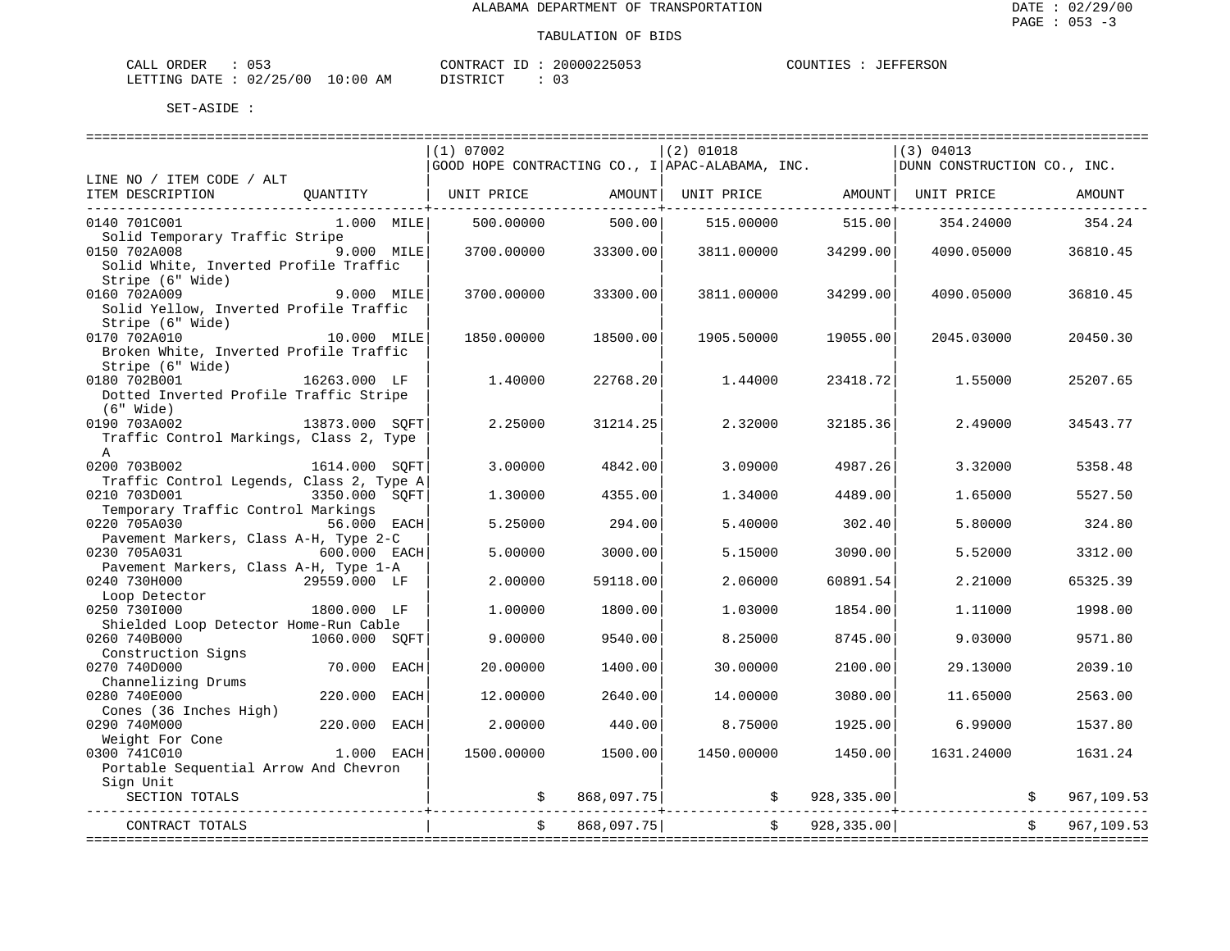| CALL ORDER                       |  |          | CONTRACT ID: 20000225053 |  | COUNTIES : JEFFERSON |
|----------------------------------|--|----------|--------------------------|--|----------------------|
| LETTING DATE : 02/25/00 10:00 AM |  | DISTRICT |                          |  |                      |

|                                                         |                |             | (1) 07002  |            | $(2)$ 01018                                     |                   | (3) 04013                   |            |
|---------------------------------------------------------|----------------|-------------|------------|------------|-------------------------------------------------|-------------------|-----------------------------|------------|
|                                                         |                |             |            |            | GOOD HOPE CONTRACTING CO., I APAC-ALABAMA, INC. |                   | DUNN CONSTRUCTION CO., INC. |            |
| LINE NO / ITEM CODE / ALT                               |                |             |            |            |                                                 |                   |                             |            |
| ITEM DESCRIPTION<br>-------------------------------     | OUANTITY       |             | UNIT PRICE | AMOUNT     | UNIT PRICE AMOUNT                               | ---------------+- | UNIT PRICE                  | AMOUNT     |
| 0140 701C001                                            | 1.000 MILE     |             | 500.00000  | 500.00     | 515.00000                                       | 515.00            | 354.24000                   | 354.24     |
| Solid Temporary Traffic Stripe                          |                |             |            |            |                                                 |                   |                             |            |
| 0150 702A008                                            | 9.000 MILE     |             | 3700.00000 | 33300.00   | 3811,00000                                      | 34299.00          | 4090.05000                  | 36810.45   |
| Solid White, Inverted Profile Traffic                   |                |             |            |            |                                                 |                   |                             |            |
| Stripe (6" Wide)                                        |                |             |            |            |                                                 |                   |                             |            |
| 0160 702A009                                            | 9.000 MILE     |             | 3700.00000 | 33300.00   | 3811,00000                                      | 34299.00          | 4090.05000                  | 36810.45   |
| Solid Yellow, Inverted Profile Traffic                  |                |             |            |            |                                                 |                   |                             |            |
| Stripe (6" Wide)                                        |                |             |            |            |                                                 |                   |                             |            |
| 0170 702A010                                            | 10.000 MILE    |             | 1850.00000 | 18500.00   | 1905.50000                                      | 19055.00          | 2045.03000                  | 20450.30   |
| Broken White, Inverted Profile Traffic                  |                |             |            |            |                                                 |                   |                             |            |
| Stripe (6" Wide)                                        |                |             |            |            |                                                 |                   |                             |            |
| 0180 702B001                                            | 16263.000 LF   |             | 1,40000    | 22768.20   | 1.44000                                         | 23418.72          | 1.55000                     | 25207.65   |
| Dotted Inverted Profile Traffic Stripe                  |                |             |            |            |                                                 |                   |                             |            |
| (6" Wide)                                               |                |             |            |            |                                                 |                   |                             |            |
| 0190 703A002<br>Traffic Control Markings, Class 2, Type | 13873.000 SOFT |             | 2.25000    | 31214.25   | 2.32000                                         | 32185.36          | 2.49000                     | 34543.77   |
| $\mathsf{A}$                                            |                |             |            |            |                                                 |                   |                             |            |
| 0200 703B002                                            | 1614.000 SOFT  |             | 3.00000    | 4842.00    | 3.09000                                         | 4987.26           | 3.32000                     | 5358.48    |
| Traffic Control Legends, Class 2, Type A                |                |             |            |            |                                                 |                   |                             |            |
| 0210 703D001                                            | 3350.000 SOFT  |             | 1.30000    | 4355.00    | 1.34000                                         | 4489.00           | 1.65000                     | 5527.50    |
| Temporary Traffic Control Markings                      |                |             |            |            |                                                 |                   |                             |            |
| 0220 705A030                                            | 56.000 EACH    |             | 5.25000    | 294.00     | 5.40000                                         | 302.40            | 5.80000                     | 324.80     |
| Pavement Markers, Class A-H, Type 2-C                   |                |             |            |            |                                                 |                   |                             |            |
| 0230 705A031                                            | 600.000 EACH   |             | 5.00000    | 3000.00    | 5.15000                                         | 3090.00           | 5.52000                     | 3312.00    |
| Pavement Markers, Class A-H, Type 1-A                   |                |             |            |            |                                                 |                   |                             |            |
| 0240 730H000                                            | 29559.000 LF   |             | 2.00000    | 59118.00   | 2.06000                                         | 60891.54          | 2.21000                     | 65325.39   |
| Loop Detector                                           |                |             |            |            |                                                 |                   |                             |            |
| 0250 7301000                                            | 1800.000 LF    |             | 1,00000    | 1800.00    | 1.03000                                         | 1854.00           | 1,11000                     | 1998.00    |
| Shielded Loop Detector Home-Run Cable                   |                |             |            |            |                                                 |                   |                             |            |
| 0260 740B000                                            | 1060.000 SQFT  |             | 9.00000    | 9540.00    | 8.25000                                         | 8745.00           | 9.03000                     | 9571.80    |
| Construction Signs                                      |                |             |            |            |                                                 |                   |                             |            |
| 0270 740D000                                            | 70.000         | EACH        | 20.00000   | 1400.00    | 30.00000                                        | 2100.00           | 29.13000                    | 2039.10    |
| Channelizing Drums                                      |                |             |            |            |                                                 |                   |                             |            |
| 0280 740E000                                            | 220.000        | <b>EACH</b> | 12,00000   | 2640.00    | 14.00000                                        | 3080.00           | 11.65000                    | 2563.00    |
| Cones (36 Inches High)                                  |                |             |            |            |                                                 |                   |                             |            |
| 0290 740M000                                            | 220.000        | EACH        | 2.00000    | 440.00     | 8.75000                                         | 1925.00           | 6.99000                     | 1537.80    |
| Weight For Cone                                         |                |             |            |            |                                                 |                   |                             |            |
| 0300 741C010                                            | 1.000 EACH     |             | 1500.00000 | 1500.00    | 1450.00000                                      | 1450.00           | 1631.24000                  | 1631.24    |
| Portable Sequential Arrow And Chevron                   |                |             |            |            |                                                 |                   |                             |            |
| Sign Unit                                               |                |             |            |            |                                                 |                   |                             |            |
| SECTION TOTALS                                          |                |             |            | 868,097.75 | \$                                              | 928,335.00        |                             | 967,109.53 |
| CONTRACT TOTALS                                         |                |             |            | 868,097.75 | $\ddot{s}$                                      | 928, 335.00       |                             | 967,109.53 |
|                                                         |                |             |            |            |                                                 |                   |                             |            |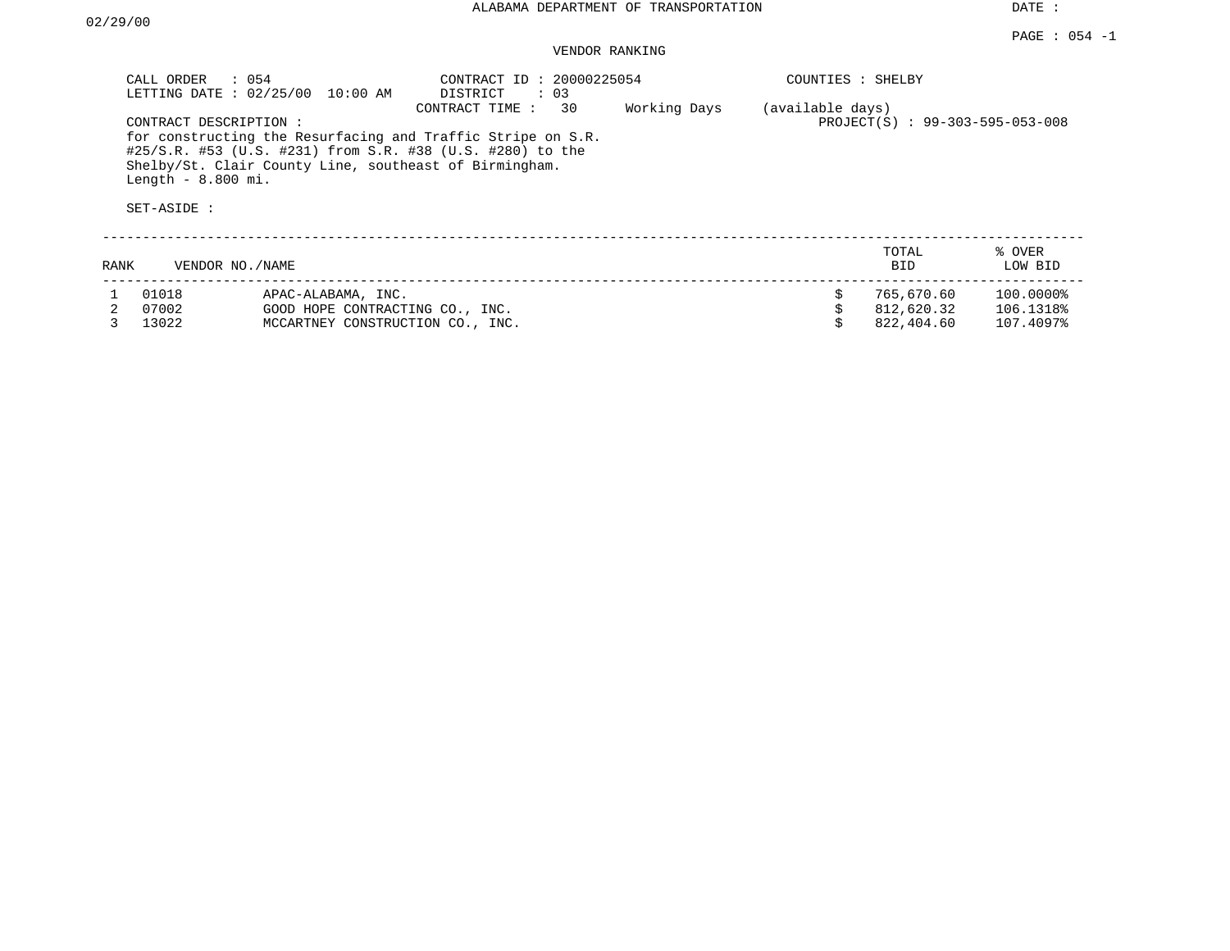|      | CALL ORDER<br>: 054<br>LETTING DATE: $02/25/00$                                                                                                                                                                          | 10:00 AM                         | CONTRACT ID: 20000225054<br>DISTRICT<br>$\therefore$ 03<br>30<br>CONTRACT TIME: | Working Days | COUNTIES : SHELBY<br>(available days) |                                 |                   |
|------|--------------------------------------------------------------------------------------------------------------------------------------------------------------------------------------------------------------------------|----------------------------------|---------------------------------------------------------------------------------|--------------|---------------------------------------|---------------------------------|-------------------|
|      | CONTRACT DESCRIPTION:                                                                                                                                                                                                    |                                  |                                                                                 |              |                                       | PROJECT(S) : 99-303-595-053-008 |                   |
|      | for constructing the Resurfacing and Traffic Stripe on S.R.<br>#25/S.R. #53 (U.S. #231) from S.R. #38 (U.S. #280) to the<br>Shelby/St. Clair County Line, southeast of Birmingham.<br>Length $-8.800$ mi.<br>SET-ASIDE : |                                  |                                                                                 |              |                                       |                                 |                   |
|      |                                                                                                                                                                                                                          |                                  |                                                                                 |              |                                       |                                 |                   |
| RANK | VENDOR NO./NAME                                                                                                                                                                                                          |                                  |                                                                                 |              |                                       | TOTAL<br><b>BID</b>             | % OVER<br>LOW BID |
|      | 01018                                                                                                                                                                                                                    | APAC-ALABAMA, INC.               |                                                                                 |              | \$                                    | 765,670.60                      | 100.0000%         |
|      | 07002                                                                                                                                                                                                                    | GOOD HOPE CONTRACTING CO., INC.  |                                                                                 |              |                                       | 812,620.32                      | 106.1318%         |
|      | 13022                                                                                                                                                                                                                    | MCCARTNEY CONSTRUCTION CO., INC. |                                                                                 |              |                                       | 822,404.60                      | 107.4097%         |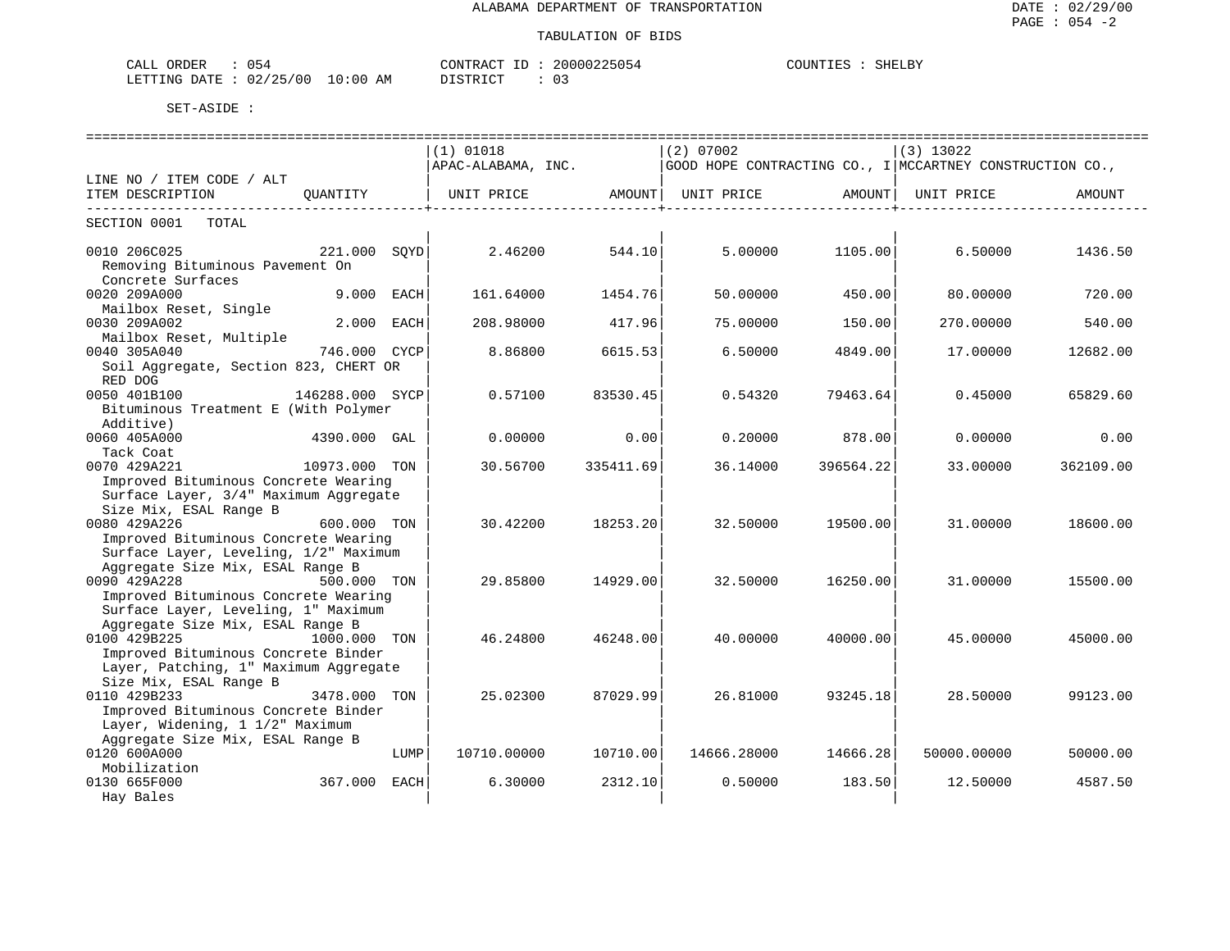| 054<br>CALL ORDER               |          | CONTRACT ID: 20000225054 | COUNTIES : SHELBY |  |
|---------------------------------|----------|--------------------------|-------------------|--|
| LETTING DATE: 02/25/00 10:00 AM | DISTRICT |                          |                   |  |

| ==============================                                  |                 |      |                                |                       |             |                   |                                                          |           |  |  |  |
|-----------------------------------------------------------------|-----------------|------|--------------------------------|-----------------------|-------------|-------------------|----------------------------------------------------------|-----------|--|--|--|
|                                                                 |                 |      | (1) 01018                      |                       | (2) 07002   |                   | $(3)$ 13022                                              |           |  |  |  |
|                                                                 |                 |      | APAC-ALABAMA, INC.             |                       |             |                   | GOOD HOPE CONTRACTING CO., I MCCARTNEY CONSTRUCTION CO., |           |  |  |  |
| LINE NO / ITEM CODE / ALT                                       |                 |      |                                |                       |             |                   |                                                          |           |  |  |  |
| ITEM DESCRIPTION                                                | OUANTITY        |      | UNIT PRICE AMOUNT   UNIT PRICE |                       |             | AMOUNT            | UNIT PRICE                                               | AMOUNT    |  |  |  |
| SECTION 0001<br>TOTAL                                           |                 |      |                                | _____________________ |             | _________________ |                                                          |           |  |  |  |
| 0010 206C025                                                    | $221.000$ SOYD  |      | 2.46200                        | 544.10                | 5.00000     | 1105.00           | 6.50000                                                  | 1436.50   |  |  |  |
| Removing Bituminous Pavement On                                 |                 |      |                                |                       |             |                   |                                                          |           |  |  |  |
| Concrete Surfaces                                               |                 |      |                                |                       |             |                   |                                                          |           |  |  |  |
| 0020 209A000                                                    | 9.000 EACH      |      | 161.64000                      | 1454.76               | 50.00000    | 450.00            | 80.00000                                                 | 720.00    |  |  |  |
| Mailbox Reset, Single                                           |                 |      |                                |                       |             |                   |                                                          |           |  |  |  |
| 0030 209A002                                                    | 2.000 EACH      |      | 208.98000                      | 417.96                | 75.00000    | 150.00            | 270.00000                                                | 540.00    |  |  |  |
| Mailbox Reset, Multiple                                         |                 |      |                                |                       |             |                   |                                                          |           |  |  |  |
| 0040 305A040                                                    | 746.000 CYCP    |      | 8.86800                        | 6615.53               | 6.50000     | 4849.00           | 17.00000                                                 | 12682.00  |  |  |  |
| Soil Aggregate, Section 823, CHERT OR<br>RED DOG                |                 |      |                                |                       |             |                   |                                                          |           |  |  |  |
| 0050 401B100                                                    | 146288.000 SYCP |      | 0.57100                        | 83530.45              | 0.54320     | 79463.64          | 0.45000                                                  | 65829.60  |  |  |  |
| Bituminous Treatment E (With Polymer                            |                 |      |                                |                       |             |                   |                                                          |           |  |  |  |
| Additive)                                                       |                 |      |                                |                       |             |                   |                                                          |           |  |  |  |
| 0060 405A000                                                    | 4390.000 GAL    |      | 0.00000                        | 0.00                  | 0.20000     | 878.00            | 0.00000                                                  | 0.00      |  |  |  |
| Tack Coat                                                       |                 |      |                                |                       |             |                   |                                                          |           |  |  |  |
| 0070 429A221                                                    | 10973.000 TON   |      | 30.56700                       | 335411.69             | 36.14000    | 396564.22         | 33,00000                                                 | 362109.00 |  |  |  |
| Improved Bituminous Concrete Wearing                            |                 |      |                                |                       |             |                   |                                                          |           |  |  |  |
| Surface Layer, 3/4" Maximum Aggregate                           |                 |      |                                |                       |             |                   |                                                          |           |  |  |  |
| Size Mix, ESAL Range B                                          |                 |      |                                |                       |             |                   |                                                          |           |  |  |  |
| 0080 429A226                                                    | 600.000 TON     |      | 30.42200                       | 18253.20              | 32.50000    | 19500.00          | 31.00000                                                 | 18600.00  |  |  |  |
| Improved Bituminous Concrete Wearing                            |                 |      |                                |                       |             |                   |                                                          |           |  |  |  |
| Surface Layer, Leveling, 1/2" Maximum                           |                 |      |                                |                       |             |                   |                                                          |           |  |  |  |
| Aggregate Size Mix, ESAL Range B                                |                 |      |                                |                       |             |                   |                                                          |           |  |  |  |
| 0090 429A228                                                    | 500.000 TON     |      | 29.85800                       | 14929.00              | 32.50000    | 16250.00          | 31,00000                                                 | 15500.00  |  |  |  |
| Improved Bituminous Concrete Wearing                            |                 |      |                                |                       |             |                   |                                                          |           |  |  |  |
| Surface Layer, Leveling, 1" Maximum                             |                 |      |                                |                       |             |                   |                                                          |           |  |  |  |
| Aggregate Size Mix, ESAL Range B                                |                 |      |                                |                       |             |                   |                                                          |           |  |  |  |
| 0100 429B225                                                    | 1000.000 TON    |      | 46.24800                       | 46248.00              | 40.00000    | 40000.00          | 45.00000                                                 | 45000.00  |  |  |  |
| Improved Bituminous Concrete Binder                             |                 |      |                                |                       |             |                   |                                                          |           |  |  |  |
| Layer, Patching, 1" Maximum Aggregate<br>Size Mix, ESAL Range B |                 |      |                                |                       |             |                   |                                                          |           |  |  |  |
| 0110 429B233                                                    | 3478.000 TON    |      | 25.02300                       | 87029.99              | 26.81000    | 93245.18          | 28.50000                                                 | 99123.00  |  |  |  |
| Improved Bituminous Concrete Binder                             |                 |      |                                |                       |             |                   |                                                          |           |  |  |  |
| Layer, Widening, 1 1/2" Maximum                                 |                 |      |                                |                       |             |                   |                                                          |           |  |  |  |
| Aggregate Size Mix, ESAL Range B                                |                 |      |                                |                       |             |                   |                                                          |           |  |  |  |
| 0120 600A000                                                    |                 | LUMP | 10710.00000                    | 10710.00              | 14666.28000 | 14666.28          | 50000.00000                                              | 50000.00  |  |  |  |
| Mobilization                                                    |                 |      |                                |                       |             |                   |                                                          |           |  |  |  |
| 0130 665F000                                                    | 367.000 EACH    |      | 6.30000                        | 2312.10               | 0.50000     | 183.50            | 12.50000                                                 | 4587.50   |  |  |  |
| Hay Bales                                                       |                 |      |                                |                       |             |                   |                                                          |           |  |  |  |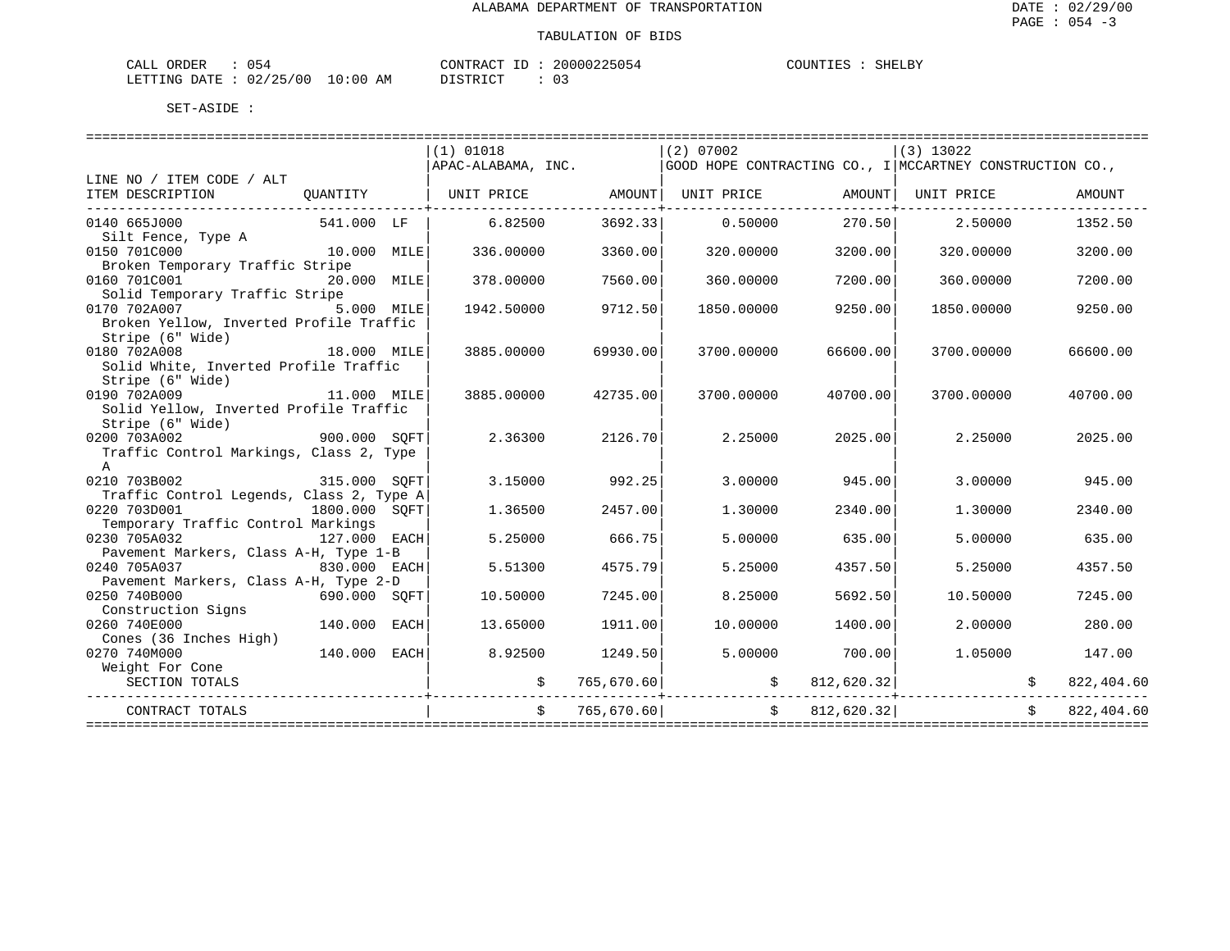| CALL ORDER                       | 45 ل |  | CONTRACT ID : | 20000225054 | COUNTIES | SHELBY |
|----------------------------------|------|--|---------------|-------------|----------|--------|
| LETTING DATE : 02/25/00 10:00 AM |      |  | DISTRICT      | $\sim$      |          |        |

| GOOD HOPE CONTRACTING CO., I MCCARTNEY CONSTRUCTION CO.,<br>APAC-ALABAMA, INC.<br>UNIT PRICE AMOUNT   UNIT PRICE<br>AMOUNT  UNIT PRICE<br>OUANTITY<br>AMOUNT<br>3692.33<br>0.50000<br>2.50000<br>0140 665J000<br>541.000 LF<br>6.82500<br>270.50<br>1352.50<br>Silt Fence, Type A<br>10.000 MILE<br>336.00000<br>3360.00<br>320.00000<br>3200.00<br>320.00000<br>3200.00<br>Broken Temporary Traffic Stripe<br>7560.00<br>20.000 MILE<br>378.00000<br>360.00000<br>7200.00<br>360.00000<br>7200.00<br>Solid Temporary Traffic Stripe<br>0170 702A007 5.000 MILE<br>9712.50<br>1942.50000<br>1850.00000<br>9250.00<br>1850.00000<br>9250.00<br>Broken Yellow, Inverted Profile Traffic<br>Stripe (6" Wide)<br>0180 702A008<br>18.000 MILE<br>3885,00000<br>69930.00<br>3700.00000<br>66600.00<br>3700.00000<br>66600.00<br>Solid White, Inverted Profile Traffic<br>Stripe (6" Wide)<br>11.000 MILE<br>0190 702A009<br>3885.00000<br>42735.00<br>3700.00000<br>40700.00<br>3700.00000<br>40700.00<br>Solid Yellow, Inverted Profile Traffic<br>Stripe (6" Wide)<br>900.000 SQFT<br>2126.70<br>0200 703A002<br>2.36300<br>2.25000<br>2025.00<br>2.25000<br>2025.00<br>Traffic Control Markings, Class 2, Type<br>$\mathsf{A}$<br>0210 703B002<br>315.000 SOFT<br>3.15000<br>992.25<br>3,00000<br>945.00<br>3.00000<br>945.00<br>Traffic Control Legends, Class 2, Type A<br>0220 703D001<br>1800.000 SQFT<br>1.36500<br>2457.00<br>1.30000<br>1,30000<br>2340.00<br>2340.00<br>Temporary Traffic Control Markings<br>0230 705A032<br>127.000 EACH<br>5.25000<br>666.75<br>5,00000<br>5.00000<br>635.00<br>635.00<br>Pavement Markers, Class A-H, Type 1-B |                           |  |           |         |           |         |             |         |
|---------------------------------------------------------------------------------------------------------------------------------------------------------------------------------------------------------------------------------------------------------------------------------------------------------------------------------------------------------------------------------------------------------------------------------------------------------------------------------------------------------------------------------------------------------------------------------------------------------------------------------------------------------------------------------------------------------------------------------------------------------------------------------------------------------------------------------------------------------------------------------------------------------------------------------------------------------------------------------------------------------------------------------------------------------------------------------------------------------------------------------------------------------------------------------------------------------------------------------------------------------------------------------------------------------------------------------------------------------------------------------------------------------------------------------------------------------------------------------------------------------------------------------------------------------------------------------------------------------------------------------------------------------|---------------------------|--|-----------|---------|-----------|---------|-------------|---------|
|                                                                                                                                                                                                                                                                                                                                                                                                                                                                                                                                                                                                                                                                                                                                                                                                                                                                                                                                                                                                                                                                                                                                                                                                                                                                                                                                                                                                                                                                                                                                                                                                                                                         |                           |  | (1) 01018 |         | (2) 07002 |         | $(3)$ 13022 |         |
|                                                                                                                                                                                                                                                                                                                                                                                                                                                                                                                                                                                                                                                                                                                                                                                                                                                                                                                                                                                                                                                                                                                                                                                                                                                                                                                                                                                                                                                                                                                                                                                                                                                         |                           |  |           |         |           |         |             |         |
|                                                                                                                                                                                                                                                                                                                                                                                                                                                                                                                                                                                                                                                                                                                                                                                                                                                                                                                                                                                                                                                                                                                                                                                                                                                                                                                                                                                                                                                                                                                                                                                                                                                         | LINE NO / ITEM CODE / ALT |  |           |         |           |         |             |         |
|                                                                                                                                                                                                                                                                                                                                                                                                                                                                                                                                                                                                                                                                                                                                                                                                                                                                                                                                                                                                                                                                                                                                                                                                                                                                                                                                                                                                                                                                                                                                                                                                                                                         | ITEM DESCRIPTION          |  |           |         |           |         |             |         |
|                                                                                                                                                                                                                                                                                                                                                                                                                                                                                                                                                                                                                                                                                                                                                                                                                                                                                                                                                                                                                                                                                                                                                                                                                                                                                                                                                                                                                                                                                                                                                                                                                                                         |                           |  |           |         |           |         |             |         |
|                                                                                                                                                                                                                                                                                                                                                                                                                                                                                                                                                                                                                                                                                                                                                                                                                                                                                                                                                                                                                                                                                                                                                                                                                                                                                                                                                                                                                                                                                                                                                                                                                                                         |                           |  |           |         |           |         |             |         |
|                                                                                                                                                                                                                                                                                                                                                                                                                                                                                                                                                                                                                                                                                                                                                                                                                                                                                                                                                                                                                                                                                                                                                                                                                                                                                                                                                                                                                                                                                                                                                                                                                                                         |                           |  |           |         |           |         |             |         |
|                                                                                                                                                                                                                                                                                                                                                                                                                                                                                                                                                                                                                                                                                                                                                                                                                                                                                                                                                                                                                                                                                                                                                                                                                                                                                                                                                                                                                                                                                                                                                                                                                                                         | 0150 701C000              |  |           |         |           |         |             |         |
|                                                                                                                                                                                                                                                                                                                                                                                                                                                                                                                                                                                                                                                                                                                                                                                                                                                                                                                                                                                                                                                                                                                                                                                                                                                                                                                                                                                                                                                                                                                                                                                                                                                         |                           |  |           |         |           |         |             |         |
|                                                                                                                                                                                                                                                                                                                                                                                                                                                                                                                                                                                                                                                                                                                                                                                                                                                                                                                                                                                                                                                                                                                                                                                                                                                                                                                                                                                                                                                                                                                                                                                                                                                         | 0160 701C001              |  |           |         |           |         |             |         |
|                                                                                                                                                                                                                                                                                                                                                                                                                                                                                                                                                                                                                                                                                                                                                                                                                                                                                                                                                                                                                                                                                                                                                                                                                                                                                                                                                                                                                                                                                                                                                                                                                                                         |                           |  |           |         |           |         |             |         |
|                                                                                                                                                                                                                                                                                                                                                                                                                                                                                                                                                                                                                                                                                                                                                                                                                                                                                                                                                                                                                                                                                                                                                                                                                                                                                                                                                                                                                                                                                                                                                                                                                                                         |                           |  |           |         |           |         |             |         |
|                                                                                                                                                                                                                                                                                                                                                                                                                                                                                                                                                                                                                                                                                                                                                                                                                                                                                                                                                                                                                                                                                                                                                                                                                                                                                                                                                                                                                                                                                                                                                                                                                                                         |                           |  |           |         |           |         |             |         |
|                                                                                                                                                                                                                                                                                                                                                                                                                                                                                                                                                                                                                                                                                                                                                                                                                                                                                                                                                                                                                                                                                                                                                                                                                                                                                                                                                                                                                                                                                                                                                                                                                                                         |                           |  |           |         |           |         |             |         |
|                                                                                                                                                                                                                                                                                                                                                                                                                                                                                                                                                                                                                                                                                                                                                                                                                                                                                                                                                                                                                                                                                                                                                                                                                                                                                                                                                                                                                                                                                                                                                                                                                                                         |                           |  |           |         |           |         |             |         |
|                                                                                                                                                                                                                                                                                                                                                                                                                                                                                                                                                                                                                                                                                                                                                                                                                                                                                                                                                                                                                                                                                                                                                                                                                                                                                                                                                                                                                                                                                                                                                                                                                                                         |                           |  |           |         |           |         |             |         |
|                                                                                                                                                                                                                                                                                                                                                                                                                                                                                                                                                                                                                                                                                                                                                                                                                                                                                                                                                                                                                                                                                                                                                                                                                                                                                                                                                                                                                                                                                                                                                                                                                                                         |                           |  |           |         |           |         |             |         |
|                                                                                                                                                                                                                                                                                                                                                                                                                                                                                                                                                                                                                                                                                                                                                                                                                                                                                                                                                                                                                                                                                                                                                                                                                                                                                                                                                                                                                                                                                                                                                                                                                                                         |                           |  |           |         |           |         |             |         |
|                                                                                                                                                                                                                                                                                                                                                                                                                                                                                                                                                                                                                                                                                                                                                                                                                                                                                                                                                                                                                                                                                                                                                                                                                                                                                                                                                                                                                                                                                                                                                                                                                                                         |                           |  |           |         |           |         |             |         |
|                                                                                                                                                                                                                                                                                                                                                                                                                                                                                                                                                                                                                                                                                                                                                                                                                                                                                                                                                                                                                                                                                                                                                                                                                                                                                                                                                                                                                                                                                                                                                                                                                                                         |                           |  |           |         |           |         |             |         |
|                                                                                                                                                                                                                                                                                                                                                                                                                                                                                                                                                                                                                                                                                                                                                                                                                                                                                                                                                                                                                                                                                                                                                                                                                                                                                                                                                                                                                                                                                                                                                                                                                                                         |                           |  |           |         |           |         |             |         |
|                                                                                                                                                                                                                                                                                                                                                                                                                                                                                                                                                                                                                                                                                                                                                                                                                                                                                                                                                                                                                                                                                                                                                                                                                                                                                                                                                                                                                                                                                                                                                                                                                                                         |                           |  |           |         |           |         |             |         |
|                                                                                                                                                                                                                                                                                                                                                                                                                                                                                                                                                                                                                                                                                                                                                                                                                                                                                                                                                                                                                                                                                                                                                                                                                                                                                                                                                                                                                                                                                                                                                                                                                                                         |                           |  |           |         |           |         |             |         |
|                                                                                                                                                                                                                                                                                                                                                                                                                                                                                                                                                                                                                                                                                                                                                                                                                                                                                                                                                                                                                                                                                                                                                                                                                                                                                                                                                                                                                                                                                                                                                                                                                                                         |                           |  |           |         |           |         |             |         |
|                                                                                                                                                                                                                                                                                                                                                                                                                                                                                                                                                                                                                                                                                                                                                                                                                                                                                                                                                                                                                                                                                                                                                                                                                                                                                                                                                                                                                                                                                                                                                                                                                                                         |                           |  |           |         |           |         |             |         |
|                                                                                                                                                                                                                                                                                                                                                                                                                                                                                                                                                                                                                                                                                                                                                                                                                                                                                                                                                                                                                                                                                                                                                                                                                                                                                                                                                                                                                                                                                                                                                                                                                                                         |                           |  |           |         |           |         |             |         |
|                                                                                                                                                                                                                                                                                                                                                                                                                                                                                                                                                                                                                                                                                                                                                                                                                                                                                                                                                                                                                                                                                                                                                                                                                                                                                                                                                                                                                                                                                                                                                                                                                                                         |                           |  |           |         |           |         |             |         |
|                                                                                                                                                                                                                                                                                                                                                                                                                                                                                                                                                                                                                                                                                                                                                                                                                                                                                                                                                                                                                                                                                                                                                                                                                                                                                                                                                                                                                                                                                                                                                                                                                                                         |                           |  |           |         |           |         |             |         |
|                                                                                                                                                                                                                                                                                                                                                                                                                                                                                                                                                                                                                                                                                                                                                                                                                                                                                                                                                                                                                                                                                                                                                                                                                                                                                                                                                                                                                                                                                                                                                                                                                                                         |                           |  |           |         |           |         |             |         |
| 830.000 EACH                                                                                                                                                                                                                                                                                                                                                                                                                                                                                                                                                                                                                                                                                                                                                                                                                                                                                                                                                                                                                                                                                                                                                                                                                                                                                                                                                                                                                                                                                                                                                                                                                                            | 0240 705A037              |  | 5.51300   | 4575.79 | 5.25000   | 4357.50 | 5.25000     | 4357.50 |
|                                                                                                                                                                                                                                                                                                                                                                                                                                                                                                                                                                                                                                                                                                                                                                                                                                                                                                                                                                                                                                                                                                                                                                                                                                                                                                                                                                                                                                                                                                                                                                                                                                                         |                           |  |           |         |           |         |             |         |
| Pavement Markers, Class A-H, Type 2-D<br>7245.00<br>7245.00                                                                                                                                                                                                                                                                                                                                                                                                                                                                                                                                                                                                                                                                                                                                                                                                                                                                                                                                                                                                                                                                                                                                                                                                                                                                                                                                                                                                                                                                                                                                                                                             | 0250 740B000              |  |           |         |           |         |             |         |
| 690.000 SQFT<br>10.50000<br>8.25000<br>5692.50<br>10.50000                                                                                                                                                                                                                                                                                                                                                                                                                                                                                                                                                                                                                                                                                                                                                                                                                                                                                                                                                                                                                                                                                                                                                                                                                                                                                                                                                                                                                                                                                                                                                                                              |                           |  |           |         |           |         |             |         |
| Construction Signs                                                                                                                                                                                                                                                                                                                                                                                                                                                                                                                                                                                                                                                                                                                                                                                                                                                                                                                                                                                                                                                                                                                                                                                                                                                                                                                                                                                                                                                                                                                                                                                                                                      |                           |  |           |         |           |         |             |         |
| 140.000 EACH<br>13.65000<br>1911.00<br>10.00000<br>1400.00<br>2.00000<br>280.00                                                                                                                                                                                                                                                                                                                                                                                                                                                                                                                                                                                                                                                                                                                                                                                                                                                                                                                                                                                                                                                                                                                                                                                                                                                                                                                                                                                                                                                                                                                                                                         | 0260 740E000              |  |           |         |           |         |             |         |
| Cones (36 Inches High)                                                                                                                                                                                                                                                                                                                                                                                                                                                                                                                                                                                                                                                                                                                                                                                                                                                                                                                                                                                                                                                                                                                                                                                                                                                                                                                                                                                                                                                                                                                                                                                                                                  |                           |  |           |         |           |         |             |         |
| $140.000$ EACH<br>8.92500<br>1249.50<br>5.00000<br>700.00<br>1.05000<br>147.00                                                                                                                                                                                                                                                                                                                                                                                                                                                                                                                                                                                                                                                                                                                                                                                                                                                                                                                                                                                                                                                                                                                                                                                                                                                                                                                                                                                                                                                                                                                                                                          | 0270 740M000              |  |           |         |           |         |             |         |
| Weight For Cone                                                                                                                                                                                                                                                                                                                                                                                                                                                                                                                                                                                                                                                                                                                                                                                                                                                                                                                                                                                                                                                                                                                                                                                                                                                                                                                                                                                                                                                                                                                                                                                                                                         |                           |  |           |         |           |         |             |         |
| $\mathcal{S}$<br>812,620.32<br>SECTION TOTALS<br>765,670.60<br>$\ddot{s}$<br>822,404.60                                                                                                                                                                                                                                                                                                                                                                                                                                                                                                                                                                                                                                                                                                                                                                                                                                                                                                                                                                                                                                                                                                                                                                                                                                                                                                                                                                                                                                                                                                                                                                 |                           |  |           |         |           |         |             |         |
|                                                                                                                                                                                                                                                                                                                                                                                                                                                                                                                                                                                                                                                                                                                                                                                                                                                                                                                                                                                                                                                                                                                                                                                                                                                                                                                                                                                                                                                                                                                                                                                                                                                         |                           |  |           |         |           |         |             |         |
| 822,404.60<br>765,670.60<br>812,620.32<br>CONTRACT TOTALS                                                                                                                                                                                                                                                                                                                                                                                                                                                                                                                                                                                                                                                                                                                                                                                                                                                                                                                                                                                                                                                                                                                                                                                                                                                                                                                                                                                                                                                                                                                                                                                               |                           |  |           |         |           |         |             |         |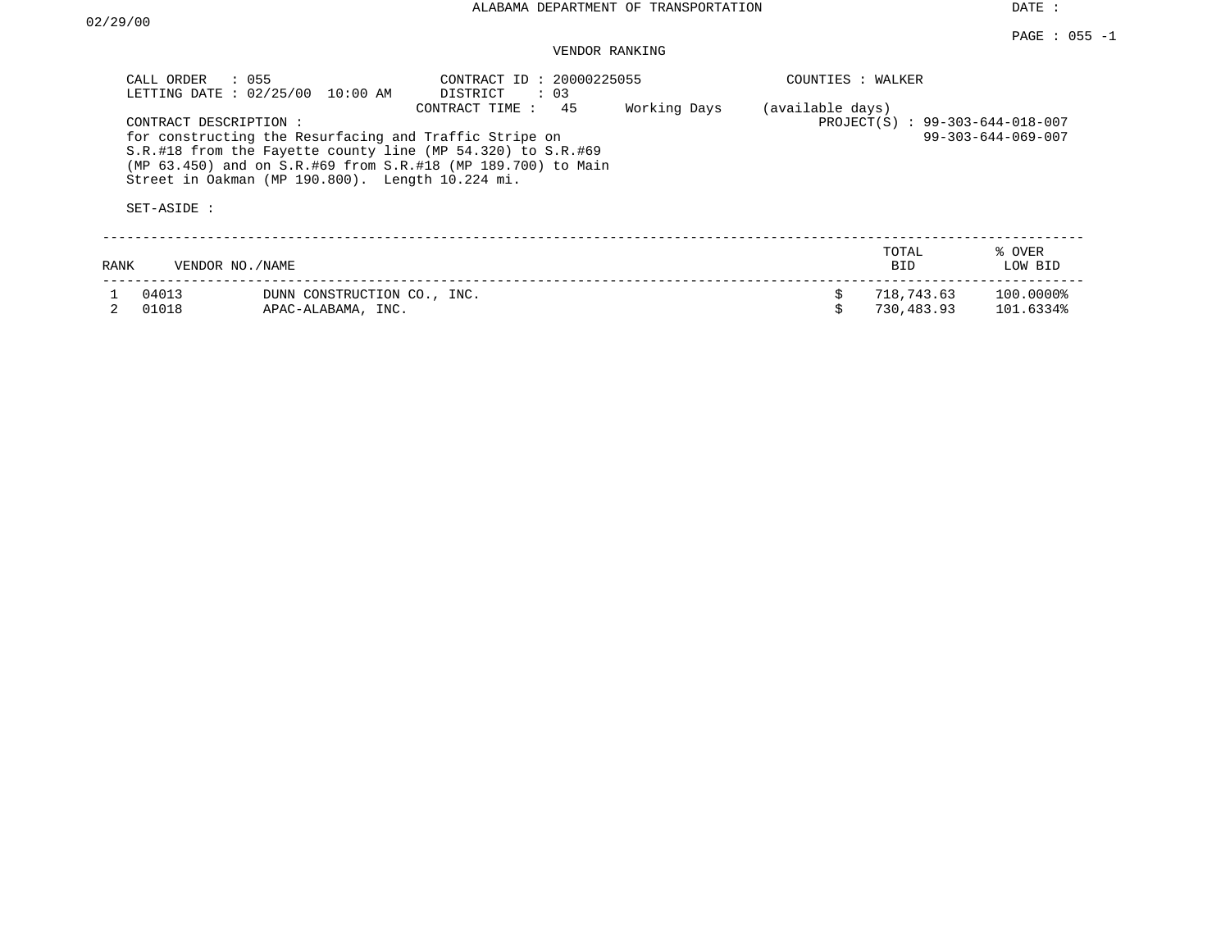| CALL ORDER                           | : 055<br>LETTING DATE : 02/25/00<br>10:00 AM                                                                                                                                                                                              | CONTRACT ID: 20000225055<br>DISTRICT<br>$\therefore$ 03<br>45<br>CONTRACT TIME: | Working Days                    | COUNTIES : WALKER            |                          |                        |
|--------------------------------------|-------------------------------------------------------------------------------------------------------------------------------------------------------------------------------------------------------------------------------------------|---------------------------------------------------------------------------------|---------------------------------|------------------------------|--------------------------|------------------------|
| CONTRACT DESCRIPTION:<br>SET-ASIDE : | for constructing the Resurfacing and Traffic Stripe on<br>S.R.#18 from the Fayette county line (MP 54.320) to S.R.#69<br>(MP 63.450) and on S.R.#69 from S.R.#18 (MP 189.700) to Main<br>Street in Oakman (MP 190.800). Length 10.224 mi. | (available days)                                                                | PROJECT(S) : 99-303-644-018-007 | $99 - 303 - 644 - 069 - 007$ |                          |                        |
| RANK                                 | VENDOR NO. / NAME                                                                                                                                                                                                                         |                                                                                 |                                 |                              | TOTAL<br>BID.            | % OVER<br>LOW BID      |
| 04013<br>01018                       | DUNN CONSTRUCTION CO., INC.<br>APAC-ALABAMA, INC.                                                                                                                                                                                         |                                                                                 |                                 |                              | 718,743.63<br>730,483.93 | 100.0000%<br>101.6334% |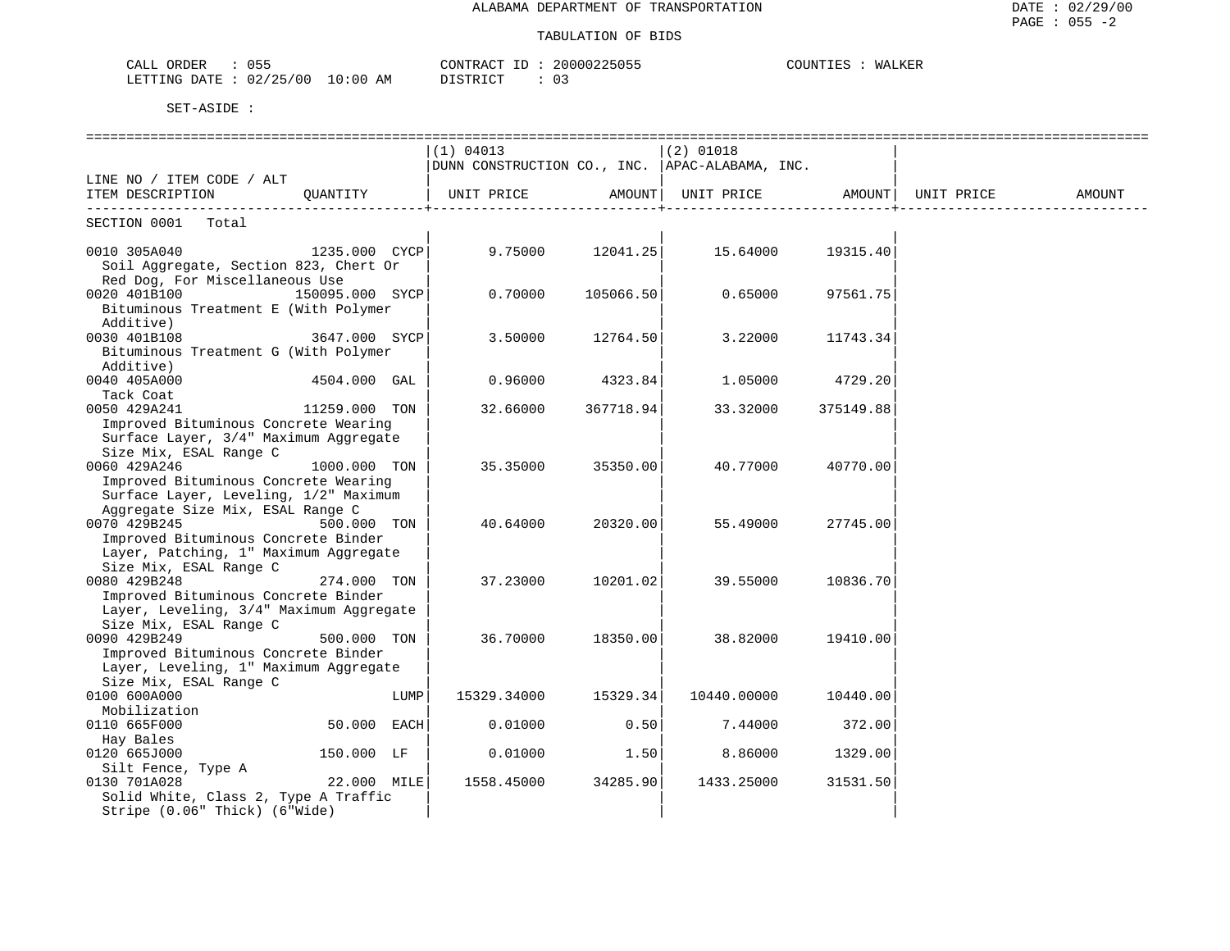| 055<br>ORDER<br>CALL              | CONTRACT       | ID | 20000225055 | COUNTI' | WALKER |
|-----------------------------------|----------------|----|-------------|---------|--------|
| 10:00<br>02/25/00<br>LETTING DATE | DISTRICT<br>AΜ |    |             |         |        |

|                                         |               |      | (1) 04013                                                                                                                                 |                     | $(2)$ 01018       |                |            |        |
|-----------------------------------------|---------------|------|-------------------------------------------------------------------------------------------------------------------------------------------|---------------------|-------------------|----------------|------------|--------|
|                                         |               |      | DUNN CONSTRUCTION CO., INC. APAC-ALABAMA, INC.                                                                                            |                     |                   |                |            |        |
| LINE NO / ITEM CODE / ALT               |               |      |                                                                                                                                           |                     |                   |                |            |        |
| ITEM DESCRIPTION QUANTITY               |               |      | UNIT PRICE                                                                                                                                | AMOUNT              | UNIT PRICE AMOUNT |                | UNIT PRICE | AMOUNT |
| SECTION 0001 Total                      |               |      |                                                                                                                                           |                     |                   |                |            |        |
| 0010 305A040                            |               |      | $1235.000 \quad \text{CYCP} \vert \qquad \qquad 9.75000 \qquad \qquad 12041.25 \vert \qquad \qquad 15.64000 \qquad \qquad 19315.40 \vert$ |                     |                   |                |            |        |
| Soil Aggregate, Section 823, Chert Or   |               |      |                                                                                                                                           |                     |                   |                |            |        |
| Red Dog, For Miscellaneous Use          |               |      |                                                                                                                                           |                     |                   |                |            |        |
| 150095.000 SYCP<br>0020 401B100         |               |      |                                                                                                                                           | $0.70000$ 105066.50 | 0.65000           | 97561.75       |            |        |
| Bituminous Treatment E (With Polymer    |               |      |                                                                                                                                           |                     |                   |                |            |        |
| Additive)                               |               |      |                                                                                                                                           |                     |                   |                |            |        |
| 0030 401B108<br>3647.000 SYCP           |               |      | 3.50000                                                                                                                                   | 12764.50            | 3.22000           | 11743.34       |            |        |
| Bituminous Treatment G (With Polymer    |               |      |                                                                                                                                           |                     |                   |                |            |        |
| Additive)                               |               |      |                                                                                                                                           |                     |                   |                |            |        |
| 0040 405A000                            | 4504.000 GAL  |      | 0.96000                                                                                                                                   | 4323.84             | 1.05000           | 4729.20        |            |        |
| Tack Coat                               |               |      |                                                                                                                                           |                     |                   |                |            |        |
| 11259.000 TON<br>0050 429A241           |               |      | 32.66000                                                                                                                                  | 367718.94           | 33.32000          | 375149.88      |            |        |
| Improved Bituminous Concrete Wearing    |               |      |                                                                                                                                           |                     |                   |                |            |        |
| Surface Layer, 3/4" Maximum Aggregate   |               |      |                                                                                                                                           |                     |                   |                |            |        |
| Size Mix, ESAL Range C                  |               |      |                                                                                                                                           |                     |                   |                |            |        |
| 0060 429A246                            | 1000.000 TON  |      | 35.35000                                                                                                                                  | 35350.00            | 40.77000          | 40770.00       |            |        |
| Improved Bituminous Concrete Wearing    |               |      |                                                                                                                                           |                     |                   |                |            |        |
| Surface Layer, Leveling, 1/2" Maximum   |               |      |                                                                                                                                           |                     |                   |                |            |        |
| Aggregate Size Mix, ESAL Range C        |               |      |                                                                                                                                           |                     |                   |                |            |        |
| 0070 429B245                            | 500.000 TON   |      | 40.64000                                                                                                                                  | 20320.00            | 55.49000          | 27745.00       |            |        |
| Improved Bituminous Concrete Binder     |               |      |                                                                                                                                           |                     |                   |                |            |        |
| Layer, Patching, 1" Maximum Aggregate   |               |      |                                                                                                                                           |                     |                   |                |            |        |
| Size Mix, ESAL Range C                  |               |      |                                                                                                                                           |                     |                   |                |            |        |
| 0080 429B248                            | 274.000 TON   |      | 37.23000                                                                                                                                  | 10201.02            | 39.55000          | 10836.70       |            |        |
| Improved Bituminous Concrete Binder     |               |      |                                                                                                                                           |                     |                   |                |            |        |
| Layer, Leveling, 3/4" Maximum Aggregate |               |      |                                                                                                                                           |                     |                   |                |            |        |
| Size Mix, ESAL Range C                  |               |      |                                                                                                                                           |                     |                   |                |            |        |
| 0090 429B249                            | 500.000 TON   |      | 36.70000                                                                                                                                  | 18350.00            | 38.82000          | 19410.00       |            |        |
| Improved Bituminous Concrete Binder     |               |      |                                                                                                                                           |                     |                   |                |            |        |
| Layer, Leveling, 1" Maximum Aggregate   |               |      |                                                                                                                                           |                     |                   |                |            |        |
| Size Mix, ESAL Range C                  |               |      |                                                                                                                                           |                     |                   |                |            |        |
| 0100 600A000                            |               | LUMP | 15329.34000                                                                                                                               | 15329.34            | 10440.00000       | 10440.00       |            |        |
| Mobilization                            |               |      |                                                                                                                                           |                     |                   |                |            |        |
| 0110 665F000                            | $50.000$ EACH |      | 0.01000                                                                                                                                   | 0.50                |                   | 7.44000 372.00 |            |        |
| Hay Bales                               |               |      |                                                                                                                                           |                     |                   |                |            |        |
| 0120 665J000                            | 150.000 LF    |      | 0.01000                                                                                                                                   | 1.50                | 8.86000           | 1329.00        |            |        |
| Silt Fence, Type A                      |               |      |                                                                                                                                           |                     |                   |                |            |        |
| 0130 701A028                            | 22.000 MILE   |      | 1558.45000                                                                                                                                | 34285.90            | 1433.25000        | 31531.50       |            |        |
| Solid White, Class 2, Type A Traffic    |               |      |                                                                                                                                           |                     |                   |                |            |        |
| Stripe (0.06" Thick) (6"Wide)           |               |      |                                                                                                                                           |                     |                   |                |            |        |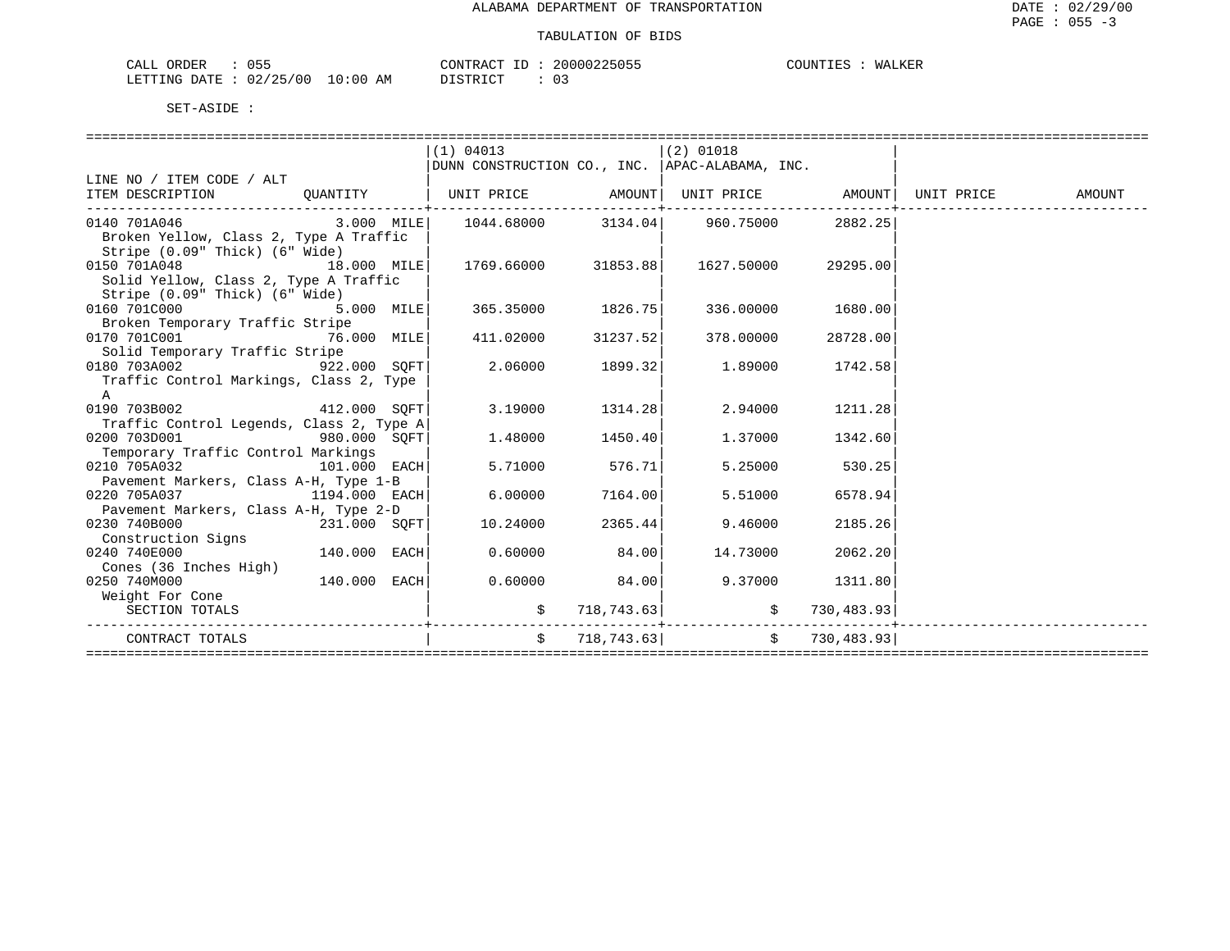| ORDER<br>CALL | .<br>ບມະ   |             | $- -$<br>CONTRACT | 20000225055 | COUNTIES | WALKER |
|---------------|------------|-------------|-------------------|-------------|----------|--------|
| LETTING DATE  | : 02/25/00 | 10:00<br>AM | חיי חיד סידי פיד  | $\sim$      |          |        |

|                                                      |             | (1) 04013                                                                      |                           | $(2)$ 01018   |                   |  |
|------------------------------------------------------|-------------|--------------------------------------------------------------------------------|---------------------------|---------------|-------------------|--|
|                                                      |             | DUNN CONSTRUCTION CO., INC.   APAC-ALABAMA, INC.                               |                           |               |                   |  |
| LINE NO / ITEM CODE / ALT                            |             |                                                                                |                           |               |                   |  |
| ITEM DESCRIPTION                                     |             | QUANTITY   UNIT PRICE     AMOUNT  UNIT PRICE     AMOUNT  UNIT PRICE     AMOUNT |                           |               |                   |  |
| 0140 701A046                                         |             | $3.000$ MILE $\vert$ 1044.68000 $\vert$ 3134.04 960.75000 2882.25              | -------------+----------- |               |                   |  |
| Broken Yellow, Class 2, Type A Traffic               |             |                                                                                |                           |               |                   |  |
| Stripe (0.09" Thick) (6" Wide)                       |             |                                                                                |                           |               |                   |  |
| 18.000 MILE<br>0150 701A048                          |             | 1769.66000 31853.88                                                            |                           | 1627.50000    | 29295.00          |  |
| Solid Yellow, Class 2, Type A Traffic                |             |                                                                                |                           |               |                   |  |
| Stripe (0.09" Thick) (6" Wide)                       |             |                                                                                |                           |               |                   |  |
| 0160 701C000                                         | 5.000 MILE  | 365.35000 1826.75                                                              |                           |               | 336.00000 1680.00 |  |
| Broken Temporary Traffic Stripe                      |             |                                                                                |                           |               |                   |  |
| 0170 701C001                                         | 76.000 MILE | 411.02000                                                                      | 31237.52                  | 378.00000     | 28728.00          |  |
| Solid Temporary Traffic Stripe                       |             |                                                                                |                           |               |                   |  |
| 0180 703A002 922.000 SOFT                            |             | 2.06000                                                                        | 1899.32                   |               | 1.89000 1742.58   |  |
| Traffic Control Markings, Class 2, Type              |             |                                                                                |                           |               |                   |  |
| A                                                    |             |                                                                                |                           |               |                   |  |
| 0190 703B002 412.000 SOFT                            |             | 3.19000                                                                        | 1314.28                   | 2.94000       | 1211.28           |  |
| Traffic Control Legends, Class 2, Type A             |             |                                                                                |                           |               |                   |  |
| 0200 703D001<br>980.000 SQFT                         |             | 1.48000                                                                        | 1450.40                   | 1.37000       | 1342.60           |  |
| Temporary Traffic Control Markings                   |             |                                                                                |                           |               |                   |  |
| $101.000$ EACH<br>0210 705A032                       |             | 5.71000                                                                        | 576.71                    | 5.25000       | 530.25            |  |
| Pavement Markers, Class A-H, Type 1-B                |             |                                                                                |                           |               |                   |  |
| 0220 705A037<br>1194.000 EACH                        |             | 6.00000                                                                        | 7164.00                   | 5.51000       | 6578.94           |  |
| Pavement Markers, Class A-H, Type 2-D                |             |                                                                                |                           |               |                   |  |
| $231.000$ SQFT<br>0230 740B000                       |             | 10.24000                                                                       | 2365.44                   | 9.46000       | 2185.26           |  |
| Construction Signs<br>$140.000$ EACH<br>0240 740E000 |             | 0.60000                                                                        | 84.00                     | 14.73000      | 2062.20           |  |
| Cones (36 Inches High)                               |             |                                                                                |                           |               |                   |  |
| $140.000$ EACH<br>0250 740M000                       |             |                                                                                | $0.60000$ 84.00           |               | 9.37000 1311.80   |  |
| Weight For Cone                                      |             |                                                                                |                           |               |                   |  |
| SECTION TOTALS                                       |             |                                                                                | 718,743.63                | $\sharp$      | 730,483.93        |  |
|                                                      |             |                                                                                |                           | $- - - - - -$ |                   |  |
| CONTRACT TOTALS                                      |             | $\mathsf{S}^-$                                                                 | 718,743.63                | \$            | 730,483.93        |  |
|                                                      |             |                                                                                |                           |               |                   |  |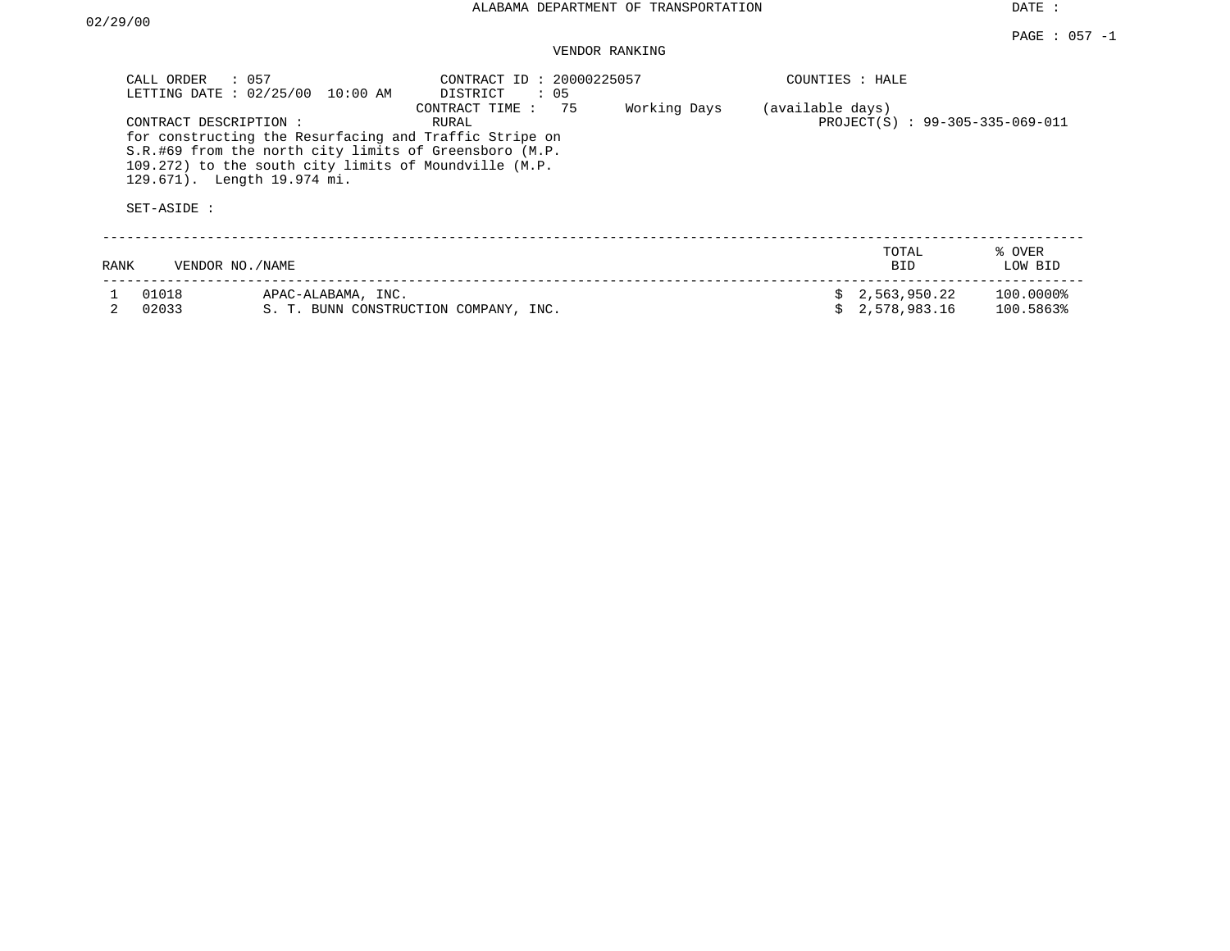| CALL ORDER<br>SET-ASIDE : | $\therefore$ 057<br>LETTING DATE: 02/25/00<br>10:00 AM<br>CONTRACT DESCRIPTION:<br>for constructing the Resurfacing and Traffic Stripe on<br>S.R.#69 from the north city limits of Greensboro (M.P.<br>109.272) to the south city limits of Moundville (M.P.<br>129.671). Length 19.974 mi. | CONTRACT ID: 20000225057<br>DISTRICT<br>: 05<br>75<br>CONTRACT TIME:<br>RURAL | Working Days | COUNTIES : HALE<br>(available days) | PROJECT(S) : 99-305-335-069-011 |                        |
|---------------------------|---------------------------------------------------------------------------------------------------------------------------------------------------------------------------------------------------------------------------------------------------------------------------------------------|-------------------------------------------------------------------------------|--------------|-------------------------------------|---------------------------------|------------------------|
| RANK                      | VENDOR NO./NAME                                                                                                                                                                                                                                                                             |                                                                               |              |                                     | TOTAL<br><b>BID</b>             | % OVER<br>LOW BID      |
| 01018<br>02033            | APAC-ALABAMA, INC.                                                                                                                                                                                                                                                                          | S. T. BUNN CONSTRUCTION COMPANY, INC.                                         |              |                                     | 2,563,950.22<br>2,578,983.16    | 100.00008<br>100.5863% |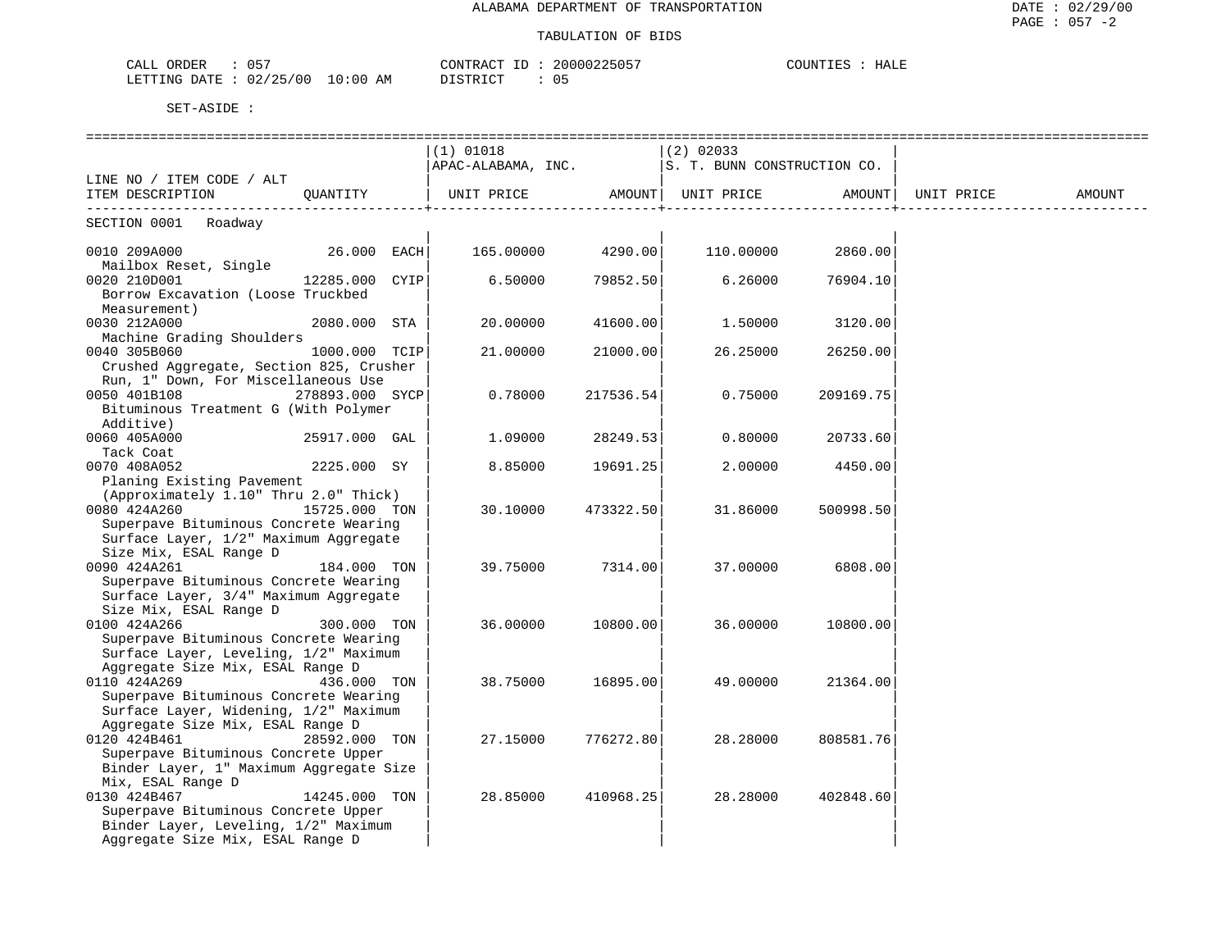| $\cap$ $\Gamma$ $\Gamma$                                                                                                                                                                   | ּוּ בּ קידיזורי      |                                           |
|--------------------------------------------------------------------------------------------------------------------------------------------------------------------------------------------|----------------------|-------------------------------------------|
| ORDER                                                                                                                                                                                      | $\sim$ $\sim$ $\sim$ | $\sim$ $\sim$ $\sim$ $\sim$ $\sim$ $\sim$ |
| . .                                                                                                                                                                                        | nnnn                 | $- - - -$                                 |
| ບບ                                                                                                                                                                                         | 2515                 | HALE                                      |
| للدهما                                                                                                                                                                                     | . יער                | 'JUN⊥                                     |
|                                                                                                                                                                                            |                      |                                           |
|                                                                                                                                                                                            |                      |                                           |
| 00/<br>∩∩<br>' つに<br>.0:00<br>ΑM<br>ETTING<br><b>Amry</b><br>ֹם ו<br>UZ<br>the contract of the contract of the contract of the contract of the contract of the contract of the contract of | DICTO ICT<br>◡ ◡     |                                           |

|                                                       |                 |                                                                  |           | ==============              |           |            |        |
|-------------------------------------------------------|-----------------|------------------------------------------------------------------|-----------|-----------------------------|-----------|------------|--------|
|                                                       |                 | $(1)$ 01018                                                      |           | $(2)$ 02033                 |           |            |        |
|                                                       |                 | APAC-ALABAMA, INC.                                               |           | S. T. BUNN CONSTRUCTION CO. |           |            |        |
| LINE NO / ITEM CODE / ALT                             |                 |                                                                  |           |                             |           |            |        |
| ITEM DESCRIPTION OUANTITY                             |                 | UNIT PRICE AMOUNT UNIT PRICE AMOUNT<br>------------------------+ |           |                             |           | UNIT PRICE | AMOUNT |
| SECTION 0001 Roadway                                  |                 |                                                                  |           |                             |           |            |        |
| 0010 209A000                                          | 26.000 EACH     | 165.00000                                                        | 4290.00   | 110.00000                   | 2860.00   |            |        |
| Mailbox Reset, Single                                 |                 |                                                                  |           |                             |           |            |        |
| 0020 210D001                                          | 12285.000 CYIP  | 6.50000                                                          | 79852.50  | 6.26000                     | 76904.10  |            |        |
| Borrow Excavation (Loose Truckbed                     |                 |                                                                  |           |                             |           |            |        |
| Measurement)                                          |                 |                                                                  |           |                             |           |            |        |
| 0030 212A000                                          | 2080.000 STA    | 20,00000                                                         | 41600.00  | 1.50000                     | 3120.00   |            |        |
| Machine Grading Shoulders                             |                 |                                                                  |           |                             |           |            |        |
| 0040 305B060                                          | 1000.000 TCIP   | 21,00000                                                         | 21000.00  | 26.25000                    | 26250.00  |            |        |
| Crushed Aggregate, Section 825, Crusher               |                 |                                                                  |           |                             |           |            |        |
| Run, 1" Down, For Miscellaneous Use                   |                 |                                                                  |           |                             |           |            |        |
| 0050 401B108                                          | 278893.000 SYCP | 0.78000                                                          | 217536.54 | 0.75000                     | 209169.75 |            |        |
| Bituminous Treatment G (With Polymer                  |                 |                                                                  |           |                             |           |            |        |
| Additive)                                             |                 |                                                                  |           |                             |           |            |        |
| 0060 405A000                                          | 25917.000 GAL   | 1.09000                                                          | 28249.53  | 0.80000                     | 20733.60  |            |        |
| Tack Coat                                             |                 |                                                                  |           |                             |           |            |        |
| 0070 408A052                                          | 2225.000 SY     | 8.85000                                                          | 19691.25  | 2,00000                     | 4450.00   |            |        |
| Planing Existing Pavement                             |                 |                                                                  |           |                             |           |            |        |
| (Approximately 1.10" Thru 2.0" Thick)                 |                 |                                                                  |           |                             |           |            |        |
| 0080 424A260                                          | 15725.000 TON   | 30.10000                                                         | 473322.50 | 31.86000                    | 500998.50 |            |        |
| Superpave Bituminous Concrete Wearing                 |                 |                                                                  |           |                             |           |            |        |
| Surface Layer, 1/2" Maximum Aggregate                 |                 |                                                                  |           |                             |           |            |        |
| Size Mix, ESAL Range D                                |                 |                                                                  |           |                             |           |            |        |
| 0090 424A261<br>Superpave Bituminous Concrete Wearing | 184.000 TON     | 39.75000                                                         | 7314.00   | 37.00000                    | 6808.00   |            |        |
| Surface Layer, 3/4" Maximum Aggregate                 |                 |                                                                  |           |                             |           |            |        |
| Size Mix, ESAL Range D                                |                 |                                                                  |           |                             |           |            |        |
| 0100 424A266                                          | 300.000 TON     | 36.00000                                                         | 10800.00  | 36.00000                    | 10800.00  |            |        |
| Superpave Bituminous Concrete Wearing                 |                 |                                                                  |           |                             |           |            |        |
| Surface Layer, Leveling, 1/2" Maximum                 |                 |                                                                  |           |                             |           |            |        |
| Aggregate Size Mix, ESAL Range D                      |                 |                                                                  |           |                             |           |            |        |
| 0110 424A269                                          | 436.000 TON     | 38.75000                                                         | 16895.00  | 49.00000                    | 21364.00  |            |        |
| Superpave Bituminous Concrete Wearing                 |                 |                                                                  |           |                             |           |            |        |
| Surface Layer, Widening, 1/2" Maximum                 |                 |                                                                  |           |                             |           |            |        |
| Aggregate Size Mix, ESAL Range D                      |                 |                                                                  |           |                             |           |            |        |
| 0120 424B461                                          | 28592.000 TON   | 27.15000                                                         | 776272.80 | 28,28000                    | 808581.76 |            |        |
| Superpave Bituminous Concrete Upper                   |                 |                                                                  |           |                             |           |            |        |
| Binder Layer, 1" Maximum Aggregate Size               |                 |                                                                  |           |                             |           |            |        |
| Mix, ESAL Range D                                     |                 |                                                                  |           |                             |           |            |        |
| 0130 424B467                                          | 14245.000 TON   | 28.85000                                                         | 410968.25 | 28.28000                    | 402848.60 |            |        |
| Superpave Bituminous Concrete Upper                   |                 |                                                                  |           |                             |           |            |        |
| Binder Layer, Leveling, 1/2" Maximum                  |                 |                                                                  |           |                             |           |            |        |
| Aggregate Size Mix, ESAL Range D                      |                 |                                                                  |           |                             |           |            |        |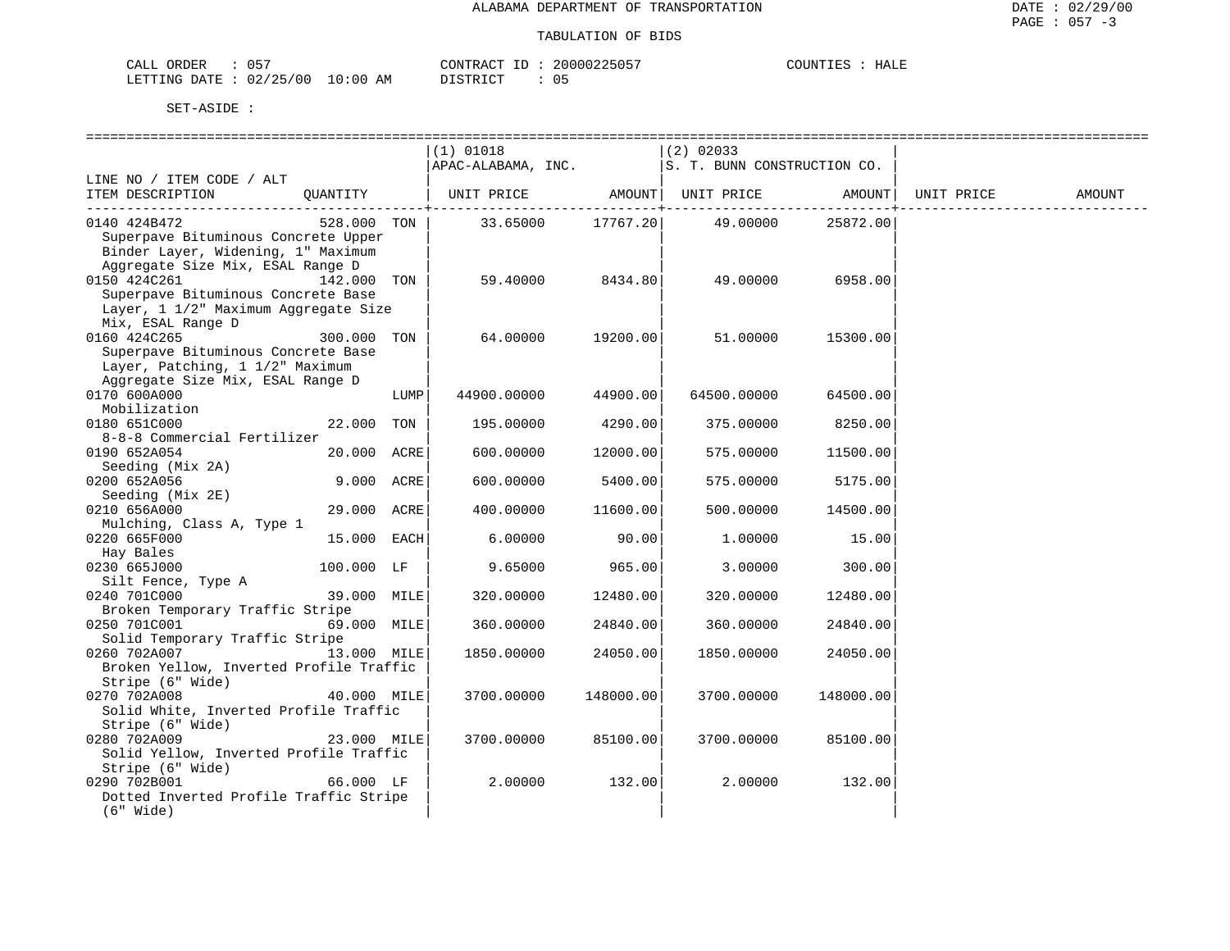| CALL ORDER                       | 05' | CONTRACT ID: |  | 20000225057 | COUNTIES | HALE |
|----------------------------------|-----|--------------|--|-------------|----------|------|
| LETTING DATE : 02/25/00 10:00 AM |     | DISTRICT     |  | 05          |          |      |

|                                                      |              |      | $(1)$ 01018                                           |                  |                            |                          |            |        |
|------------------------------------------------------|--------------|------|-------------------------------------------------------|------------------|----------------------------|--------------------------|------------|--------|
|                                                      |              |      | $APAC-ALABAMA$ , INC. $ S. T. BUNN CONSTRUCTION CO$ . |                  | (2) 02033                  |                          |            |        |
| LINE NO / ITEM CODE / ALT                            |              |      |                                                       |                  |                            |                          |            |        |
| ITEM DESCRIPTION                                     |              |      | QUANTITY   UNIT PRICE AMOUNT   UNIT PRICE AMOUNT      | ------------+--- |                            | --------------- <b>-</b> | UNIT PRICE | AMOUNT |
| 0140 424B472                                         | 528.000 TON  |      |                                                       |                  | 33.65000 17767.20 49.00000 | 25872.00                 |            |        |
| Superpave Bituminous Concrete Upper                  |              |      |                                                       |                  |                            |                          |            |        |
| Binder Layer, Widening, 1" Maximum                   |              |      |                                                       |                  |                            |                          |            |        |
| Aggregate Size Mix, ESAL Range D                     |              |      |                                                       |                  |                            |                          |            |        |
| 0150 424C261<br>Superpave Bituminous Concrete Base   | 142.000 TON  |      | 59.40000                                              | 8434.80          | 49.00000                   | 6958.00                  |            |        |
| Layer, 1 1/2" Maximum Aggregate Size                 |              |      |                                                       |                  |                            |                          |            |        |
| Mix, ESAL Range D                                    |              |      |                                                       |                  |                            |                          |            |        |
| 0160 424C265                                         | 300.000 TON  |      | 64.00000                                              | 19200.00         | 51.00000                   | 15300.00                 |            |        |
| Superpave Bituminous Concrete Base                   |              |      |                                                       |                  |                            |                          |            |        |
| Layer, Patching, 1 1/2" Maximum                      |              |      |                                                       |                  |                            |                          |            |        |
| Aggregate Size Mix, ESAL Range D                     |              |      |                                                       |                  |                            |                          |            |        |
| 0170 600A000                                         |              | LUMP | 44900.00000                                           | 44900.00         | 64500.00000                | 64500.00                 |            |        |
| Mobilization                                         |              |      |                                                       |                  |                            |                          |            |        |
| 0180 651C000<br>8-8-8 Commercial Fertilizer          | 22.000 TON   |      | 195.00000                                             | 4290.001         | 375.00000                  | 8250.00                  |            |        |
| 0190 652A054                                         | 20.000 ACRE  |      | 600.00000                                             | 12000.00         | 575.00000                  | 11500.00                 |            |        |
| Seeding (Mix 2A)                                     |              |      |                                                       |                  |                            |                          |            |        |
| 0200 652A056                                         | 9.000 ACRE   |      | 600.00000                                             | 5400.00          | 575.00000                  | 5175.00                  |            |        |
| Seeding (Mix 2E)                                     |              |      |                                                       |                  |                            |                          |            |        |
| 0210 656A000                                         | 29.000 ACRE  |      | 400.00000                                             | 11600.00         | 500.00000                  | 14500.00                 |            |        |
| Mulching, Class A, Type 1                            |              |      |                                                       |                  |                            |                          |            |        |
| 0220 665F000                                         | 15.000 EACH  |      | 6.00000                                               | 90.00            | 1,00000                    | 15.00                    |            |        |
| Hay Bales                                            |              |      |                                                       |                  |                            |                          |            |        |
| 0230 665J000                                         | $100.000$ LF |      | 9.65000                                               | 965.00           | 3.00000                    | 300.00                   |            |        |
| Silt Fence, Type A<br>11 39.000 MILE<br>0240 701C000 |              |      | 320.00000                                             | 12480.00         | 320.00000                  | 12480.00                 |            |        |
| Broken Temporary Traffic Stripe                      |              |      |                                                       |                  |                            |                          |            |        |
| 0250 701C001                                         | 69.000 MILE  |      | 360.00000                                             | 24840.00         | 360.00000                  | 24840.00                 |            |        |
| Solid Temporary Traffic Stripe                       |              |      |                                                       |                  |                            |                          |            |        |
| 0260 702A007                                         | 13.000 MILE  |      | 1850.00000                                            | 24050.00         | 1850.00000                 | 24050.00                 |            |        |
| Broken Yellow, Inverted Profile Traffic              |              |      |                                                       |                  |                            |                          |            |        |
| Stripe (6" Wide)                                     |              |      |                                                       |                  |                            |                          |            |        |
| 0270 702A008                                         | 40.000 MILE  |      | 3700.00000                                            | 148000.00        | 3700.00000                 | 148000.00                |            |        |
| Solid White, Inverted Profile Traffic                |              |      |                                                       |                  |                            |                          |            |        |
| Stripe (6" Wide)<br>0280 702A009                     | 23.000 MILE  |      | 3700.00000                                            | 85100.00         | 3700.00000                 | 85100.00                 |            |        |
| Solid Yellow, Inverted Profile Traffic               |              |      |                                                       |                  |                            |                          |            |        |
| Stripe (6" Wide)                                     |              |      |                                                       |                  |                            |                          |            |        |
| 0290 702B001                                         | 66.000 LF    |      | 2.00000                                               | 132.00           | 2.00000                    | 132.00                   |            |        |
| Dotted Inverted Profile Traffic Stripe               |              |      |                                                       |                  |                            |                          |            |        |
| $(6"$ Wide)                                          |              |      |                                                       |                  |                            |                          |            |        |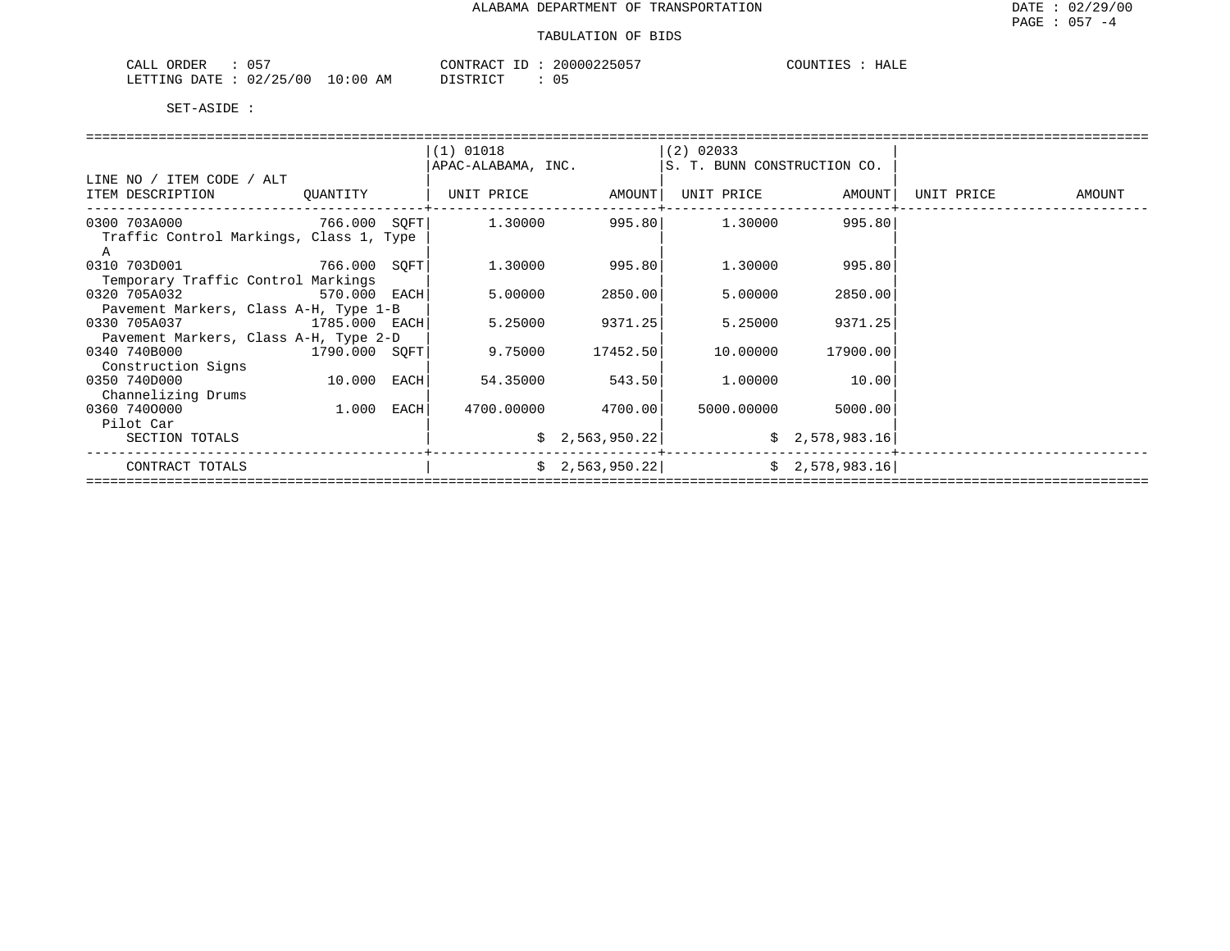| 057<br>ORDER<br>CALL       |            | CONTRACT ID : | 20000225057 | COUNTIES<br>HALE |
|----------------------------|------------|---------------|-------------|------------------|
| : 02/25/00<br>LETTING DATE | $10:00$ AM | DISTRICT      |             |                  |

|                                         |               |      | $(1)$ 01018        |                    | $(2)$ 02033                 |                    |            |        |  |  |  |  |
|-----------------------------------------|---------------|------|--------------------|--------------------|-----------------------------|--------------------|------------|--------|--|--|--|--|
|                                         |               |      | APAC-ALABAMA, INC. |                    | S. T. BUNN CONSTRUCTION CO. |                    |            |        |  |  |  |  |
| LINE NO / ITEM CODE / ALT               |               |      |                    |                    |                             |                    |            |        |  |  |  |  |
|                                         |               |      |                    |                    |                             |                    |            |        |  |  |  |  |
| ITEM DESCRIPTION                        | QUANTITY      |      | UNIT PRICE AMOUNT  |                    | UNIT PRICE AMOUNT           |                    | UNIT PRICE | AMOUNT |  |  |  |  |
| 0300 703A000 766.000 SQFT               |               |      | 1.30000            |                    | 995.80 1.30000 995.80       |                    |            |        |  |  |  |  |
|                                         |               |      |                    |                    |                             |                    |            |        |  |  |  |  |
| Traffic Control Markings, Class 1, Type |               |      |                    |                    |                             |                    |            |        |  |  |  |  |
| A                                       |               |      |                    |                    |                             |                    |            |        |  |  |  |  |
| 0310 703D001                            | 766.000 SOFT  |      | 1.30000            | 995.801            | 1,30000                     | 995.80             |            |        |  |  |  |  |
| Temporary Traffic Control Markings      |               |      |                    |                    |                             |                    |            |        |  |  |  |  |
| 0320 705A032<br>570.000                 |               | EACH | 5,00000            | 2850.00            | 5.00000                     | 2850.00            |            |        |  |  |  |  |
| Pavement Markers, Class A-H, Type 1-B   |               |      |                    |                    |                             |                    |            |        |  |  |  |  |
| 0330 705A037<br>1785.000 EACH           |               |      | 5.25000            | 9371.25            | 5.25000                     | 9371.25            |            |        |  |  |  |  |
| Pavement Markers, Class A-H, Type 2-D   |               |      |                    |                    |                             |                    |            |        |  |  |  |  |
| 0340 740B000                            | 1790.000 SOFT |      | 9.75000            | 17452.50           | 10.00000                    | 17900.00           |            |        |  |  |  |  |
| Construction Signs                      |               |      |                    |                    |                             |                    |            |        |  |  |  |  |
| 0350 740D000                            | 10.000 EACH   |      | 54.35000           | 543.50             | 1,00000                     | 10.00              |            |        |  |  |  |  |
| Channelizing Drums                      |               |      |                    |                    |                             |                    |            |        |  |  |  |  |
| 0360 7400000                            | 1.000 EACH    |      |                    | 4700.00000 4700.00 |                             | 5000.00000 5000.00 |            |        |  |  |  |  |
| Pilot Car                               |               |      |                    |                    |                             |                    |            |        |  |  |  |  |
| SECTION TOTALS                          |               |      |                    | \$2,563,950.22]    |                             | \$2,578,983.16]    |            |        |  |  |  |  |
|                                         |               |      |                    |                    |                             |                    |            |        |  |  |  |  |
| CONTRACT TOTALS                         |               |      |                    | \$2,563,950.22]    |                             | \$2,578,983.16     |            |        |  |  |  |  |
|                                         |               |      |                    |                    |                             |                    |            |        |  |  |  |  |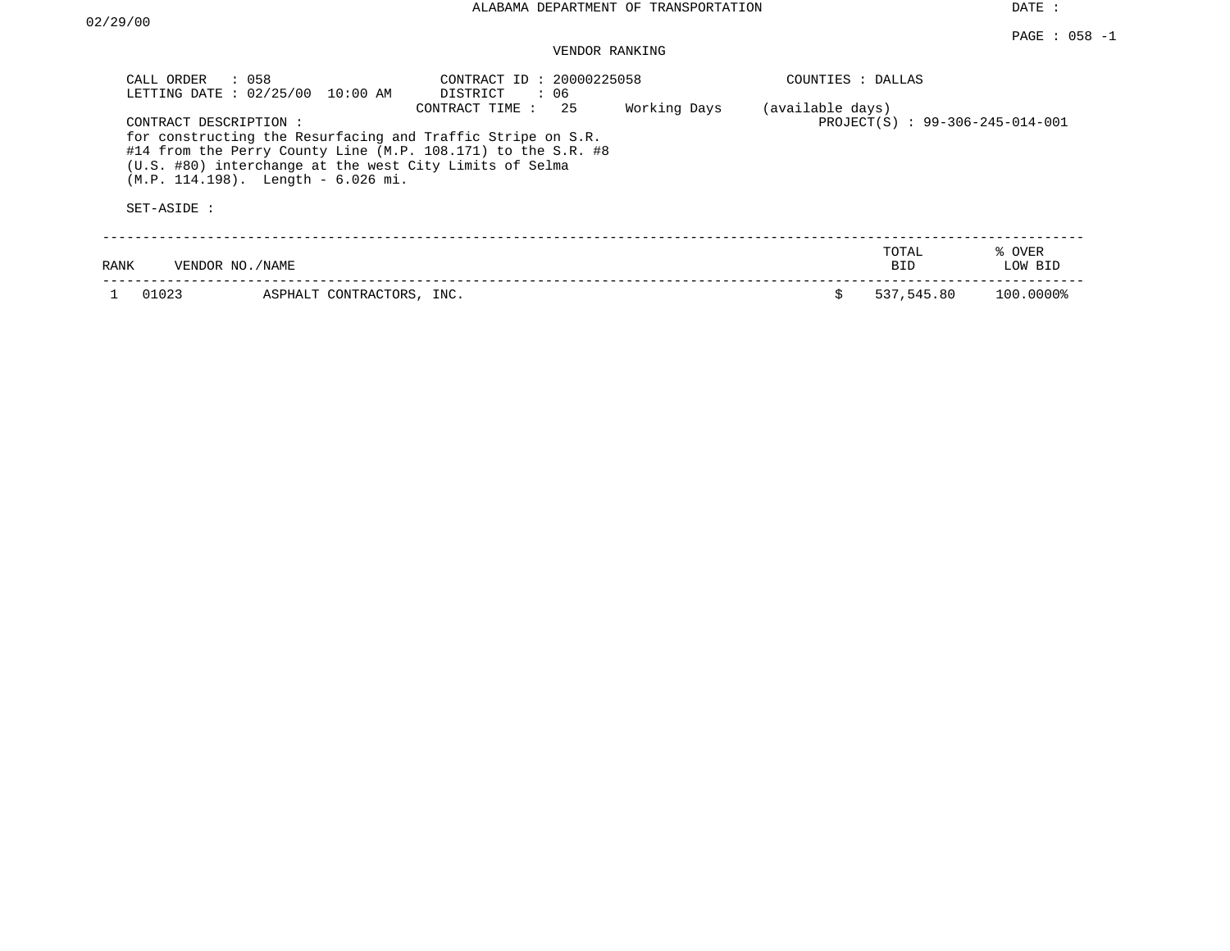| CALL ORDER<br>$\therefore$ 058<br>LETTING DATE : 02/25/00 | $10:00$ AM                                                                                       | CONTRACT ID: 20000225058<br>DISTRICT<br>: 06                                                                                                        |              |                  | COUNTIES : DALLAS              |                   |  |  |
|-----------------------------------------------------------|--------------------------------------------------------------------------------------------------|-----------------------------------------------------------------------------------------------------------------------------------------------------|--------------|------------------|--------------------------------|-------------------|--|--|
| CONTRACT DESCRIPTION:                                     | (U.S. #80) interchange at the west City Limits of Selma<br>$(M.P. 114.198)$ . Length - 6.026 mi. | 25<br>CONTRACT TIME:<br>for constructing the Resurfacing and Traffic Stripe on S.R.<br>#14 from the Perry County Line (M.P. 108.171) to the S.R. #8 | Working Days | (available days) | PROJECT(S): 99-306-245-014-001 |                   |  |  |
| SET-ASIDE :                                               |                                                                                                  |                                                                                                                                                     |              |                  |                                |                   |  |  |
| VENDOR NO. / NAME<br>RANK                                 |                                                                                                  |                                                                                                                                                     |              |                  | TOTAL<br>BID.                  | % OVER<br>LOW BID |  |  |
| 01023                                                     | ASPHALT CONTRACTORS, INC.                                                                        |                                                                                                                                                     |              | S                | 537,545.80                     | 100.0000%         |  |  |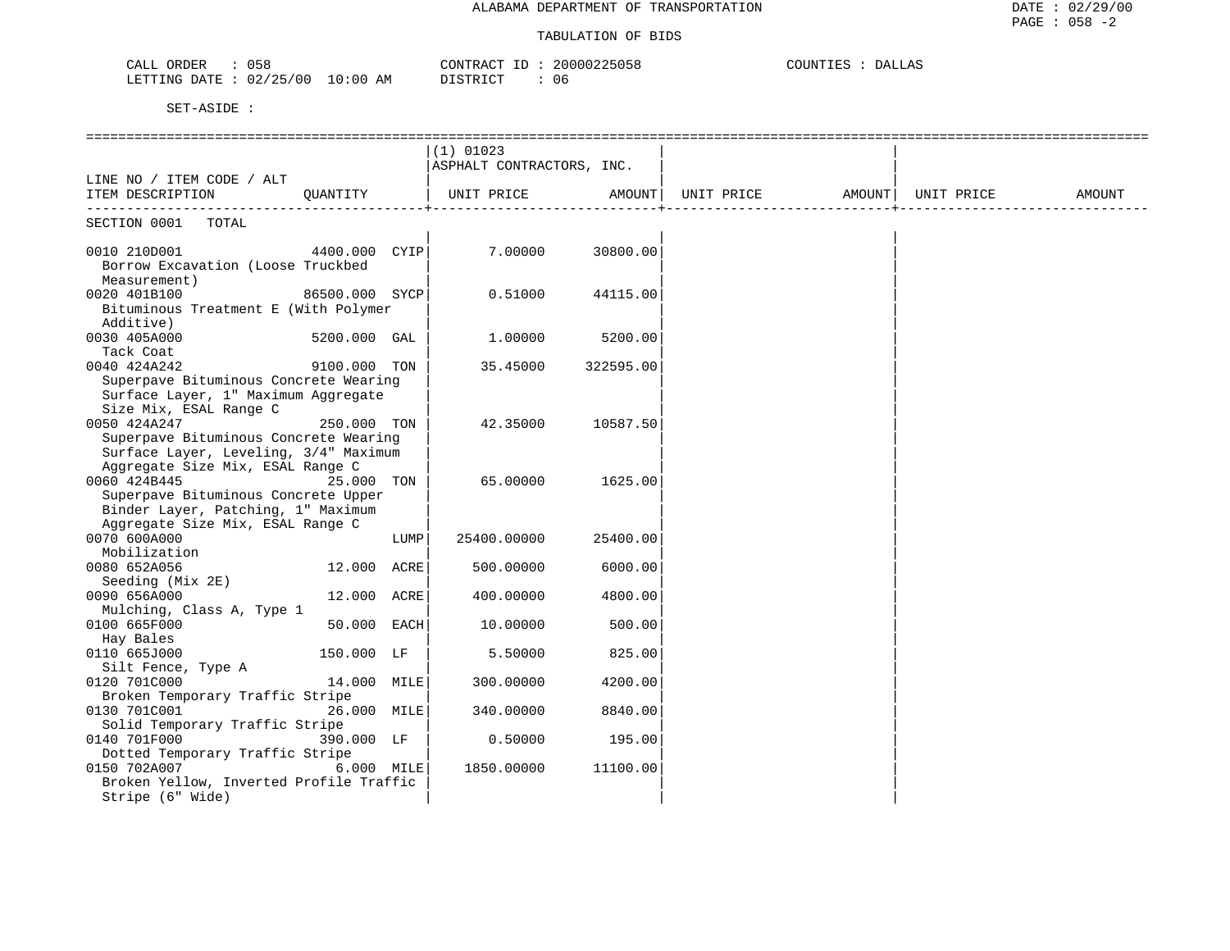| 058<br>ORDER<br>CALL                   | 20000225058<br>CONTRACT ID | COUNTIES<br>DALLAS |
|----------------------------------------|----------------------------|--------------------|
| 02/25/00<br>$10:00$ AM<br>LETTING DATE | DISTRICT<br>06             |                    |

|                                                                                                                               |                |      | $(1)$ 01023<br>ASPHALT CONTRACTORS, INC. |           |                              |  |        |
|-------------------------------------------------------------------------------------------------------------------------------|----------------|------|------------------------------------------|-----------|------------------------------|--|--------|
| LINE NO / ITEM CODE / ALT<br>ITEM DESCRIPTION                                                                                 |                |      | QUANTITY   UNIT PRICE AMOUNT             |           | UNIT PRICE AMOUNT UNIT PRICE |  | AMOUNT |
| SECTION 0001 TOTAL                                                                                                            |                |      |                                          |           |                              |  |        |
| 0010 210D001<br>Borrow Excavation (Loose Truckbed<br>Measurement)                                                             | 4400.000 CYIP  |      | 7.00000                                  | 30800.00  |                              |  |        |
| 0020 401B100<br>Bituminous Treatment E (With Polymer<br>Additive)                                                             | 86500.000 SYCP |      | 0.51000                                  | 44115.00  |                              |  |        |
| 0030 405A000<br>Tack Coat                                                                                                     | 5200.000 GAL   |      | 1,00000                                  | 5200.00   |                              |  |        |
| 0040 424A242<br>Superpave Bituminous Concrete Wearing<br>Surface Layer, 1" Maximum Aggregate<br>Size Mix, ESAL Range C        | 9100.000 TON   |      | 35.45000                                 | 322595.00 |                              |  |        |
| 0050 424A247<br>Superpave Bituminous Concrete Wearing<br>Surface Layer, Leveling, 3/4" Maximum                                | 250.000 TON    |      | 42.35000                                 | 10587.50  |                              |  |        |
| Aggregate Size Mix, ESAL Range C<br>0060 424B445<br>Superpave Bituminous Concrete Upper<br>Binder Layer, Patching, 1" Maximum | 25.000 TON     |      | 65.00000                                 | 1625.00   |                              |  |        |
| Aggregate Size Mix, ESAL Range C<br>0070 600A000<br>Mobilization                                                              |                | LUMP | 25400.00000                              | 25400.00  |                              |  |        |
| 0080 652A056<br>Seeding (Mix 2E)                                                                                              | 12.000 ACRE    |      | 500.00000                                | 6000.00   |                              |  |        |
| 0090 656A000<br>Mulching, Class A, Type 1                                                                                     | 12.000 ACRE    |      | 400.00000                                | 4800.00   |                              |  |        |
| 0100 665F000<br>Hay Bales                                                                                                     | 50.000 EACH    |      | 10.00000                                 | 500.00    |                              |  |        |
| 0110 665J000<br>Silt Fence, Type A                                                                                            | 150.000 LF     |      | 5.50000                                  | 825.00    |                              |  |        |
| 0120 701C000<br>Broken Temporary Traffic Stripe                                                                               | 14.000 MILE    |      | 300.00000                                | 4200.00   |                              |  |        |
| 0130 701C001<br>Solid Temporary Traffic Stripe                                                                                | 26.000 MILE    |      | 340.00000                                | 8840.00   |                              |  |        |
| 0140 701F000                                                                                                                  | 390.000 LF     |      | 0.50000                                  | 195.00    |                              |  |        |
| Dotted Temporary Traffic Stripe<br>0150 702A007<br>Broken Yellow, Inverted Profile Traffic<br>Stripe (6" Wide)                | 6.000 MILE     |      | 1850.00000                               | 11100.00  |                              |  |        |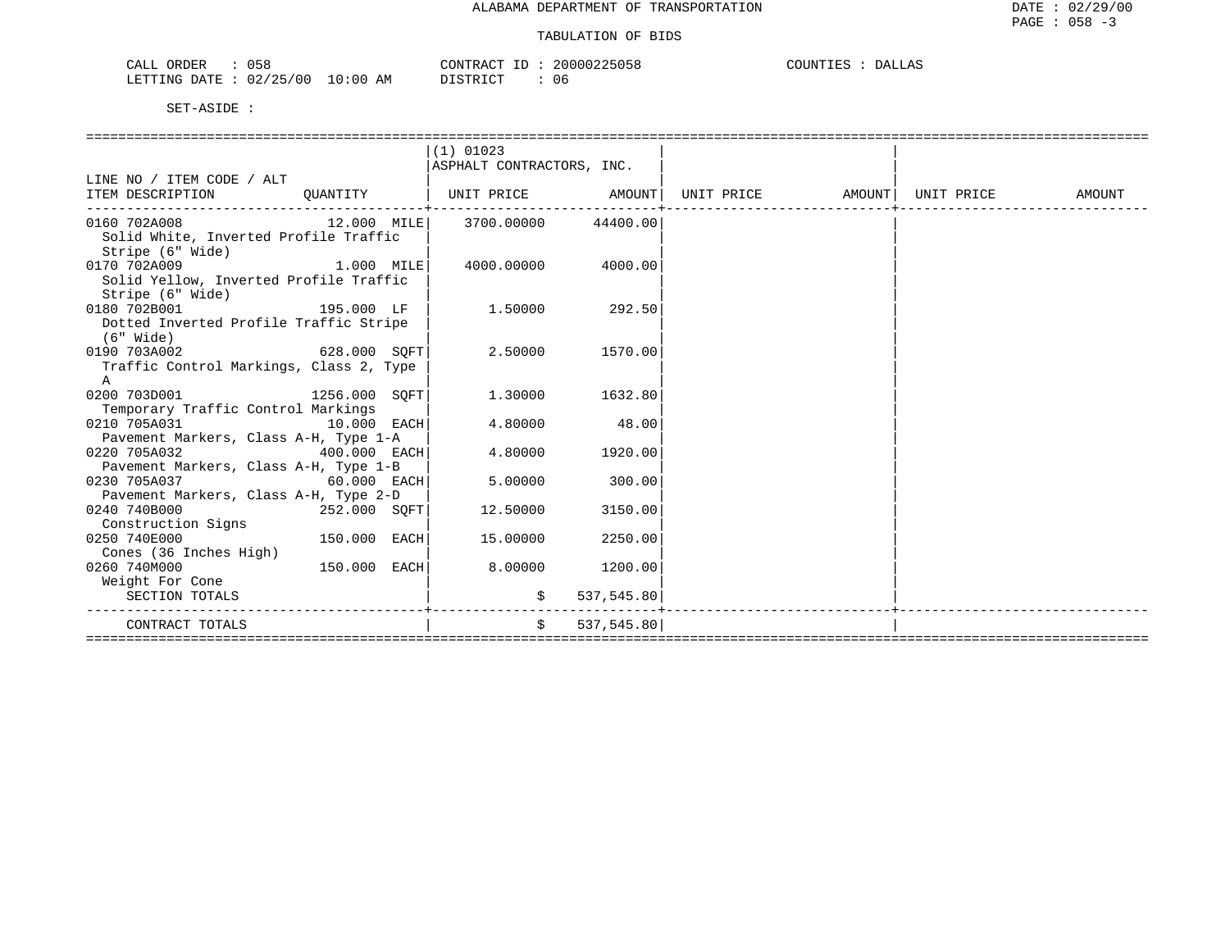| CALL ORDER<br>058               |          | CONTRACT ID: 20000225058 | COUNTIES : DALLAS |  |
|---------------------------------|----------|--------------------------|-------------------|--|
| LETTING DATE: 02/25/00 10:00 AM | DISTRICT | - 06                     |                   |  |

|                                                               |               | $(1)$ 01023               |            |  |  |
|---------------------------------------------------------------|---------------|---------------------------|------------|--|--|
|                                                               |               | ASPHALT CONTRACTORS, INC. |            |  |  |
| LINE NO / ITEM CODE / ALT                                     |               |                           |            |  |  |
| ITEM DESCRIPTION                                              |               |                           |            |  |  |
| $0.160$ 702A008 $0.000$ $12.000$ $MILE$ 3700.00000 $44400.00$ |               |                           |            |  |  |
| Solid White, Inverted Profile Traffic<br>Stripe (6" Wide)     |               |                           |            |  |  |
| 0170 702A009<br>1.000 MILE                                    |               | 4000.00000 4000.00        |            |  |  |
| Solid Yellow, Inverted Profile Traffic<br>Stripe (6" Wide)    |               |                           |            |  |  |
| 0180 702B001<br>195.000 LF                                    |               | $1.50000$ 292.50          |            |  |  |
| Dotted Inverted Profile Traffic Stripe                        |               |                           |            |  |  |
| (6" Wide)                                                     |               |                           |            |  |  |
| 628.000 SOFT<br>0190 703A002                                  |               | 2.50000                   | 1570.00    |  |  |
| Traffic Control Markings, Class 2, Type                       |               |                           |            |  |  |
| A                                                             |               |                           |            |  |  |
| 0200 703D001 1256.000 SOFT                                    |               | 1,30000                   | 1632.80    |  |  |
| Temporary Traffic Control Markings                            |               |                           |            |  |  |
| 0210 705A031<br>$10.000$ EACH                                 |               | 4.80000                   | 48.00      |  |  |
| Pavement Markers, Class A-H, Type 1-A                         |               |                           |            |  |  |
| 0220 705A032<br>$400.000$ EACH                                |               | 4.80000                   | 1920.00    |  |  |
| Pavement Markers, Class A-H, Type 1-B                         |               |                           |            |  |  |
| 0230 705A037                                                  | $60.000$ EACH | 5.00000                   | 300.00     |  |  |
| Pavement Markers, Class A-H, Type 2-D                         |               |                           |            |  |  |
| 0240 740B000<br>252.000 SOFT                                  |               | 12.50000                  | 3150.00    |  |  |
| Construction Signs                                            |               |                           |            |  |  |
| 0250 740E000<br>150.000 EACH                                  |               | 15.00000                  | 2250.00    |  |  |
| Cones (36 Inches High)                                        |               |                           |            |  |  |
| 150.000 EACH<br>0260 740M000                                  |               | 8.00000                   | 1200.00    |  |  |
| Weight For Cone                                               |               |                           |            |  |  |
| SECTION TOTALS                                                |               | \$<br>------------------- | 537,545.80 |  |  |
| CONTRACT TOTALS                                               |               | $\mathsf{S}$              | 537,545.80 |  |  |
|                                                               |               |                           |            |  |  |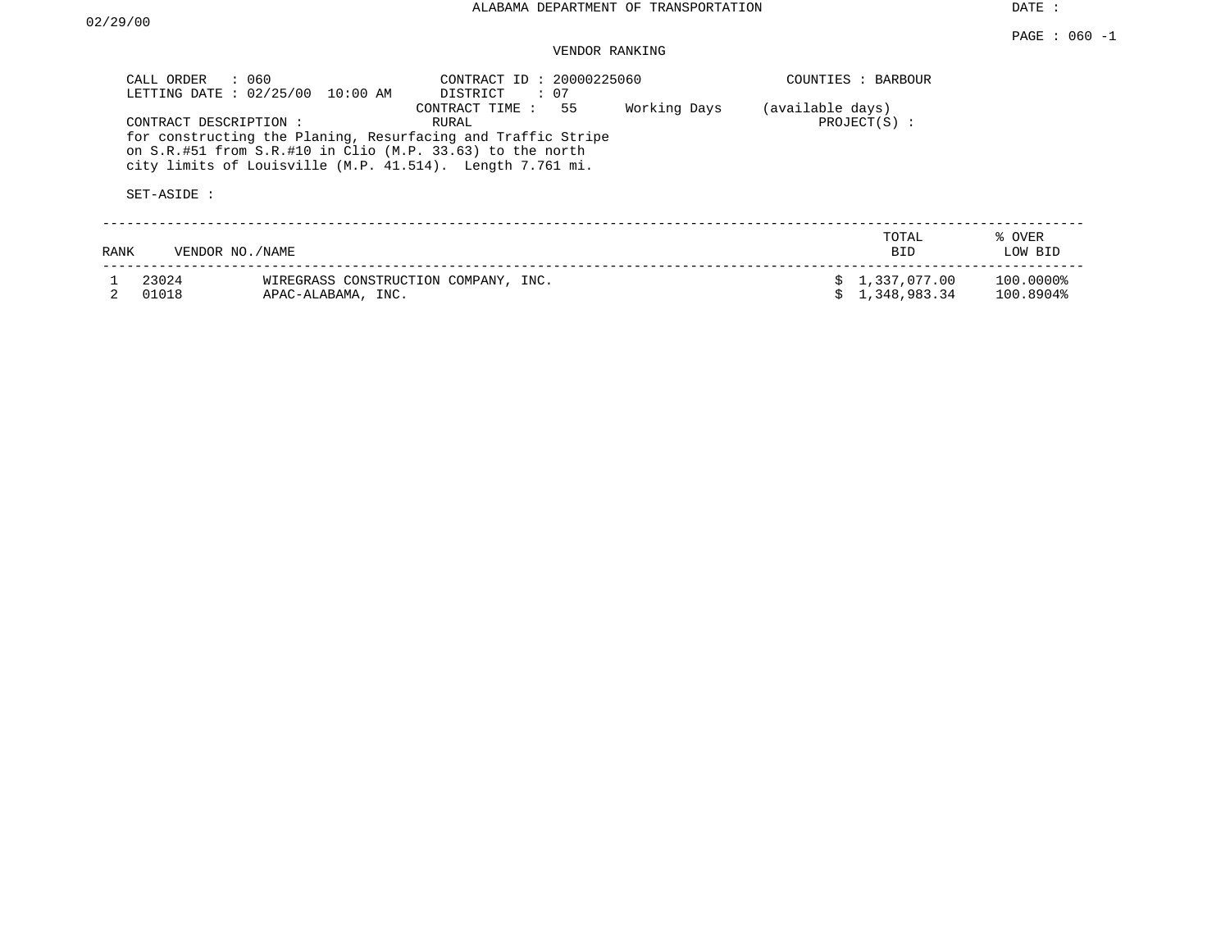| CALL ORDER     | : 060<br>LETTING DATE : 02/25/00 10:00 AM                                                                                                                                                                       | CONTRACT ID: 20000225060<br>DISTRICT<br>: 07 |              |                  | COUNTIES : BARBOUR           |                        |
|----------------|-----------------------------------------------------------------------------------------------------------------------------------------------------------------------------------------------------------------|----------------------------------------------|--------------|------------------|------------------------------|------------------------|
|                | CONTRACT DESCRIPTION:<br>for constructing the Planing, Resurfacing and Traffic Stripe<br>on S.R.#51 from S.R.#10 in Clio (M.P. 33.63) to the north<br>city limits of Louisville (M.P. 41.514). Length 7.761 mi. | 55<br>CONTRACT TIME :<br>RURAL               | Working Days | (available days) | $PROJECT(S)$ :               |                        |
| SET-ASIDE :    |                                                                                                                                                                                                                 |                                              |              |                  |                              |                        |
| RANK           | VENDOR NO. / NAME                                                                                                                                                                                               |                                              |              |                  | TOTAL<br>BID                 | % OVER<br>LOW BID      |
| 23024<br>01018 | APAC-ALABAMA, INC.                                                                                                                                                                                              | WIREGRASS CONSTRUCTION COMPANY, INC.         |              |                  | 1,337,077.00<br>1,348,983.34 | 100.0000%<br>100.8904% |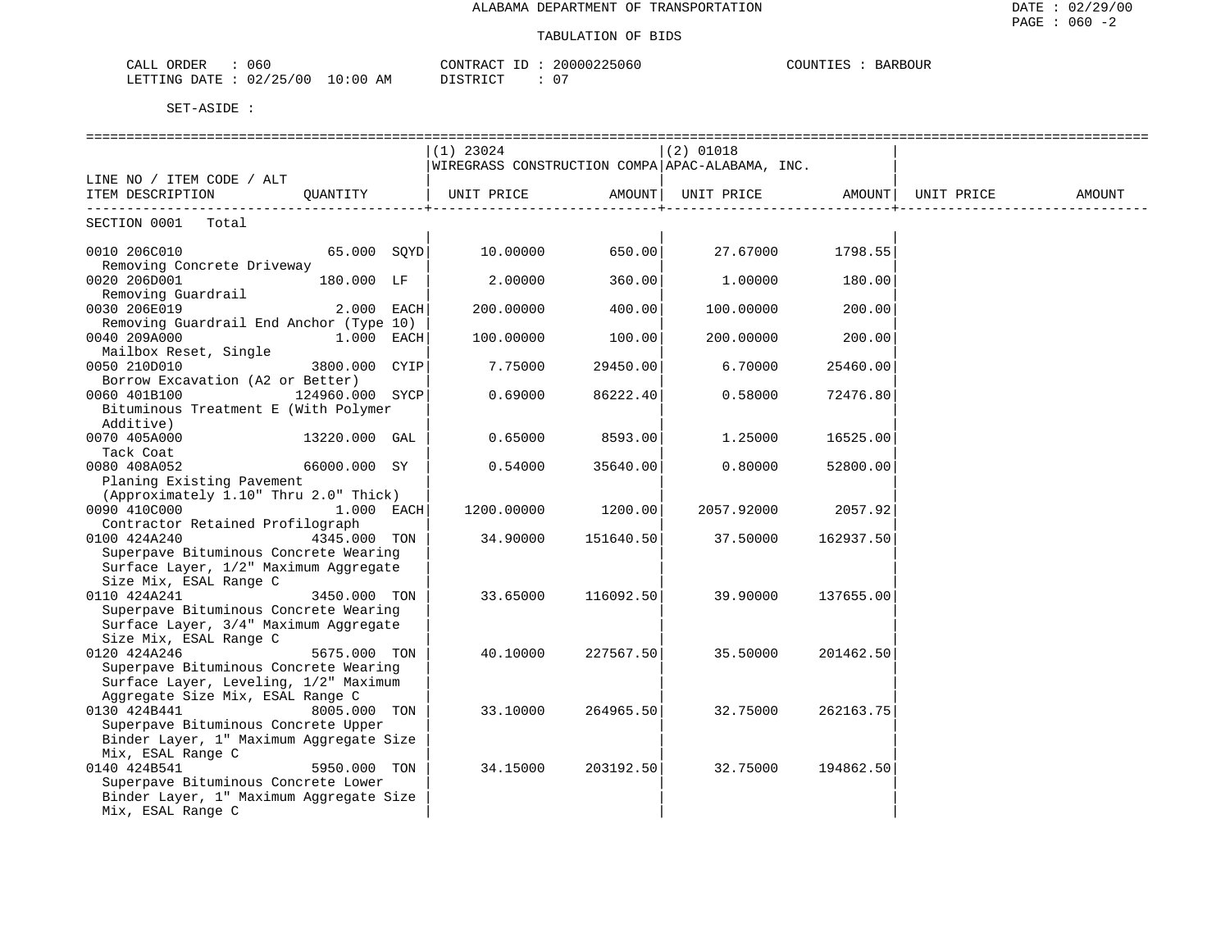| 060<br>ORDER<br>CALL     |             | CONTRACT<br>.D | 20000225060 | COUNTIES<br>OUR<br>RARR |
|--------------------------|-------------|----------------|-------------|-------------------------|
| 02/25/00<br>LETTING DATE | 10:00<br>AΜ | DISTRICT       |             |                         |

|                                                                           |               | $(1)$ 23024<br>WIREGRASS CONSTRUCTION COMPA APAC-ALABAMA, INC. |           | $(2)$ 01018       |                  |            |        |
|---------------------------------------------------------------------------|---------------|----------------------------------------------------------------|-----------|-------------------|------------------|------------|--------|
| LINE NO / ITEM CODE / ALT                                                 |               |                                                                |           |                   |                  |            |        |
| ITEM DESCRIPTION QUANTITY                                                 |               | UNIT PRICE AMOUNT                                              |           | UNIT PRICE AMOUNT |                  | UNIT PRICE | AMOUNT |
| SECTION 0001 Total                                                        |               |                                                                |           |                   |                  |            |        |
| 0010 206C010                                                              | $65.000$ SOYD | 10.00000 650.00                                                |           |                   | 27.67000 1798.55 |            |        |
| Removing Concrete Driveway                                                |               |                                                                |           |                   |                  |            |        |
| 0020 206D001<br>Removing Guardrail                                        | 180.000 LF    | 2.00000                                                        | 360.00    | 1.00000           | 180.00           |            |        |
| 0030 206E019                                                              | $2.000$ EACH  | 200.00000                                                      | 400.00    | 100.00000         | 200.00           |            |        |
| Removing Guardrail End Anchor (Type 10)                                   |               |                                                                |           |                   |                  |            |        |
| 0040 209A000                                                              | 1.000 EACH    | 100.00000                                                      | 100.00    | 200.00000         | 200.00           |            |        |
| Mailbox Reset, Single                                                     |               |                                                                |           |                   |                  |            |        |
| 0050 210D010                                                              | 3800.000 CYIP | 7.75000                                                        | 29450.00  | 6.70000           | 25460.00         |            |        |
| Borrow Excavation (A2 or Better)                                          |               |                                                                |           |                   |                  |            |        |
| 124960.000 SYCP<br>0060 401B100                                           |               | 0.69000                                                        | 86222.40  | 0.58000           | 72476.80         |            |        |
| Bituminous Treatment E (With Polymer                                      |               |                                                                |           |                   |                  |            |        |
| Additive)                                                                 |               |                                                                |           |                   |                  |            |        |
| 0070 405A000                                                              | 13220.000 GAL | 0.65000                                                        | 8593.00   | 1.25000           | 16525.00         |            |        |
| Tack Coat                                                                 |               |                                                                |           |                   |                  |            |        |
| 0080 408A052                                                              | 66000.000 SY  | 0.54000                                                        | 35640.00  | 0.80000           | 52800.00         |            |        |
| Planing Existing Pavement<br>(Approximately 1.10" Thru 2.0" Thick)        |               |                                                                |           |                   |                  |            |        |
| 0090 410C000                                                              | $1.000$ EACH  | 1200.00000                                                     | 1200.00   | 2057.92000        | 2057.92          |            |        |
| Contractor Retained Profilograph                                          |               |                                                                |           |                   |                  |            |        |
| 0100 424A240                                                              | 4345.000 TON  | 34.90000                                                       | 151640.50 | 37.50000          | 162937.50        |            |        |
| Superpave Bituminous Concrete Wearing                                     |               |                                                                |           |                   |                  |            |        |
| Surface Layer, 1/2" Maximum Aggregate                                     |               |                                                                |           |                   |                  |            |        |
| Size Mix, ESAL Range C                                                    |               |                                                                |           |                   |                  |            |        |
| 0110 424A241                                                              | 3450.000 TON  | 33.65000                                                       | 116092.50 | 39.90000          | 137655.00        |            |        |
| Superpave Bituminous Concrete Wearing                                     |               |                                                                |           |                   |                  |            |        |
| Surface Layer, 3/4" Maximum Aggregate                                     |               |                                                                |           |                   |                  |            |        |
| Size Mix, ESAL Range C                                                    |               |                                                                |           |                   |                  |            |        |
| 0120 424A246                                                              | 5675.000 TON  | 40.10000                                                       | 227567.50 | 35.50000          | 201462.50        |            |        |
| Superpave Bituminous Concrete Wearing                                     |               |                                                                |           |                   |                  |            |        |
| Surface Layer, Leveling, 1/2" Maximum<br>Aggregate Size Mix, ESAL Range C |               |                                                                |           |                   |                  |            |        |
| 0130 424B441                                                              | 8005.000 TON  | 33.10000                                                       | 264965.50 | 32.75000          | 262163.75        |            |        |
| Superpave Bituminous Concrete Upper                                       |               |                                                                |           |                   |                  |            |        |
| Binder Layer, 1" Maximum Aggregate Size                                   |               |                                                                |           |                   |                  |            |        |
| Mix, ESAL Range C                                                         |               |                                                                |           |                   |                  |            |        |
| 0140 424B541                                                              | 5950.000 TON  | 34.15000                                                       | 203192.50 | 32.75000          | 194862.50        |            |        |
| Superpave Bituminous Concrete Lower                                       |               |                                                                |           |                   |                  |            |        |
| Binder Layer, 1" Maximum Aggregate Size                                   |               |                                                                |           |                   |                  |            |        |
| Mix, ESAL Range C                                                         |               |                                                                |           |                   |                  |            |        |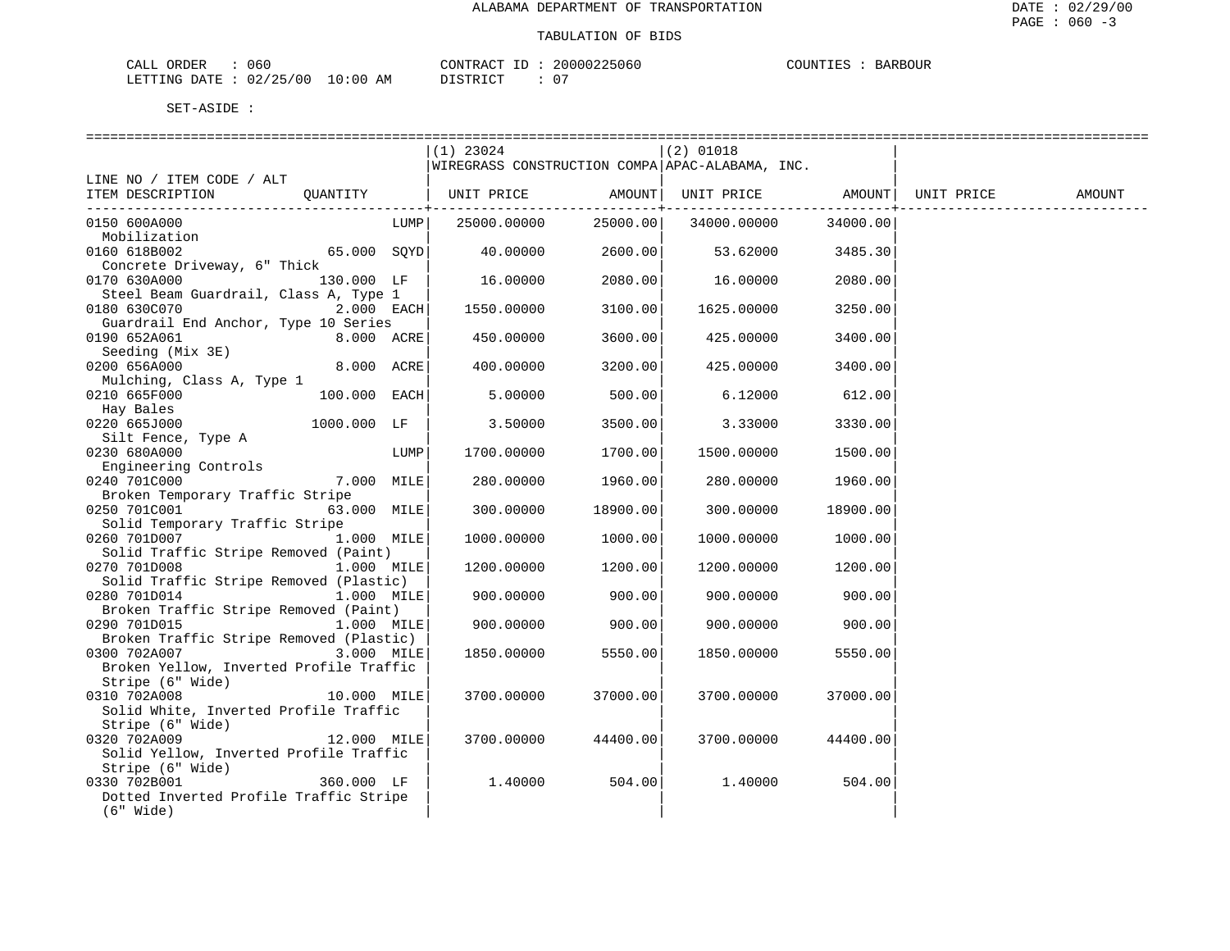| CALI<br>ORDER          | 060 |               | 'ONTRACT      | ΤD | 20000225060 | COUNTIES | <b>BARBOUR</b> |
|------------------------|-----|---------------|---------------|----|-------------|----------|----------------|
| LETTING DATE: 02/25/00 |     | LO : 00<br>ΑM | $T$ דר $\sim$ |    |             |          |                |

|                                         |                | $(1)$ 23024                  |          | $(2)$ 01018                                     |          |            |        |
|-----------------------------------------|----------------|------------------------------|----------|-------------------------------------------------|----------|------------|--------|
|                                         |                |                              |          | WIREGRASS CONSTRUCTION COMPA APAC-ALABAMA, INC. |          |            |        |
| LINE NO / ITEM CODE / ALT               |                |                              |          |                                                 |          |            |        |
| ITEM DESCRIPTION                        |                | QUANTITY   UNIT PRICE AMOUNT |          | UNIT PRICE AMOUNT                               |          | UNIT PRICE | AMOUNT |
|                                         |                |                              |          | ---------+---------                             |          |            |        |
| 0150 600A000                            | LUMP           | 25000.00000                  | 25000.00 | 34000.00000                                     | 34000.00 |            |        |
| Mobilization                            |                |                              |          |                                                 |          |            |        |
| 0160 618B002                            | $65.000$ SOYD  | 40.00000                     | 2600.00  | 53.62000                                        | 3485.30  |            |        |
| Concrete Driveway, 6" Thick             |                |                              |          |                                                 |          |            |        |
| 0170 630A000                            | 130.000 LF     | 16.00000                     | 2080.00  | 16.00000                                        | 2080.00  |            |        |
| Steel Beam Guardrail, Class A, Type 1   |                |                              |          |                                                 |          |            |        |
| 0180 630C070 and 0180 630C070           | $2.000$ EACH   | 1550.00000                   | 3100.00  | 1625.00000                                      | 3250.00  |            |        |
| Guardrail End Anchor, Type 10 Series    |                |                              |          |                                                 |          |            |        |
| 0190 652A061                            | $8.000$ $ACRE$ | 450.00000                    | 3600.00  | 425.00000                                       | 3400.00  |            |        |
| Seeding (Mix 3E)                        |                |                              |          |                                                 |          |            |        |
| 0200 656A000                            | 8.000 ACRE     | 400.00000                    | 3200.00  | 425.00000                                       | 3400.00  |            |        |
| Mulching, Class A, Type 1               |                |                              |          |                                                 |          |            |        |
| 0210 665F000                            | $100.000$ EACH | 5.00000                      | 500.00   | 6.12000                                         | 612.00   |            |        |
| Hay Bales                               |                |                              |          |                                                 |          |            |        |
| 0220 665J000                            | 1000.000 LF    | 3.50000                      | 3500.00  | 3.33000                                         | 3330.00  |            |        |
| Silt Fence, Type A                      |                |                              |          |                                                 |          |            |        |
| 0230 680A000                            | LUMP           | 1700.00000                   | 1700.00  | 1500.00000                                      | 1500.00  |            |        |
| Engineering Controls                    |                |                              |          |                                                 |          |            |        |
| 0240 701C000                            | 7.000 MILE     | 280.00000                    | 1960.00  | 280.00000                                       | 1960.00  |            |        |
| Broken Temporary Traffic Stripe         |                |                              |          |                                                 |          |            |        |
| 0250 701C001                            | 63.000 MILE    | 300.00000                    | 18900.00 | 300.00000                                       | 18900.00 |            |        |
| Solid Temporary Traffic Stripe          |                |                              |          |                                                 |          |            |        |
| 0260 701D007                            | 1.000 MILE     | 1000.00000                   | 1000.00  | 1000.00000                                      | 1000.00  |            |        |
| Solid Traffic Stripe Removed (Paint)    |                |                              |          |                                                 |          |            |        |
| 0270 701D008                            | $1.000$ MILE   | 1200.00000                   | 1200.00  | 1200.00000                                      | 1200.00  |            |        |
| Solid Traffic Stripe Removed (Plastic)  |                |                              |          |                                                 |          |            |        |
| 0280 701D014                            | $1.000$ MILE   | 900.00000                    | 900.00   | 900.00000                                       | 900.00   |            |        |
| Broken Traffic Stripe Removed (Paint)   |                |                              |          |                                                 |          |            |        |
| 0290 701D015                            | $1.000$ MILE   | 900.00000                    | 900.00   | 900.00000                                       | 900.00   |            |        |
| Broken Traffic Stripe Removed (Plastic) |                |                              |          |                                                 |          |            |        |
| 0300 702A007                            | 3.000 MILE     | 1850.00000                   | 5550.00  | 1850.00000                                      | 5550.00  |            |        |
| Broken Yellow, Inverted Profile Traffic |                |                              |          |                                                 |          |            |        |
| Stripe (6" Wide)                        |                |                              |          |                                                 |          |            |        |
| 0310 702A008                            | 10.000 MILE    | 3700.00000                   | 37000.00 | 3700.00000                                      | 37000.00 |            |        |
| Solid White, Inverted Profile Traffic   |                |                              |          |                                                 |          |            |        |
| Stripe (6" Wide)                        |                |                              |          |                                                 |          |            |        |
| 0320 702A009                            | 12.000 MILE    | 3700.00000                   | 44400.00 | 3700.00000                                      | 44400.00 |            |        |
| Solid Yellow, Inverted Profile Traffic  |                |                              |          |                                                 |          |            |        |
| Stripe (6" Wide)                        |                |                              |          |                                                 |          |            |        |
| 0330 702B001                            | 360.000 LF     | 1.40000                      | 504.00   | 1.40000                                         | 504.00   |            |        |
| Dotted Inverted Profile Traffic Stripe  |                |                              |          |                                                 |          |            |        |
| $(6"$ Wide)                             |                |                              |          |                                                 |          |            |        |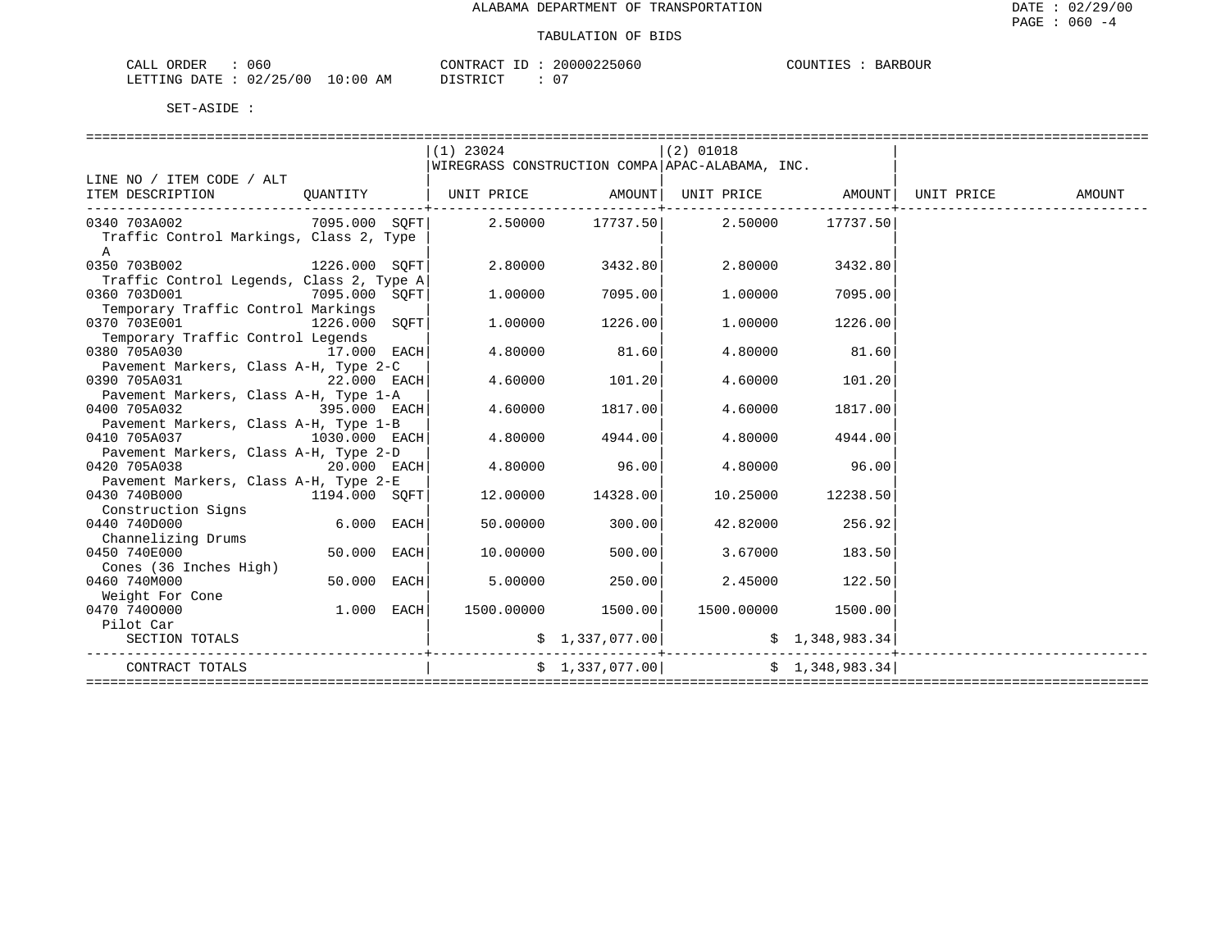| ORDER<br>CALI          | 060 |                         | CONTRACT  | TD. | 20000225060 | COUNTIES |  | <b>BARBOUR</b> |
|------------------------|-----|-------------------------|-----------|-----|-------------|----------|--|----------------|
| LETTING DATE: 02/25/00 |     | LO : 00<br>AM<br>$\sim$ | T STR TOT |     |             |          |  |                |

|                                                                             |               | $(1)$ 23024 |                   | $(2)$ 01018                                     |                   |               |
|-----------------------------------------------------------------------------|---------------|-------------|-------------------|-------------------------------------------------|-------------------|---------------|
|                                                                             |               |             |                   | WIREGRASS CONSTRUCTION COMPA APAC-ALABAMA, INC. |                   |               |
| LINE NO / ITEM CODE / ALT                                                   |               |             |                   |                                                 |                   |               |
| ITEM DESCRIPTION QUANTITY   UNIT PRICE AMOUNT UNIT PRICE AMOUNT UNIT PRICE  |               |             |                   |                                                 |                   | <b>AMOUNT</b> |
|                                                                             |               |             |                   |                                                 |                   |               |
| $0.340$ 703A002 $0.7095.000$ SOFT $0.50000$ $17737.50$ $2.50000$ $17737.50$ |               |             |                   |                                                 |                   |               |
| Traffic Control Markings, Class 2, Type                                     |               |             |                   |                                                 |                   |               |
| $\mathbb{A}$                                                                |               |             |                   |                                                 |                   |               |
| 0350 703B002 1226.000 SOFT                                                  |               | 2.80000     | 3432.80           | 2.80000                                         | 3432.80           |               |
| Traffic Control Legends, Class 2, Type A                                    |               |             |                   |                                                 |                   |               |
| 0360 703D001<br>7095.000 SQFT                                               |               | 1,00000     | 7095.00           | 1,00000                                         | 7095.00           |               |
| Temporary Traffic Control Markings                                          |               |             |                   |                                                 |                   |               |
| 0370 703E001 1226.000 SQFT                                                  |               | 1,00000     | 1226.00           |                                                 | 1.00000 1226.00   |               |
| Temporary Traffic Control Legends                                           |               |             |                   |                                                 |                   |               |
| 0380 705A030<br>17.000 EACH                                                 |               | 4.80000     | 81.60             | 4.80000                                         | 81.60             |               |
| Pavement Markers, Class A-H, Type 2-C                                       |               |             |                   |                                                 |                   |               |
| 0390 705A031<br>$22.000$ EACH                                               |               | 4.60000     | 101.20            | 4.60000                                         | 101.20            |               |
| Pavement Markers, Class A-H, Type 1-A                                       |               |             |                   |                                                 |                   |               |
| 395.000 EACH<br>0400 705A032                                                |               | 4.60000     | 1817.00           | 4.60000                                         | 1817.00           |               |
| Pavement Markers, Class A-H, Type 1-B                                       |               |             |                   |                                                 |                   |               |
| 0410 705A037                                                                | 1030.000 EACH | 4.80000     | 4944.00           |                                                 | 4.80000 4944.00   |               |
| Pavement Markers, Class A-H, Type 2-D                                       |               |             |                   |                                                 |                   |               |
| 0420 705A038                                                                | $20.000$ EACH | 4.80000     | 96.00             | 4.80000                                         | 96.00             |               |
| Pavement Markers, Class A-H, Type 2-E<br>0430 740B000                       | 1194.000 SOFT |             | 12.00000 14328.00 |                                                 | 10.25000 12238.50 |               |
| Construction Signs                                                          |               |             |                   |                                                 |                   |               |
| 0440 740D000                                                                | 6.000 EACH    | 50.00000    | 300.00            | 42.82000                                        | 256.92            |               |
| Channelizing Drums                                                          |               |             |                   |                                                 |                   |               |
| 0450 740E000                                                                | 50.000 EACH   | 10.00000    | 500.00            | 3.67000                                         | 183.50            |               |
| Cones (36 Inches High)                                                      |               |             |                   |                                                 |                   |               |
| 0460 740M000                                                                | 50.000 EACH   | 5.00000     | 250.00            | 2.45000                                         | 122.50            |               |
| Weight For Cone                                                             |               |             |                   |                                                 |                   |               |
| 0470 7400000                                                                | $1.000$ EACH  |             |                   | $1500.00000$ $1500.00$ $1500.0000$ $1500.00$    |                   |               |
| Pilot Car                                                                   |               |             |                   |                                                 |                   |               |
| SECTION TOTALS                                                              |               |             | \$1,337,077.00]   |                                                 | \$1,348,983.34    |               |
|                                                                             |               |             |                   |                                                 |                   |               |
| CONTRACT TOTALS                                                             |               |             | \$1,337,077.00    |                                                 | \$1,348,983.34    |               |
|                                                                             |               |             |                   |                                                 |                   |               |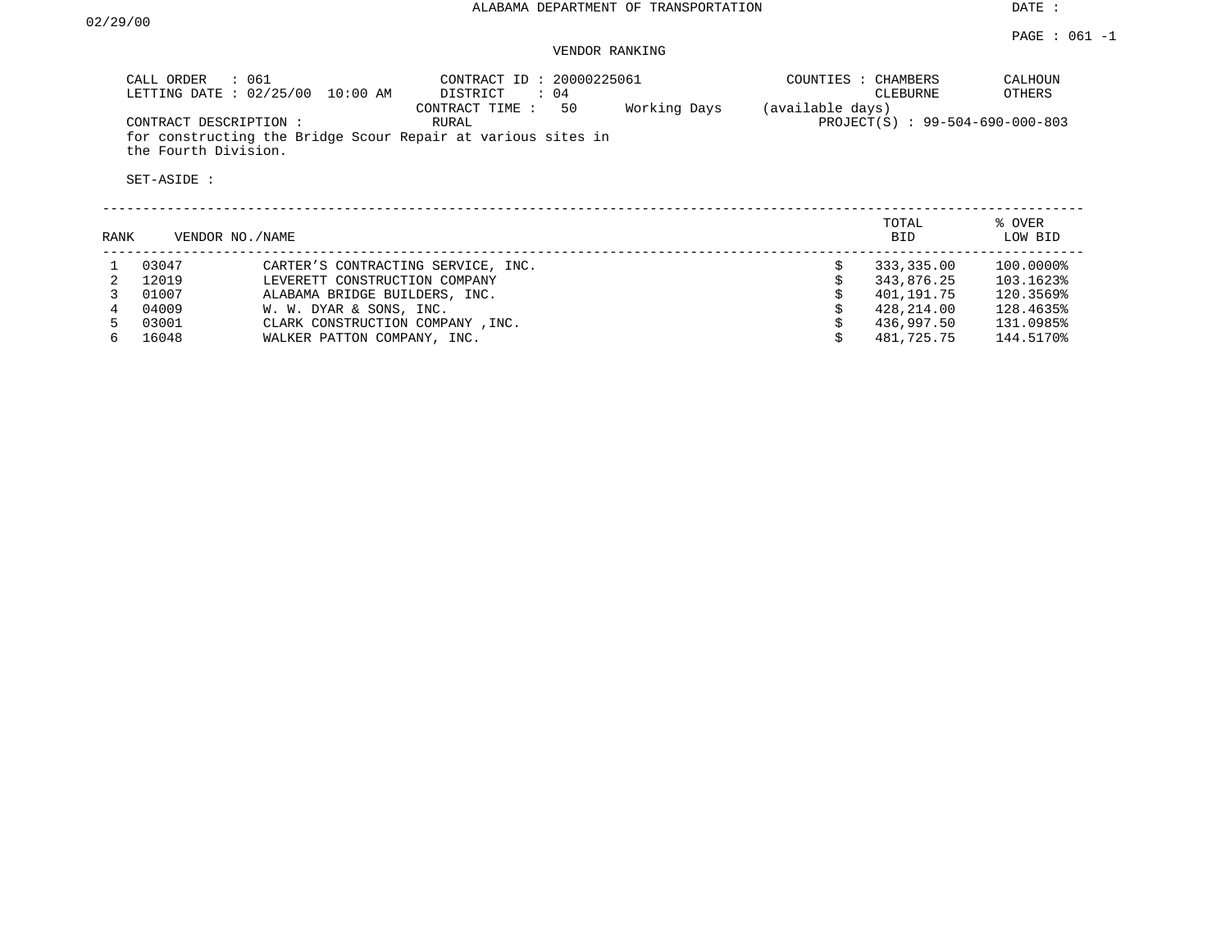#### PAGE : 061 -1 VENDOR RANKING

| : 061<br>CALL ORDER<br>LETTING DATE: 02/25/00<br>10:00 AM                                                     | CONTRACT ID: 20000225061<br>DISTRICT<br>$\colon$ 04<br>50<br>Working Days<br>CONTRACT TIME: | CALHOUN<br>COUNTIES : CHAMBERS<br>OTHERS<br>CLEBURNE<br>(available days) |
|---------------------------------------------------------------------------------------------------------------|---------------------------------------------------------------------------------------------|--------------------------------------------------------------------------|
| CONTRACT DESCRIPTION:<br>for constructing the Bridge Scour Repair at various sites in<br>the Fourth Division. | RURAL                                                                                       | PROJECT(S) : 99-504-690-000-803                                          |
| SET-ASIDE:                                                                                                    |                                                                                             |                                                                          |
|                                                                                                               |                                                                                             |                                                                          |

| RANK | VENDOR NO./NAME |                                    | TOTAL<br><b>BID</b> | % OVER<br>LOW BID |
|------|-----------------|------------------------------------|---------------------|-------------------|
|      | 03047           | CARTER'S CONTRACTING SERVICE, INC. | 333,335.00          | 100.0000%         |
|      | 12019           | LEVERETT CONSTRUCTION COMPANY      | 343,876.25          | 103.1623%         |
|      | 01007           | ALABAMA BRIDGE BUILDERS, INC.      | 401,191.75          | 120.3569%         |
|      | 04009           | W. W. DYAR & SONS, INC.            | 428,214.00          | 128.4635%         |
|      | 03001           | CLARK CONSTRUCTION COMPANY, INC.   | 436,997.50          | 131.0985%         |
|      | 16048           | WALKER PATTON COMPANY, INC.        | 481,725.75          | 144.5170%         |
|      |                 |                                    |                     |                   |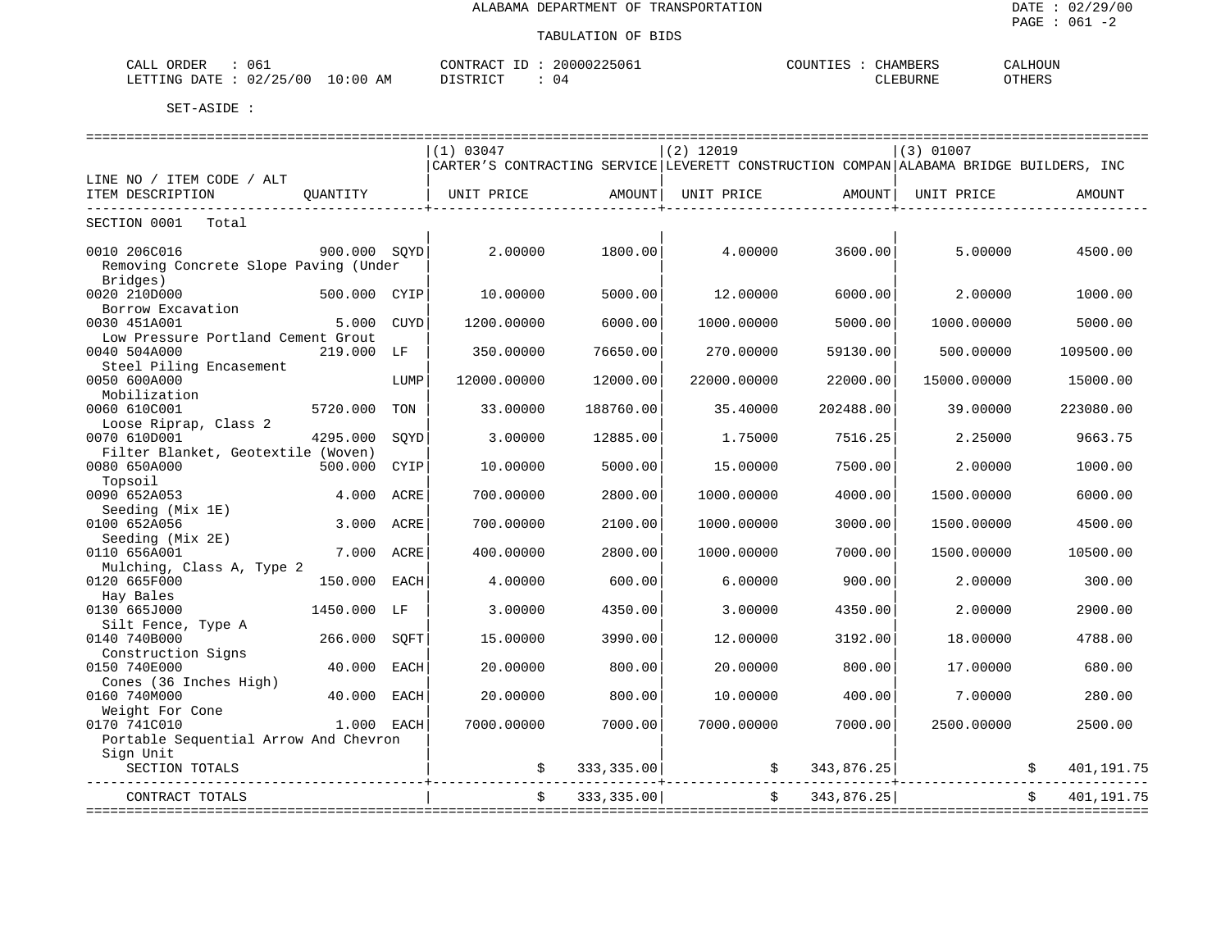| 06.<br>CALL<br>ORDER                              | 20000225061<br>CONTRACT<br>T | <b>CHAMBERS</b><br>COUNTIES | CALHOUN       |
|---------------------------------------------------|------------------------------|-----------------------------|---------------|
| 10:00<br>02/25/00<br>LETTING<br>AM<br><b>DATE</b> | DISTRICT<br>U 4              | CLEBURNE                    | <b>CTHERS</b> |

|                                       |              |             | (1) 03047                                                                              |                             | $(2)$ 12019 |                       | (3) 01007   |            |
|---------------------------------------|--------------|-------------|----------------------------------------------------------------------------------------|-----------------------------|-------------|-----------------------|-------------|------------|
|                                       |              |             | CARTER'S CONTRACTING SERVICE LEVERETT CONSTRUCTION COMPAN ALABAMA BRIDGE BUILDERS, INC |                             |             |                       |             |            |
| LINE NO / ITEM CODE / ALT             |              |             |                                                                                        |                             |             |                       |             |            |
| ITEM DESCRIPTION                      | OUANTITY     |             | UNIT PRICE AMOUNT                                                                      |                             | UNIT PRICE  | AMOUNT                | UNIT PRICE  | AMOUNT     |
| ------------------------------        |              |             |                                                                                        | ------------------+-------- |             | _____________________ |             |            |
| SECTION 0001<br>Total                 |              |             |                                                                                        |                             |             |                       |             |            |
|                                       |              |             |                                                                                        |                             |             |                       |             |            |
| 0010 206C016                          | 900.000 SOYD |             | 2,00000                                                                                | 1800.00                     | 4.00000     | 3600.00               | 5.00000     | 4500.00    |
| Removing Concrete Slope Paving (Under |              |             |                                                                                        |                             |             |                       |             |            |
| Bridges)                              |              |             |                                                                                        |                             |             |                       |             |            |
| 0020 210D000                          | 500.000      | CYIP        | 10.00000                                                                               | 5000.00                     | 12,00000    | 6000.00               | 2.00000     | 1000.00    |
| Borrow Excavation                     |              |             |                                                                                        |                             |             |                       |             |            |
| 0030 451A001                          | 5.000        | CUYD        | 1200.00000                                                                             | 6000.00                     | 1000.00000  | 5000.00               | 1000.00000  | 5000.00    |
| Low Pressure Portland Cement Grout    |              |             |                                                                                        |                             |             |                       |             |            |
| 0040 504A000                          | 219.000      | LF          | 350.00000                                                                              | 76650.00                    | 270.00000   | 59130.00              | 500.00000   | 109500.00  |
| Steel Piling Encasement               |              |             |                                                                                        |                             |             |                       |             |            |
|                                       |              |             |                                                                                        |                             |             |                       |             |            |
| 0050 600A000                          |              | LUMP        | 12000.00000                                                                            | 12000.00                    | 22000.00000 | 22000.00              | 15000.00000 | 15000.00   |
| Mobilization                          |              |             |                                                                                        |                             |             |                       |             |            |
| 0060 610C001                          | 5720.000     | TON         | 33.00000                                                                               | 188760.00                   | 35.40000    | 202488.00             | 39.00000    | 223080.00  |
| Loose Riprap, Class 2                 |              |             |                                                                                        |                             |             |                       |             |            |
| 0070 610D001                          | 4295.000     | SOYD        | 3.00000                                                                                | 12885.00                    | 1.75000     | 7516.25               | 2.25000     | 9663.75    |
| Filter Blanket, Geotextile (Woven)    |              |             |                                                                                        |                             |             |                       |             |            |
| 0080 650A000                          | 500.000      | <b>CYIP</b> | 10.00000                                                                               | 5000.00                     | 15.00000    | 7500.00               | 2.00000     | 1000.00    |
| Topsoil                               |              |             |                                                                                        |                             |             |                       |             |            |
| 0090 652A053                          | 4.000        | ACRE        | 700.00000                                                                              | 2800.00                     | 1000.00000  | 4000.00               | 1500.00000  | 6000.00    |
| Seeding (Mix 1E)                      |              |             |                                                                                        |                             |             |                       |             |            |
| 0100 652A056                          | 3.000        | ACRE        | 700.00000                                                                              | 2100.00                     | 1000.00000  | 3000.00               | 1500.00000  | 4500.00    |
| Seeding (Mix 2E)                      |              |             |                                                                                        |                             |             |                       |             |            |
| 0110 656A001                          | 7.000        | ACRE        | 400.00000                                                                              | 2800.00                     | 1000.00000  | 7000.00               | 1500.00000  | 10500.00   |
| Mulching, Class A, Type 2             |              |             |                                                                                        |                             |             |                       |             |            |
| 0120 665F000                          | 150.000      | EACH        | 4.00000                                                                                | 600.00                      | 6.00000     | 900.00                | 2.00000     | 300.00     |
| Hay Bales                             |              |             |                                                                                        |                             |             |                       |             |            |
| 0130 665J000                          | 1450.000 LF  |             | 3.00000                                                                                | 4350.00                     | 3.00000     | 4350.00               | 2.00000     | 2900.00    |
| Silt Fence, Type A                    |              |             |                                                                                        |                             |             |                       |             |            |
| 0140 740B000                          | 266.000      | SOFT        | 15.00000                                                                               | 3990.00                     | 12.00000    | 3192.00               | 18.00000    | 4788.00    |
| Construction Signs                    |              |             |                                                                                        |                             |             |                       |             |            |
| 0150 740E000                          | 40.000       | EACH        | 20.00000                                                                               | 800.00                      | 20.00000    | 800.00                | 17.00000    | 680.00     |
| Cones (36 Inches High)                |              |             |                                                                                        |                             |             |                       |             |            |
| 0160 740M000                          | 40.000       | <b>EACH</b> | 20.00000                                                                               | 800.00                      | 10.00000    | 400.00                | 7.00000     | 280.00     |
| Weight For Cone                       |              |             |                                                                                        |                             |             |                       |             |            |
| 0170 741C010                          | 1.000 EACH   |             | 7000.00000                                                                             | 7000.00                     | 7000.00000  | 7000.00               | 2500.00000  | 2500.00    |
|                                       |              |             |                                                                                        |                             |             |                       |             |            |
| Portable Sequential Arrow And Chevron |              |             |                                                                                        |                             |             |                       |             |            |
| Sign Unit                             |              |             |                                                                                        |                             |             |                       |             |            |
| SECTION TOTALS                        |              |             | \$                                                                                     | 333, 335.00                 | \$          | 343,876.25            |             | 401,191.75 |
| CONTRACT TOTALS                       |              |             | \$                                                                                     | 333,335.00                  | $\ddot{s}$  | 343,876.25            |             | 401,191.75 |
|                                       |              |             |                                                                                        |                             |             |                       |             |            |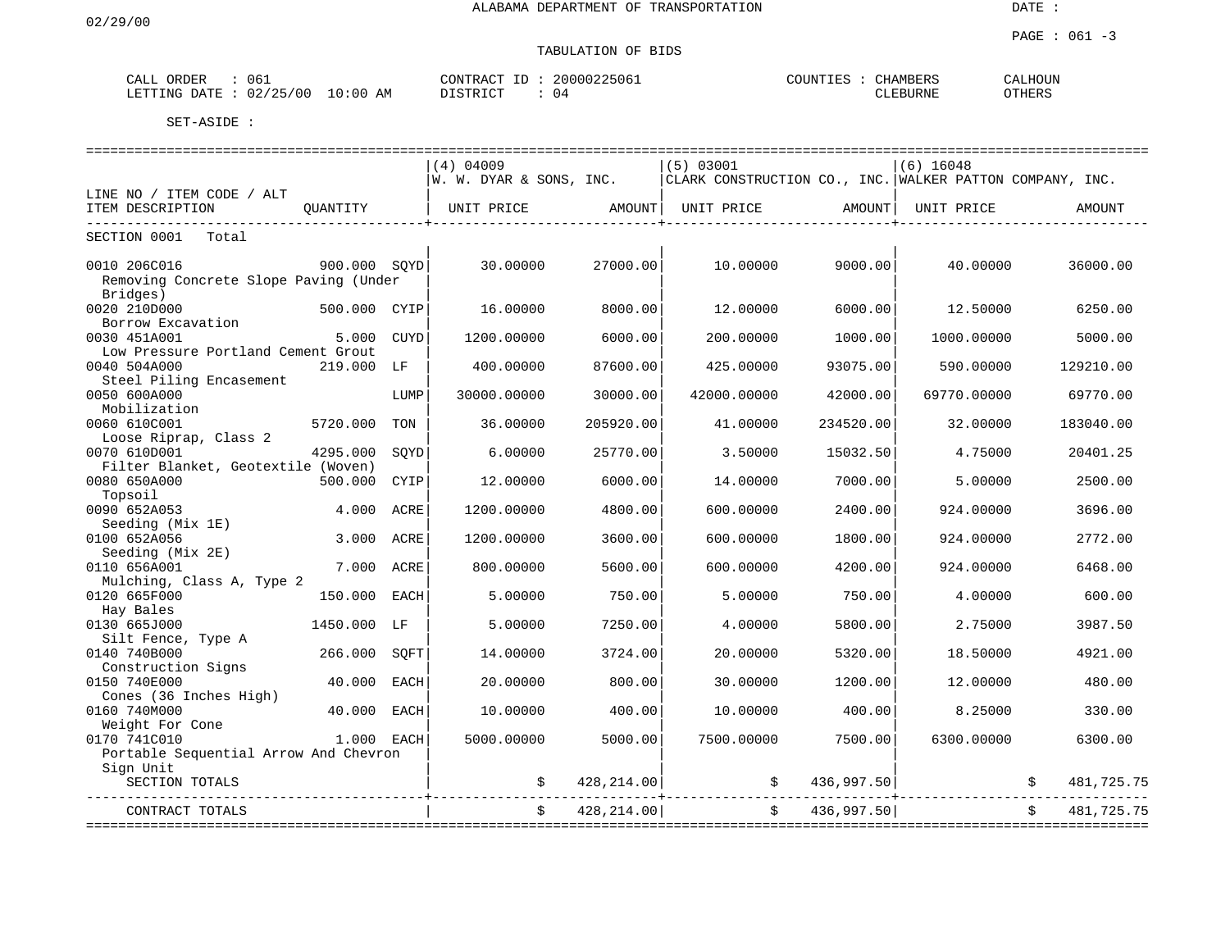| <b>ART</b><br>$\sim$<br>ORDER<br>للطلاب | 06                     | <b>ONTED</b><br>חור ה<br>$\Lambda$ | 5061 | 'OTIN'T | <b>MDED</b><br>$\sim$<br><b>HAUL</b><br>1 JUNE<br>. | $T$ $T$ $T$ $T$ $T$ $T$ $T$<br>ΞТ. |
|-----------------------------------------|------------------------|------------------------------------|------|---------|-----------------------------------------------------|------------------------------------|
| TTING<br><b>T.T.</b><br>∵וי ∆ר.         | AM<br>700<br>:00<br>UΖ | $C$ $T$ $T$ $T$ $T$                | - 14 |         | JRNE                                                | OTHERS                             |

|                                       |              |             | (4) 04009               |             | (5) 03001   |                          | $(6)$ 16048                                              |            |            |
|---------------------------------------|--------------|-------------|-------------------------|-------------|-------------|--------------------------|----------------------------------------------------------|------------|------------|
|                                       |              |             | W. W. DYAR & SONS, INC. |             |             |                          | CLARK CONSTRUCTION CO., INC. WALKER PATTON COMPANY, INC. |            |            |
| LINE NO / ITEM CODE / ALT             |              |             |                         |             |             |                          |                                                          |            |            |
| ITEM DESCRIPTION                      | OUANTITY     |             | UNIT PRICE              | AMOUNT      | UNIT PRICE  | AMOUNT                   | UNIT PRICE                                               |            | AMOUNT     |
|                                       |              |             |                         |             |             |                          |                                                          |            |            |
| SECTION 0001<br>Total                 |              |             |                         |             |             |                          |                                                          |            |            |
| 0010 206C016                          | 900.000 SOYD |             | 30.00000                | 27000.00    | 10.00000    | 9000.00                  | 40.00000                                                 |            | 36000.00   |
|                                       |              |             |                         |             |             |                          |                                                          |            |            |
| Removing Concrete Slope Paving (Under |              |             |                         |             |             |                          |                                                          |            |            |
| Bridges)                              |              |             |                         |             |             |                          |                                                          |            |            |
| 0020 210D000                          | 500.000 CYIP |             | 16.00000                | 8000.00     | 12.00000    | 6000.00                  | 12.50000                                                 |            | 6250.00    |
| Borrow Excavation                     |              |             |                         |             |             |                          |                                                          |            |            |
| 0030 451A001                          | 5.000        | CUYD        | 1200.00000              | 6000.00     | 200.00000   | 1000.00                  | 1000.00000                                               |            | 5000.00    |
| Low Pressure Portland Cement Grout    |              |             |                         |             |             |                          |                                                          |            |            |
| 0040 504A000                          | 219,000      | LF          | 400.00000               | 87600.00    | 425.00000   | 93075.00                 | 590.00000                                                |            | 129210.00  |
| Steel Piling Encasement               |              |             |                         |             |             |                          |                                                          |            |            |
| 0050 600A000                          |              | LUMP        | 30000.00000             | 30000.00    | 42000.00000 | 42000.00                 | 69770.00000                                              |            | 69770.00   |
| Mobilization                          |              |             |                         |             |             |                          |                                                          |            |            |
| 0060 610C001                          | 5720.000     | TON         | 36.00000                | 205920.00   | 41.00000    | 234520.00                | 32.00000                                                 |            | 183040.00  |
| Loose Riprap, Class 2                 |              |             |                         |             |             |                          |                                                          |            |            |
| 0070 610D001                          | 4295.000     | SOYD        | 6.00000                 | 25770.00    | 3.50000     | 15032.50                 | 4.75000                                                  |            | 20401.25   |
| Filter Blanket, Geotextile (Woven)    |              |             |                         |             |             |                          |                                                          |            |            |
| 0080 650A000                          | 500.000      | CYIP        | 12,00000                | 6000.00     | 14.00000    | 7000.00                  | 5,00000                                                  |            | 2500.00    |
| Topsoil                               |              |             |                         |             |             |                          |                                                          |            |            |
| 0090 652A053                          | 4.000        | ACRE        | 1200.00000              | 4800.00     | 600.00000   | 2400.00                  | 924.00000                                                |            | 3696.00    |
| Seeding (Mix 1E)                      |              |             |                         |             |             |                          |                                                          |            |            |
| 0100 652A056                          | 3.000        | ACRE        | 1200.00000              | 3600.00     | 600.00000   | 1800.00                  | 924.00000                                                |            | 2772.00    |
|                                       |              |             |                         |             |             |                          |                                                          |            |            |
| Seeding (Mix 2E)                      |              |             |                         |             |             |                          |                                                          |            |            |
| 0110 656A001                          | 7.000        | ACRE        | 800.00000               | 5600.00     | 600.00000   | 4200.00                  | 924.00000                                                |            | 6468.00    |
| Mulching, Class A, Type 2             |              |             |                         |             |             |                          |                                                          |            |            |
| 0120 665F000                          | 150.000 EACH |             | 5.00000                 | 750.00      | 5.00000     | 750.00                   | 4.00000                                                  |            | 600.00     |
| Hay Bales                             |              |             |                         |             |             |                          |                                                          |            |            |
| 0130 665J000                          | 1450.000 LF  |             | 5.00000                 | 7250.00     | 4.00000     | 5800.00                  | 2.75000                                                  |            | 3987.50    |
| Silt Fence, Type A                    |              |             |                         |             |             |                          |                                                          |            |            |
| 0140 740B000                          | 266.000      | SOFT        | 14.00000                | 3724.00     | 20.00000    | 5320.00                  | 18.50000                                                 |            | 4921.00    |
| Construction Signs                    |              |             |                         |             |             |                          |                                                          |            |            |
| 0150 740E000                          | 40.000       | EACH        | 20.00000                | 800.00      | 30.00000    | 1200.00                  | 12.00000                                                 |            | 480.00     |
| Cones (36 Inches High)                |              |             |                         |             |             |                          |                                                          |            |            |
| 0160 740M000                          | 40.000       | <b>EACH</b> | 10.00000                | 400.00      | 10.00000    | 400.00                   | 8.25000                                                  |            | 330.00     |
| Weight For Cone                       |              |             |                         |             |             |                          |                                                          |            |            |
| 0170 741C010                          | 1.000 EACH   |             | 5000.00000              | 5000.00     | 7500.00000  | 7500.00                  | 6300.00000                                               |            | 6300.00    |
| Portable Sequential Arrow And Chevron |              |             |                         |             |             |                          |                                                          |            |            |
| Sign Unit                             |              |             |                         |             |             |                          |                                                          |            |            |
| SECTION TOTALS                        |              |             | \$                      | 428, 214.00 |             | 436,997.50<br>\$         |                                                          |            | 481,725.75 |
|                                       |              |             |                         |             |             |                          |                                                          |            |            |
| CONTRACT TOTALS                       |              |             | \$                      | 428, 214.00 |             | 436,997.50<br>$\ddot{s}$ |                                                          | $\ddot{s}$ | 481,725.75 |
|                                       |              |             |                         |             |             |                          |                                                          |            |            |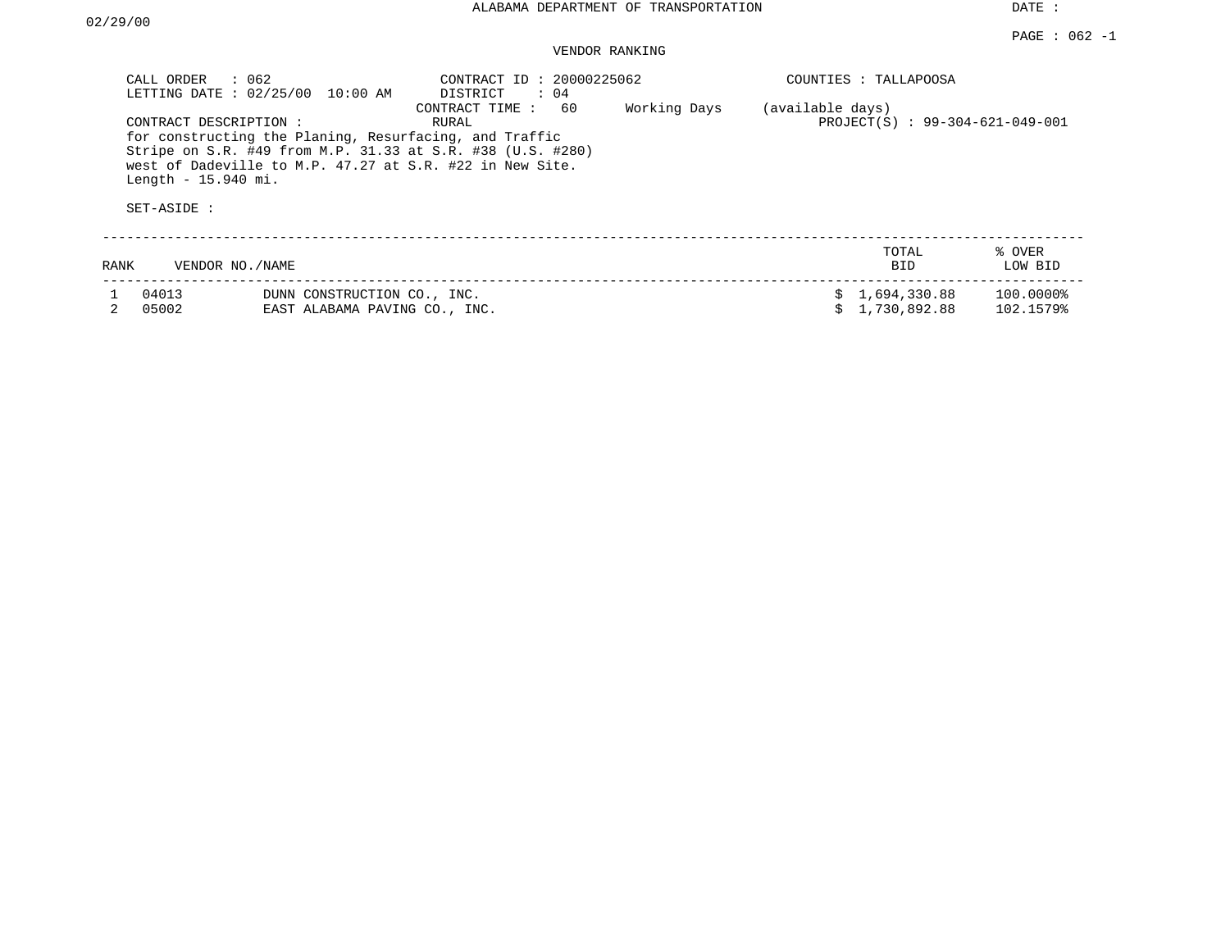|      | CALL ORDER<br>: 062<br>LETTING DATE : 02/25/00                | 10:00 AM                                                     | CONTRACT ID: 20000225062<br>: 04<br>DISTRICT                                                                                                                                                                      |              |                  | COUNTIES : TALLAPOOSA           |                        |
|------|---------------------------------------------------------------|--------------------------------------------------------------|-------------------------------------------------------------------------------------------------------------------------------------------------------------------------------------------------------------------|--------------|------------------|---------------------------------|------------------------|
|      | CONTRACT DESCRIPTION:<br>Length - $15.940$ mi.<br>SET-ASIDE : |                                                              | 60<br>CONTRACT TIME:<br>RURAL<br>for constructing the Planing, Resurfacing, and Traffic<br>Stripe on S.R. #49 from M.P. 31.33 at S.R. #38 (U.S. #280)<br>west of Dadeville to M.P. 47.27 at S.R. #22 in New Site. | Working Days | (available days) | PROJECT(S) : 99-304-621-049-001 |                        |
| RANK | VENDOR NO./NAME                                               |                                                              |                                                                                                                                                                                                                   |              |                  | TOTAL<br><b>BID</b>             | % OVER<br>LOW BID      |
|      | 04013<br>05002                                                | DUNN CONSTRUCTION CO., INC.<br>EAST ALABAMA PAVING CO., INC. |                                                                                                                                                                                                                   |              |                  | 1,694,330.88<br>1,730,892.88    | 100.0000%<br>102.1579% |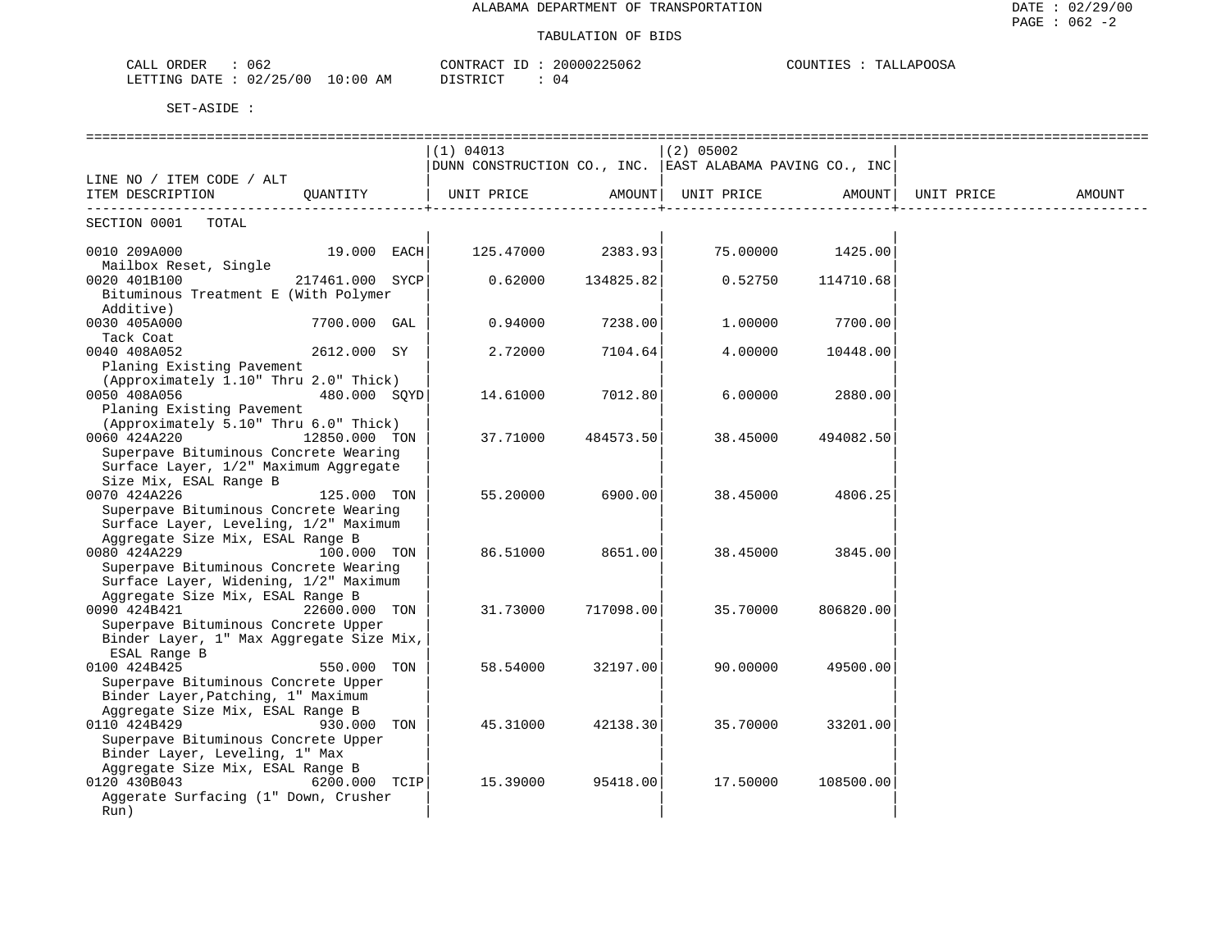| 062<br>$\sim$ $\sim$ $\sim$<br>JRDER<br>-'ALL |             | TONTRAC <sub>1</sub><br>Ð      | 20000225062 | COUNTIL<br>LLAPOOSA<br>. I E.S<br>'ΑI |
|-----------------------------------------------|-------------|--------------------------------|-------------|---------------------------------------|
| /25/00<br>LETTING<br>ר ATF.<br>U 47           | 10:00<br>AΜ | $T \cap T$<br>C <sub>CDD</sub> | U 4         |                                       |

| (1) 04013<br>$(2)$ 05002<br>DUNN CONSTRUCTION CO., INC. EAST ALABAMA PAVING CO., INC<br>LINE NO / ITEM CODE / ALT<br>OUANTITY<br>UNIT PRICE<br>AMOUNT<br>UNIT PRICE<br>AMOUNT<br>UNIT PRICE<br>AMOUNT<br>ITEM DESCRIPTION<br>SECTION 0001 TOTAL<br>125.47000 2383.93<br>75.00000 1425.00<br>0010 209A000<br>19.000 EACH<br>Mailbox Reset, Single<br>0020 401B100<br>217461.000 SYCP<br>0.62000<br>134825.82<br>0.52750<br>114710.68 |  |  |
|-------------------------------------------------------------------------------------------------------------------------------------------------------------------------------------------------------------------------------------------------------------------------------------------------------------------------------------------------------------------------------------------------------------------------------------|--|--|
|                                                                                                                                                                                                                                                                                                                                                                                                                                     |  |  |
|                                                                                                                                                                                                                                                                                                                                                                                                                                     |  |  |
|                                                                                                                                                                                                                                                                                                                                                                                                                                     |  |  |
|                                                                                                                                                                                                                                                                                                                                                                                                                                     |  |  |
|                                                                                                                                                                                                                                                                                                                                                                                                                                     |  |  |
|                                                                                                                                                                                                                                                                                                                                                                                                                                     |  |  |
|                                                                                                                                                                                                                                                                                                                                                                                                                                     |  |  |
|                                                                                                                                                                                                                                                                                                                                                                                                                                     |  |  |
| Bituminous Treatment E (With Polymer                                                                                                                                                                                                                                                                                                                                                                                                |  |  |
| Additive)<br>0.94000<br>1,00000                                                                                                                                                                                                                                                                                                                                                                                                     |  |  |
| 0030 405A000<br>7238.00<br>7700.00<br>7700.000 GAL<br>Tack Coat                                                                                                                                                                                                                                                                                                                                                                     |  |  |
| 0040 408A052<br>2612.000 SY<br>2.72000<br>7104.64<br>4.00000<br>10448.00                                                                                                                                                                                                                                                                                                                                                            |  |  |
| Planing Existing Pavement                                                                                                                                                                                                                                                                                                                                                                                                           |  |  |
| (Approximately 1.10" Thru 2.0" Thick)                                                                                                                                                                                                                                                                                                                                                                                               |  |  |
| 0050 408A056<br>480.000 SQYD<br>7012.80<br>14.61000<br>6.00000<br>2880.00                                                                                                                                                                                                                                                                                                                                                           |  |  |
| Planing Existing Pavement                                                                                                                                                                                                                                                                                                                                                                                                           |  |  |
| (Approximately 5.10" Thru 6.0" Thick)                                                                                                                                                                                                                                                                                                                                                                                               |  |  |
| 0060 424A220<br>12850.000 TON<br>37.71000<br>484573.50<br>38.45000<br>494082.50                                                                                                                                                                                                                                                                                                                                                     |  |  |
| Superpave Bituminous Concrete Wearing                                                                                                                                                                                                                                                                                                                                                                                               |  |  |
| Surface Layer, 1/2" Maximum Aggregate                                                                                                                                                                                                                                                                                                                                                                                               |  |  |
| Size Mix, ESAL Range B                                                                                                                                                                                                                                                                                                                                                                                                              |  |  |
| 0070 424A226<br>125.000 TON<br>55.20000<br>6900.00<br>38.45000<br>4806.25                                                                                                                                                                                                                                                                                                                                                           |  |  |
| Superpave Bituminous Concrete Wearing<br>Surface Layer, Leveling, 1/2" Maximum                                                                                                                                                                                                                                                                                                                                                      |  |  |
| Aggregate Size Mix, ESAL Range B                                                                                                                                                                                                                                                                                                                                                                                                    |  |  |
| 0080 424A229<br>100.000 TON<br>86.51000<br>8651.00<br>38.45000<br>3845.00                                                                                                                                                                                                                                                                                                                                                           |  |  |
| Superpave Bituminous Concrete Wearing                                                                                                                                                                                                                                                                                                                                                                                               |  |  |
| Surface Layer, Widening, 1/2" Maximum                                                                                                                                                                                                                                                                                                                                                                                               |  |  |
| Aggregate Size Mix, ESAL Range B                                                                                                                                                                                                                                                                                                                                                                                                    |  |  |
| 0090 424B421<br>22600.000 TON<br>31.73000<br>717098.00<br>35.70000<br>806820.00                                                                                                                                                                                                                                                                                                                                                     |  |  |
| Superpave Bituminous Concrete Upper                                                                                                                                                                                                                                                                                                                                                                                                 |  |  |
| Binder Layer, 1" Max Aggregate Size Mix,                                                                                                                                                                                                                                                                                                                                                                                            |  |  |
| ESAL Range B                                                                                                                                                                                                                                                                                                                                                                                                                        |  |  |
| 550.000 TON<br>0100 424B425<br>58.54000<br>32197.00<br>90.00000<br>49500.00                                                                                                                                                                                                                                                                                                                                                         |  |  |
| Superpave Bituminous Concrete Upper                                                                                                                                                                                                                                                                                                                                                                                                 |  |  |
| Binder Layer, Patching, 1" Maximum                                                                                                                                                                                                                                                                                                                                                                                                  |  |  |
| Aggregate Size Mix, ESAL Range B<br>0110 424B429<br>33201.00                                                                                                                                                                                                                                                                                                                                                                        |  |  |
| 930.000 TON<br>45.31000<br>42138.30<br>35.70000<br>Superpave Bituminous Concrete Upper                                                                                                                                                                                                                                                                                                                                              |  |  |
| Binder Layer, Leveling, 1" Max                                                                                                                                                                                                                                                                                                                                                                                                      |  |  |
| Aggregate Size Mix, ESAL Range B                                                                                                                                                                                                                                                                                                                                                                                                    |  |  |
| 0120 430B043<br>6200.000 TCIP<br>15.39000<br>95418.00<br>17.50000<br>108500.00                                                                                                                                                                                                                                                                                                                                                      |  |  |
| Aggerate Surfacing (1" Down, Crusher                                                                                                                                                                                                                                                                                                                                                                                                |  |  |
| Run)                                                                                                                                                                                                                                                                                                                                                                                                                                |  |  |